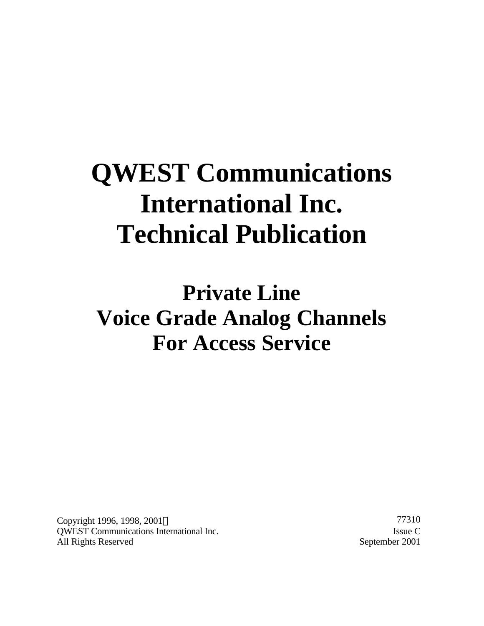# **QWEST Communications International Inc. Technical Publication**

**Private Line Voice Grade Analog Channels For Access Service**

Copyright 1996, 1998, 2001© 77310 QWEST Communications International Inc. Issue C All Rights Reserved September 2001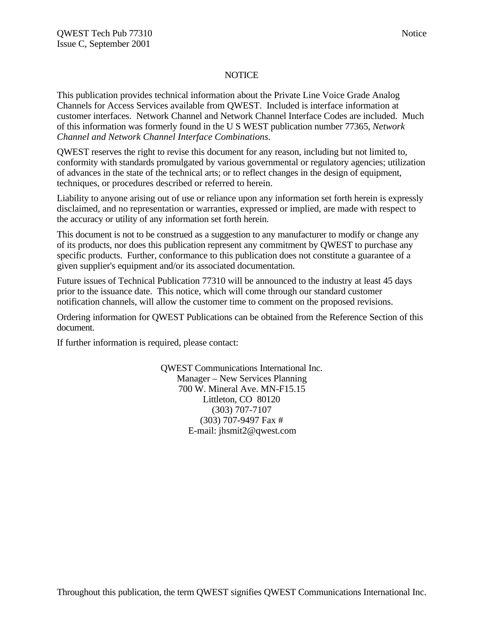#### **NOTICE**

This publication provides technical information about the Private Line Voice Grade Analog Channels for Access Services available from QWEST. Included is interface information at customer interfaces. Network Channel and Network Channel Interface Codes are included. Much of this information was formerly found in the U S WEST publication number 77365, *Network Channel and Network Channel Interface Combinations.*

QWEST reserves the right to revise this document for any reason, including but not limited to, conformity with standards promulgated by various governmental or regulatory agencies; utilization of advances in the state of the technical arts; or to reflect changes in the design of equipment, techniques, or procedures described or referred to herein.

Liability to anyone arising out of use or reliance upon any information set forth herein is expressly disclaimed, and no representation or warranties, expressed or implied, are made with respect to the accuracy or utility of any information set forth herein.

This document is not to be construed as a suggestion to any manufacturer to modify or change any of its products, nor does this publication represent any commitment by QWEST to purchase any specific products. Further, conformance to this publication does not constitute a guarantee of a given supplier's equipment and/or its associated documentation.

Future issues of Technical Publication 77310 will be announced to the industry at least 45 days prior to the issuance date. This notice, which will come through our standard customer notification channels, will allow the customer time to comment on the proposed revisions.

Ordering information for QWEST Publications can be obtained from the Reference Section of this document.

If further information is required, please contact:

QWEST Communications International Inc. Manager – New Services Planning 700 W. Mineral Ave. MN-F15.15 Littleton, CO 80120 (303) 707-7107 (303) 707-9497 Fax # E-mail: jhsmit2@qwest.com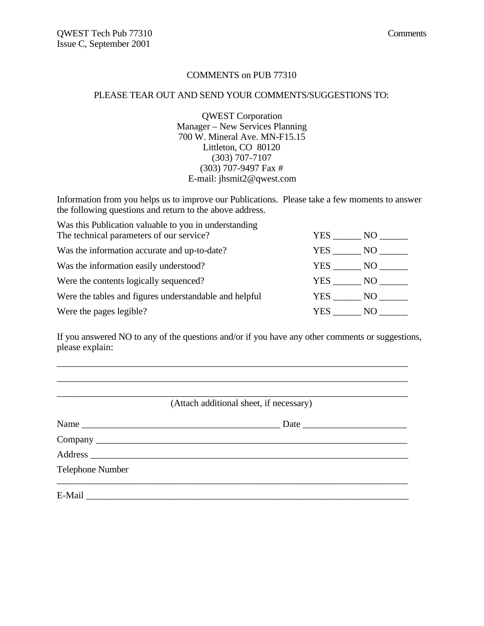#### COMMENTS on PUB 77310

#### PLEASE TEAR OUT AND SEND YOUR COMMENTS/SUGGESTIONS TO:

QWEST Corporation Manager – New Services Planning 700 W. Mineral Ave. MN-F15.15 Littleton, CO 80120 (303) 707-7107 (303) 707-9497 Fax # E-mail: jhsmit2@qwest.com

Information from you helps us to improve our Publications. Please take a few moments to answer the following questions and return to the above address.

| Was this Publication valuable to you in understanding  |        |       |
|--------------------------------------------------------|--------|-------|
| The technical parameters of our service?               | YES .  | NO -  |
| Was the information accurate and up-to-date?           | YES    | NO    |
| Was the information easily understood?                 | YES    | NO    |
| Were the contents logically sequenced?                 | YES    | NO 11 |
| Were the tables and figures understandable and helpful | YES NO |       |
| Were the pages legible?                                | YES.   | NO.   |

If you answered NO to any of the questions and/or if you have any other comments or suggestions, please explain:

\_\_\_\_\_\_\_\_\_\_\_\_\_\_\_\_\_\_\_\_\_\_\_\_\_\_\_\_\_\_\_\_\_\_\_\_\_\_\_\_\_\_\_\_\_\_\_\_\_\_\_\_\_\_\_\_\_\_\_\_\_\_\_\_\_\_\_\_\_\_\_\_\_\_

|                  | (Attach additional sheet, if necessary) |
|------------------|-----------------------------------------|
|                  |                                         |
|                  |                                         |
|                  |                                         |
| Telephone Number |                                         |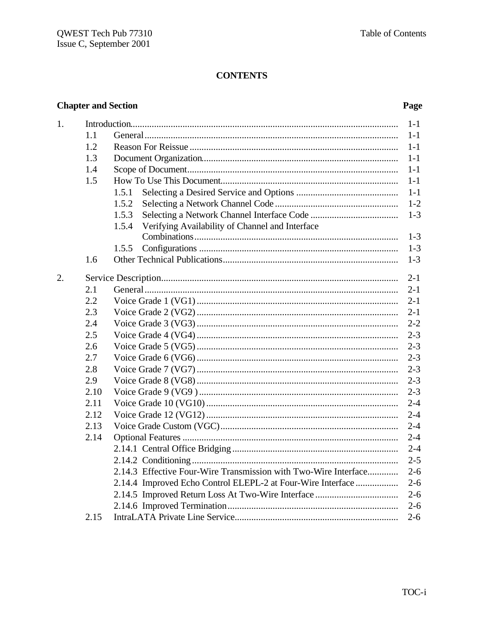# **CONTENTS**

### **Chapter and Section**

### Page

| 1. |      |                                                                 | $1 - 1$ |
|----|------|-----------------------------------------------------------------|---------|
|    | 1.1  |                                                                 | $1 - 1$ |
|    | 1.2  |                                                                 | $1 - 1$ |
|    | 1.3  |                                                                 | $1-1$   |
|    | 1.4  |                                                                 | $1-1$   |
|    | 1.5  |                                                                 | $1-1$   |
|    |      | 1.5.1                                                           | $1-1$   |
|    |      | 1.5.2                                                           | $1 - 2$ |
|    |      | 1.5.3                                                           | $1 - 3$ |
|    |      | Verifying Availability of Channel and Interface<br>1.5.4        |         |
|    |      |                                                                 | $1 - 3$ |
|    |      | 1.5.5                                                           | $1-3$   |
|    | 1.6  |                                                                 | $1 - 3$ |
| 2. |      |                                                                 | $2 - 1$ |
|    | 2.1  |                                                                 | $2 - 1$ |
|    | 2.2  |                                                                 | $2 - 1$ |
|    | 2.3  |                                                                 | $2 - 1$ |
|    | 2.4  |                                                                 | $2 - 2$ |
|    | 2.5  |                                                                 | $2 - 3$ |
|    | 2.6  |                                                                 | $2 - 3$ |
|    | 2.7  |                                                                 | $2 - 3$ |
|    | 2.8  |                                                                 | $2 - 3$ |
|    | 2.9  |                                                                 | $2 - 3$ |
|    | 2.10 |                                                                 | $2 - 3$ |
|    | 2.11 |                                                                 | $2 - 4$ |
|    | 2.12 |                                                                 | $2 - 4$ |
|    | 2.13 |                                                                 | $2 - 4$ |
|    | 2.14 |                                                                 | $2 - 4$ |
|    |      |                                                                 | $2 - 4$ |
|    |      |                                                                 | $2 - 5$ |
|    |      | 2.14.3 Effective Four-Wire Transmission with Two-Wire Interface | $2 - 6$ |
|    |      | 2.14.4 Improved Echo Control ELEPL-2 at Four-Wire Interface     | $2 - 6$ |
|    |      |                                                                 | $2 - 6$ |
|    |      |                                                                 | $2 - 6$ |
|    | 2.15 |                                                                 | $2 - 6$ |
|    |      |                                                                 |         |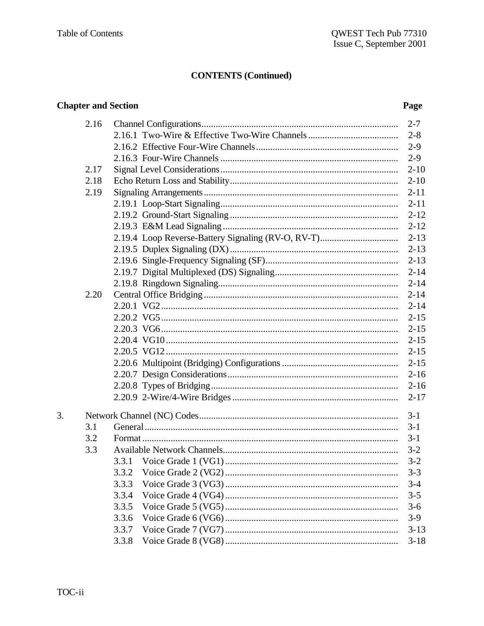### **Chapter and Section**

### Page

| 2.16 |                                                    | $2 - 7$  |
|------|----------------------------------------------------|----------|
|      |                                                    | $2 - 8$  |
|      |                                                    | $2 - 9$  |
|      |                                                    | $2-9$    |
| 2.17 |                                                    | $2 - 10$ |
| 2.18 |                                                    | $2 - 10$ |
| 2.19 |                                                    | $2 - 11$ |
|      |                                                    | $2 - 11$ |
|      |                                                    | $2 - 12$ |
|      |                                                    | $2 - 12$ |
|      | 2.19.4 Loop Reverse-Battery Signaling (RV-O, RV-T) | $2 - 13$ |
|      |                                                    | $2 - 13$ |
|      |                                                    | $2 - 13$ |
|      |                                                    | $2 - 14$ |
|      |                                                    | $2 - 14$ |
| 2.20 |                                                    | $2 - 14$ |
|      |                                                    | $2 - 14$ |
|      |                                                    | $2 - 15$ |
|      |                                                    | $2 - 15$ |
|      |                                                    | $2 - 15$ |
|      |                                                    | $2 - 15$ |
|      |                                                    | $2 - 15$ |
|      |                                                    | $2 - 16$ |
|      |                                                    | $2 - 16$ |
|      |                                                    | $2 - 17$ |
|      |                                                    | $3 - 1$  |
| 3.1  |                                                    | $3 - 1$  |
| 3.2  |                                                    | $3-1$    |
| 3.3  |                                                    | $3 - 2$  |
|      |                                                    | $3 - 2$  |
|      | 3.3.2                                              | $3 - 3$  |
|      | 3.3.3                                              | $3 - 4$  |
|      | 3.3.4                                              | $3 - 5$  |
|      | 3.3.5                                              | $3 - 6$  |
|      | 3.3.6                                              | $3-9$    |
|      | 3.3.7                                              | $3 - 13$ |
|      | 3.3.8                                              | $3 - 18$ |
|      |                                                    |          |

 $\overline{3}$ .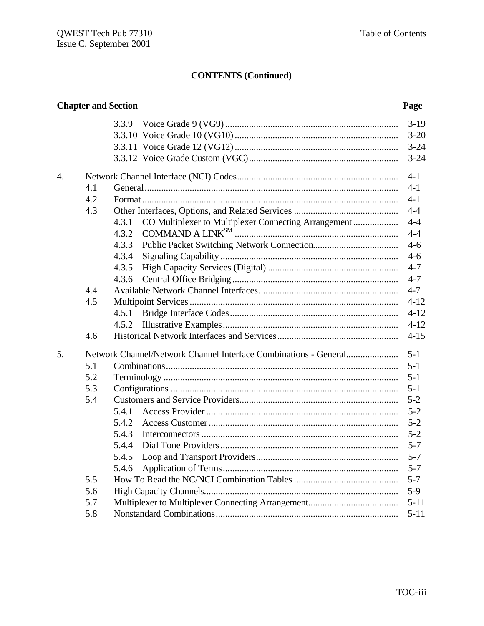|    |     | <b>Chapter and Section</b>                                             | Page               |
|----|-----|------------------------------------------------------------------------|--------------------|
|    |     |                                                                        | $3-19$             |
|    |     |                                                                        | $3 - 20$           |
|    |     |                                                                        | $3 - 24$           |
|    |     |                                                                        | $3 - 24$           |
| 4. |     |                                                                        | $4-1$              |
|    | 4.1 |                                                                        | $4 - 1$            |
|    | 4.2 |                                                                        | $4 - 1$            |
|    | 4.3 |                                                                        | $4 - 4$            |
|    |     | CO Multiplexer to Multiplexer Connecting Arrangement<br>4.3.1<br>4.3.2 | $4 - 4$<br>$4 - 4$ |
|    |     | 4.3.3                                                                  | $4-6$              |
|    |     | 4.3.4                                                                  | $4-6$              |
|    |     | 4.3.5                                                                  | $4 - 7$            |
|    |     | 4.3.6                                                                  | $4 - 7$            |
|    | 4.4 |                                                                        | $4 - 7$            |
|    | 4.5 |                                                                        | $4 - 12$           |
|    |     | 4.5.1                                                                  | $4 - 12$           |
|    |     | 4.5.2                                                                  | $4 - 12$           |
|    | 4.6 |                                                                        | $4 - 15$           |
| 5. |     |                                                                        | $5 - 1$            |
|    | 5.1 |                                                                        | $5 - 1$            |
|    | 5.2 |                                                                        | $5 - 1$            |
|    | 5.3 |                                                                        | $5 - 1$            |
|    | 5.4 |                                                                        | $5 - 2$            |
|    |     | 5.4.1                                                                  | $5 - 2$            |
|    |     | 5.4.2                                                                  | $5 - 2$            |
|    |     | 5.4.3                                                                  | $5 - 2$            |
|    |     | 5.4.4                                                                  | $5 - 7$            |
|    |     |                                                                        | $5 - 7$            |
|    |     | 5.4.6                                                                  | $5 - 7$            |
|    | 5.5 |                                                                        | $5 - 7$            |
|    | 5.6 |                                                                        | $5-9$              |
|    | 5.7 |                                                                        | $5 - 11$           |
|    | 5.8 |                                                                        | $5 - 11$           |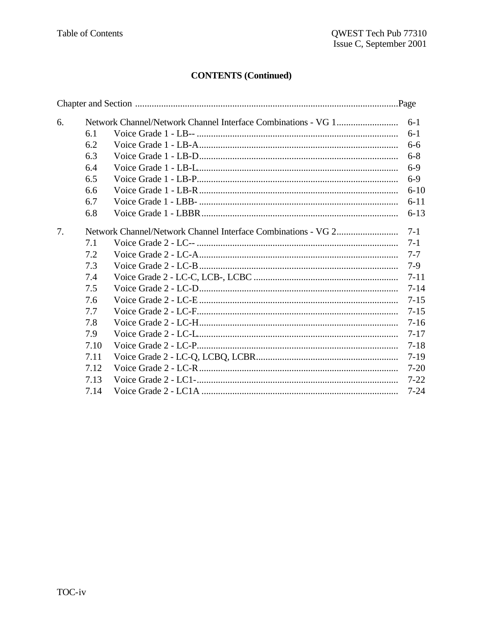| 6. |      | $6 - 1$  |
|----|------|----------|
|    | 6.1  | $6-1$    |
|    | 6.2  | $6-6$    |
|    | 6.3  | $6 - 8$  |
|    | 6.4  | $6-9$    |
|    | 6.5  | $6-9$    |
|    | 6.6  | $6 - 10$ |
|    | 6.7  | $6 - 11$ |
|    | 6.8  | $6 - 13$ |
| 7. |      | $7 - 1$  |
|    | 7.1  | $7 - 1$  |
|    | 7.2  | $7 - 7$  |
|    | 7.3  | $7-9$    |
|    | 7.4  | $7 - 11$ |
|    | 7.5  | $7 - 14$ |
|    | 7.6  | $7 - 15$ |
|    | 7.7  | $7 - 15$ |
|    | 7.8  | $7 - 16$ |
|    | 7.9  | $7 - 17$ |
|    | 7.10 | $7 - 18$ |
|    | 7.11 | $7-19$   |
|    | 7.12 | $7 - 20$ |
|    | 7.13 | $7 - 22$ |
|    | 7.14 | $7 - 24$ |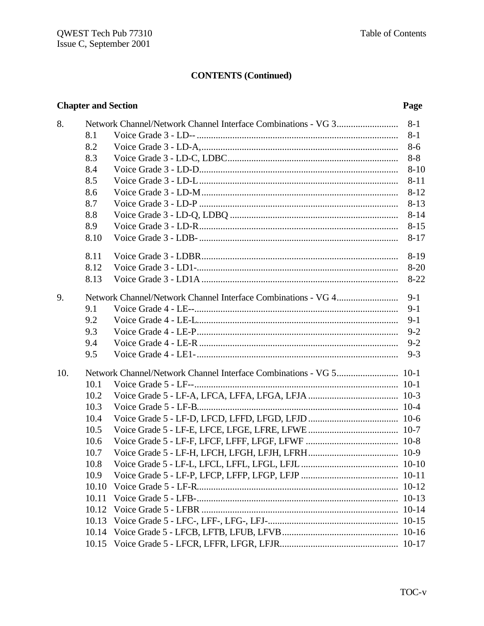### **Chapter and Section**

### Page

| 8.  |       | $8 - 1$  |
|-----|-------|----------|
|     | 8.1   | $8-1$    |
|     | 8.2   | $8-6$    |
|     | 8.3   | $8 - 8$  |
|     | 8.4   | $8 - 10$ |
|     | 8.5   | $8 - 11$ |
|     | 8.6   | $8 - 12$ |
|     | 8.7   | $8 - 13$ |
|     | 8.8   | $8 - 14$ |
|     | 8.9   | $8 - 15$ |
|     | 8.10  | $8 - 17$ |
|     | 8.11  | $8-19$   |
|     | 8.12  | $8 - 20$ |
|     | 8.13  | $8 - 22$ |
| 9.  |       | $9-1$    |
|     | 9.1   | $9 - 1$  |
|     | 9.2   | $9-1$    |
|     | 9.3   | $9 - 2$  |
|     | 9.4   | $9 - 2$  |
|     | 9.5   | $9 - 3$  |
| 10. |       |          |
|     | 10.1  |          |
|     | 10.2  |          |
|     | 10.3  |          |
|     | 10.4  |          |
|     | 10.5  |          |
|     | 10.6  |          |
|     | 10.7  |          |
|     | 10.8  |          |
|     | 10.9  |          |
|     | 10.10 |          |
|     | 10.11 |          |
|     | 10.12 |          |
|     | 10.13 |          |
|     | 10.14 |          |
|     | 10.15 |          |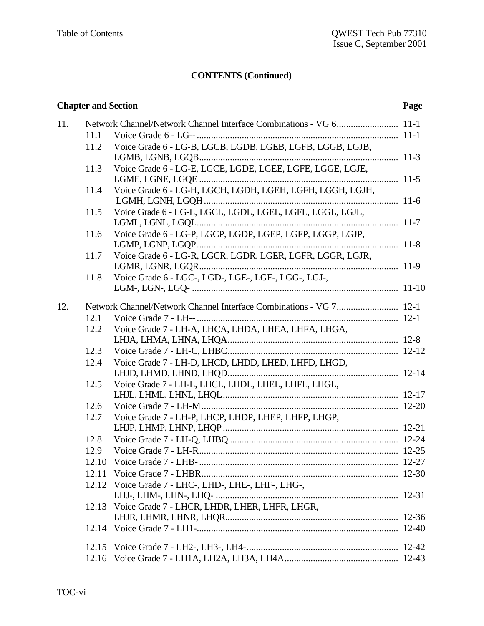### **Chapter and Section Page**

| 11. |       |                                                                    |  |
|-----|-------|--------------------------------------------------------------------|--|
|     | 11.1  |                                                                    |  |
|     | 11.2  | Voice Grade 6 - LG-B, LGCB, LGDB, LGEB, LGFB, LGGB, LGJB,          |  |
|     |       |                                                                    |  |
|     | 11.3  | Voice Grade 6 - LG-E, LGCE, LGDE, LGEE, LGFE, LGGE, LGJE,          |  |
|     |       |                                                                    |  |
|     | 11.4  | Voice Grade 6 - LG-H, LGCH, LGDH, LGEH, LGFH, LGGH, LGJH,          |  |
|     | 11.5  | Voice Grade 6 - LG-L, LGCL, LGDL, LGEL, LGFL, LGGL, LGJL,          |  |
|     |       |                                                                    |  |
|     | 11.6  | Voice Grade 6 - LG-P, LGCP, LGDP, LGEP, LGFP, LGGP, LGJP,          |  |
|     |       |                                                                    |  |
|     | 11.7  | Voice Grade 6 - LG-R, LGCR, LGDR, LGER, LGFR, LGGR, LGJR,          |  |
|     |       |                                                                    |  |
|     | 11.8  | Voice Grade 6 - LGC-, LGD-, LGE-, LGF-, LGG-, LGJ-,                |  |
|     |       |                                                                    |  |
| 12. |       | Network Channel/Network Channel Interface Combinations - VG 7 12-1 |  |
|     | 12.1  |                                                                    |  |
|     | 12.2  | Voice Grade 7 - LH-A, LHCA, LHDA, LHEA, LHFA, LHGA,                |  |
|     |       |                                                                    |  |
|     | 12.3  |                                                                    |  |
|     | 12.4  | Voice Grade 7 - LH-D, LHCD, LHDD, LHED, LHFD, LHGD,                |  |
|     |       |                                                                    |  |
|     | 12.5  | Voice Grade 7 - LH-L, LHCL, LHDL, LHEL, LHFL, LHGL,                |  |
|     |       |                                                                    |  |
|     | 12.6  |                                                                    |  |
|     | 12.7  | Voice Grade 7 - LH-P, LHCP, LHDP, LHEP, LHFP, LHGP,                |  |
|     |       |                                                                    |  |
|     | 12.8  |                                                                    |  |
|     | 12.9  |                                                                    |  |
|     | 12.10 |                                                                    |  |
|     | 12.11 |                                                                    |  |
|     | 12.12 | Voice Grade 7 - LHC-, LHD-, LHE-, LHF-, LHG-,                      |  |
|     |       |                                                                    |  |
|     |       | 12.13 Voice Grade 7 - LHCR, LHDR, LHER, LHFR, LHGR,                |  |
|     |       |                                                                    |  |
|     |       |                                                                    |  |
|     | 12.15 |                                                                    |  |
|     | 12.16 |                                                                    |  |
|     |       |                                                                    |  |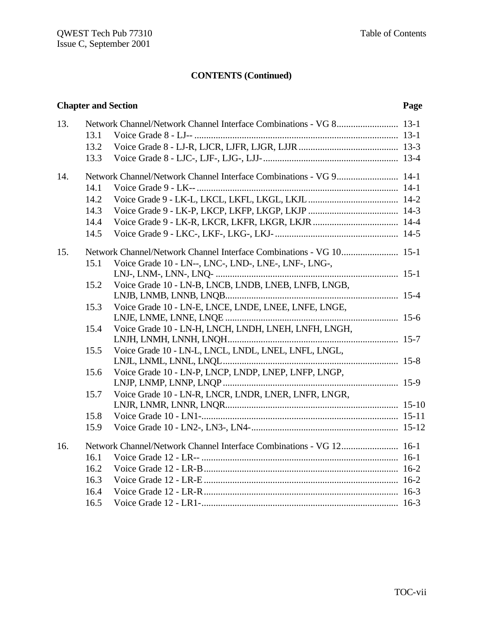### **Chapter and Section Page**

| 13. |      |                                                                    |  |
|-----|------|--------------------------------------------------------------------|--|
|     | 13.1 |                                                                    |  |
|     | 13.2 |                                                                    |  |
|     | 13.3 |                                                                    |  |
| 14. |      | Network Channel/Network Channel Interface Combinations - VG 9 14-1 |  |
|     | 14.1 |                                                                    |  |
|     | 14.2 |                                                                    |  |
|     | 14.3 |                                                                    |  |
|     | 14.4 |                                                                    |  |
|     | 14.5 |                                                                    |  |
| 15. |      |                                                                    |  |
|     | 15.1 | Voice Grade 10 - LN--, LNC-, LND-, LNE-, LNF-, LNG-,               |  |
|     |      |                                                                    |  |
|     | 15.2 | Voice Grade 10 - LN-B, LNCB, LNDB, LNEB, LNFB, LNGB,               |  |
|     |      |                                                                    |  |
|     | 15.3 | Voice Grade 10 - LN-E, LNCE, LNDE, LNEE, LNFE, LNGE,               |  |
|     |      |                                                                    |  |
|     | 15.4 | Voice Grade 10 - LN-H, LNCH, LNDH, LNEH, LNFH, LNGH,               |  |
|     |      |                                                                    |  |
|     | 15.5 | Voice Grade 10 - LN-L, LNCL, LNDL, LNEL, LNFL, LNGL,               |  |
|     |      |                                                                    |  |
|     | 15.6 | Voice Grade 10 - LN-P, LNCP, LNDP, LNEP, LNFP, LNGP,               |  |
|     |      |                                                                    |  |
|     | 15.7 | Voice Grade 10 - LN-R, LNCR, LNDR, LNER, LNFR, LNGR,               |  |
|     |      |                                                                    |  |
|     | 15.8 |                                                                    |  |
|     | 15.9 |                                                                    |  |
| 16. |      |                                                                    |  |
|     | 16.1 |                                                                    |  |
|     | 16.2 |                                                                    |  |
|     | 16.3 |                                                                    |  |
|     | 16.4 |                                                                    |  |
|     | 16.5 |                                                                    |  |
|     |      |                                                                    |  |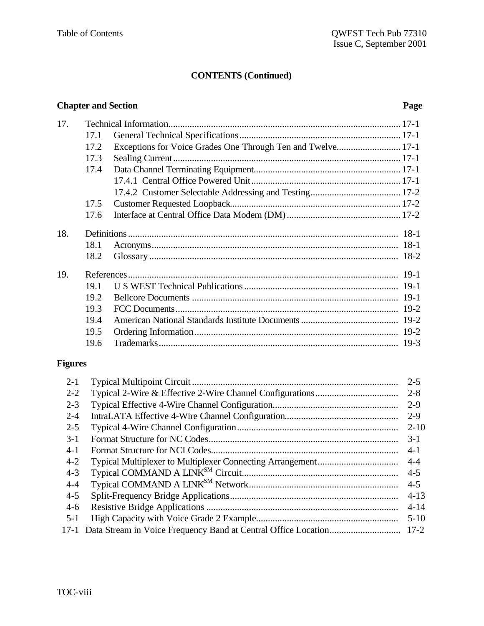### **Chapter and Section Page**

| 17. |      |                                                             |  |
|-----|------|-------------------------------------------------------------|--|
|     | 17.1 |                                                             |  |
|     | 17.2 | Exceptions for Voice Grades One Through Ten and Twelve 17-1 |  |
|     | 17.3 |                                                             |  |
|     | 17.4 |                                                             |  |
|     |      |                                                             |  |
|     |      |                                                             |  |
|     | 17.5 |                                                             |  |
|     | 17.6 |                                                             |  |
| 18. |      |                                                             |  |
|     | 18.1 |                                                             |  |
|     | 18.2 |                                                             |  |
| 19. |      |                                                             |  |
|     | 19.1 |                                                             |  |
|     | 19.2 |                                                             |  |
|     | 19.3 |                                                             |  |
|     | 19.4 |                                                             |  |
|     | 19.5 |                                                             |  |
|     | 19.6 |                                                             |  |
|     |      |                                                             |  |

# **Figures**

| $2 - 1$ | $2 - 5$  |
|---------|----------|
| $2 - 2$ | $2 - 8$  |
| $2 - 3$ | $2 - 9$  |
| $2 - 4$ | $2 - 9$  |
| $2 - 5$ | $2 - 10$ |
| $3-1$   | $3-1$    |
| $4-1$   | $4-1$    |
| $4 - 2$ | $4 - 4$  |
| $4 - 3$ | $4 - 5$  |
| $4 - 4$ | $4 - 5$  |
| $4 - 5$ | $4 - 13$ |
| $4-6$   | $4 - 14$ |
| $5 - 1$ | $5 - 10$ |
| $17-1$  | $17 - 2$ |
|         |          |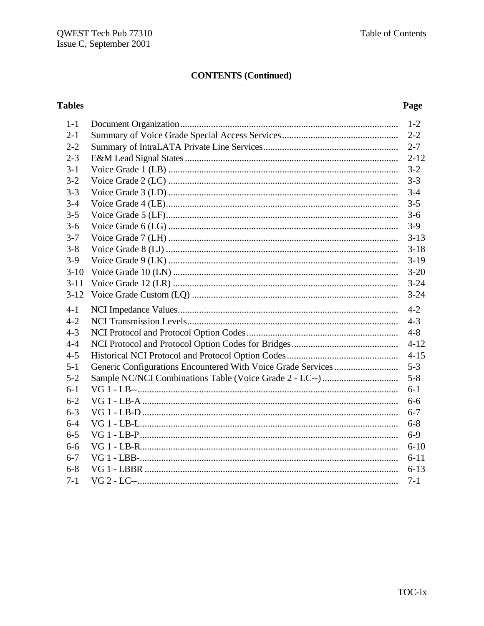# **Tables**

### Page

| $3-9$    |
|----------|
| $3-13$   |
|          |
|          |
|          |
|          |
| $3 - 24$ |
| $4 - 2$  |
| $4 - 3$  |
|          |
|          |
|          |
| $4 - 15$ |
|          |
| $5 - 8$  |
| $6-1$    |
|          |
| $6 - 7$  |
| $6 - 8$  |
| $6-9$    |
| $6 - 10$ |
| $6 - 11$ |
| $6 - 13$ |
|          |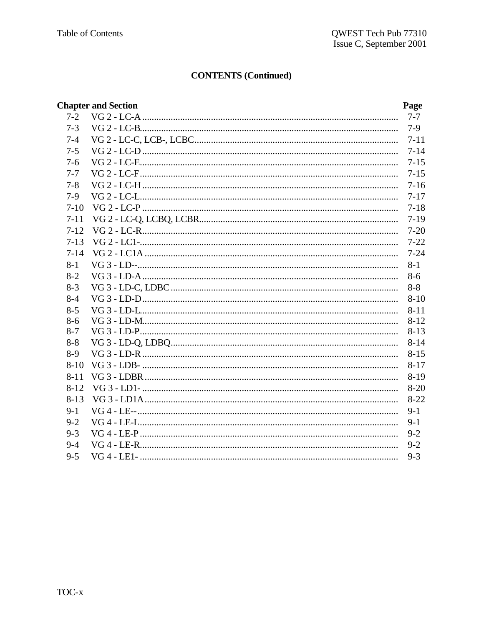|          | <b>Chapter and Section</b> | Page     |
|----------|----------------------------|----------|
| $7 - 2$  |                            | $7 - 7$  |
| $7 - 3$  |                            | $7-9$    |
| $7 - 4$  |                            | $7 - 11$ |
| $7 - 5$  |                            | $7 - 14$ |
| $7 - 6$  |                            | $7 - 15$ |
| $7 - 7$  |                            | $7 - 15$ |
| $7 - 8$  |                            | $7 - 16$ |
| $7-9$    |                            | $7 - 17$ |
| $7-10$   |                            | $7 - 18$ |
| $7 - 11$ |                            | $7-19$   |
| $7 - 12$ |                            | $7 - 20$ |
| $7 - 13$ |                            | $7 - 22$ |
| $7 - 14$ |                            | $7 - 24$ |
| $8 - 1$  |                            | $8-1$    |
| $8 - 2$  |                            | $8 - 6$  |
| $8 - 3$  |                            | $8 - 8$  |
| $8 - 4$  |                            | $8-10$   |
| $8 - 5$  |                            | $8 - 11$ |
| $8 - 6$  |                            | $8 - 12$ |
| $8 - 7$  |                            | $8 - 13$ |
| $8 - 8$  |                            | $8 - 14$ |
| $8-9$    |                            | $8 - 15$ |
| $8 - 10$ |                            | $8 - 17$ |
| $8 - 11$ |                            | $8-19$   |
| $8-12$   |                            | $8 - 20$ |
| $8-13$   |                            | $8 - 22$ |
| $9-1$    |                            | $9-1$    |
| $9 - 2$  |                            | $9 - 1$  |
| $9 - 3$  |                            | $9 - 2$  |
| $9 - 4$  |                            | $9 - 2$  |
| $9 - 5$  |                            | $9 - 3$  |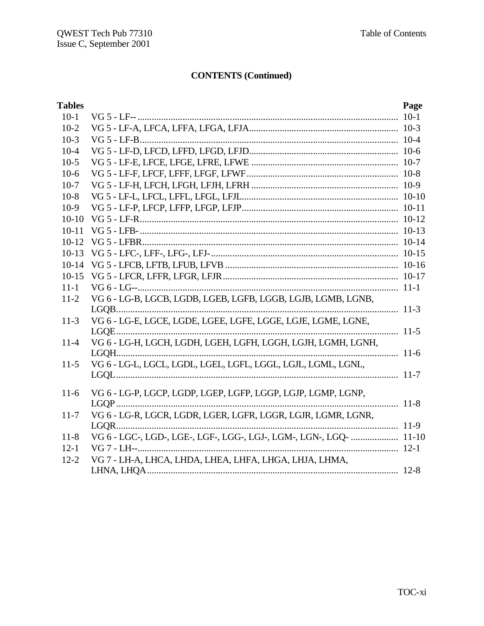| <b>Tables</b> |                                                                    | Page |
|---------------|--------------------------------------------------------------------|------|
| $10-1$        |                                                                    |      |
| $10-2$        |                                                                    |      |
| $10-3$        |                                                                    |      |
| $10-4$        |                                                                    |      |
| $10-5$        |                                                                    |      |
| $10-6$        |                                                                    |      |
| $10-7$        |                                                                    |      |
| $10-8$        |                                                                    |      |
| $10-9$        |                                                                    |      |
| $10-10$       |                                                                    |      |
| $10 - 11$     |                                                                    |      |
| $10-12$       |                                                                    |      |
| $10-13$       |                                                                    |      |
|               |                                                                    |      |
| $10-15$       |                                                                    |      |
| $11 - 1$      |                                                                    |      |
| $11-2$        | VG 6 - LG-B, LGCB, LGDB, LGEB, LGFB, LGGB, LGJB, LGMB, LGNB,       |      |
|               |                                                                    |      |
| $11-3$        | VG 6 - LG-E, LGCE, LGDE, LGEE, LGFE, LGGE, LGJE, LGME, LGNE,       |      |
|               |                                                                    |      |
| $11-4$        | VG 6 - LG-H, LGCH, LGDH, LGEH, LGFH, LGGH, LGJH, LGMH, LGNH,       |      |
|               |                                                                    |      |
| $11-5$        | VG 6 - LG-L, LGCL, LGDL, LGEL, LGFL, LGGL, LGJL, LGML, LGNL,       |      |
|               |                                                                    |      |
| $11-6$        | VG 6 - LG-P, LGCP, LGDP, LGEP, LGFP, LGGP, LGJP, LGMP, LGNP,       |      |
|               |                                                                    |      |
| $11 - 7$      | VG 6 - LG-R, LGCR, LGDR, LGER, LGFR, LGGR, LGJR, LGMR, LGNR,       |      |
|               |                                                                    |      |
| $11-8$        | VG 6 - LGC-, LGD-, LGE-, LGF-, LGG-, LGJ-, LGM-, LGN-, LGQ-  11-10 |      |
| $12 - 1$      |                                                                    |      |
| $12 - 2$      | VG 7 - LH-A, LHCA, LHDA, LHEA, LHFA, LHGA, LHJA, LHMA,             |      |
|               |                                                                    |      |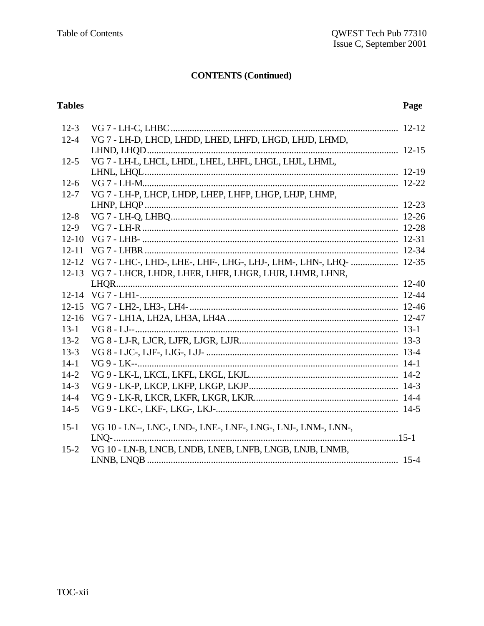# **Tables**

### Page

| $12-3$    |                                                                    |  |
|-----------|--------------------------------------------------------------------|--|
| $12 - 4$  | VG 7 - LH-D, LHCD, LHDD, LHED, LHFD, LHGD, LHJD, LHMD,             |  |
|           |                                                                    |  |
| $12 - 5$  | VG 7 - LH-L, LHCL, LHDL, LHEL, LHFL, LHGL, LHJL, LHML,             |  |
|           |                                                                    |  |
| $12-6$    |                                                                    |  |
| $12 - 7$  | VG 7 - LH-P, LHCP, LHDP, LHEP, LHFP, LHGP, LHJP, LHMP,             |  |
|           |                                                                    |  |
| $12 - 8$  |                                                                    |  |
| $12-9$    |                                                                    |  |
| $12 - 10$ |                                                                    |  |
| $12 - 11$ |                                                                    |  |
| $12 - 12$ | VG 7 - LHC-, LHD-, LHE-, LHF-, LHG-, LHJ-, LHM-, LHN-, LHQ-  12-35 |  |
| $12 - 13$ | VG 7 - LHCR, LHDR, LHER, LHFR, LHGR, LHJR, LHMR, LHNR,             |  |
|           |                                                                    |  |
| $12 - 14$ |                                                                    |  |
| $12 - 15$ |                                                                    |  |
| $12 - 16$ |                                                                    |  |
| $13-1$    |                                                                    |  |
| $13 - 2$  |                                                                    |  |
| $13 - 3$  |                                                                    |  |
| $14 - 1$  |                                                                    |  |
| $14 - 2$  |                                                                    |  |
| $14-3$    |                                                                    |  |
| $14 - 4$  |                                                                    |  |
| $14-5$    |                                                                    |  |
| $15 - 1$  | VG 10 - LN--, LNC-, LND-, LNE-, LNF-, LNG-, LNJ-, LNM-, LNN-,      |  |
|           | $LNQ$ -                                                            |  |
| $15 - 2$  | VG 10 - LN-B, LNCB, LNDB, LNEB, LNFB, LNGB, LNJB, LNMB,            |  |
|           |                                                                    |  |
|           |                                                                    |  |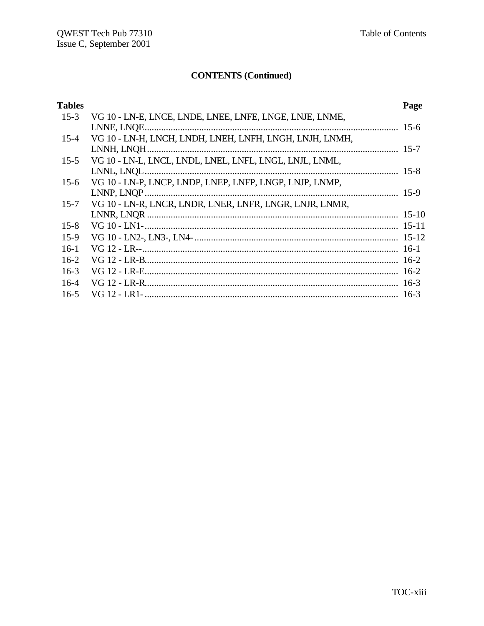| <b>Tables</b> |                                                         | Page   |
|---------------|---------------------------------------------------------|--------|
| $15-3$        | VG 10 - LN-E, LNCE, LNDE, LNEE, LNFE, LNGE, LNJE, LNME, |        |
|               |                                                         |        |
| $15 - 4$      | VG 10 - LN-H, LNCH, LNDH, LNEH, LNFH, LNGH, LNJH, LNMH, |        |
|               |                                                         |        |
| $15 - 5$      | VG 10 - LN-L, LNCL, LNDL, LNEL, LNFL, LNGL, LNJL, LNML, |        |
|               |                                                         |        |
| $15-6$        | VG 10 - LN-P, LNCP, LNDP, LNEP, LNFP, LNGP, LNJP, LNMP, |        |
|               |                                                         |        |
| $15 - 7$      | VG 10 - LN-R, LNCR, LNDR, LNER, LNFR, LNGR, LNJR, LNMR, |        |
|               |                                                         |        |
| $15 - 8$      |                                                         |        |
| $15-9$        |                                                         |        |
| $16-1$        |                                                         |        |
| $16-2$        |                                                         |        |
| $16-3$        |                                                         |        |
| $16-4$        |                                                         |        |
| $16 - 5$      |                                                         | $16-3$ |
|               |                                                         |        |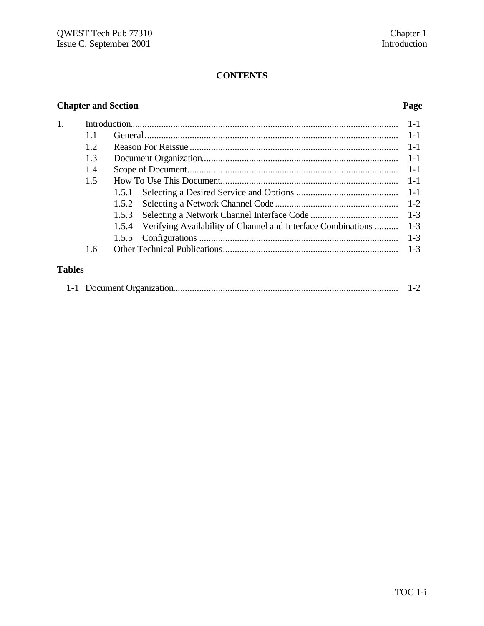# **CONTENTS**

### **Chapter and Section Page**

| 1.            |     |                                                                       | $1 - 1$ |
|---------------|-----|-----------------------------------------------------------------------|---------|
|               | 1.1 |                                                                       | $1 - 1$ |
|               | 1.2 |                                                                       | $1 - 1$ |
|               | 1.3 |                                                                       | $1 - 1$ |
|               | 1.4 |                                                                       | $1 - 1$ |
|               | 1.5 |                                                                       | $1-1$   |
|               |     | 1.5.1                                                                 | $1-1$   |
|               |     | 1.5.2                                                                 |         |
|               |     | 1.5.3                                                                 | $1 - 3$ |
|               |     | Verifying Availability of Channel and Interface Combinations<br>1.5.4 | $1 - 3$ |
|               |     |                                                                       | $1 - 3$ |
|               | 1.6 |                                                                       | $1 - 3$ |
|               |     |                                                                       |         |
| <b>Tables</b> |     |                                                                       |         |

|  |  | $1 - 2$ |  |
|--|--|---------|--|
|--|--|---------|--|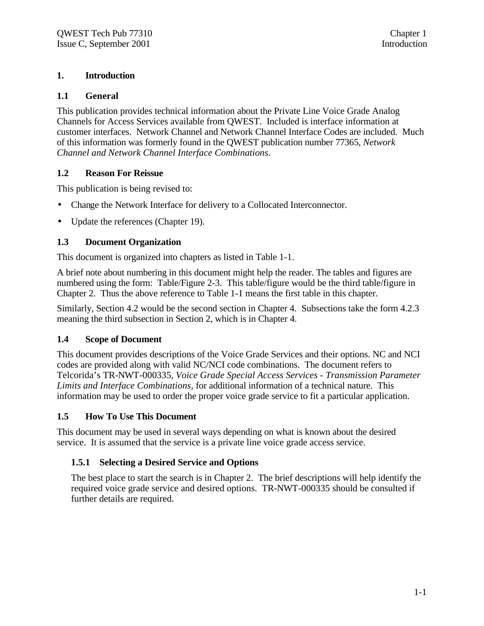#### **1. Introduction**

#### **1.1 General**

This publication provides technical information about the Private Line Voice Grade Analog Channels for Access Services available from QWEST. Included is interface information at customer interfaces. Network Channel and Network Channel Interface Codes are included. Much of this information was formerly found in the QWEST publication number 77365, *Network Channel and Network Channel Interface Combinations.*

#### **1.2 Reason For Reissue**

This publication is being revised to:

- Change the Network Interface for delivery to a Collocated Interconnector.
- Update the references (Chapter 19).

#### **1.3 Document Organization**

This document is organized into chapters as listed in Table 1-1.

A brief note about numbering in this document might help the reader. The tables and figures are numbered using the form: Table/Figure 2-3. This table/figure would be the third table/figure in Chapter 2. Thus the above reference to Table 1-1 means the first table in this chapter.

Similarly, Section 4.2 would be the second section in Chapter 4. Subsections take the form 4.2.3 meaning the third subsection in Section 2, which is in Chapter 4.

#### **1.4 Scope of Document**

This document provides descriptions of the Voice Grade Services and their options. NC and NCI codes are provided along with valid NC/NCI code combinations. The document refers to Telcorida's TR-NWT-000335, *Voice Grade Special Access Services - Transmission Parameter Limits and Interface Combinations,* for additional information of a technical nature. This information may be used to order the proper voice grade service to fit a particular application.

#### **1.5 How To Use This Document**

This document may be used in several ways depending on what is known about the desired service. It is assumed that the service is a private line voice grade access service.

#### **1.5.1 Selecting a Desired Service and Options**

The best place to start the search is in Chapter 2. The brief descriptions will help identify the required voice grade service and desired options. TR-NWT-000335 should be consulted if further details are required.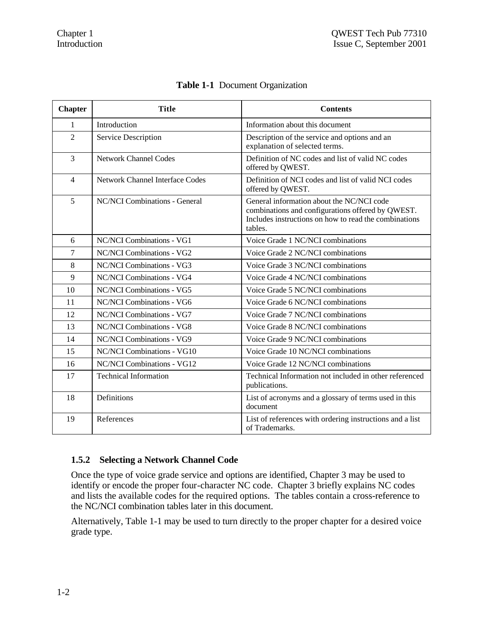| <b>Chapter</b> | <b>Title</b>                           | <b>Contents</b>                                                                                                                                                    |
|----------------|----------------------------------------|--------------------------------------------------------------------------------------------------------------------------------------------------------------------|
| 1              | Introduction                           | Information about this document                                                                                                                                    |
| $\overline{2}$ | Service Description                    | Description of the service and options and an<br>explanation of selected terms.                                                                                    |
| 3              | <b>Network Channel Codes</b>           | Definition of NC codes and list of valid NC codes<br>offered by QWEST.                                                                                             |
| $\overline{4}$ | <b>Network Channel Interface Codes</b> | Definition of NCI codes and list of valid NCI codes<br>offered by QWEST.                                                                                           |
| 5              | NC/NCI Combinations - General          | General information about the NC/NCI code<br>combinations and configurations offered by QWEST.<br>Includes instructions on how to read the combinations<br>tables. |
| 6              | NC/NCI Combinations - VG1              | Voice Grade 1 NC/NCI combinations                                                                                                                                  |
| $\overline{7}$ | NC/NCI Combinations - VG2              | Voice Grade 2 NC/NCI combinations                                                                                                                                  |
| 8              | NC/NCI Combinations - VG3              | Voice Grade 3 NC/NCI combinations                                                                                                                                  |
| 9              | NC/NCI Combinations - VG4              | Voice Grade 4 NC/NCI combinations                                                                                                                                  |
| 10             | NC/NCI Combinations - VG5              | Voice Grade 5 NC/NCI combinations                                                                                                                                  |
| 11             | NC/NCI Combinations - VG6              | Voice Grade 6 NC/NCI combinations                                                                                                                                  |
| 12             | NC/NCI Combinations - VG7              | Voice Grade 7 NC/NCI combinations                                                                                                                                  |
| 13             | NC/NCI Combinations - VG8              | Voice Grade 8 NC/NCI combinations                                                                                                                                  |
| 14             | NC/NCI Combinations - VG9              | Voice Grade 9 NC/NCI combinations                                                                                                                                  |
| 15             | NC/NCI Combinations - VG10             | Voice Grade 10 NC/NCI combinations                                                                                                                                 |
| 16             | NC/NCI Combinations - VG12             | Voice Grade 12 NC/NCI combinations                                                                                                                                 |
| 17             | <b>Technical Information</b>           | Technical Information not included in other referenced<br>publications.                                                                                            |
| 18             | Definitions                            | List of acronyms and a glossary of terms used in this<br>document                                                                                                  |
| 19             | References                             | List of references with ordering instructions and a list<br>of Trademarks.                                                                                         |

# **Table 1-1** Document Organization

#### **1.5.2 Selecting a Network Channel Code**

Once the type of voice grade service and options are identified, Chapter 3 may be used to identify or encode the proper four-character NC code. Chapter 3 briefly explains NC codes and lists the available codes for the required options. The tables contain a cross-reference to the NC/NCI combination tables later in this document.

Alternatively, Table 1-1 may be used to turn directly to the proper chapter for a desired voice grade type.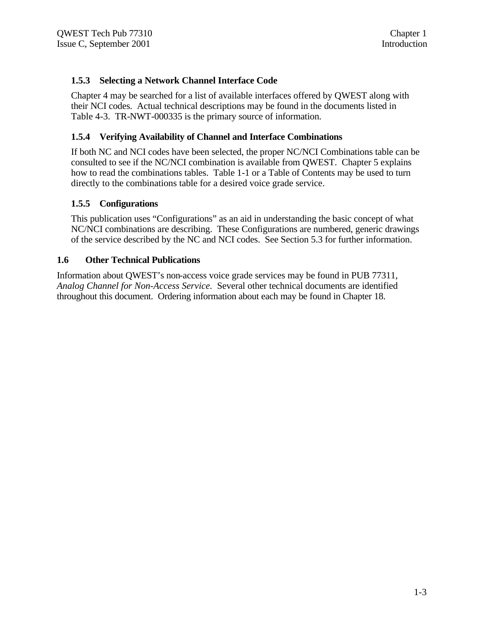#### **1.5.3 Selecting a Network Channel Interface Code**

Chapter 4 may be searched for a list of available interfaces offered by QWEST along with their NCI codes. Actual technical descriptions may be found in the documents listed in Table 4-3. TR-NWT-000335 is the primary source of information.

#### **1.5.4 Verifying Availability of Channel and Interface Combinations**

If both NC and NCI codes have been selected, the proper NC/NCI Combinations table can be consulted to see if the NC/NCI combination is available from QWEST. Chapter 5 explains how to read the combinations tables. Table 1-1 or a Table of Contents may be used to turn directly to the combinations table for a desired voice grade service.

#### **1.5.5 Configurations**

This publication uses "Configurations" as an aid in understanding the basic concept of what NC/NCI combinations are describing. These Configurations are numbered, generic drawings of the service described by the NC and NCI codes. See Section 5.3 for further information.

#### **1.6 Other Technical Publications**

Information about QWEST's non-access voice grade services may be found in PUB 77311, *Analog Channel for Non-Access Service.* Several other technical documents are identified throughout this document. Ordering information about each may be found in Chapter 18.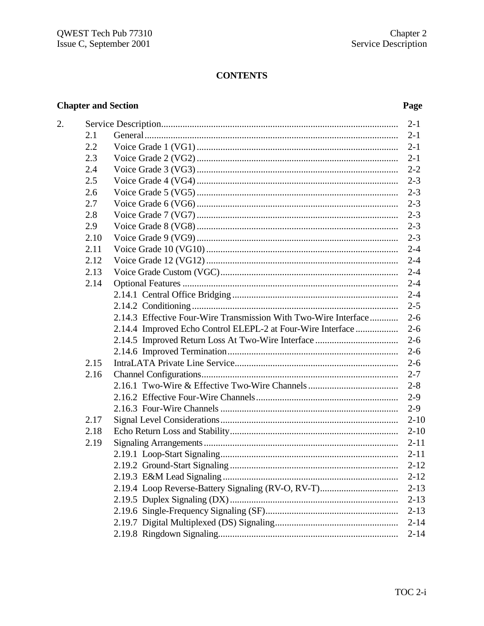# **CONTENTS**

### **Chapter and Section**

 $\overline{2}$ .

### Page

|      |                                                                 | $2 - 1$  |  |
|------|-----------------------------------------------------------------|----------|--|
| 2.1  |                                                                 | $2 - 1$  |  |
| 2.2  | $2 - 1$                                                         |          |  |
| 2.3  |                                                                 | $2 - 1$  |  |
| 2.4  |                                                                 | $2 - 2$  |  |
| 2.5  |                                                                 | $2 - 3$  |  |
| 2.6  |                                                                 | $2 - 3$  |  |
| 2.7  |                                                                 | $2 - 3$  |  |
| 2.8  |                                                                 | $2 - 3$  |  |
| 2.9  |                                                                 | $2 - 3$  |  |
| 2.10 |                                                                 | $2 - 3$  |  |
| 2.11 |                                                                 | $2 - 4$  |  |
| 2.12 |                                                                 | $2 - 4$  |  |
| 2.13 |                                                                 |          |  |
| 2.14 |                                                                 |          |  |
|      |                                                                 |          |  |
|      |                                                                 | $2 - 5$  |  |
|      | 2.14.3 Effective Four-Wire Transmission With Two-Wire Interface | $2 - 6$  |  |
|      | 2.14.4 Improved Echo Control ELEPL-2 at Four-Wire Interface     | $2 - 6$  |  |
|      |                                                                 | $2 - 6$  |  |
|      |                                                                 |          |  |
| 2.15 |                                                                 |          |  |
| 2.16 |                                                                 | $2 - 7$  |  |
|      |                                                                 | $2 - 8$  |  |
|      |                                                                 | $2 - 9$  |  |
|      |                                                                 | $2-9$    |  |
| 2.17 |                                                                 | $2 - 10$ |  |
| 2.18 |                                                                 | $2 - 10$ |  |
| 2.19 |                                                                 | $2 - 11$ |  |
|      |                                                                 | $2 - 11$ |  |
|      |                                                                 | $2 - 12$ |  |
|      |                                                                 | $2 - 12$ |  |
|      | 2.19.4 Loop Reverse-Battery Signaling (RV-O, RV-T)              | $2 - 13$ |  |
|      |                                                                 | $2 - 13$ |  |
|      |                                                                 | $2 - 13$ |  |
|      |                                                                 | $2 - 14$ |  |
|      |                                                                 | $2 - 14$ |  |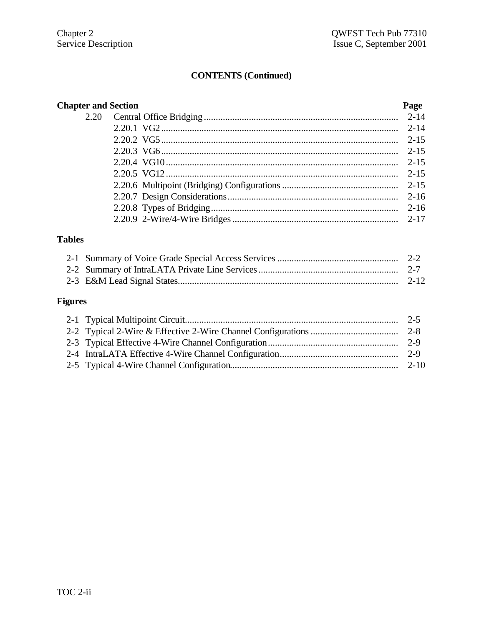| <b>Chapter and Section</b><br>Page |  |          |
|------------------------------------|--|----------|
|                                    |  |          |
|                                    |  | $2 - 14$ |
|                                    |  | $2 - 15$ |
|                                    |  | $2 - 15$ |
|                                    |  | $2 - 15$ |
|                                    |  | $2 - 15$ |
|                                    |  |          |
|                                    |  |          |
|                                    |  |          |
|                                    |  |          |
|                                    |  |          |

# **Tables**

# **Figures**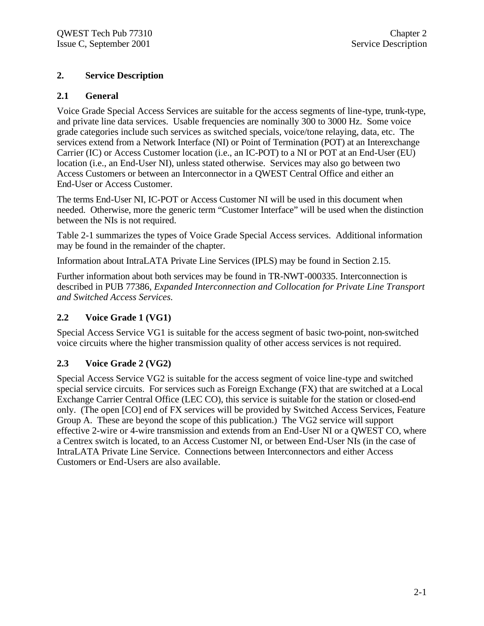#### **2. Service Description**

#### **2.1 General**

Voice Grade Special Access Services are suitable for the access segments of line-type, trunk-type, and private line data services. Usable frequencies are nominally 300 to 3000 Hz. Some voice grade categories include such services as switched specials, voice/tone relaying, data, etc. The services extend from a Network Interface (NI) or Point of Termination (POT) at an Interexchange Carrier (IC) or Access Customer location (i.e., an IC-POT) to a NI or POT at an End-User (EU) location (i.e., an End-User NI), unless stated otherwise. Services may also go between two Access Customers or between an Interconnector in a QWEST Central Office and either an End-User or Access Customer.

The terms End-User NI, IC-POT or Access Customer NI will be used in this document when needed. Otherwise, more the generic term "Customer Interface" will be used when the distinction between the NIs is not required.

Table 2-1 summarizes the types of Voice Grade Special Access services. Additional information may be found in the remainder of the chapter.

Information about IntraLATA Private Line Services (IPLS) may be found in Section 2.15.

Further information about both services may be found in TR-NWT-000335. Interconnection is described in PUB 77386, *Expanded Interconnection and Collocation for Private Line Transport and Switched Access Services.*

#### **2.2 Voice Grade 1 (VG1)**

Special Access Service VG1 is suitable for the access segment of basic two-point, non-switched voice circuits where the higher transmission quality of other access services is not required.

#### **2.3 Voice Grade 2 (VG2)**

Special Access Service VG2 is suitable for the access segment of voice line-type and switched special service circuits. For services such as Foreign Exchange (FX) that are switched at a Local Exchange Carrier Central Office (LEC CO), this service is suitable for the station or closed-end only. (The open [CO] end of FX services will be provided by Switched Access Services, Feature Group A. These are beyond the scope of this publication.) The VG2 service will support effective 2-wire or 4-wire transmission and extends from an End-User NI or a QWEST CO, where a Centrex switch is located, to an Access Customer NI, or between End-User NIs (in the case of IntraLATA Private Line Service. Connections between Interconnectors and either Access Customers or End-Users are also available.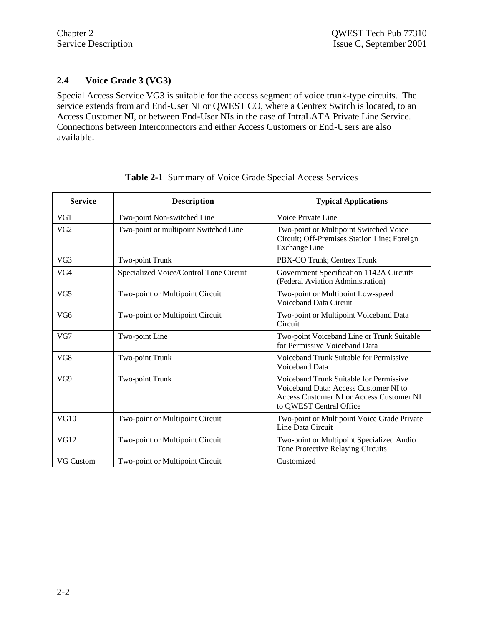#### **2.4 Voice Grade 3 (VG3)**

Special Access Service VG3 is suitable for the access segment of voice trunk-type circuits. The service extends from and End-User NI or QWEST CO, where a Centrex Switch is located, to an Access Customer NI, or between End-User NIs in the case of IntraLATA Private Line Service. Connections between Interconnectors and either Access Customers or End-Users are also available.

| <b>Service</b>   | <b>Description</b>                     | <b>Typical Applications</b>                                                                                                                             |
|------------------|----------------------------------------|---------------------------------------------------------------------------------------------------------------------------------------------------------|
| VG1              | Two-point Non-switched Line            | Voice Private Line                                                                                                                                      |
| VG <sub>2</sub>  | Two-point or multipoint Switched Line  | Two-point or Multipoint Switched Voice<br>Circuit; Off-Premises Station Line; Foreign<br><b>Exchange Line</b>                                           |
| VG3              | Two-point Trunk                        | PBX-CO Trunk; Centrex Trunk                                                                                                                             |
| VG4              | Specialized Voice/Control Tone Circuit | Government Specification 1142A Circuits<br>(Federal Aviation Administration)                                                                            |
| VG <sub>5</sub>  | Two-point or Multipoint Circuit        | Two-point or Multipoint Low-speed<br>Voiceband Data Circuit                                                                                             |
| VG6              | Two-point or Multipoint Circuit        | Two-point or Multipoint Voiceband Data<br>Circuit                                                                                                       |
| VG7              | Two-point Line                         | Two-point Voiceband Line or Trunk Suitable<br>for Permissive Voiceband Data                                                                             |
| VG8              | Two-point Trunk                        | Voiceband Trunk Suitable for Permissive<br>Voiceband Data                                                                                               |
| VG9              | Two-point Trunk                        | Voiceband Trunk Suitable for Permissive<br>Voiceband Data: Access Customer NI to<br>Access Customer NI or Access Customer NI<br>to QWEST Central Office |
| <b>VG10</b>      | Two-point or Multipoint Circuit        | Two-point or Multipoint Voice Grade Private<br>Line Data Circuit                                                                                        |
| <b>VG12</b>      | Two-point or Multipoint Circuit        | Two-point or Multipoint Specialized Audio<br>Tone Protective Relaying Circuits                                                                          |
| <b>VG Custom</b> | Two-point or Multipoint Circuit        | Customized                                                                                                                                              |

#### **Table 2-1** Summary of Voice Grade Special Access Services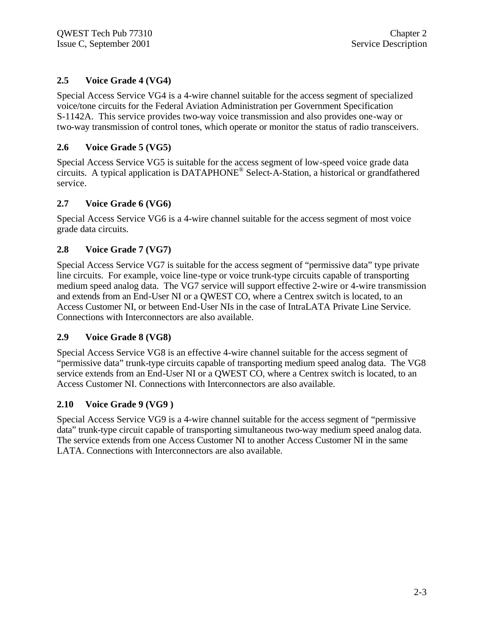#### **2.5 Voice Grade 4 (VG4)**

Special Access Service VG4 is a 4-wire channel suitable for the access segment of specialized voice/tone circuits for the Federal Aviation Administration per Government Specification S-1142A. This service provides two-way voice transmission and also provides one-way or two-way transmission of control tones, which operate or monitor the status of radio transceivers.

#### **2.6 Voice Grade 5 (VG5)**

Special Access Service VG5 is suitable for the access segment of low-speed voice grade data circuits. A typical application is DATAPHONE® Select-A-Station, a historical or grandfathered service.

#### **2.7 Voice Grade 6 (VG6)**

Special Access Service VG6 is a 4-wire channel suitable for the access segment of most voice grade data circuits.

#### **2.8 Voice Grade 7 (VG7)**

Special Access Service VG7 is suitable for the access segment of "permissive data" type private line circuits. For example, voice line-type or voice trunk-type circuits capable of transporting medium speed analog data. The VG7 service will support effective 2-wire or 4-wire transmission and extends from an End-User NI or a QWEST CO, where a Centrex switch is located, to an Access Customer NI, or between End-User NIs in the case of IntraLATA Private Line Service. Connections with Interconnectors are also available.

#### **2.9 Voice Grade 8 (VG8)**

Special Access Service VG8 is an effective 4-wire channel suitable for the access segment of "permissive data" trunk-type circuits capable of transporting medium speed analog data. The VG8 service extends from an End-User NI or a QWEST CO, where a Centrex switch is located, to an Access Customer NI. Connections with Interconnectors are also available.

#### **2.10 Voice Grade 9 (VG9 )**

Special Access Service VG9 is a 4-wire channel suitable for the access segment of "permissive data" trunk-type circuit capable of transporting simultaneous two-way medium speed analog data. The service extends from one Access Customer NI to another Access Customer NI in the same LATA. Connections with Interconnectors are also available.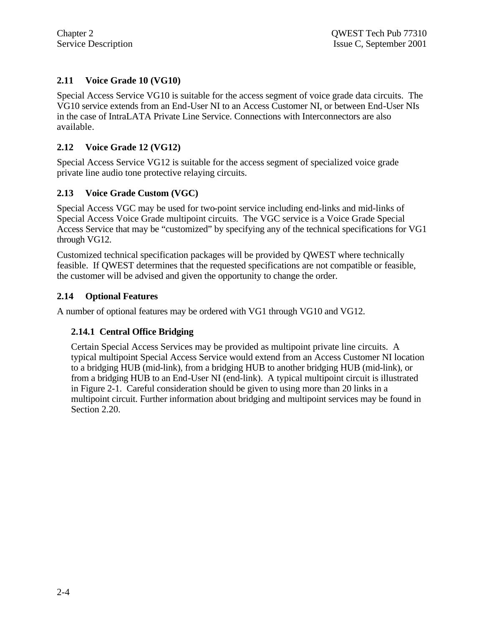#### **2.11 Voice Grade 10 (VG10)**

Special Access Service VG10 is suitable for the access segment of voice grade data circuits. The VG10 service extends from an End-User NI to an Access Customer NI, or between End-User NIs in the case of IntraLATA Private Line Service. Connections with Interconnectors are also available.

#### **2.12 Voice Grade 12 (VG12)**

Special Access Service VG12 is suitable for the access segment of specialized voice grade private line audio tone protective relaying circuits.

#### **2.13 Voice Grade Custom (VGC)**

Special Access VGC may be used for two-point service including end-links and mid-links of Special Access Voice Grade multipoint circuits. The VGC service is a Voice Grade Special Access Service that may be "customized" by specifying any of the technical specifications for VG1 through VG12.

Customized technical specification packages will be provided by QWEST where technically feasible. If QWEST determines that the requested specifications are not compatible or feasible, the customer will be advised and given the opportunity to change the order.

#### **2.14 Optional Features**

A number of optional features may be ordered with VG1 through VG10 and VG12.

#### **2.14.1 Central Office Bridging**

Certain Special Access Services may be provided as multipoint private line circuits. A typical multipoint Special Access Service would extend from an Access Customer NI location to a bridging HUB (mid-link), from a bridging HUB to another bridging HUB (mid-link), or from a bridging HUB to an End-User NI (end-link). A typical multipoint circuit is illustrated in Figure 2-1. Careful consideration should be given to using more than 20 links in a multipoint circuit. Further information about bridging and multipoint services may be found in Section 2.20.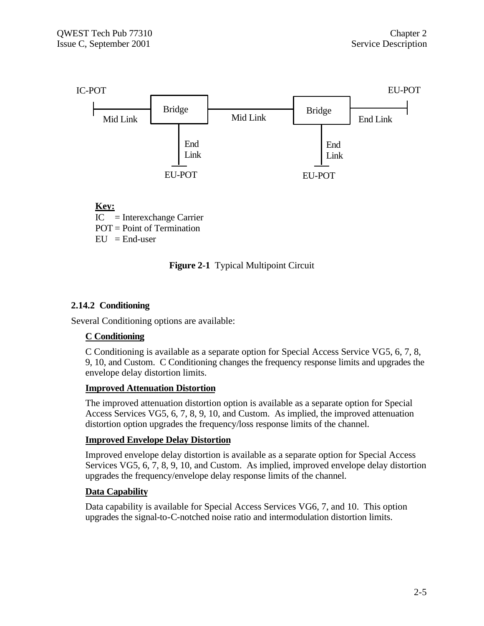



#### **2.14.2 Conditioning**

Several Conditioning options are available:

#### **C Conditioning**

C Conditioning is available as a separate option for Special Access Service VG5, 6, 7, 8, 9, 10, and Custom. C Conditioning changes the frequency response limits and upgrades the envelope delay distortion limits.

#### **Improved Attenuation Distortion**

The improved attenuation distortion option is available as a separate option for Special Access Services VG5, 6, 7, 8, 9, 10, and Custom. As implied, the improved attenuation distortion option upgrades the frequency/loss response limits of the channel.

#### **Improved Envelope Delay Distortion**

Improved envelope delay distortion is available as a separate option for Special Access Services VG5, 6, 7, 8, 9, 10, and Custom. As implied, improved envelope delay distortion upgrades the frequency/envelope delay response limits of the channel.

#### **Data Capability**

Data capability is available for Special Access Services VG6, 7, and 10. This option upgrades the signal-to-C-notched noise ratio and intermodulation distortion limits.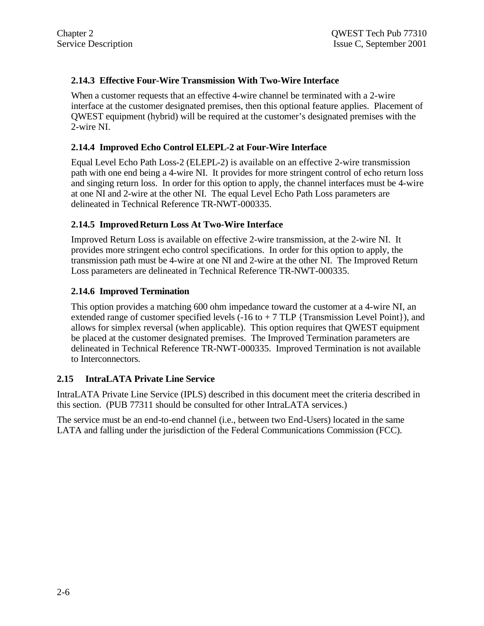#### **2.14.3 Effective Four-Wire Transmission With Two-Wire Interface**

When a customer requests that an effective 4-wire channel be terminated with a 2-wire interface at the customer designated premises, then this optional feature applies. Placement of QWEST equipment (hybrid) will be required at the customer's designated premises with the 2-wire NI.

#### **2.14.4 Improved Echo Control ELEPL-2 at Four-Wire Interface**

Equal Level Echo Path Loss-2 (ELEPL-2) is available on an effective 2-wire transmission path with one end being a 4-wire NI. It provides for more stringent control of echo return loss and singing return loss. In order for this option to apply, the channel interfaces must be 4-wire at one NI and 2-wire at the other NI. The equal Level Echo Path Loss parameters are delineated in Technical Reference TR-NWT-000335.

#### **2.14.5 Improved Return Loss At Two-Wire Interface**

Improved Return Loss is available on effective 2-wire transmission, at the 2-wire NI. It provides more stringent echo control specifications. In order for this option to apply, the transmission path must be 4-wire at one NI and 2-wire at the other NI. The Improved Return Loss parameters are delineated in Technical Reference TR-NWT-000335.

#### **2.14.6 Improved Termination**

This option provides a matching 600 ohm impedance toward the customer at a 4-wire NI, an extended range of customer specified levels  $(-16 \text{ to } + 7 \text{ TLP }$  {Transmission Level Point}), and allows for simplex reversal (when applicable). This option requires that QWEST equipment be placed at the customer designated premises. The Improved Termination parameters are delineated in Technical Reference TR-NWT-000335. Improved Termination is not available to Interconnectors.

#### **2.15 IntraLATA Private Line Service**

IntraLATA Private Line Service (IPLS) described in this document meet the criteria described in this section. (PUB 77311 should be consulted for other IntraLATA services.)

The service must be an end-to-end channel (i.e., between two End-Users) located in the same LATA and falling under the jurisdiction of the Federal Communications Commission (FCC).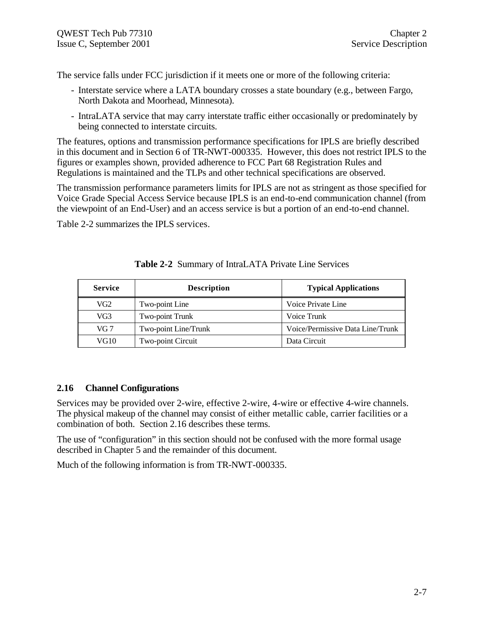The service falls under FCC jurisdiction if it meets one or more of the following criteria:

- Interstate service where a LATA boundary crosses a state boundary (e.g., between Fargo, North Dakota and Moorhead, Minnesota).
- IntraLATA service that may carry interstate traffic either occasionally or predominately by being connected to interstate circuits.

The features, options and transmission performance specifications for IPLS are briefly described in this document and in Section 6 of TR-NWT-000335. However, this does not restrict IPLS to the figures or examples shown, provided adherence to FCC Part 68 Registration Rules and Regulations is maintained and the TLPs and other technical specifications are observed.

The transmission performance parameters limits for IPLS are not as stringent as those specified for Voice Grade Special Access Service because IPLS is an end-to-end communication channel (from the viewpoint of an End-User) and an access service is but a portion of an end-to-end channel.

Table 2-2 summarizes the IPLS services.

| <b>Service</b>  | <b>Description</b>   | <b>Typical Applications</b>      |  |
|-----------------|----------------------|----------------------------------|--|
| VG2             | Two-point Line       | Voice Private Line               |  |
| VG <sub>3</sub> | Two-point Trunk      | Voice Trunk                      |  |
| VG 7            | Two-point Line/Trunk | Voice/Permissive Data Line/Trunk |  |
| VG10            | Two-point Circuit    | Data Circuit                     |  |

#### **Table 2-2** Summary of IntraLATA Private Line Services

#### **2.16 Channel Configurations**

Services may be provided over 2-wire, effective 2-wire, 4-wire or effective 4-wire channels. The physical makeup of the channel may consist of either metallic cable, carrier facilities or a combination of both. Section 2.16 describes these terms.

The use of "configuration" in this section should not be confused with the more formal usage described in Chapter 5 and the remainder of this document.

Much of the following information is from TR-NWT-000335.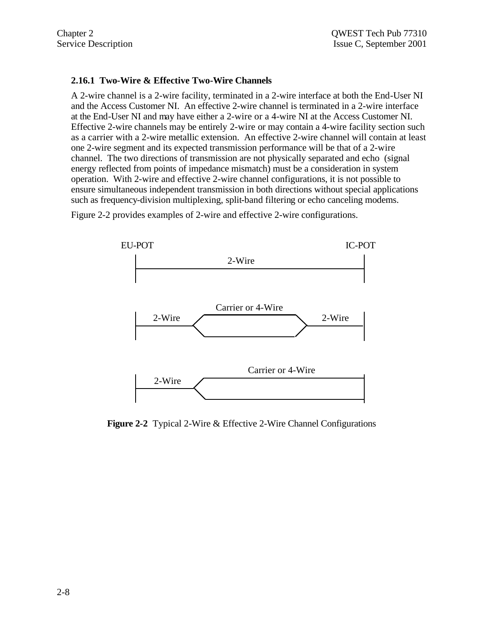#### **2.16.1 Two-Wire & Effective Two-Wire Channels**

A 2-wire channel is a 2-wire facility, terminated in a 2-wire interface at both the End-User NI and the Access Customer NI. An effective 2-wire channel is terminated in a 2-wire interface at the End-User NI and may have either a 2-wire or a 4-wire NI at the Access Customer NI. Effective 2-wire channels may be entirely 2-wire or may contain a 4-wire facility section such as a carrier with a 2-wire metallic extension. An effective 2-wire channel will contain at least one 2-wire segment and its expected transmission performance will be that of a 2-wire channel. The two directions of transmission are not physically separated and echo (signal energy reflected from points of impedance mismatch) must be a consideration in system operation. With 2-wire and effective 2-wire channel configurations, it is not possible to ensure simultaneous independent transmission in both directions without special applications such as frequency-division multiplexing, split-band filtering or echo canceling modems.

Figure 2-2 provides examples of 2-wire and effective 2-wire configurations.



**Figure 2-2** Typical 2-Wire & Effective 2-Wire Channel Configurations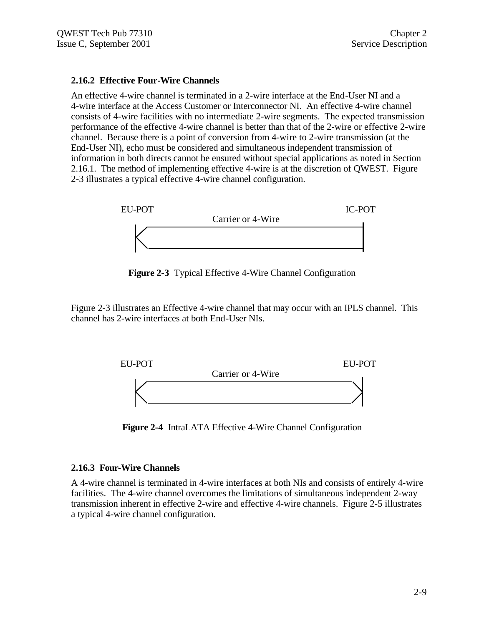#### **2.16.2 Effective Four-Wire Channels**

An effective 4-wire channel is terminated in a 2-wire interface at the End-User NI and a 4-wire interface at the Access Customer or Interconnector NI. An effective 4-wire channel consists of 4-wire facilities with no intermediate 2-wire segments. The expected transmission performance of the effective 4-wire channel is better than that of the 2-wire or effective 2-wire channel. Because there is a point of conversion from 4-wire to 2-wire transmission (at the End-User NI), echo must be considered and simultaneous independent transmission of information in both directs cannot be ensured without special applications as noted in Section 2.16.1. The method of implementing effective 4-wire is at the discretion of QWEST. Figure 2-3 illustrates a typical effective 4-wire channel configuration.



**Figure 2-3** Typical Effective 4-Wire Channel Configuration

Figure 2-3 illustrates an Effective 4-wire channel that may occur with an IPLS channel. This channel has 2-wire interfaces at both End-User NIs.



**Figure 2-4** IntraLATA Effective 4-Wire Channel Configuration

#### **2.16.3 Four-Wire Channels**

A 4-wire channel is terminated in 4-wire interfaces at both NIs and consists of entirely 4-wire facilities. The 4-wire channel overcomes the limitations of simultaneous independent 2-way transmission inherent in effective 2-wire and effective 4-wire channels. Figure 2-5 illustrates a typical 4-wire channel configuration.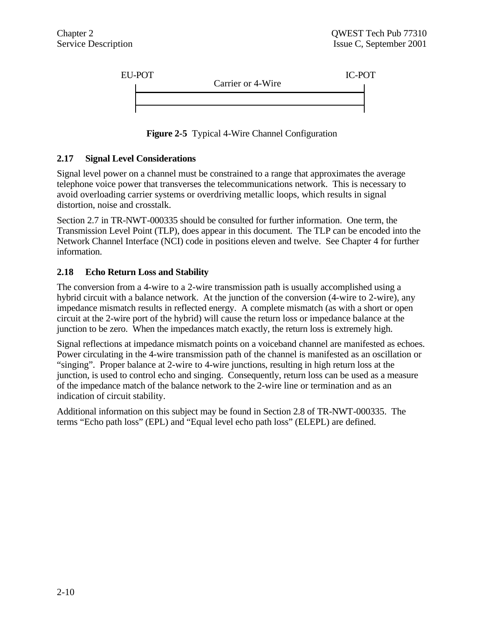

**Figure 2-5** Typical 4-Wire Channel Configuration

#### **2.17 Signal Level Considerations**

Signal level power on a channel must be constrained to a range that approximates the average telephone voice power that transverses the telecommunications network. This is necessary to avoid overloading carrier systems or overdriving metallic loops, which results in signal distortion, noise and crosstalk.

Section 2.7 in TR-NWT-000335 should be consulted for further information. One term, the Transmission Level Point (TLP), does appear in this document. The TLP can be encoded into the Network Channel Interface (NCI) code in positions eleven and twelve. See Chapter 4 for further information.

#### **2.18 Echo Return Loss and Stability**

The conversion from a 4-wire to a 2-wire transmission path is usually accomplished using a hybrid circuit with a balance network. At the junction of the conversion (4-wire to 2-wire), any impedance mismatch results in reflected energy. A complete mismatch (as with a short or open circuit at the 2-wire port of the hybrid) will cause the return loss or impedance balance at the junction to be zero. When the impedances match exactly, the return loss is extremely high.

Signal reflections at impedance mismatch points on a voiceband channel are manifested as echoes. Power circulating in the 4-wire transmission path of the channel is manifested as an oscillation or "singing". Proper balance at 2-wire to 4-wire junctions, resulting in high return loss at the junction, is used to control echo and singing. Consequently, return loss can be used as a measure of the impedance match of the balance network to the 2-wire line or termination and as an indication of circuit stability.

Additional information on this subject may be found in Section 2.8 of TR-NWT-000335. The terms "Echo path loss" (EPL) and "Equal level echo path loss" (ELEPL) are defined.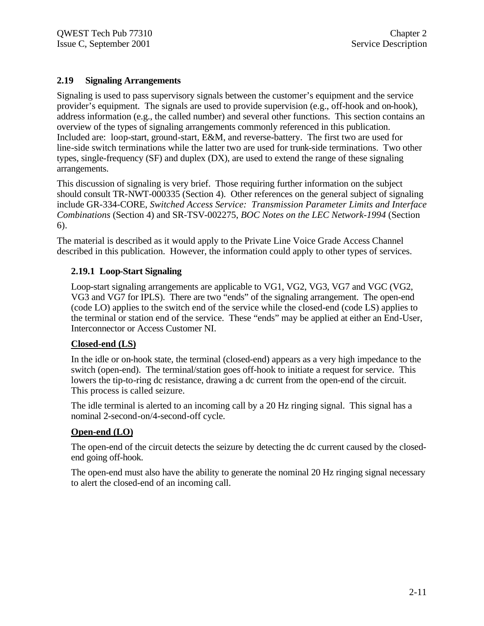#### **2.19 Signaling Arrangements**

Signaling is used to pass supervisory signals between the customer's equipment and the service provider's equipment. The signals are used to provide supervision (e.g., off-hook and on-hook), address information (e.g., the called number) and several other functions. This section contains an overview of the types of signaling arrangements commonly referenced in this publication. Included are: loop-start, ground-start, E&M, and reverse-battery. The first two are used for line-side switch terminations while the latter two are used for trunk-side terminations. Two other types, single-frequency (SF) and duplex (DX), are used to extend the range of these signaling arrangements.

This discussion of signaling is very brief. Those requiring further information on the subject should consult TR-NWT-000335 (Section 4). Other references on the general subject of signaling include GR-334-CORE, *Switched Access Service: Transmission Parameter Limits and Interface Combinations* (Section 4) and SR-TSV-002275, *BOC Notes on the LEC Network-1994* (Section 6).

The material is described as it would apply to the Private Line Voice Grade Access Channel described in this publication. However, the information could apply to other types of services.

#### **2.19.1 Loop-Start Signaling**

Loop-start signaling arrangements are applicable to VG1, VG2, VG3, VG7 and VGC (VG2, VG3 and VG7 for IPLS). There are two "ends" of the signaling arrangement. The open-end (code LO) applies to the switch end of the service while the closed-end (code LS) applies to the terminal or station end of the service. These "ends" may be applied at either an End-User, Interconnector or Access Customer NI.

#### **Closed-end (LS)**

In the idle or on-hook state, the terminal (closed-end) appears as a very high impedance to the switch (open-end). The terminal/station goes off-hook to initiate a request for service. This lowers the tip-to-ring dc resistance, drawing a dc current from the open-end of the circuit. This process is called seizure.

The idle terminal is alerted to an incoming call by a 20 Hz ringing signal. This signal has a nominal 2-second-on/4-second-off cycle.

#### **Open-end (LO)**

The open-end of the circuit detects the seizure by detecting the dc current caused by the closedend going off-hook.

The open-end must also have the ability to generate the nominal 20 Hz ringing signal necessary to alert the closed-end of an incoming call.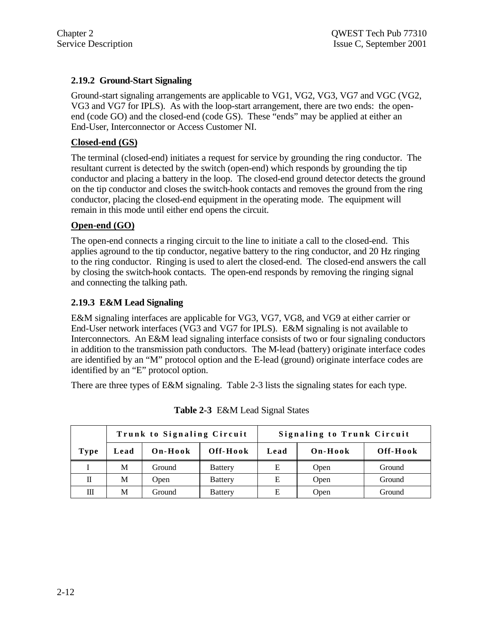#### **2.19.2 Ground-Start Signaling**

Ground-start signaling arrangements are applicable to VG1, VG2, VG3, VG7 and VGC (VG2, VG3 and VG7 for IPLS). As with the loop-start arrangement, there are two ends: the openend (code GO) and the closed-end (code GS). These "ends" may be applied at either an End-User, Interconnector or Access Customer NI.

#### **Closed-end (GS)**

The terminal (closed-end) initiates a request for service by grounding the ring conductor. The resultant current is detected by the switch (open-end) which responds by grounding the tip conductor and placing a battery in the loop. The closed-end ground detector detects the ground on the tip conductor and closes the switch-hook contacts and removes the ground from the ring conductor, placing the closed-end equipment in the operating mode. The equipment will remain in this mode until either end opens the circuit.

#### **Open-end (GO)**

The open-end connects a ringing circuit to the line to initiate a call to the closed-end. This applies aground to the tip conductor, negative battery to the ring conductor, and 20 Hz ringing to the ring conductor. Ringing is used to alert the closed-end. The closed-end answers the call by closing the switch-hook contacts. The open-end responds by removing the ringing signal and connecting the talking path.

#### **2.19.3 E&M Lead Signaling**

E&M signaling interfaces are applicable for VG3, VG7, VG8, and VG9 at either carrier or End-User network interfaces (VG3 and VG7 for IPLS). E&M signaling is not available to Interconnectors. An E&M lead signaling interface consists of two or four signaling conductors in addition to the transmission path conductors. The M-lead (battery) originate interface codes are identified by an "M" protocol option and the E-lead (ground) originate interface codes are identified by an "E" protocol option.

There are three types of E&M signaling. Table 2-3 lists the signaling states for each type.

|             | Trunk to Signaling Circuit |         |                | <b>Signaling to Trunk Circuit</b> |         |          |
|-------------|----------------------------|---------|----------------|-----------------------------------|---------|----------|
| <b>Type</b> | Lead                       | On-Hook | Off-Hook       | Lead                              | On-Hook | Off-Hook |
|             | M                          | Ground  | <b>Battery</b> | E                                 | Open    | Ground   |
| П           | М                          | Open    | <b>Battery</b> | Е                                 | Open    | Ground   |
| Ш           | М                          | Ground  | <b>Battery</b> |                                   | Open    | Ground   |

**Table 2-3** E&M Lead Signal States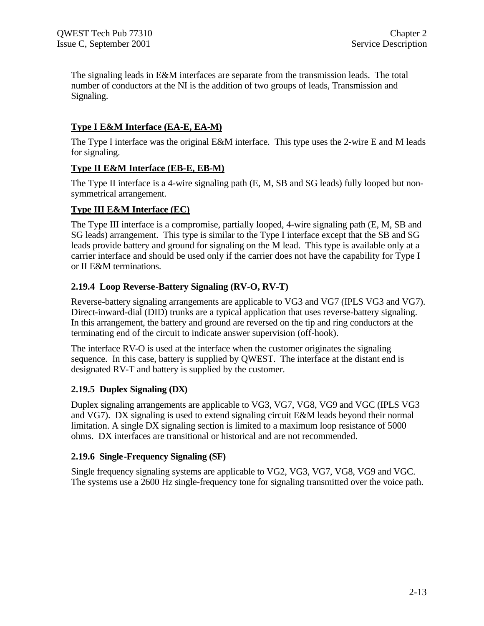The signaling leads in E&M interfaces are separate from the transmission leads. The total number of conductors at the NI is the addition of two groups of leads, Transmission and Signaling.

## **Type I E&M Interface (EA-E, EA-M)**

The Type I interface was the original E&M interface. This type uses the 2-wire E and M leads for signaling.

#### **Type II E&M Interface (EB-E, EB-M)**

The Type II interface is a 4-wire signaling path (E, M, SB and SG leads) fully looped but nonsymmetrical arrangement.

#### **Type III E&M Interface (EC)**

The Type III interface is a compromise, partially looped, 4-wire signaling path (E, M, SB and SG leads) arrangement. This type is similar to the Type I interface except that the SB and SG leads provide battery and ground for signaling on the M lead. This type is available only at a carrier interface and should be used only if the carrier does not have the capability for Type I or II E&M terminations.

#### **2.19.4 Loop Reverse-Battery Signaling (RV-O, RV-T)**

Reverse-battery signaling arrangements are applicable to VG3 and VG7 (IPLS VG3 and VG7). Direct-inward-dial (DID) trunks are a typical application that uses reverse-battery signaling. In this arrangement, the battery and ground are reversed on the tip and ring conductors at the terminating end of the circuit to indicate answer supervision (off-hook).

The interface RV-O is used at the interface when the customer originates the signaling sequence. In this case, battery is supplied by QWEST. The interface at the distant end is designated RV-T and battery is supplied by the customer.

#### **2.19.5 Duplex Signaling (DX)**

Duplex signaling arrangements are applicable to VG3, VG7, VG8, VG9 and VGC (IPLS VG3 and VG7). DX signaling is used to extend signaling circuit E&M leads beyond their normal limitation. A single DX signaling section is limited to a maximum loop resistance of 5000 ohms. DX interfaces are transitional or historical and are not recommended.

#### **2.19.6 Single-Frequency Signaling (SF)**

Single frequency signaling systems are applicable to VG2, VG3, VG7, VG8, VG9 and VGC. The systems use a 2600 Hz single-frequency tone for signaling transmitted over the voice path.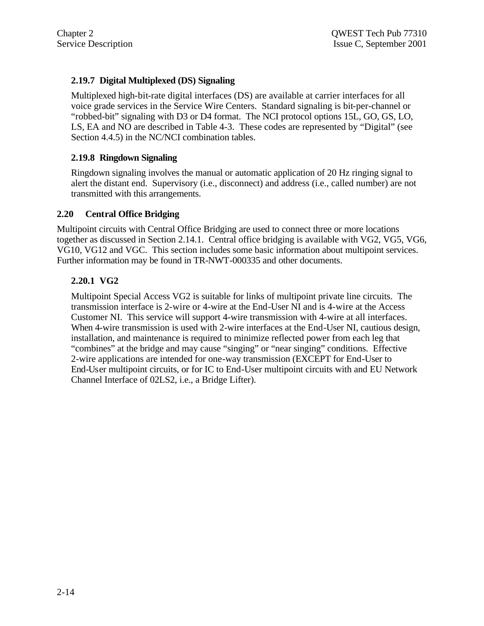#### **2.19.7 Digital Multiplexed (DS) Signaling**

Multiplexed high-bit-rate digital interfaces (DS) are available at carrier interfaces for all voice grade services in the Service Wire Centers. Standard signaling is bit-per-channel or "robbed-bit" signaling with D3 or D4 format. The NCI protocol options 15L, GO, GS, LO, LS, EA and NO are described in Table 4-3. These codes are represented by "Digital" (see Section 4.4.5) in the NC/NCI combination tables.

#### **2.19.8 Ringdown Signaling**

Ringdown signaling involves the manual or automatic application of 20 Hz ringing signal to alert the distant end. Supervisory (i.e., disconnect) and address (i.e., called number) are not transmitted with this arrangements.

#### **2.20 Central Office Bridging**

Multipoint circuits with Central Office Bridging are used to connect three or more locations together as discussed in Section 2.14.1. Central office bridging is available with VG2, VG5, VG6, VG10, VG12 and VGC. This section includes some basic information about multipoint services. Further information may be found in TR-NWT-000335 and other documents.

#### **2.20.1 VG2**

Multipoint Special Access VG2 is suitable for links of multipoint private line circuits. The transmission interface is 2-wire or 4-wire at the End-User NI and is 4-wire at the Access Customer NI. This service will support 4-wire transmission with 4-wire at all interfaces. When 4-wire transmission is used with 2-wire interfaces at the End-User NI, cautious design, installation, and maintenance is required to minimize reflected power from each leg that "combines" at the bridge and may cause "singing" or "near singing" conditions. Effective 2-wire applications are intended for one-way transmission (EXCEPT for End-User to End-User multipoint circuits, or for IC to End-User multipoint circuits with and EU Network Channel Interface of 02LS2, i.e., a Bridge Lifter).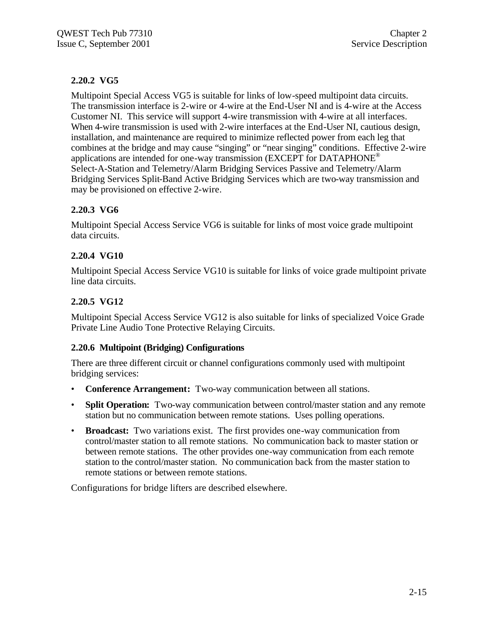## **2.20.2 VG5**

Multipoint Special Access VG5 is suitable for links of low-speed multipoint data circuits. The transmission interface is 2-wire or 4-wire at the End-User NI and is 4-wire at the Access Customer NI. This service will support 4-wire transmission with 4-wire at all interfaces. When 4-wire transmission is used with 2-wire interfaces at the End-User NI, cautious design, installation, and maintenance are required to minimize reflected power from each leg that combines at the bridge and may cause "singing" or "near singing" conditions. Effective 2-wire applications are intended for one-way transmission (EXCEPT for DATAPHONE<sup>®</sup> Select-A-Station and Telemetry/Alarm Bridging Services Passive and Telemetry/Alarm Bridging Services Split-Band Active Bridging Services which are two-way transmission and may be provisioned on effective 2-wire.

## **2.20.3 VG6**

Multipoint Special Access Service VG6 is suitable for links of most voice grade multipoint data circuits.

## **2.20.4 VG10**

Multipoint Special Access Service VG10 is suitable for links of voice grade multipoint private line data circuits.

## **2.20.5 VG12**

Multipoint Special Access Service VG12 is also suitable for links of specialized Voice Grade Private Line Audio Tone Protective Relaying Circuits.

## **2.20.6 Multipoint (Bridging) Configurations**

There are three different circuit or channel configurations commonly used with multipoint bridging services:

- **Conference Arrangement:** Two-way communication between all stations.
- **Split Operation:** Two-way communication between control/master station and any remote station but no communication between remote stations. Uses polling operations.
- **Broadcast:** Two variations exist. The first provides one-way communication from control/master station to all remote stations. No communication back to master station or between remote stations. The other provides one-way communication from each remote station to the control/master station. No communication back from the master station to remote stations or between remote stations.

Configurations for bridge lifters are described elsewhere.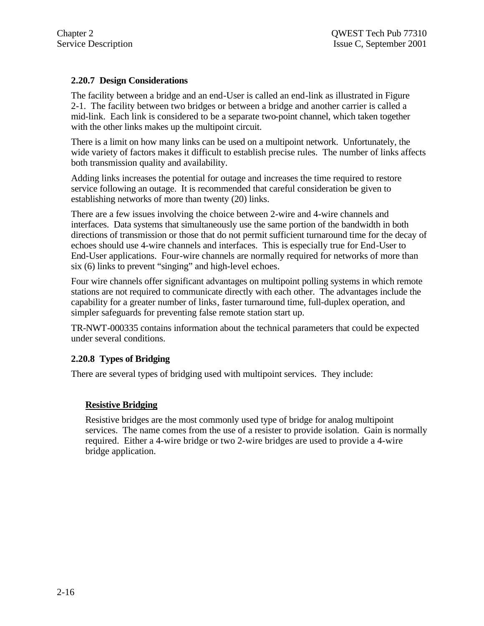## **2.20.7 Design Considerations**

The facility between a bridge and an end-User is called an end-link as illustrated in Figure 2-1. The facility between two bridges or between a bridge and another carrier is called a mid-link. Each link is considered to be a separate two-point channel, which taken together with the other links makes up the multipoint circuit.

There is a limit on how many links can be used on a multipoint network. Unfortunately, the wide variety of factors makes it difficult to establish precise rules. The number of links affects both transmission quality and availability.

Adding links increases the potential for outage and increases the time required to restore service following an outage. It is recommended that careful consideration be given to establishing networks of more than twenty (20) links.

There are a few issues involving the choice between 2-wire and 4-wire channels and interfaces. Data systems that simultaneously use the same portion of the bandwidth in both directions of transmission or those that do not permit sufficient turnaround time for the decay of echoes should use 4-wire channels and interfaces. This is especially true for End-User to End-User applications. Four-wire channels are normally required for networks of more than six (6) links to prevent "singing" and high-level echoes.

Four wire channels offer significant advantages on multipoint polling systems in which remote stations are not required to communicate directly with each other. The advantages include the capability for a greater number of links, faster turnaround time, full-duplex operation, and simpler safeguards for preventing false remote station start up.

TR-NWT-000335 contains information about the technical parameters that could be expected under several conditions.

## **2.20.8 Types of Bridging**

There are several types of bridging used with multipoint services. They include:

## **Resistive Bridging**

Resistive bridges are the most commonly used type of bridge for analog multipoint services. The name comes from the use of a resister to provide isolation. Gain is normally required. Either a 4-wire bridge or two 2-wire bridges are used to provide a 4-wire bridge application.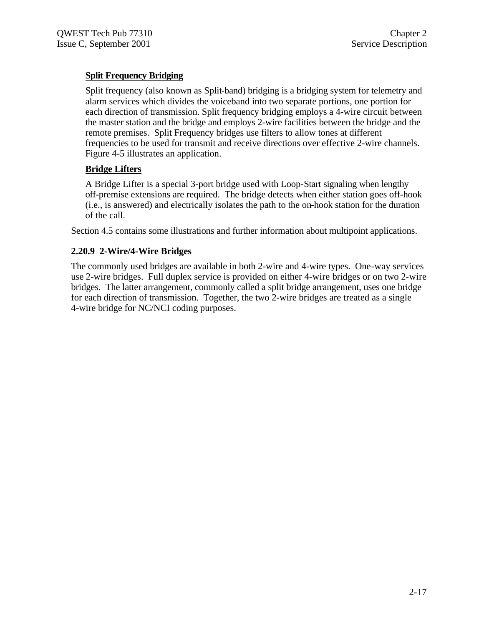## **Split Frequency Bridging**

Split frequency (also known as Split-band) bridging is a bridging system for telemetry and alarm services which divides the voiceband into two separate portions, one portion for each direction of transmission. Split frequency bridging employs a 4-wire circuit between the master station and the bridge and employs 2-wire facilities between the bridge and the remote premises. Split Frequency bridges use filters to allow tones at different frequencies to be used for transmit and receive directions over effective 2-wire channels. Figure 4-5 illustrates an application.

## **Bridge Lifters**

A Bridge Lifter is a special 3-port bridge used with Loop-Start signaling when lengthy off-premise extensions are required. The bridge detects when either station goes off-hook (i.e., is answered) and electrically isolates the path to the on-hook station for the duration of the call.

Section 4.5 contains some illustrations and further information about multipoint applications.

## **2.20.9 2-Wire/4-Wire Bridges**

The commonly used bridges are available in both 2-wire and 4-wire types. One-way services use 2-wire bridges. Full duplex service is provided on either 4-wire bridges or on two 2-wire bridges. The latter arrangement, commonly called a split bridge arrangement, uses one bridge for each direction of transmission. Together, the two 2-wire bridges are treated as a single 4-wire bridge for NC/NCI coding purposes.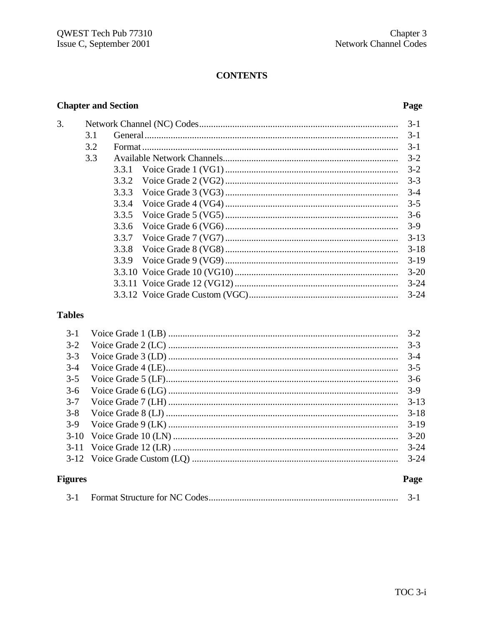## **CONTENTS**

## **Chapter and Section**

 $\overline{3}$ .

## Page

|     | $3-1$            |  |  |
|-----|------------------|--|--|
| 3.1 | $3-1$            |  |  |
| 3.2 | $3-1$            |  |  |
| 3.3 |                  |  |  |
|     | $3 - 2$          |  |  |
|     | $3 - 3$          |  |  |
|     |                  |  |  |
|     | $3 - 5$<br>3.3.4 |  |  |
|     | 3.3.5<br>$3-6$   |  |  |
|     | 3.3.6<br>$3-9$   |  |  |
|     | $3 - 13$         |  |  |
|     | $3 - 18$         |  |  |
|     | $3 - 19$         |  |  |
|     | $3 - 20$         |  |  |
|     | $3 - 24$         |  |  |
|     | $3 - 24$         |  |  |
|     |                  |  |  |

## **Tables**

| $3 - 8$<br>$3-9$ | $3 - 18$<br>$3-19$   |
|------------------|----------------------|
|                  | $3 - 20$<br>$3 - 24$ |
| 3-11             | $3 - 24$             |
| <b>Figures</b>   | Page                 |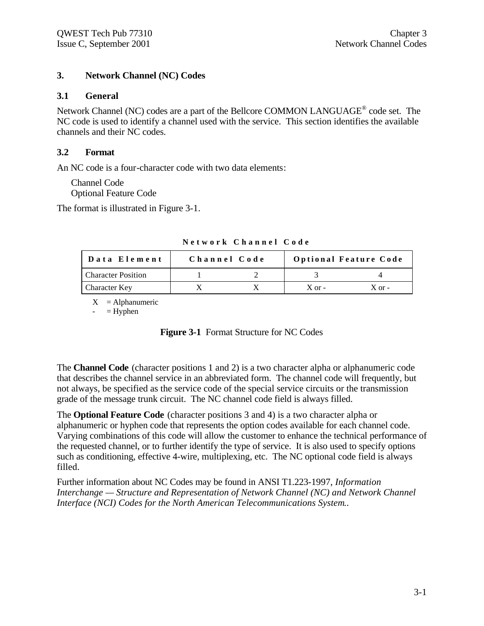#### **3. Network Channel (NC) Codes**

#### **3.1 General**

Network Channel (NC) codes are a part of the Bellcore COMMON LANGUAGE<sup>®</sup> code set. The NC code is used to identify a channel used with the service. This section identifies the available channels and their NC codes.

#### **3.2 Format**

An NC code is a four-character code with two data elements:

Channel Code Optional Feature Code

The format is illustrated in Figure 3-1.

| Data Element              | Channel Code |            | <b>Optional Feature Code</b> |
|---------------------------|--------------|------------|------------------------------|
| <b>Character Position</b> |              |            |                              |
| <b>Character Key</b>      |              | $X$ or $-$ | $X$ or $-$                   |

**Network Channel Code**

 $X =$ Alphanumeric

 $=$  Hyphen

| Figure 3-1 Format Structure for NC Codes |  |  |  |  |  |
|------------------------------------------|--|--|--|--|--|
|------------------------------------------|--|--|--|--|--|

The **Channel Code** (character positions 1 and 2) is a two character alpha or alphanumeric code that describes the channel service in an abbreviated form. The channel code will frequently, but not always, be specified as the service code of the special service circuits or the transmission grade of the message trunk circuit. The NC channel code field is always filled.

The **Optional Feature Code** (character positions 3 and 4) is a two character alpha or alphanumeric or hyphen code that represents the option codes available for each channel code. Varying combinations of this code will allow the customer to enhance the technical performance of the requested channel, or to further identify the type of service. It is also used to specify options such as conditioning, effective 4-wire, multiplexing, etc. The NC optional code field is always filled.

Further information about NC Codes may be found in ANSI T1.223-1997, *Information Interchange — Structure and Representation of Network Channel (NC) and Network Channel Interface (NCI) Codes for the North American Telecommunications System.*.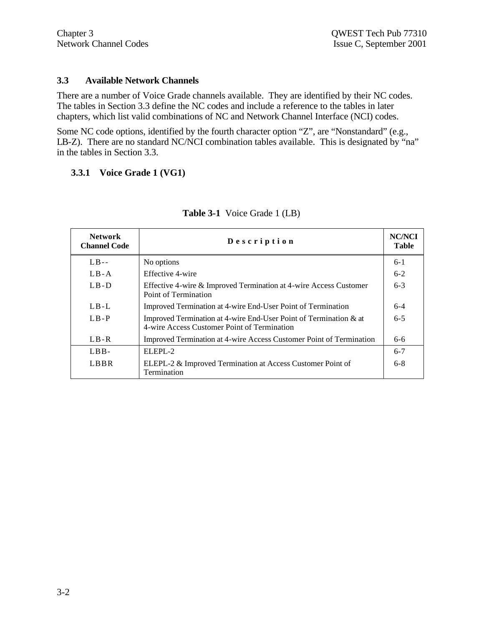#### **3.3 Available Network Channels**

There are a number of Voice Grade channels available. They are identified by their NC codes. The tables in Section 3.3 define the NC codes and include a reference to the tables in later chapters, which list valid combinations of NC and Network Channel Interface (NCI) codes.

Some NC code options, identified by the fourth character option "Z", are "Nonstandard" (e.g., LB-Z). There are no standard NC/NCI combination tables available. This is designated by "na" in the tables in Section 3.3.

#### **3.3.1 Voice Grade 1 (VG1)**

| <b>Network</b><br><b>Channel Code</b> | Description                                                                                                         | <b>NC/NCI</b><br><b>Table</b> |
|---------------------------------------|---------------------------------------------------------------------------------------------------------------------|-------------------------------|
| $LB -$                                | No options                                                                                                          | $6 - 1$                       |
| $LB - A$                              | Effective 4-wire                                                                                                    | $6 - 2$                       |
| $LB-D$                                | Effective 4-wire & Improved Termination at 4-wire Access Customer<br>Point of Termination                           | $6 - 3$                       |
| $L_{\rm B-L}$                         | Improved Termination at 4-wire End-User Point of Termination                                                        | $6-4$                         |
| $L_{\rm B-P}$                         | Improved Termination at 4-wire End-User Point of Termination $\&$ at<br>4-wire Access Customer Point of Termination | $6 - 5$                       |
| $L_{\rm B-R}$                         | Improved Termination at 4-wire Access Customer Point of Termination                                                 | $6 - 6$                       |
| $LBB-$                                | $ELEPI - 2$                                                                                                         | $6 - 7$                       |
| LBBR                                  | ELEPL-2 & Improved Termination at Access Customer Point of<br>Termination                                           | $6-8$                         |

#### **Table 3-1** Voice Grade 1 (LB)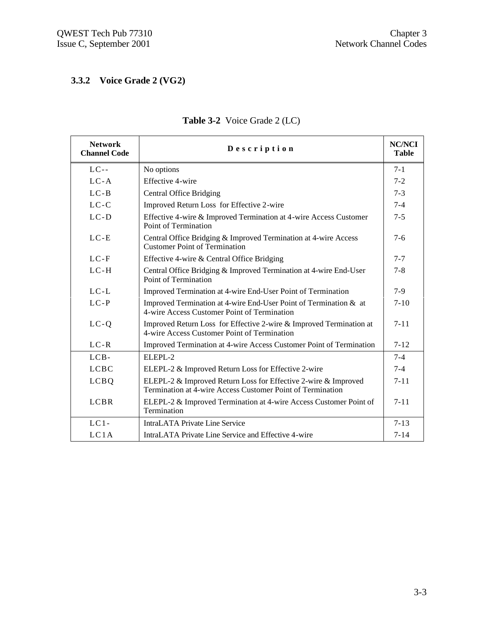## **3.3.2 Voice Grade 2 (VG2)**

| <b>Network</b><br><b>Channel Code</b> | Description                                                                                                                  | <b>NC/NCI</b><br><b>Table</b> |
|---------------------------------------|------------------------------------------------------------------------------------------------------------------------------|-------------------------------|
| $LC--$                                | No options                                                                                                                   | $7 - 1$                       |
| $LC-A$                                | Effective 4-wire                                                                                                             | $7 - 2$                       |
| $LC-B$                                | <b>Central Office Bridging</b>                                                                                               | $7 - 3$                       |
| $LC-C$                                | Improved Return Loss for Effective 2-wire                                                                                    | $7 - 4$                       |
| $LC-D$                                | Effective 4-wire & Improved Termination at 4-wire Access Customer<br>Point of Termination                                    | $7 - 5$                       |
| $LC-E$                                | Central Office Bridging & Improved Termination at 4-wire Access<br><b>Customer Point of Termination</b>                      | $7 - 6$                       |
| $LC-F$                                | Effective 4-wire & Central Office Bridging                                                                                   | $7 - 7$                       |
| $LC-H$                                | Central Office Bridging & Improved Termination at 4-wire End-User<br>Point of Termination                                    | $7 - 8$                       |
| $LC-L$                                | Improved Termination at 4-wire End-User Point of Termination                                                                 | $7-9$                         |
| $LC-P$                                | Improved Termination at 4-wire End-User Point of Termination & at<br>4-wire Access Customer Point of Termination             | $7 - 10$                      |
| $LC-Q$                                | Improved Return Loss for Effective 2-wire & Improved Termination at<br>4-wire Access Customer Point of Termination           | $7 - 11$                      |
| $LC-R$                                | Improved Termination at 4-wire Access Customer Point of Termination                                                          | $7 - 12$                      |
| $LCB-$                                | $ELEPI - 2$                                                                                                                  | $7 - 4$                       |
| <b>LCBC</b>                           | ELEPL-2 & Improved Return Loss for Effective 2-wire                                                                          | $7 - 4$                       |
| <b>LCBQ</b>                           | ELEPL-2 & Improved Return Loss for Effective 2-wire & Improved<br>Termination at 4-wire Access Customer Point of Termination | $7 - 11$                      |
| <b>LCBR</b>                           | ELEPL-2 & Improved Termination at 4-wire Access Customer Point of<br>Termination                                             | $7 - 11$                      |
| $LC1-$                                | <b>IntraLATA Private Line Service</b>                                                                                        | $7 - 13$                      |
| LC1A                                  | IntraLATA Private Line Service and Effective 4-wire                                                                          | $7 - 14$                      |

## **Table 3-2** Voice Grade 2 (LC)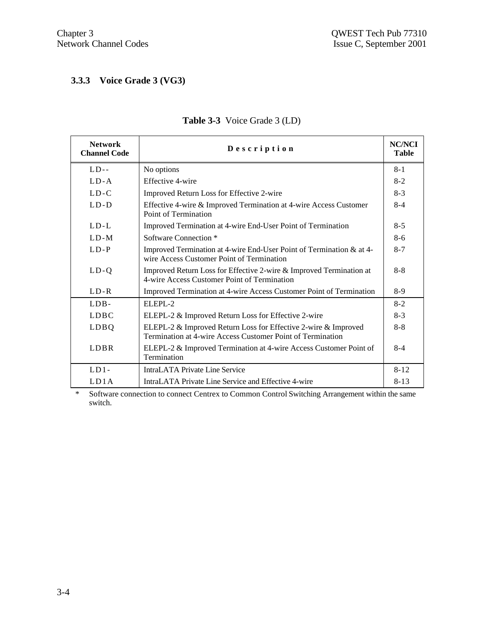## **3.3.3 Voice Grade 3 (VG3)**

| <b>Network</b><br><b>Channel Code</b> | Description                                                                                                                  | <b>NC/NCI</b><br><b>Table</b> |
|---------------------------------------|------------------------------------------------------------------------------------------------------------------------------|-------------------------------|
| $LD -$                                | No options                                                                                                                   | $8 - 1$                       |
| $L_{\rm D-A}$                         | Effective 4-wire                                                                                                             | $8 - 2$                       |
| $L_{\rm D-C}$                         | Improved Return Loss for Effective 2-wire                                                                                    | $8-3$                         |
| $L.D-D$                               | Effective 4-wire & Improved Termination at 4-wire Access Customer<br>Point of Termination                                    | $8 - 4$                       |
| $L_{\rm D-L}$                         | Improved Termination at 4-wire End-User Point of Termination                                                                 | $8 - 5$                       |
| $L_{\rm D-M}$                         | Software Connection <sup>*</sup>                                                                                             | $8-6$                         |
| $LD - P$                              | Improved Termination at 4-wire End-User Point of Termination & at 4-<br>wire Access Customer Point of Termination            | $8 - 7$                       |
| $LD-Q$                                | Improved Return Loss for Effective 2-wire & Improved Termination at<br>4-wire Access Customer Point of Termination           | $8 - 8$                       |
| $L_{\rm D-R}$                         | Improved Termination at 4-wire Access Customer Point of Termination                                                          | $8-9$                         |
| LDB-                                  | $ELEPI - 2$                                                                                                                  | $8 - 2$                       |
| <b>LDBC</b>                           | ELEPL-2 & Improved Return Loss for Effective 2-wire                                                                          | $8-3$                         |
| LDBQ                                  | ELEPL-2 & Improved Return Loss for Effective 2-wire & Improved<br>Termination at 4-wire Access Customer Point of Termination | $8 - 8$                       |
| LDBR                                  | ELEPL-2 & Improved Termination at 4-wire Access Customer Point of<br>Termination                                             | $8 - 4$                       |
| $LD1-$                                | IntraLATA Private Line Service                                                                                               | $8 - 12$                      |
| LD1A                                  | IntraLATA Private Line Service and Effective 4-wire                                                                          | $8 - 13$                      |

## **Table 3-3** Voice Grade 3 (LD)

\* Software connection to connect Centrex to Common Control Switching Arrangement within the same switch.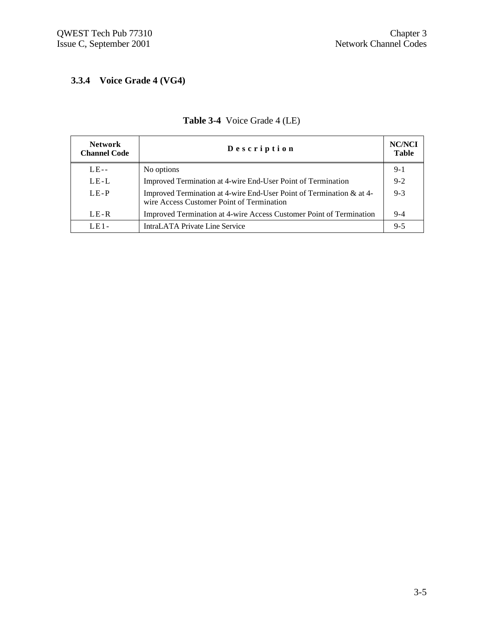## **3.3.4 Voice Grade 4 (VG4)**

| <b>Network</b><br><b>Channel Code</b> | Description                                                                                                       | NC/NCI<br><b>Table</b> |
|---------------------------------------|-------------------------------------------------------------------------------------------------------------------|------------------------|
| $LE-$                                 | No options                                                                                                        | $9-1$                  |
| LE-L                                  | Improved Termination at 4-wire End-User Point of Termination                                                      | $9 - 2$                |
| $LE-P$                                | Improved Termination at 4-wire End-User Point of Termination & at 4-<br>wire Access Customer Point of Termination | $9 - 3$                |
| LE-R                                  | Improved Termination at 4-wire Access Customer Point of Termination                                               | $9-4$                  |
| $LE1 -$                               | <b>IntraLATA Private Line Service</b>                                                                             | $9 - 5$                |

## **Table 3-4** Voice Grade 4 (LE)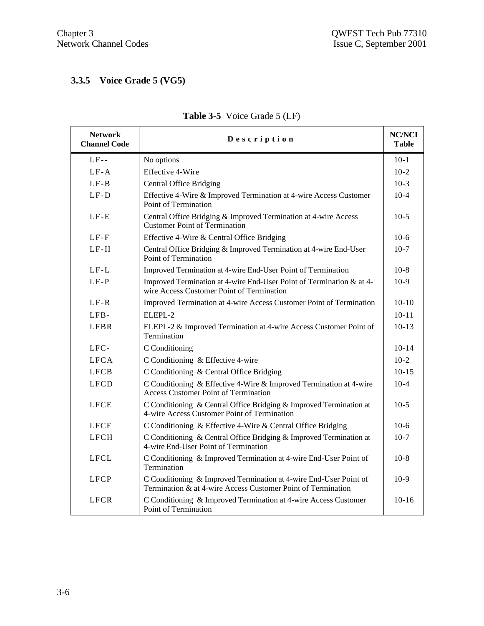## **3.3.5 Voice Grade 5 (VG5)**

| <b>Network</b><br><b>Channel Code</b> | Description                                                                                                                       | <b>NC/NCI</b><br>Table |
|---------------------------------------|-----------------------------------------------------------------------------------------------------------------------------------|------------------------|
| $LF-$                                 | No options                                                                                                                        | $10-1$                 |
| $LF-A$                                | <b>Effective 4-Wire</b>                                                                                                           | $10-2$                 |
| $LF-B$                                | <b>Central Office Bridging</b>                                                                                                    | $10-3$                 |
| $LF-D$                                | Effective 4-Wire & Improved Termination at 4-wire Access Customer<br>Point of Termination                                         | $10-4$                 |
| $LF-E$                                | Central Office Bridging & Improved Termination at 4-wire Access<br><b>Customer Point of Termination</b>                           | $10-5$                 |
| $LF-F$                                | Effective 4-Wire & Central Office Bridging                                                                                        | $10-6$                 |
| $LF-H$                                | Central Office Bridging & Improved Termination at 4-wire End-User<br>Point of Termination                                         | $10-7$                 |
| $LF-L$                                | Improved Termination at 4-wire End-User Point of Termination                                                                      | $10-8$                 |
| $LF-P$                                | Improved Termination at 4-wire End-User Point of Termination & at 4-<br>wire Access Customer Point of Termination                 | $10-9$                 |
| $LF-R$                                | Improved Termination at 4-wire Access Customer Point of Termination                                                               | $10 - 10$              |
| LFB-                                  | ELEPL-2                                                                                                                           | $10 - 11$              |
| <b>LFBR</b>                           | ELEPL-2 & Improved Termination at 4-wire Access Customer Point of<br>Termination                                                  | $10-13$                |
| LFC-                                  | C Conditioning                                                                                                                    | $10 - 14$              |
| <b>LFCA</b>                           | C Conditioning & Effective 4-wire                                                                                                 | $10-2$                 |
| <b>LFCB</b>                           | C Conditioning & Central Office Bridging                                                                                          | $10 - 15$              |
| <b>LFCD</b>                           | C Conditioning & Effective 4-Wire & Improved Termination at 4-wire<br><b>Access Customer Point of Termination</b>                 | $10-4$                 |
| <b>LFCE</b>                           | C Conditioning & Central Office Bridging & Improved Termination at<br>4-wire Access Customer Point of Termination                 | $10-5$                 |
| <b>LFCF</b>                           | C Conditioning & Effective 4-Wire & Central Office Bridging                                                                       | $10-6$                 |
| <b>LFCH</b>                           | C Conditioning & Central Office Bridging & Improved Termination at<br>4-wire End-User Point of Termination                        | $10-7$                 |
| <b>LFCL</b>                           | C Conditioning & Improved Termination at 4-wire End-User Point of<br>Termination                                                  | $10-8$                 |
| <b>LFCP</b>                           | C Conditioning & Improved Termination at 4-wire End-User Point of<br>Termination & at 4-wire Access Customer Point of Termination | $10-9$                 |
| <b>LFCR</b>                           | C Conditioning & Improved Termination at 4-wire Access Customer<br>Point of Termination                                           | $10 - 16$              |

# **Table 3-5** Voice Grade 5 (LF)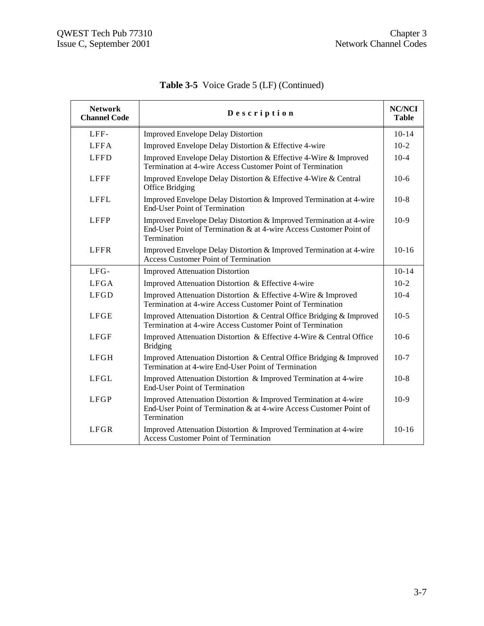| <b>Network</b><br><b>Channel Code</b> | Description                                                                                                                                              | <b>NC/NCI</b><br><b>Table</b> |
|---------------------------------------|----------------------------------------------------------------------------------------------------------------------------------------------------------|-------------------------------|
| LFF-                                  | <b>Improved Envelope Delay Distortion</b>                                                                                                                | $10 - 14$                     |
| LFFA                                  | Improved Envelope Delay Distortion & Effective 4-wire                                                                                                    | $10-2$                        |
| <b>LFFD</b>                           | Improved Envelope Delay Distortion & Effective 4-Wire & Improved<br>Termination at 4-wire Access Customer Point of Termination                           | $10-4$                        |
| <b>LFFF</b>                           | Improved Envelope Delay Distortion & Effective 4-Wire & Central<br>Office Bridging                                                                       | $10-6$                        |
| <b>LFFL</b>                           | Improved Envelope Delay Distortion & Improved Termination at 4-wire<br><b>End-User Point of Termination</b>                                              | $10-8$                        |
| <b>LFFP</b>                           | Improved Envelope Delay Distortion & Improved Termination at 4-wire<br>End-User Point of Termination & at 4-wire Access Customer Point of<br>Termination | $10-9$                        |
| <b>LFFR</b>                           | Improved Envelope Delay Distortion & Improved Termination at 4-wire<br><b>Access Customer Point of Termination</b>                                       | $10-16$                       |
| LFG-                                  | <b>Improved Attenuation Distortion</b>                                                                                                                   | $10 - 14$                     |
| <b>LFGA</b>                           | Improved Attenuation Distortion & Effective 4-wire                                                                                                       | $10-2$                        |
| <b>LFGD</b>                           | Improved Attenuation Distortion & Effective 4-Wire & Improved<br>Termination at 4-wire Access Customer Point of Termination                              | $10-4$                        |
| <b>LFGE</b>                           | Improved Attenuation Distortion & Central Office Bridging & Improved<br>Termination at 4-wire Access Customer Point of Termination                       | $10-5$                        |
| <b>LFGF</b>                           | Improved Attenuation Distortion & Effective 4-Wire & Central Office<br><b>Bridging</b>                                                                   | $10-6$                        |
| <b>LFGH</b>                           | Improved Attenuation Distortion & Central Office Bridging & Improved<br>Termination at 4-wire End-User Point of Termination                              | $10-7$                        |
| <b>LFGL</b>                           | Improved Attenuation Distortion & Improved Termination at 4-wire<br><b>End-User Point of Termination</b>                                                 | $10-8$                        |
| <b>LFGP</b>                           | Improved Attenuation Distortion & Improved Termination at 4-wire<br>End-User Point of Termination & at 4-wire Access Customer Point of<br>Termination    | $10-9$                        |
| <b>LFGR</b>                           | Improved Attenuation Distortion & Improved Termination at 4-wire<br>Access Customer Point of Termination                                                 | $10 - 16$                     |

**Table 3-5** Voice Grade 5 (LF) (Continued)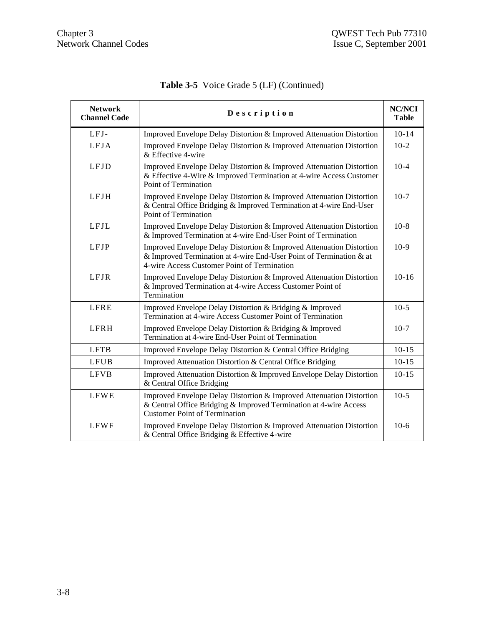| <b>Network</b><br><b>Channel Code</b> | Description                                                                                                                                                                                | <b>NC/NCI</b><br><b>Table</b> |
|---------------------------------------|--------------------------------------------------------------------------------------------------------------------------------------------------------------------------------------------|-------------------------------|
| LFJ-                                  | Improved Envelope Delay Distortion & Improved Attenuation Distortion                                                                                                                       | $10 - 14$                     |
| LFJA                                  | Improved Envelope Delay Distortion & Improved Attenuation Distortion<br>& Effective 4-wire                                                                                                 | $10-2$                        |
| <b>LFJD</b>                           | Improved Envelope Delay Distortion & Improved Attenuation Distortion<br>& Effective 4-Wire & Improved Termination at 4-wire Access Customer<br>Point of Termination                        | $10-4$                        |
| LFJH                                  | Improved Envelope Delay Distortion & Improved Attenuation Distortion<br>& Central Office Bridging & Improved Termination at 4-wire End-User<br>Point of Termination                        | $10-7$                        |
| <b>LFJL</b>                           | Improved Envelope Delay Distortion & Improved Attenuation Distortion<br>& Improved Termination at 4-wire End-User Point of Termination                                                     | $10-8$                        |
| LFJP                                  | Improved Envelope Delay Distortion & Improved Attenuation Distortion<br>& Improved Termination at 4-wire End-User Point of Termination & at<br>4-wire Access Customer Point of Termination | $10-9$                        |
| <b>LFJR</b>                           | Improved Envelope Delay Distortion & Improved Attenuation Distortion<br>& Improved Termination at 4-wire Access Customer Point of<br>Termination                                           | $10 - 16$                     |
| <b>LFRE</b>                           | Improved Envelope Delay Distortion & Bridging & Improved<br>Termination at 4-wire Access Customer Point of Termination                                                                     | $10-5$                        |
| LFRH                                  | Improved Envelope Delay Distortion & Bridging & Improved<br>Termination at 4-wire End-User Point of Termination                                                                            | $10-7$                        |
| <b>LFTB</b>                           | Improved Envelope Delay Distortion & Central Office Bridging                                                                                                                               | $10 - 15$                     |
| <b>LFUB</b>                           | Improved Attenuation Distortion & Central Office Bridging                                                                                                                                  | $10 - 15$                     |
| <b>LFVB</b>                           | Improved Attenuation Distortion & Improved Envelope Delay Distortion<br>& Central Office Bridging                                                                                          | $10 - 15$                     |
| <b>LFWE</b>                           | Improved Envelope Delay Distortion & Improved Attenuation Distortion<br>& Central Office Bridging & Improved Termination at 4-wire Access<br><b>Customer Point of Termination</b>          | $10-5$                        |
| <b>LFWF</b>                           | Improved Envelope Delay Distortion & Improved Attenuation Distortion<br>& Central Office Bridging & Effective 4-wire                                                                       | $10-6$                        |

**Table 3-5** Voice Grade 5 (LF) (Continued)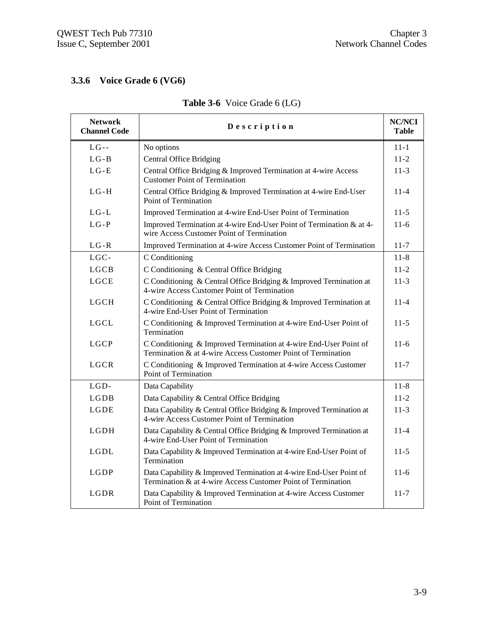## **3.3.6 Voice Grade 6 (VG6)**

| <b>Network</b><br><b>Channel Code</b> | Description                                                                                                                        | <b>NC/NCI</b><br><b>Table</b> |
|---------------------------------------|------------------------------------------------------------------------------------------------------------------------------------|-------------------------------|
| $LG -$                                | No options                                                                                                                         | $11 - 1$                      |
| $LG - B$                              | <b>Central Office Bridging</b>                                                                                                     | $11-2$                        |
| $LG - E$                              | Central Office Bridging & Improved Termination at 4-wire Access<br><b>Customer Point of Termination</b>                            | $11-3$                        |
| $LG-H$                                | Central Office Bridging & Improved Termination at 4-wire End-User<br>Point of Termination                                          | $11 - 4$                      |
| $LG-L$                                | Improved Termination at 4-wire End-User Point of Termination                                                                       | $11 - 5$                      |
| $LG-P$                                | Improved Termination at 4-wire End-User Point of Termination & at 4-<br>wire Access Customer Point of Termination                  | $11 - 6$                      |
| $LG-R$                                | Improved Termination at 4-wire Access Customer Point of Termination                                                                | $11 - 7$                      |
| $LGC-$                                | C Conditioning                                                                                                                     | $11 - 8$                      |
| <b>LGCB</b>                           | C Conditioning & Central Office Bridging                                                                                           | $11 - 2$                      |
| LGCE                                  | C Conditioning & Central Office Bridging & Improved Termination at<br>4-wire Access Customer Point of Termination                  | $11 - 3$                      |
| <b>LGCH</b>                           | C Conditioning & Central Office Bridging & Improved Termination at<br>4-wire End-User Point of Termination                         | $11 - 4$                      |
| LGCL                                  | C Conditioning & Improved Termination at 4-wire End-User Point of<br>Termination                                                   | $11-5$                        |
| <b>LGCP</b>                           | C Conditioning & Improved Termination at 4-wire End-User Point of<br>Termination & at 4-wire Access Customer Point of Termination  | $11 - 6$                      |
| <b>LGCR</b>                           | C Conditioning & Improved Termination at 4-wire Access Customer<br><b>Point of Termination</b>                                     | $11 - 7$                      |
| LGD-                                  | Data Capability                                                                                                                    | $11 - 8$                      |
| LGDB                                  | Data Capability & Central Office Bridging                                                                                          | $11 - 2$                      |
| LGDE                                  | Data Capability & Central Office Bridging & Improved Termination at<br>4-wire Access Customer Point of Termination                 | $11-3$                        |
| <b>LGDH</b>                           | Data Capability & Central Office Bridging & Improved Termination at<br>4-wire End-User Point of Termination                        | $11 - 4$                      |
| LGDL                                  | Data Capability & Improved Termination at 4-wire End-User Point of<br>Termination                                                  | $11 - 5$                      |
| LGDP                                  | Data Capability & Improved Termination at 4-wire End-User Point of<br>Termination & at 4-wire Access Customer Point of Termination | $11-6$                        |
| LGDR                                  | Data Capability & Improved Termination at 4-wire Access Customer<br>Point of Termination                                           | $11 - 7$                      |

## **Table 3-6** Voice Grade 6 (LG)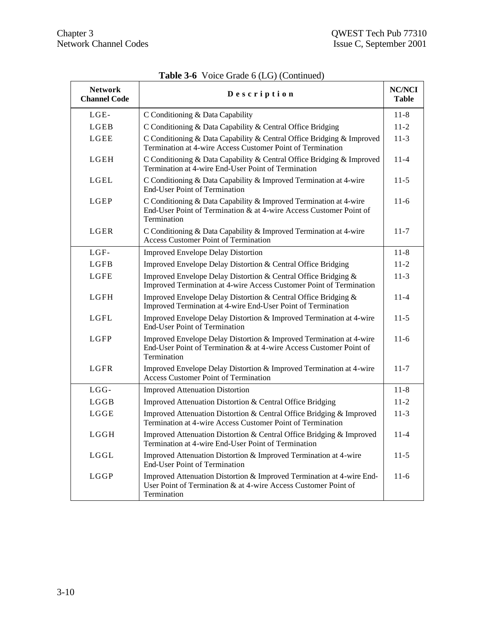| <b>Network</b><br><b>Channel Code</b> | Description                                                                                                                                              | <b>NC/NCI</b><br><b>Table</b> |
|---------------------------------------|----------------------------------------------------------------------------------------------------------------------------------------------------------|-------------------------------|
| LGE-                                  | C Conditioning & Data Capability                                                                                                                         | $11 - 8$                      |
| LGEB                                  | C Conditioning & Data Capability & Central Office Bridging                                                                                               | $11 - 2$                      |
| LGEE                                  | C Conditioning & Data Capability & Central Office Bridging & Improved<br>Termination at 4-wire Access Customer Point of Termination                      | $11-3$                        |
| LGEH                                  | C Conditioning & Data Capability & Central Office Bridging & Improved<br>Termination at 4-wire End-User Point of Termination                             | $11 - 4$                      |
| LGEL                                  | C Conditioning & Data Capability & Improved Termination at 4-wire<br><b>End-User Point of Termination</b>                                                | $11-5$                        |
| LGEP                                  | C Conditioning & Data Capability & Improved Termination at 4-wire<br>End-User Point of Termination & at 4-wire Access Customer Point of<br>Termination   | $11-6$                        |
| LGER                                  | C Conditioning & Data Capability & Improved Termination at 4-wire<br><b>Access Customer Point of Termination</b>                                         | $11 - 7$                      |
| LGF-                                  | <b>Improved Envelope Delay Distortion</b>                                                                                                                | $11 - 8$                      |
| LGFB                                  | Improved Envelope Delay Distortion & Central Office Bridging                                                                                             | $11-2$                        |
| LGFE                                  | Improved Envelope Delay Distortion & Central Office Bridging &<br>Improved Termination at 4-wire Access Customer Point of Termination                    | $11-3$                        |
| LGFH                                  | Improved Envelope Delay Distortion & Central Office Bridging &<br>Improved Termination at 4-wire End-User Point of Termination                           | $11 - 4$                      |
| LGFL                                  | Improved Envelope Delay Distortion & Improved Termination at 4-wire<br><b>End-User Point of Termination</b>                                              | $11-5$                        |
| LGFP                                  | Improved Envelope Delay Distortion & Improved Termination at 4-wire<br>End-User Point of Termination & at 4-wire Access Customer Point of<br>Termination | $11-6$                        |
| LGFR                                  | Improved Envelope Delay Distortion & Improved Termination at 4-wire<br><b>Access Customer Point of Termination</b>                                       | $11 - 7$                      |
| $LGG-$                                | <b>Improved Attenuation Distortion</b>                                                                                                                   | $11 - 8$                      |
| LGGB                                  | Improved Attenuation Distortion & Central Office Bridging                                                                                                | $11 - 2$                      |
| LGGE                                  | Improved Attenuation Distortion & Central Office Bridging & Improved<br>Termination at 4-wire Access Customer Point of Termination                       | $11-3$                        |
| LGGH                                  | Improved Attenuation Distortion & Central Office Bridging & Improved<br>Termination at 4-wire End-User Point of Termination                              | $11 - 4$                      |
| LGGL                                  | Improved Attenuation Distortion & Improved Termination at 4-wire<br><b>End-User Point of Termination</b>                                                 | $11-5$                        |
| <b>LGGP</b>                           | Improved Attenuation Distortion & Improved Termination at 4-wire End-<br>User Point of Termination & at 4-wire Access Customer Point of<br>Termination   | $11-6$                        |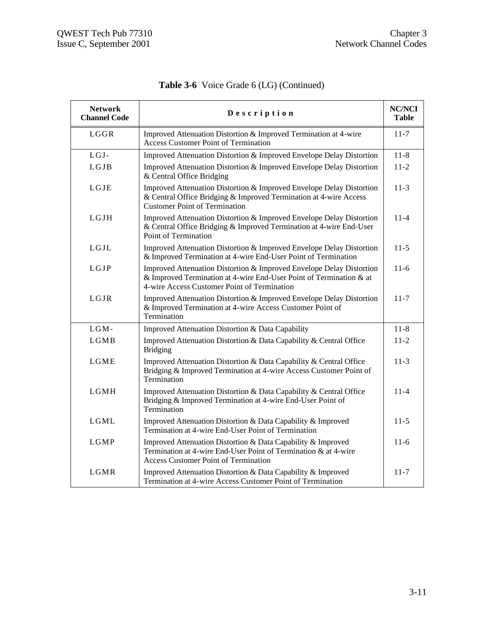| <b>Network</b><br><b>Channel Code</b> | Description                                                                                                                                                                                | <b>NC/NCI</b><br>Table |
|---------------------------------------|--------------------------------------------------------------------------------------------------------------------------------------------------------------------------------------------|------------------------|
| LGGR                                  | Improved Attenuation Distortion & Improved Termination at 4-wire<br><b>Access Customer Point of Termination</b>                                                                            | $11 - 7$               |
| LGJ-                                  | Improved Attenuation Distortion & Improved Envelope Delay Distortion                                                                                                                       | $11 - 8$               |
| LGJB                                  | Improved Attenuation Distortion & Improved Envelope Delay Distortion<br>& Central Office Bridging                                                                                          | $11-2$                 |
| LGJE                                  | Improved Attenuation Distortion & Improved Envelope Delay Distortion<br>& Central Office Bridging & Improved Termination at 4-wire Access<br><b>Customer Point of Termination</b>          | $11-3$                 |
| LGJH                                  | Improved Attenuation Distortion & Improved Envelope Delay Distortion<br>& Central Office Bridging & Improved Termination at 4-wire End-User<br>Point of Termination                        | $11 - 4$               |
| LGJL                                  | Improved Attenuation Distortion & Improved Envelope Delay Distortion<br>& Improved Termination at 4-wire End-User Point of Termination                                                     | $11-5$                 |
| LGJP                                  | Improved Attenuation Distortion & Improved Envelope Delay Distortion<br>& Improved Termination at 4-wire End-User Point of Termination & at<br>4-wire Access Customer Point of Termination | $11-6$                 |
| LGJR                                  | Improved Attenuation Distortion & Improved Envelope Delay Distortion<br>& Improved Termination at 4-wire Access Customer Point of<br>Termination                                           | $11 - 7$               |
| LGM-                                  | Improved Attenuation Distortion & Data Capability                                                                                                                                          | $11 - 8$               |
| LGMB                                  | Improved Attenuation Distortion & Data Capability & Central Office<br><b>Bridging</b>                                                                                                      | $11 - 2$               |
| LGME                                  | Improved Attenuation Distortion & Data Capability & Central Office<br>Bridging & Improved Termination at 4-wire Access Customer Point of<br>Termination                                    | $11-3$                 |
| <b>LGMH</b>                           | Improved Attenuation Distortion & Data Capability & Central Office<br>Bridging & Improved Termination at 4-wire End-User Point of<br>Termination                                           | $11 - 4$               |
| LGML                                  | Improved Attenuation Distortion & Data Capability & Improved<br>Termination at 4-wire End-User Point of Termination                                                                        | $11-5$                 |
| <b>LGMP</b>                           | Improved Attenuation Distortion & Data Capability & Improved<br>Termination at 4-wire End-User Point of Termination & at 4-wire<br>Access Customer Point of Termination                    | $11-6$                 |
| LGMR                                  | Improved Attenuation Distortion & Data Capability & Improved<br>Termination at 4-wire Access Customer Point of Termination                                                                 | $11 - 7$               |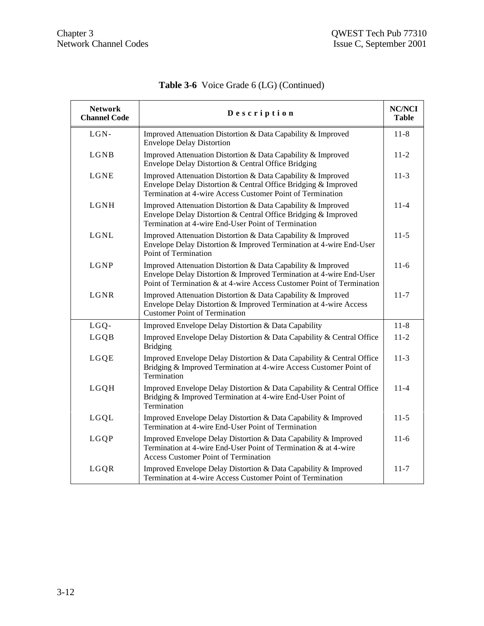| <b>Network</b><br><b>Channel Code</b> | Description                                                                                                                                                                                                  | <b>NC/NCI</b><br><b>Table</b> |
|---------------------------------------|--------------------------------------------------------------------------------------------------------------------------------------------------------------------------------------------------------------|-------------------------------|
| $LGN-$                                | Improved Attenuation Distortion & Data Capability & Improved<br><b>Envelope Delay Distortion</b>                                                                                                             | $11 - 8$                      |
| LGNB                                  | Improved Attenuation Distortion & Data Capability & Improved<br>Envelope Delay Distortion & Central Office Bridging                                                                                          | $11 - 2$                      |
| LGNE                                  | Improved Attenuation Distortion & Data Capability & Improved<br>Envelope Delay Distortion & Central Office Bridging & Improved<br>Termination at 4-wire Access Customer Point of Termination                 | $11-3$                        |
| LGNH                                  | Improved Attenuation Distortion & Data Capability & Improved<br>Envelope Delay Distortion & Central Office Bridging & Improved<br>Termination at 4-wire End-User Point of Termination                        | $11 - 4$                      |
| LGNL                                  | Improved Attenuation Distortion & Data Capability & Improved<br>Envelope Delay Distortion & Improved Termination at 4-wire End-User<br>Point of Termination                                                  | $11-5$                        |
| LGNP                                  | Improved Attenuation Distortion & Data Capability & Improved<br>Envelope Delay Distortion & Improved Termination at 4-wire End-User<br>Point of Termination & at 4-wire Access Customer Point of Termination | $11-6$                        |
| LGNR                                  | Improved Attenuation Distortion & Data Capability & Improved<br>Envelope Delay Distortion & Improved Termination at 4-wire Access<br><b>Customer Point of Termination</b>                                    | $11 - 7$                      |
| LGQ-                                  | Improved Envelope Delay Distortion & Data Capability                                                                                                                                                         | $11 - 8$                      |
| LGQB                                  | Improved Envelope Delay Distortion & Data Capability & Central Office<br><b>Bridging</b>                                                                                                                     | $11-2$                        |
| LGQE                                  | Improved Envelope Delay Distortion & Data Capability & Central Office<br>Bridging & Improved Termination at 4-wire Access Customer Point of<br>Termination                                                   | $11-3$                        |
| LGQH                                  | Improved Envelope Delay Distortion & Data Capability & Central Office<br>Bridging & Improved Termination at 4-wire End-User Point of<br>Termination                                                          | $11 - 4$                      |
| LGQL                                  | Improved Envelope Delay Distortion & Data Capability & Improved<br>Termination at 4-wire End-User Point of Termination                                                                                       | $11-5$                        |
| LGQP                                  | Improved Envelope Delay Distortion & Data Capability & Improved<br>Termination at 4-wire End-User Point of Termination & at 4-wire<br><b>Access Customer Point of Termination</b>                            | $11-6$                        |
| LGQR                                  | Improved Envelope Delay Distortion & Data Capability & Improved<br>Termination at 4-wire Access Customer Point of Termination                                                                                | $11 - 7$                      |

**Table 3-6** Voice Grade 6 (LG) (Continued)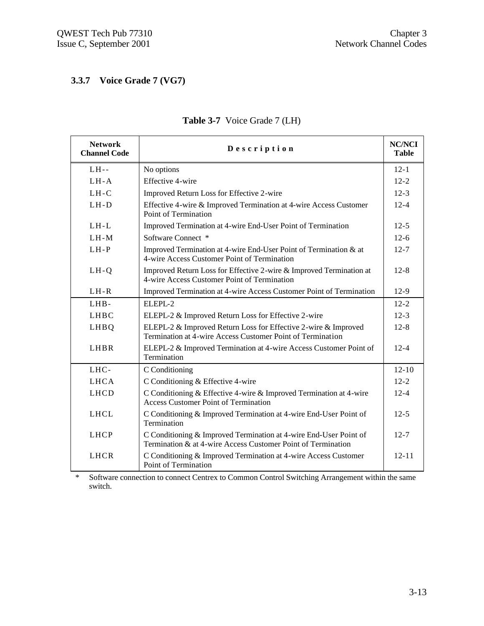# **3.3.7 Voice Grade 7 (VG7)**

| <b>Network</b><br><b>Channel Code</b> | Description                                                                                                                       | <b>NC/NCI</b><br><b>Table</b> |
|---------------------------------------|-----------------------------------------------------------------------------------------------------------------------------------|-------------------------------|
| $LH--$                                | No options                                                                                                                        | $12 - 1$                      |
| $LH-A$                                | Effective 4-wire                                                                                                                  | $12 - 2$                      |
| $LH-C$                                | Improved Return Loss for Effective 2-wire                                                                                         | $12-3$                        |
| $LH-D$                                | Effective 4-wire & Improved Termination at 4-wire Access Customer<br>Point of Termination                                         | $12 - 4$                      |
| $LH-L$                                | Improved Termination at 4-wire End-User Point of Termination                                                                      | $12 - 5$                      |
| $LH-M$                                | Software Connect *                                                                                                                | $12-6$                        |
| $LH-P$                                | Improved Termination at 4-wire End-User Point of Termination & at<br>4-wire Access Customer Point of Termination                  | $12 - 7$                      |
| $LH-Q$                                | Improved Return Loss for Effective 2-wire & Improved Termination at<br>4-wire Access Customer Point of Termination                | $12 - 8$                      |
| $LH-R$                                | Improved Termination at 4-wire Access Customer Point of Termination                                                               | $12-9$                        |
| LHB-                                  | ELEPL-2                                                                                                                           | $12 - 2$                      |
| <b>LHBC</b>                           | ELEPL-2 & Improved Return Loss for Effective 2-wire                                                                               | $12 - 3$                      |
| LHBQ                                  | ELEPL-2 & Improved Return Loss for Effective 2-wire & Improved<br>Termination at 4-wire Access Customer Point of Termination      | $12 - 8$                      |
| <b>LHBR</b>                           | ELEPL-2 & Improved Termination at 4-wire Access Customer Point of<br><b>Termination</b>                                           | $12 - 4$                      |
| LHC-                                  | C Conditioning                                                                                                                    | $12 - 10$                     |
| <b>LHCA</b>                           | C Conditioning & Effective 4-wire                                                                                                 | $12 - 2$                      |
| <b>LHCD</b>                           | C Conditioning & Effective 4-wire & Improved Termination at 4-wire<br><b>Access Customer Point of Termination</b>                 | $12 - 4$                      |
| <b>LHCL</b>                           | C Conditioning & Improved Termination at 4-wire End-User Point of<br>Termination                                                  | $12 - 5$                      |
| <b>LHCP</b>                           | C Conditioning & Improved Termination at 4-wire End-User Point of<br>Termination & at 4-wire Access Customer Point of Termination | $12 - 7$                      |
| <b>LHCR</b>                           | C Conditioning & Improved Termination at 4-wire Access Customer<br>Point of Termination                                           | $12 - 11$                     |

## **Table 3-7** Voice Grade 7 (LH)

\* Software connection to connect Centrex to Common Control Switching Arrangement within the same switch.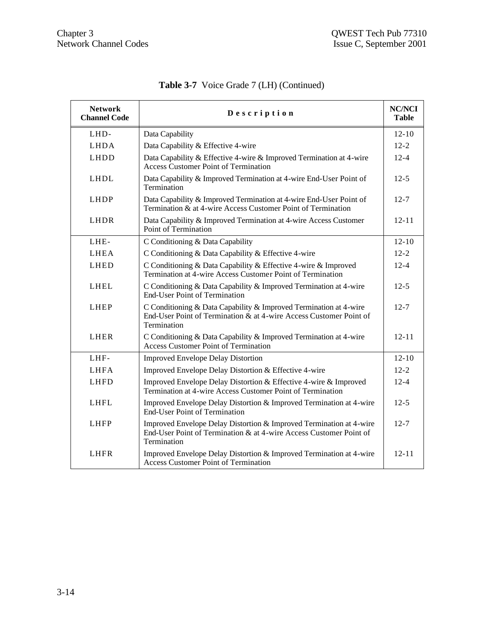| <b>Network</b><br><b>Channel Code</b> | Description                                                                                                                                              | <b>NC/NCI</b><br><b>Table</b> |
|---------------------------------------|----------------------------------------------------------------------------------------------------------------------------------------------------------|-------------------------------|
| LHD-                                  | Data Capability                                                                                                                                          | $12 - 10$                     |
| <b>LHDA</b>                           | Data Capability & Effective 4-wire                                                                                                                       | $12 - 2$                      |
| LHDD                                  | Data Capability & Effective 4-wire & Improved Termination at 4-wire<br><b>Access Customer Point of Termination</b>                                       | $12 - 4$                      |
| LHDL                                  | Data Capability & Improved Termination at 4-wire End-User Point of<br>Termination                                                                        | $12-5$                        |
| LHDP                                  | Data Capability & Improved Termination at 4-wire End-User Point of<br>Termination & at 4-wire Access Customer Point of Termination                       | $12 - 7$                      |
| LHDR                                  | Data Capability & Improved Termination at 4-wire Access Customer<br>Point of Termination                                                                 | $12 - 11$                     |
| LHE-                                  | C Conditioning & Data Capability                                                                                                                         | $12 - 10$                     |
| LHEA                                  | C Conditioning & Data Capability & Effective 4-wire                                                                                                      | $12 - 2$                      |
| <b>LHED</b>                           | C Conditioning & Data Capability & Effective 4-wire & Improved<br>Termination at 4-wire Access Customer Point of Termination                             | $12 - 4$                      |
| <b>LHEL</b>                           | C Conditioning & Data Capability & Improved Termination at 4-wire<br><b>End-User Point of Termination</b>                                                | $12-5$                        |
| <b>LHEP</b>                           | C Conditioning & Data Capability & Improved Termination at 4-wire<br>End-User Point of Termination & at 4-wire Access Customer Point of<br>Termination   | $12 - 7$                      |
| <b>LHER</b>                           | C Conditioning & Data Capability & Improved Termination at 4-wire<br><b>Access Customer Point of Termination</b>                                         | $12 - 11$                     |
| LHF-                                  | <b>Improved Envelope Delay Distortion</b>                                                                                                                | $12 - 10$                     |
| <b>LHFA</b>                           | Improved Envelope Delay Distortion & Effective 4-wire                                                                                                    | $12 - 2$                      |
| <b>LHFD</b>                           | Improved Envelope Delay Distortion & Effective 4-wire & Improved<br>Termination at 4-wire Access Customer Point of Termination                           | $12 - 4$                      |
| <b>LHFL</b>                           | Improved Envelope Delay Distortion & Improved Termination at 4-wire<br><b>End-User Point of Termination</b>                                              | $12-5$                        |
| <b>LHFP</b>                           | Improved Envelope Delay Distortion & Improved Termination at 4-wire<br>End-User Point of Termination & at 4-wire Access Customer Point of<br>Termination | $12 - 7$                      |
| <b>LHFR</b>                           | Improved Envelope Delay Distortion & Improved Termination at 4-wire<br><b>Access Customer Point of Termination</b>                                       | $12 - 11$                     |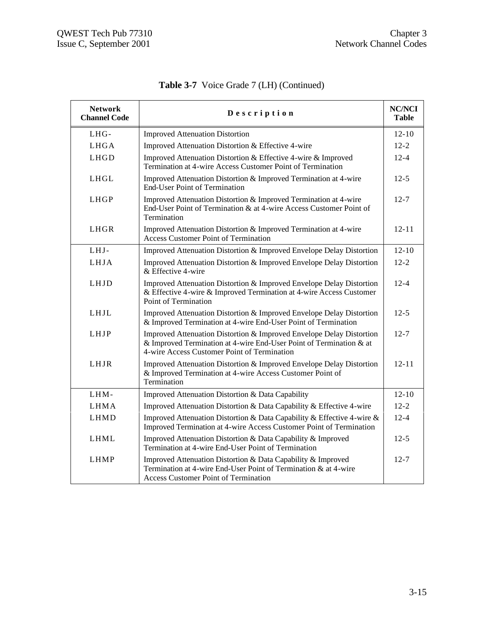| <b>Network</b><br><b>Channel Code</b> | Description                                                                                                                                                                                | <b>NC/NCI</b><br><b>Table</b> |
|---------------------------------------|--------------------------------------------------------------------------------------------------------------------------------------------------------------------------------------------|-------------------------------|
| LHG-                                  | <b>Improved Attenuation Distortion</b>                                                                                                                                                     | $12 - 10$                     |
| LHGA                                  | Improved Attenuation Distortion & Effective 4-wire                                                                                                                                         | $12 - 2$                      |
| LHGD                                  | Improved Attenuation Distortion & Effective 4-wire & Improved<br>Termination at 4-wire Access Customer Point of Termination                                                                | $12 - 4$                      |
| LHGL                                  | Improved Attenuation Distortion & Improved Termination at 4-wire<br><b>End-User Point of Termination</b>                                                                                   | $12 - 5$                      |
| <b>LHGP</b>                           | Improved Attenuation Distortion & Improved Termination at 4-wire<br>End-User Point of Termination & at 4-wire Access Customer Point of<br>Termination                                      | $12 - 7$                      |
| LHGR                                  | Improved Attenuation Distortion & Improved Termination at 4-wire<br><b>Access Customer Point of Termination</b>                                                                            | $12 - 11$                     |
| LHJ-                                  | Improved Attenuation Distortion & Improved Envelope Delay Distortion                                                                                                                       | $12 - 10$                     |
| LHJA                                  | Improved Attenuation Distortion & Improved Envelope Delay Distortion<br>& Effective 4-wire                                                                                                 | $12 - 2$                      |
| <b>LHJD</b>                           | Improved Attenuation Distortion & Improved Envelope Delay Distortion<br>& Effective 4-wire & Improved Termination at 4-wire Access Customer<br>Point of Termination                        | $12 - 4$                      |
| LHJL                                  | Improved Attenuation Distortion & Improved Envelope Delay Distortion<br>& Improved Termination at 4-wire End-User Point of Termination                                                     | $12 - 5$                      |
| LHJP                                  | Improved Attenuation Distortion & Improved Envelope Delay Distortion<br>& Improved Termination at 4-wire End-User Point of Termination & at<br>4-wire Access Customer Point of Termination | $12 - 7$                      |
| LHJR                                  | Improved Attenuation Distortion & Improved Envelope Delay Distortion<br>& Improved Termination at 4-wire Access Customer Point of<br>Termination                                           | $12 - 11$                     |
| LHM-                                  | Improved Attenuation Distortion & Data Capability                                                                                                                                          | $12 - 10$                     |
| <b>LHMA</b>                           | Improved Attenuation Distortion & Data Capability & Effective 4-wire                                                                                                                       | $12 - 2$                      |
| LHMD                                  | Improved Attenuation Distortion & Data Capability & Effective 4-wire &<br>Improved Termination at 4-wire Access Customer Point of Termination                                              | $12 - 4$                      |
| <b>LHML</b>                           | Improved Attenuation Distortion & Data Capability & Improved<br>Termination at 4-wire End-User Point of Termination                                                                        | $12 - 5$                      |
| LHMP                                  | Improved Attenuation Distortion & Data Capability & Improved<br>Termination at 4-wire End-User Point of Termination & at 4-wire<br><b>Access Customer Point of Termination</b>             | $12 - 7$                      |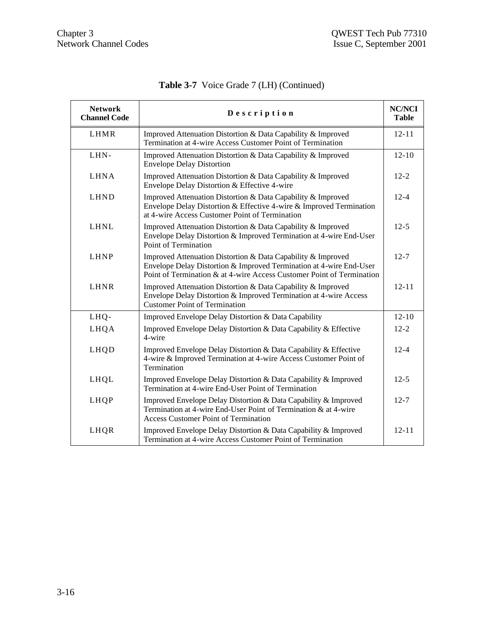| <b>Network</b><br><b>Channel Code</b> | Description                                                                                                                                                                                                  | <b>NC/NCI</b><br><b>Table</b> |
|---------------------------------------|--------------------------------------------------------------------------------------------------------------------------------------------------------------------------------------------------------------|-------------------------------|
| LHMR                                  | Improved Attenuation Distortion & Data Capability & Improved<br>Termination at 4-wire Access Customer Point of Termination                                                                                   | $12 - 11$                     |
| LHN-                                  | Improved Attenuation Distortion & Data Capability & Improved<br><b>Envelope Delay Distortion</b>                                                                                                             | $12 - 10$                     |
| <b>LHNA</b>                           | Improved Attenuation Distortion & Data Capability & Improved<br>Envelope Delay Distortion & Effective 4-wire                                                                                                 | $12 - 2$                      |
| LHND                                  | Improved Attenuation Distortion & Data Capability & Improved<br>Envelope Delay Distortion & Effective 4-wire & Improved Termination<br>at 4-wire Access Customer Point of Termination                        | $12 - 4$                      |
| <b>LHNL</b>                           | Improved Attenuation Distortion & Data Capability & Improved<br>Envelope Delay Distortion & Improved Termination at 4-wire End-User<br>Point of Termination                                                  | $12 - 5$                      |
| <b>LHNP</b>                           | Improved Attenuation Distortion & Data Capability & Improved<br>Envelope Delay Distortion & Improved Termination at 4-wire End-User<br>Point of Termination & at 4-wire Access Customer Point of Termination | $12 - 7$                      |
| <b>LHNR</b>                           | Improved Attenuation Distortion & Data Capability & Improved<br>Envelope Delay Distortion & Improved Termination at 4-wire Access<br><b>Customer Point of Termination</b>                                    | $12 - 11$                     |
| LHQ-                                  | Improved Envelope Delay Distortion & Data Capability                                                                                                                                                         | $12 - 10$                     |
| LHQA                                  | Improved Envelope Delay Distortion & Data Capability & Effective<br>4-wire                                                                                                                                   | $12 - 2$                      |
| LHQD                                  | Improved Envelope Delay Distortion & Data Capability & Effective<br>4-wire & Improved Termination at 4-wire Access Customer Point of<br>Termination                                                          | $12 - 4$                      |
| LHQL                                  | Improved Envelope Delay Distortion & Data Capability & Improved<br>Termination at 4-wire End-User Point of Termination                                                                                       | $12 - 5$                      |
| LHQP                                  | Improved Envelope Delay Distortion & Data Capability & Improved<br>Termination at 4-wire End-User Point of Termination & at 4-wire<br><b>Access Customer Point of Termination</b>                            | $12 - 7$                      |
| LHQR                                  | Improved Envelope Delay Distortion & Data Capability & Improved<br>Termination at 4-wire Access Customer Point of Termination                                                                                | $12 - 11$                     |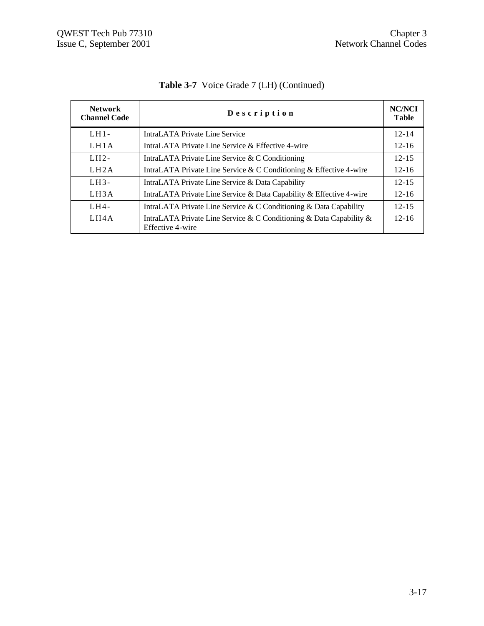| <b>Network</b><br><b>Channel Code</b> | Description                                                                             | <b>NC/NCI</b><br><b>Table</b> |
|---------------------------------------|-----------------------------------------------------------------------------------------|-------------------------------|
| $LH1-$                                | IntraLATA Private Line Service                                                          | $12 - 14$                     |
| LH1A                                  | IntraLATA Private Line Service & Effective 4-wire                                       | $12 - 16$                     |
| $LH2-$                                | IntraLATA Private Line Service & C Conditioning                                         | $12 - 15$                     |
| LH2A                                  | IntraLATA Private Line Service & C Conditioning & Effective 4-wire                      | $12 - 16$                     |
| $LH3-$                                | IntraLATA Private Line Service & Data Capability                                        | $12 - 15$                     |
| LH <sub>3</sub> A                     | IntraLATA Private Line Service & Data Capability & Effective 4-wire                     | $12 - 16$                     |
| $LHA$ -                               | IntraLATA Private Line Service & C Conditioning & Data Capability                       | $12 - 15$                     |
| LH4A                                  | IntraLATA Private Line Service & C Conditioning & Data Capability &<br>Effective 4-wire | $12 - 16$                     |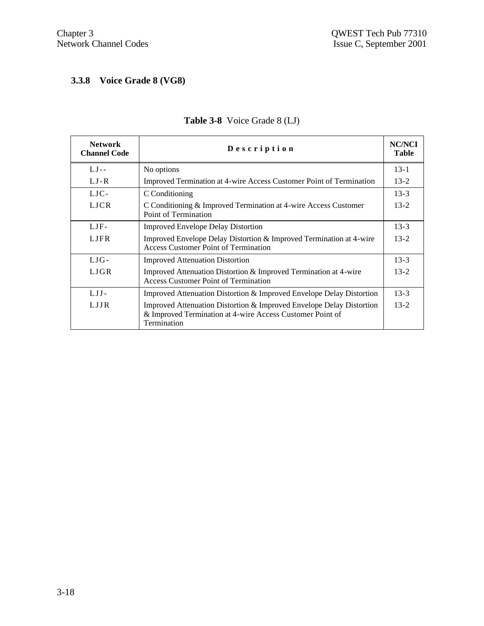## **3.3.8 Voice Grade 8 (VG8)**

| <b>Network</b><br><b>Channel Code</b> | Description                                                                                                                                      | <b>NC/NCI</b><br><b>Table</b> |
|---------------------------------------|--------------------------------------------------------------------------------------------------------------------------------------------------|-------------------------------|
| $LJ -$                                | No options                                                                                                                                       | $13 - 1$                      |
| LJ-R                                  | Improved Termination at 4-wire Access Customer Point of Termination                                                                              | $13 - 2$                      |
| LJC-                                  | C Conditioning                                                                                                                                   | $13-3$                        |
| <b>LJCR</b>                           | C Conditioning & Improved Termination at 4-wire Access Customer<br>Point of Termination                                                          | $13 - 2$                      |
| LJF-                                  | <b>Improved Envelope Delay Distortion</b>                                                                                                        | $13 - 3$                      |
| <b>LJFR</b>                           | Improved Envelope Delay Distortion & Improved Termination at 4-wire<br>Access Customer Point of Termination                                      | $13 - 2$                      |
| $LJG-$                                | <b>Improved Attenuation Distortion</b>                                                                                                           | $13 - 3$                      |
| LJGR                                  | Improved Attenuation Distortion & Improved Termination at 4-wire<br>Access Customer Point of Termination                                         | $13 - 2$                      |
| $LJI-$                                | Improved Attenuation Distortion & Improved Envelope Delay Distortion                                                                             | $13 - 3$                      |
| LJJR.                                 | Improved Attenuation Distortion & Improved Envelope Delay Distortion<br>& Improved Termination at 4-wire Access Customer Point of<br>Termination | $13 - 2$                      |

## **Table 3-8** Voice Grade 8 (LJ)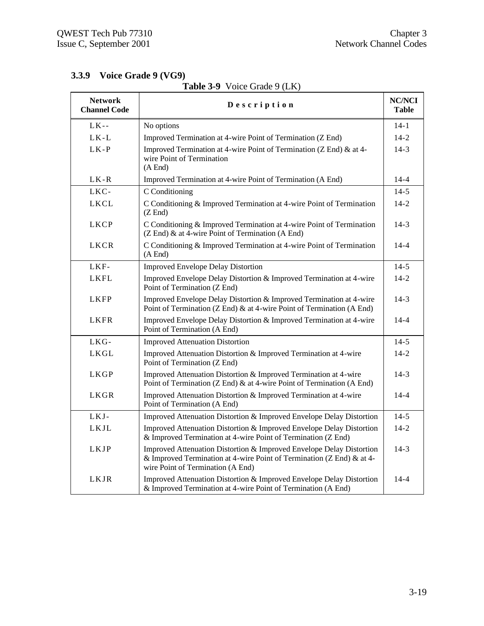| <b>Network</b><br><b>Channel Code</b> | Description                                                                                                                                                                        | <b>NC/NCI</b><br><b>Table</b> |
|---------------------------------------|------------------------------------------------------------------------------------------------------------------------------------------------------------------------------------|-------------------------------|
| $LK - -$                              | No options                                                                                                                                                                         | $14 - 1$                      |
| $LK-L$                                | Improved Termination at 4-wire Point of Termination (Z End)                                                                                                                        | $14 - 2$                      |
| $LK-P$                                | Improved Termination at 4-wire Point of Termination (Z End) & at 4-<br>wire Point of Termination<br>(A End)                                                                        | $14-3$                        |
| $LK-R$                                | Improved Termination at 4-wire Point of Termination (A End)                                                                                                                        | $14 - 4$                      |
| LKC-                                  | C Conditioning                                                                                                                                                                     | $14 - 5$                      |
| <b>LKCL</b>                           | C Conditioning & Improved Termination at 4-wire Point of Termination<br>$(Z \text{ End})$                                                                                          | $14 - 2$                      |
| <b>LKCP</b>                           | C Conditioning & Improved Termination at 4-wire Point of Termination<br>(Z End) & at 4-wire Point of Termination (A End)                                                           | $14-3$                        |
| LKCR                                  | C Conditioning & Improved Termination at 4-wire Point of Termination<br>(A End)                                                                                                    | $14 - 4$                      |
| LKF-                                  | <b>Improved Envelope Delay Distortion</b>                                                                                                                                          | $14-5$                        |
| <b>LKFL</b>                           | Improved Envelope Delay Distortion & Improved Termination at 4-wire<br>Point of Termination (Z End)                                                                                | $14 - 2$                      |
| <b>LKFP</b>                           | Improved Envelope Delay Distortion & Improved Termination at 4-wire<br>Point of Termination (Z End) & at 4-wire Point of Termination (A End)                                       | $14-3$                        |
| <b>LKFR</b>                           | Improved Envelope Delay Distortion & Improved Termination at 4-wire<br>Point of Termination (A End)                                                                                | $14 - 4$                      |
| LKG-                                  | <b>Improved Attenuation Distortion</b>                                                                                                                                             | $14-5$                        |
| <b>LKGL</b>                           | Improved Attenuation Distortion & Improved Termination at 4-wire<br>Point of Termination (Z End)                                                                                   | $14 - 2$                      |
| <b>LKGP</b>                           | Improved Attenuation Distortion & Improved Termination at 4-wire<br>Point of Termination (Z End) & at 4-wire Point of Termination (A End)                                          | $14-3$                        |
| <b>LKGR</b>                           | Improved Attenuation Distortion & Improved Termination at 4-wire<br>Point of Termination (A End)                                                                                   | $14 - 4$                      |
| LKJ-                                  | Improved Attenuation Distortion & Improved Envelope Delay Distortion                                                                                                               | $14 - 5$                      |
| <b>LKJL</b>                           | Improved Attenuation Distortion & Improved Envelope Delay Distortion<br>& Improved Termination at 4-wire Point of Termination (Z End)                                              | $14 - 2$                      |
| <b>LKJP</b>                           | Improved Attenuation Distortion & Improved Envelope Delay Distortion<br>& Improved Termination at 4-wire Point of Termination (Z End) & at 4-<br>wire Point of Termination (A End) | $14-3$                        |
| LKJR                                  | Improved Attenuation Distortion & Improved Envelope Delay Distortion<br>& Improved Termination at 4-wire Point of Termination (A End)                                              | $14 - 4$                      |

## **Table 3-9** Voice Grade 9 (LK)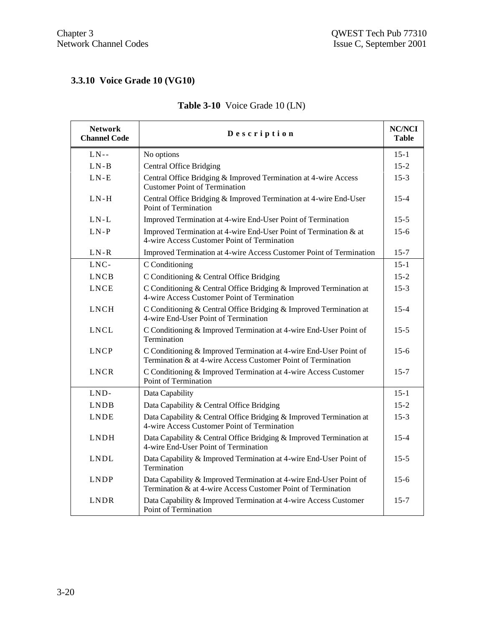## **3.3.10 Voice Grade 10 (VG10)**

| <b>Network</b><br><b>Channel Code</b> | Description                                                                                                                        |          |  |  |  |
|---------------------------------------|------------------------------------------------------------------------------------------------------------------------------------|----------|--|--|--|
| $LN-$                                 | No options                                                                                                                         | $15 - 1$ |  |  |  |
| $LN - B$                              | <b>Central Office Bridging</b>                                                                                                     |          |  |  |  |
| $LN-E$                                | Central Office Bridging & Improved Termination at 4-wire Access<br><b>Customer Point of Termination</b>                            | $15-3$   |  |  |  |
| $LN-H$                                | Central Office Bridging & Improved Termination at 4-wire End-User<br>Point of Termination                                          | $15 - 4$ |  |  |  |
| $LN-L$                                | Improved Termination at 4-wire End-User Point of Termination                                                                       | $15 - 5$ |  |  |  |
| $LN-P$                                | Improved Termination at 4-wire End-User Point of Termination & at<br>4-wire Access Customer Point of Termination                   | $15 - 6$ |  |  |  |
| $LN-R$                                | Improved Termination at 4-wire Access Customer Point of Termination                                                                | $15 - 7$ |  |  |  |
| LNC-                                  | C Conditioning                                                                                                                     | $15 - 1$ |  |  |  |
| <b>LNCB</b>                           | C Conditioning & Central Office Bridging                                                                                           | $15 - 2$ |  |  |  |
| <b>LNCE</b>                           | C Conditioning & Central Office Bridging & Improved Termination at<br>4-wire Access Customer Point of Termination                  | $15-3$   |  |  |  |
| <b>LNCH</b>                           | C Conditioning & Central Office Bridging & Improved Termination at<br>4-wire End-User Point of Termination                         |          |  |  |  |
| <b>LNCL</b>                           | C Conditioning & Improved Termination at 4-wire End-User Point of<br>Termination                                                   |          |  |  |  |
| <b>LNCP</b>                           | C Conditioning & Improved Termination at 4-wire End-User Point of<br>Termination & at 4-wire Access Customer Point of Termination  | $15 - 6$ |  |  |  |
| <b>LNCR</b>                           | C Conditioning & Improved Termination at 4-wire Access Customer<br>Point of Termination                                            | $15 - 7$ |  |  |  |
| LND-                                  | Data Capability                                                                                                                    | $15 - 1$ |  |  |  |
| <b>LNDB</b>                           | Data Capability & Central Office Bridging                                                                                          | $15 - 2$ |  |  |  |
| <b>LNDE</b>                           | Data Capability & Central Office Bridging & Improved Termination at<br>4-wire Access Customer Point of Termination                 | $15-3$   |  |  |  |
| <b>LNDH</b>                           | Data Capability & Central Office Bridging & Improved Termination at<br>4-wire End-User Point of Termination                        | $15 - 4$ |  |  |  |
| <b>LNDL</b>                           | Data Capability & Improved Termination at 4-wire End-User Point of<br>Termination                                                  |          |  |  |  |
| <b>LNDP</b>                           | Data Capability & Improved Termination at 4-wire End-User Point of<br>Termination & at 4-wire Access Customer Point of Termination |          |  |  |  |
| <b>LNDR</b>                           | Data Capability & Improved Termination at 4-wire Access Customer<br>Point of Termination                                           |          |  |  |  |

## **Table 3-10** Voice Grade 10 (LN)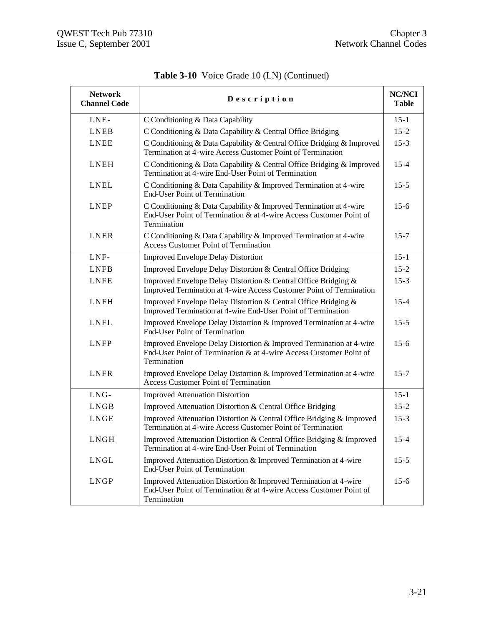| <b>Network</b><br><b>Channel Code</b> | <b>NC/NCI</b><br>Description                                                                                                                             |          |  |  |  |  |
|---------------------------------------|----------------------------------------------------------------------------------------------------------------------------------------------------------|----------|--|--|--|--|
| LNE-                                  | C Conditioning & Data Capability                                                                                                                         | $15 - 1$ |  |  |  |  |
| <b>LNEB</b>                           | C Conditioning & Data Capability & Central Office Bridging                                                                                               |          |  |  |  |  |
| <b>LNEE</b>                           | C Conditioning & Data Capability & Central Office Bridging & Improved<br>Termination at 4-wire Access Customer Point of Termination                      | $15-3$   |  |  |  |  |
| LNEH                                  | C Conditioning & Data Capability & Central Office Bridging & Improved<br>Termination at 4-wire End-User Point of Termination                             | $15 - 4$ |  |  |  |  |
| <b>LNEL</b>                           | C Conditioning & Data Capability & Improved Termination at 4-wire<br><b>End-User Point of Termination</b>                                                | $15-5$   |  |  |  |  |
| <b>LNEP</b>                           | C Conditioning & Data Capability & Improved Termination at 4-wire<br>End-User Point of Termination & at 4-wire Access Customer Point of<br>Termination   | $15-6$   |  |  |  |  |
| <b>LNER</b>                           | C Conditioning & Data Capability & Improved Termination at 4-wire<br><b>Access Customer Point of Termination</b>                                         | $15 - 7$ |  |  |  |  |
| LNF-                                  | <b>Improved Envelope Delay Distortion</b>                                                                                                                | $15 - 1$ |  |  |  |  |
| <b>LNFB</b>                           | Improved Envelope Delay Distortion & Central Office Bridging                                                                                             | $15 - 2$ |  |  |  |  |
| <b>LNFE</b>                           | Improved Envelope Delay Distortion & Central Office Bridging &<br>Improved Termination at 4-wire Access Customer Point of Termination                    | $15 - 3$ |  |  |  |  |
| <b>LNFH</b>                           | Improved Envelope Delay Distortion & Central Office Bridging &<br>Improved Termination at 4-wire End-User Point of Termination                           |          |  |  |  |  |
| <b>LNFL</b>                           | Improved Envelope Delay Distortion & Improved Termination at 4-wire<br><b>End-User Point of Termination</b>                                              | $15-5$   |  |  |  |  |
| <b>LNFP</b>                           | Improved Envelope Delay Distortion & Improved Termination at 4-wire<br>End-User Point of Termination & at 4-wire Access Customer Point of<br>Termination | $15-6$   |  |  |  |  |
| <b>LNFR</b>                           | Improved Envelope Delay Distortion & Improved Termination at 4-wire<br><b>Access Customer Point of Termination</b>                                       | $15 - 7$ |  |  |  |  |
| LNG-                                  | <b>Improved Attenuation Distortion</b>                                                                                                                   | $15 - 1$ |  |  |  |  |
| LNGB                                  | Improved Attenuation Distortion & Central Office Bridging                                                                                                | $15 - 2$ |  |  |  |  |
| LNGE                                  | Improved Attenuation Distortion & Central Office Bridging & Improved<br>Termination at 4-wire Access Customer Point of Termination                       | $15-3$   |  |  |  |  |
| LNGH                                  | Improved Attenuation Distortion & Central Office Bridging & Improved<br>Termination at 4-wire End-User Point of Termination                              | $15 - 4$ |  |  |  |  |
| LNGL                                  | Improved Attenuation Distortion & Improved Termination at 4-wire<br>End-User Point of Termination                                                        | $15 - 5$ |  |  |  |  |
| <b>LNGP</b>                           | Improved Attenuation Distortion & Improved Termination at 4-wire<br>End-User Point of Termination & at 4-wire Access Customer Point of<br>Termination    | $15-6$   |  |  |  |  |

**Table 3-10** Voice Grade 10 (LN) (Continued)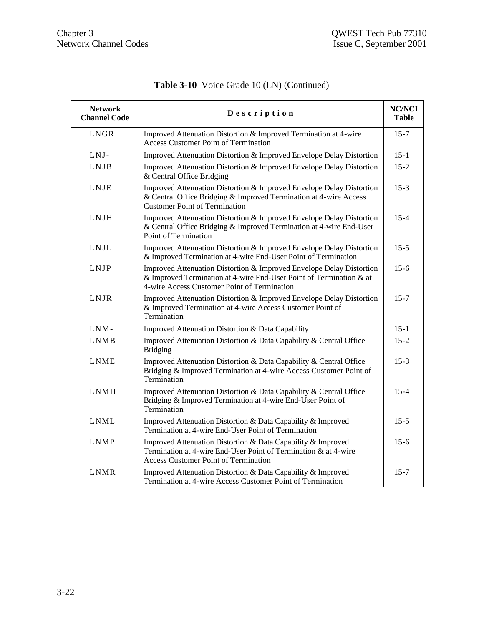| <b>Network</b><br><b>Channel Code</b> | Description                                                                                                                                                                                |          |  |  |  |
|---------------------------------------|--------------------------------------------------------------------------------------------------------------------------------------------------------------------------------------------|----------|--|--|--|
| LNGR                                  | Improved Attenuation Distortion & Improved Termination at 4-wire<br><b>Access Customer Point of Termination</b>                                                                            | $15 - 7$ |  |  |  |
| LNJ-                                  | Improved Attenuation Distortion & Improved Envelope Delay Distortion                                                                                                                       | $15 - 1$ |  |  |  |
| <b>LNJB</b>                           | Improved Attenuation Distortion & Improved Envelope Delay Distortion<br>& Central Office Bridging                                                                                          |          |  |  |  |
| LNJE                                  | Improved Attenuation Distortion & Improved Envelope Delay Distortion<br>& Central Office Bridging & Improved Termination at 4-wire Access<br><b>Customer Point of Termination</b>          |          |  |  |  |
| <b>LNJH</b>                           | Improved Attenuation Distortion & Improved Envelope Delay Distortion<br>& Central Office Bridging & Improved Termination at 4-wire End-User<br>Point of Termination                        |          |  |  |  |
| <b>LNJL</b>                           | Improved Attenuation Distortion & Improved Envelope Delay Distortion<br>& Improved Termination at 4-wire End-User Point of Termination                                                     | $15 - 5$ |  |  |  |
| <b>LNJP</b>                           | Improved Attenuation Distortion & Improved Envelope Delay Distortion<br>& Improved Termination at 4-wire End-User Point of Termination & at<br>4-wire Access Customer Point of Termination |          |  |  |  |
| LNJR                                  | Improved Attenuation Distortion & Improved Envelope Delay Distortion<br>& Improved Termination at 4-wire Access Customer Point of<br>Termination                                           | $15 - 7$ |  |  |  |
| LNM-                                  | Improved Attenuation Distortion & Data Capability                                                                                                                                          | $15 - 1$ |  |  |  |
| <b>LNMB</b>                           | Improved Attenuation Distortion & Data Capability & Central Office<br><b>Bridging</b>                                                                                                      | $15 - 2$ |  |  |  |
| <b>LNME</b>                           | Improved Attenuation Distortion & Data Capability & Central Office<br>Bridging & Improved Termination at 4-wire Access Customer Point of<br>Termination                                    | $15-3$   |  |  |  |
| <b>LNMH</b>                           | Improved Attenuation Distortion & Data Capability & Central Office<br>Bridging & Improved Termination at 4-wire End-User Point of<br>Termination                                           | $15 - 4$ |  |  |  |
| <b>LNML</b>                           | Improved Attenuation Distortion & Data Capability & Improved<br>Termination at 4-wire End-User Point of Termination                                                                        | $15 - 5$ |  |  |  |
| <b>LNMP</b>                           | Improved Attenuation Distortion & Data Capability & Improved<br>Termination at 4-wire End-User Point of Termination & at 4-wire<br><b>Access Customer Point of Termination</b>             | $15 - 6$ |  |  |  |
| <b>LNMR</b>                           | Improved Attenuation Distortion & Data Capability & Improved<br>Termination at 4-wire Access Customer Point of Termination                                                                 | $15 - 7$ |  |  |  |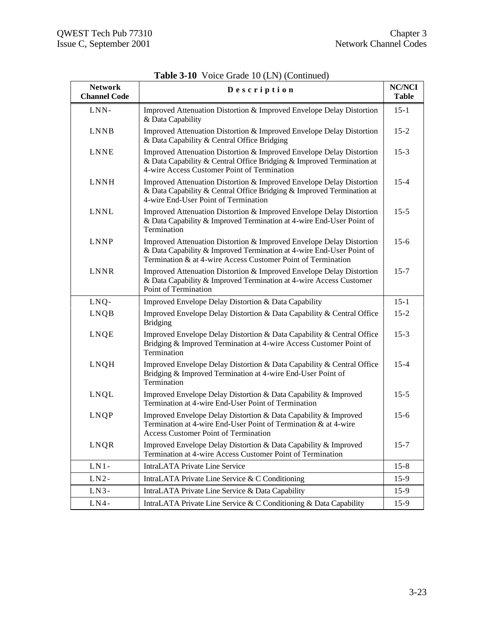| <b>Network</b><br><b>Channel Code</b> | <b>NC/NCI</b><br>Description                                                                                                                                                                                 |          |  |  |  |  |
|---------------------------------------|--------------------------------------------------------------------------------------------------------------------------------------------------------------------------------------------------------------|----------|--|--|--|--|
| LNN-                                  | Improved Attenuation Distortion & Improved Envelope Delay Distortion<br>& Data Capability                                                                                                                    | $15 - 1$ |  |  |  |  |
| <b>LNNB</b>                           | Improved Attenuation Distortion & Improved Envelope Delay Distortion<br>& Data Capability & Central Office Bridging                                                                                          |          |  |  |  |  |
| <b>LNNE</b>                           | Improved Attenuation Distortion & Improved Envelope Delay Distortion<br>& Data Capability & Central Office Bridging & Improved Termination at<br>4-wire Access Customer Point of Termination                 |          |  |  |  |  |
| <b>LNNH</b>                           | Improved Attenuation Distortion & Improved Envelope Delay Distortion<br>& Data Capability & Central Office Bridging & Improved Termination at<br>4-wire End-User Point of Termination                        | $15 - 4$ |  |  |  |  |
| <b>LNNL</b>                           | Improved Attenuation Distortion & Improved Envelope Delay Distortion<br>& Data Capability & Improved Termination at 4-wire End-User Point of<br>Termination                                                  | $15 - 5$ |  |  |  |  |
| <b>LNNP</b>                           | Improved Attenuation Distortion & Improved Envelope Delay Distortion<br>& Data Capability & Improved Termination at 4-wire End-User Point of<br>Termination & at 4-wire Access Customer Point of Termination |          |  |  |  |  |
| LNNR                                  | Improved Attenuation Distortion & Improved Envelope Delay Distortion<br>& Data Capability & Improved Termination at 4-wire Access Customer<br>Point of Termination                                           | $15 - 7$ |  |  |  |  |
| LNQ-                                  | Improved Envelope Delay Distortion & Data Capability                                                                                                                                                         | $15 - 1$ |  |  |  |  |
| LNQB                                  | Improved Envelope Delay Distortion & Data Capability & Central Office<br><b>Bridging</b>                                                                                                                     | $15 - 2$ |  |  |  |  |
| LNQE                                  | Improved Envelope Delay Distortion & Data Capability & Central Office<br>Bridging & Improved Termination at 4-wire Access Customer Point of<br>Termination                                                   | $15-3$   |  |  |  |  |
| LNQH                                  | Improved Envelope Delay Distortion & Data Capability & Central Office<br>Bridging & Improved Termination at 4-wire End-User Point of<br>Termination                                                          | $15 - 4$ |  |  |  |  |
| LNQL                                  | Improved Envelope Delay Distortion & Data Capability & Improved<br>Termination at 4-wire End-User Point of Termination                                                                                       | $15 - 5$ |  |  |  |  |
| LNQP                                  | Improved Envelope Delay Distortion & Data Capability & Improved<br>Termination at 4-wire End-User Point of Termination & at 4-wire<br><b>Access Customer Point of Termination</b>                            | $15-6$   |  |  |  |  |
| LNQR                                  | Improved Envelope Delay Distortion & Data Capability & Improved<br>Termination at 4-wire Access Customer Point of Termination                                                                                | $15 - 7$ |  |  |  |  |
| $LN1 -$                               | <b>IntraLATA Private Line Service</b>                                                                                                                                                                        | $15 - 8$ |  |  |  |  |
| $LN2-$                                | IntraLATA Private Line Service & C Conditioning                                                                                                                                                              | $15-9$   |  |  |  |  |
| $LN3-$                                | IntraLATA Private Line Service & Data Capability                                                                                                                                                             | $15-9$   |  |  |  |  |
| $LN4-$                                | IntraLATA Private Line Service & C Conditioning & Data Capability                                                                                                                                            | $15-9$   |  |  |  |  |

**Table 3-10** Voice Grade 10 (LN) (Continued)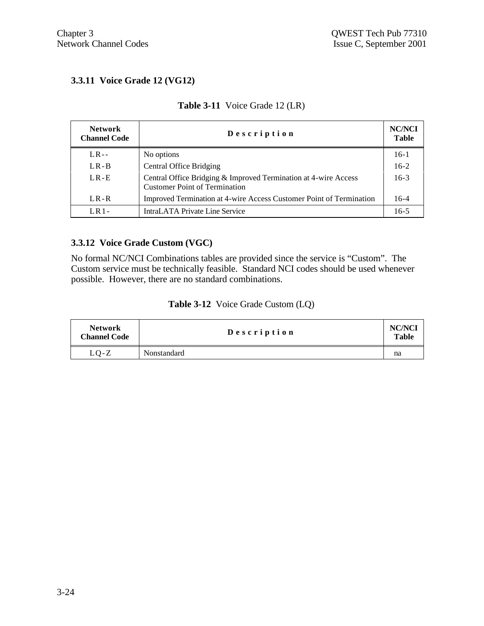## **3.3.11 Voice Grade 12 (VG12)**

| <b>Network</b><br><b>Channel Code</b> | Description                                                                                             |        |  |  |  |
|---------------------------------------|---------------------------------------------------------------------------------------------------------|--------|--|--|--|
| $LR -$                                | No options                                                                                              | $16-1$ |  |  |  |
| $LR - B$                              | <b>Central Office Bridging</b>                                                                          | $16-2$ |  |  |  |
| $LR - E$                              | Central Office Bridging & Improved Termination at 4-wire Access<br><b>Customer Point of Termination</b> | $16-3$ |  |  |  |
| $LR - R$                              | Improved Termination at 4-wire Access Customer Point of Termination                                     | $16-4$ |  |  |  |
| $LR1-$                                | IntraLATA Private Line Service                                                                          |        |  |  |  |

## **Table 3-11** Voice Grade 12 (LR)

#### **3.3.12 Voice Grade Custom (VGC)**

No formal NC/NCI Combinations tables are provided since the service is "Custom". The Custom service must be technically feasible. Standard NCI codes should be used whenever possible. However, there are no standard combinations.

| <b>Table 3-12</b> Voice Grade Custom (LQ) |
|-------------------------------------------|
|-------------------------------------------|

| <b>Network</b><br><b>Channel Code</b> | Description | NC/NCI<br>Table |
|---------------------------------------|-------------|-----------------|
| $LO-Z$                                | Nonstandard | na              |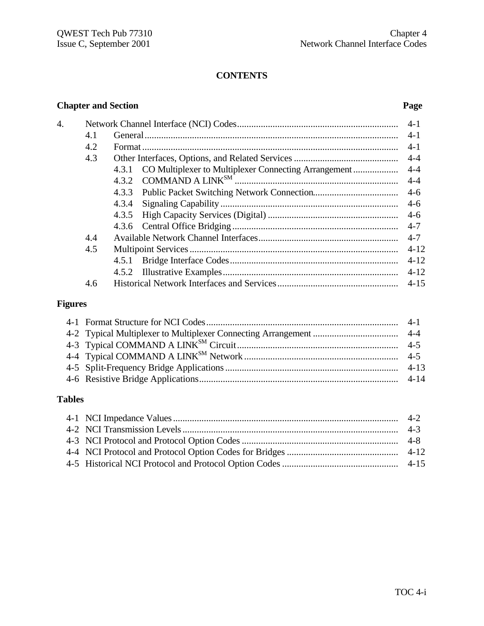## **CONTENTS**

## **Chapter and Section Page**

| 4. |     |                                                            | $4-1$    |
|----|-----|------------------------------------------------------------|----------|
|    | 4.1 |                                                            | $4-1$    |
|    | 4.2 |                                                            | $4-1$    |
|    | 4.3 |                                                            | $4 - 4$  |
|    |     | 4.3.1 CO Multiplexer to Multiplexer Connecting Arrangement | $4 - 4$  |
|    |     |                                                            | $4 - 4$  |
|    |     | 4.3.3 Public Packet Switching Network Connection           | $4-6$    |
|    |     | 4.3.4                                                      |          |
|    |     |                                                            | $4-6$    |
|    |     |                                                            |          |
|    | 4.4 |                                                            | $4 - 7$  |
|    | 4.5 |                                                            | $4 - 12$ |
|    |     |                                                            | $4 - 12$ |
|    |     |                                                            | $4 - 12$ |
|    | 4.6 |                                                            | $4 - 15$ |

## **Figures**

## **Tables**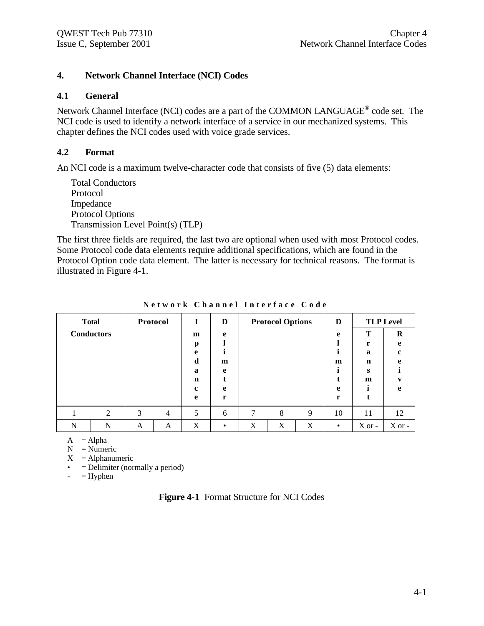## **4. Network Channel Interface (NCI) Codes**

#### **4.1 General**

Network Channel Interface (NCI) codes are a part of the COMMON LANGUAGE<sup>®</sup> code set. The NCI code is used to identify a network interface of a service in our mechanized systems. This chapter defines the NCI codes used with voice grade services.

## **4.2 Format**

An NCI code is a maximum twelve-character code that consists of five (5) data elements:

Total Conductors Protocol Impedance Protocol Options Transmission Level Point(s) (TLP)

The first three fields are required, the last two are optional when used with most Protocol codes. Some Protocol code data elements require additional specifications, which are found in the Protocol Option code data element. The latter is necessary for technical reasons. The format is illustrated in Figure 4-1.

|   | <b>Total</b>      | Protocol |                |                  | D |   | <b>Protocol Options</b> |   | D         |          | <b>TLP Level</b> |
|---|-------------------|----------|----------------|------------------|---|---|-------------------------|---|-----------|----------|------------------|
|   | <b>Conductors</b> |          |                | m                | e |   |                         | e | ௱<br>r    | R        |                  |
|   |                   |          |                | p<br>e           |   |   |                         |   |           | a        | e<br>c.          |
|   |                   |          |                | d                | m |   |                         |   | m         | n        | e                |
|   |                   |          |                | $\mathbf a$<br>n | e |   |                         |   |           | s<br>m   |                  |
|   |                   |          |                | c                | e |   |                         |   | e         |          | e                |
|   |                   |          |                | e                | r |   |                         |   | r         |          |                  |
|   | $\overline{c}$    | 3        | $\overline{4}$ | 5                | 6 | 7 | 8                       | 9 | 10        | 11       | 12               |
| N | N                 | A        | A              | X                |   | X | X                       | X | $\bullet$ | $X$ or - | $X$ or -         |

**Network Channel Interface Code**

 $A = Alpha$ 

 $N =$  Numeric

 $X =$ Alphanumeric

• = Delimiter (normally a period)

 $-$  = Hyphen

|  | <b>Figure 4-1</b> Format Structure for NCI Codes |  |
|--|--------------------------------------------------|--|
|--|--------------------------------------------------|--|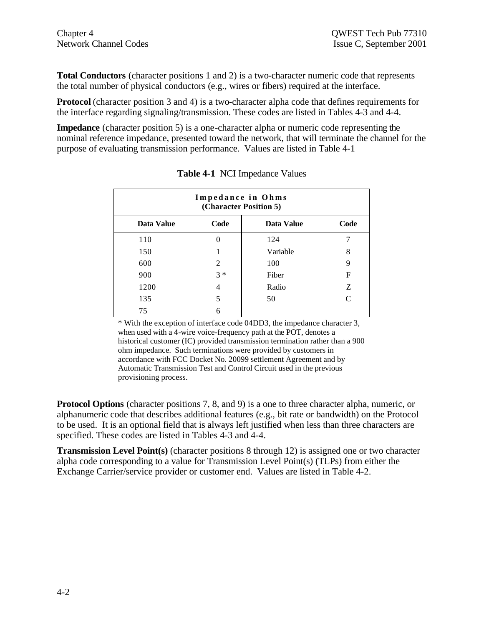**Total Conductors** (character positions 1 and 2) is a two-character numeric code that represents the total number of physical conductors (e.g., wires or fibers) required at the interface.

**Protocol** (character position 3 and 4) is a two-character alpha code that defines requirements for the interface regarding signaling/transmission. These codes are listed in Tables 4-3 and 4-4.

**Impedance** (character position 5) is a one-character alpha or numeric code representing the nominal reference impedance, presented toward the network, that will terminate the channel for the purpose of evaluating transmission performance. Values are listed in Table 4-1

| Impedance in Ohms<br>(Character Position 5) |                |            |      |  |  |
|---------------------------------------------|----------------|------------|------|--|--|
| Data Value                                  | Code           | Data Value | Code |  |  |
| 110                                         | 0              | 124        |      |  |  |
| 150                                         |                | Variable   | 8    |  |  |
| 600                                         | $\overline{c}$ | 100        | 9    |  |  |
| 900                                         | $3 *$          | Fiber      | F    |  |  |
| 1200                                        | 4              | Radio      | Z    |  |  |
| 135                                         | 5              | 50         | C    |  |  |
| 75                                          | 6              |            |      |  |  |

**Table 4-1** NCI Impedance Values

\* With the exception of interface code 04DD3, the impedance character 3, when used with a 4-wire voice-frequency path at the POT, denotes a historical customer (IC) provided transmission termination rather than a 900 ohm impedance. Such terminations were provided by customers in accordance with FCC Docket No. 20099 settlement Agreement and by Automatic Transmission Test and Control Circuit used in the previous provisioning process.

**Protocol Options** (character positions 7, 8, and 9) is a one to three character alpha, numeric, or alphanumeric code that describes additional features (e.g., bit rate or bandwidth) on the Protocol to be used. It is an optional field that is always left justified when less than three characters are specified. These codes are listed in Tables 4-3 and 4-4.

**Transmission Level Point(s)** (character positions 8 through 12) is assigned one or two character alpha code corresponding to a value for Transmission Level Point(s) (TLPs) from either the Exchange Carrier/service provider or customer end. Values are listed in Table 4-2.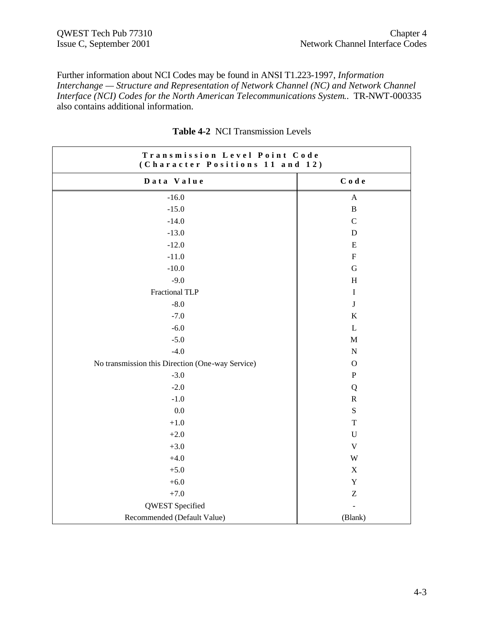Further information about NCI Codes may be found in ANSI T1.223-1997, *Information Interchange — Structure and Representation of Network Channel (NC) and Network Channel Interface (NCI) Codes for the North American Telecommunications System.*. TR-NWT-000335 also contains additional information.

| Transmission Level Point Code<br>(Character Positions 11 and 12) |                               |  |  |
|------------------------------------------------------------------|-------------------------------|--|--|
| Data Value                                                       | $\mathbf C$ o de              |  |  |
| $-16.0$                                                          | $\mathbf{A}$                  |  |  |
| $-15.0$                                                          | $\, {\bf B}$                  |  |  |
| $-14.0$                                                          | ${\bf C}$                     |  |  |
| $-13.0$                                                          | D                             |  |  |
| $-12.0$                                                          | E                             |  |  |
| $-11.0$                                                          | ${\bf F}$                     |  |  |
| $-10.0$                                                          | $\mathbf G$                   |  |  |
| $-9.0$                                                           | H                             |  |  |
| Fractional TLP                                                   | $\bf I$                       |  |  |
| $-8.0$                                                           | $\bf J$                       |  |  |
| $-7.0$                                                           | $\bf K$                       |  |  |
| $-6.0$                                                           | $\mathbf L$                   |  |  |
| $-5.0$                                                           | $\mathbf M$                   |  |  |
| $-4.0$                                                           | ${\bf N}$                     |  |  |
| No transmission this Direction (One-way Service)                 | $\mathbf O$                   |  |  |
| $-3.0$                                                           | ${\bf P}$                     |  |  |
| $-2.0$                                                           | Q                             |  |  |
| $-1.0$                                                           | ${\bf R}$                     |  |  |
| $0.0\,$                                                          | ${\bf S}$                     |  |  |
| $+1.0\,$                                                         | $\mathbf T$                   |  |  |
| $+2.0$                                                           | $\mathbf U$                   |  |  |
| $+3.0$                                                           | $\mathbf V$                   |  |  |
| $+4.0$                                                           | W                             |  |  |
| $+5.0$                                                           | X                             |  |  |
| $+6.0$                                                           | $\mathbf Y$                   |  |  |
| $+7.0$                                                           | $\ensuremath{\textnormal{Z}}$ |  |  |
| QWEST Specified                                                  | $\frac{1}{2}$                 |  |  |
| Recommended (Default Value)                                      | (Blank)                       |  |  |

|  |  | <b>Table 4-2 NCI Transmission Levels</b> |  |
|--|--|------------------------------------------|--|
|--|--|------------------------------------------|--|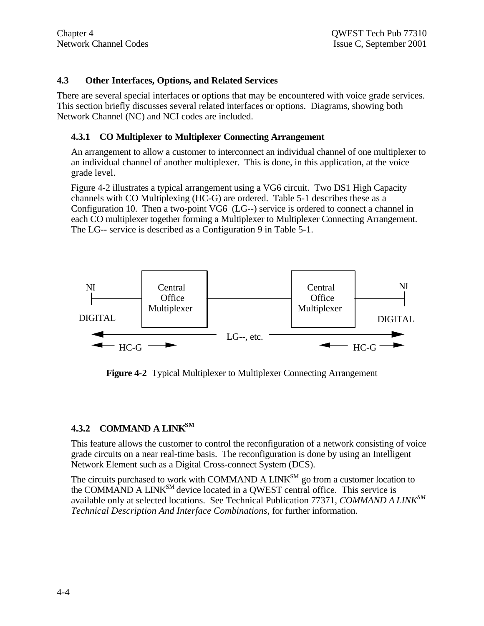## **4.3 Other Interfaces, Options, and Related Services**

There are several special interfaces or options that may be encountered with voice grade services. This section briefly discusses several related interfaces or options. Diagrams, showing both Network Channel (NC) and NCI codes are included.

## **4.3.1 CO Multiplexer to Multiplexer Connecting Arrangement**

An arrangement to allow a customer to interconnect an individual channel of one multiplexer to an individual channel of another multiplexer. This is done, in this application, at the voice grade level.

Figure 4-2 illustrates a typical arrangement using a VG6 circuit. Two DS1 High Capacity channels with CO Multiplexing (HC-G) are ordered. Table 5-1 describes these as a Configuration 10. Then a two-point VG6 (LG--) service is ordered to connect a channel in each CO multiplexer together forming a Multiplexer to Multiplexer Connecting Arrangement. The LG-- service is described as a Configuration 9 in Table 5-1.



**Figure 4-2** Typical Multiplexer to Multiplexer Connecting Arrangement

## **4.3.2 COMMAND A LINKSM**

This feature allows the customer to control the reconfiguration of a network consisting of voice grade circuits on a near real-time basis. The reconfiguration is done by using an Intelligent Network Element such as a Digital Cross-connect System (DCS).

The circuits purchased to work with COMMAND A  $LINK^{SM}$  go from a customer location to the COMMAND A LINKSM device located in a QWEST central office. This service is available only at selected locations. See Technical Publication 77371, *COMMAND A LINKSM Technical Description And Interface Combinations,* for further information.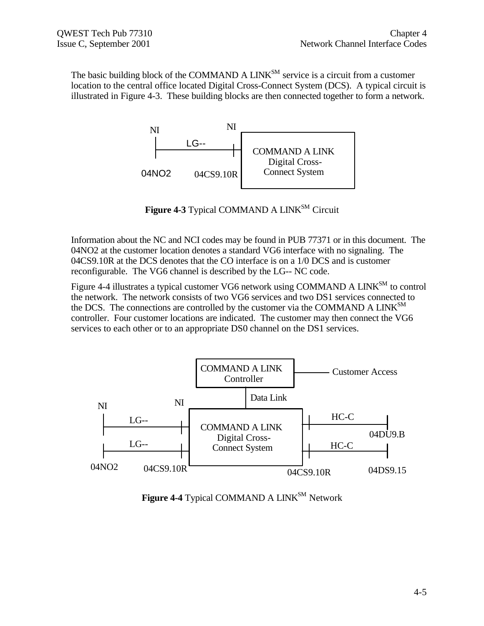The basic building block of the COMMAND A LINK<sup>SM</sup> service is a circuit from a customer location to the central office located Digital Cross-Connect System (DCS). A typical circuit is illustrated in Figure 4-3. These building blocks are then connected together to form a network.



Figure 4-3 Typical COMMAND A LINK<sup>SM</sup> Circuit

Information about the NC and NCI codes may be found in PUB 77371 or in this document. The 04NO2 at the customer location denotes a standard VG6 interface with no signaling. The 04CS9.10R at the DCS denotes that the CO interface is on a 1/0 DCS and is customer reconfigurable. The VG6 channel is described by the LG-- NC code.

Figure 4-4 illustrates a typical customer VG6 network using COMMAND A LINK<sup>SM</sup> to control the network. The network consists of two VG6 services and two DS1 services connected to the DCS. The connections are controlled by the customer via the COMMAND A LINK $^{SM}$ controller. Four customer locations are indicated. The customer may then connect the VG6 services to each other or to an appropriate DS0 channel on the DS1 services.



**Figure 4-4** Typical COMMAND A LINK<sup>SM</sup> Network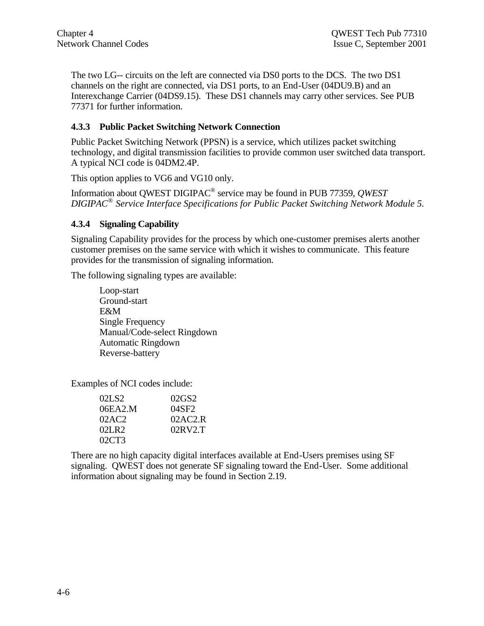The two LG-- circuits on the left are connected via DS0 ports to the DCS. The two DS1 channels on the right are connected, via DS1 ports, to an End-User (04DU9.B) and an Interexchange Carrier (04DS9.15). These DS1 channels may carry other services. See PUB 77371 for further information.

## **4.3.3 Public Packet Switching Network Connection**

Public Packet Switching Network (PPSN) is a service, which utilizes packet switching technology, and digital transmission facilities to provide common user switched data transport. A typical NCI code is 04DM2.4P.

This option applies to VG6 and VG10 only.

Information about QWEST DIGIPAC® service may be found in PUB 77359, *QWEST DIGIPAC® Service Interface Specifications for Public Packet Switching Network Module 5.*

## **4.3.4 Signaling Capability**

Signaling Capability provides for the process by which one-customer premises alerts another customer premises on the same service with which it wishes to communicate. This feature provides for the transmission of signaling information.

The following signaling types are available:

Loop-start Ground-start E&M Single Frequency Manual/Code-select Ringdown Automatic Ringdown Reverse-battery

Examples of NCI codes include:

| 02LS <sub>2</sub> | 02GS2   |
|-------------------|---------|
| 06EA2.M           | 04SF2   |
| 02AC2             | 02AC2.R |
| 02LR2             | 02RV2T  |
| 02CT3             |         |

There are no high capacity digital interfaces available at End-Users premises using SF signaling. QWEST does not generate SF signaling toward the End-User. Some additional information about signaling may be found in Section 2.19.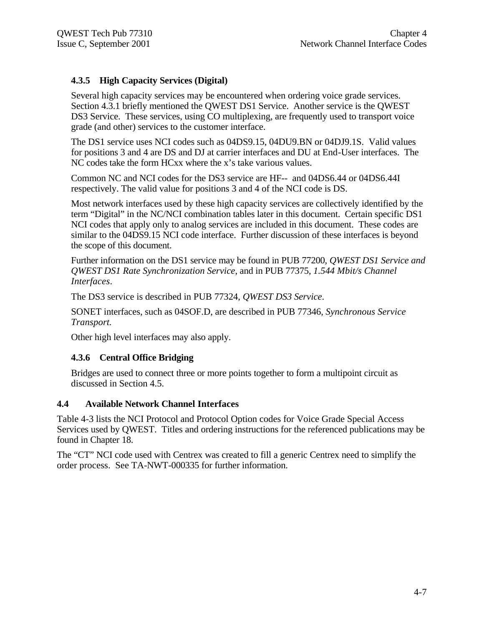## **4.3.5 High Capacity Services (Digital)**

Several high capacity services may be encountered when ordering voice grade services. Section 4.3.1 briefly mentioned the QWEST DS1 Service. Another service is the QWEST DS3 Service. These services, using CO multiplexing, are frequently used to transport voice grade (and other) services to the customer interface.

The DS1 service uses NCI codes such as 04DS9.15, 04DU9.BN or 04DJ9.1S. Valid values for positions 3 and 4 are DS and DJ at carrier interfaces and DU at End-User interfaces. The NC codes take the form HCxx where the x's take various values.

Common NC and NCI codes for the DS3 service are HF-- and 04DS6.44 or 04DS6.44I respectively. The valid value for positions 3 and 4 of the NCI code is DS.

Most network interfaces used by these high capacity services are collectively identified by the term "Digital" in the NC/NCI combination tables later in this document. Certain specific DS1 NCI codes that apply only to analog services are included in this document. These codes are similar to the 04DS9.15 NCI code interface. Further discussion of these interfaces is beyond the scope of this document.

Further information on the DS1 service may be found in PUB 77200, *QWEST DS1 Service and QWEST DS1 Rate Synchronization Service*, and in PUB 77375, *1.544 Mbit/s Channel Interfaces*.

The DS3 service is described in PUB 77324, *QWEST DS3 Service*.

SONET interfaces, such as 04SOF.D, are described in PUB 77346, *Synchronous Service Transport.*

Other high level interfaces may also apply.

#### **4.3.6 Central Office Bridging**

Bridges are used to connect three or more points together to form a multipoint circuit as discussed in Section 4.5.

#### **4.4 Available Network Channel Interfaces**

Table 4-3 lists the NCI Protocol and Protocol Option codes for Voice Grade Special Access Services used by QWEST. Titles and ordering instructions for the referenced publications may be found in Chapter 18.

The "CT" NCI code used with Centrex was created to fill a generic Centrex need to simplify the order process. See TA-NWT-000335 for further information.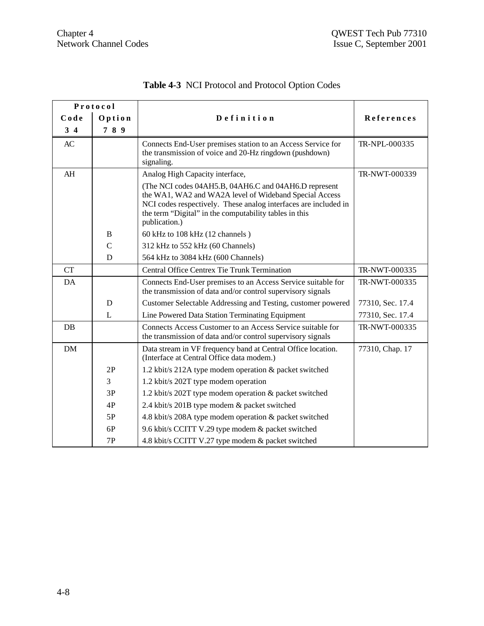|           | Protocol                                                                                                                                                                                                                                                      |                                                                                                                                            |                  |
|-----------|---------------------------------------------------------------------------------------------------------------------------------------------------------------------------------------------------------------------------------------------------------------|--------------------------------------------------------------------------------------------------------------------------------------------|------------------|
| Code      | Option                                                                                                                                                                                                                                                        | Definition                                                                                                                                 | References       |
| $3\quad4$ | 789                                                                                                                                                                                                                                                           |                                                                                                                                            |                  |
| AC        |                                                                                                                                                                                                                                                               | Connects End-User premises station to an Access Service for<br>the transmission of voice and 20-Hz ringdown (pushdown)<br>signaling.       | TR-NPL-000335    |
| AH        |                                                                                                                                                                                                                                                               | Analog High Capacity interface,                                                                                                            | TR-NWT-000339    |
|           | (The NCI codes 04AH5.B, 04AH6.C and 04AH6.D represent<br>the WA1, WA2 and WA2A level of Wideband Special Access<br>NCI codes respectively. These analog interfaces are included in<br>the term "Digital" in the computability tables in this<br>publication.) |                                                                                                                                            |                  |
|           | B                                                                                                                                                                                                                                                             | 60 kHz to 108 kHz (12 channels)                                                                                                            |                  |
|           | $\overline{C}$                                                                                                                                                                                                                                                | 312 kHz to 552 kHz (60 Channels)                                                                                                           |                  |
| D         |                                                                                                                                                                                                                                                               | 564 kHz to 3084 kHz (600 Channels)                                                                                                         |                  |
| <b>CT</b> | Central Office Centrex Tie Trunk Termination                                                                                                                                                                                                                  |                                                                                                                                            | TR-NWT-000335    |
| DA        |                                                                                                                                                                                                                                                               | Connects End-User premises to an Access Service suitable for<br>the transmission of data and/or control supervisory signals                | TR-NWT-000335    |
|           | D                                                                                                                                                                                                                                                             | Customer Selectable Addressing and Testing, customer powered                                                                               | 77310, Sec. 17.4 |
|           | L<br>Line Powered Data Station Terminating Equipment                                                                                                                                                                                                          |                                                                                                                                            | 77310, Sec. 17.4 |
| DB        |                                                                                                                                                                                                                                                               | Connects Access Customer to an Access Service suitable for<br>TR-NWT-000335<br>the transmission of data and/or control supervisory signals |                  |
| <b>DM</b> |                                                                                                                                                                                                                                                               | Data stream in VF frequency band at Central Office location.<br>(Interface at Central Office data modem.)                                  | 77310, Chap. 17  |
|           | 2P                                                                                                                                                                                                                                                            | 1.2 kbit/s 212A type modem operation & packet switched                                                                                     |                  |
|           | $\overline{3}$                                                                                                                                                                                                                                                | 1.2 kbit/s 202T type modem operation                                                                                                       |                  |
|           | 3P                                                                                                                                                                                                                                                            | 1.2 kbit/s 202T type modem operation & packet switched                                                                                     |                  |
|           | 4P                                                                                                                                                                                                                                                            | 2.4 kbit/s 201B type modem & packet switched                                                                                               |                  |
|           | 5P                                                                                                                                                                                                                                                            | 4.8 kbit/s 208A type modem operation & packet switched                                                                                     |                  |
|           | 6P                                                                                                                                                                                                                                                            | 9.6 kbit/s CCITT V.29 type modem & packet switched                                                                                         |                  |
|           | 7P                                                                                                                                                                                                                                                            | 4.8 kbit/s CCITT V.27 type modem & packet switched                                                                                         |                  |

# **Table 4-3** NCI Protocol and Protocol Option Codes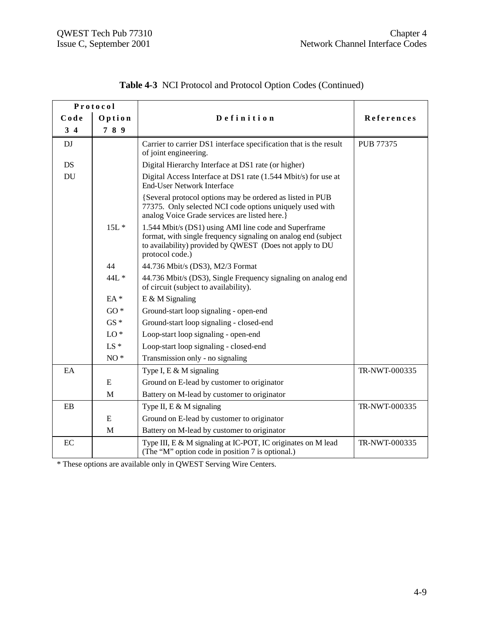| Protocol  |             |                                                                                                                                                                                                        |               |
|-----------|-------------|--------------------------------------------------------------------------------------------------------------------------------------------------------------------------------------------------------|---------------|
| Code      | Option      | Definition                                                                                                                                                                                             | References    |
| $3\quad4$ | 789         |                                                                                                                                                                                                        |               |
| DJ        |             | Carrier to carrier DS1 interface specification that is the result<br>of joint engineering.                                                                                                             | PUB 77375     |
| DS        |             | Digital Hierarchy Interface at DS1 rate (or higher)                                                                                                                                                    |               |
| DU        |             | Digital Access Interface at DS1 rate (1.544 Mbit/s) for use at<br><b>End-User Network Interface</b>                                                                                                    |               |
|           |             | {Several protocol options may be ordered as listed in PUB<br>77375. Only selected NCI code options uniquely used with<br>analog Voice Grade services are listed here.}                                 |               |
|           | $15L*$      | 1.544 Mbit/s (DS1) using AMI line code and Superframe<br>format, with single frequency signaling on analog end (subject<br>to availability) provided by QWEST (Does not apply to DU<br>protocol code.) |               |
|           | 44          | 44.736 Mbit/s (DS3), M2/3 Format                                                                                                                                                                       |               |
| 44L *     |             | 44.736 Mbit/s (DS3), Single Frequency signaling on analog end<br>of circuit (subject to availability).                                                                                                 |               |
| $EA*$     |             | $E \& M$ Signaling                                                                                                                                                                                     |               |
|           | $GO*$       | Ground-start loop signaling - open-end                                                                                                                                                                 |               |
|           | $GS*$       | Ground-start loop signaling - closed-end                                                                                                                                                               |               |
|           | $LO*$       | Loop-start loop signaling - open-end                                                                                                                                                                   |               |
|           | $LS *$      | Loop-start loop signaling - closed-end                                                                                                                                                                 |               |
|           | $NO*$       | Transmission only - no signaling                                                                                                                                                                       |               |
| EA        |             | Type I, E & M signaling                                                                                                                                                                                | TR-NWT-000335 |
|           | ${\bf E}$   | Ground on E-lead by customer to originator                                                                                                                                                             |               |
|           | $\mathbf M$ | Battery on M-lead by customer to originator                                                                                                                                                            |               |
| $\rm EB$  |             | Type II, $E \& M$ signaling                                                                                                                                                                            | TR-NWT-000335 |
|           | ${\bf E}$   | Ground on E-lead by customer to originator                                                                                                                                                             |               |
|           | M           | Battery on M-lead by customer to originator                                                                                                                                                            |               |
| EC        |             | Type III, E & M signaling at IC-POT, IC originates on M lead<br>(The "M" option code in position 7 is optional.)                                                                                       | TR-NWT-000335 |

|  | Table 4-3 NCI Protocol and Protocol Option Codes (Continued) |  |  |  |  |
|--|--------------------------------------------------------------|--|--|--|--|
|--|--------------------------------------------------------------|--|--|--|--|

\* These options are available only in QWEST Serving Wire Centers.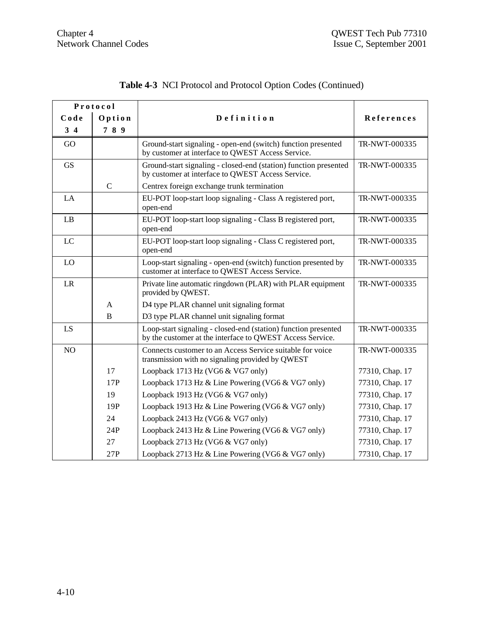| Protocol       |                                                                                                                  |                                                                                                                                              |                 |
|----------------|------------------------------------------------------------------------------------------------------------------|----------------------------------------------------------------------------------------------------------------------------------------------|-----------------|
| Code           | Option                                                                                                           | Definition                                                                                                                                   | References      |
| $3\quad 4$     | 789                                                                                                              |                                                                                                                                              |                 |
| GO             |                                                                                                                  | Ground-start signaling - open-end (switch) function presented<br>by customer at interface to QWEST Access Service.                           | TR-NWT-000335   |
| <b>GS</b>      |                                                                                                                  | Ground-start signaling - closed-end (station) function presented<br>by customer at interface to QWEST Access Service.                        | TR-NWT-000335   |
|                | $\mathbf C$                                                                                                      | Centrex foreign exchange trunk termination                                                                                                   |                 |
| LA             |                                                                                                                  | EU-POT loop-start loop signaling - Class A registered port,<br>open-end                                                                      | TR-NWT-000335   |
| LB             |                                                                                                                  | EU-POT loop-start loop signaling - Class B registered port,<br>open-end                                                                      | TR-NWT-000335   |
| $_{\text{LC}}$ |                                                                                                                  | EU-POT loop-start loop signaling - Class C registered port,<br>TR-NWT-000335<br>open-end                                                     |                 |
| LO             | Loop-start signaling - open-end (switch) function presented by<br>customer at interface to QWEST Access Service. |                                                                                                                                              | TR-NWT-000335   |
| LR             |                                                                                                                  | Private line automatic ringdown (PLAR) with PLAR equipment<br>provided by QWEST.                                                             | TR-NWT-000335   |
|                | $\mathbf{A}$                                                                                                     | D4 type PLAR channel unit signaling format                                                                                                   |                 |
|                | $\overline{B}$                                                                                                   | D3 type PLAR channel unit signaling format                                                                                                   |                 |
| LS             |                                                                                                                  | Loop-start signaling - closed-end (station) function presented<br>TR-NWT-000335<br>by the customer at the interface to QWEST Access Service. |                 |
| NO             |                                                                                                                  | Connects customer to an Access Service suitable for voice<br>transmission with no signaling provided by QWEST                                | TR-NWT-000335   |
|                | 17                                                                                                               | Loopback 1713 Hz (VG6 & VG7 only)                                                                                                            | 77310, Chap. 17 |
|                | 17P                                                                                                              | Loopback 1713 Hz & Line Powering (VG6 & VG7 only)                                                                                            | 77310, Chap. 17 |
|                | 19                                                                                                               | Loopback 1913 Hz (VG6 & VG7 only)                                                                                                            | 77310, Chap. 17 |
|                | 19P                                                                                                              | Loopback 1913 Hz & Line Powering (VG6 & VG7 only)                                                                                            | 77310, Chap. 17 |
|                | 24                                                                                                               | Loopback 2413 Hz (VG6 & VG7 only)                                                                                                            | 77310, Chap. 17 |
|                | 24P                                                                                                              | Loopback 2413 Hz & Line Powering (VG6 & VG7 only)                                                                                            | 77310, Chap. 17 |
|                | 27                                                                                                               | Loopback 2713 Hz (VG6 & VG7 only)                                                                                                            | 77310, Chap. 17 |
|                | 27P                                                                                                              | Loopback 2713 Hz & Line Powering (VG6 & VG7 only)                                                                                            | 77310, Chap. 17 |

# **Table 4-3** NCI Protocol and Protocol Option Codes (Continued)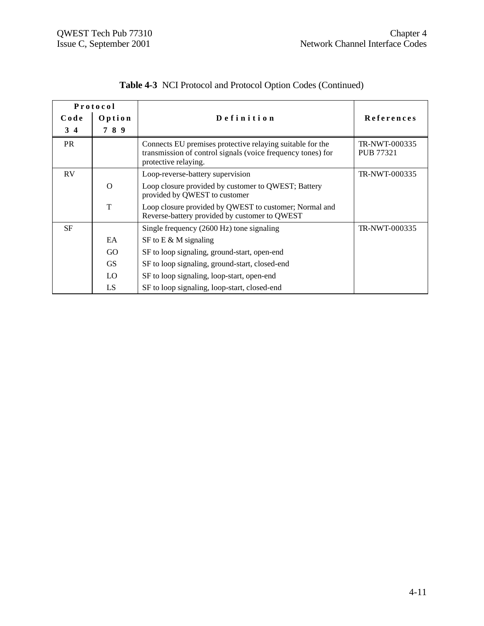| Protocol        |          |                                                                                                                                                  |                                   |
|-----------------|----------|--------------------------------------------------------------------------------------------------------------------------------------------------|-----------------------------------|
| Code            | Option   | Definition                                                                                                                                       | References                        |
| $3\overline{4}$ | 789      |                                                                                                                                                  |                                   |
| <b>PR</b>       |          | Connects EU premises protective relaying suitable for the<br>transmission of control signals (voice frequency tones) for<br>protective relaying. | TR-NWT-000335<br><b>PUB 77321</b> |
| RV              |          | Loop-reverse-battery supervision                                                                                                                 | TR-NWT-000335                     |
|                 | $\Omega$ | Loop closure provided by customer to QWEST; Battery<br>provided by QWEST to customer                                                             |                                   |
|                 | T        | Loop closure provided by QWEST to customer; Normal and<br>Reverse-battery provided by customer to QWEST                                          |                                   |
| <b>SF</b>       |          | Single frequency (2600 Hz) tone signaling                                                                                                        | TR-NWT-000335                     |
|                 | EA       | SF to E & M signaling                                                                                                                            |                                   |
|                 | GO       | SF to loop signaling, ground-start, open-end                                                                                                     |                                   |
|                 | GS.      | SF to loop signaling, ground-start, closed-end                                                                                                   |                                   |
|                 | LO.      | SF to loop signaling, loop-start, open-end                                                                                                       |                                   |
|                 | LS       | SF to loop signaling, loop-start, closed-end                                                                                                     |                                   |

# **Table 4-3** NCI Protocol and Protocol Option Codes (Continued)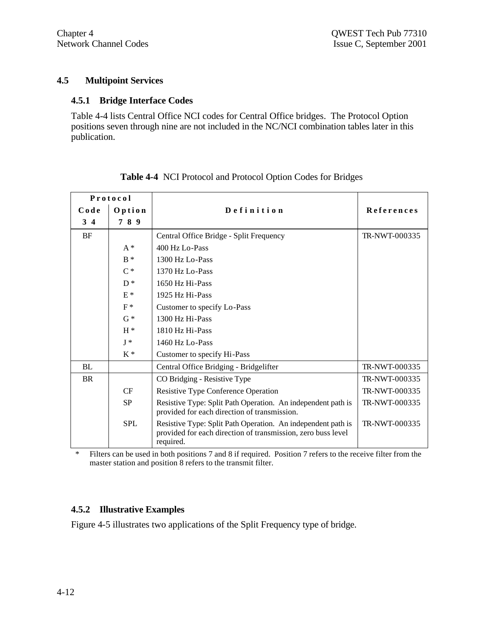#### **4.5 Multipoint Services**

#### **4.5.1 Bridge Interface Codes**

Table 4-4 lists Central Office NCI codes for Central Office bridges. The Protocol Option positions seven through nine are not included in the NC/NCI combination tables later in this publication.

| Protocol   |            |                                                                                                                                           |                   |
|------------|------------|-------------------------------------------------------------------------------------------------------------------------------------------|-------------------|
| Code       | Option     | Definition                                                                                                                                | <b>References</b> |
| $3\quad 4$ | 789        |                                                                                                                                           |                   |
| <b>BF</b>  |            | Central Office Bridge - Split Frequency                                                                                                   | TR-NWT-000335     |
|            | $A^*$      | 400 Hz Lo-Pass                                                                                                                            |                   |
|            | $B^*$      | 1300 Hz Lo-Pass                                                                                                                           |                   |
|            | $C^*$      | 1370 Hz Lo-Pass                                                                                                                           |                   |
|            | $D^*$      | 1650 Hz Hi-Pass                                                                                                                           |                   |
|            | $E^*$      | 1925 Hz Hi-Pass                                                                                                                           |                   |
|            | $F^*$      | Customer to specify Lo-Pass                                                                                                               |                   |
|            | $G*$       | 1300 Hz Hi-Pass                                                                                                                           |                   |
|            | $H^*$      | 1810 Hz Hi-Pass                                                                                                                           |                   |
|            | $I^*$      | 1460 Hz Lo-Pass                                                                                                                           |                   |
|            | $K^*$      | Customer to specify Hi-Pass                                                                                                               |                   |
| BL         |            | Central Office Bridging - Bridgelifter                                                                                                    | TR-NWT-000335     |
| BR         |            | CO Bridging - Resistive Type                                                                                                              | TR-NWT-000335     |
|            | CF         | Resistive Type Conference Operation                                                                                                       | TR-NWT-000335     |
|            | <b>SP</b>  | Resistive Type: Split Path Operation. An independent path is<br>provided for each direction of transmission.                              | TR-NWT-000335     |
|            | <b>SPL</b> | Resistive Type: Split Path Operation. An independent path is<br>provided for each direction of transmission, zero buss level<br>required. | TR-NWT-000335     |

#### **Table 4-4** NCI Protocol and Protocol Option Codes for Bridges

\* Filters can be used in both positions 7 and 8 if required. Position 7 refers to the receive filter from the master station and position 8 refers to the transmit filter.

### **4.5.2 Illustrative Examples**

Figure 4-5 illustrates two applications of the Split Frequency type of bridge.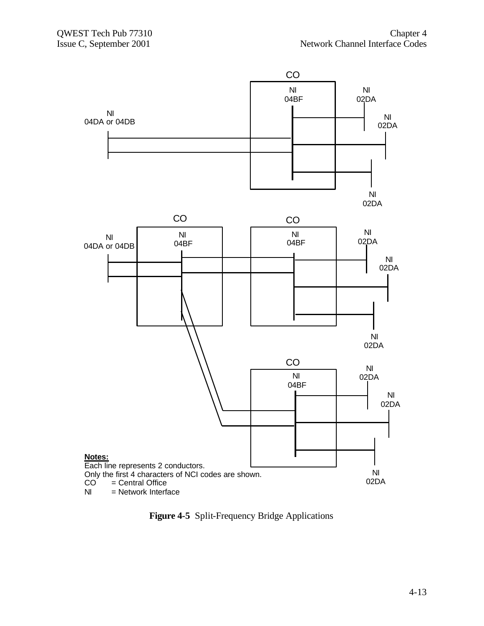

**Figure 4-5** Split-Frequency Bridge Applications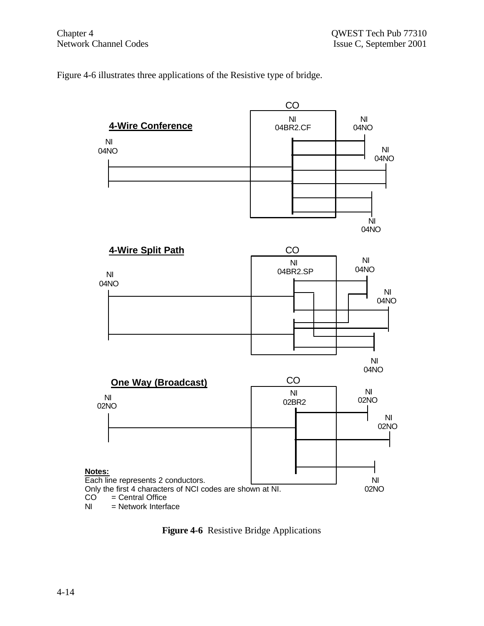Figure 4-6 illustrates three applications of the Resistive type of bridge.



**Figure 4-6** Resistive Bridge Applications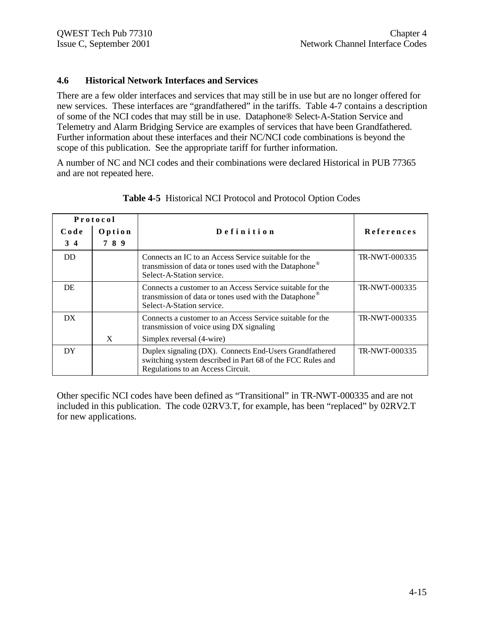#### **4.6 Historical Network Interfaces and Services**

There are a few older interfaces and services that may still be in use but are no longer offered for new services. These interfaces are "grandfathered" in the tariffs. Table 4-7 contains a description of some of the NCI codes that may still be in use. Dataphone® Select-A-Station Service and Telemetry and Alarm Bridging Service are examples of services that have been Grandfathered. Further information about these interfaces and their NC/NCI code combinations is beyond the scope of this publication. See the appropriate tariff for further information.

A number of NC and NCI codes and their combinations were declared Historical in PUB 77365 and are not repeated here.

| Protocol |        |                                                                                                                                                            |                   |
|----------|--------|------------------------------------------------------------------------------------------------------------------------------------------------------------|-------------------|
| Code     | Option | Definition                                                                                                                                                 | <b>References</b> |
| 3 4      | 789    |                                                                                                                                                            |                   |
| DD       |        | Connects an IC to an Access Service suitable for the<br>transmission of data or tones used with the Dataphone®<br>Select-A-Station service.                | TR-NWT-000335     |
| DE       |        | Connects a customer to an Access Service suitable for the<br>transmission of data or tones used with the Dataphone®<br>Select-A-Station service.           | TR-NWT-000335     |
| DX.      |        | Connects a customer to an Access Service suitable for the<br>transmission of voice using DX signaling                                                      | TR-NWT-000335     |
|          | X      | Simplex reversal (4-wire)                                                                                                                                  |                   |
| DY       |        | Duplex signaling (DX). Connects End-Users Grandfathered<br>switching system described in Part 68 of the FCC Rules and<br>Regulations to an Access Circuit. | TR-NWT-000335     |

**Table 4-5** Historical NCI Protocol and Protocol Option Codes

Other specific NCI codes have been defined as "Transitional" in TR-NWT-000335 and are not included in this publication. The code 02RV3.T, for example, has been "replaced" by 02RV2.T for new applications.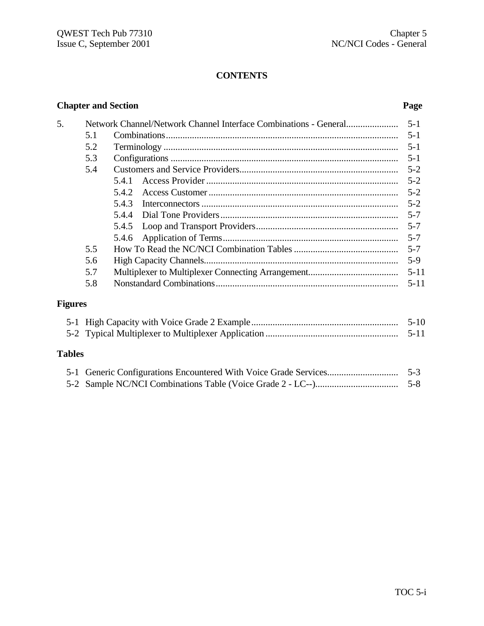# **CONTENTS**

| 5. |     |       |          |
|----|-----|-------|----------|
|    | 5.1 |       |          |
|    | 5.2 |       |          |
|    | 5.3 |       | $5-1$    |
|    | 5.4 |       |          |
|    |     | 5.4.1 |          |
|    |     | 5.4.2 |          |
|    |     | 5.4.3 |          |
|    |     |       |          |
|    |     |       |          |
|    |     |       |          |
|    | 5.5 |       | $5 - 7$  |
|    | 5.6 |       | $5-9$    |
|    | 5.7 |       | $5 - 11$ |
|    | 5.8 |       | $5 - 11$ |
|    |     |       |          |

# **Figures**

|  | $5-10$ |
|--|--------|
|  |        |

# **Tables**

#### **Chapter and Section Page**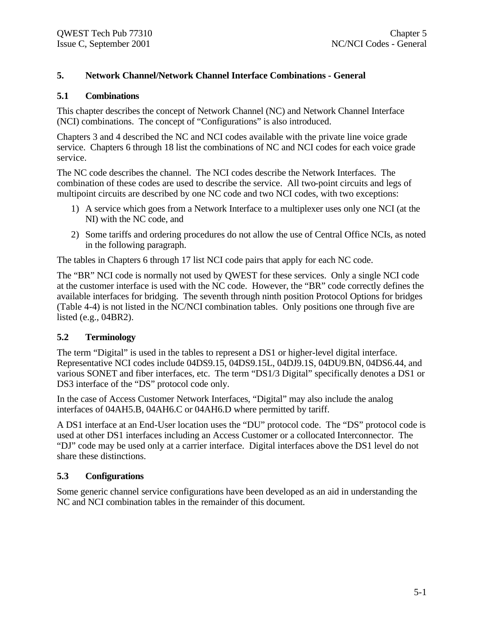#### **5. Network Channel/Network Channel Interface Combinations - General**

#### **5.1 Combinations**

This chapter describes the concept of Network Channel (NC) and Network Channel Interface (NCI) combinations. The concept of "Configurations" is also introduced.

Chapters 3 and 4 described the NC and NCI codes available with the private line voice grade service. Chapters 6 through 18 list the combinations of NC and NCI codes for each voice grade service.

The NC code describes the channel. The NCI codes describe the Network Interfaces. The combination of these codes are used to describe the service. All two-point circuits and legs of multipoint circuits are described by one NC code and two NCI codes, with two exceptions:

- 1) A service which goes from a Network Interface to a multiplexer uses only one NCI (at the NI) with the NC code, and
- 2) Some tariffs and ordering procedures do not allow the use of Central Office NCIs, as noted in the following paragraph.

The tables in Chapters 6 through 17 list NCI code pairs that apply for each NC code.

The "BR" NCI code is normally not used by QWEST for these services. Only a single NCI code at the customer interface is used with the NC code. However, the "BR" code correctly defines the available interfaces for bridging. The seventh through ninth position Protocol Options for bridges (Table 4-4) is not listed in the NC/NCI combination tables. Only positions one through five are listed (e.g., 04BR2).

#### **5.2 Terminology**

The term "Digital" is used in the tables to represent a DS1 or higher-level digital interface. Representative NCI codes include 04DS9.15, 04DS9.15L, 04DJ9.1S, 04DU9.BN, 04DS6.44, and various SONET and fiber interfaces, etc. The term "DS1/3 Digital" specifically denotes a DS1 or DS3 interface of the "DS" protocol code only.

In the case of Access Customer Network Interfaces, "Digital" may also include the analog interfaces of 04AH5.B, 04AH6.C or 04AH6.D where permitted by tariff.

A DS1 interface at an End-User location uses the "DU" protocol code. The "DS" protocol code is used at other DS1 interfaces including an Access Customer or a collocated Interconnector. The "DJ" code may be used only at a carrier interface. Digital interfaces above the DS1 level do not share these distinctions.

#### **5.3 Configurations**

Some generic channel service configurations have been developed as an aid in understanding the NC and NCI combination tables in the remainder of this document.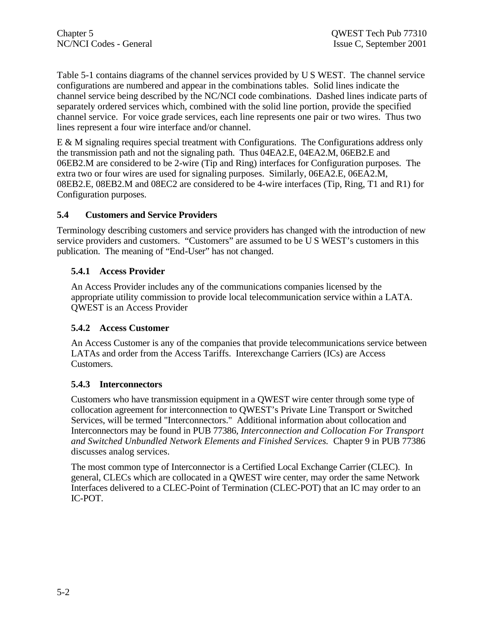Table 5-1 contains diagrams of the channel services provided by U S WEST. The channel service configurations are numbered and appear in the combinations tables. Solid lines indicate the channel service being described by the NC/NCI code combinations. Dashed lines indicate parts of separately ordered services which, combined with the solid line portion, provide the specified channel service. For voice grade services, each line represents one pair or two wires. Thus two lines represent a four wire interface and/or channel.

E & M signaling requires special treatment with Configurations. The Configurations address only the transmission path and not the signaling path. Thus 04EA2.E, 04EA2.M, 06EB2.E and 06EB2.M are considered to be 2-wire (Tip and Ring) interfaces for Configuration purposes. The extra two or four wires are used for signaling purposes. Similarly, 06EA2.E, 06EA2.M, 08EB2.E, 08EB2.M and 08EC2 are considered to be 4-wire interfaces (Tip, Ring, T1 and R1) for Configuration purposes.

### **5.4 Customers and Service Providers**

Terminology describing customers and service providers has changed with the introduction of new service providers and customers. "Customers" are assumed to be U S WEST's customers in this publication. The meaning of "End-User" has not changed.

## **5.4.1 Access Provider**

An Access Provider includes any of the communications companies licensed by the appropriate utility commission to provide local telecommunication service within a LATA. QWEST is an Access Provider

### **5.4.2 Access Customer**

An Access Customer is any of the companies that provide telecommunications service between LATAs and order from the Access Tariffs. Interexchange Carriers (ICs) are Access Customers.

### **5.4.3 Interconnectors**

Customers who have transmission equipment in a QWEST wire center through some type of collocation agreement for interconnection to QWEST's Private Line Transport or Switched Services, will be termed "Interconnectors." Additional information about collocation and Interconnectors may be found in PUB 77386, *Interconnection and Collocation For Transport and Switched Unbundled Network Elements and Finished Services.* Chapter 9 in PUB 77386 discusses analog services.

The most common type of Interconnector is a Certified Local Exchange Carrier (CLEC). In general, CLECs which are collocated in a QWEST wire center, may order the same Network Interfaces delivered to a CLEC-Point of Termination (CLEC-POT) that an IC may order to an IC-POT.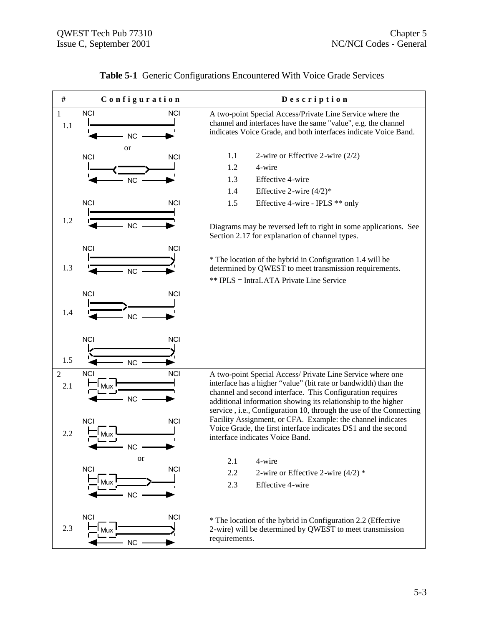| #                     | Configuration                                                           | Description                                                                                                                                                                                                                                                                                                                       |
|-----------------------|-------------------------------------------------------------------------|-----------------------------------------------------------------------------------------------------------------------------------------------------------------------------------------------------------------------------------------------------------------------------------------------------------------------------------|
| 1<br>1.1              | <b>NCI</b><br><b>NCI</b><br><b>NC</b>                                   | A two-point Special Access/Private Line Service where the<br>channel and interfaces have the same "value", e.g. the channel<br>indicates Voice Grade, and both interfaces indicate Voice Band.                                                                                                                                    |
|                       | or<br><b>NCI</b><br><b>NCI</b><br><b>NC</b><br><b>NCI</b><br><b>NCI</b> | 1.1<br>2-wire or Effective 2-wire $(2/2)$<br>4-wire<br>1.2<br>Effective 4-wire<br>1.3<br>Effective 2-wire $(4/2)*$<br>1.4<br>Effective 4-wire - IPLS ** only<br>1.5                                                                                                                                                               |
| 1.2                   | NC<br><b>NCI</b><br><b>NCI</b>                                          | Diagrams may be reversed left to right in some applications. See<br>Section 2.17 for explanation of channel types.                                                                                                                                                                                                                |
| 1.3                   | <b>NC</b>                                                               | * The location of the hybrid in Configuration 1.4 will be<br>determined by QWEST to meet transmission requirements.<br>** IPLS = IntraLATA Private Line Service                                                                                                                                                                   |
| 1.4                   | <b>NCI</b><br><b>NCI</b><br><b>NC</b>                                   |                                                                                                                                                                                                                                                                                                                                   |
| 1.5                   | <b>NCI</b><br><b>NCI</b><br><b>NC</b>                                   |                                                                                                                                                                                                                                                                                                                                   |
| $\overline{2}$<br>2.1 | <b>NCI</b><br><b>NCI</b><br><b>NC</b>                                   | A two-point Special Access/ Private Line Service where one<br>interface has a higher "value" (bit rate or bandwidth) than the<br>channel and second interface. This Configuration requires<br>additional information showing its relationship to the higher<br>service, i.e., Configuration 10, through the use of the Connecting |
| 2.2                   | <b>NCI</b><br><b>NCI</b><br>Mux<br>NC<br>or                             | Facility Assignment, or CFA. Example: the channel indicates<br>Voice Grade, the first interface indicates DS1 and the second<br>interface indicates Voice Band.                                                                                                                                                                   |
|                       | <b>NCI</b><br><b>NCI</b><br>Mux<br>$NC$                                 | 4-wire<br>2.1<br>2.2<br>2-wire or Effective 2-wire $(4/2)$ *<br>2.3<br>Effective 4-wire                                                                                                                                                                                                                                           |
| 2.3                   | <b>NCI</b><br><b>NCI</b><br>лих<br>NC                                   | * The location of the hybrid in Configuration 2.2 (Effective<br>2-wire) will be determined by QWEST to meet transmission<br>requirements.                                                                                                                                                                                         |

# **Table 5-1** Generic Configurations Encountered With Voice Grade Services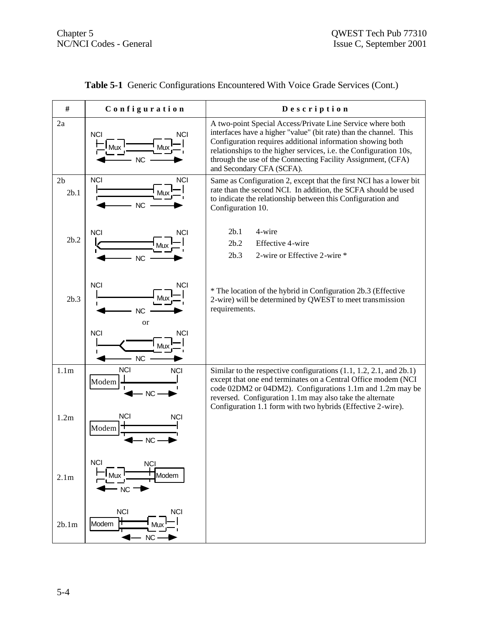| #                      | Configuration                                   | Description                                                                                                                                                                                                                                                                                                                                                      |
|------------------------|-------------------------------------------------|------------------------------------------------------------------------------------------------------------------------------------------------------------------------------------------------------------------------------------------------------------------------------------------------------------------------------------------------------------------|
| 2a                     | <b>NCI</b><br><b>NCI</b><br><b>NC</b>           | A two-point Special Access/Private Line Service where both<br>interfaces have a higher "value" (bit rate) than the channel. This<br>Configuration requires additional information showing both<br>relationships to the higher services, i.e. the Configuration 10s,<br>through the use of the Connecting Facility Assignment, (CFA)<br>and Secondary CFA (SCFA). |
| 2 <sub>b</sub><br>2b.1 | <b>NCI</b><br><b>NCI</b><br>Vlux<br><b>NC</b>   | Same as Configuration 2, except that the first NCI has a lower bit<br>rate than the second NCI. In addition, the SCFA should be used<br>to indicate the relationship between this Configuration and<br>Configuration 10.                                                                                                                                         |
| 2b.2                   | <b>NCI</b><br><b>NCI</b><br><b>NC</b>           | 4-wire<br>2b.1<br>2b.2<br>Effective 4-wire<br>2b.3<br>2-wire or Effective 2-wire *                                                                                                                                                                                                                                                                               |
| 2b.3                   | <b>NCI</b><br><b>NCI</b><br><b>NC</b><br>or     | * The location of the hybrid in Configuration 2b.3 (Effective<br>2-wire) will be determined by QWEST to meet transmission<br>requirements.                                                                                                                                                                                                                       |
|                        | <b>NCI</b><br><b>NCI</b><br>Mu<br><b>NC</b>     |                                                                                                                                                                                                                                                                                                                                                                  |
| 1.1 <sub>m</sub>       | <b>NCI</b><br><b>NCI</b><br>Modem<br><b>NC</b>  | Similar to the respective configurations $(1.1, 1.2, 2.1, \text{ and } 2b.1)$<br>except that one end terminates on a Central Office modem (NCI<br>code 02DM2 or 04DM2). Configurations 1.1m and 1.2m may be<br>reversed. Configuration 1.1m may also take the alternate<br>Configuration 1.1 form with two hybrids (Effective 2-wire).                           |
| 1.2m                   | <b>NCI</b><br><b>NCI</b><br>Modem<br>NC         |                                                                                                                                                                                                                                                                                                                                                                  |
| 2.1 <sub>m</sub>       | <b>NCI</b><br><b>NCI</b><br>Modem<br>$-$ NC $-$ |                                                                                                                                                                                                                                                                                                                                                                  |
| 2b.1m                  | <b>NCI</b><br><b>NCI</b><br>Modem<br>$NC -$     |                                                                                                                                                                                                                                                                                                                                                                  |

# **Table 5-1** Generic Configurations Encountered With Voice Grade Services (Cont.)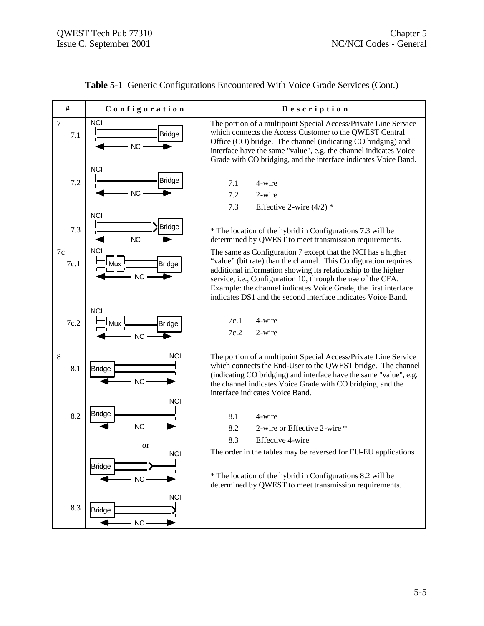| #                     | Configuration                                   | Description                                                                                                                                                                                                                                                                                                                                                                                          |
|-----------------------|-------------------------------------------------|------------------------------------------------------------------------------------------------------------------------------------------------------------------------------------------------------------------------------------------------------------------------------------------------------------------------------------------------------------------------------------------------------|
| $\overline{7}$<br>7.1 | <b>NCI</b><br><b>Bridge</b><br>NC               | The portion of a multipoint Special Access/Private Line Service<br>which connects the Access Customer to the QWEST Central<br>Office (CO) bridge. The channel (indicating CO bridging) and<br>interface have the same "value", e.g. the channel indicates Voice<br>Grade with CO bridging, and the interface indicates Voice Band.                                                                   |
| 7.2                   | <b>NCI</b><br><b>Bridge</b><br><b>NC</b>        | 7.1<br>4-wire<br>7.2<br>2-wire<br>7.3<br>Effective 2-wire $(4/2)$ *                                                                                                                                                                                                                                                                                                                                  |
| 7.3                   | <b>NCI</b><br><b>Bridge</b><br>NC               | * The location of the hybrid in Configurations 7.3 will be<br>determined by QWEST to meet transmission requirements.                                                                                                                                                                                                                                                                                 |
| 7c<br>7c.1            | <b>NCI</b><br><b>Bridge</b><br>Mux<br>NC        | The same as Configuration 7 except that the NCI has a higher<br>"value" (bit rate) than the channel. This Configuration requires<br>additional information showing its relationship to the higher<br>service, i.e., Configuration 10, through the use of the CFA.<br>Example: the channel indicates Voice Grade, the first interface<br>indicates DS1 and the second interface indicates Voice Band. |
| 7c.2                  | <b>NCI</b><br>Mux<br><b>Bridge</b><br>NC        | 7c.1<br>4-wire<br>7c.2<br>2-wire                                                                                                                                                                                                                                                                                                                                                                     |
| 8<br>8.1              | <b>NCI</b><br><b>Bridge</b><br>NC<br><b>NCI</b> | The portion of a multipoint Special Access/Private Line Service<br>which connects the End-User to the QWEST bridge. The channel<br>(indicating CO bridging) and interface have the same "value", e.g.<br>the channel indicates Voice Grade with CO bridging, and the<br>interface indicates Voice Band.                                                                                              |
| 8.2                   | <b>Bridge</b><br>NC<br>or<br><b>NCI</b>         | 8.1<br>4-wire<br>8.2<br>2-wire or Effective 2-wire *<br>8.3<br>Effective 4-wire<br>The order in the tables may be reversed for EU-EU applications                                                                                                                                                                                                                                                    |
|                       | <b>Bridge</b><br>NC<br><b>NCI</b>               | * The location of the hybrid in Configurations 8.2 will be<br>determined by QWEST to meet transmission requirements.                                                                                                                                                                                                                                                                                 |
| 8.3                   | <b>Bridge</b><br>$NC -$                         |                                                                                                                                                                                                                                                                                                                                                                                                      |

# **Table 5-1** Generic Configurations Encountered With Voice Grade Services (Cont.)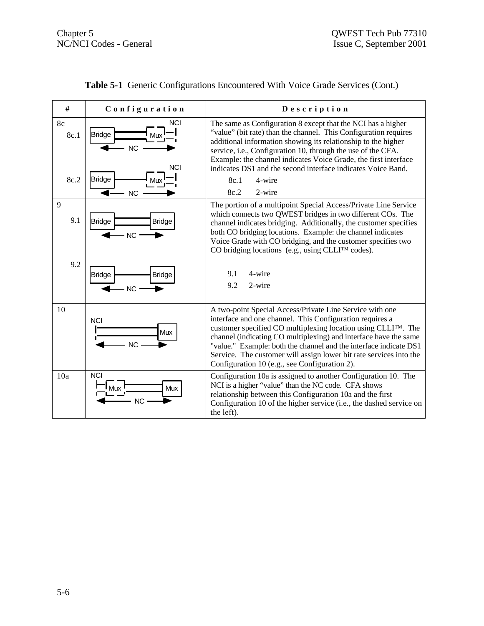| #                  | Configuration                                                                | Description                                                                                                                                                                                                                                                                                                                                                                                                                                                        |
|--------------------|------------------------------------------------------------------------------|--------------------------------------------------------------------------------------------------------------------------------------------------------------------------------------------------------------------------------------------------------------------------------------------------------------------------------------------------------------------------------------------------------------------------------------------------------------------|
| 8c<br>8c.1<br>8c.2 | <b>NCI</b><br>Bridge<br>Mw<br><b>NC</b><br><b>NCI</b><br>Bridge<br><b>NC</b> | The same as Configuration 8 except that the NCI has a higher<br>"value" (bit rate) than the channel. This Configuration requires<br>additional information showing its relationship to the higher<br>service, i.e., Configuration 10, through the use of the CFA.<br>Example: the channel indicates Voice Grade, the first interface<br>indicates DS1 and the second interface indicates Voice Band.<br>8c.1<br>4-wire<br>2-wire<br>8c.2                           |
| 9<br>9.1           | <b>Bridge</b><br><b>Bridge</b><br><b>NC</b>                                  | The portion of a multipoint Special Access/Private Line Service<br>which connects two QWEST bridges in two different COs. The<br>channel indicates bridging. Additionally, the customer specifies<br>both CO bridging locations. Example: the channel indicates<br>Voice Grade with CO bridging, and the customer specifies two<br>CO bridging locations (e.g., using CLLI <sup>TM</sup> codes).                                                                   |
| 9.2                | <b>Bridge</b><br><b>Bridge</b><br><b>NC</b>                                  | 9.1<br>4-wire<br>2-wire<br>9.2                                                                                                                                                                                                                                                                                                                                                                                                                                     |
| 10                 | <b>NCI</b><br><b>Mux</b><br>NC                                               | A two-point Special Access/Private Line Service with one<br>interface and one channel. This Configuration requires a<br>customer specified CO multiplexing location using CLLI <sup>TM</sup> . The<br>channel (indicating CO multiplexing) and interface have the same<br>"value." Example: both the channel and the interface indicate DS1<br>Service. The customer will assign lower bit rate services into the<br>Configuration 10 (e.g., see Configuration 2). |
| 10a                | <b>NCI</b><br>Mux<br><b>NC</b>                                               | Configuration 10a is assigned to another Configuration 10. The<br>NCI is a higher "value" than the NC code. CFA shows<br>relationship between this Configuration 10a and the first<br>Configuration 10 of the higher service (i.e., the dashed service on<br>the left).                                                                                                                                                                                            |

| Table 5-1 Generic Configurations Encountered With Voice Grade Services (Cont.) |  |
|--------------------------------------------------------------------------------|--|
|--------------------------------------------------------------------------------|--|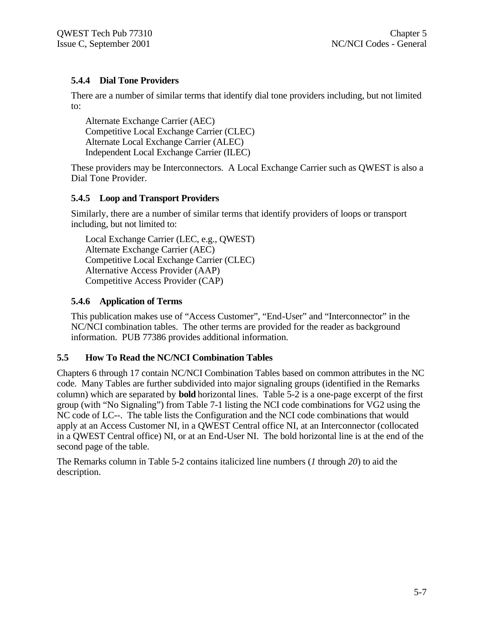## **5.4.4 Dial Tone Providers**

There are a number of similar terms that identify dial tone providers including, but not limited to:

Alternate Exchange Carrier (AEC) Competitive Local Exchange Carrier (CLEC) Alternate Local Exchange Carrier (ALEC) Independent Local Exchange Carrier (ILEC)

These providers may be Interconnectors. A Local Exchange Carrier such as QWEST is also a Dial Tone Provider.

### **5.4.5 Loop and Transport Providers**

Similarly, there are a number of similar terms that identify providers of loops or transport including, but not limited to:

Local Exchange Carrier (LEC, e.g., QWEST) Alternate Exchange Carrier (AEC) Competitive Local Exchange Carrier (CLEC) Alternative Access Provider (AAP) Competitive Access Provider (CAP)

### **5.4.6 Application of Terms**

This publication makes use of "Access Customer", "End-User" and "Interconnector" in the NC/NCI combination tables. The other terms are provided for the reader as background information. PUB 77386 provides additional information.

### **5.5 How To Read the NC/NCI Combination Tables**

Chapters 6 through 17 contain NC/NCI Combination Tables based on common attributes in the NC code. Many Tables are further subdivided into major signaling groups (identified in the Remarks column) which are separated by **bold** horizontal lines. Table 5-2 is a one-page excerpt of the first group (with "No Signaling") from Table 7-1 listing the NCI code combinations for VG2 using the NC code of LC--. The table lists the Configuration and the NCI code combinations that would apply at an Access Customer NI, in a QWEST Central office NI, at an Interconnector (collocated in a QWEST Central office) NI, or at an End-User NI. The bold horizontal line is at the end of the second page of the table.

The Remarks column in Table 5-2 contains italicized line numbers (*1* through *20*) to aid the description.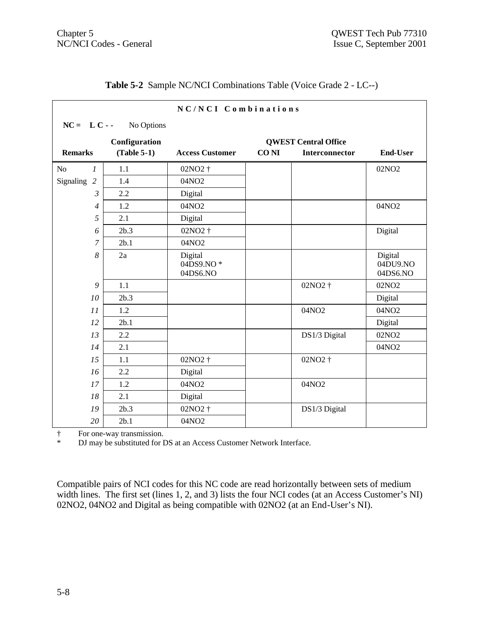|                                |                                              | NC/NCI Combinations              |             |                |                                 |  |
|--------------------------------|----------------------------------------------|----------------------------------|-------------|----------------|---------------------------------|--|
| $NC = LC -$                    | No Options                                   |                                  |             |                |                                 |  |
|                                | Configuration<br><b>QWEST Central Office</b> |                                  |             |                |                                 |  |
| <b>Remarks</b>                 | $(Table 5-1)$                                | <b>Access Customer</b>           | <b>CONI</b> | Interconnector | <b>End-User</b>                 |  |
| N <sub>0</sub><br>$\mathcal I$ | 1.1                                          | 02NO2 †                          |             |                | 02NO <sub>2</sub>               |  |
| Signaling 2                    | 1.4                                          | 04NO2                            |             |                |                                 |  |
| 3                              | 2.2                                          | Digital                          |             |                |                                 |  |
| $\overline{4}$                 | 1.2                                          | 04NO2                            |             |                | 04NO2                           |  |
| 5                              | 2.1                                          | Digital                          |             |                |                                 |  |
| 6                              | 2b.3                                         | 02NO2 †                          |             |                | Digital                         |  |
| 7                              | 2b.1                                         | 04NO2                            |             |                |                                 |  |
| 8                              | 2a                                           | Digital<br>04DS9.NO*<br>04DS6.NO |             |                | Digital<br>04DU9.NO<br>04DS6.NO |  |
| 9                              | 1.1                                          |                                  |             | 02NO2 †        | 02NO <sub>2</sub>               |  |
| 10                             | 2b.3                                         |                                  |             |                | Digital                         |  |
| 11                             | 1.2                                          |                                  |             | 04NO2          | 04NO2                           |  |
| 12                             | 2b.1                                         |                                  |             |                | Digital                         |  |
| 13                             | 2.2                                          |                                  |             | DS1/3 Digital  | 02NO <sub>2</sub>               |  |
| 14                             | 2.1                                          |                                  |             |                | 04NO2                           |  |
| 15                             | 1.1                                          | 02NO2 †                          |             | 02NO2 †        |                                 |  |
| 16                             | 2.2                                          | Digital                          |             |                |                                 |  |
| 17                             | 1.2                                          | 04NO2                            |             | 04NO2          |                                 |  |
| 18                             | 2.1                                          | Digital                          |             |                |                                 |  |
| 19                             | 2b.3                                         | 02NO2 †                          |             | DS1/3 Digital  |                                 |  |
| 20                             | 2b.1                                         | 04NO2                            |             |                |                                 |  |

## **Table 5-2** Sample NC/NCI Combinations Table (Voice Grade 2 - LC--)

† For one-way transmission.<br> **N** may be substituted for I

DJ may be substituted for DS at an Access Customer Network Interface.

Compatible pairs of NCI codes for this NC code are read horizontally between sets of medium width lines. The first set (lines 1, 2, and 3) lists the four NCI codes (at an Access Customer's NI) 02NO2, 04NO2 and Digital as being compatible with 02NO2 (at an End-User's NI).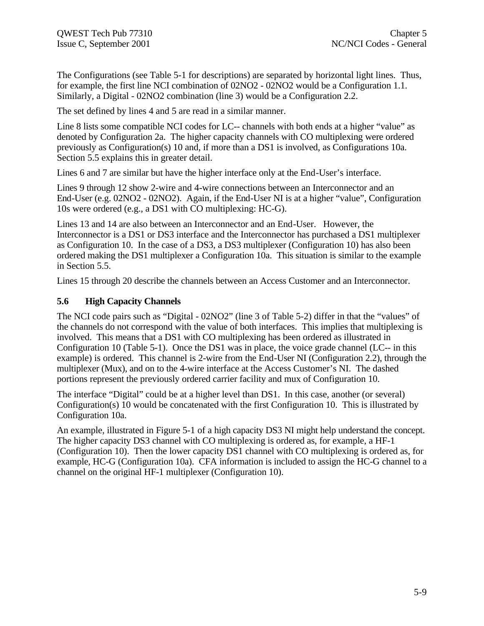The Configurations (see Table 5-1 for descriptions) are separated by horizontal light lines. Thus, for example, the first line NCI combination of 02NO2 - 02NO2 would be a Configuration 1.1. Similarly, a Digital - 02NO2 combination (line 3) would be a Configuration 2.2.

The set defined by lines 4 and 5 are read in a similar manner.

Line 8 lists some compatible NCI codes for LC-- channels with both ends at a higher "value" as denoted by Configuration 2a. The higher capacity channels with CO multiplexing were ordered previously as Configuration(s) 10 and, if more than a DS1 is involved, as Configurations 10a. Section 5.5 explains this in greater detail.

Lines 6 and 7 are similar but have the higher interface only at the End-User's interface.

Lines 9 through 12 show 2-wire and 4-wire connections between an Interconnector and an End-User (e.g. 02NO2 - 02NO2). Again, if the End-User NI is at a higher "value", Configuration 10s were ordered (e.g., a DS1 with CO multiplexing: HC-G).

Lines 13 and 14 are also between an Interconnector and an End-User. However, the Interconnector is a DS1 or DS3 interface and the Interconnector has purchased a DS1 multiplexer as Configuration 10. In the case of a DS3, a DS3 multiplexer (Configuration 10) has also been ordered making the DS1 multiplexer a Configuration 10a. This situation is similar to the example in Section 5.5.

Lines 15 through 20 describe the channels between an Access Customer and an Interconnector.

#### **5.6 High Capacity Channels**

The NCI code pairs such as "Digital - 02NO2" (line 3 of Table 5-2) differ in that the "values" of the channels do not correspond with the value of both interfaces. This implies that multiplexing is involved. This means that a DS1 with CO multiplexing has been ordered as illustrated in Configuration 10 (Table 5-1). Once the DS1 was in place, the voice grade channel (LC-- in this example) is ordered. This channel is 2-wire from the End-User NI (Configuration 2.2), through the multiplexer (Mux), and on to the 4-wire interface at the Access Customer's NI. The dashed portions represent the previously ordered carrier facility and mux of Configuration 10.

The interface "Digital" could be at a higher level than DS1. In this case, another (or several) Configuration(s) 10 would be concatenated with the first Configuration 10. This is illustrated by Configuration 10a.

An example, illustrated in Figure 5-1 of a high capacity DS3 NI might help understand the concept. The higher capacity DS3 channel with CO multiplexing is ordered as, for example, a HF-1 (Configuration 10). Then the lower capacity DS1 channel with CO multiplexing is ordered as, for example, HC-G (Configuration 10a). CFA information is included to assign the HC-G channel to a channel on the original HF-1 multiplexer (Configuration 10).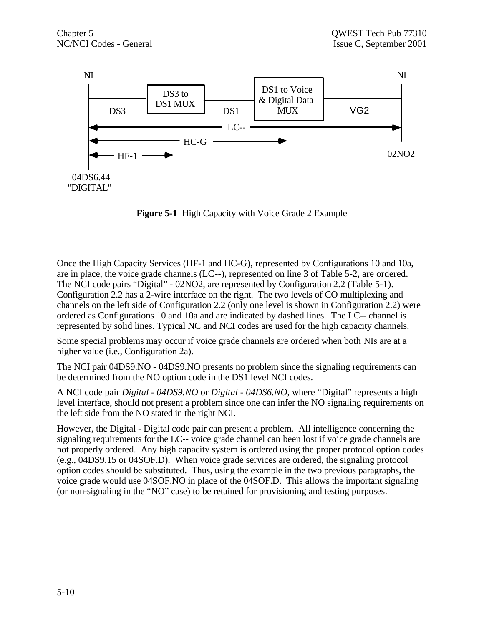

**Figure 5-1** High Capacity with Voice Grade 2 Example

Once the High Capacity Services (HF-1 and HC-G), represented by Configurations 10 and 10a, are in place, the voice grade channels (LC--), represented on line 3 of Table 5-2, are ordered. The NCI code pairs "Digital" - 02NO2, are represented by Configuration 2.2 (Table 5-1). Configuration 2.2 has a 2-wire interface on the right. The two levels of CO multiplexing and channels on the left side of Configuration 2.2 (only one level is shown in Configuration 2.2) were ordered as Configurations 10 and 10a and are indicated by dashed lines. The LC-- channel is represented by solid lines. Typical NC and NCI codes are used for the high capacity channels.

Some special problems may occur if voice grade channels are ordered when both NIs are at a higher value (i.e., Configuration 2a).

The NCI pair 04DS9.NO - 04DS9.NO presents no problem since the signaling requirements can be determined from the NO option code in the DS1 level NCI codes.

A NCI code pair *Digital - 04DS9.NO* or *Digital - 04DS6.NO*, where "Digital" represents a high level interface, should not present a problem since one can infer the NO signaling requirements on the left side from the NO stated in the right NCI.

However, the Digital - Digital code pair can present a problem. All intelligence concerning the signaling requirements for the LC-- voice grade channel can been lost if voice grade channels are not properly ordered. Any high capacity system is ordered using the proper protocol option codes (e.g., 04DS9.15 or 04SOF.D). When voice grade services are ordered, the signaling protocol option codes should be substituted. Thus, using the example in the two previous paragraphs, the voice grade would use 04SOF.NO in place of the 04SOF.D. This allows the important signaling (or non-signaling in the "NO" case) to be retained for provisioning and testing purposes.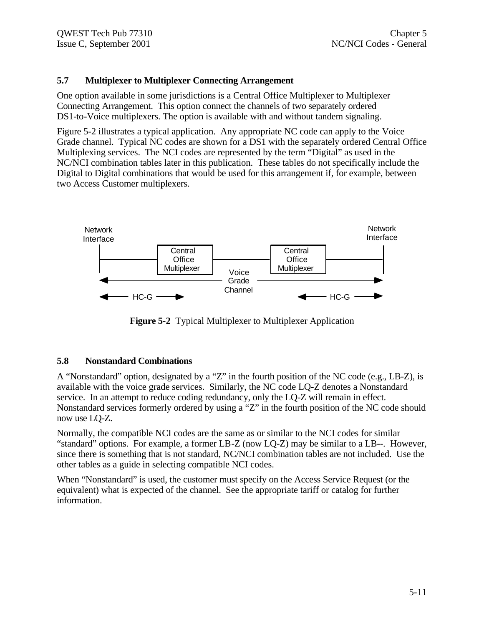#### **5.7 Multiplexer to Multiplexer Connecting Arrangement**

One option available in some jurisdictions is a Central Office Multiplexer to Multiplexer Connecting Arrangement. This option connect the channels of two separately ordered DS1-to-Voice multiplexers. The option is available with and without tandem signaling.

Figure 5-2 illustrates a typical application. Any appropriate NC code can apply to the Voice Grade channel. Typical NC codes are shown for a DS1 with the separately ordered Central Office Multiplexing services. The NCI codes are represented by the term "Digital" as used in the NC/NCI combination tables later in this publication. These tables do not specifically include the Digital to Digital combinations that would be used for this arrangement if, for example, between two Access Customer multiplexers.



**Figure 5-2** Typical Multiplexer to Multiplexer Application

#### **5.8 Nonstandard Combinations**

A "Nonstandard" option, designated by a "Z" in the fourth position of the NC code (e.g., LB-Z), is available with the voice grade services. Similarly, the NC code LQ-Z denotes a Nonstandard service. In an attempt to reduce coding redundancy, only the LQ-Z will remain in effect. Nonstandard services formerly ordered by using a "Z" in the fourth position of the NC code should now use LQ-Z.

Normally, the compatible NCI codes are the same as or similar to the NCI codes for similar "standard" options. For example, a former LB-Z (now LQ-Z) may be similar to a LB--. However, since there is something that is not standard, NC/NCI combination tables are not included. Use the other tables as a guide in selecting compatible NCI codes.

When "Nonstandard" is used, the customer must specify on the Access Service Request (or the equivalent) what is expected of the channel. See the appropriate tariff or catalog for further information.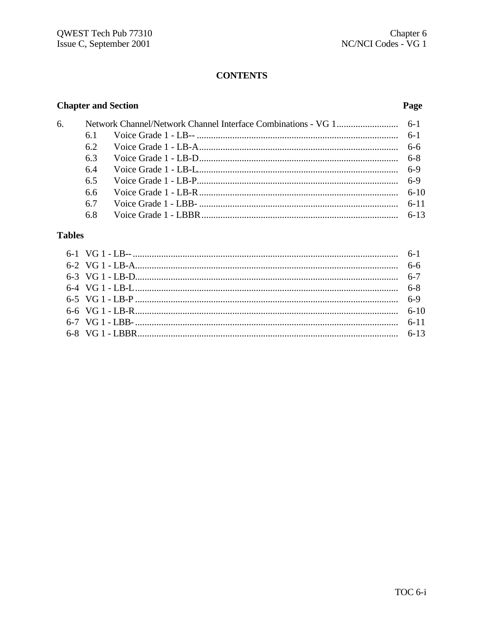# **CONTENTS**

# **Chapter and Section**

## Page

| 6. |     |  |
|----|-----|--|
|    | 61  |  |
|    | 6.2 |  |
|    | 63  |  |
|    | 6.4 |  |
|    | 6.5 |  |
|    | 6.6 |  |
|    | 67  |  |
|    | 6.8 |  |

# **Tables**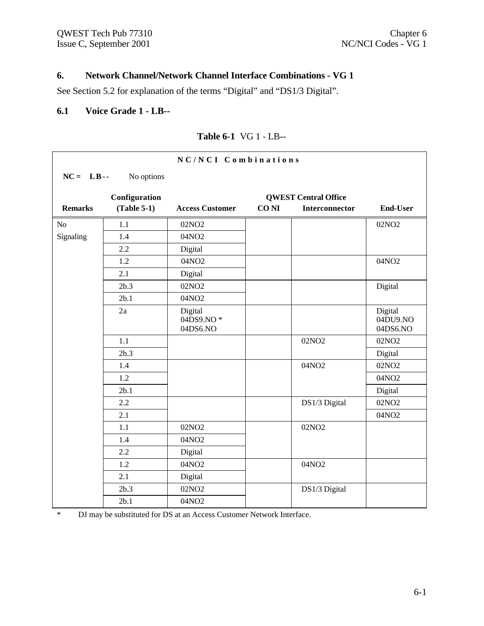## **6. Network Channel/Network Channel Interface Combinations - VG 1**

See Section 5.2 for explanation of the terms "Digital" and "DS1/3 Digital".

#### **6.1 Voice Grade 1 - LB--**

|                |               | NC/NCI Combinations              |             |                             |                                 |
|----------------|---------------|----------------------------------|-------------|-----------------------------|---------------------------------|
| $NC = LB$      | No options    |                                  |             |                             |                                 |
|                | Configuration |                                  |             | <b>QWEST Central Office</b> |                                 |
| <b>Remarks</b> | $(Table 5-1)$ | <b>Access Customer</b>           | <b>CONI</b> | Interconnector              | <b>End-User</b>                 |
| N <sub>o</sub> | 1.1           | 02NO <sub>2</sub>                |             |                             | 02NO <sub>2</sub>               |
| Signaling      | 1.4           | 04NO2                            |             |                             |                                 |
|                | 2.2           | Digital                          |             |                             |                                 |
|                | 1.2           | 04NO2                            |             |                             | 04NO2                           |
|                | 2.1           | Digital                          |             |                             |                                 |
|                | 2b.3          | 02NO <sub>2</sub>                |             |                             | Digital                         |
|                | 2b.1          | 04NO2                            |             |                             |                                 |
|                | 2a            | Digital<br>04DS9.NO*<br>04DS6.NO |             |                             | Digital<br>04DU9.NO<br>04DS6.NO |
|                | 1.1           |                                  |             | 02NO <sub>2</sub>           | 02NO <sub>2</sub>               |
|                | 2b.3          |                                  |             |                             | Digital                         |
|                | 1.4           |                                  |             | 04NO2                       | 02NO <sub>2</sub>               |
|                | 1.2           |                                  |             |                             | 04NO2                           |
|                | 2b.1          |                                  |             |                             | Digital                         |
|                | 2.2           |                                  |             | DS1/3 Digital               | 02NO <sub>2</sub>               |
|                | 2.1           |                                  |             |                             | 04NO2                           |
|                | 1.1           | 02NO <sub>2</sub>                |             | 02NO <sub>2</sub>           |                                 |
|                | 1.4           | 04NO2                            |             |                             |                                 |
|                | 2.2           | Digital                          |             |                             |                                 |
|                | 1.2           | 04NO2                            |             | 04NO2                       |                                 |
|                | 2.1           | Digital                          |             |                             |                                 |
|                | 2b.3          | 02NO <sub>2</sub>                |             | DS1/3 Digital               |                                 |
|                | 2b.1          | 04NO2                            |             |                             |                                 |

### **Table 6-1** VG 1 - LB--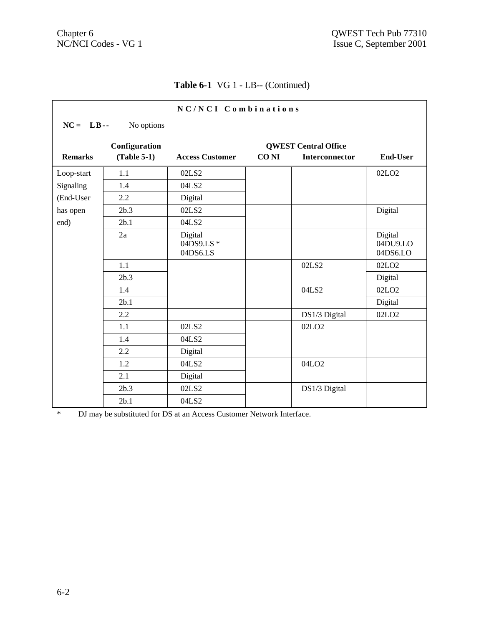| NC/NCI Combinations |               |                                  |             |                             |                                 |
|---------------------|---------------|----------------------------------|-------------|-----------------------------|---------------------------------|
| $NC = LB$ .         | No options    |                                  |             |                             |                                 |
|                     | Configuration |                                  |             | <b>QWEST Central Office</b> |                                 |
| <b>Remarks</b>      | $(Table 5-1)$ | <b>Access Customer</b>           | <b>CONI</b> | <b>Interconnector</b>       | <b>End-User</b>                 |
| Loop-start          | 1.1           | 02LS2                            |             |                             | 02LO <sub>2</sub>               |
| Signaling           | 1.4           | 04LS2                            |             |                             |                                 |
| (End-User           | 2.2           | Digital                          |             |                             |                                 |
| has open            | 2b.3          | 02LS2                            |             |                             | Digital                         |
| end)                | 2b.1          | 04LS2                            |             |                             |                                 |
|                     | 2a            | Digital<br>04DS9.LS*<br>04DS6.LS |             |                             | Digital<br>04DU9.LO<br>04DS6.LO |
|                     | 1.1           |                                  |             | 02LS2                       | 02LO <sub>2</sub>               |
|                     | 2b.3          |                                  |             |                             | Digital                         |
|                     | 1.4           |                                  |             | 04LS2                       | 02LO <sub>2</sub>               |
|                     | 2b.1          |                                  |             |                             | Digital                         |
|                     | 2.2           |                                  |             | DS1/3 Digital               | 02LO <sub>2</sub>               |
|                     | 1.1           | 02LS2                            |             | 02LO <sub>2</sub>           |                                 |
|                     | 1.4           | 04LS2                            |             |                             |                                 |
|                     | 2.2           | Digital                          |             |                             |                                 |
|                     | 1.2           | 04LS2                            |             | 04LO <sub>2</sub>           |                                 |
|                     | 2.1           | Digital                          |             |                             |                                 |
|                     | 2b.3          | 02LS2                            |             | DS1/3 Digital               |                                 |
|                     | 2b.1          | 04LS2                            |             |                             |                                 |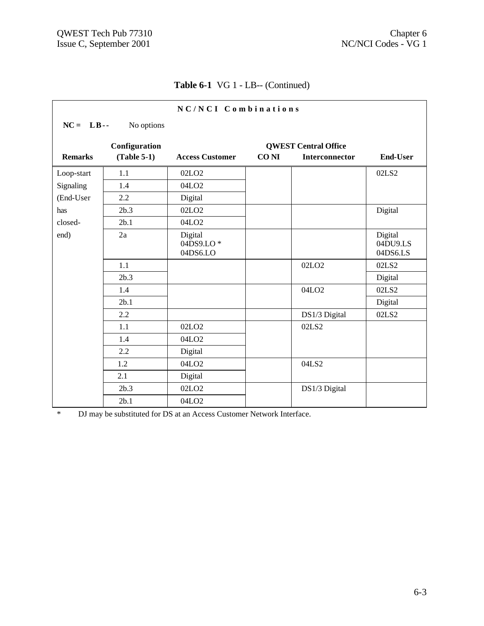| NC/NCI Combinations |               |                                  |             |                             |                                 |
|---------------------|---------------|----------------------------------|-------------|-----------------------------|---------------------------------|
| $NC = LB$ .         | No options    |                                  |             |                             |                                 |
|                     | Configuration |                                  |             | <b>QWEST Central Office</b> |                                 |
| <b>Remarks</b>      | $(Table 5-1)$ | <b>Access Customer</b>           | <b>CONI</b> | <b>Interconnector</b>       | <b>End-User</b>                 |
| Loop-start          | 1.1           | 02LO <sub>2</sub>                |             |                             | 02LS2                           |
| Signaling           | 1.4           | 04LO <sub>2</sub>                |             |                             |                                 |
| (End-User           | 2.2           | Digital                          |             |                             |                                 |
| has                 | 2b.3          | 02LO <sub>2</sub>                |             |                             | Digital                         |
| closed-             | 2b.1          | 04LO <sub>2</sub>                |             |                             |                                 |
| end)                | 2a            | Digital<br>04DS9.LO*<br>04DS6.LO |             |                             | Digital<br>04DU9.LS<br>04DS6.LS |
|                     | 1.1           |                                  |             | 02LO <sub>2</sub>           | 02LS2                           |
|                     | 2b.3          |                                  |             |                             | Digital                         |
|                     | 1.4           |                                  |             | 04LO <sub>2</sub>           | 02LS2                           |
|                     | 2b.1          |                                  |             |                             | Digital                         |
|                     | 2.2           |                                  |             | DS1/3 Digital               | 02LS2                           |
|                     | 1.1           | 02LO <sub>2</sub>                |             | 02LS2                       |                                 |
|                     | 1.4           | 04LO <sub>2</sub>                |             |                             |                                 |
|                     | 2.2           | Digital                          |             |                             |                                 |
|                     | 1.2           | 04LO <sub>2</sub>                |             | 04LS2                       |                                 |
|                     | 2.1           | Digital                          |             |                             |                                 |
|                     | 2b.3          | 02LO <sub>2</sub>                |             | DS1/3 Digital               |                                 |
|                     | 2b.1          | 04LO <sub>2</sub>                |             |                             |                                 |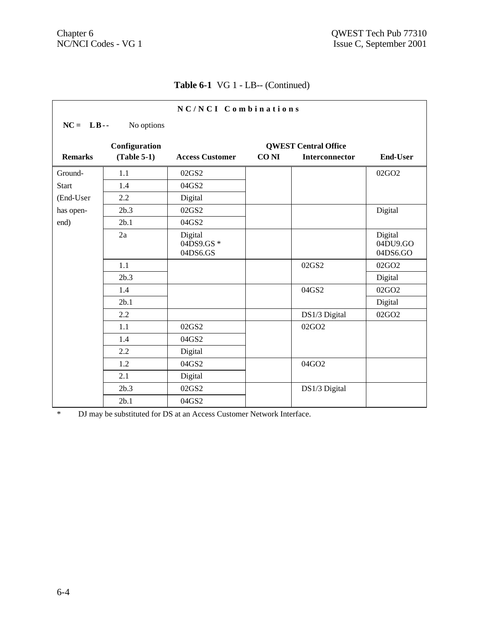| NC/NCI Combinations |                                |                                  |                                                                                        |               |                                 |  |
|---------------------|--------------------------------|----------------------------------|----------------------------------------------------------------------------------------|---------------|---------------------------------|--|
| $NC = LB$ .         | No options                     |                                  |                                                                                        |               |                                 |  |
| <b>Remarks</b>      | Configuration<br>$(Table 5-1)$ | <b>Access Customer</b>           | <b>QWEST Central Office</b><br><b>CONI</b><br><b>Interconnector</b><br><b>End-User</b> |               |                                 |  |
|                     |                                |                                  |                                                                                        |               |                                 |  |
| Ground-             | 1.1                            | 02GS2                            |                                                                                        |               | 02GO2                           |  |
| <b>Start</b>        | 1.4                            | 04GS2                            |                                                                                        |               |                                 |  |
| (End-User           | 2.2                            | Digital                          |                                                                                        |               |                                 |  |
| has open-           | 2b.3                           | 02GS2                            |                                                                                        |               | Digital                         |  |
| end)                | 2b.1                           | 04GS2                            |                                                                                        |               |                                 |  |
|                     | 2a                             | Digital<br>04DS9.GS*<br>04DS6.GS |                                                                                        |               | Digital<br>04DU9.GO<br>04DS6.GO |  |
|                     | 1.1                            |                                  |                                                                                        | 02GS2         | 02GO2                           |  |
|                     | 2b.3                           |                                  |                                                                                        |               | Digital                         |  |
|                     | 1.4                            |                                  |                                                                                        | 04GS2         | 02GO2                           |  |
|                     | 2b.1                           |                                  |                                                                                        |               | Digital                         |  |
|                     | 2.2                            |                                  |                                                                                        | DS1/3 Digital | 02GO2                           |  |
|                     | 1.1                            | 02GS2                            |                                                                                        | 02GO2         |                                 |  |
|                     | 1.4                            | 04GS2                            |                                                                                        |               |                                 |  |
|                     | 2.2                            | Digital                          |                                                                                        |               |                                 |  |
|                     | 1.2                            | 04GS2                            |                                                                                        | 04GO2         |                                 |  |
|                     | 2.1                            | Digital                          |                                                                                        |               |                                 |  |
|                     | 2b.3                           | 02GS2                            |                                                                                        | DS1/3 Digital |                                 |  |
|                     | 2b.1                           | 04GS2                            |                                                                                        |               |                                 |  |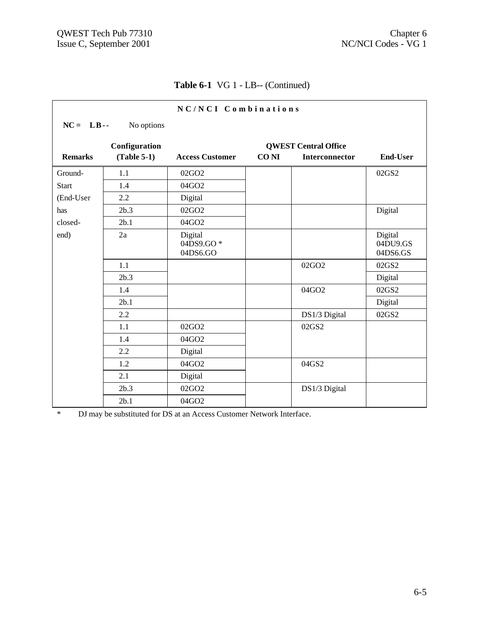| NC/NCI Combinations |               |                                  |             |                                                      |                                 |
|---------------------|---------------|----------------------------------|-------------|------------------------------------------------------|---------------------------------|
| $NC = LB$           | No options    |                                  |             |                                                      |                                 |
| <b>Remarks</b>      | Configuration | <b>Access Customer</b>           | <b>CONI</b> | <b>QWEST Central Office</b><br><b>Interconnector</b> | <b>End-User</b>                 |
|                     | $(Table 5-1)$ |                                  |             |                                                      |                                 |
| Ground-             | 1.1           | 02GO <sub>2</sub>                |             |                                                      | 02GS2                           |
| <b>Start</b>        | 1.4           | 04GO2                            |             |                                                      |                                 |
| (End-User           | 2.2           | Digital                          |             |                                                      |                                 |
| has                 | 2b.3          | 02GO2                            |             |                                                      | Digital                         |
| closed-             | 2b.1          | 04GO2                            |             |                                                      |                                 |
| end)                | 2a            | Digital<br>04DS9.GO*<br>04DS6.GO |             |                                                      | Digital<br>04DU9.GS<br>04DS6.GS |
|                     | 1.1           |                                  |             | 02GO2                                                | 02GS2                           |
|                     | 2b.3          |                                  |             |                                                      | Digital                         |
|                     | 1.4           |                                  |             | 04GO2                                                | 02GS2                           |
|                     | 2b.1          |                                  |             |                                                      | Digital                         |
|                     | 2.2           |                                  |             | DS1/3 Digital                                        | 02GS2                           |
|                     | 1.1           | 02GO2                            |             | 02GS2                                                |                                 |
|                     | 1.4           | 04GO2                            |             |                                                      |                                 |
|                     | 2.2           | Digital                          |             |                                                      |                                 |
|                     | 1.2           | 04GO2                            |             | 04GS2                                                |                                 |
|                     | 2.1           | Digital                          |             |                                                      |                                 |
|                     | 2b.3          | 02GO2                            |             | DS1/3 Digital                                        |                                 |
|                     | 2b.1          | 04GO2                            |             |                                                      |                                 |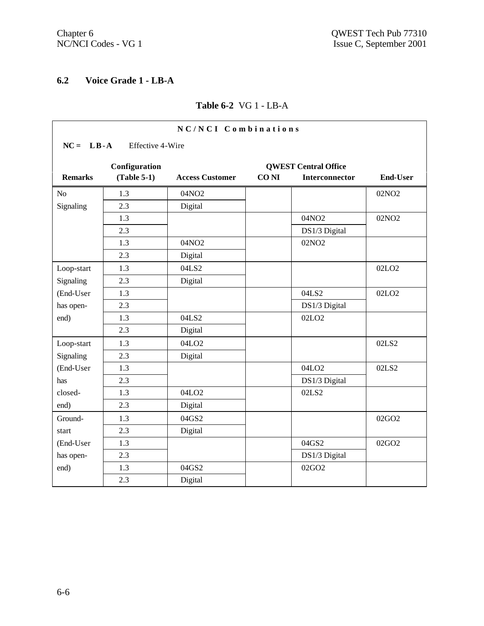# **6.2 Voice Grade 1 - LB-A**

## **Table 6-2** VG 1 - LB-A

|                | NC/NCI Combinations |                        |             |                             |                   |  |
|----------------|---------------------|------------------------|-------------|-----------------------------|-------------------|--|
| $NC = LB - A$  | Effective 4-Wire    |                        |             |                             |                   |  |
|                | Configuration       |                        |             | <b>QWEST Central Office</b> |                   |  |
| <b>Remarks</b> | $(Table 5-1)$       | <b>Access Customer</b> | <b>CONI</b> | Interconnector              | <b>End-User</b>   |  |
| N <sub>o</sub> | 1.3                 | 04NO2                  |             |                             | 02NO <sub>2</sub> |  |
| Signaling      | 2.3                 | Digital                |             |                             |                   |  |
|                | 1.3                 |                        |             | 04NO2                       | 02NO <sub>2</sub> |  |
|                | 2.3                 |                        |             | DS1/3 Digital               |                   |  |
|                | 1.3                 | 04NO2                  |             | 02NO <sub>2</sub>           |                   |  |
|                | 2.3                 | Digital                |             |                             |                   |  |
| Loop-start     | 1.3                 | 04LS2                  |             |                             | 02LO <sub>2</sub> |  |
| Signaling      | 2.3                 | Digital                |             |                             |                   |  |
| (End-User      | 1.3                 |                        |             | 04LS2                       | 02LO <sub>2</sub> |  |
| has open-      | 2.3                 |                        |             | DS1/3 Digital               |                   |  |
| end)           | 1.3                 | 04LS2                  |             | 02LO <sub>2</sub>           |                   |  |
|                | 2.3                 | Digital                |             |                             |                   |  |
| Loop-start     | 1.3                 | 04LO <sub>2</sub>      |             |                             | 02LS2             |  |
| Signaling      | 2.3                 | Digital                |             |                             |                   |  |
| (End-User      | 1.3                 |                        |             | 04LO <sub>2</sub>           | 02LS2             |  |
| has            | 2.3                 |                        |             | DS1/3 Digital               |                   |  |
| closed-        | 1.3                 | 04LO <sub>2</sub>      |             | 02LS2                       |                   |  |
| end)           | 2.3                 | Digital                |             |                             |                   |  |
| Ground-        | 1.3                 | 04GS2                  |             |                             | 02GO2             |  |
| start          | 2.3                 | Digital                |             |                             |                   |  |
| (End-User      | 1.3                 |                        |             | 04GS2                       | 02GO2             |  |
| has open-      | 2.3                 |                        |             | DS1/3 Digital               |                   |  |
| end)           | 1.3                 | 04GS2                  |             | 02GO2                       |                   |  |
|                | 2.3                 | Digital                |             |                             |                   |  |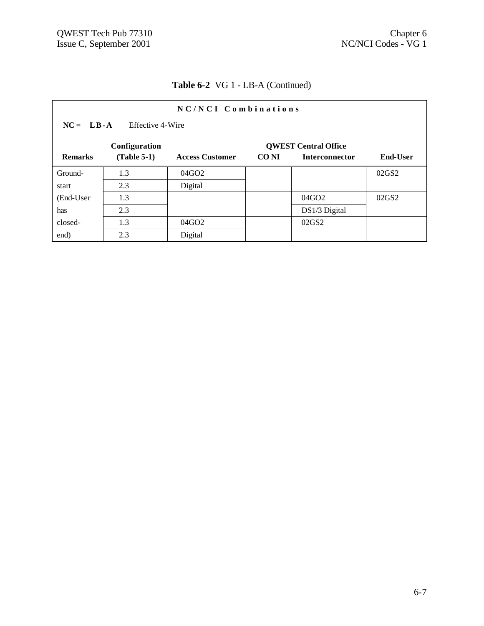| NC/NCI Combinations                          |               |                        |       |                       |                   |  |  |
|----------------------------------------------|---------------|------------------------|-------|-----------------------|-------------------|--|--|
| $NC = LB - A$<br>Effective 4-Wire            |               |                        |       |                       |                   |  |  |
| Configuration<br><b>OWEST Central Office</b> |               |                        |       |                       |                   |  |  |
| <b>Remarks</b>                               | $(Table 5-1)$ | <b>Access Customer</b> | CO NI | <b>Interconnector</b> | <b>End-User</b>   |  |  |
| Ground-                                      | 1.3           | 04GO <sub>2</sub>      |       |                       | 02GS <sub>2</sub> |  |  |
| start                                        | 2.3           | Digital                |       |                       |                   |  |  |
| (End-User                                    | 1.3           |                        |       | 04GO2                 | 02GS2             |  |  |
| has                                          | 2.3           |                        |       | $DS1/3$ Digital       |                   |  |  |
| closed-                                      | 1.3           | 04GO <sub>2</sub>      |       | 02GS2                 |                   |  |  |
| end)                                         | 2.3           | Digital                |       |                       |                   |  |  |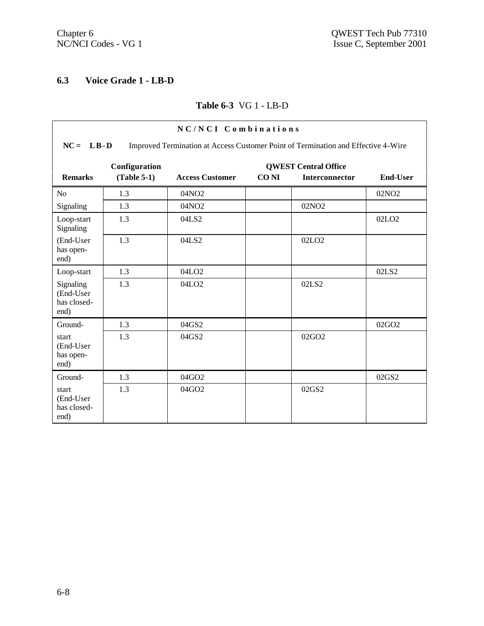# **6.3 Voice Grade 1 - LB-D**

## **Table 6-3** VG 1 - LB-D

| NC/NCI Combinations                                                                                |                                |                        |             |                                                      |                   |  |  |
|----------------------------------------------------------------------------------------------------|--------------------------------|------------------------|-------------|------------------------------------------------------|-------------------|--|--|
| $NC = LB - D$<br>Improved Termination at Access Customer Point of Termination and Effective 4-Wire |                                |                        |             |                                                      |                   |  |  |
| <b>Remarks</b>                                                                                     | Configuration<br>$(Table 5-1)$ | <b>Access Customer</b> | <b>CONI</b> | <b>QWEST Central Office</b><br><b>Interconnector</b> | End-User          |  |  |
|                                                                                                    |                                |                        |             |                                                      |                   |  |  |
| N <sub>o</sub>                                                                                     | 1.3                            | 04NO <sub>2</sub>      |             |                                                      | 02NO <sub>2</sub> |  |  |
| Signaling                                                                                          | 1.3                            | 04NO2                  |             | 02NO <sub>2</sub>                                    |                   |  |  |
| Loop-start<br>Signaling                                                                            | 1.3                            | 04LS2                  |             |                                                      | 02LO <sub>2</sub> |  |  |
| (End-User<br>has open-<br>end)                                                                     | 1.3                            | 04LS2                  |             | 02LO <sub>2</sub>                                    |                   |  |  |
| Loop-start                                                                                         | 1.3                            | 04LO <sub>2</sub>      |             |                                                      | 02LS2             |  |  |
| Signaling<br>(End-User<br>has closed-<br>end)                                                      | 1.3                            | 04LO <sub>2</sub>      |             | 02LS2                                                |                   |  |  |
| Ground-                                                                                            | 1.3                            | 04GS2                  |             |                                                      | 02GO <sub>2</sub> |  |  |
| start<br>(End-User<br>has open-<br>end)                                                            | 1.3                            | 04GS2                  |             | 02GO2                                                |                   |  |  |
| Ground-                                                                                            | 1.3                            | 04GO2                  |             |                                                      | 02GS2             |  |  |
| start<br>(End-User<br>has closed-<br>end)                                                          | 1.3                            | 04GO2                  |             | 02GS2                                                |                   |  |  |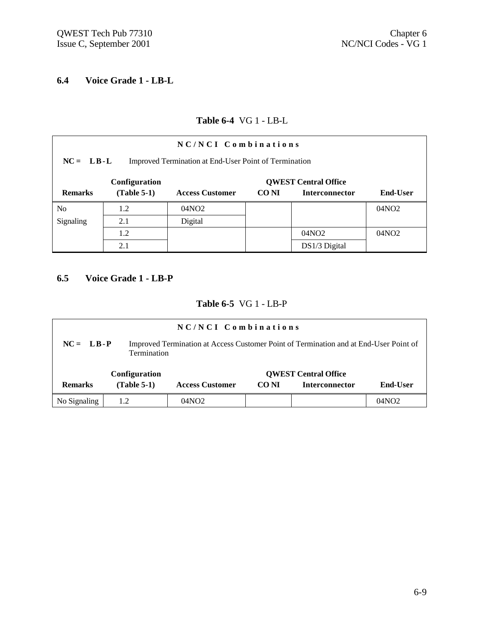# **6.4 Voice Grade 1 - LB-L**

## **Table 6-4** VG 1 - LB-L

| NC/NCI Combinations                                                  |               |                        |       |                       |                   |  |
|----------------------------------------------------------------------|---------------|------------------------|-------|-----------------------|-------------------|--|
| $NC = LB-L$<br>Improved Termination at End-User Point of Termination |               |                        |       |                       |                   |  |
| <b>QWEST Central Office</b><br>Configuration                         |               |                        |       |                       |                   |  |
| <b>Remarks</b>                                                       | $(Table 5-1)$ | <b>Access Customer</b> | CO NI | <b>Interconnector</b> | <b>End-User</b>   |  |
| N <sub>o</sub>                                                       | 1.2           | 04NO <sub>2</sub>      |       |                       | 04NO2             |  |
| Signaling                                                            | 2.1           | Digital                |       |                       |                   |  |
|                                                                      | 1.2           |                        |       | 04NO <sub>2</sub>     | 04NO <sub>2</sub> |  |
|                                                                      | 2.1           |                        |       | DS1/3 Digital         |                   |  |

## **6.5 Voice Grade 1 - LB-P**

### **Table 6-5** VG 1 - LB-P

| $NC/NCI$ Combinations                                                                                                 |               |                        |       |                             |          |  |  |
|-----------------------------------------------------------------------------------------------------------------------|---------------|------------------------|-------|-----------------------------|----------|--|--|
| $NC = LB - P$<br>Improved Termination at Access Customer Point of Termination and at End-User Point of<br>Termination |               |                        |       |                             |          |  |  |
|                                                                                                                       | Configuration |                        |       | <b>QWEST Central Office</b> |          |  |  |
| <b>Remarks</b>                                                                                                        | $(Table 5-1)$ | <b>Access Customer</b> | CO NI | <b>Interconnector</b>       | End-User |  |  |
| No Signaling                                                                                                          | 1.2           | 04NO <sub>2</sub>      |       |                             | 04NO2    |  |  |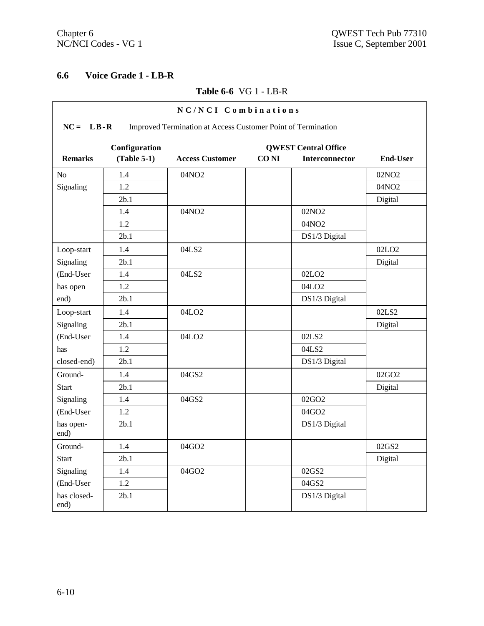'n

 $\overline{\phantom{0}}$ 

# **6.6 Voice Grade 1 - LB-R**

## **Table 6-6** VG 1 - LB-R

|                     | NC/NCI Combinations                                                           |                        |             |                                               |                   |  |  |  |
|---------------------|-------------------------------------------------------------------------------|------------------------|-------------|-----------------------------------------------|-------------------|--|--|--|
|                     | $NC = LB - R$<br>Improved Termination at Access Customer Point of Termination |                        |             |                                               |                   |  |  |  |
| <b>Remarks</b>      | Configuration<br>$(Table 5-1)$                                                | <b>Access Customer</b> | <b>CONI</b> | <b>QWEST Central Office</b><br>Interconnector | <b>End-User</b>   |  |  |  |
| N <sub>o</sub>      | 1.4                                                                           | 04NO <sub>2</sub>      |             |                                               | 02NO <sub>2</sub> |  |  |  |
| Signaling           | 1.2                                                                           |                        |             |                                               | 04NO2             |  |  |  |
|                     | 2b.1                                                                          |                        |             |                                               | Digital           |  |  |  |
|                     | 1.4                                                                           | 04NO2                  |             | 02NO <sub>2</sub>                             |                   |  |  |  |
|                     | 1.2                                                                           |                        |             | 04NO2                                         |                   |  |  |  |
|                     | 2b.1                                                                          |                        |             | DS1/3 Digital                                 |                   |  |  |  |
| Loop-start          | 1.4                                                                           | 04LS2                  |             |                                               | 02LO <sub>2</sub> |  |  |  |
| Signaling           | 2b.1                                                                          |                        |             |                                               | Digital           |  |  |  |
| (End-User           | 1.4                                                                           | 04LS2                  |             | 02LO <sub>2</sub>                             |                   |  |  |  |
| has open            | 1.2                                                                           |                        |             | 04LO <sub>2</sub>                             |                   |  |  |  |
| end)                | 2b.1                                                                          |                        |             | DS1/3 Digital                                 |                   |  |  |  |
| Loop-start          | 1.4                                                                           | 04LO <sub>2</sub>      |             |                                               | 02LS2             |  |  |  |
| Signaling           | 2b.1                                                                          |                        |             |                                               | Digital           |  |  |  |
| (End-User           | 1.4                                                                           | 04LO <sub>2</sub>      |             | 02LS2                                         |                   |  |  |  |
| has                 | 1.2                                                                           |                        |             | 04LS2                                         |                   |  |  |  |
| closed-end)         | 2b.1                                                                          |                        |             | DS1/3 Digital                                 |                   |  |  |  |
| Ground-             | 1.4                                                                           | 04GS2                  |             |                                               | 02GO2             |  |  |  |
| <b>Start</b>        | 2b.1                                                                          |                        |             |                                               | Digital           |  |  |  |
| Signaling           | 1.4                                                                           | 04GS2                  |             | 02GO2                                         |                   |  |  |  |
| (End-User           | 1.2                                                                           |                        |             | 04GO2                                         |                   |  |  |  |
| has open-<br>end)   | 2b.1                                                                          |                        |             | DS1/3 Digital                                 |                   |  |  |  |
| Ground-             | 1.4                                                                           | 04GO2                  |             |                                               | 02GS2             |  |  |  |
| <b>Start</b>        | 2b.1                                                                          |                        |             |                                               | Digital           |  |  |  |
| Signaling           | 1.4                                                                           | 04GO2                  |             | 02GS2                                         |                   |  |  |  |
| (End-User           | 1.2                                                                           |                        |             | 04GS2                                         |                   |  |  |  |
| has closed-<br>end) | 2b.1                                                                          |                        |             | DS1/3 Digital                                 |                   |  |  |  |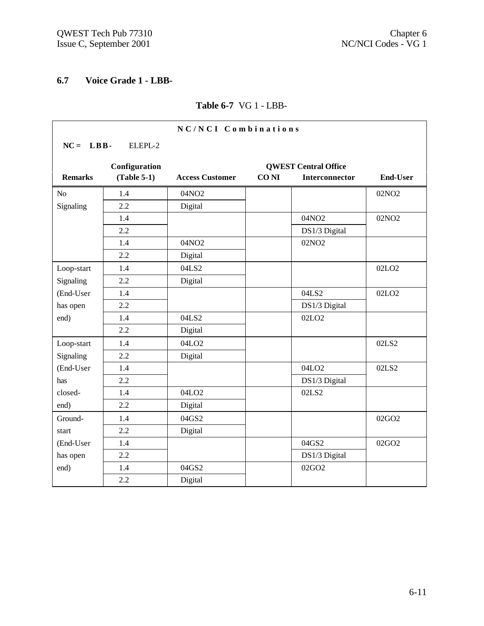## **6.7 Voice Grade 1 - LBB-**

#### **Table 6-7** VG 1 - LBB-

|                |               | NC/NCI Combinations    |             |                             |                   |
|----------------|---------------|------------------------|-------------|-----------------------------|-------------------|
| $NC = LBB$ -   | ELEPL-2       |                        |             |                             |                   |
|                | Configuration |                        |             | <b>QWEST Central Office</b> |                   |
| <b>Remarks</b> | $(Table 5-1)$ | <b>Access Customer</b> | <b>CONI</b> | <b>Interconnector</b>       | <b>End-User</b>   |
| N <sub>o</sub> | 1.4           | 04NO2                  |             |                             | 02NO <sub>2</sub> |
| Signaling      | 2.2           | Digital                |             |                             |                   |
|                | 1.4           |                        |             | 04NO2                       | 02NO <sub>2</sub> |
|                | 2.2           |                        |             | DS1/3 Digital               |                   |
|                | 1.4           | 04NO <sub>2</sub>      |             | 02NO <sub>2</sub>           |                   |
|                | 2.2           | Digital                |             |                             |                   |
| Loop-start     | 1.4           | 04LS2                  |             |                             | 02LO <sub>2</sub> |
| Signaling      | 2.2           | Digital                |             |                             |                   |
| (End-User      | 1.4           |                        |             | 04LS2                       | 02LO <sub>2</sub> |
| has open       | 2.2           |                        |             | DS1/3 Digital               |                   |
| end)           | 1.4           | 04LS2                  |             | 02LO <sub>2</sub>           |                   |
|                | 2.2           | Digital                |             |                             |                   |
| Loop-start     | 1.4           | 04LO <sub>2</sub>      |             |                             | 02LS2             |
| Signaling      | 2.2           | Digital                |             |                             |                   |
| (End-User      | 1.4           |                        |             | 04LO <sub>2</sub>           | 02LS2             |
| has            | 2.2           |                        |             | DS1/3 Digital               |                   |
| closed-        | 1.4           | 04LO <sub>2</sub>      |             | 02LS2                       |                   |
| end)           | 2.2           | Digital                |             |                             |                   |
| Ground-        | 1.4           | 04GS2                  |             |                             | 02GO2             |
| start          | 2.2           | Digital                |             |                             |                   |
| (End-User      | 1.4           |                        |             | 04GS2                       | 02GO2             |
| has open       | 2.2           |                        |             | DS1/3 Digital               |                   |
| end)           | 1.4           | 04GS2                  |             | 02GO2                       |                   |
|                | 2.2           | Digital                |             |                             |                   |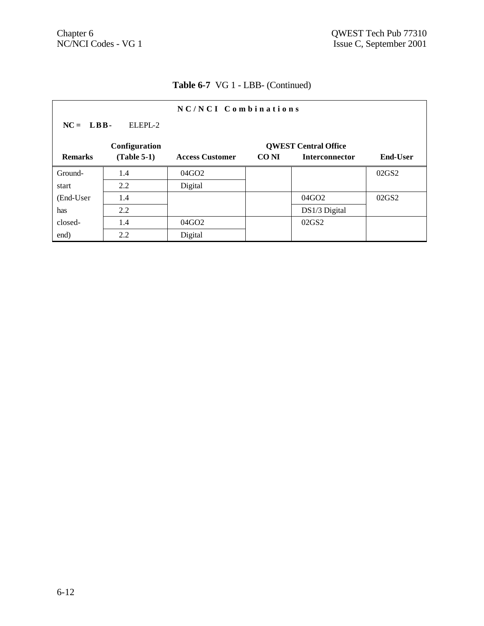|                | NC/NCI Combinations   |                        |             |                             |                 |  |
|----------------|-----------------------|------------------------|-------------|-----------------------------|-----------------|--|
|                | $NC = LBB$<br>ELEPL-2 |                        |             |                             |                 |  |
|                | Configuration         |                        |             | <b>OWEST Central Office</b> |                 |  |
| <b>Remarks</b> | $(Table 5-1)$         | <b>Access Customer</b> | <b>CONI</b> | Interconnector              | <b>End-User</b> |  |
| Ground-        | 1.4                   | 04GO <sub>2</sub>      |             |                             | 02GS2           |  |
| start          | 2.2                   | Digital                |             |                             |                 |  |
| (End-User      | 1.4                   |                        |             | 04GO2                       | 02GS2           |  |
| has            | 2.2                   |                        |             | DS1/3 Digital               |                 |  |
| closed-        | 1.4                   | 04GO <sub>2</sub>      |             | 02GS2                       |                 |  |
| end)           | 2.2                   | Digital                |             |                             |                 |  |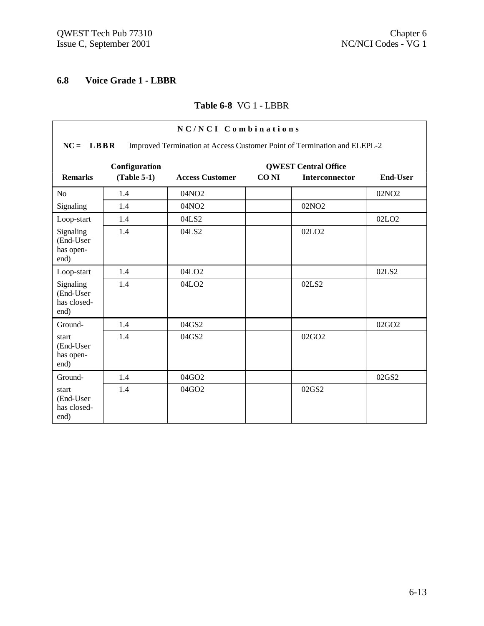# **6.8 Voice Grade 1 - LBBR**

## **Table 6-8** VG 1 - LBBR

| NC/NCI Combinations                                                                     |                                |                        |             |                                                      |                   |  |  |
|-----------------------------------------------------------------------------------------|--------------------------------|------------------------|-------------|------------------------------------------------------|-------------------|--|--|
| Improved Termination at Access Customer Point of Termination and ELEPL-2<br>$NC = LBBR$ |                                |                        |             |                                                      |                   |  |  |
| <b>Remarks</b>                                                                          | Configuration<br>$(Table 5-1)$ | <b>Access Customer</b> | <b>CONI</b> | <b>QWEST Central Office</b><br><b>Interconnector</b> | <b>End-User</b>   |  |  |
|                                                                                         |                                |                        |             |                                                      |                   |  |  |
| N <sub>o</sub>                                                                          | 1.4                            | 04NO <sub>2</sub>      |             |                                                      | 02NO <sub>2</sub> |  |  |
| Signaling                                                                               | 1.4                            | 04NO2                  |             | 02NO <sub>2</sub>                                    |                   |  |  |
| Loop-start                                                                              | 1.4                            | 04LS2                  |             |                                                      | 02LO <sub>2</sub> |  |  |
| Signaling<br>(End-User<br>has open-<br>end)                                             | 1.4                            | 04LS2                  |             | 02LO <sub>2</sub>                                    |                   |  |  |
| Loop-start                                                                              | 1.4                            | 04LO <sub>2</sub>      |             |                                                      | 02LS2             |  |  |
| Signaling<br>(End-User<br>has closed-<br>end)                                           | 1.4                            | 04LO <sub>2</sub>      |             | 02LS2                                                |                   |  |  |
| Ground-                                                                                 | 1.4                            | 04GS2                  |             |                                                      | 02GO2             |  |  |
| start<br>(End-User<br>has open-<br>end)                                                 | 1.4                            | 04GS2                  |             | 02GO2                                                |                   |  |  |
| Ground-                                                                                 | 1.4                            | 04GO2                  |             |                                                      | 02GS2             |  |  |
| start<br>(End-User<br>has closed-<br>end)                                               | 1.4                            | 04GO2                  |             | 02GS2                                                |                   |  |  |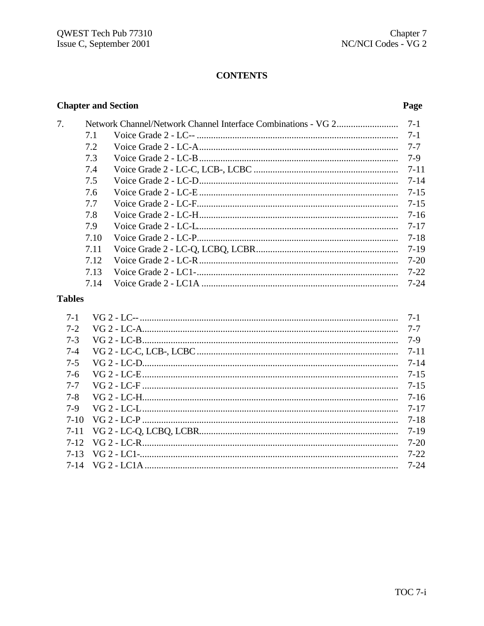# **CONTENTS**

# **Chapter and Section**

7.

## Page

| 7.1  | $7 - 1$  |
|------|----------|
| 7.2  | $7 - 7$  |
| 7.3  | 7-9      |
| 7.4  | $7 - 11$ |
| 7.5  | $7 - 14$ |
| 7.6  | $7 - 15$ |
| 7.7  | $7 - 15$ |
| 7.8  | 7-16     |
| 7.9  | $7 - 17$ |
| 7.10 | $7 - 18$ |
| 7.11 | 7-19     |
| 7.12 | 7-20     |
| 7.13 | $7 - 22$ |
| 7.14 | 7-24     |
|      |          |

# **Tables**

| $7 - 1$  | $7 - 1$  |
|----------|----------|
| $7 - 2$  | 7-7      |
| $7 - 3$  | 7-9      |
| $7 - 4$  | $7 - 11$ |
| $7 - 5$  | 7-14     |
| $7-6$    | $7 - 15$ |
| $7 - 7$  | $7 - 15$ |
| $7 - 8$  | 7-16     |
| $7-9$    | 7-17     |
| $7-10$   | 7-18     |
|          | $7-19$   |
|          | $7-20$   |
| $7 - 13$ | $7 - 22$ |
|          |          |
|          |          |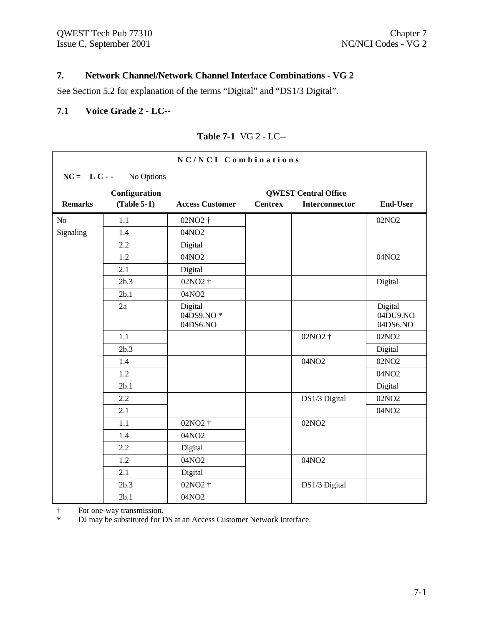# **7. Network Channel/Network Channel Interface Combinations - VG 2**

See Section 5.2 for explanation of the terms "Digital" and "DS1/3 Digital".

### **7.1 Voice Grade 2 - LC--**

|                | NC/NCI Combinations |                                  |                |                             |                                 |  |
|----------------|---------------------|----------------------------------|----------------|-----------------------------|---------------------------------|--|
| $NC = LC -$    | No Options          |                                  |                |                             |                                 |  |
|                | Configuration       |                                  |                | <b>QWEST Central Office</b> |                                 |  |
| <b>Remarks</b> | $(Table 5-1)$       | <b>Access Customer</b>           | <b>Centrex</b> | Interconnector              | <b>End-User</b>                 |  |
| No             | 1.1                 | 02NO2 †                          |                |                             | 02NO <sub>2</sub>               |  |
| Signaling      | 1.4                 | 04NO2                            |                |                             |                                 |  |
|                | 2.2                 | Digital                          |                |                             |                                 |  |
|                | 1.2                 | 04NO2                            |                |                             | 04NO2                           |  |
|                | 2.1                 | Digital                          |                |                             |                                 |  |
|                | 2b.3                | 02NO2 †                          |                |                             | Digital                         |  |
|                | 2b.1                | 04NO2                            |                |                             |                                 |  |
|                | 2a                  | Digital<br>04DS9.NO*<br>04DS6.NO |                |                             | Digital<br>04DU9.NO<br>04DS6.NO |  |
|                | 1.1                 |                                  |                | 02NO2 †                     | 02NO <sub>2</sub>               |  |
|                | 2b.3                |                                  |                |                             | Digital                         |  |
|                | 1.4                 |                                  |                | 04NO2                       | 02NO <sub>2</sub>               |  |
|                | 1.2                 |                                  |                |                             | 04NO2                           |  |
|                | 2b.1                |                                  |                |                             | Digital                         |  |
|                | 2.2                 |                                  |                | DS1/3 Digital               | 02NO <sub>2</sub>               |  |
|                | 2.1                 |                                  |                |                             | 04NO2                           |  |
|                | 1.1                 | 02NO <sub>2</sub> +              |                | 02NO <sub>2</sub>           |                                 |  |
|                | 1.4                 | 04NO2                            |                |                             |                                 |  |
|                | 2.2                 | Digital                          |                |                             |                                 |  |
|                | 1.2                 | 04NO2                            |                | 04NO2                       |                                 |  |
|                | 2.1                 | Digital                          |                |                             |                                 |  |
|                | 2b.3                | 02NO <sub>2</sub> +              |                | DS1/3 Digital               |                                 |  |
|                | 2b.1                | 04NO2                            |                |                             |                                 |  |

### **Table 7-1** VG 2 - LC--

† For one-way transmission.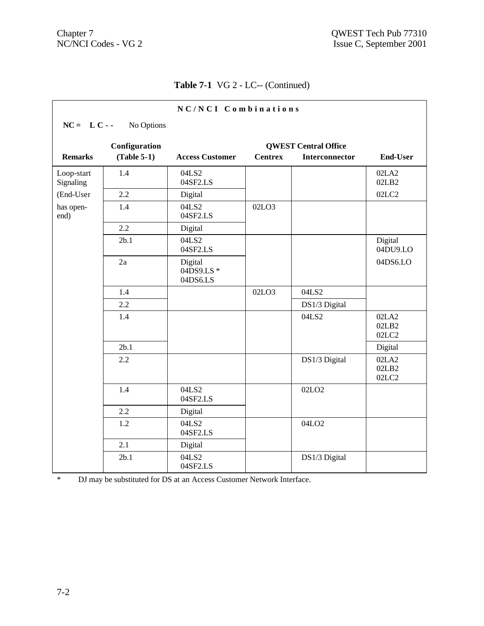# **Table 7-1** VG 2 - LC-- (Continued)

| NC/NCI Combinations                          |               |                                   |                |                       |                         |  |  |
|----------------------------------------------|---------------|-----------------------------------|----------------|-----------------------|-------------------------|--|--|
| $NC = LC -$                                  | No Options    |                                   |                |                       |                         |  |  |
| Configuration<br><b>QWEST Central Office</b> |               |                                   |                |                       |                         |  |  |
| <b>Remarks</b>                               | $(Table 5-1)$ | <b>Access Customer</b>            | <b>Centrex</b> | <b>Interconnector</b> | <b>End-User</b>         |  |  |
| Loop-start<br>Signaling                      | 1.4           | 04LS2<br>04SF2.LS                 |                |                       | 02LA2<br>02LB2          |  |  |
| (End-User                                    | 2.2           | Digital                           |                |                       | 02LC2                   |  |  |
| has open-<br>end)                            | 1.4           | 04LS2<br>04SF2.LS                 | 02LO3          |                       |                         |  |  |
|                                              | 2.2           | Digital                           |                |                       |                         |  |  |
|                                              | 2b.1          | 04LS2<br>04SF2.LS                 |                |                       | Digital<br>04DU9.LO     |  |  |
|                                              | 2a            | Digital<br>04DS9.LS *<br>04DS6.LS |                |                       | 04DS6.LO                |  |  |
|                                              | 1.4           |                                   | 02LO3          | 04LS2                 |                         |  |  |
|                                              | 2.2           |                                   |                | DS1/3 Digital         |                         |  |  |
|                                              | 1.4           |                                   |                | 04LS2                 | 02LA2<br>02LB2<br>02LC2 |  |  |
|                                              | 2b.1          |                                   |                |                       | Digital                 |  |  |
|                                              | 2.2           |                                   |                | DS1/3 Digital         | 02LA2<br>02LB2<br>02LC2 |  |  |
|                                              | 1.4           | 04LS2<br>04SF2.LS                 |                | 02LO <sub>2</sub>     |                         |  |  |
|                                              | 2.2           | Digital                           |                |                       |                         |  |  |
|                                              | 1.2           | 04LS2<br>04SF2.LS                 |                | 04LO <sub>2</sub>     |                         |  |  |
|                                              | 2.1           | Digital                           |                |                       |                         |  |  |
|                                              | 2b.1          | 04LS2<br>04SF2.LS                 |                | DS1/3 Digital         |                         |  |  |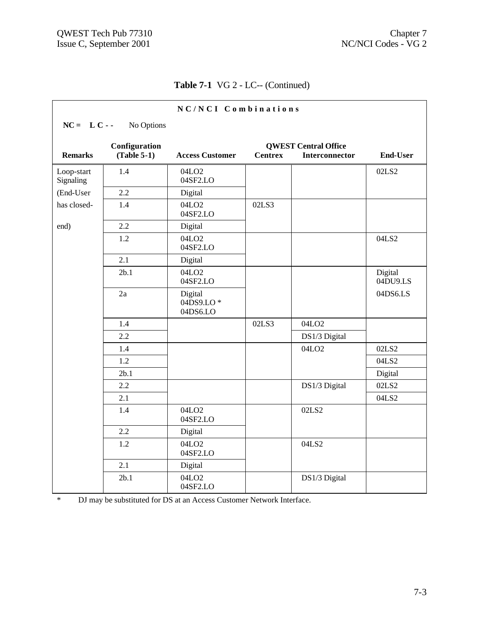|                         |                                | NC/NCI Combinations              |                |                                                      |                     |
|-------------------------|--------------------------------|----------------------------------|----------------|------------------------------------------------------|---------------------|
| $NC = L C -$            | No Options                     |                                  |                |                                                      |                     |
| <b>Remarks</b>          | Configuration<br>$(Table 5-1)$ | <b>Access Customer</b>           | <b>Centrex</b> | <b>QWEST Central Office</b><br><b>Interconnector</b> | <b>End-User</b>     |
| Loop-start<br>Signaling | 1.4                            | 04LO <sub>2</sub><br>04SF2.LO    |                |                                                      | 02LS2               |
| (End-User               | 2.2                            | Digital                          |                |                                                      |                     |
| has closed-             | 1.4                            | 04LO <sub>2</sub><br>04SF2.LO    | 02LS3          |                                                      |                     |
| end)                    | 2.2                            | Digital                          |                |                                                      |                     |
|                         | 1.2                            | 04LO <sub>2</sub><br>04SF2.LO    |                |                                                      | 04LS2               |
|                         | 2.1                            | Digital                          |                |                                                      |                     |
|                         | 2b.1                           | 04LO <sub>2</sub><br>04SF2.LO    |                |                                                      | Digital<br>04DU9.LS |
|                         | 2a                             | Digital<br>04DS9.LO*<br>04DS6.LO |                |                                                      | 04DS6.LS            |
|                         | 1.4                            |                                  | 02LS3          | 04LO <sub>2</sub>                                    |                     |
|                         | 2.2                            |                                  |                | DS1/3 Digital                                        |                     |
|                         | 1.4                            |                                  |                | 04LO <sub>2</sub>                                    | 02LS2               |
|                         | 1.2                            |                                  |                |                                                      | 04LS2               |
|                         | 2 <sub>b.1</sub>               |                                  |                |                                                      | Digital             |
|                         | 2.2                            |                                  |                | DS1/3 Digital                                        | 02LS2               |
|                         | 2.1                            |                                  |                |                                                      | 04LS2               |
|                         | 1.4                            | 04LO <sub>2</sub><br>04SF2.LO    |                | 02LS2                                                |                     |
|                         | 2.2                            | Digital                          |                |                                                      |                     |
|                         | 1.2                            | 04LO <sub>2</sub><br>04SF2.LO    |                | 04LS2                                                |                     |
|                         | 2.1                            | Digital                          |                |                                                      |                     |
|                         | 2b.1                           | 04LO <sub>2</sub><br>04SF2.LO    |                | DS1/3 Digital                                        |                     |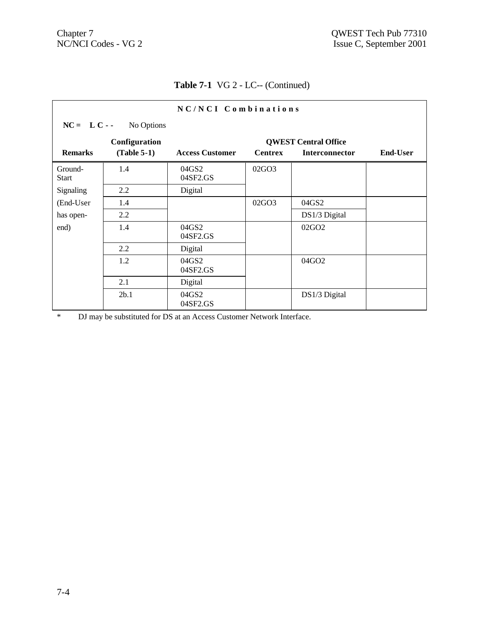|                         |               | NC/NCI Combinations    |                |                             |                 |
|-------------------------|---------------|------------------------|----------------|-----------------------------|-----------------|
| $NC = LC -$             | No Options    |                        |                |                             |                 |
|                         | Configuration |                        |                | <b>QWEST Central Office</b> |                 |
| <b>Remarks</b>          | $(Table 5-1)$ | <b>Access Customer</b> | <b>Centrex</b> | <b>Interconnector</b>       | <b>End-User</b> |
| Ground-<br><b>Start</b> | 1.4           | 04GS2<br>04SF2.GS      | 02GO3          |                             |                 |
| Signaling               | 2.2           | Digital                |                |                             |                 |
| (End-User               | 1.4           |                        | 02GO3          | 04GS2                       |                 |
| has open-               | 2.2           |                        |                | DS1/3 Digital               |                 |
| end)                    | 1.4           | 04GS2<br>04SF2.GS      |                | 02GO <sub>2</sub>           |                 |
|                         | 2.2           | Digital                |                |                             |                 |
|                         | 1.2           | 04GS2<br>04SF2.GS      |                | 04GO2                       |                 |
|                         | 2.1           | Digital                |                |                             |                 |
|                         | 2b.1          | 04GS2<br>04SF2.GS      |                | DS1/3 Digital               |                 |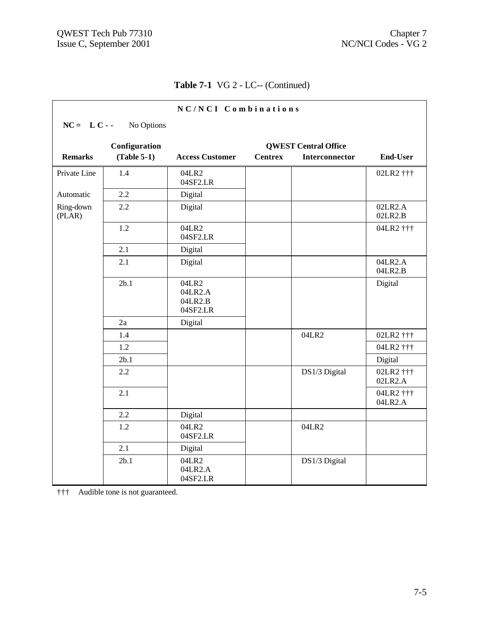| NC/NCI Combinations                          |               |                                         |                |                |                      |  |  |
|----------------------------------------------|---------------|-----------------------------------------|----------------|----------------|----------------------|--|--|
| $NC = LC -$                                  | No Options    |                                         |                |                |                      |  |  |
| Configuration<br><b>QWEST Central Office</b> |               |                                         |                |                |                      |  |  |
| <b>Remarks</b>                               | $(Table 5-1)$ | <b>Access Customer</b>                  | <b>Centrex</b> | Interconnector | <b>End-User</b>      |  |  |
| Private Line                                 | 1.4           | 04LR2<br>04SF2.LR                       |                |                | 02LR2 †††            |  |  |
| Automatic                                    | 2.2           | Digital                                 |                |                |                      |  |  |
| Ring-down<br>(PLAR)                          | 2.2           | Digital                                 |                |                | 02LR2.A<br>02LR2.B   |  |  |
|                                              | 1.2           | 04LR2<br>04SF2.LR                       |                |                | 04LR2 †††            |  |  |
|                                              | 2.1           | Digital                                 |                |                |                      |  |  |
|                                              | 2.1           | Digital                                 |                |                | 04LR2.A<br>04LR2.B   |  |  |
|                                              | 2b.1          | 04LR2<br>04LR2.A<br>04LR2.B<br>04SF2.LR |                |                | Digital              |  |  |
|                                              | 2a            | Digital                                 |                |                |                      |  |  |
|                                              | 1.4           |                                         |                | 04LR2          | 02LR2 †††            |  |  |
|                                              | 1.2           |                                         |                |                | 04LR2 †††            |  |  |
|                                              | 2b.1          |                                         |                |                | Digital              |  |  |
|                                              | 2.2           |                                         |                | DS1/3 Digital  | 02LR2 †††<br>02LR2.A |  |  |
|                                              | 2.1           |                                         |                |                | 04LR2 †††<br>04LR2.A |  |  |
|                                              | 2.2           | Digital                                 |                |                |                      |  |  |
|                                              | 1.2           | 04LR2<br>04SF2.LR                       |                | 04LR2          |                      |  |  |
|                                              | 2.1           | Digital                                 |                |                |                      |  |  |
|                                              | 2b.1          | 04LR2<br>04LR2.A<br>04SF2.LR            |                | DS1/3 Digital  |                      |  |  |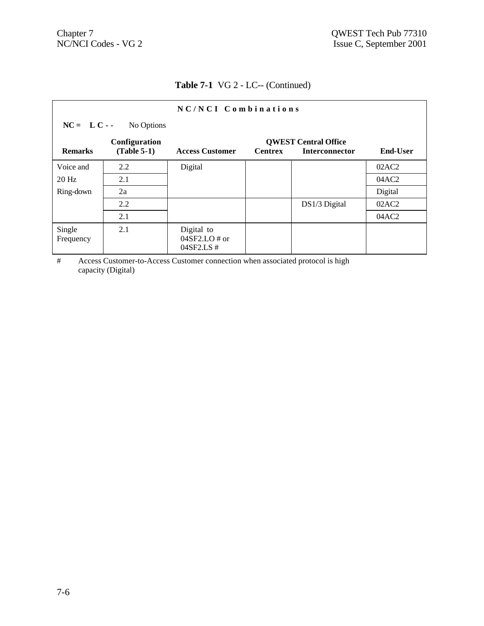| NC/NCI Combinations |                                |                                              |                |                                                      |                 |  |
|---------------------|--------------------------------|----------------------------------------------|----------------|------------------------------------------------------|-----------------|--|
| $NC = LC -$         | No Options                     |                                              |                |                                                      |                 |  |
| <b>Remarks</b>      | Configuration<br>$(Table 5-1)$ | <b>Access Customer</b>                       | <b>Centrex</b> | <b>QWEST Central Office</b><br><b>Interconnector</b> | <b>End-User</b> |  |
| Voice and           | 2.2                            | Digital                                      |                |                                                      | 02AC2           |  |
| $20$ Hz             | 2.1                            |                                              |                |                                                      | 04AC2           |  |
| Ring-down           | 2a                             |                                              |                |                                                      | Digital         |  |
|                     | 2.2                            |                                              |                | DS1/3 Digital                                        | 02AC2           |  |
|                     | 2.1                            |                                              |                |                                                      | 04AC2           |  |
| Single<br>Frequency | 2.1                            | Digital to<br>$04SF2.LO \# or$<br>04SF2.LS # |                |                                                      |                 |  |

# Access Customer-to-Access Customer connection when associated protocol is high capacity (Digital)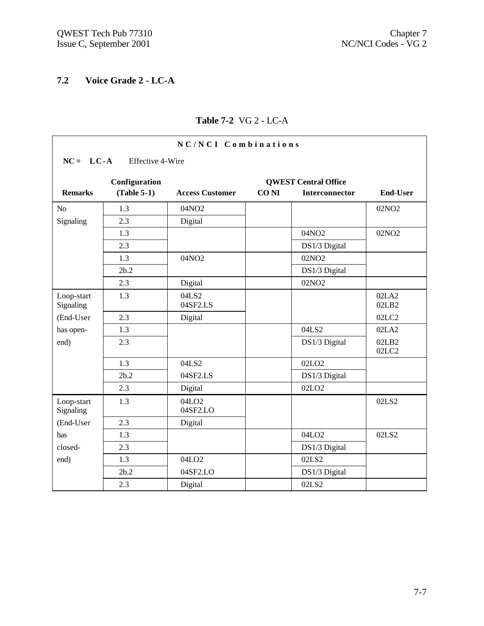# **7.2 Voice Grade 2 - LC-A**

| NC/NCI Combinations                          |                  |                               |             |                       |                   |  |  |
|----------------------------------------------|------------------|-------------------------------|-------------|-----------------------|-------------------|--|--|
| $NC = LC-A$                                  | Effective 4-Wire |                               |             |                       |                   |  |  |
| Configuration<br><b>QWEST Central Office</b> |                  |                               |             |                       |                   |  |  |
| <b>Remarks</b>                               | $(Table 5-1)$    | <b>Access Customer</b>        | <b>CONI</b> | <b>Interconnector</b> | <b>End-User</b>   |  |  |
| N <sub>o</sub>                               | 1.3              | 04NO2                         |             |                       | 02NO <sub>2</sub> |  |  |
| Signaling                                    | 2.3              | Digital                       |             |                       |                   |  |  |
|                                              | 1.3              |                               |             | 04NO2                 | 02NO <sub>2</sub> |  |  |
|                                              | 2.3              |                               |             | DS1/3 Digital         |                   |  |  |
|                                              | 1.3              | 04NO2                         |             | 02NO <sub>2</sub>     |                   |  |  |
|                                              | 2b.2             |                               |             | DS1/3 Digital         |                   |  |  |
|                                              | 2.3              | Digital                       |             | 02NO <sub>2</sub>     |                   |  |  |
| Loop-start<br>Signaling                      | 1.3              | 04LS2<br>04SF2.LS             |             |                       | 02LA2<br>02LB2    |  |  |
| (End-User                                    | 2.3              | Digital                       |             |                       | 02LC2             |  |  |
| has open-                                    | 1.3              |                               |             | 04LS2                 | 02LA2             |  |  |
| end)                                         | 2.3              |                               |             | DS1/3 Digital         | 02LB2<br>02LC2    |  |  |
|                                              | 1.3              | 04LS2                         |             | 02LO <sub>2</sub>     |                   |  |  |
|                                              | 2b.2             | 04SF2.LS                      |             | DS1/3 Digital         |                   |  |  |
|                                              | 2.3              | Digital                       |             | 02LO <sub>2</sub>     |                   |  |  |
| Loop-start<br>Signaling                      | 1.3              | 04LO <sub>2</sub><br>04SF2.LO |             |                       | 02LS2             |  |  |
| (End-User                                    | 2.3              | Digital                       |             |                       |                   |  |  |
| has                                          | 1.3              |                               |             | 04LO <sub>2</sub>     | 02LS2             |  |  |
| closed-                                      | 2.3              |                               |             | DS1/3 Digital         |                   |  |  |
| end)                                         | 1.3              | 04LO <sub>2</sub>             |             | 02LS2                 |                   |  |  |
|                                              | 2b.2             | 04SF2.LO                      |             | DS1/3 Digital         |                   |  |  |
|                                              | 2.3              | Digital                       |             | 02LS2                 |                   |  |  |

## **Table 7-2** VG 2 - LC-A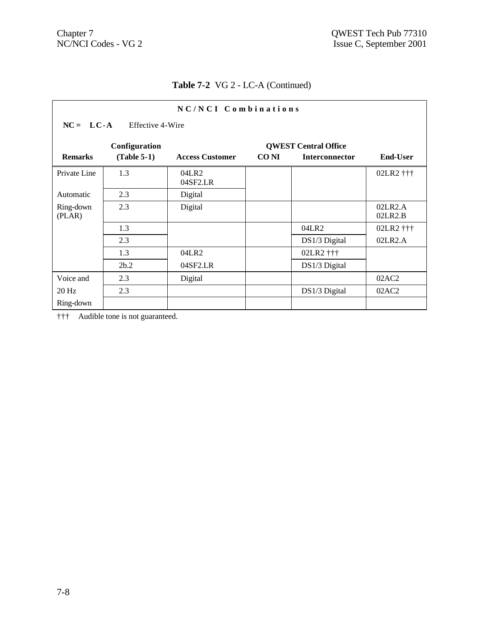| NC/NCI Combinations |                                              |                        |             |                       |                    |  |  |  |  |
|---------------------|----------------------------------------------|------------------------|-------------|-----------------------|--------------------|--|--|--|--|
|                     | $NC = LC-A$<br>Effective 4-Wire              |                        |             |                       |                    |  |  |  |  |
|                     | Configuration<br><b>QWEST Central Office</b> |                        |             |                       |                    |  |  |  |  |
| <b>Remarks</b>      | $(Table 5-1)$                                | <b>Access Customer</b> | <b>CONI</b> | <b>Interconnector</b> | <b>End-User</b>    |  |  |  |  |
| Private Line        | 1.3                                          | 04LR2<br>04SF2.LR      |             |                       | 02LR2 †††          |  |  |  |  |
| Automatic           | 2.3                                          | Digital                |             |                       |                    |  |  |  |  |
| Ring-down<br>(PLAN) | 2.3                                          | Digital                |             |                       | 02LR2.A<br>02LR2.B |  |  |  |  |
|                     | 1.3                                          |                        |             | 04LR2                 | 02LR2 †††          |  |  |  |  |
|                     | 2.3                                          |                        |             | DS1/3 Digital         | 02LR2.A            |  |  |  |  |
|                     | 1.3                                          | 04LR2                  |             | 02LR2 †††             |                    |  |  |  |  |
|                     | 2b.2                                         | 04SF2.LR               |             | DS1/3 Digital         |                    |  |  |  |  |
| Voice and           | 2.3                                          | Digital                |             |                       | 02AC2              |  |  |  |  |
| $20$ Hz             | 2.3                                          |                        |             | DS1/3 Digital         | 02AC2              |  |  |  |  |
| Ring-down           |                                              |                        |             |                       |                    |  |  |  |  |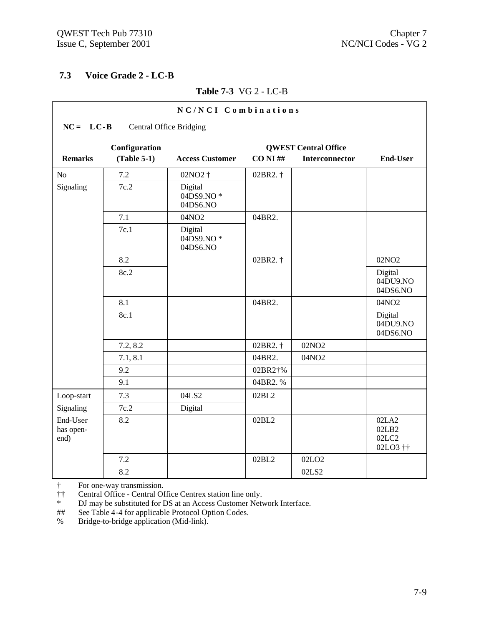## **7.3 Voice Grade 2 - LC-B**

|                               |                                | NC/NCI Combinations              |             |                             |                                     |
|-------------------------------|--------------------------------|----------------------------------|-------------|-----------------------------|-------------------------------------|
| $NC = LC - B$                 | <b>Central Office Bridging</b> |                                  |             |                             |                                     |
|                               | Configuration                  |                                  |             | <b>QWEST Central Office</b> |                                     |
| <b>Remarks</b>                | $(Table 5-1)$                  | <b>Access Customer</b>           | $CO$ NI $#$ | Interconnector              | <b>End-User</b>                     |
| N <sub>o</sub>                | 7.2                            | 02NO2 †                          | 02BR2. †    |                             |                                     |
| Signaling                     | 7c.2                           | Digital<br>04DS9.NO*<br>04DS6.NO |             |                             |                                     |
|                               | 7.1                            | 04NO2                            | 04BR2.      |                             |                                     |
|                               | 7c.1                           | Digital<br>04DS9.NO*<br>04DS6.NO |             |                             |                                     |
|                               | 8.2                            |                                  | 02BR2. †    |                             | 02NO <sub>2</sub>                   |
|                               | 8c.2                           |                                  |             |                             | Digital<br>04DU9.NO<br>04DS6.NO     |
|                               | 8.1                            |                                  | 04BR2.      |                             | 04NO2                               |
|                               | 8c.1                           |                                  |             |                             | Digital<br>04DU9.NO<br>04DS6.NO     |
|                               | 7.2, 8.2                       |                                  | 02BR2. †    | 02NO <sub>2</sub>           |                                     |
|                               | 7.1, 8.1                       |                                  | 04BR2.      | 04NO2                       |                                     |
|                               | 9.2                            |                                  | 02BR2†%     |                             |                                     |
|                               | 9.1                            |                                  | 04BR2.%     |                             |                                     |
| Loop-start                    | 7.3                            | 04LS2                            | 02BL2       |                             |                                     |
| Signaling                     | 7c.2                           | Digital                          |             |                             |                                     |
| End-User<br>has open-<br>end) | 8.2                            |                                  | 02BL2       |                             | 02LA2<br>02LB2<br>02LC2<br>02LO3 †† |
|                               | 7.2                            |                                  | 02BL2       | 02LO <sub>2</sub>           |                                     |
|                               | 8.2                            |                                  |             | 02LS2                       |                                     |

### **Table 7-3** VG 2 - LC-B

† For one-way transmission.

†† Central Office - Central Office Centrex station line only.<br>
<sup>\*</sup> DJ may be substituted for DS at an Access Customer Nety

\* DJ may be substituted for DS at an Access Customer Network Interface.<br>
## See Table 4-4 for applicable Protocol Option Codes.

See Table 4-4 for applicable Protocol Option Codes.

% Bridge-to-bridge application (Mid-link).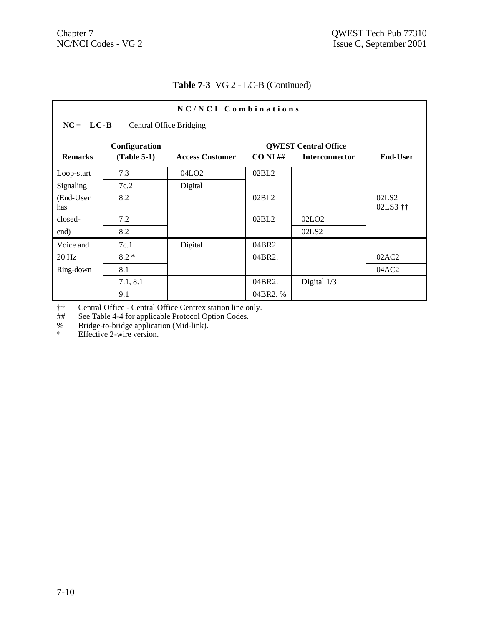| NC/NCI Combinations                             |                                |                        |             |                                               |                               |  |  |
|-------------------------------------------------|--------------------------------|------------------------|-------------|-----------------------------------------------|-------------------------------|--|--|
| $NC = LC - B$<br><b>Central Office Bridging</b> |                                |                        |             |                                               |                               |  |  |
| <b>Remarks</b>                                  | Configuration<br>$(Table 5-1)$ | <b>Access Customer</b> | $CO NI \#H$ | <b>QWEST Central Office</b><br>Interconnector | <b>End-User</b>               |  |  |
| Loop-start                                      | 7.3                            | 04LO <sub>2</sub>      | 02BL2       |                                               |                               |  |  |
| Signaling                                       | 7c.2                           | Digital                |             |                                               |                               |  |  |
| (End-User<br>has                                | 8.2                            |                        | 02BL2       |                                               | 02LS <sub>2</sub><br>02LS3 †† |  |  |
| closed-                                         | 7.2                            |                        | 02BL2       | 02LO <sub>2</sub>                             |                               |  |  |
| end)                                            | 8.2                            |                        |             | 02LS2                                         |                               |  |  |
| Voice and                                       | 7c.1                           | Digital                | 04BR2.      |                                               |                               |  |  |
| $20$ Hz                                         | $8.2*$                         |                        | 04BR2.      |                                               | 02AC2                         |  |  |
| Ring-down                                       | 8.1                            |                        |             |                                               | 04AC2                         |  |  |
|                                                 | 7.1, 8.1                       |                        | 04BR2.      | Digital 1/3                                   |                               |  |  |
|                                                 | 9.1                            |                        | 04BR2.%     |                                               |                               |  |  |

†† Central Office - Central Office Centrex station line only.

## See Table 4-4 for applicable Protocol Option Codes.

% Bridge-to-bridge application (Mid-link).

\* Effective 2-wire version.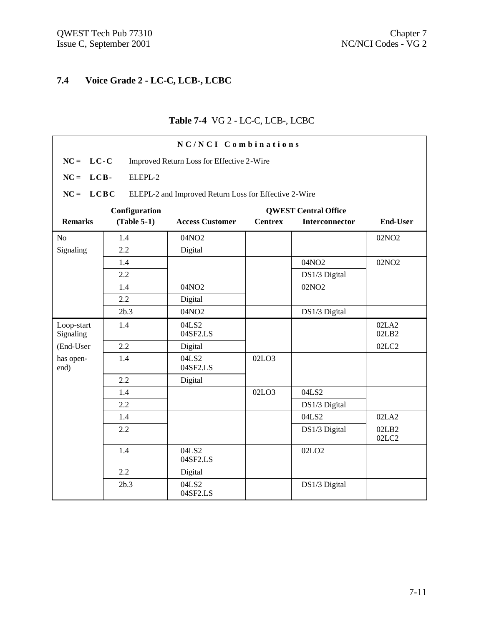# **7.4 Voice Grade 2 - LC-C, LCB-, LCBC**

#### **Table 7-4** VG 2 - LC-C, LCB-, LCBC

| NC/NCI Combinations     |               |                                                       |                |                             |                   |  |  |
|-------------------------|---------------|-------------------------------------------------------|----------------|-----------------------------|-------------------|--|--|
| $NC = LC-C$             |               | Improved Return Loss for Effective 2-Wire             |                |                             |                   |  |  |
| $NC = LCB$              | ELEPL-2       |                                                       |                |                             |                   |  |  |
| $NC = LCBC$             |               | ELEPL-2 and Improved Return Loss for Effective 2-Wire |                |                             |                   |  |  |
|                         | Configuration |                                                       |                | <b>QWEST Central Office</b> |                   |  |  |
| <b>Remarks</b>          | $(Table 5-1)$ | <b>Access Customer</b>                                | <b>Centrex</b> | Interconnector              | <b>End-User</b>   |  |  |
| N <sub>o</sub>          | 1.4           | 04NO2                                                 |                |                             | 02NO <sub>2</sub> |  |  |
| Signaling               | 2.2           | Digital                                               |                |                             |                   |  |  |
|                         | 1.4           |                                                       |                | 04NO2                       | 02NO <sub>2</sub> |  |  |
|                         | 2.2           |                                                       |                | DS1/3 Digital               |                   |  |  |
|                         | 1.4           | 04NO2                                                 |                | 02NO <sub>2</sub>           |                   |  |  |
|                         | 2.2           | Digital                                               |                |                             |                   |  |  |
|                         | 2b.3          | 04NO2                                                 |                | DS1/3 Digital               |                   |  |  |
| Loop-start<br>Signaling | 1.4           | 04LS2<br>04SF2.LS                                     |                |                             | 02LA2<br>02LB2    |  |  |
| (End-User               | 2.2           | Digital                                               |                |                             | 02LC2             |  |  |
| has open-<br>end)       | 1.4           | 04LS2<br>04SF2.LS                                     | 02LO3          |                             |                   |  |  |
|                         | 2.2           | Digital                                               |                |                             |                   |  |  |
|                         | 1.4           |                                                       | 02LO3          | 04LS2                       |                   |  |  |
|                         | 2.2           |                                                       |                | DS1/3 Digital               |                   |  |  |
|                         | 1.4           |                                                       |                | 04LS2                       | 02LA2             |  |  |
|                         | 2.2           |                                                       |                | DS1/3 Digital               | 02LB2<br>02LC2    |  |  |
|                         | 1.4           | 04LS2<br>04SF2.LS                                     |                | 02LO <sub>2</sub>           |                   |  |  |
|                         | 2.2           | Digital                                               |                |                             |                   |  |  |
|                         | 2b.3          | 04LS2<br>04SF2.LS                                     |                | DS1/3 Digital               |                   |  |  |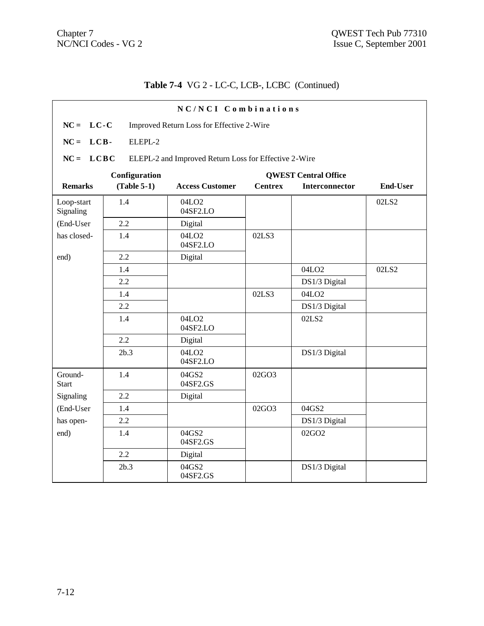# **Table 7-4** VG 2 - LC-C, LCB-, LCBC (Continued)

|                         |               | NC/NCI Combinations                                   |                |                             |                 |
|-------------------------|---------------|-------------------------------------------------------|----------------|-----------------------------|-----------------|
| $NC = LC-C$             |               | Improved Return Loss for Effective 2-Wire             |                |                             |                 |
| $NC = LCB$              | ELEPL-2       |                                                       |                |                             |                 |
| $NC = LCBC$             |               | ELEPL-2 and Improved Return Loss for Effective 2-Wire |                |                             |                 |
|                         | Configuration |                                                       |                | <b>QWEST Central Office</b> |                 |
| <b>Remarks</b>          | $(Table 5-1)$ | <b>Access Customer</b>                                | <b>Centrex</b> | Interconnector              | <b>End-User</b> |
| Loop-start<br>Signaling | 1.4           | 04LO <sub>2</sub><br>04SF2.LO                         |                |                             | 02LS2           |
| (End-User               | 2.2           | Digital                                               |                |                             |                 |
| has closed-             | 1.4           | 04LO <sub>2</sub><br>04SF2.LO                         | 02LS3          |                             |                 |
| end)                    | 2.2           | Digital                                               |                |                             |                 |
|                         | 1.4           |                                                       |                | 04LO <sub>2</sub>           | 02LS2           |
|                         | 2.2           |                                                       |                | DS1/3 Digital               |                 |
|                         | 1.4           |                                                       | 02LS3          | 04LO <sub>2</sub>           |                 |
|                         | 2.2           |                                                       |                | DS1/3 Digital               |                 |
|                         | 1.4           | 04LO <sub>2</sub><br>04SF2.LO                         |                | 02LS2                       |                 |
|                         | 2.2           | Digital                                               |                |                             |                 |
|                         | 2b.3          | 04LO <sub>2</sub><br>04SF2.LO                         |                | DS1/3 Digital               |                 |
| Ground-<br><b>Start</b> | 1.4           | 04GS2<br>04SF2.GS                                     | 02GO3          |                             |                 |
| Signaling               | 2.2           | Digital                                               |                |                             |                 |
| (End-User               | 1.4           |                                                       | 02GO3          | 04GS2                       |                 |
| has open-               | 2.2           |                                                       |                | DS1/3 Digital               |                 |
| end)                    | 1.4           | 04GS2<br>04SF2.GS                                     |                | 02GO2                       |                 |
|                         | 2.2           | Digital                                               |                |                             |                 |
|                         | 2b.3          | 04GS2<br>04SF2.GS                                     |                | DS1/3 Digital               |                 |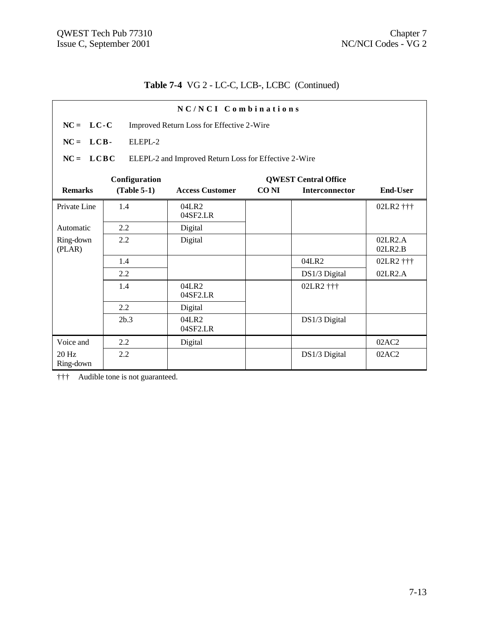# **Table 7-4** VG 2 - LC-C, LCB-, LCBC (Continued)

| NC/NCI Combinations |                                                          |                                                       |             |                             |                    |  |
|---------------------|----------------------------------------------------------|-------------------------------------------------------|-------------|-----------------------------|--------------------|--|
|                     | $NC = LC-C$<br>Improved Return Loss for Effective 2-Wire |                                                       |             |                             |                    |  |
| $NC = LCB$          | ELEPL-2                                                  |                                                       |             |                             |                    |  |
| $NC = LCBC$         |                                                          | ELEPL-2 and Improved Return Loss for Effective 2-Wire |             |                             |                    |  |
|                     | Configuration                                            |                                                       |             | <b>QWEST Central Office</b> |                    |  |
| <b>Remarks</b>      | $(Table 5-1)$                                            | <b>Access Customer</b>                                | <b>CONI</b> | Interconnector              | <b>End-User</b>    |  |
| Private Line        | 1.4                                                      | 04LR2<br>04SF2.LR                                     |             |                             | 02LR2 †††          |  |
| Automatic           | 2.2                                                      | Digital                                               |             |                             |                    |  |
| Ring-down<br>(PLAR) | 2.2                                                      | Digital                                               |             |                             | 02LR2.A<br>02LR2.B |  |
|                     | 1.4                                                      |                                                       |             | 04LR2                       | 02LR2 †††          |  |
|                     | 2.2                                                      |                                                       |             | DS1/3 Digital               | 02LR2.A            |  |
|                     | 1.4                                                      | 04LR2<br>04SF2.LR                                     |             | 02LR2 †††                   |                    |  |
|                     | 2.2                                                      | Digital                                               |             |                             |                    |  |
|                     | 2b.3                                                     | 04LR2<br>04SF2.LR                                     |             | DS1/3 Digital               |                    |  |
| Voice and           | 2.2                                                      | Digital                                               |             |                             | 02AC2              |  |
| 20 Hz<br>Ring-down  | 2.2                                                      |                                                       |             | DS1/3 Digital               | 02AC2              |  |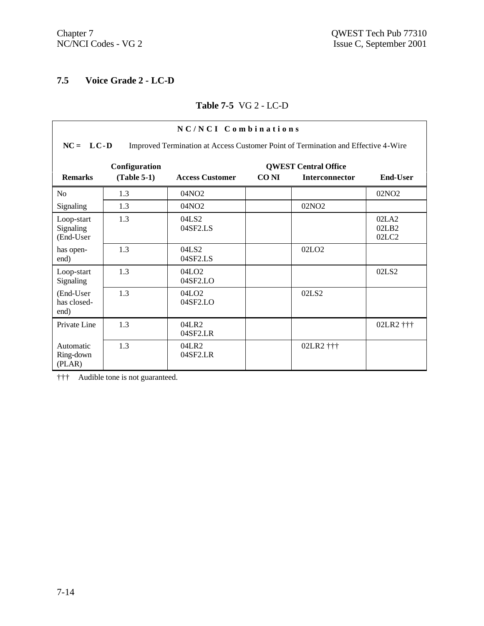## **7.5 Voice Grade 2 - LC-D**

#### **Table 7-5** VG 2 - LC-D

| NC/NCI Combinations                  |                                                                                                    |                                               |       |                             |                                                  |  |  |
|--------------------------------------|----------------------------------------------------------------------------------------------------|-----------------------------------------------|-------|-----------------------------|--------------------------------------------------|--|--|
|                                      | $NC = LC - D$<br>Improved Termination at Access Customer Point of Termination and Effective 4-Wire |                                               |       |                             |                                                  |  |  |
| <b>Remarks</b>                       | Configuration                                                                                      |                                               | CO NI | <b>QWEST Central Office</b> | End-User                                         |  |  |
|                                      | $(Table 5-1)$                                                                                      | <b>Access Customer</b>                        |       | <b>Interconnector</b>       |                                                  |  |  |
| N <sub>0</sub>                       | 1.3                                                                                                | 04NO <sub>2</sub>                             |       |                             | 02NO2                                            |  |  |
| Signaling                            | 1.3                                                                                                | 04NO <sub>2</sub>                             |       | 02NO <sub>2</sub>           |                                                  |  |  |
| Loop-start<br>Signaling<br>(End-User | 1.3                                                                                                | 04LS2<br>04SF2.LS                             |       |                             | 02LA2<br>02LB2<br>02 <sub>L</sub> C <sub>2</sub> |  |  |
| has open-<br>end)                    | 1.3                                                                                                | 04LS2<br>04SF2.LS                             |       | 02LO <sub>2</sub>           |                                                  |  |  |
| Loop-start<br>Signaling              | 1.3                                                                                                | 04LO2<br>04SF2.LO                             |       |                             | 02LS <sub>2</sub>                                |  |  |
| (End-User<br>has closed-<br>end)     | 1.3                                                                                                | 04LO <sub>2</sub><br>$04$ SF <sub>2</sub> .LO |       | 02LS2                       |                                                  |  |  |
| Private Line                         | 1.3                                                                                                | 04LR2<br>04SF2.LR                             |       |                             | 02LR2 †††                                        |  |  |
| Automatic<br>Ring-down<br>(PLAR)     | 1.3                                                                                                | 04LR2<br>04SF2.LR                             |       | 02LR2 †††                   |                                                  |  |  |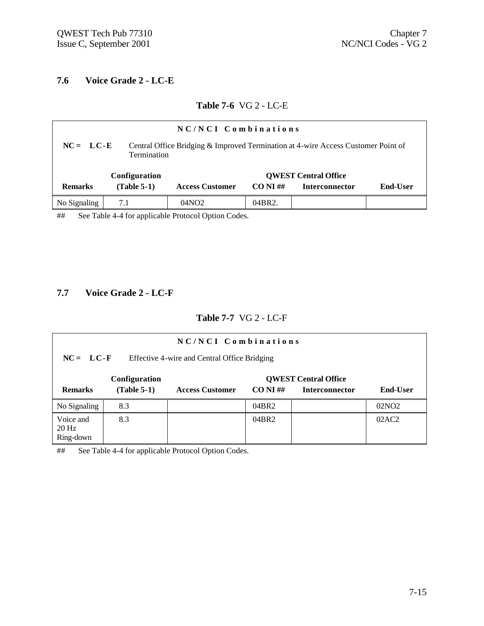#### **7.6 Voice Grade 2 - LC-E**

#### **Table 7-6** VG 2 - LC-E

| NC/NCI Combinations                                                                                                    |               |                        |             |                             |          |  |  |
|------------------------------------------------------------------------------------------------------------------------|---------------|------------------------|-------------|-----------------------------|----------|--|--|
| Central Office Bridging & Improved Termination at 4-wire Access Customer Point of<br>$NC = LC-E$<br><b>Termination</b> |               |                        |             |                             |          |  |  |
|                                                                                                                        | Configuration |                        |             | <b>QWEST Central Office</b> |          |  |  |
| <b>Remarks</b>                                                                                                         | $(Table 5-1)$ | <b>Access Customer</b> | $CO NI \#H$ | <b>Interconnector</b>       | End-User |  |  |
| No Signaling                                                                                                           | 7.1           | 04NO2                  | 04BR2.      |                             |          |  |  |

## See Table 4-4 for applicable Protocol Option Codes.

### **7.7 Voice Grade 2 - LC-F**

#### **Table 7-7** VG 2 - LC-F

| NC/NCI Combinations                                         |                                |                        |             |                                                      |                   |  |
|-------------------------------------------------------------|--------------------------------|------------------------|-------------|------------------------------------------------------|-------------------|--|
| $NC = LC-F$<br>Effective 4-wire and Central Office Bridging |                                |                        |             |                                                      |                   |  |
| <b>Remarks</b>                                              | Configuration<br>$(Table 5-1)$ | <b>Access Customer</b> | $CO NI \#H$ | <b>QWEST Central Office</b><br><b>Interconnector</b> | <b>End-User</b>   |  |
| No Signaling                                                | 8.3                            |                        | 04BR2       |                                                      | 02NO <sub>2</sub> |  |
| Voice and<br>$20$ Hz<br>Ring-down                           | 8.3                            |                        | 04BR2       |                                                      | 02AC2             |  |

## See Table 4-4 for applicable Protocol Option Codes.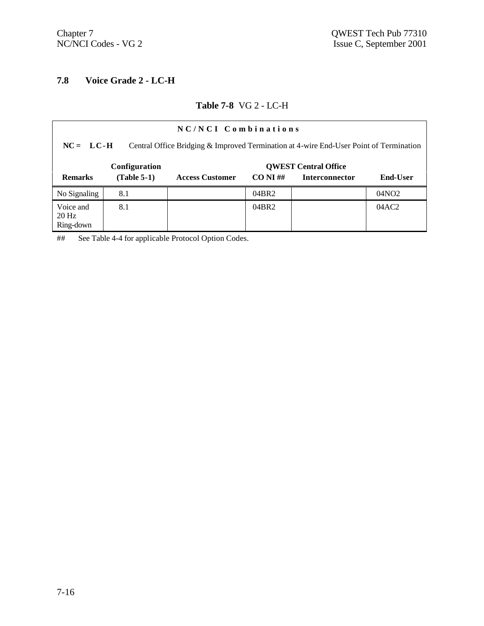## **7.8 Voice Grade 2 - LC-H**

#### **Table 7-8** VG 2 - LC-H

| NC/NCI Combinations                                                                                     |               |                        |             |                             |                   |
|---------------------------------------------------------------------------------------------------------|---------------|------------------------|-------------|-----------------------------|-------------------|
| Central Office Bridging & Improved Termination at 4-wire End-User Point of Termination<br>$NC = LC - H$ |               |                        |             |                             |                   |
|                                                                                                         | Configuration |                        |             | <b>OWEST Central Office</b> |                   |
| <b>Remarks</b>                                                                                          | $(Table 5-1)$ | <b>Access Customer</b> | $CO NI \#H$ | <b>Interconnector</b>       | <b>End-User</b>   |
| No Signaling                                                                                            | 8.1           |                        | 04BR2       |                             | 04NO <sub>2</sub> |
| Voice and<br>$20$ Hz<br>Ring-down                                                                       | 8.1           |                        | 04BR2       |                             | 04AC2             |

## See Table 4-4 for applicable Protocol Option Codes.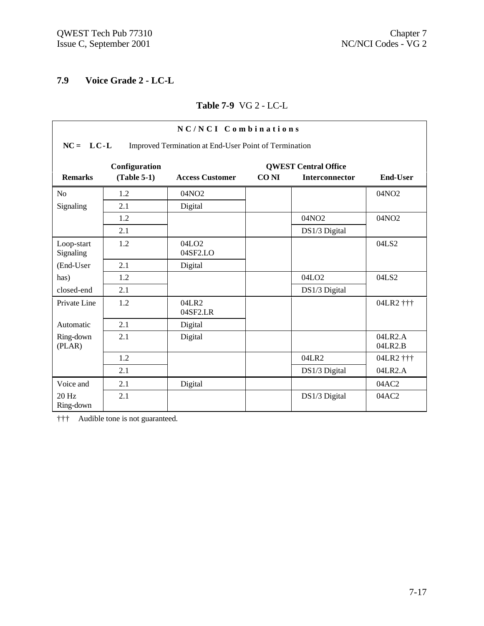## **7.9 Voice Grade 2 - LC-L**

#### **Table 7-9** VG 2 - LC-L

| NC/NCI Combinations                                                  |               |                        |             |                             |                    |  |
|----------------------------------------------------------------------|---------------|------------------------|-------------|-----------------------------|--------------------|--|
| $NC = LC-L$<br>Improved Termination at End-User Point of Termination |               |                        |             |                             |                    |  |
|                                                                      | Configuration |                        |             | <b>QWEST Central Office</b> |                    |  |
| <b>Remarks</b>                                                       | $(Table 5-1)$ | <b>Access Customer</b> | <b>CONI</b> | <b>Interconnector</b>       | <b>End-User</b>    |  |
| No                                                                   | 1.2           | 04NO <sub>2</sub>      |             |                             | 04NO <sub>2</sub>  |  |
| Signaling                                                            | 2.1           | Digital                |             |                             |                    |  |
|                                                                      | 1.2           |                        |             | 04NO2                       | 04NO <sub>2</sub>  |  |
|                                                                      | 2.1           |                        |             | DS1/3 Digital               |                    |  |
| Loop-start<br>Signaling                                              | 1.2           | 04LO2<br>04SF2.LO      |             |                             | 04LS2              |  |
| (End-User                                                            | 2.1           | Digital                |             |                             |                    |  |
| has)                                                                 | 1.2           |                        |             | 04LO <sub>2</sub>           | 04LS2              |  |
| closed-end                                                           | 2.1           |                        |             | DS1/3 Digital               |                    |  |
| Private Line                                                         | 1.2           | 04LR2<br>04SF2.LR      |             |                             | 04LR2 †††          |  |
| Automatic                                                            | 2.1           | Digital                |             |                             |                    |  |
| Ring-down<br>(PLAN)                                                  | 2.1           | Digital                |             |                             | 04LR2.A<br>04LR2.B |  |
|                                                                      | 1.2           |                        |             | 04LR2                       | 04LR2 †††          |  |
|                                                                      | 2.1           |                        |             | DS1/3 Digital               | 04LR2.A            |  |
| Voice and                                                            | 2.1           | Digital                |             |                             | 04AC2              |  |
| 20 Hz<br>Ring-down                                                   | 2.1           |                        |             | DS1/3 Digital               | 04AC2              |  |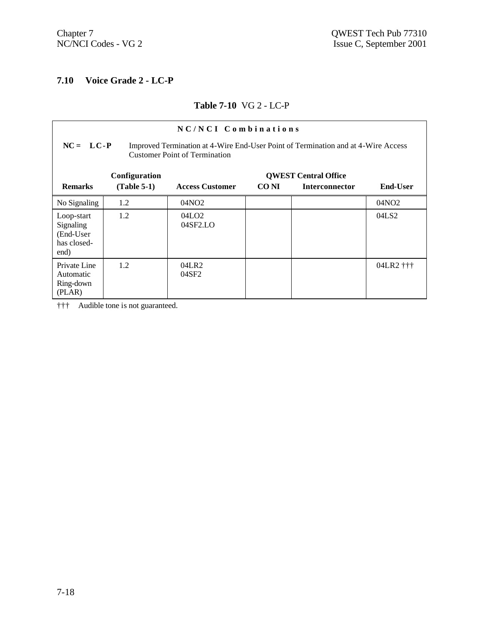### **7.10 Voice Grade 2 - LC-P**

#### **Table 7-10** VG 2 - LC-P

| NC/NCI Combinations<br>$NC = LC - P$<br>Improved Termination at 4-Wire End-User Point of Termination and at 4-Wire Access<br><b>Customer Point of Termination</b> |                                |                               |       |                                                      |                   |  |
|-------------------------------------------------------------------------------------------------------------------------------------------------------------------|--------------------------------|-------------------------------|-------|------------------------------------------------------|-------------------|--|
| <b>Remarks</b>                                                                                                                                                    | Configuration<br>$(Table 5-1)$ | <b>Access Customer</b>        | CO NI | <b>QWEST Central Office</b><br><b>Interconnector</b> | <b>End-User</b>   |  |
| No Signaling                                                                                                                                                      | 1.2                            | 04NO <sub>2</sub>             |       |                                                      | 04NO <sub>2</sub> |  |
| Loop-start<br>Signaling<br>(End-User<br>has closed-<br>end)                                                                                                       | 1.2                            | 04LO <sub>2</sub><br>04SF2.LO |       |                                                      | 04LS2             |  |
| Private Line<br>Automatic<br>Ring-down<br>(PLAN)                                                                                                                  | 1.2                            | 04LR2<br>04SF2                |       |                                                      | 04LR2 †††         |  |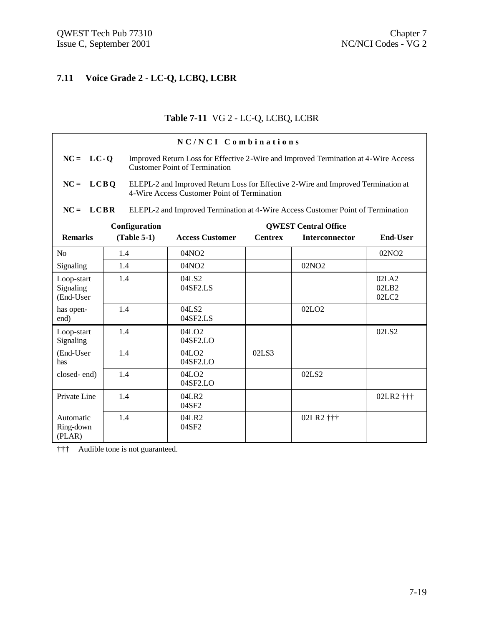### **7.11 Voice Grade 2 - LC-Q, LCBQ, LCBR**

### **Table 7-11** VG 2 - LC-Q, LCBQ, LCBR

|                                      |               | NC/NCI Combinations                                                                                                              |                |                             |                         |  |
|--------------------------------------|---------------|----------------------------------------------------------------------------------------------------------------------------------|----------------|-----------------------------|-------------------------|--|
| $NC = LC - Q$                        |               | Improved Return Loss for Effective 2-Wire and Improved Termination at 4-Wire Access<br><b>Customer Point of Termination</b>      |                |                             |                         |  |
| $NC = LCBQ$                          |               | ELEPL-2 and Improved Return Loss for Effective 2-Wire and Improved Termination at<br>4-Wire Access Customer Point of Termination |                |                             |                         |  |
| $NC = LCBR$                          |               | ELEPL-2 and Improved Termination at 4-Wire Access Customer Point of Termination                                                  |                |                             |                         |  |
|                                      | Configuration |                                                                                                                                  |                | <b>QWEST Central Office</b> |                         |  |
| <b>Remarks</b>                       | $(Table 5-1)$ | <b>Access Customer</b>                                                                                                           | <b>Centrex</b> | <b>Interconnector</b>       | <b>End-User</b>         |  |
| N <sub>o</sub>                       | 1.4           | 04NO <sub>2</sub>                                                                                                                |                |                             | 02NO <sub>2</sub>       |  |
| Signaling                            | 1.4           | 04NO <sub>2</sub>                                                                                                                |                | 02NO <sub>2</sub>           |                         |  |
| Loop-start<br>Signaling<br>(End-User | 1.4           | 04LS2<br>04SF2.LS                                                                                                                |                |                             | 02LA2<br>02LB2<br>02LC2 |  |
| has open-<br>end)                    | 1.4           | 04LS2<br>04SF2.LS                                                                                                                |                | 02LO <sub>2</sub>           |                         |  |
| Loop-start<br>Signaling              | 1.4           | 04LO <sub>2</sub><br>04SF2.LO                                                                                                    |                |                             | 02LS2                   |  |
| (End-User<br>has                     | 1.4           | 04LO2<br>04SF2.LO                                                                                                                | 02LS3          |                             |                         |  |
| closed-end)                          | 1.4           | 04LO2<br>04SF2.LO                                                                                                                |                | 02LS2                       |                         |  |
| Private Line                         | 1.4           | 04LR2<br>04SF2                                                                                                                   |                |                             | 02LR2 †††               |  |
| Automatic<br>Ring-down<br>(PLAN)     | 1.4           | 04LR2<br>04SF2                                                                                                                   |                | 02LR2 †††                   |                         |  |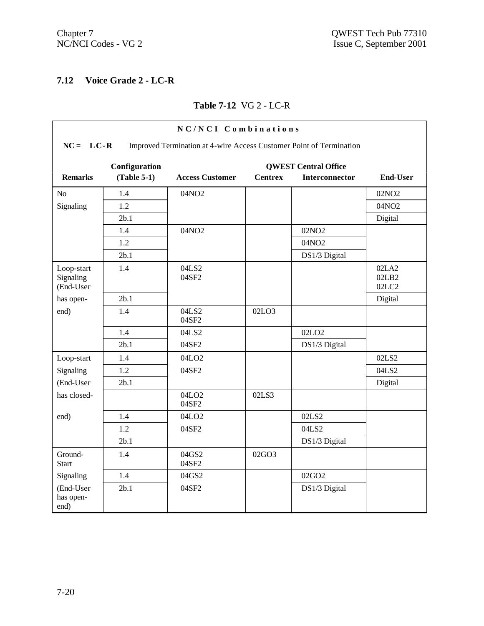### **7.12 Voice Grade 2 - LC-R**

#### **Table 7-12** VG 2 - LC-R

| NC/NCI Combinations                  |                                                                                    |                            |                |                   |                         |  |  |
|--------------------------------------|------------------------------------------------------------------------------------|----------------------------|----------------|-------------------|-------------------------|--|--|
|                                      | $NC = LC-R$<br>Improved Termination at 4-wire Access Customer Point of Termination |                            |                |                   |                         |  |  |
|                                      | Configuration<br><b>QWEST Central Office</b>                                       |                            |                |                   |                         |  |  |
| <b>Remarks</b>                       | $(Table 5-1)$                                                                      | <b>Access Customer</b>     | <b>Centrex</b> | Interconnector    | <b>End-User</b>         |  |  |
| N <sub>0</sub>                       | 1.4                                                                                | 04NO2                      |                |                   | 02NO <sub>2</sub>       |  |  |
| Signaling                            | 1.2                                                                                |                            |                |                   | 04NO2                   |  |  |
|                                      | 2b.1                                                                               |                            |                |                   | Digital                 |  |  |
|                                      | 1.4                                                                                | 04NO2                      |                | 02NO <sub>2</sub> |                         |  |  |
|                                      | 1.2                                                                                |                            |                | 04NO2             |                         |  |  |
|                                      | 2b.1                                                                               |                            |                | DS1/3 Digital     |                         |  |  |
| Loop-start<br>Signaling<br>(End-User | 1.4                                                                                | 04LS2<br>04SF2             |                |                   | 02LA2<br>02LB2<br>02LC2 |  |  |
| has open-                            | 2b.1                                                                               |                            |                |                   | Digital                 |  |  |
| end)                                 | 1.4                                                                                | 04LS2<br>04SF2             | 02LO3          |                   |                         |  |  |
|                                      | 1.4                                                                                | 04LS2                      |                | 02LO <sub>2</sub> |                         |  |  |
|                                      | 2b.1                                                                               | 04SF2                      |                | DS1/3 Digital     |                         |  |  |
| Loop-start                           | 1.4                                                                                | 04LO <sub>2</sub>          |                |                   | 02LS2                   |  |  |
| Signaling                            | 1.2                                                                                | 04SF2                      |                |                   | 04LS2                   |  |  |
| (End-User                            | 2b.1                                                                               |                            |                |                   | Digital                 |  |  |
| has closed-                          |                                                                                    | 04LO <sub>2</sub><br>04SF2 | 02LS3          |                   |                         |  |  |
| end)                                 | 1.4                                                                                | 04LO <sub>2</sub>          |                | 02LS2             |                         |  |  |
|                                      | 1.2                                                                                | 04SF2                      |                | 04LS2             |                         |  |  |
|                                      | 2b.1                                                                               |                            |                | DS1/3 Digital     |                         |  |  |
| Ground-<br><b>Start</b>              | 1.4                                                                                | 04GS2<br>04SF2             | 02GO3          |                   |                         |  |  |
| Signaling                            | 1.4                                                                                | 04GS2                      |                | 02GO2             |                         |  |  |
| (End-User<br>has open-<br>end)       | 2b.1                                                                               | 04SF2                      |                | DS1/3 Digital     |                         |  |  |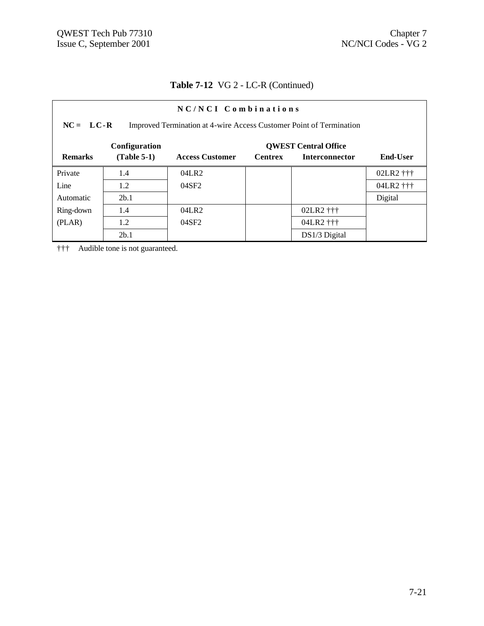| NC/NCI Combinations                                                                |               |                        |                |                       |                 |  |
|------------------------------------------------------------------------------------|---------------|------------------------|----------------|-----------------------|-----------------|--|
| $NC = LC-R$<br>Improved Termination at 4-wire Access Customer Point of Termination |               |                        |                |                       |                 |  |
| <b>OWEST Central Office</b><br>Configuration                                       |               |                        |                |                       |                 |  |
| <b>Remarks</b>                                                                     | $(Table 5-1)$ | <b>Access Customer</b> | <b>Centrex</b> | <b>Interconnector</b> | <b>End-User</b> |  |
| Private                                                                            | 1.4           | 04LR2                  |                |                       | 02LR2 †††       |  |
| Line                                                                               | 1.2           | 04SF2                  |                |                       | 04LR2 †††       |  |
| Automatic                                                                          | 2b.1          |                        |                |                       | Digital         |  |
| Ring-down                                                                          | 1.4           | 04LR2                  |                | 02LR2 †††             |                 |  |
| (PLAR)                                                                             | 1.2           | 04SF2                  |                | 04LR2 †††             |                 |  |
|                                                                                    | 2b.1          |                        |                | DS1/3 Digital         |                 |  |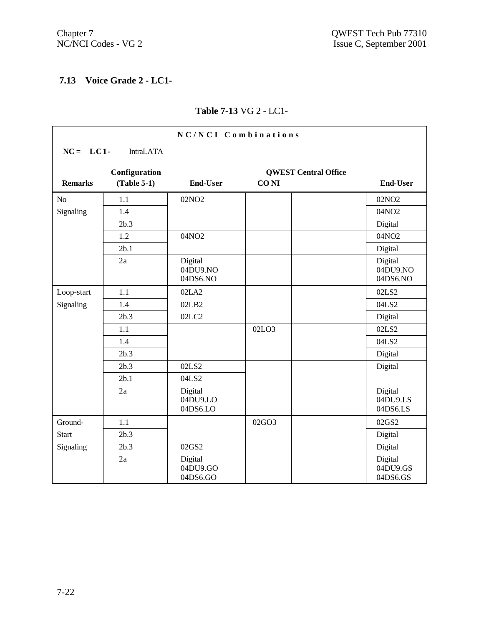# **7.13 Voice Grade 2 - LC1-**

### **Table 7-13** VG 2 - LC1-

| NC/NCI Combinations |                  |                                 |                  |                             |                                 |
|---------------------|------------------|---------------------------------|------------------|-----------------------------|---------------------------------|
| $NC = LC1$          | <b>IntraLATA</b> |                                 |                  |                             |                                 |
|                     | Configuration    |                                 |                  | <b>QWEST Central Office</b> |                                 |
| <b>Remarks</b>      | $(Table 5-1)$    | <b>End-User</b>                 | CO <sub>NI</sub> |                             | <b>End-User</b>                 |
| N <sub>o</sub>      | 1.1              | 02NO <sub>2</sub>               |                  |                             | 02NO <sub>2</sub>               |
| Signaling           | 1.4              |                                 |                  |                             | 04NO2                           |
|                     | 2b.3             |                                 |                  |                             | Digital                         |
|                     | 1.2              | 04NO2                           |                  |                             | 04NO2                           |
|                     | 2b.1             |                                 |                  |                             | Digital                         |
|                     | 2a               | Digital<br>04DU9.NO<br>04DS6.NO |                  |                             | Digital<br>04DU9.NO<br>04DS6.NO |
| Loop-start          | 1.1              | 02LA2                           |                  |                             | 02LS2                           |
| Signaling           | 1.4              | 02LB2                           |                  |                             | 04LS2                           |
|                     | 2b.3             | 02LC2                           |                  |                             | Digital                         |
|                     | 1.1              |                                 | 02LO3            |                             | 02LS2                           |
|                     | 1.4              |                                 |                  |                             | 04LS2                           |
|                     | 2b.3             |                                 |                  |                             | Digital                         |
|                     | 2b.3             | 02LS2                           |                  |                             | Digital                         |
|                     | 2b.1             | 04LS2                           |                  |                             |                                 |
|                     | 2a               | Digital<br>04DU9.LO<br>04DS6.LO |                  |                             | Digital<br>04DU9.LS<br>04DS6.LS |
| Ground-             | 1.1              |                                 | 02GO3            |                             | 02GS2                           |
| <b>Start</b>        | 2b.3             |                                 |                  |                             | Digital                         |
| Signaling           | 2b.3             | 02GS2                           |                  |                             | Digital                         |
|                     | 2a               | Digital<br>04DU9.GO<br>04DS6.GO |                  |                             | Digital<br>04DU9.GS<br>04DS6.GS |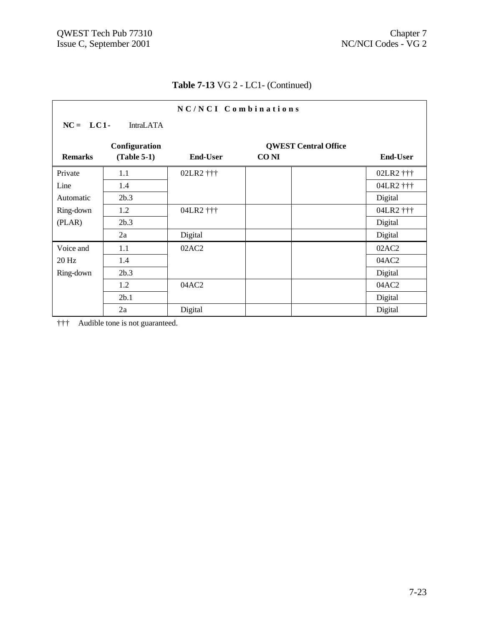| NC/NCI Combinations |               |                 |                             |                 |  |
|---------------------|---------------|-----------------|-----------------------------|-----------------|--|
| $NC = LC1$          | IntraLATA     |                 |                             |                 |  |
|                     | Configuration |                 | <b>QWEST Central Office</b> |                 |  |
| <b>Remarks</b>      | $(Table 5-1)$ | <b>End-User</b> | <b>CONI</b>                 | <b>End-User</b> |  |
| Private             | 1.1           | 02LR2 †††       |                             | 02LR2 †††       |  |
| Line                | 1.4           |                 |                             | 04LR2 †††       |  |
| Automatic           | 2b.3          |                 |                             | Digital         |  |
| Ring-down           | 1.2           | 04LR2 †††       |                             | 04LR2 †††       |  |
| (PLAN)              | 2b.3          |                 |                             | Digital         |  |
|                     | 2a            | Digital         |                             | Digital         |  |
| Voice and           | 1.1           | 02AC2           |                             | 02AC2           |  |
| $20$ Hz             | 1.4           |                 |                             | 04AC2           |  |
| Ring-down           | 2b.3          |                 |                             | Digital         |  |
|                     | 1.2           | 04AC2           |                             | 04AC2           |  |
|                     | 2b.1          |                 |                             | Digital         |  |
|                     | 2a            | Digital         |                             | Digital         |  |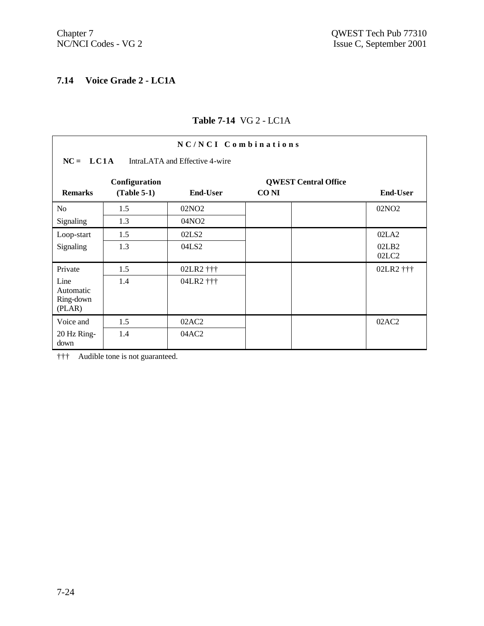## **7.14 Voice Grade 2 - LC1A**

### **Table 7-14** VG 2 - LC1A

| NC/NCI Combinations                                 |                                               |                                        |                                            |                         |  |  |
|-----------------------------------------------------|-----------------------------------------------|----------------------------------------|--------------------------------------------|-------------------------|--|--|
|                                                     | $NC = LC1A$<br>IntraLATA and Effective 4-wire |                                        |                                            |                         |  |  |
| <b>Remarks</b>                                      | Configuration<br>$(Table 5-1)$                | End-User                               | <b>QWEST Central Office</b><br><b>CONI</b> | End-User                |  |  |
| N <sub>0</sub><br>Signaling                         | 1.5<br>1.3                                    | 02NO <sub>2</sub><br>04NO <sub>2</sub> |                                            | 02NO <sub>2</sub>       |  |  |
| Loop-start<br>Signaling                             | 1.5<br>1.3                                    | 02LS <sub>2</sub><br>04LS2             |                                            | 02LA2<br>02LB2<br>02LC2 |  |  |
| Private<br>Line<br>Automatic<br>Ring-down<br>(PLAR) | 1.5<br>1.4                                    | 02LR2 †††<br>04LR2 †††                 |                                            | 02LR2 †††               |  |  |
| Voice and<br>20 Hz Ring-<br>down                    | 1.5<br>1.4                                    | 02AC2<br>04AC2                         |                                            | 02AC2                   |  |  |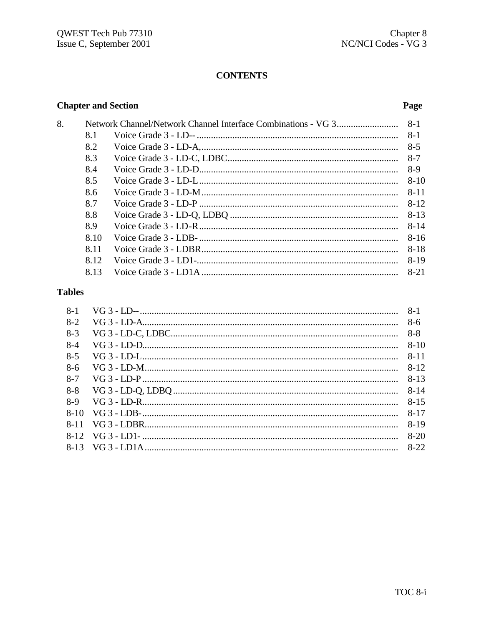### **CONTENTS**

### **Chapter and Section**

8.

#### Page

| 8.1  |          |
|------|----------|
| 8.2  | $8-5$    |
| 8.3  | 8-7      |
| 8.4  | $8-9$    |
| 8.5  | $8 - 10$ |
| 8.6  | $8 - 11$ |
| 8.7  | $8 - 12$ |
| 8.8  | $8 - 13$ |
| 8.9  | $8 - 14$ |
| 8.10 | $8 - 16$ |
| 8.11 | $8 - 18$ |
| 8.12 | $8 - 19$ |
| 8.13 | $8 - 21$ |
|      |          |

## **Tables**

| $8-1$   |          |
|---------|----------|
| $8-2$   |          |
| $8-3$   |          |
| $8-4$   |          |
| $8-5$   |          |
| $8-6$   |          |
| $8 - 7$ | $8 - 13$ |
| $8 - 8$ | -8-14    |
| $8-9$   |          |
|         |          |
|         |          |
|         | 8-20     |
|         |          |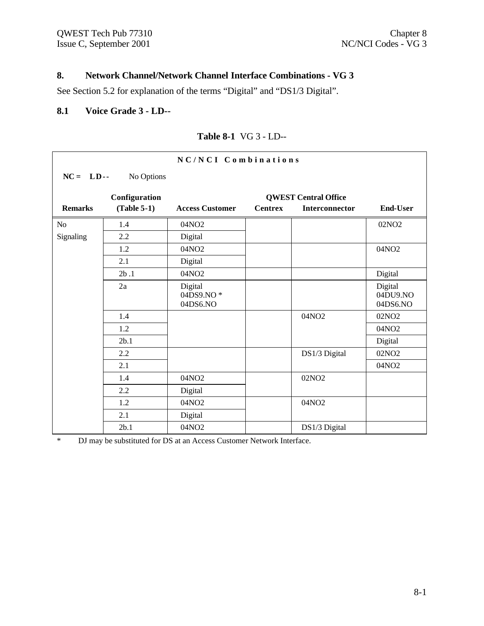#### **8. Network Channel/Network Channel Interface Combinations - VG 3**

See Section 5.2 for explanation of the terms "Digital" and "DS1/3 Digital".

#### **8.1 Voice Grade 3 - LD--**

| NC/NCI Combinations |               |                                  |                |                             |                                 |  |  |
|---------------------|---------------|----------------------------------|----------------|-----------------------------|---------------------------------|--|--|
| $NC = LD -$         | No Options    |                                  |                |                             |                                 |  |  |
|                     | Configuration |                                  |                | <b>QWEST Central Office</b> |                                 |  |  |
| <b>Remarks</b>      | $(Table 5-1)$ | <b>Access Customer</b>           | <b>Centrex</b> | Interconnector              | <b>End-User</b>                 |  |  |
| N <sub>o</sub>      | 1.4           | 04NO <sub>2</sub>                |                |                             | 02NO <sub>2</sub>               |  |  |
| Signaling           | 2.2           | Digital                          |                |                             |                                 |  |  |
|                     | 1.2           | 04NO2                            |                |                             | 04NO2                           |  |  |
|                     | 2.1           | Digital                          |                |                             |                                 |  |  |
|                     | 2b.1          | 04NO2                            |                |                             | Digital                         |  |  |
|                     | 2a            | Digital<br>04DS9.NO*<br>04DS6.NO |                |                             | Digital<br>04DU9.NO<br>04DS6.NO |  |  |
|                     | 1.4           |                                  |                | 04NO2                       | 02NO <sub>2</sub>               |  |  |
|                     | 1.2           |                                  |                |                             | 04NO <sub>2</sub>               |  |  |
|                     | 2b.1          |                                  |                |                             | Digital                         |  |  |
|                     | 2.2           |                                  |                | DS1/3 Digital               | 02NO <sub>2</sub>               |  |  |
|                     | 2.1           |                                  |                |                             | 04NO <sub>2</sub>               |  |  |
|                     | 1.4           | 04NO2                            |                | 02NO <sub>2</sub>           |                                 |  |  |
|                     | 2.2           | Digital                          |                |                             |                                 |  |  |
|                     | 1.2           | 04NO2                            |                | 04NO2                       |                                 |  |  |
|                     | 2.1           | Digital                          |                |                             |                                 |  |  |
|                     | 2b.1          | 04NO2                            |                | DS1/3 Digital               |                                 |  |  |

### **Table 8-1** VG 3 - LD--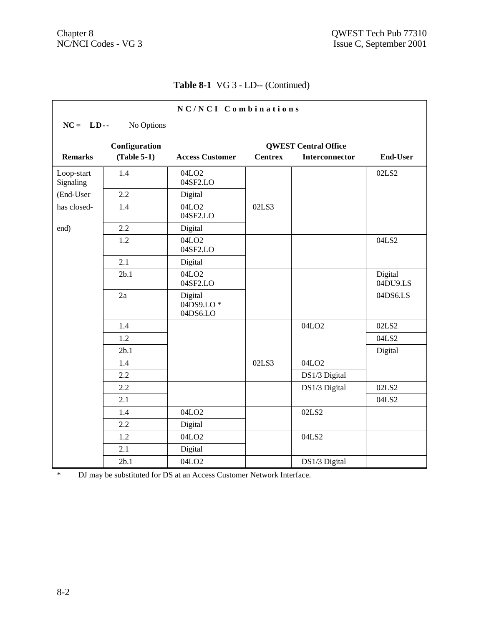|                         |                           | NC/NCI Combinations              |                |                             |                     |  |  |  |  |
|-------------------------|---------------------------|----------------------------------|----------------|-----------------------------|---------------------|--|--|--|--|
|                         | $NC = LD -$<br>No Options |                                  |                |                             |                     |  |  |  |  |
|                         | Configuration             |                                  |                | <b>QWEST Central Office</b> |                     |  |  |  |  |
| <b>Remarks</b>          | $(Table 5-1)$             | <b>Access Customer</b>           | <b>Centrex</b> | <b>Interconnector</b>       | <b>End-User</b>     |  |  |  |  |
| Loop-start<br>Signaling | 1.4                       | 04LO <sub>2</sub><br>04SF2.LO    |                |                             | 02LS2               |  |  |  |  |
| (End-User               | 2.2                       | Digital                          |                |                             |                     |  |  |  |  |
| has closed-             | 1.4                       | 04LO <sub>2</sub><br>04SF2.LO    | 02LS3          |                             |                     |  |  |  |  |
| end)                    | 2.2                       | Digital                          |                |                             |                     |  |  |  |  |
|                         | 1.2                       | 04LO <sub>2</sub><br>04SF2.LO    |                |                             | 04LS2               |  |  |  |  |
|                         | 2.1                       | Digital                          |                |                             |                     |  |  |  |  |
|                         | 2b.1                      | 04LO <sub>2</sub><br>04SF2.LO    |                |                             | Digital<br>04DU9.LS |  |  |  |  |
|                         | 2a                        | Digital<br>04DS9.LO*<br>04DS6.LO |                |                             | 04DS6.LS            |  |  |  |  |
|                         | 1.4                       |                                  |                | 04LO <sub>2</sub>           | 02LS2               |  |  |  |  |
|                         | 1.2                       |                                  |                |                             | 04LS2               |  |  |  |  |
|                         | 2b.1                      |                                  |                |                             | Digital             |  |  |  |  |
|                         | 1.4                       |                                  | 02LS3          | 04LO <sub>2</sub>           |                     |  |  |  |  |
|                         | 2.2                       |                                  |                | DS1/3 Digital               |                     |  |  |  |  |
|                         | 2.2                       |                                  |                | DS1/3 Digital               | 02LS2               |  |  |  |  |
|                         | 2.1                       |                                  |                |                             | 04LS2               |  |  |  |  |
|                         | 1.4                       | 04LO <sub>2</sub>                |                | 02LS2                       |                     |  |  |  |  |
|                         | 2.2                       | Digital                          |                |                             |                     |  |  |  |  |
|                         | 1.2                       | 04LO <sub>2</sub>                |                | 04LS2                       |                     |  |  |  |  |
|                         | 2.1                       | Digital                          |                |                             |                     |  |  |  |  |
|                         | 2b.1                      | 04LO <sub>2</sub>                |                | DS1/3 Digital               |                     |  |  |  |  |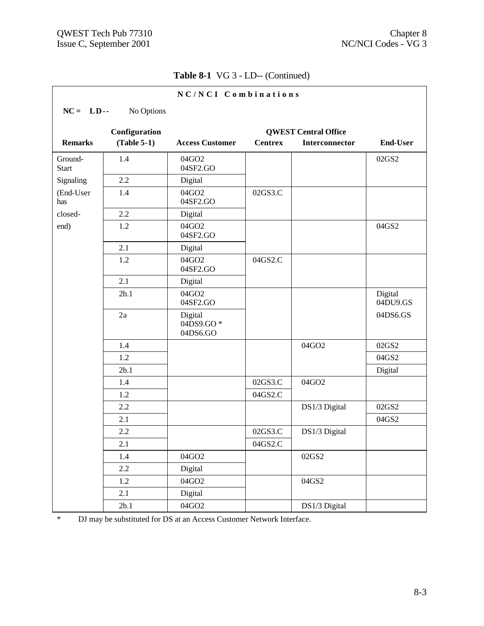|                         |               | NC/NCI Combinations              |                |                             |                     |
|-------------------------|---------------|----------------------------------|----------------|-----------------------------|---------------------|
| $NC = LD -$             | No Options    |                                  |                |                             |                     |
|                         | Configuration |                                  |                | <b>QWEST Central Office</b> |                     |
| <b>Remarks</b>          | $(Table 5-1)$ | <b>Access Customer</b>           | <b>Centrex</b> | Interconnector              | <b>End-User</b>     |
| Ground-<br><b>Start</b> | 1.4           | 04GO2<br>04SF2.GO                |                |                             | 02GS2               |
| Signaling               | 2.2           | Digital                          |                |                             |                     |
| (End-User<br>has        | 1.4           | 04GO2<br>04SF2.GO                | 02GS3.C        |                             |                     |
| closed-                 | 2.2           | Digital                          |                |                             |                     |
| end)                    | 1.2           | 04GO2<br>04SF2.GO                |                |                             | 04GS2               |
|                         | 2.1           | Digital                          |                |                             |                     |
|                         | 1.2           | 04GO2<br>04SF2.GO                | 04GS2.C        |                             |                     |
|                         | 2.1           | Digital                          |                |                             |                     |
|                         | 2b.1          | 04GO2<br>04SF2.GO                |                |                             | Digital<br>04DU9.GS |
|                         | 2a            | Digital<br>04DS9.GO*<br>04DS6.GO |                |                             | 04DS6.GS            |
|                         | 1.4           |                                  |                | 04GO2                       | 02GS2               |
|                         | 1.2           |                                  |                |                             | 04GS2               |
|                         | 2b.1          |                                  |                |                             | Digital             |
|                         | 1.4           |                                  | 02GS3.C        | 04GO2                       |                     |
|                         | 1.2           |                                  | 04GS2.C        |                             |                     |
|                         | 2.2           |                                  |                | DS1/3 Digital               | 02GS2               |
|                         | 2.1           |                                  |                |                             | 04GS2               |
|                         | 2.2           |                                  | 02GS3.C        | DS1/3 Digital               |                     |
|                         | 2.1           |                                  | 04GS2.C        |                             |                     |
|                         | 1.4           | 04GO2                            |                | 02GS2                       |                     |
|                         | 2.2           | Digital                          |                |                             |                     |
|                         | 1.2           | 04GO2                            |                | 04GS2                       |                     |
|                         | 2.1           | Digital                          |                |                             |                     |
|                         | 2b.1          | 04GO2                            |                | DS1/3 Digital               |                     |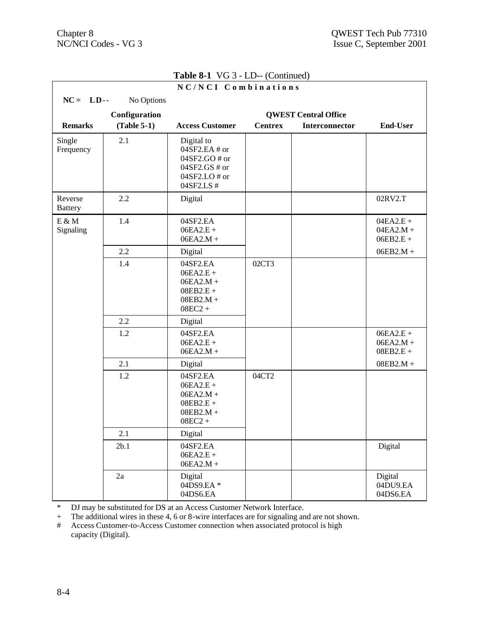|                           |               | NC/NCI Combinations                                                                           |                |                             |                                           |
|---------------------------|---------------|-----------------------------------------------------------------------------------------------|----------------|-----------------------------|-------------------------------------------|
| $NC = LD -$               | No Options    |                                                                                               |                |                             |                                           |
|                           | Configuration |                                                                                               |                | <b>QWEST Central Office</b> |                                           |
| <b>Remarks</b>            | $(Table 5-1)$ | <b>Access Customer</b>                                                                        | <b>Centrex</b> | <b>Interconnector</b>       | <b>End-User</b>                           |
| Single<br>Frequency       | 2.1           | Digital to<br>04SF2.EA # or<br>04SF2.GO # or<br>$04SF2.GS \# or$<br>04SF2.LO# or<br>04SF2.LS# |                |                             |                                           |
| Reverse<br><b>Battery</b> | 2.2           | Digital                                                                                       |                |                             | 02RV2.T                                   |
| $E \& M$<br>Signaling     | 1.4           | 04SF2.EA<br>$06EA2.E +$<br>$06EA2.M +$                                                        |                |                             | $04EA2.E +$<br>$04EA2.M +$<br>$06EB2.E +$ |
|                           | 2.2           | Digital                                                                                       |                |                             | $06EB2.M +$                               |
|                           | 1.4           | 04SF2.EA<br>$06EA2.E +$<br>$06EA2.M +$<br>$08EB2.E +$<br>$08EB2.M +$<br>$08EC2 +$             | 02CT3          |                             |                                           |
|                           | 2.2           | Digital                                                                                       |                |                             |                                           |
|                           | 1.2           | 04SF2.EA<br>$06EA2.E +$<br>$06EA2.M +$                                                        |                |                             | $06EA2.E +$<br>$06EA2.M +$<br>$08EB2.E +$ |
|                           | 2.1           | Digital                                                                                       |                |                             | $08EB2.M +$                               |
|                           | 1.2           | 04SF2.EA<br>$06EA2.E +$<br>$06EA2.M +$<br>$08EB2.E +$<br>$08EB2.M +$<br>$08EC2 +$             | 04CT2          |                             |                                           |
|                           | 2.1           | Digital                                                                                       |                |                             |                                           |
|                           | 2b.1          | 04SF2.EA<br>$06EA2.E +$<br>$06EA2.M +$                                                        |                |                             | Digital                                   |
|                           | 2a            | Digital<br>04DS9.EA*<br>04DS6.EA                                                              |                |                             | Digital<br>04DU9.EA<br>04DS6.EA           |

\* DJ may be substituted for DS at an Access Customer Network Interface.

+ The additional wires in these 4, 6 or 8-wire interfaces are for signaling and are not shown.

# Access Customer-to-Access Customer connection when associated protocol is high capacity (Digital).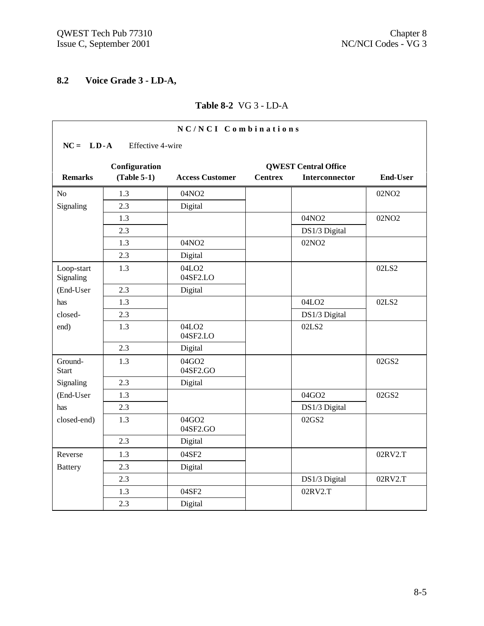# **8.2 Voice Grade 3 - LD-A,**

#### **Table 8-2** VG 3 - LD-A

| NC/NCI Combinations               |               |                               |                |                             |                   |  |  |  |
|-----------------------------------|---------------|-------------------------------|----------------|-----------------------------|-------------------|--|--|--|
| $NC = LD - A$<br>Effective 4-wire |               |                               |                |                             |                   |  |  |  |
|                                   | Configuration |                               |                | <b>QWEST Central Office</b> |                   |  |  |  |
| <b>Remarks</b>                    | $(Table 5-1)$ | <b>Access Customer</b>        | <b>Centrex</b> | Interconnector              | <b>End-User</b>   |  |  |  |
| N <sub>o</sub>                    | 1.3           | 04NO2                         |                |                             | 02NO <sub>2</sub> |  |  |  |
| Signaling                         | 2.3           | Digital                       |                |                             |                   |  |  |  |
|                                   | 1.3           |                               |                | 04NO2                       | 02NO <sub>2</sub> |  |  |  |
|                                   | 2.3           |                               |                | DS1/3 Digital               |                   |  |  |  |
|                                   | 1.3           | 04NO2                         |                | 02NO <sub>2</sub>           |                   |  |  |  |
|                                   | 2.3           | Digital                       |                |                             |                   |  |  |  |
| Loop-start<br>Signaling           | 1.3           | 04LO <sub>2</sub><br>04SF2.LO |                |                             | 02LS2             |  |  |  |
| (End-User                         | 2.3           | Digital                       |                |                             |                   |  |  |  |
| has                               | 1.3           |                               |                | 04LO <sub>2</sub>           | 02LS2             |  |  |  |
| closed-                           | 2.3           |                               |                | DS1/3 Digital               |                   |  |  |  |
| end)                              | 1.3           | 04LO <sub>2</sub><br>04SF2.LO |                | 02LS2                       |                   |  |  |  |
|                                   | 2.3           | Digital                       |                |                             |                   |  |  |  |
| Ground-<br><b>Start</b>           | 1.3           | 04GO2<br>04SF2.GO             |                |                             | 02GS2             |  |  |  |
| Signaling                         | 2.3           | Digital                       |                |                             |                   |  |  |  |
| (End-User                         | 1.3           |                               |                | 04GO2                       | 02GS2             |  |  |  |
| has                               | 2.3           |                               |                | DS1/3 Digital               |                   |  |  |  |
| closed-end)                       | 1.3           | 04GO2<br>04SF2.GO             |                | 02GS2                       |                   |  |  |  |
|                                   | 2.3           | Digital                       |                |                             |                   |  |  |  |
| Reverse                           | 1.3           | 04SF2                         |                |                             | 02RV2.T           |  |  |  |
| <b>Battery</b>                    | 2.3           | Digital                       |                |                             |                   |  |  |  |
|                                   | 2.3           |                               |                | DS1/3 Digital               | 02RV2.T           |  |  |  |
|                                   | 1.3           | 04SF2                         |                | 02RV2.T                     |                   |  |  |  |
|                                   | 2.3           | Digital                       |                |                             |                   |  |  |  |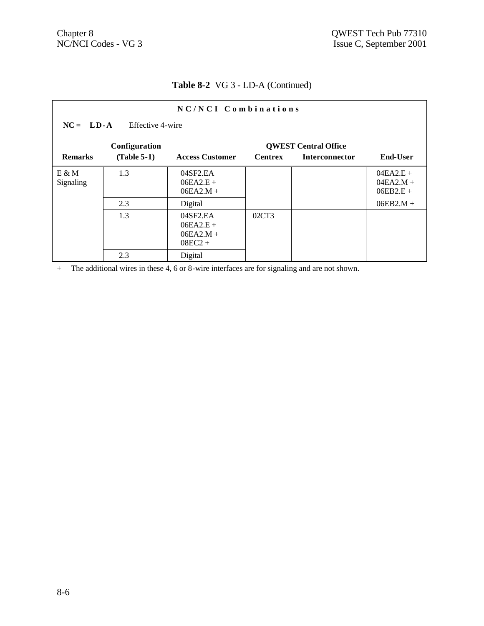### **Table 8-2** VG 3 - LD-A (Continued)

| NC/NCI Combinations |                                 |                                                     |                |                             |                                           |  |  |  |  |
|---------------------|---------------------------------|-----------------------------------------------------|----------------|-----------------------------|-------------------------------------------|--|--|--|--|
|                     | $NC = LD-A$<br>Effective 4-wire |                                                     |                |                             |                                           |  |  |  |  |
|                     | Configuration                   |                                                     |                | <b>QWEST Central Office</b> |                                           |  |  |  |  |
| <b>Remarks</b>      | $(Table 5-1)$                   | <b>Access Customer</b>                              | <b>Centrex</b> | <b>Interconnector</b>       | <b>End-User</b>                           |  |  |  |  |
| E & M<br>Signaling  | 1.3                             | 04SF2.EA<br>$06EA2.E +$<br>$06EA2.M +$              |                |                             | $04EA2.E +$<br>$04EA2.M +$<br>$06EB2.E +$ |  |  |  |  |
|                     | 2.3                             | Digital                                             |                |                             | $06EB2.M +$                               |  |  |  |  |
|                     | 1.3                             | 04SF2.EA<br>$06EA2.E +$<br>$06EA2.M +$<br>$08EC2 +$ | 02CT3          |                             |                                           |  |  |  |  |
|                     | 2.3                             | Digital                                             |                |                             |                                           |  |  |  |  |

+ The additional wires in these 4, 6 or 8-wire interfaces are for signaling and are not shown.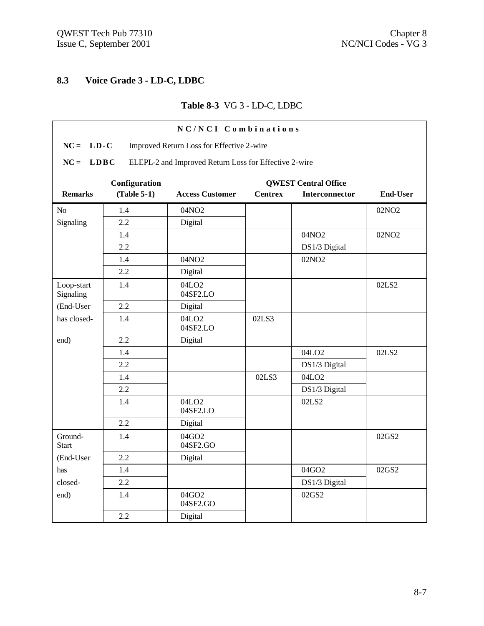r

# **8.3 Voice Grade 3 - LD-C, LDBC**

# **Table 8-3** VG 3 - LD-C, LDBC

| NC/NCI Combinations                                      |                                                                      |                               |                |                             |                   |  |  |  |  |
|----------------------------------------------------------|----------------------------------------------------------------------|-------------------------------|----------------|-----------------------------|-------------------|--|--|--|--|
| $NC = LD-C$<br>Improved Return Loss for Effective 2-wire |                                                                      |                               |                |                             |                   |  |  |  |  |
| $NC =$                                                   | <b>LDBC</b><br>ELEPL-2 and Improved Return Loss for Effective 2-wire |                               |                |                             |                   |  |  |  |  |
|                                                          | Configuration                                                        |                               |                | <b>QWEST Central Office</b> |                   |  |  |  |  |
| <b>Remarks</b>                                           | $(Table 5-1)$                                                        | <b>Access Customer</b>        | <b>Centrex</b> | <b>Interconnector</b>       | <b>End-User</b>   |  |  |  |  |
| N <sub>o</sub>                                           | 1.4                                                                  | 04NO2                         |                |                             | 02NO <sub>2</sub> |  |  |  |  |
| Signaling                                                | 2.2                                                                  | Digital                       |                |                             |                   |  |  |  |  |
|                                                          | 1.4                                                                  |                               |                | 04NO2                       | 02NO <sub>2</sub> |  |  |  |  |
|                                                          | 2.2                                                                  |                               |                | DS1/3 Digital               |                   |  |  |  |  |
|                                                          | 1.4                                                                  | 04NO2                         |                | 02NO <sub>2</sub>           |                   |  |  |  |  |
|                                                          | 2.2                                                                  | Digital                       |                |                             |                   |  |  |  |  |
| Loop-start<br>Signaling                                  | 1.4                                                                  | 04LO <sub>2</sub><br>04SF2.LO |                |                             | 02LS2             |  |  |  |  |
| (End-User                                                | 2.2                                                                  | Digital                       |                |                             |                   |  |  |  |  |
| has closed-                                              | 1.4                                                                  | 04LO <sub>2</sub><br>04SF2.LO | 02LS3          |                             |                   |  |  |  |  |
| end)                                                     | 2.2                                                                  | Digital                       |                |                             |                   |  |  |  |  |
|                                                          | 1.4                                                                  |                               |                | 04LO <sub>2</sub>           | 02LS2             |  |  |  |  |
|                                                          | 2.2                                                                  |                               |                | DS1/3 Digital               |                   |  |  |  |  |
|                                                          | 1.4                                                                  |                               | 02LS3          | 04LO <sub>2</sub>           |                   |  |  |  |  |
|                                                          | 2.2                                                                  |                               |                | DS1/3 Digital               |                   |  |  |  |  |
|                                                          | 1.4                                                                  | 04LO <sub>2</sub><br>04SF2.LO |                | 02LS2                       |                   |  |  |  |  |
|                                                          | 2.2                                                                  | Digital                       |                |                             |                   |  |  |  |  |
| Ground-<br><b>Start</b>                                  | 1.4                                                                  | 04GO2<br>04SF2.GO             |                |                             | 02GS2             |  |  |  |  |
| (End-User                                                | 2.2                                                                  | Digital                       |                |                             |                   |  |  |  |  |
| has                                                      | 1.4                                                                  |                               |                | 04GO2                       | 02GS2             |  |  |  |  |
| closed-                                                  | 2.2                                                                  |                               |                | DS1/3 Digital               |                   |  |  |  |  |
| end)                                                     | 1.4                                                                  | 04GO2<br>04SF2.GO             |                | 02GS2                       |                   |  |  |  |  |
|                                                          | 2.2                                                                  | Digital                       |                |                             |                   |  |  |  |  |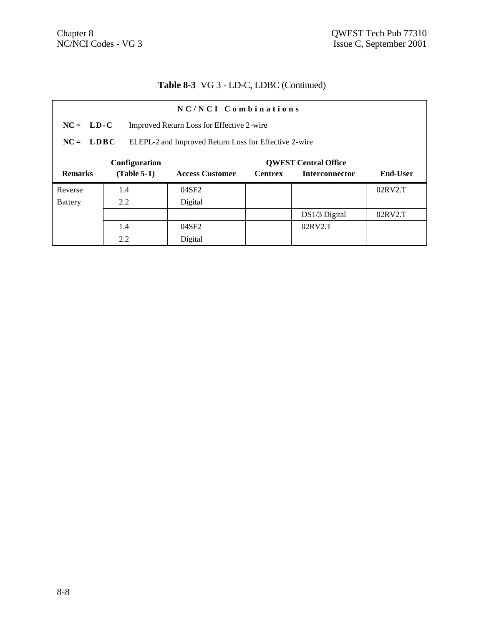# **Table 8-3** VG 3 - LD-C, LDBC (Continued)

| NC/NCI Combinations |                                                                      |                        |                |                             |                 |  |  |
|---------------------|----------------------------------------------------------------------|------------------------|----------------|-----------------------------|-----------------|--|--|
|                     | $NC = LD-C$<br>Improved Return Loss for Effective 2-wire             |                        |                |                             |                 |  |  |
|                     | $NC = LDBC$<br>ELEPL-2 and Improved Return Loss for Effective 2-wire |                        |                |                             |                 |  |  |
|                     | Configuration                                                        |                        |                | <b>OWEST Central Office</b> |                 |  |  |
| <b>Remarks</b>      | $(Table 5-1)$                                                        | <b>Access Customer</b> | <b>Centrex</b> | <b>Interconnector</b>       | <b>End-User</b> |  |  |
| Reverse             | 1.4                                                                  | 04SF2                  |                |                             | 02RV2.T         |  |  |
| <b>Battery</b>      | 2.2                                                                  | Digital                |                |                             |                 |  |  |
|                     |                                                                      |                        |                | DS1/3 Digital               | 02RV2.T         |  |  |
|                     | 1.4                                                                  | 04SF2                  |                | 02RV2.T                     |                 |  |  |
|                     | 2.2                                                                  | Digital                |                |                             |                 |  |  |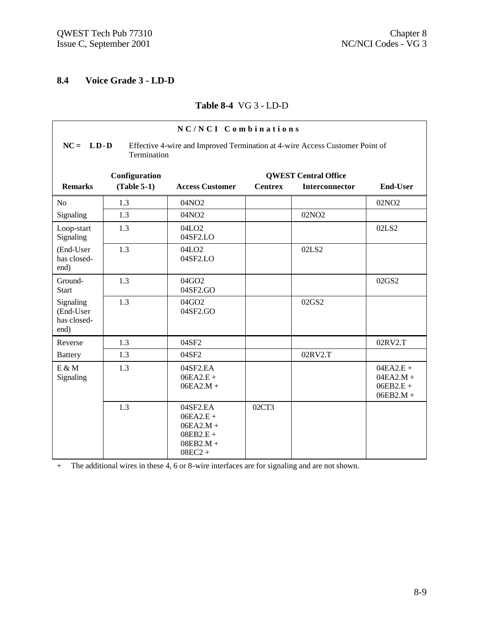### **8.4 Voice Grade 3 - LD-D**

#### **Table 8-4** VG 3 - LD-D

| NC/NCI Combinations                           |                                                                                                              |                                                                                   |                |                             |                                                          |  |  |  |  |
|-----------------------------------------------|--------------------------------------------------------------------------------------------------------------|-----------------------------------------------------------------------------------|----------------|-----------------------------|----------------------------------------------------------|--|--|--|--|
|                                               | $NC = LD - D$<br>Effective 4-wire and Improved Termination at 4-wire Access Customer Point of<br>Termination |                                                                                   |                |                             |                                                          |  |  |  |  |
|                                               | Configuration                                                                                                |                                                                                   |                | <b>QWEST Central Office</b> |                                                          |  |  |  |  |
| <b>Remarks</b>                                | $(Table 5-1)$                                                                                                | <b>Access Customer</b>                                                            | <b>Centrex</b> | Interconnector              | <b>End-User</b>                                          |  |  |  |  |
| N <sub>o</sub>                                | 1.3                                                                                                          | 04NO <sub>2</sub>                                                                 |                |                             | 02NO <sub>2</sub>                                        |  |  |  |  |
| Signaling                                     | 1.3                                                                                                          | 04NO2                                                                             |                | 02NO <sub>2</sub>           |                                                          |  |  |  |  |
| Loop-start<br>Signaling                       | 1.3                                                                                                          | 04LO <sub>2</sub><br>04SF2.LO                                                     |                |                             | 02LS2                                                    |  |  |  |  |
| (End-User<br>has closed-<br>end)              | 1.3                                                                                                          | 04LO <sub>2</sub><br>04SF2.LO                                                     |                | 02LS2                       |                                                          |  |  |  |  |
| Ground-<br><b>Start</b>                       | 1.3                                                                                                          | 04GO2<br>04SF2.GO                                                                 |                |                             | 02GS2                                                    |  |  |  |  |
| Signaling<br>(End-User<br>has closed-<br>end) | 1.3                                                                                                          | 04GO2<br>04SF2.GO                                                                 |                | 02GS2                       |                                                          |  |  |  |  |
| Reverse                                       | 1.3                                                                                                          | 04SF2                                                                             |                |                             | 02RV2.T                                                  |  |  |  |  |
| <b>Battery</b>                                | 1.3                                                                                                          | 04SF2                                                                             |                | 02RV2.T                     |                                                          |  |  |  |  |
| $E \& M$<br>Signaling                         | 1.3                                                                                                          | 04SF2.EA<br>$06EA2.E +$<br>$06EA2.M +$                                            |                |                             | $04EA2.E +$<br>$04EA2.M +$<br>$06EB2.E +$<br>$06EB2.M +$ |  |  |  |  |
|                                               | 1.3                                                                                                          | 04SF2.EA<br>$06EA2.E +$<br>$06EA2.M +$<br>$08EB2.E +$<br>$08EB2.M +$<br>$08EC2 +$ | 02CT3          |                             |                                                          |  |  |  |  |

+ The additional wires in these 4, 6 or 8-wire interfaces are for signaling and are not shown.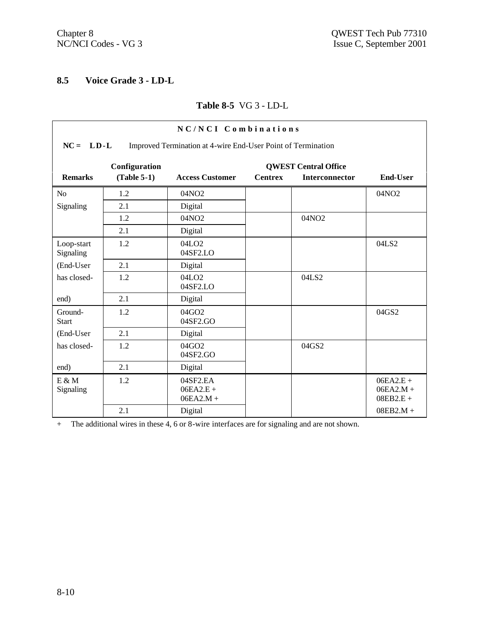### **8.5 Voice Grade 3 - LD-L**

#### **Table 8-5** VG 3 - LD-L

| NC/NCI Combinations                                                         |               |                                        |                |                             |                                           |  |  |  |
|-----------------------------------------------------------------------------|---------------|----------------------------------------|----------------|-----------------------------|-------------------------------------------|--|--|--|
| $NC = LD-L$<br>Improved Termination at 4-wire End-User Point of Termination |               |                                        |                |                             |                                           |  |  |  |
|                                                                             | Configuration |                                        |                | <b>OWEST Central Office</b> |                                           |  |  |  |
| <b>Remarks</b>                                                              | $(Table 5-1)$ | <b>Access Customer</b>                 | <b>Centrex</b> | Interconnector              | <b>End-User</b>                           |  |  |  |
| N <sub>o</sub>                                                              | 1.2           | 04NO <sub>2</sub>                      |                |                             | 04NO <sub>2</sub>                         |  |  |  |
| Signaling                                                                   | 2.1           | Digital                                |                |                             |                                           |  |  |  |
|                                                                             | 1.2           | 04NO <sub>2</sub>                      |                | 04NO2                       |                                           |  |  |  |
|                                                                             | 2.1           | Digital                                |                |                             |                                           |  |  |  |
| Loop-start<br>Signaling                                                     | 1.2           | 04LO <sub>2</sub><br>04SF2.LO          |                |                             | 04LS2                                     |  |  |  |
| (End-User                                                                   | 2.1           | Digital                                |                |                             |                                           |  |  |  |
| has closed-                                                                 | 1.2           | 04LO <sub>2</sub><br>04SF2.LO          |                | 04LS2                       |                                           |  |  |  |
| end)                                                                        | 2.1           | Digital                                |                |                             |                                           |  |  |  |
| Ground-<br><b>Start</b>                                                     | 1.2           | 04GO2<br>04SF2.GO                      |                |                             | 04GS2                                     |  |  |  |
| (End-User                                                                   | 2.1           | Digital                                |                |                             |                                           |  |  |  |
| has closed-                                                                 | 1.2           | $04$ GO <sub>2</sub><br>04SF2.GO       |                | 04GS2                       |                                           |  |  |  |
| end)                                                                        | 2.1           | Digital                                |                |                             |                                           |  |  |  |
| $E \& M$<br>Signaling                                                       | 1.2           | 04SF2.EA<br>$06EA2.E +$<br>$06EA2.M +$ |                |                             | $06EA2.E +$<br>$06EA2.M +$<br>$08EB2.E +$ |  |  |  |
|                                                                             | 2.1           | Digital                                |                |                             | $08EB2.M +$                               |  |  |  |

+ The additional wires in these 4, 6 or 8-wire interfaces are for signaling and are not shown.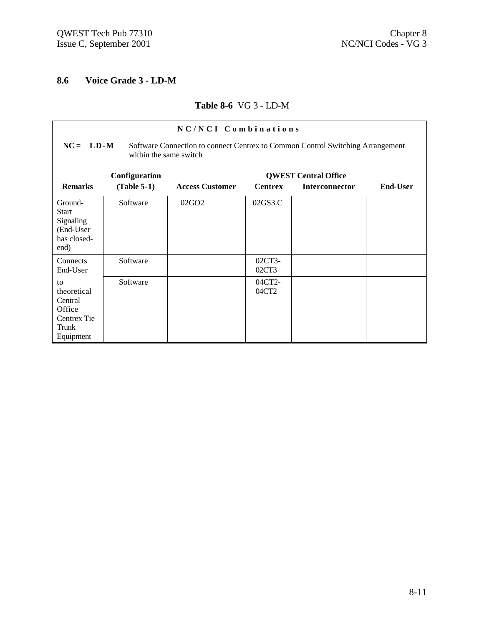### **8.6 Voice Grade 3 - LD-M**

#### **Table 8-6** VG 3 - LD-M

| NC/NCI Combinations                                                                                                     |               |                        |                             |                |                 |  |  |  |  |
|-------------------------------------------------------------------------------------------------------------------------|---------------|------------------------|-----------------------------|----------------|-----------------|--|--|--|--|
| $NC = LD-M$<br>Software Connection to connect Centrex to Common Control Switching Arrangement<br>within the same switch |               |                        |                             |                |                 |  |  |  |  |
|                                                                                                                         | Configuration |                        | <b>QWEST Central Office</b> |                |                 |  |  |  |  |
| <b>Remarks</b>                                                                                                          | $(Table 5-1)$ | <b>Access Customer</b> | <b>Centrex</b>              | Interconnector | <b>End-User</b> |  |  |  |  |
| Ground-<br><b>Start</b><br>Signaling<br>(End-User<br>has closed-<br>end)                                                | Software      | 02GO <sub>2</sub>      | 02GS3.C                     |                |                 |  |  |  |  |
| Connects<br>End-User                                                                                                    | Software      |                        | 02CT3-<br>02CT3             |                |                 |  |  |  |  |
| to<br>theoretical<br>Central<br>Office<br>Centrex Tie<br>Trunk<br>Equipment                                             | Software      |                        | 04CT2-<br>04CT2             |                |                 |  |  |  |  |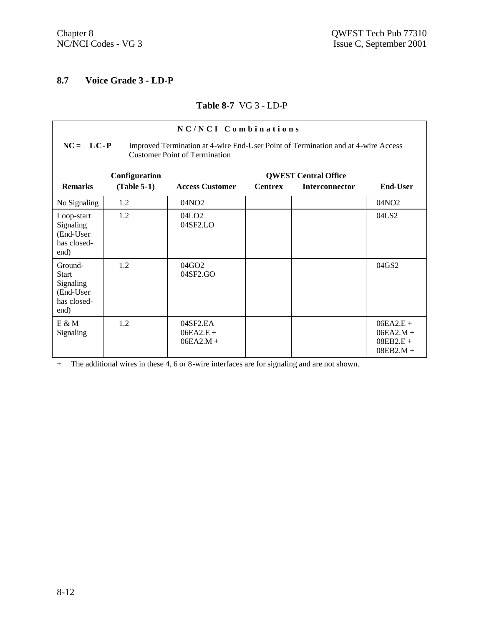### **8.7 Voice Grade 3 - LD-P**

#### **Table 8-7** VG 3 - LD-P

| NC/NCI Combinations                                                                                                                        |               |                                        |                             |                       |                                                          |  |  |  |  |
|--------------------------------------------------------------------------------------------------------------------------------------------|---------------|----------------------------------------|-----------------------------|-----------------------|----------------------------------------------------------|--|--|--|--|
| $NC = LC - P$<br>Improved Termination at 4-wire End-User Point of Termination and at 4-wire Access<br><b>Customer Point of Termination</b> |               |                                        |                             |                       |                                                          |  |  |  |  |
|                                                                                                                                            | Configuration |                                        | <b>QWEST Central Office</b> |                       |                                                          |  |  |  |  |
| <b>Remarks</b>                                                                                                                             | $(Table 5-1)$ | <b>Access Customer</b>                 | <b>Centrex</b>              | <b>Interconnector</b> | <b>End-User</b>                                          |  |  |  |  |
| No Signaling                                                                                                                               | 1.2           | 04NO <sub>2</sub>                      |                             |                       | 04NO <sub>2</sub>                                        |  |  |  |  |
| Loop-start<br>Signaling<br>(End-User<br>has closed-<br>end)                                                                                | 1.2           | 04LO <sub>2</sub><br>04SF2.LO          |                             |                       | 04LS2                                                    |  |  |  |  |
| Ground-<br><b>Start</b><br>Signaling<br>(End-User<br>has closed-<br>end)                                                                   | 1.2           | 04GO2<br>04SF2.GO                      |                             |                       | 04GS2                                                    |  |  |  |  |
| $E \& M$<br>Signaling                                                                                                                      | 1.2           | 04SF2.EA<br>$06EA2.E +$<br>$06EA2.M +$ |                             |                       | $06EA2.E +$<br>$06EA2.M +$<br>$08EB2.E +$<br>$08EB2.M +$ |  |  |  |  |

+ The additional wires in these 4, 6 or 8-wire interfaces are for signaling and are not shown.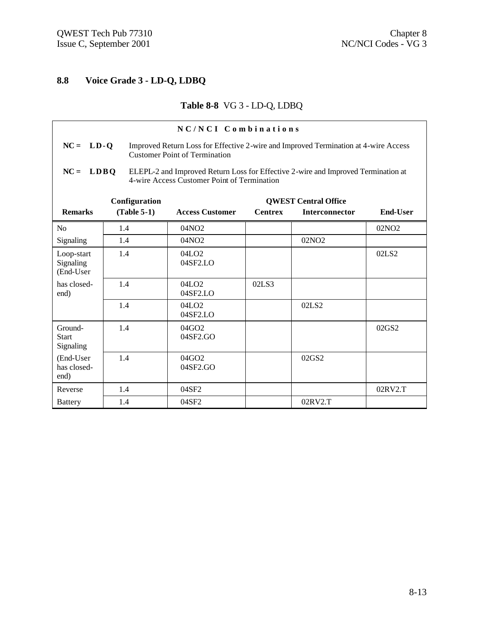## **8.8 Voice Grade 3 - LD-Q, LDBQ**

## **Table 8-8** VG 3 - LD-Q, LDBQ

| NC/NCI Combinations                  |                                                                                                                                                 |               |                                                                                                                             |                |                             |                   |
|--------------------------------------|-------------------------------------------------------------------------------------------------------------------------------------------------|---------------|-----------------------------------------------------------------------------------------------------------------------------|----------------|-----------------------------|-------------------|
| $NC = LD - Q$                        |                                                                                                                                                 |               | Improved Return Loss for Effective 2-wire and Improved Termination at 4-wire Access<br><b>Customer Point of Termination</b> |                |                             |                   |
| $NC =$                               | <b>LDBO</b><br>ELEPL-2 and Improved Return Loss for Effective 2-wire and Improved Termination at<br>4-wire Access Customer Point of Termination |               |                                                                                                                             |                |                             |                   |
|                                      |                                                                                                                                                 | Configuration |                                                                                                                             |                | <b>QWEST Central Office</b> |                   |
| <b>Remarks</b>                       |                                                                                                                                                 | $(Table 5-1)$ | <b>Access Customer</b>                                                                                                      | <b>Centrex</b> | <b>Interconnector</b>       | End-User          |
| N <sub>o</sub>                       | 1.4                                                                                                                                             |               | 04NO2                                                                                                                       |                |                             | 02NO <sub>2</sub> |
| Signaling                            | 1.4                                                                                                                                             |               | 04NO2                                                                                                                       |                | 02NO <sub>2</sub>           |                   |
| Loop-start<br>Signaling<br>(End-User | 1.4                                                                                                                                             |               | 04LO <sub>2</sub><br>$04$ SF <sub>2</sub> .LO                                                                               |                |                             | 02LS <sub>2</sub> |
| has closed-<br>end)                  | 1.4                                                                                                                                             |               | 04LO <sub>2</sub><br>04SF2.LO                                                                                               | 02LS3          |                             |                   |
|                                      | 1.4                                                                                                                                             |               | 04LO <sub>2</sub><br>04SF2.LO                                                                                               |                | 02LS2                       |                   |
| Ground-<br><b>Start</b><br>Signaling | 1.4                                                                                                                                             |               | 04GO2<br>04SF2.GO                                                                                                           |                |                             | 02GS2             |
| (End-User<br>has closed-<br>end)     | 1.4                                                                                                                                             |               | 04GO2<br>04SF2.GO                                                                                                           |                | 02GS2                       |                   |
| Reverse                              | 1.4                                                                                                                                             |               | 04SF2                                                                                                                       |                |                             | 02RV2.T           |
| <b>Battery</b>                       | 1.4                                                                                                                                             |               | 04SF2                                                                                                                       |                | 02RV2.T                     |                   |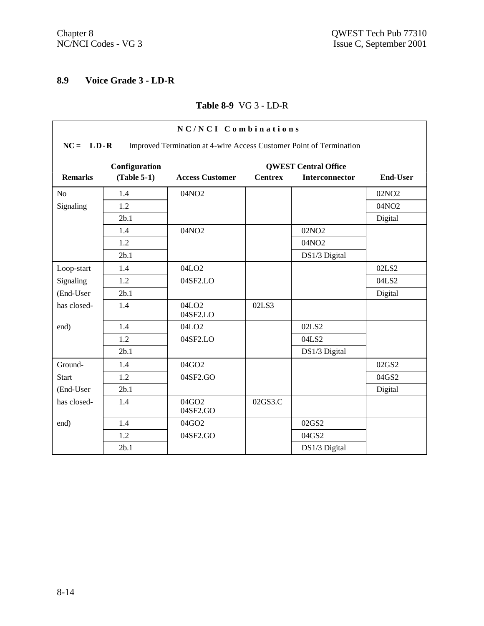## **8.9 Voice Grade 3 - LD-R**

#### **Table 8-9** VG 3 - LD-R

| NC/NCI Combinations |                                                                                    |                               |                |                             |                   |  |  |
|---------------------|------------------------------------------------------------------------------------|-------------------------------|----------------|-----------------------------|-------------------|--|--|
|                     | $NC = LD-R$<br>Improved Termination at 4-wire Access Customer Point of Termination |                               |                |                             |                   |  |  |
|                     | Configuration                                                                      |                               |                | <b>QWEST Central Office</b> |                   |  |  |
| <b>Remarks</b>      | $(Table 5-1)$                                                                      | <b>Access Customer</b>        | <b>Centrex</b> | <b>Interconnector</b>       | <b>End-User</b>   |  |  |
| N <sub>o</sub>      | 1.4                                                                                | 04NO2                         |                |                             | 02NO <sub>2</sub> |  |  |
| Signaling           | 1.2                                                                                |                               |                |                             | 04NO <sub>2</sub> |  |  |
|                     | 2b.1                                                                               |                               |                |                             | Digital           |  |  |
|                     | 1.4                                                                                | 04NO2                         |                | 02NO <sub>2</sub>           |                   |  |  |
|                     | 1.2                                                                                |                               |                | 04NO2                       |                   |  |  |
|                     | 2b.1                                                                               |                               |                | DS1/3 Digital               |                   |  |  |
| Loop-start          | 1.4                                                                                | 04LO <sub>2</sub>             |                |                             | 02LS2             |  |  |
| Signaling           | 1.2                                                                                | 04SF2.LO                      |                |                             | 04LS2             |  |  |
| (End-User           | 2b.1                                                                               |                               |                |                             | Digital           |  |  |
| has closed-         | 1.4                                                                                | 04LO <sub>2</sub><br>04SF2.LO | 02LS3          |                             |                   |  |  |
| end)                | 1.4                                                                                | 04LO <sub>2</sub>             |                | 02LS2                       |                   |  |  |
|                     | 1.2                                                                                | 04SF2.LO                      |                | 04LS2                       |                   |  |  |
|                     | 2b.1                                                                               |                               |                | DS1/3 Digital               |                   |  |  |
| Ground-             | 1.4                                                                                | 04GO2                         |                |                             | 02GS2             |  |  |
| <b>Start</b>        | 1.2                                                                                | 04SF2.GO                      |                |                             | 04GS2             |  |  |
| (End-User           | 2b.1                                                                               |                               |                |                             | Digital           |  |  |
| has closed-         | 1.4                                                                                | 04GO2<br>04SF2.GO             | 02GS3.C        |                             |                   |  |  |
| end)                | 1.4                                                                                | 04GO2                         |                | 02GS2                       |                   |  |  |
|                     | 1.2                                                                                | 04SF2.GO                      |                | 04GS2                       |                   |  |  |
|                     | 2b.1                                                                               |                               |                | DS1/3 Digital               |                   |  |  |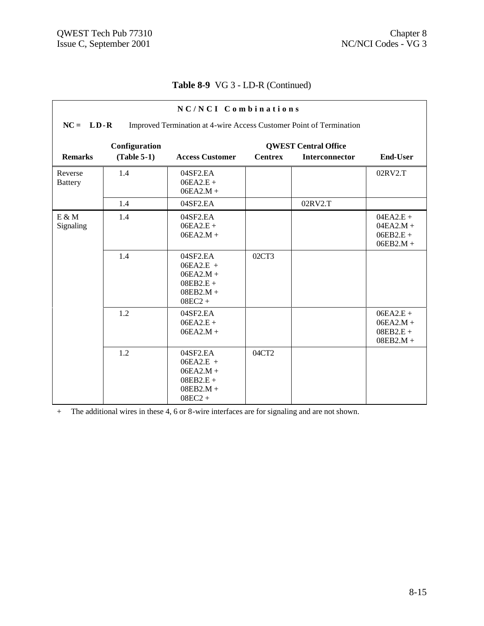## **Table 8-9** VG 3 - LD-R (Continued)

| NC/NCI Combinations       |                                                                                    |                                                                                   |                |                             |                                                          |  |  |
|---------------------------|------------------------------------------------------------------------------------|-----------------------------------------------------------------------------------|----------------|-----------------------------|----------------------------------------------------------|--|--|
|                           | $NC = LD-R$<br>Improved Termination at 4-wire Access Customer Point of Termination |                                                                                   |                |                             |                                                          |  |  |
|                           | Configuration                                                                      |                                                                                   |                | <b>QWEST Central Office</b> |                                                          |  |  |
| <b>Remarks</b>            | $(Table 5-1)$                                                                      | <b>Access Customer</b>                                                            | <b>Centrex</b> | <b>Interconnector</b>       | <b>End-User</b>                                          |  |  |
| Reverse<br><b>Battery</b> | 1.4                                                                                | 04SF2.EA<br>$06EA2.E +$<br>$06EA2.M +$                                            |                |                             | 02RV2.T                                                  |  |  |
|                           | 1.4                                                                                | 04SF2.EA                                                                          |                | 02RV2.T                     |                                                          |  |  |
| $E \& M$<br>Signaling     | 1.4                                                                                | 04SF2.EA<br>$06EA2.E +$<br>$06EA2.M +$                                            |                |                             | $04EA2.E +$<br>$04EA2.M +$<br>$06EB2.E +$<br>$06EB2.M +$ |  |  |
|                           | 1.4                                                                                | 04SF2.EA<br>$06EA2.E +$<br>$06EA2.M +$<br>$08EB2.E +$<br>$08EB2.M +$<br>$08EC2 +$ | 02CT3          |                             |                                                          |  |  |
|                           | 1.2                                                                                | 04SF2.EA<br>$06EA2.E +$<br>$06EA2.M +$                                            |                |                             | $06EA2.E +$<br>$06EA2.M +$<br>$08EB2.E +$<br>$08EB2.M +$ |  |  |
|                           | 1.2                                                                                | 04SF2.EA<br>$06EA2.E +$<br>$06EA2.M +$<br>$08EB2.E +$<br>$08EB2.M +$<br>$08EC2 +$ | 04CT2          |                             |                                                          |  |  |

+ The additional wires in these 4, 6 or 8-wire interfaces are for signaling and are not shown.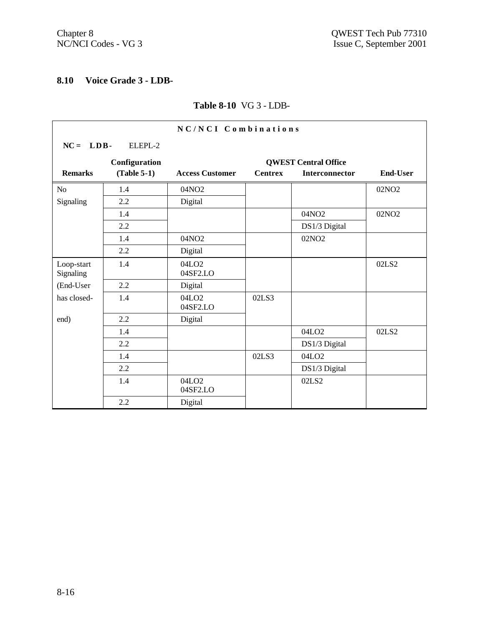## **8.10 Voice Grade 3 - LDB-**

#### **Table 8-10** VG 3 - LDB-

| NC/NCI Combinations     |               |                               |                |                             |                   |
|-------------------------|---------------|-------------------------------|----------------|-----------------------------|-------------------|
| $NC = LDB$              | ELEPL-2       |                               |                |                             |                   |
|                         | Configuration |                               |                | <b>QWEST Central Office</b> |                   |
| <b>Remarks</b>          | $(Table 5-1)$ | <b>Access Customer</b>        | <b>Centrex</b> | <b>Interconnector</b>       | <b>End-User</b>   |
| No                      | 1.4           | 04NO2                         |                |                             | 02NO <sub>2</sub> |
| Signaling               | 2.2           | Digital                       |                |                             |                   |
|                         | 1.4           |                               |                | 04NO2                       | 02NO <sub>2</sub> |
|                         | 2.2           |                               |                | DS1/3 Digital               |                   |
|                         | 1.4           | 04NO2                         |                | 02NO <sub>2</sub>           |                   |
|                         | 2.2           | Digital                       |                |                             |                   |
| Loop-start<br>Signaling | 1.4           | 04LO <sub>2</sub><br>04SF2.LO |                |                             | 02LS2             |
| (End-User               | 2.2           | Digital                       |                |                             |                   |
| has closed-             | 1.4           | 04LO <sub>2</sub><br>04SF2.LO | 02LS3          |                             |                   |
| end)                    | 2.2           | Digital                       |                |                             |                   |
|                         | 1.4           |                               |                | 04LO <sub>2</sub>           | 02LS2             |
|                         | 2.2           |                               |                | DS1/3 Digital               |                   |
|                         | 1.4           |                               | 02LS3          | 04LO <sub>2</sub>           |                   |
|                         | 2.2           |                               |                | DS1/3 Digital               |                   |
|                         | 1.4           | 04LO <sub>2</sub><br>04SF2.LO |                | 02LS2                       |                   |
|                         | 2.2           | Digital                       |                |                             |                   |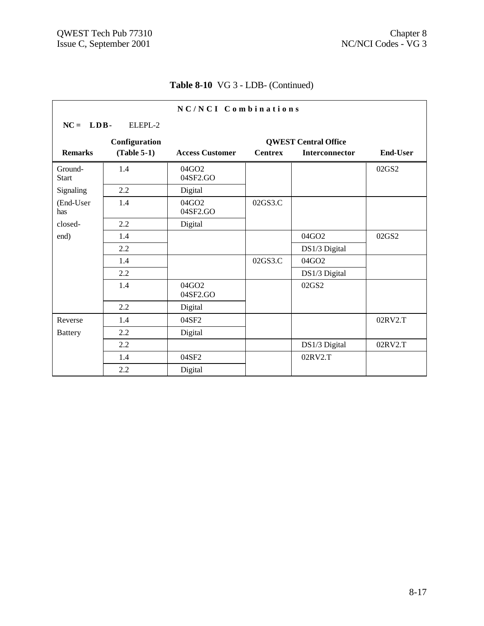## **Table 8-10** VG 3 - LDB- (Continued)

| NC/NCI Combinations     |               |                        |                |                             |                 |  |
|-------------------------|---------------|------------------------|----------------|-----------------------------|-----------------|--|
| $NC = LDB$              | ELEPL-2       |                        |                |                             |                 |  |
|                         | Configuration |                        |                | <b>QWEST Central Office</b> |                 |  |
| <b>Remarks</b>          | $(Table 5-1)$ | <b>Access Customer</b> | <b>Centrex</b> | Interconnector              | <b>End-User</b> |  |
| Ground-<br><b>Start</b> | 1.4           | 04GO2<br>04SF2.GO      |                |                             | 02GS2           |  |
| Signaling               | 2.2           | Digital                |                |                             |                 |  |
| (End-User<br>has        | 1.4           | 04GO2<br>04SF2.GO      | 02GS3.C        |                             |                 |  |
| closed-                 | 2.2           | Digital                |                |                             |                 |  |
| end)                    | 1.4           |                        |                | 04GO2                       | 02GS2           |  |
|                         | 2.2           |                        |                | DS1/3 Digital               |                 |  |
|                         | 1.4           |                        | 02GS3.C        | 04GO2                       |                 |  |
|                         | 2.2           |                        |                | DS1/3 Digital               |                 |  |
|                         | 1.4           | 04GO2<br>04SF2.GO      |                | 02GS2                       |                 |  |
|                         | 2.2           | Digital                |                |                             |                 |  |
| Reverse                 | 1.4           | 04SF2                  |                |                             | 02RV2.T         |  |
| <b>Battery</b>          | 2.2           | Digital                |                |                             |                 |  |
|                         | 2.2           |                        |                | DS1/3 Digital               | 02RV2.T         |  |
|                         | 1.4           | 04SF2                  |                | 02RV2.T                     |                 |  |
|                         | 2.2           | Digital                |                |                             |                 |  |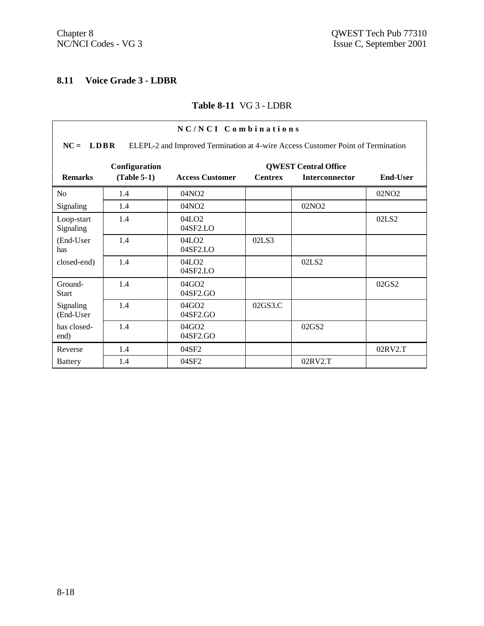## **8.11 Voice Grade 3 - LDBR**

#### **Table 8-11** VG 3 - LDBR

| NC/NCI Combinations     |                                                                                                |                                  |                |                                                      |                   |  |  |
|-------------------------|------------------------------------------------------------------------------------------------|----------------------------------|----------------|------------------------------------------------------|-------------------|--|--|
|                         | $NC = LDRR$<br>ELEPL-2 and Improved Termination at 4-wire Access Customer Point of Termination |                                  |                |                                                      |                   |  |  |
| <b>Remarks</b>          | Configuration<br>$(Table 5-1)$                                                                 | <b>Access Customer</b>           | <b>Centrex</b> | <b>QWEST Central Office</b><br><b>Interconnector</b> | <b>End-User</b>   |  |  |
| N <sub>0</sub>          | 1.4                                                                                            | 04NO <sub>2</sub>                |                |                                                      | 02NO <sub>2</sub> |  |  |
| Signaling               | 1.4                                                                                            | 04NO <sub>2</sub>                |                | 02NO <sub>2</sub>                                    |                   |  |  |
| Loop-start<br>Signaling | 1.4                                                                                            | 04LO <sub>2</sub><br>04SF2.LO    |                |                                                      | 02LS2             |  |  |
| (End-User<br>has        | 1.4                                                                                            | 04LO <sub>2</sub><br>04SF2.LO    | 02LS3          |                                                      |                   |  |  |
| closed-end)             | 1.4                                                                                            | 04LO2<br>04SF2.LO                |                | 02LS2                                                |                   |  |  |
| Ground-<br><b>Start</b> | 1.4                                                                                            | $04$ GO <sub>2</sub><br>04SF2.GO |                |                                                      | 02GS2             |  |  |
| Signaling<br>(End-User  | 1.4                                                                                            | $04$ GO <sub>2</sub><br>04SF2.GO | 02GS3.C        |                                                      |                   |  |  |
| has closed-<br>end)     | 1.4                                                                                            | $04$ GO <sub>2</sub><br>04SF2.GO |                | 02GS2                                                |                   |  |  |
| Reverse                 | 1.4                                                                                            | 04SF2                            |                |                                                      | 02RV2.T           |  |  |
| <b>Battery</b>          | 1.4                                                                                            | 04SF2                            |                | 02RV2.T                                              |                   |  |  |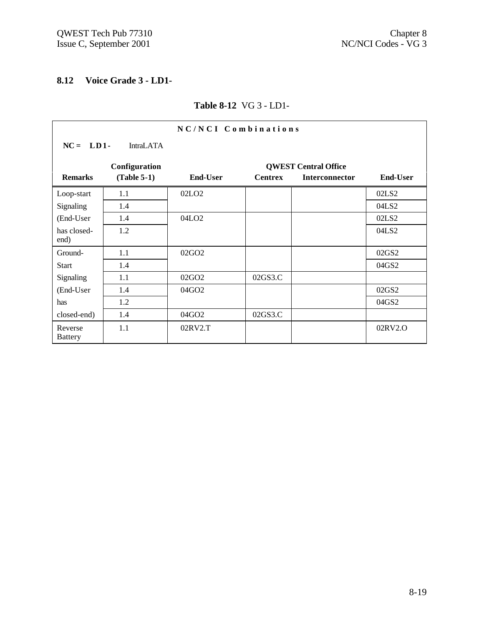## **8.12 Voice Grade 3 - LD1-**

#### **Table 8-12** VG 3 - LD1-

| NC/NCI Combinations       |                  |                   |                |                             |                 |  |
|---------------------------|------------------|-------------------|----------------|-----------------------------|-----------------|--|
| $NC = LD1$                | <b>IntraLATA</b> |                   |                |                             |                 |  |
|                           | Configuration    |                   |                | <b>QWEST Central Office</b> |                 |  |
| <b>Remarks</b>            | $(Table 5-1)$    | <b>End-User</b>   | <b>Centrex</b> | <b>Interconnector</b>       | <b>End-User</b> |  |
| Loop-start                | 1.1              | 02LO <sub>2</sub> |                |                             | 02LS2           |  |
| Signaling                 | 1.4              |                   |                |                             | 04LS2           |  |
| (End-User                 | 1.4              | 04LO <sub>2</sub> |                |                             | 02LS2           |  |
| has closed-<br>end)       | 1.2              |                   |                |                             | 04LS2           |  |
| Ground-                   | 1.1              | 02GO <sub>2</sub> |                |                             | 02GS2           |  |
| <b>Start</b>              | 1.4              |                   |                |                             | 04GS2           |  |
| Signaling                 | 1.1              | 02GO <sub>2</sub> | 02GS3.C        |                             |                 |  |
| (End-User                 | 1.4              | 04GO2             |                |                             | 02GS2           |  |
| has                       | 1.2              |                   |                |                             | 04GS2           |  |
| closed-end)               | 1.4              | 04GO2             | 02GS3.C        |                             |                 |  |
| Reverse<br><b>Battery</b> | 1.1              | 02RV2.T           |                |                             | 02RV2.O         |  |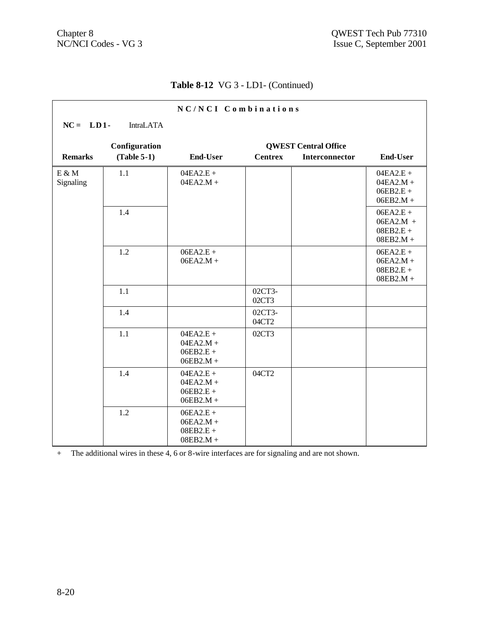r

## **Table 8-12** VG 3 - LD1- (Continued)

| NC/NCI Combinations |                  |                                                          |                 |                             |                                                          |  |
|---------------------|------------------|----------------------------------------------------------|-----------------|-----------------------------|----------------------------------------------------------|--|
| $NC = LD1$          | <b>IntraLATA</b> |                                                          |                 |                             |                                                          |  |
|                     | Configuration    |                                                          |                 | <b>QWEST Central Office</b> |                                                          |  |
| <b>Remarks</b>      | $(Table 5-1)$    | <b>End-User</b>                                          | <b>Centrex</b>  | Interconnector              | <b>End-User</b>                                          |  |
| E & M<br>Signaling  | 1.1              | $04EA2.E +$<br>$04EA2.M +$                               |                 |                             | $04EA2.E +$<br>$04EA2.M +$<br>$06EB2.E +$<br>$06EB2.M +$ |  |
|                     | 1.4              |                                                          |                 |                             | $06EA2.E +$<br>$06EA2.M +$<br>$08EB2.E +$<br>$08EB2.M +$ |  |
|                     | 1.2              | $06EA2.E +$<br>$06EA2.M +$                               |                 |                             | $06EA2.E +$<br>$06EA2.M +$<br>$08EB2.E +$<br>$08EB2.M +$ |  |
|                     | 1.1              |                                                          | 02CT3-<br>02CT3 |                             |                                                          |  |
|                     | 1.4              |                                                          | 02CT3-<br>04CT2 |                             |                                                          |  |
|                     | 1.1              | $04EA2.E +$<br>$04EA2.M +$<br>$06EB2.E +$<br>$06EB2.M +$ | 02CT3           |                             |                                                          |  |
|                     | 1.4              | $04EA2.E +$<br>$04EA2.M +$<br>$06EB2.E +$<br>$06EB2.M +$ | 04CT2           |                             |                                                          |  |
|                     | 1.2              | $06EA2.E +$<br>$06EA2.M +$<br>$08EB2.E +$<br>$08EB2.M +$ |                 |                             |                                                          |  |

+ The additional wires in these 4, 6 or 8-wire interfaces are for signaling and are not shown.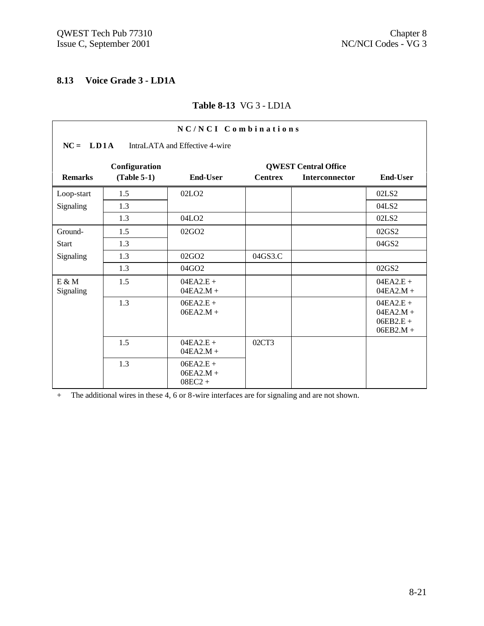## **8.13 Voice Grade 3 - LD1A**

#### **Table 8-13** VG 3 - LD1A

| NC/NCI Combinations   |                                              |                                         |                |                             |                                                          |  |  |
|-----------------------|----------------------------------------------|-----------------------------------------|----------------|-----------------------------|----------------------------------------------------------|--|--|
|                       | $NC = LDA$<br>IntraLATA and Effective 4-wire |                                         |                |                             |                                                          |  |  |
|                       | Configuration                                |                                         |                | <b>QWEST Central Office</b> |                                                          |  |  |
| <b>Remarks</b>        | $(Table 5-1)$                                | End-User                                | <b>Centrex</b> | <b>Interconnector</b>       | <b>End-User</b>                                          |  |  |
| Loop-start            | 1.5                                          | 02LO <sub>2</sub>                       |                |                             | 02LS2                                                    |  |  |
| Signaling             | 1.3                                          |                                         |                |                             | 04LS2                                                    |  |  |
|                       | 1.3                                          | 04LO <sub>2</sub>                       |                |                             | 02LS2                                                    |  |  |
| Ground-               | 1.5                                          | 02GO <sub>2</sub>                       |                |                             | 02GS2                                                    |  |  |
| <b>Start</b>          | 1.3                                          |                                         |                |                             | 04GS2                                                    |  |  |
| Signaling             | 1.3                                          | 02GO2                                   | 04GS3.C        |                             |                                                          |  |  |
|                       | 1.3                                          | 04GO2                                   |                |                             | 02GS2                                                    |  |  |
| $E \& M$<br>Signaling | 1.5                                          | $04EA2.E +$<br>$04EA2.M +$              |                |                             | $04EA2.E +$<br>$04EA2.M +$                               |  |  |
|                       | 1.3                                          | $06EA2.E +$<br>$06EA2.M +$              |                |                             | $04EA2.E +$<br>$04EA2.M +$<br>$06EB2.E +$<br>$06EB2.M +$ |  |  |
|                       | 1.5                                          | $04EA2.E +$<br>$04EA2.M +$              | 02CT3          |                             |                                                          |  |  |
|                       | 1.3                                          | $06EA2.E +$<br>$06EA2.M +$<br>$08EC2 +$ |                |                             |                                                          |  |  |

+ The additional wires in these 4, 6 or 8-wire interfaces are for signaling and are not shown.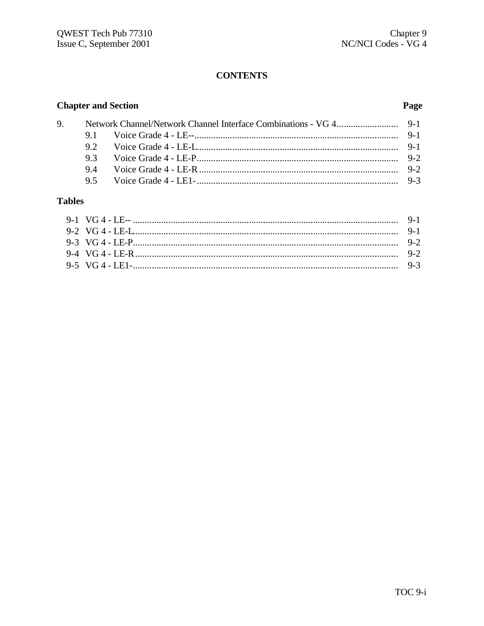## **CONTENTS**

## **Chapter and Section**

## Page

|  | 9.1 Voice Grade 4 - LE-- music music music music music music 9-1 |  |
|--|------------------------------------------------------------------|--|
|  |                                                                  |  |
|  |                                                                  |  |
|  |                                                                  |  |
|  |                                                                  |  |

## **Tables**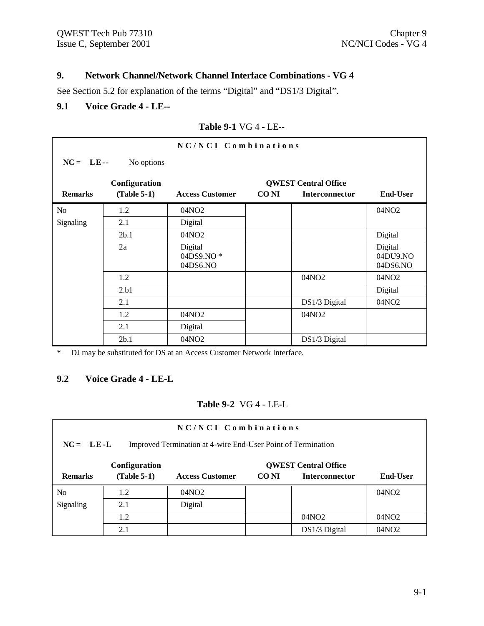## **9. Network Channel/Network Channel Interface Combinations - VG 4**

See Section 5.2 for explanation of the terms "Digital" and "DS1/3 Digital".

## **9.1 Voice Grade 4 - LE--**

**9.2 Voice Grade 4 - LE-L**

|                     |               | 1400 7-1 V U 4 - LL-             |             |                       |                                 |  |  |
|---------------------|---------------|----------------------------------|-------------|-----------------------|---------------------------------|--|--|
| NC/NCI Combinations |               |                                  |             |                       |                                 |  |  |
| $NC = LE$           | No options    |                                  |             |                       |                                 |  |  |
|                     | Configuration | <b>QWEST Central Office</b>      |             |                       |                                 |  |  |
| <b>Remarks</b>      | $(Table 5-1)$ | <b>Access Customer</b>           | <b>CONI</b> | <b>Interconnector</b> | <b>End-User</b>                 |  |  |
| No                  | 1.2           | 04NO <sub>2</sub>                |             |                       | 04NO <sub>2</sub>               |  |  |
| <b>Signaling</b>    | 2.1           | Digital                          |             |                       |                                 |  |  |
|                     | 2b.1          | 04NO <sub>2</sub>                |             |                       | Digital                         |  |  |
|                     | 2a            | Digital<br>04DS9.NO*<br>04DS6.NO |             |                       | Digital<br>04DU9.NO<br>04DS6.NO |  |  |
|                     | 1.2           |                                  |             | 04NO <sub>2</sub>     | 04NO <sub>2</sub>               |  |  |
|                     | 2.b1          |                                  |             |                       | Digital                         |  |  |

1.2 04NO2 04NO2 04NO2

2b.1 04NO2 DS1/3 Digital

2.1 Digital

\* DJ may be substituted for DS at an Access Customer Network Interface.

#### **Table 9-1** VG 4 - LE--

**Table 9-2** VG 4 - LE-L

2.1 **DS1/3 Digital** 04NO2

| $NC/NCI$ Combinations<br>$NC = LE-L$<br>Improved Termination at 4-wire End-User Point of Termination |                                |                        |                                                                                  |                   |                   |  |  |
|------------------------------------------------------------------------------------------------------|--------------------------------|------------------------|----------------------------------------------------------------------------------|-------------------|-------------------|--|--|
| <b>Remarks</b>                                                                                       | Configuration<br>$(Table 5-1)$ | <b>Access Customer</b> | <b>QWEST Central Office</b><br>CO NI<br><b>End-User</b><br><b>Interconnector</b> |                   |                   |  |  |
| N <sub>0</sub>                                                                                       | 1.2                            | 04NO <sub>2</sub>      |                                                                                  |                   | 04NO2             |  |  |
| Signaling                                                                                            | 2.1                            | Digital                |                                                                                  |                   |                   |  |  |
|                                                                                                      | 1.2                            |                        |                                                                                  | 04NO <sub>2</sub> | 04NO <sub>2</sub> |  |  |
|                                                                                                      | 2.1                            |                        |                                                                                  | DS1/3 Digital     | 04NO <sub>2</sub> |  |  |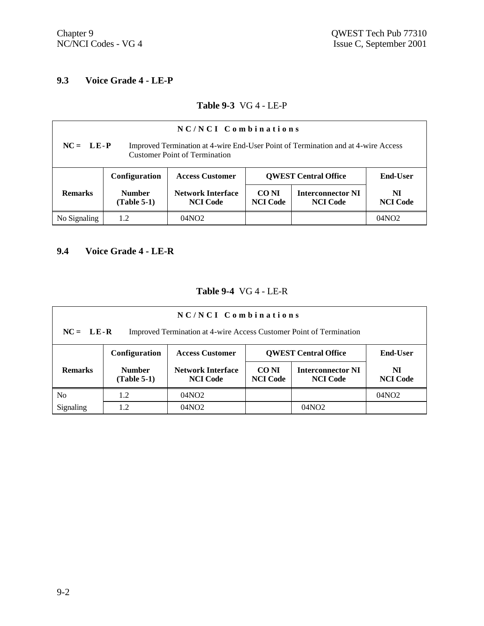## **9.3 Voice Grade 4 - LE-P**

#### **Table 9-3** VG 4 - LE-P

| $NC/NCI$ Combinations                                                                                                                    |                                |                                             |                                         |                                             |                       |  |  |
|------------------------------------------------------------------------------------------------------------------------------------------|--------------------------------|---------------------------------------------|-----------------------------------------|---------------------------------------------|-----------------------|--|--|
| $NC = LE-P$<br>Improved Termination at 4-wire End-User Point of Termination and at 4-wire Access<br><b>Customer Point of Termination</b> |                                |                                             |                                         |                                             |                       |  |  |
|                                                                                                                                          | Configuration                  | <b>Access Customer</b>                      | <b>QWEST Central Office</b><br>End-User |                                             |                       |  |  |
| <b>Remarks</b>                                                                                                                           | <b>Number</b><br>$(Table 5-1)$ | <b>Network Interface</b><br><b>NCI</b> Code | CO NI<br><b>NCI</b> Code                | <b>Interconnector NI</b><br><b>NCI</b> Code | NI<br><b>NCI</b> Code |  |  |
| No Signaling                                                                                                                             | 1.2                            | 04NO2                                       |                                         |                                             | 04NO2                 |  |  |

# **9.4 Voice Grade 4 - LE-R**

#### **Table 9-4** VG 4 - LE-R

| NC/NCI Combinations                                                                |                                |                                             |                             |                                             |                       |  |  |  |
|------------------------------------------------------------------------------------|--------------------------------|---------------------------------------------|-----------------------------|---------------------------------------------|-----------------------|--|--|--|
| $NC = LE-R$<br>Improved Termination at 4-wire Access Customer Point of Termination |                                |                                             |                             |                                             |                       |  |  |  |
|                                                                                    | Configuration                  | <b>Access Customer</b>                      | <b>QWEST Central Office</b> | End-User                                    |                       |  |  |  |
| <b>Remarks</b>                                                                     | <b>Number</b><br>$(Table 5-1)$ | <b>Network Interface</b><br><b>NCI</b> Code | CO NI<br><b>NCI Code</b>    | <b>Interconnector NI</b><br><b>NCI</b> Code | NI<br><b>NCI</b> Code |  |  |  |
| No                                                                                 | 1.2                            | 04NO <sub>2</sub>                           |                             |                                             | 04NO <sub>2</sub>     |  |  |  |
| Signaling                                                                          | 1.2                            | 04NO <sub>2</sub>                           |                             | 04NO2                                       |                       |  |  |  |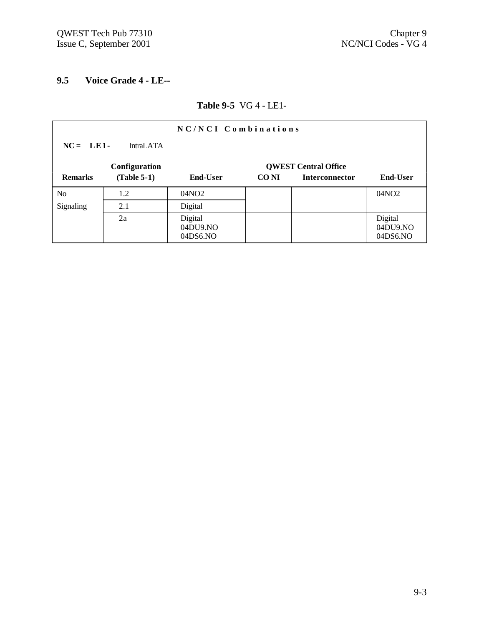## **9.5 Voice Grade 4 - LE--**

## **Table 9-5** VG 4 - LE1-

| NC/NCI Combinations            |               |                                 |       |                             |                                 |  |  |
|--------------------------------|---------------|---------------------------------|-------|-----------------------------|---------------------------------|--|--|
| $NC = LE1$<br><b>IntraLATA</b> |               |                                 |       |                             |                                 |  |  |
|                                | Configuration |                                 |       | <b>QWEST Central Office</b> |                                 |  |  |
| <b>Remarks</b>                 | $(Table 5-1)$ | <b>End-User</b>                 | CO NI | <b>Interconnector</b>       | <b>End-User</b>                 |  |  |
| N <sub>o</sub>                 | 1.2           | 04NO <sub>2</sub>               |       |                             | 04NO <sub>2</sub>               |  |  |
| Signaling                      | 2.1           | Digital                         |       |                             |                                 |  |  |
|                                | 2a            | Digital<br>04DU9.NO<br>04DS6.NO |       |                             | Digital<br>04DU9.NO<br>04DS6.NO |  |  |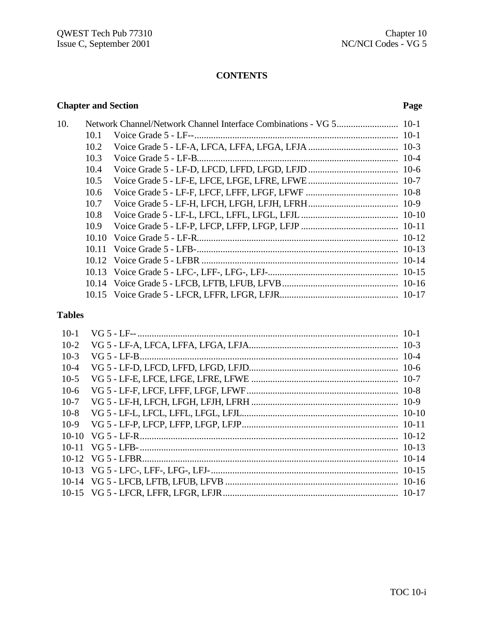## **CONTENTS**

## **Chapter and Section**

## Page

| 10. |      |  |
|-----|------|--|
|     | 10.1 |  |
|     | 10.2 |  |
|     | 10.3 |  |
|     | 10.4 |  |
|     | 10.5 |  |
|     | 10.6 |  |
|     | 10.7 |  |
|     | 10.8 |  |
|     | 10.9 |  |
|     |      |  |
|     |      |  |
|     |      |  |
|     |      |  |
|     |      |  |
|     |      |  |

## **Tables**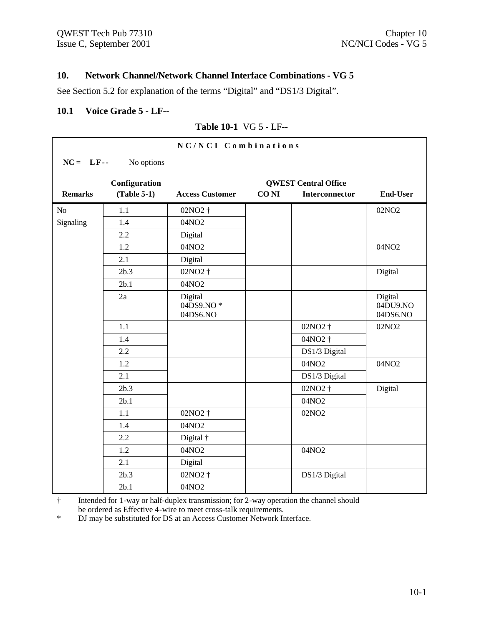## **10. Network Channel/Network Channel Interface Combinations - VG 5**

See Section 5.2 for explanation of the terms "Digital" and "DS1/3 Digital".

#### **10.1 Voice Grade 5 - LF--**

#### **Table 10-1** VG 5 - LF--

|                |               | NC/NCI Combinations              |             |                             |                                 |
|----------------|---------------|----------------------------------|-------------|-----------------------------|---------------------------------|
| $NC = LF -$    | No options    |                                  |             |                             |                                 |
|                | Configuration |                                  |             | <b>QWEST Central Office</b> |                                 |
| <b>Remarks</b> | $(Table 5-1)$ | <b>Access Customer</b>           | <b>CONI</b> | <b>Interconnector</b>       | <b>End-User</b>                 |
| N <sub>o</sub> | 1.1           | 02NO <sub>2</sub> †              |             |                             | 02NO <sub>2</sub>               |
| Signaling      | 1.4           | 04NO2                            |             |                             |                                 |
|                | 2.2           | Digital                          |             |                             |                                 |
|                | 1.2           | 04NO2                            |             |                             | 04NO2                           |
|                | 2.1           | Digital                          |             |                             |                                 |
|                | 2b.3          | 02NO <sub>2</sub> +              |             |                             | Digital                         |
|                | 2b.1          | 04NO2                            |             |                             |                                 |
|                | 2a            | Digital<br>04DS9.NO*<br>04DS6.NO |             |                             | Digital<br>04DU9.NO<br>04DS6.NO |
|                | 1.1           |                                  |             | 02NO2 †                     | 02NO <sub>2</sub>               |
|                | 1.4           |                                  |             | 04NO2 †                     |                                 |
|                | 2.2           |                                  |             | DS1/3 Digital               |                                 |
|                | 1.2           |                                  |             | 04NO2                       | 04NO2                           |
|                | 2.1           |                                  |             | DS1/3 Digital               |                                 |
|                | 2b.3          |                                  |             | 02NO2 †                     | Digital                         |
|                | 2b.1          |                                  |             | 04NO2                       |                                 |
|                | 1.1           | 02NO <sub>2</sub> +              |             | 02NO <sub>2</sub>           |                                 |
|                | 1.4           | 04NO2                            |             |                             |                                 |
|                | 2.2           | Digital †                        |             |                             |                                 |
|                | 1.2           | 04NO2                            |             | 04NO2                       |                                 |
|                | 2.1           | Digital                          |             |                             |                                 |
|                | 2b.3          | 02NO2 †                          |             | DS1/3 Digital               |                                 |
|                | 2b.1          | 04NO2                            |             |                             |                                 |

† Intended for 1-way or half-duplex transmission; for 2-way operation the channel should be ordered as Effective 4-wire to meet cross-talk requirements.

\* DJ may be substituted for DS at an Access Customer Network Interface.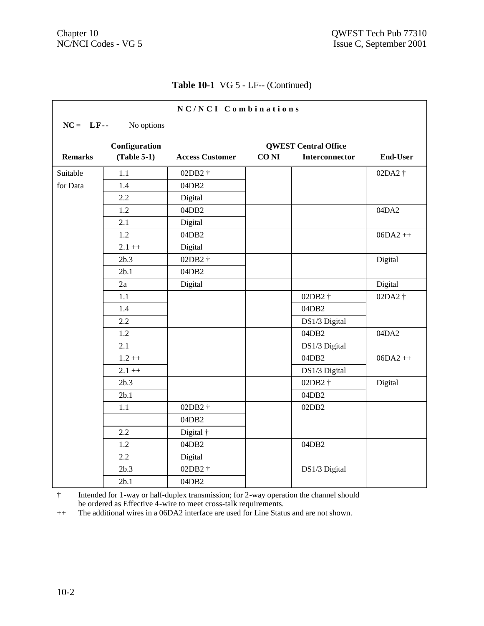$\mathbf{r}$ 

## **Table 10-1** VG 5 - LF-- (Continued)

|                |                                | NC/NCI Combinations    |                  |                                                      |                 |
|----------------|--------------------------------|------------------------|------------------|------------------------------------------------------|-----------------|
| $NC = LF -$    | No options                     |                        |                  |                                                      |                 |
| <b>Remarks</b> | Configuration<br>$(Table 5-1)$ | <b>Access Customer</b> | CO <sub>NI</sub> | <b>QWEST Central Office</b><br><b>Interconnector</b> | <b>End-User</b> |
| Suitable       | 1.1                            | 02DB2 †                |                  |                                                      | 02DA2 †         |
| for Data       | 1.4                            | 04DB2                  |                  |                                                      |                 |
|                | 2.2                            | Digital                |                  |                                                      |                 |
|                | 1.2                            | 04DB2                  |                  |                                                      | 04DA2           |
|                | 2.1                            | Digital                |                  |                                                      |                 |
|                | 1.2                            | 04DB2                  |                  |                                                      | $06DA2++$       |
|                | $2.1 + +$                      | Digital                |                  |                                                      |                 |
|                | 2b.3                           | 02DB2 †                |                  |                                                      | Digital         |
|                | 2b.1                           | 04DB2                  |                  |                                                      |                 |
|                | 2a                             | Digital                |                  |                                                      | Digital         |
|                | 1.1                            |                        |                  | 02DB2 †                                              | 02DA2 †         |
|                | 1.4                            |                        |                  | 04DB2                                                |                 |
|                | 2.2                            |                        |                  | DS1/3 Digital                                        |                 |
|                | 1.2                            |                        |                  | 04DB2                                                | 04DA2           |
|                | 2.1                            |                        |                  | DS1/3 Digital                                        |                 |
|                | $1.2 + +$                      |                        |                  | 04DB2                                                | $06DA2++$       |
|                | $2.1 + +$                      |                        |                  | DS1/3 Digital                                        |                 |
|                | 2b.3                           |                        |                  | 02DB2 †                                              | Digital         |
|                | 2b.1                           |                        |                  | 04DB2                                                |                 |
|                | 1.1                            | 02DB2+                 |                  | 02DB <sub>2</sub>                                    |                 |
|                |                                | 04DB2                  |                  |                                                      |                 |
|                | 2.2                            | Digital †              |                  |                                                      |                 |
|                | 1.2                            | 04DB2                  |                  | 04DB2                                                |                 |
|                | 2.2                            | Digital                |                  |                                                      |                 |
|                | 2b.3                           | 02DB2+                 |                  | DS1/3 Digital                                        |                 |
|                | 2b.1                           | 04DB2                  |                  |                                                      |                 |

† Intended for 1-way or half-duplex transmission; for 2-way operation the channel should be ordered as Effective 4-wire to meet cross-talk requirements.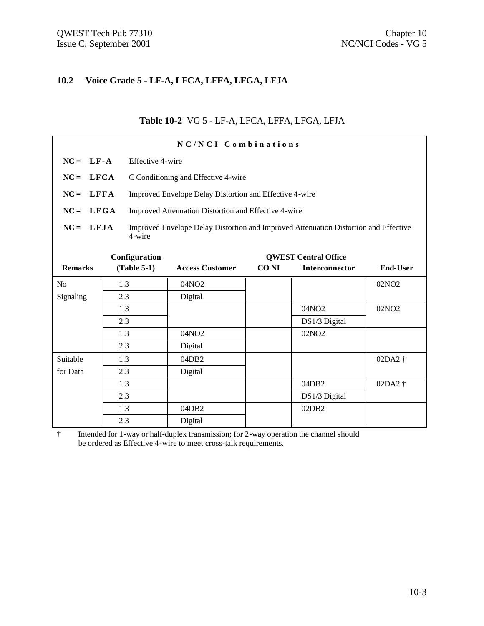#### **10.2 Voice Grade 5 - LF-A, LFCA, LFFA, LFGA, LFJA**

#### **Table 10-2** VG 5 - LF-A, LFCA, LFFA, LFGA, LFJA

| NC/NCI Combinations   |                                                                                                               |  |                                                         |             |                             |                    |  |
|-----------------------|---------------------------------------------------------------------------------------------------------------|--|---------------------------------------------------------|-------------|-----------------------------|--------------------|--|
|                       | $NC = LF - A$<br>Effective 4-wire                                                                             |  |                                                         |             |                             |                    |  |
| $NC =$<br><b>LFCA</b> |                                                                                                               |  | C Conditioning and Effective 4-wire                     |             |                             |                    |  |
| $NC =$<br>LFFA        |                                                                                                               |  | Improved Envelope Delay Distortion and Effective 4-wire |             |                             |                    |  |
| LFGA<br>$NC =$        |                                                                                                               |  | Improved Attenuation Distortion and Effective 4-wire    |             |                             |                    |  |
|                       | $NC = LFJA$<br>Improved Envelope Delay Distortion and Improved Attenuation Distortion and Effective<br>4-wire |  |                                                         |             |                             |                    |  |
|                       | Configuration                                                                                                 |  |                                                         |             | <b>QWEST Central Office</b> |                    |  |
| <b>Remarks</b>        | $(Table 5-1)$                                                                                                 |  | <b>Access Customer</b>                                  | <b>CONI</b> | <b>Interconnector</b>       | <b>End-User</b>    |  |
| N <sub>0</sub>        | 1.3                                                                                                           |  | 04NO2                                                   |             |                             | 02NO <sub>2</sub>  |  |
| Signaling             | 2.3                                                                                                           |  | Digital                                                 |             |                             |                    |  |
|                       | 1.3                                                                                                           |  |                                                         |             | 04NO2                       | 02NO <sub>2</sub>  |  |
|                       | 2.3                                                                                                           |  |                                                         |             | DS1/3 Digital               |                    |  |
|                       | 1.3                                                                                                           |  | 04NO2                                                   |             | 02NO <sub>2</sub>           |                    |  |
|                       | 2.3                                                                                                           |  | Digital                                                 |             |                             |                    |  |
| Suitable              | 1.3                                                                                                           |  | 04DB <sub>2</sub>                                       |             |                             | 02DA2 †            |  |
| for Data              | 2.3                                                                                                           |  | Digital                                                 |             |                             |                    |  |
|                       | 1.3                                                                                                           |  |                                                         |             | 04DB2                       | 02DA2 <sup>+</sup> |  |
|                       | 2.3                                                                                                           |  |                                                         |             | DS1/3 Digital               |                    |  |
|                       | 1.3                                                                                                           |  | 04DB2                                                   |             | 02DB2                       |                    |  |
|                       | 2.3                                                                                                           |  | Digital                                                 |             |                             |                    |  |

† Intended for 1-way or half-duplex transmission; for 2-way operation the channel should be ordered as Effective 4-wire to meet cross-talk requirements.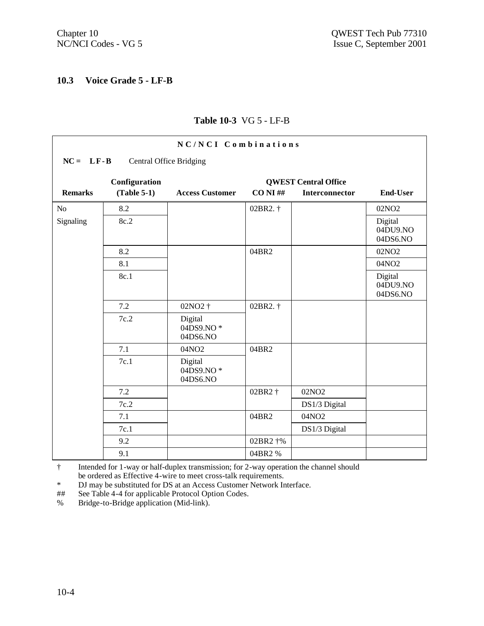## **10.3 Voice Grade 5 - LF-B**

| NC/NCI Combinations                             |               |                                  |            |                             |                                 |  |  |  |  |
|-------------------------------------------------|---------------|----------------------------------|------------|-----------------------------|---------------------------------|--|--|--|--|
| $NC = LF - B$<br><b>Central Office Bridging</b> |               |                                  |            |                             |                                 |  |  |  |  |
|                                                 | Configuration |                                  |            | <b>QWEST Central Office</b> |                                 |  |  |  |  |
| <b>Remarks</b>                                  | $(Table 5-1)$ | <b>Access Customer</b>           | $CO NI$ ## | Interconnector              | <b>End-User</b>                 |  |  |  |  |
| No                                              | 8.2           |                                  | 02BR2. †   |                             | 02NO <sub>2</sub>               |  |  |  |  |
| Signaling                                       | 8c.2          |                                  |            |                             | Digital<br>04DU9.NO<br>04DS6.NO |  |  |  |  |
|                                                 | 8.2           |                                  | 04BR2      |                             | 02NO <sub>2</sub>               |  |  |  |  |
|                                                 | 8.1           |                                  |            |                             | 04NO2                           |  |  |  |  |
|                                                 | 8c.1          |                                  |            |                             | Digital<br>04DU9.NO<br>04DS6.NO |  |  |  |  |
|                                                 | 7.2           | 02NO2 †                          | 02BR2. †   |                             |                                 |  |  |  |  |
|                                                 | 7c.2          | Digital<br>04DS9.NO*<br>04DS6.NO |            |                             |                                 |  |  |  |  |
|                                                 | 7.1           | 04NO2                            | 04BR2      |                             |                                 |  |  |  |  |
|                                                 | 7c.1          | Digital<br>04DS9.NO*<br>04DS6.NO |            |                             |                                 |  |  |  |  |
|                                                 | 7.2           |                                  | 02BR2 †    | 02NO <sub>2</sub>           |                                 |  |  |  |  |
|                                                 | 7c.2          |                                  |            | DS1/3 Digital               |                                 |  |  |  |  |
|                                                 | 7.1           |                                  | 04BR2      | 04NO2                       |                                 |  |  |  |  |
|                                                 | 7c.1          |                                  |            | DS1/3 Digital               |                                 |  |  |  |  |
|                                                 | 9.2           |                                  | 02BR2 †%   |                             |                                 |  |  |  |  |
|                                                 | 9.1           |                                  | 04BR2%     |                             |                                 |  |  |  |  |

## **Table 10-3** VG 5 - LF-B

† Intended for 1-way or half-duplex transmission; for 2-way operation the channel should be ordered as Effective 4-wire to meet cross-talk requirements.

\* DJ may be substituted for DS at an Access Customer Network Interface.

## See Table 4-4 for applicable Protocol Option Codes.

% Bridge-to-Bridge application (Mid-link).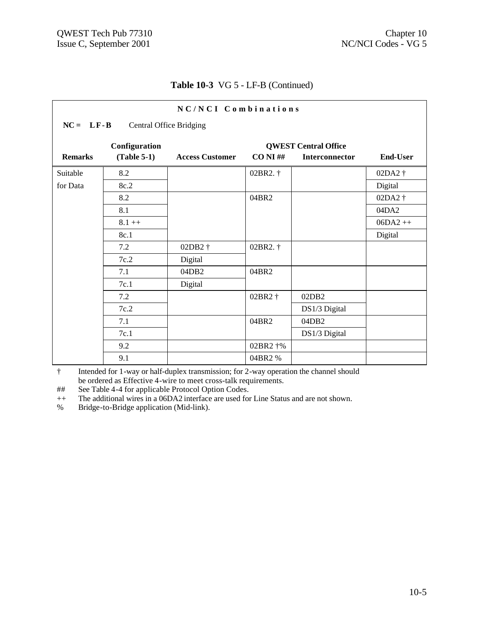Г

## **Table 10-3** VG 5 - LF-B (Continued)

| NC/NCI Combinations                             |               |                        |             |                             |                 |  |  |  |
|-------------------------------------------------|---------------|------------------------|-------------|-----------------------------|-----------------|--|--|--|
| $NC = LF - B$<br><b>Central Office Bridging</b> |               |                        |             |                             |                 |  |  |  |
|                                                 | Configuration |                        |             | <b>QWEST Central Office</b> |                 |  |  |  |
| <b>Remarks</b>                                  | $(Table 5-1)$ | <b>Access Customer</b> | $CO NI \#H$ | <b>Interconnector</b>       | <b>End-User</b> |  |  |  |
| Suitable                                        | 8.2           |                        | 02BR2. †    |                             | 02DA2 †         |  |  |  |
| for Data                                        | 8c.2          |                        |             |                             | Digital         |  |  |  |
|                                                 | 8.2           |                        | 04BR2       |                             | 02DA2 †         |  |  |  |
|                                                 | 8.1           |                        |             |                             | 04DA2           |  |  |  |
|                                                 | $8.1 + +$     |                        |             |                             | $06DA2++$       |  |  |  |
|                                                 | 8c.1          |                        |             |                             | Digital         |  |  |  |
|                                                 | 7.2           | 02DB2 †                | 02BR2. †    |                             |                 |  |  |  |
|                                                 | 7c.2          | Digital                |             |                             |                 |  |  |  |
|                                                 | 7.1           | 04DB2                  | 04BR2       |                             |                 |  |  |  |
|                                                 | 7c.1          | Digital                |             |                             |                 |  |  |  |
|                                                 | 7.2           |                        | 02BR2 †     | 02DB2                       |                 |  |  |  |
|                                                 | 7c.2          |                        |             | DS1/3 Digital               |                 |  |  |  |
|                                                 | 7.1           |                        | 04BR2       | 04DB2                       |                 |  |  |  |
|                                                 | 7c.1          |                        |             | DS1/3 Digital               |                 |  |  |  |
|                                                 | 9.2           |                        | 02BR2 †%    |                             |                 |  |  |  |
|                                                 | 9.1           |                        | 04BR2%      |                             |                 |  |  |  |

† Intended for 1-way or half-duplex transmission; for 2-way operation the channel should be ordered as Effective 4-wire to meet cross-talk requirements.

## See Table 4-4 for applicable Protocol Option Codes.

<sup>++</sup> The additional wires in a 06DA2 interface are used for Line Status and are not shown.

% Bridge-to-Bridge application (Mid-link).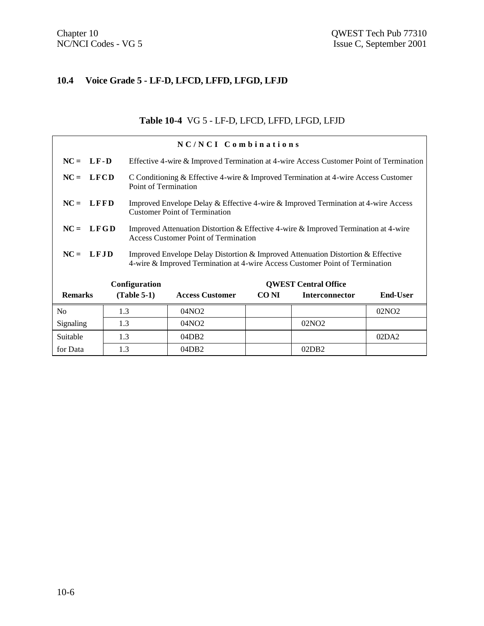## **10.4 Voice Grade 5 - LF-D, LFCD, LFFD, LFGD, LFJD**

## **Table 10-4** VG 5 - LF-D, LFCD, LFFD, LFGD, LFJD

| NC/NCI Combinations |                                                                                                                                                                                 |                                                                                                                            |                                                                                                                             |       |                             |                   |  |
|---------------------|---------------------------------------------------------------------------------------------------------------------------------------------------------------------------------|----------------------------------------------------------------------------------------------------------------------------|-----------------------------------------------------------------------------------------------------------------------------|-------|-----------------------------|-------------------|--|
| $NC = LF-D$         |                                                                                                                                                                                 |                                                                                                                            | Effective 4-wire & Improved Termination at 4-wire Access Customer Point of Termination                                      |       |                             |                   |  |
| $NC = LFCD$         |                                                                                                                                                                                 | C Conditioning & Effective 4-wire & Improved Termination at 4-wire Access Customer<br>Point of Termination                 |                                                                                                                             |       |                             |                   |  |
| $NC = LFFD$         |                                                                                                                                                                                 | Improved Envelope Delay & Effective 4-wire & Improved Termination at 4-wire Access<br><b>Customer Point of Termination</b> |                                                                                                                             |       |                             |                   |  |
| $NC = LFGD$         |                                                                                                                                                                                 |                                                                                                                            | Improved Attenuation Distortion & Effective 4-wire & Improved Termination at 4-wire<br>Access Customer Point of Termination |       |                             |                   |  |
|                     | $NC = LFJD$<br>Improved Envelope Delay Distortion & Improved Attenuation Distortion & Effective<br>4-wire & Improved Termination at 4-wire Access Customer Point of Termination |                                                                                                                            |                                                                                                                             |       |                             |                   |  |
|                     |                                                                                                                                                                                 | Configuration                                                                                                              |                                                                                                                             |       | <b>OWEST Central Office</b> |                   |  |
| <b>Remarks</b>      |                                                                                                                                                                                 | $(Table 5-1)$                                                                                                              | <b>Access Customer</b>                                                                                                      | CO NI | <b>Interconnector</b>       | <b>End-User</b>   |  |
| N <sub>0</sub>      | 1.3                                                                                                                                                                             |                                                                                                                            | 04NO <sub>2</sub>                                                                                                           |       |                             | 02NO <sub>2</sub> |  |
| Signaling           | 1.3                                                                                                                                                                             |                                                                                                                            | 04NO <sub>2</sub>                                                                                                           |       | 02NO <sub>2</sub>           |                   |  |
| Suitable            | 1.3                                                                                                                                                                             |                                                                                                                            | 04DB2                                                                                                                       |       |                             | 02DA2             |  |
| for Data            | 1.3                                                                                                                                                                             |                                                                                                                            | 04DB2                                                                                                                       |       | 02DB2                       |                   |  |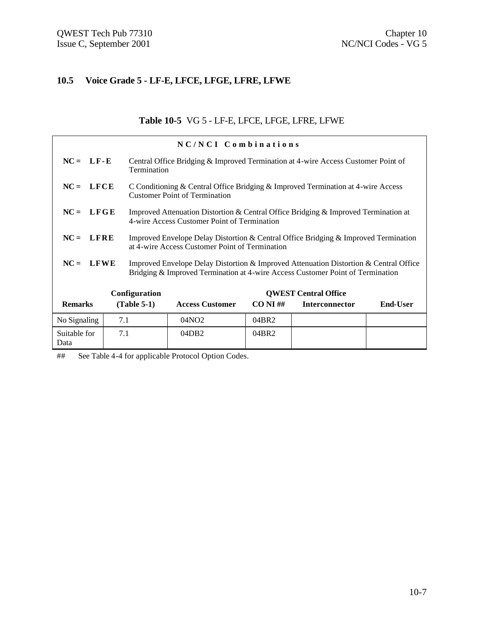## **10.5 Voice Grade 5 - LF-E, LFCE, LFGE, LFRE, LFWE**

## **Table 10-5** VG 5 - LF-E, LFCE, LFGE, LFRE, LFWE

|                      |     |               | NC/NCI Combinations                                                                                                                                                     |             |                             |          |  |
|----------------------|-----|---------------|-------------------------------------------------------------------------------------------------------------------------------------------------------------------------|-------------|-----------------------------|----------|--|
| $NC = LF-E$          |     | Termination   | Central Office Bridging & Improved Termination at 4-wire Access Customer Point of                                                                                       |             |                             |          |  |
| $NC = LFCE$          |     |               | C Conditioning & Central Office Bridging & Improved Termination at 4-wire Access<br><b>Customer Point of Termination</b>                                                |             |                             |          |  |
| $NC = LFGE$          |     |               | Improved Attenuation Distortion & Central Office Bridging & Improved Termination at<br>4-wire Access Customer Point of Termination                                      |             |                             |          |  |
| $NC = LFRE$          |     |               | Improved Envelope Delay Distortion & Central Office Bridging & Improved Termination<br>at 4-wire Access Customer Point of Termination                                   |             |                             |          |  |
| $NC = LFWE$          |     |               | Improved Envelope Delay Distortion & Improved Attenuation Distortion & Central Office<br>Bridging & Improved Termination at 4-wire Access Customer Point of Termination |             |                             |          |  |
|                      |     | Configuration |                                                                                                                                                                         |             | <b>QWEST Central Office</b> |          |  |
| <b>Remarks</b>       |     | $(Table 5-1)$ | <b>Access Customer</b>                                                                                                                                                  | $CO NI \#H$ | <b>Interconnector</b>       | End-User |  |
| No Signaling         | 7.1 |               | 04NO <sub>2</sub>                                                                                                                                                       | 04BR2       |                             |          |  |
| Suitable for<br>Data | 7.1 |               | 04DB2                                                                                                                                                                   | 04BR2       |                             |          |  |

## See Table 4-4 for applicable Protocol Option Codes.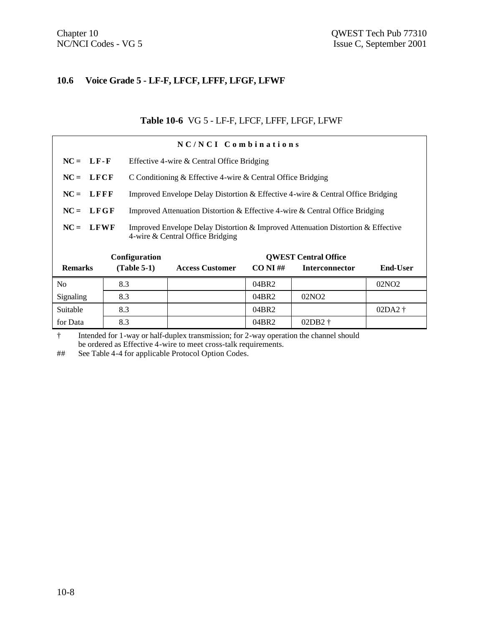#### **10.6 Voice Grade 5 - LF-F, LFCF, LFFF, LFGF, LFWF**

#### **Table 10-6** VG 5 - LF-F, LFCF, LFFF, LFGF, LFWF

|                | NC/NCI Combinations |                                                                                                                      |             |                             |                   |  |  |  |  |
|----------------|---------------------|----------------------------------------------------------------------------------------------------------------------|-------------|-----------------------------|-------------------|--|--|--|--|
| $NC = LF - F$  |                     | Effective 4-wire & Central Office Bridging                                                                           |             |                             |                   |  |  |  |  |
| $NC = LFCF$    |                     | C Conditioning & Effective 4-wire & Central Office Bridging                                                          |             |                             |                   |  |  |  |  |
| $NC = LFFF$    |                     | Improved Envelope Delay Distortion & Effective 4-wire & Central Office Bridging                                      |             |                             |                   |  |  |  |  |
| $NC = LFGF$    |                     | Improved Attenuation Distortion & Effective 4-wire & Central Office Bridging                                         |             |                             |                   |  |  |  |  |
| $NC = LFWF$    |                     | Improved Envelope Delay Distortion & Improved Attenuation Distortion & Effective<br>4-wire & Central Office Bridging |             |                             |                   |  |  |  |  |
|                | Configuration       |                                                                                                                      |             | <b>OWEST Central Office</b> |                   |  |  |  |  |
| <b>Remarks</b> | $(Table 5-1)$       | <b>Access Customer</b>                                                                                               | $CO NI \#H$ | <b>Interconnector</b>       | End-User          |  |  |  |  |
| No             | 8.3                 |                                                                                                                      | 04BR2       |                             | 02NO <sub>2</sub> |  |  |  |  |
| Signaling      | 8.3                 |                                                                                                                      | 04BR2       | 02NO <sub>2</sub>           |                   |  |  |  |  |
| Suitable       | 8.3                 |                                                                                                                      | 04BR2       |                             | $02DA2$ †         |  |  |  |  |
| for Data       | 8.3                 |                                                                                                                      | 04BR2       | $02DB2$ †                   |                   |  |  |  |  |

† Intended for 1-way or half-duplex transmission; for 2-way operation the channel should be ordered as Effective 4-wire to meet cross-talk requirements.

## See Table 4-4 for applicable Protocol Option Codes.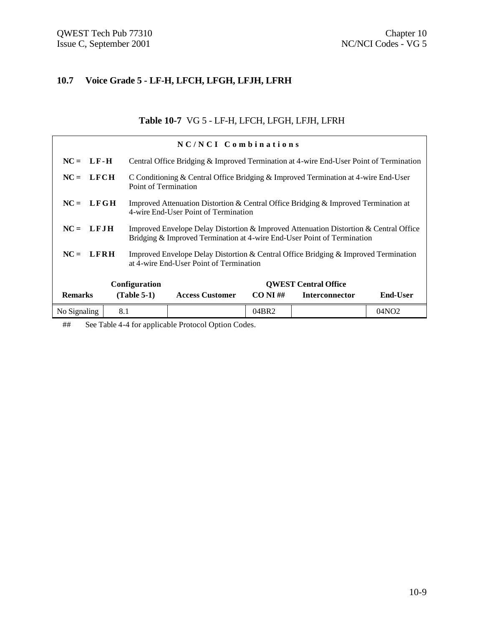## **10.7 Voice Grade 5 - LF-H, LFCH, LFGH, LFJH, LFRH**

## **Table 10-7** VG 5 - LF-H, LFCH, LFGH, LFJH, LFRH

|                | NC/NCI Combinations |                                                                                                                                                                  |             |                             |                   |  |  |  |
|----------------|---------------------|------------------------------------------------------------------------------------------------------------------------------------------------------------------|-------------|-----------------------------|-------------------|--|--|--|
| $NC = LF-H$    |                     | Central Office Bridging & Improved Termination at 4-wire End-User Point of Termination                                                                           |             |                             |                   |  |  |  |
| $NC = LFCH$    |                     | C Conditioning & Central Office Bridging & Improved Termination at 4-wire End-User<br>Point of Termination                                                       |             |                             |                   |  |  |  |
| $NC = LFGH$    |                     | Improved Attenuation Distortion & Central Office Bridging & Improved Termination at<br>4-wire End-User Point of Termination                                      |             |                             |                   |  |  |  |
| $NC = LFJH$    |                     | Improved Envelope Delay Distortion & Improved Attenuation Distortion & Central Office<br>Bridging & Improved Termination at 4-wire End-User Point of Termination |             |                             |                   |  |  |  |
| $NC = LFRH$    |                     | Improved Envelope Delay Distortion & Central Office Bridging & Improved Termination<br>at 4-wire End-User Point of Termination                                   |             |                             |                   |  |  |  |
|                | Configuration       |                                                                                                                                                                  |             | <b>OWEST Central Office</b> |                   |  |  |  |
| <b>Remarks</b> | $(Table 5-1)$       | <b>Access Customer</b>                                                                                                                                           | $CO NI \#H$ | <b>Interconnector</b>       | <b>End-User</b>   |  |  |  |
| No Signaling   | 8.1                 |                                                                                                                                                                  | 04BR2       |                             | 04NO <sub>2</sub> |  |  |  |

## See Table 4-4 for applicable Protocol Option Codes.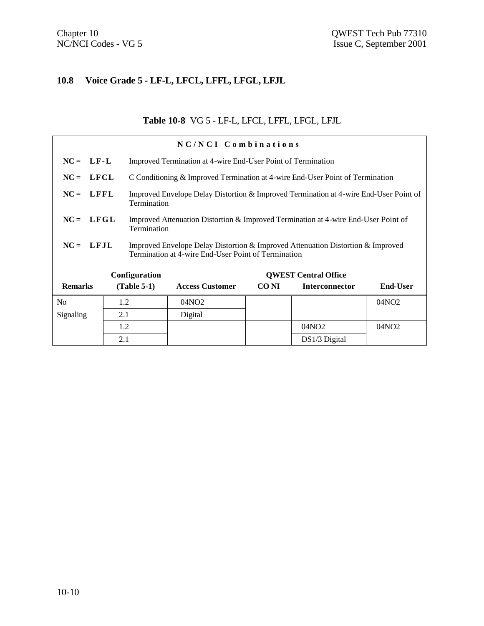## **10.8 Voice Grade 5 - LF-L, LFCL, LFFL, LFGL, LFJL**

## **Table 10-8** VG 5 - LF-L, LFCL, LFFL, LFGL, LFJL

| NC/NCI Combinations |               |                                                                                                                                        |                        |             |                                                                               |                   |  |  |
|---------------------|---------------|----------------------------------------------------------------------------------------------------------------------------------------|------------------------|-------------|-------------------------------------------------------------------------------|-------------------|--|--|
| $NC = LF-L$         |               | Improved Termination at 4-wire End-User Point of Termination                                                                           |                        |             |                                                                               |                   |  |  |
| $NC = LFCL$         |               |                                                                                                                                        |                        |             | C Conditioning & Improved Termination at 4-wire End-User Point of Termination |                   |  |  |
| $NC = LFFL$         |               | Improved Envelope Delay Distortion & Improved Termination at 4-wire End-User Point of<br>Termination                                   |                        |             |                                                                               |                   |  |  |
| $NC = LFGL$         |               | Improved Attenuation Distortion & Improved Termination at 4-wire End-User Point of<br>Termination                                      |                        |             |                                                                               |                   |  |  |
| $NC = LFJL$         |               | Improved Envelope Delay Distortion & Improved Attenuation Distortion & Improved<br>Termination at 4-wire End-User Point of Termination |                        |             |                                                                               |                   |  |  |
|                     | Configuration |                                                                                                                                        |                        |             | <b>OWEST Central Office</b>                                                   |                   |  |  |
| <b>Remarks</b>      | $(Table 5-1)$ |                                                                                                                                        | <b>Access Customer</b> | <b>CONI</b> | <b>Interconnector</b>                                                         | <b>End-User</b>   |  |  |
| N <sub>0</sub>      | 1.2           |                                                                                                                                        | 04NO <sub>2</sub>      |             |                                                                               | 04NO <sub>2</sub> |  |  |
| Signaling           | 2.1           |                                                                                                                                        | Digital                |             |                                                                               |                   |  |  |
|                     | 1.2           |                                                                                                                                        |                        |             | 04NO <sub>2</sub>                                                             | 04NO2             |  |  |
|                     | 2.1           |                                                                                                                                        |                        |             | $DS1/3$ Digital                                                               |                   |  |  |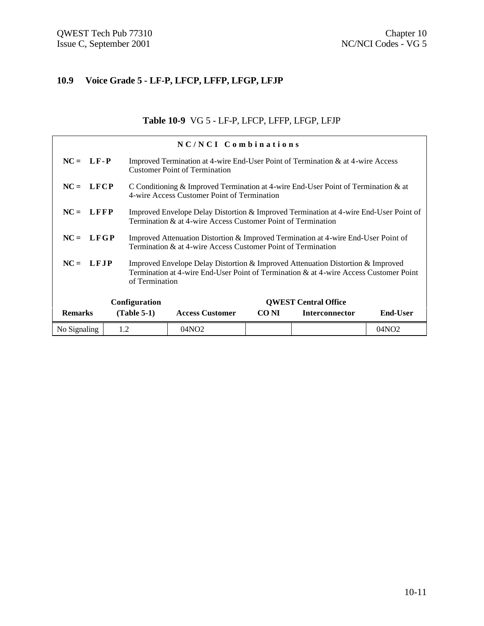## **10.9 Voice Grade 5 - LF-P, LFCP, LFFP, LFGP, LFJP**

## **Table 10-9** VG 5 - LF-P, LFCP, LFFP, LFGP, LFJP

|                                              | NC/NCI Combinations |                                                                                                                                                                          |       |                       |                 |  |  |
|----------------------------------------------|---------------------|--------------------------------------------------------------------------------------------------------------------------------------------------------------------------|-------|-----------------------|-----------------|--|--|
| $NC = LF - P$                                |                     | Improved Termination at 4-wire End-User Point of Termination & at 4-wire Access<br><b>Customer Point of Termination</b>                                                  |       |                       |                 |  |  |
| $NC = LFCP$                                  |                     | C Conditioning & Improved Termination at 4-wire End-User Point of Termination & at<br>4-wire Access Customer Point of Termination                                        |       |                       |                 |  |  |
| $NC = LFFP$                                  |                     | Improved Envelope Delay Distortion & Improved Termination at 4-wire End-User Point of<br>Termination & at 4-wire Access Customer Point of Termination                    |       |                       |                 |  |  |
| $NC = LFGP$                                  |                     | Improved Attenuation Distortion & Improved Termination at 4-wire End-User Point of<br>Termination & at 4-wire Access Customer Point of Termination                       |       |                       |                 |  |  |
| $NC = LFJP$                                  | of Termination      | Improved Envelope Delay Distortion & Improved Attenuation Distortion & Improved<br>Termination at 4-wire End-User Point of Termination & at 4-wire Access Customer Point |       |                       |                 |  |  |
| Configuration<br><b>OWEST Central Office</b> |                     |                                                                                                                                                                          |       |                       |                 |  |  |
| <b>Remarks</b>                               | $(Table 5-1)$       | <b>Access Customer</b>                                                                                                                                                   | CO NI | <b>Interconnector</b> | <b>End-User</b> |  |  |
| No Signaling                                 | 1.2                 | 04NO2                                                                                                                                                                    |       |                       | 04NO2           |  |  |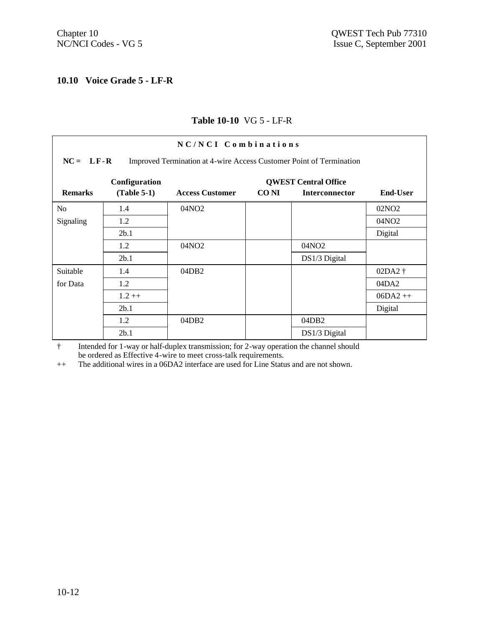#### **10.10 Voice Grade 5 - LF-R**

## **Table 10-10** VG 5 - LF-R

| NC/NCI Combinations<br>$NC = LF - R$<br>Improved Termination at 4-wire Access Customer Point of Termination |               |                        |             |                             |                   |  |  |  |
|-------------------------------------------------------------------------------------------------------------|---------------|------------------------|-------------|-----------------------------|-------------------|--|--|--|
|                                                                                                             | Configuration |                        |             | <b>QWEST Central Office</b> |                   |  |  |  |
| <b>Remarks</b>                                                                                              | $(Table 5-1)$ | <b>Access Customer</b> | <b>CONI</b> | <b>Interconnector</b>       | <b>End-User</b>   |  |  |  |
| N <sub>o</sub>                                                                                              | 1.4           | 04NO <sub>2</sub>      |             |                             | 02NO <sub>2</sub> |  |  |  |
| Signaling                                                                                                   | 1.2           |                        |             |                             | 04NO <sub>2</sub> |  |  |  |
|                                                                                                             | 2b.1          |                        |             |                             | Digital           |  |  |  |
|                                                                                                             | 1.2           | 04NO <sub>2</sub>      |             | 04NO <sub>2</sub>           |                   |  |  |  |
|                                                                                                             | 2b.1          |                        |             | DS1/3 Digital               |                   |  |  |  |
| Suitable                                                                                                    | 1.4           | 04DB2                  |             |                             | $02DA2$ †         |  |  |  |
| for Data                                                                                                    | 1.2           |                        |             |                             | 04DA2             |  |  |  |
|                                                                                                             | $1.2 ++$      |                        |             |                             | $06DA2++$         |  |  |  |
|                                                                                                             | 2b.1          |                        |             |                             | Digital           |  |  |  |
|                                                                                                             | 1.2           | 04DB2                  |             | 04DB <sub>2</sub>           |                   |  |  |  |
|                                                                                                             | 2b.1          |                        |             | DS1/3 Digital               |                   |  |  |  |

† Intended for 1-way or half-duplex transmission; for 2-way operation the channel should be ordered as Effective 4-wire to meet cross-talk requirements.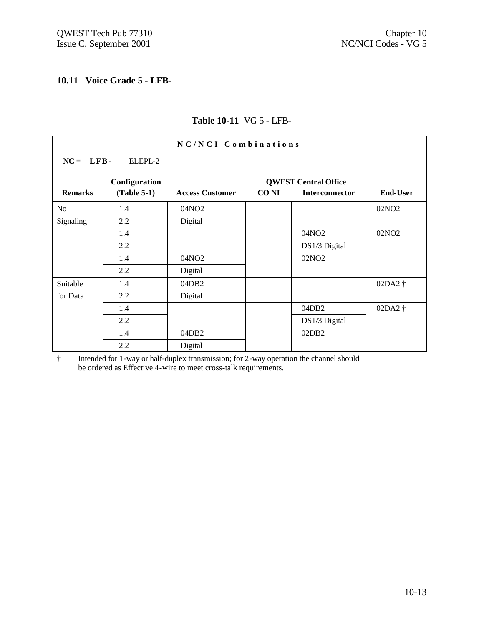$\overline{\Gamma}$ 

## **10.11 Voice Grade 5 - LFB-**

|                |               | NC/NCI Combinations    |                  |                             |                   |
|----------------|---------------|------------------------|------------------|-----------------------------|-------------------|
| $NC = LFB$     | ELEPL-2       |                        |                  |                             |                   |
|                | Configuration |                        |                  | <b>QWEST Central Office</b> |                   |
| <b>Remarks</b> | $(Table 5-1)$ | <b>Access Customer</b> | CO <sub>NI</sub> | Interconnector              | <b>End-User</b>   |
| N <sub>o</sub> | 1.4           | 04NO <sub>2</sub>      |                  |                             | 02NO <sub>2</sub> |
| Signaling      | 2.2           | Digital                |                  |                             |                   |
|                | 1.4           |                        |                  | 04NO2                       | 02NO <sub>2</sub> |
|                | 2.2           |                        |                  | DS1/3 Digital               |                   |
|                | 1.4           | 04NO <sub>2</sub>      |                  | 02NO <sub>2</sub>           |                   |
|                | 2.2           | Digital                |                  |                             |                   |
| Suitable       | 1.4           | 04DB <sub>2</sub>      |                  |                             | 02DA2 †           |
| for Data       | 2.2           | Digital                |                  |                             |                   |
|                | 1.4           |                        |                  | 04DB <sub>2</sub>           | 02DA2 †           |
|                | 2.2           |                        |                  | DS1/3 Digital               |                   |
|                | 1.4           | 04DB2                  |                  | 02DB <sub>2</sub>           |                   |
|                | 2.2           | Digital                |                  |                             |                   |

## **Table 10-11** VG 5 - LFB-

† Intended for 1-way or half-duplex transmission; for 2-way operation the channel should be ordered as Effective 4-wire to meet cross-talk requirements.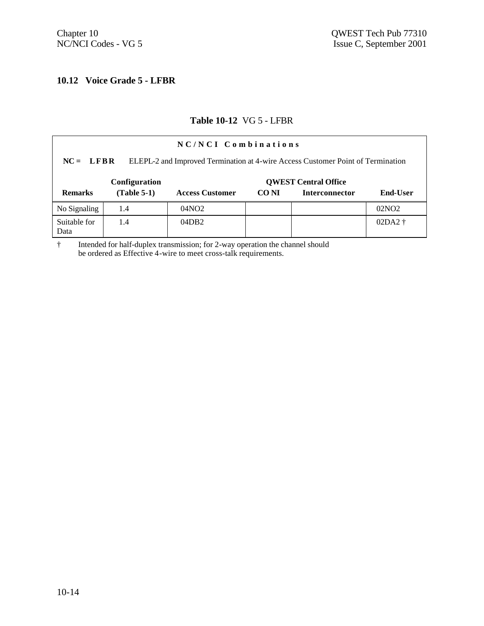## **10.12 Voice Grade 5 - LFBR**

#### **Table 10-12** VG 5 - LFBR

| NC/NCI Combinations                                                                            |               |                        |       |                             |                 |  |  |  |
|------------------------------------------------------------------------------------------------|---------------|------------------------|-------|-----------------------------|-----------------|--|--|--|
| ELEPL-2 and Improved Termination at 4-wire Access Customer Point of Termination<br>$NC = LFBR$ |               |                        |       |                             |                 |  |  |  |
|                                                                                                | Configuration |                        |       | <b>QWEST Central Office</b> |                 |  |  |  |
| <b>Remarks</b>                                                                                 | $(Table 5-1)$ | <b>Access Customer</b> | CO NI | <b>Interconnector</b>       | <b>End-User</b> |  |  |  |
| No Signaling                                                                                   | 1.4           | 04NO <sub>2</sub>      |       |                             | 02NO2           |  |  |  |
| Suitable for<br>Data                                                                           | 1.4           | 04DB2                  |       |                             | $02DA2$ †       |  |  |  |

† Intended for half-duplex transmission; for 2-way operation the channel should be ordered as Effective 4-wire to meet cross-talk requirements.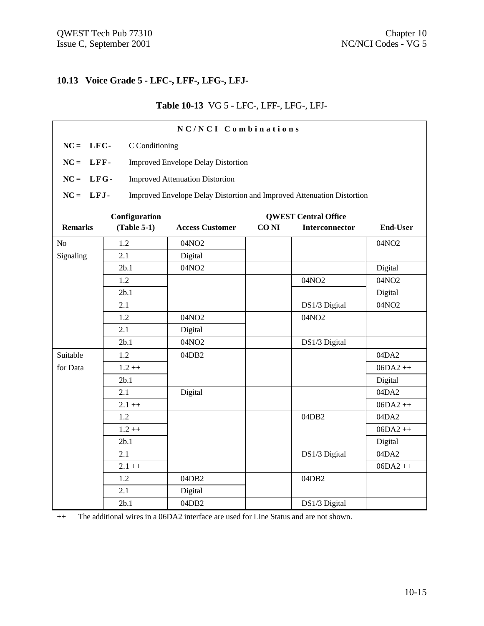## **10.13 Voice Grade 5 - LFC-, LFF-, LFG-, LFJ-**

## **Table 10-13** VG 5 - LFC-, LFF-, LFG-, LFJ-

|                | NC/NCI Combinations                       |                                                                        |                  |                             |                 |  |  |
|----------------|-------------------------------------------|------------------------------------------------------------------------|------------------|-----------------------------|-----------------|--|--|
| $NC = LFC$     | C Conditioning                            |                                                                        |                  |                             |                 |  |  |
| $NC = LFF -$   | <b>Improved Envelope Delay Distortion</b> |                                                                        |                  |                             |                 |  |  |
|                |                                           |                                                                        |                  |                             |                 |  |  |
| $NC = LFG$     |                                           | <b>Improved Attenuation Distortion</b>                                 |                  |                             |                 |  |  |
| $NC = LFJ$ -   |                                           | Improved Envelope Delay Distortion and Improved Attenuation Distortion |                  |                             |                 |  |  |
|                | Configuration                             |                                                                        |                  | <b>QWEST Central Office</b> |                 |  |  |
| <b>Remarks</b> | $(Table 5-1)$                             | <b>Access Customer</b>                                                 | CO <sub>NI</sub> | Interconnector              | <b>End-User</b> |  |  |
| N <sub>o</sub> | 1.2                                       | 04NO2                                                                  |                  |                             | 04NO2           |  |  |
| Signaling      | 2.1                                       | Digital                                                                |                  |                             |                 |  |  |
|                | 2b.1                                      | 04NO2                                                                  |                  |                             | Digital         |  |  |
|                | 1.2                                       |                                                                        |                  | 04NO2                       | 04NO2           |  |  |
|                | 2b.1                                      |                                                                        |                  |                             | Digital         |  |  |
|                | 2.1                                       |                                                                        |                  | DS1/3 Digital               | 04NO2           |  |  |
|                | 1.2                                       | 04NO2                                                                  |                  | 04NO2                       |                 |  |  |
|                | 2.1                                       | Digital                                                                |                  |                             |                 |  |  |
|                | 2b.1                                      | 04NO2                                                                  |                  | DS1/3 Digital               |                 |  |  |
| Suitable       | 1.2                                       | 04DB2                                                                  |                  |                             | 04DA2           |  |  |
| for Data       | $1.2 + +$                                 |                                                                        |                  |                             | $06DA2++$       |  |  |
|                | 2b.1                                      |                                                                        |                  |                             | Digital         |  |  |
|                | 2.1                                       | Digital                                                                |                  |                             | 04DA2           |  |  |
|                | $2.1 + +$                                 |                                                                        |                  |                             | $06DA2++$       |  |  |
|                | 1.2                                       |                                                                        |                  | 04DB2                       | 04DA2           |  |  |
|                | $1.2 + +$                                 |                                                                        |                  |                             | $06DA2++$       |  |  |
|                | 2b.1                                      |                                                                        |                  |                             | Digital         |  |  |
|                | 2.1                                       |                                                                        |                  | DS1/3 Digital               | 04DA2           |  |  |
|                | $2.1 + +$                                 |                                                                        |                  |                             | $06DA2++$       |  |  |
|                | 1.2                                       | 04DB2                                                                  |                  | 04DB2                       |                 |  |  |
|                | 2.1                                       | Digital                                                                |                  |                             |                 |  |  |
|                | 2b.1                                      | 04DB2                                                                  |                  | DS1/3 Digital               |                 |  |  |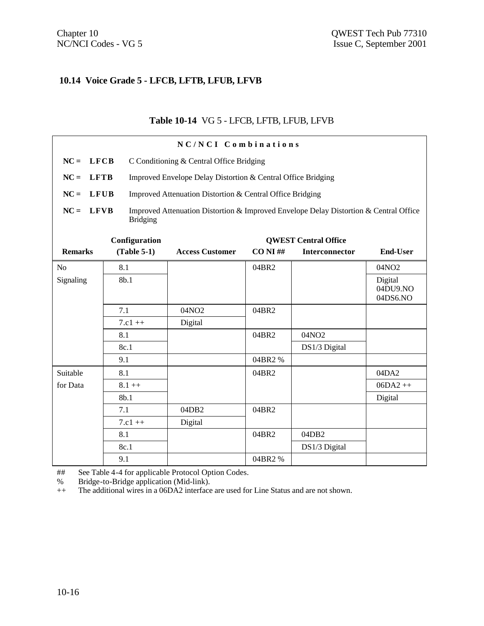#### **10.14 Voice Grade 5 - LFCB, LFTB, LFUB, LFVB**

#### **Table 10-14** VG 5 - LFCB, LFTB, LFUB, LFVB

|                       | NC/NCI Combinations |                                                                                                                                                    |            |                             |                                 |  |  |
|-----------------------|---------------------|----------------------------------------------------------------------------------------------------------------------------------------------------|------------|-----------------------------|---------------------------------|--|--|
| $NC = LFCB$           |                     | C Conditioning & Central Office Bridging                                                                                                           |            |                             |                                 |  |  |
| <b>LFTB</b><br>$NC =$ |                     | Improved Envelope Delay Distortion & Central Office Bridging                                                                                       |            |                             |                                 |  |  |
| $NC =$<br><b>LFUB</b> |                     |                                                                                                                                                    |            |                             |                                 |  |  |
| $NC =$<br><b>LFVB</b> | <b>Bridging</b>     | Improved Attenuation Distortion & Central Office Bridging<br>Improved Attenuation Distortion & Improved Envelope Delay Distortion & Central Office |            |                             |                                 |  |  |
|                       | Configuration       |                                                                                                                                                    |            | <b>QWEST Central Office</b> |                                 |  |  |
| <b>Remarks</b>        | $(Table 5-1)$       | <b>Access Customer</b>                                                                                                                             | $CO NI$ ## | <b>Interconnector</b>       | <b>End-User</b>                 |  |  |
| No                    | 8.1                 |                                                                                                                                                    | 04BR2      |                             | 04NO2                           |  |  |
| Signaling             | 8b.1                |                                                                                                                                                    |            |                             | Digital<br>04DU9.NO<br>04DS6.NO |  |  |
|                       | 7.1                 | 04NO2                                                                                                                                              | 04BR2      |                             |                                 |  |  |
|                       | $7.c1++$            | Digital                                                                                                                                            |            |                             |                                 |  |  |
|                       | 8.1                 |                                                                                                                                                    | 04BR2      | 04NO2                       |                                 |  |  |
|                       | 8c.1                |                                                                                                                                                    |            | DS1/3 Digital               |                                 |  |  |
|                       | 9.1                 |                                                                                                                                                    | 04BR2%     |                             |                                 |  |  |
| Suitable              | 8.1                 |                                                                                                                                                    | 04BR2      |                             | 04DA2                           |  |  |
| for Data              | $8.1 + +$           |                                                                                                                                                    |            |                             | $06DA2++$                       |  |  |
|                       | 8b.1                |                                                                                                                                                    |            |                             | Digital                         |  |  |
|                       | 7.1                 | 04DB2                                                                                                                                              | 04BR2      |                             |                                 |  |  |
|                       | $7.c1++$            | Digital                                                                                                                                            |            |                             |                                 |  |  |
|                       | 8.1                 |                                                                                                                                                    | 04BR2      | 04DB2                       |                                 |  |  |
|                       | 8c.1                |                                                                                                                                                    |            | DS1/3 Digital               |                                 |  |  |
|                       | 9.1                 |                                                                                                                                                    | 04BR2%     |                             |                                 |  |  |

## See Table 4-4 for applicable Protocol Option Codes.

% Bridge-to-Bridge application (Mid-link).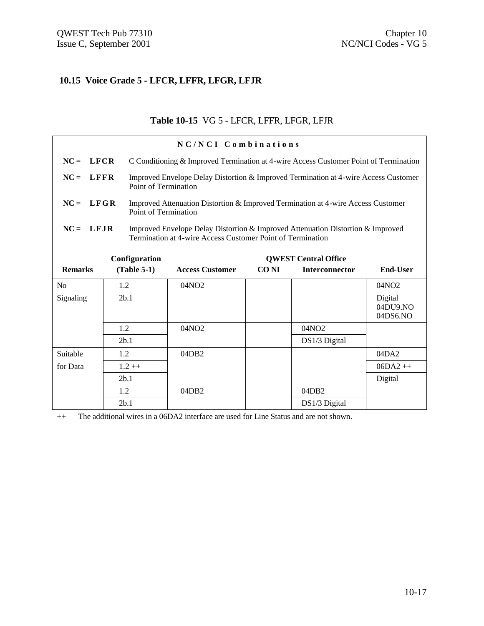## **10.15 Voice Grade 5 - LFCR, LFFR, LFGR, LFJR**

## **Table 10-15** VG 5 - LFCR, LFFR, LFGR, LFJR

|                       | NC/NCI Combinations                          |                             |                                                                                                                                               |             |                       |                                 |  |
|-----------------------|----------------------------------------------|-----------------------------|-----------------------------------------------------------------------------------------------------------------------------------------------|-------------|-----------------------|---------------------------------|--|
| $NC =$<br><b>LFCR</b> |                                              |                             | C Conditioning & Improved Termination at 4-wire Access Customer Point of Termination                                                          |             |                       |                                 |  |
| <b>LFFR</b><br>$NC =$ |                                              | Point of Termination        | Improved Envelope Delay Distortion & Improved Termination at 4-wire Access Customer                                                           |             |                       |                                 |  |
| $NC = LFGR$           |                                              | <b>Point of Termination</b> | Improved Attenuation Distortion & Improved Termination at 4-wire Access Customer                                                              |             |                       |                                 |  |
| $NC = LFIR$           |                                              |                             | Improved Envelope Delay Distortion & Improved Attenuation Distortion & Improved<br>Termination at 4-wire Access Customer Point of Termination |             |                       |                                 |  |
|                       | Configuration<br><b>OWEST Central Office</b> |                             |                                                                                                                                               |             |                       |                                 |  |
| <b>Remarks</b>        |                                              | $(Table 5-1)$               | <b>Access Customer</b>                                                                                                                        | <b>CONI</b> | <b>Interconnector</b> | <b>End-User</b>                 |  |
| N <sub>0</sub>        | 1.2                                          |                             | 04NO2                                                                                                                                         |             |                       | 04NO2                           |  |
| Signaling             |                                              | 2b.1                        |                                                                                                                                               |             |                       | Digital<br>04DU9.NO<br>04DS6.NO |  |
|                       | 1.2                                          |                             | 04NO <sub>2</sub>                                                                                                                             |             | 04NO <sub>2</sub>     |                                 |  |
|                       |                                              | 2 <sub>b.1</sub>            |                                                                                                                                               |             | DS1/3 Digital         |                                 |  |
| Suitable              | 1.2                                          |                             | 04DB2                                                                                                                                         |             |                       | 04DA2                           |  |
| for Data              |                                              | $1.2 + +$                   |                                                                                                                                               |             |                       | $06DA2++$                       |  |
|                       |                                              | 2b.1                        |                                                                                                                                               |             |                       | Digital                         |  |
|                       | 1.2                                          |                             | 04DB2                                                                                                                                         |             | 04DB2                 |                                 |  |
|                       |                                              | 2 <sub>b.1</sub>            |                                                                                                                                               |             | DS1/3 Digital         |                                 |  |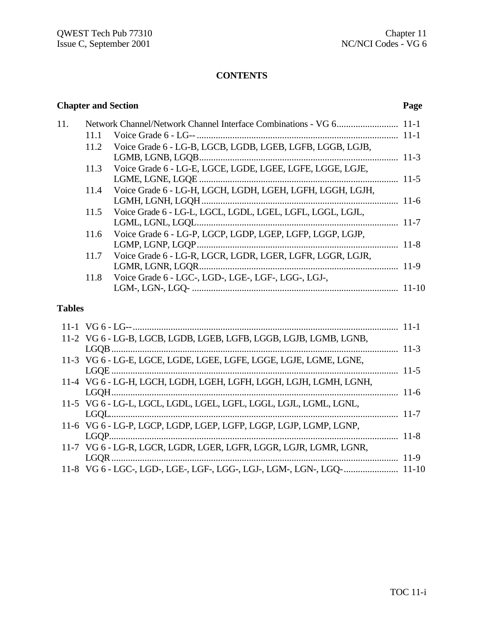## **CONTENTS**

## **Chapter and Section Page**

| 11. |      |                                                                |  |
|-----|------|----------------------------------------------------------------|--|
|     | 11.1 |                                                                |  |
|     | 11.2 | Voice Grade 6 - LG-B, LGCB, LGDB, LGEB, LGFB, LGGB, LGJB,      |  |
|     |      |                                                                |  |
|     |      | 11.3 Voice Grade 6 - LG-E, LGCE, LGDE, LGEE, LGFE, LGGE, LGJE, |  |
|     |      |                                                                |  |
|     | 11.4 | Voice Grade 6 - LG-H, LGCH, LGDH, LGEH, LGFH, LGGH, LGJH,      |  |
|     |      |                                                                |  |
|     |      | 11.5 Voice Grade 6 - LG-L, LGCL, LGDL, LGEL, LGFL, LGGL, LGJL, |  |
|     |      |                                                                |  |
|     | 11.6 | Voice Grade 6 - LG-P, LGCP, LGDP, LGEP, LGFP, LGGP, LGJP,      |  |
|     |      |                                                                |  |
|     | 11.7 | Voice Grade 6 - LG-R, LGCR, LGDR, LGER, LGFR, LGGR, LGJR,      |  |
|     |      |                                                                |  |
|     | 11.8 | Voice Grade 6 - LGC-, LGD-, LGE-, LGF-, LGG-, LGJ-,            |  |
|     |      |                                                                |  |
|     |      |                                                                |  |

## **Tables**

| 11-2 VG 6 - LG-B, LGCB, LGDB, LGEB, LGFB, LGGB, LGJB, LGMB, LGNB, |  |
|-------------------------------------------------------------------|--|
|                                                                   |  |
| 11-3 VG 6 - LG-E, LGCE, LGDE, LGEE, LGFE, LGGE, LGJE, LGME, LGNE, |  |
|                                                                   |  |
| 11-4 VG 6 - LG-H, LGCH, LGDH, LGEH, LGFH, LGGH, LGJH, LGMH, LGNH, |  |
|                                                                   |  |
| 11-5 VG 6 - LG-L, LGCL, LGDL, LGEL, LGFL, LGGL, LGJL, LGML, LGNL, |  |
|                                                                   |  |
| 11-6 VG 6 - LG-P, LGCP, LGDP, LGEP, LGFP, LGGP, LGJP, LGMP, LGNP, |  |
|                                                                   |  |
| 11-7 VG 6 - LG-R, LGCR, LGDR, LGER, LGFR, LGGR, LGJR, LGMR, LGNR, |  |
|                                                                   |  |
|                                                                   |  |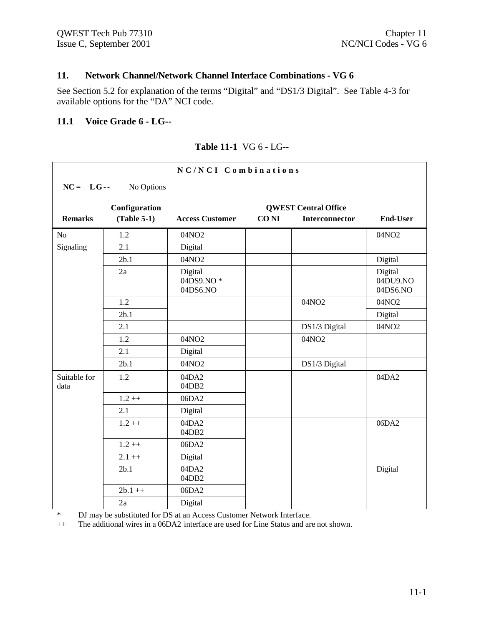## **11. Network Channel/Network Channel Interface Combinations - VG 6**

See Section 5.2 for explanation of the terms "Digital" and "DS1/3 Digital". See Table 4-3 for available options for the "DA" NCI code.

#### **11.1 Voice Grade 6 - LG--**

| NC/NCI Combinations     |               |                                  |             |                       |                                 |  |  |
|-------------------------|---------------|----------------------------------|-------------|-----------------------|---------------------------------|--|--|
| $NC = LG$<br>No Options |               |                                  |             |                       |                                 |  |  |
|                         | Configuration | <b>QWEST Central Office</b>      |             |                       |                                 |  |  |
| <b>Remarks</b>          | $(Table 5-1)$ | <b>Access Customer</b>           | <b>CONI</b> | <b>Interconnector</b> | <b>End-User</b>                 |  |  |
| No                      | 1.2           | 04NO2                            |             |                       | 04NO2                           |  |  |
| Signaling               | 2.1           | Digital                          |             |                       |                                 |  |  |
|                         | 2b.1          | 04NO2                            |             |                       | Digital                         |  |  |
|                         | 2a            | Digital<br>04DS9.NO*<br>04DS6.NO |             |                       | Digital<br>04DU9.NO<br>04DS6.NO |  |  |
|                         | 1.2           |                                  |             | 04NO2                 | 04NO2                           |  |  |
|                         | 2b.1          |                                  |             |                       | Digital                         |  |  |
|                         | 2.1           |                                  |             | DS1/3 Digital         | 04NO2                           |  |  |
|                         | 1.2           | 04NO2                            |             | 04NO2                 |                                 |  |  |
|                         | 2.1           | Digital                          |             |                       |                                 |  |  |
|                         | 2b.1          | 04NO2                            |             | DS1/3 Digital         |                                 |  |  |
| Suitable for<br>data    | 1.2           | 04DA2<br>04DB2                   |             |                       | 04DA2                           |  |  |
|                         | $1.2++$       | 06DA2                            |             |                       |                                 |  |  |
|                         | 2.1           | Digital                          |             |                       |                                 |  |  |
|                         | $1.2 + +$     | 04DA2<br>04DB2                   |             |                       | 06DA2                           |  |  |
|                         | $1.2 + +$     | 06DA2                            |             |                       |                                 |  |  |
|                         | $2.1 + +$     | Digital                          |             |                       |                                 |  |  |
|                         | 2b.1          | 04DA2<br>04DB2                   |             |                       | Digital                         |  |  |
|                         | $2b.1++$      | 06DA2                            |             |                       |                                 |  |  |
|                         | 2a            | Digital                          |             |                       |                                 |  |  |

#### **Table 11-1** VG 6 - LG--

\* DJ may be substituted for DS at an Access Customer Network Interface.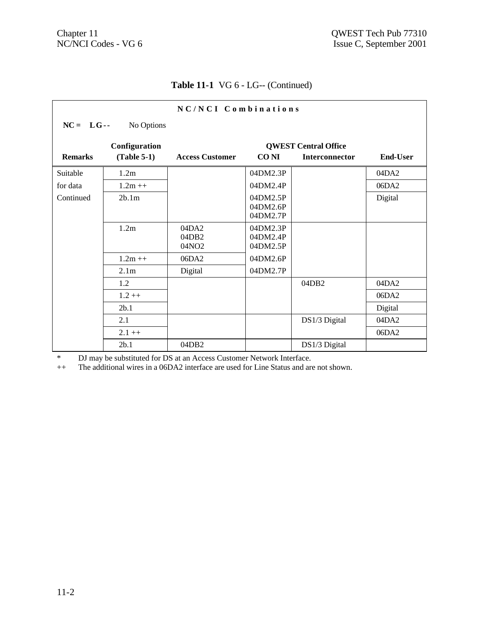r

## **Table 11-1** VG 6 - LG-- (Continued)

| NC/NCI Combinations     |                  |                         |                                  |                |                 |  |  |  |
|-------------------------|------------------|-------------------------|----------------------------------|----------------|-----------------|--|--|--|
| $NC = LG$<br>No Options |                  |                         |                                  |                |                 |  |  |  |
|                         | Configuration    |                         | <b>QWEST Central Office</b>      |                |                 |  |  |  |
| <b>Remarks</b>          | $(Table 5-1)$    | <b>Access Customer</b>  | CO NI                            | Interconnector | <b>End-User</b> |  |  |  |
| Suitable                | 1.2m             |                         | 04DM2.3P                         |                | 04DA2           |  |  |  |
| for data                | $1.2m++$         |                         | 04DM2.4P                         |                | 06DA2           |  |  |  |
| Continued               | 2b.1m            |                         | 04DM2.5P<br>04DM2.6P<br>04DM2.7P |                | Digital         |  |  |  |
|                         | 1.2m             | 04DA2<br>04DB2<br>04NO2 | 04DM2.3P<br>04DM2.4P<br>04DM2.5P |                |                 |  |  |  |
|                         | $1.2m + +$       | 06DA2                   | 04DM2.6P                         |                |                 |  |  |  |
|                         | 2.1 <sub>m</sub> | Digital                 | 04DM2.7P                         |                |                 |  |  |  |
|                         | 1.2              |                         |                                  | 04DB2          | 04DA2           |  |  |  |
|                         | $1.2++$          |                         |                                  |                | 06DA2           |  |  |  |
|                         | 2b.1             |                         |                                  |                | Digital         |  |  |  |
|                         | 2.1              |                         |                                  | DS1/3 Digital  | 04DA2           |  |  |  |
|                         | $2.1 + +$        |                         |                                  |                | 06DA2           |  |  |  |
|                         | 2b.1             | 04DB2                   |                                  | DS1/3 Digital  |                 |  |  |  |

\* DJ may be substituted for DS at an Access Customer Network Interface.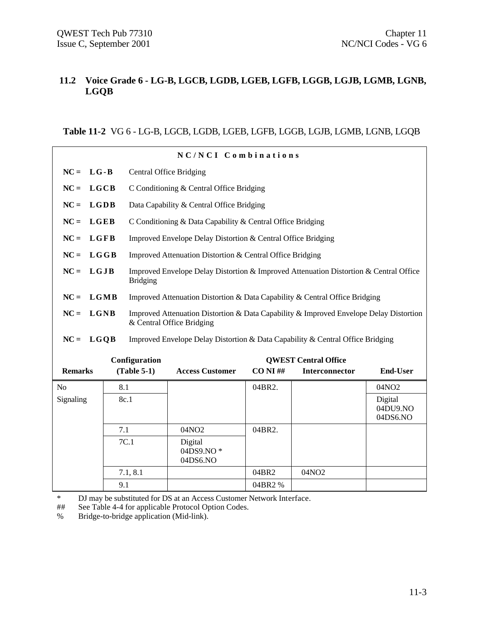## **11.2 Voice Grade 6 - LG-B, LGCB, LGDB, LGEB, LGFB, LGGB, LGJB, LGMB, LGNB, LGQB**

**Table 11-2** VG 6 - LG-B, LGCB, LGDB, LGEB, LGFB, LGGB, LGJB, LGMB, LGNB, LGQB

| NC/NCI Combinations |                                                                                                                             |                                                                                               |                                                                                                          |                                                              |            |                             |                                 |  |  |
|---------------------|-----------------------------------------------------------------------------------------------------------------------------|-----------------------------------------------------------------------------------------------|----------------------------------------------------------------------------------------------------------|--------------------------------------------------------------|------------|-----------------------------|---------------------------------|--|--|
| $NC =$              |                                                                                                                             | $LG - B$<br><b>Central Office Bridging</b>                                                    |                                                                                                          |                                                              |            |                             |                                 |  |  |
| $NC =$              | LGCB                                                                                                                        |                                                                                               |                                                                                                          | C Conditioning & Central Office Bridging                     |            |                             |                                 |  |  |
| $NC =$              | <b>LGDB</b>                                                                                                                 |                                                                                               |                                                                                                          | Data Capability & Central Office Bridging                    |            |                             |                                 |  |  |
| $NC =$              | <b>LGEB</b>                                                                                                                 |                                                                                               |                                                                                                          | C Conditioning & Data Capability & Central Office Bridging   |            |                             |                                 |  |  |
| $NC =$              | <b>LGFB</b>                                                                                                                 |                                                                                               |                                                                                                          | Improved Envelope Delay Distortion & Central Office Bridging |            |                             |                                 |  |  |
| $NC =$<br>LGGB      |                                                                                                                             | Improved Attenuation Distortion & Central Office Bridging                                     |                                                                                                          |                                                              |            |                             |                                 |  |  |
| $NC =$              | LGJB                                                                                                                        |                                                                                               | Improved Envelope Delay Distortion & Improved Attenuation Distortion & Central Office<br><b>Bridging</b> |                                                              |            |                             |                                 |  |  |
| $NC =$              |                                                                                                                             | LGMB<br>Improved Attenuation Distortion & Data Capability & Central Office Bridging           |                                                                                                          |                                                              |            |                             |                                 |  |  |
| $NC =$              | LGNB<br>Improved Attenuation Distortion & Data Capability & Improved Envelope Delay Distortion<br>& Central Office Bridging |                                                                                               |                                                                                                          |                                                              |            |                             |                                 |  |  |
| $NC =$              |                                                                                                                             | <b>LGOB</b><br>Improved Envelope Delay Distortion & Data Capability & Central Office Bridging |                                                                                                          |                                                              |            |                             |                                 |  |  |
|                     |                                                                                                                             |                                                                                               | Configuration                                                                                            |                                                              |            | <b>OWEST Central Office</b> |                                 |  |  |
| <b>Remarks</b>      |                                                                                                                             |                                                                                               | $(Table 5-1)$                                                                                            | <b>Access Customer</b>                                       | $CO NI$ ## | <b>Interconnector</b>       | <b>End-User</b>                 |  |  |
| No                  |                                                                                                                             | 8.1                                                                                           |                                                                                                          |                                                              | 04BR2.     |                             | 04NO2                           |  |  |
| Signaling           |                                                                                                                             | 8c.1                                                                                          |                                                                                                          |                                                              |            |                             | Digital<br>04DU9.NO<br>04DS6.NO |  |  |
|                     |                                                                                                                             | 7.1                                                                                           |                                                                                                          | 04NO2                                                        | 04BR2.     |                             |                                 |  |  |
|                     |                                                                                                                             |                                                                                               | 7C.1                                                                                                     | Digital<br>04DS9.NO*<br>04DS6.NO                             |            |                             |                                 |  |  |
|                     |                                                                                                                             |                                                                                               | 7.1, 8.1                                                                                                 |                                                              | 04BR2      | 04NO2                       |                                 |  |  |
|                     |                                                                                                                             | 9.1                                                                                           |                                                                                                          |                                                              | 04BR2 %    |                             |                                 |  |  |

\* DJ may be substituted for DS at an Access Customer Network Interface.

## See Table 4-4 for applicable Protocol Option Codes.

% Bridge-to-bridge application (Mid-link).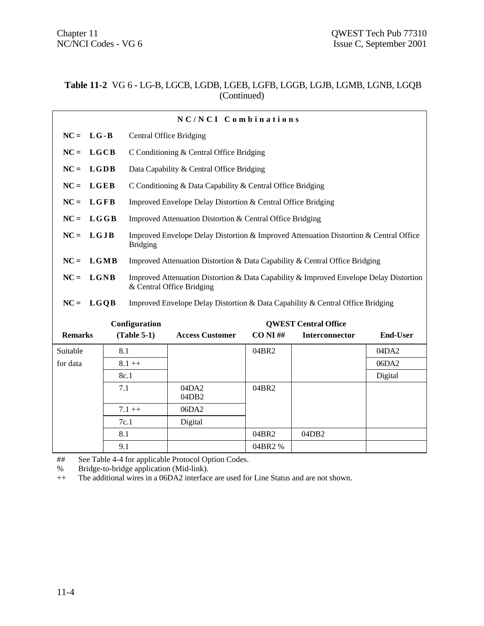#### **Table 11-2** VG 6 - LG-B, LGCB, LGDB, LGEB, LGFB, LGGB, LGJB, LGMB, LGNB, LGQB (Continued)

| NC/NCI Combinations |                                                                                                                         |                                                                                                                             |                                                                                |                                                              |             |                   |                 |  |
|---------------------|-------------------------------------------------------------------------------------------------------------------------|-----------------------------------------------------------------------------------------------------------------------------|--------------------------------------------------------------------------------|--------------------------------------------------------------|-------------|-------------------|-----------------|--|
| $NC =$              | $LG - B$                                                                                                                | <b>Central Office Bridging</b>                                                                                              |                                                                                |                                                              |             |                   |                 |  |
| $NC =$              | LGCB                                                                                                                    |                                                                                                                             |                                                                                | C Conditioning & Central Office Bridging                     |             |                   |                 |  |
| $NC =$              | <b>LGDB</b>                                                                                                             |                                                                                                                             | Data Capability & Central Office Bridging                                      |                                                              |             |                   |                 |  |
| $NC =$              | <b>LGEB</b>                                                                                                             |                                                                                                                             |                                                                                | C Conditioning & Data Capability & Central Office Bridging   |             |                   |                 |  |
| $NC =$              | LGFB                                                                                                                    |                                                                                                                             |                                                                                | Improved Envelope Delay Distortion & Central Office Bridging |             |                   |                 |  |
| $NC =$              | LGGB                                                                                                                    |                                                                                                                             |                                                                                | Improved Attenuation Distortion & Central Office Bridging    |             |                   |                 |  |
|                     |                                                                                                                         |                                                                                                                             |                                                                                |                                                              |             |                   |                 |  |
|                     | $NC = LGJB$<br>Improved Envelope Delay Distortion & Improved Attenuation Distortion & Central Office<br><b>Bridging</b> |                                                                                                                             |                                                                                |                                                              |             |                   |                 |  |
| $NC =$              |                                                                                                                         | <b>LGMB</b><br>Improved Attenuation Distortion & Data Capability & Central Office Bridging                                  |                                                                                |                                                              |             |                   |                 |  |
| $NC =$              |                                                                                                                         | LGNB<br>Improved Attenuation Distortion & Data Capability & Improved Envelope Delay Distortion<br>& Central Office Bridging |                                                                                |                                                              |             |                   |                 |  |
| $NC =$              | LGQB                                                                                                                    |                                                                                                                             | Improved Envelope Delay Distortion & Data Capability & Central Office Bridging |                                                              |             |                   |                 |  |
|                     | Configuration<br><b>QWEST Central Office</b>                                                                            |                                                                                                                             |                                                                                |                                                              |             |                   |                 |  |
| <b>Remarks</b>      |                                                                                                                         |                                                                                                                             | $(Table 5-1)$                                                                  | <b>Access Customer</b>                                       | $CO$ NI $#$ | Interconnector    | <b>End-User</b> |  |
| Suitable            |                                                                                                                         | 8.1                                                                                                                         |                                                                                |                                                              | 04BR2       |                   | 04DA2           |  |
| for data            |                                                                                                                         |                                                                                                                             | $8.1 + +$                                                                      |                                                              |             |                   | 06DA2           |  |
|                     |                                                                                                                         |                                                                                                                             | 8c.1                                                                           |                                                              |             |                   | Digital         |  |
|                     |                                                                                                                         | 7.1                                                                                                                         |                                                                                | 04DA2<br>04DB2                                               | 04BR2       |                   |                 |  |
|                     |                                                                                                                         | $7.1++$                                                                                                                     |                                                                                | 06DA2                                                        |             |                   |                 |  |
|                     |                                                                                                                         |                                                                                                                             | 7c.1                                                                           | Digital                                                      |             |                   |                 |  |
|                     |                                                                                                                         | 8.1                                                                                                                         |                                                                                |                                                              | 04BR2       | 04DB <sub>2</sub> |                 |  |
|                     |                                                                                                                         | 9.1                                                                                                                         |                                                                                |                                                              | 04BR2 %     |                   |                 |  |

## See Table 4-4 for applicable Protocol Option Codes.

% Bridge-to-bridge application (Mid-link).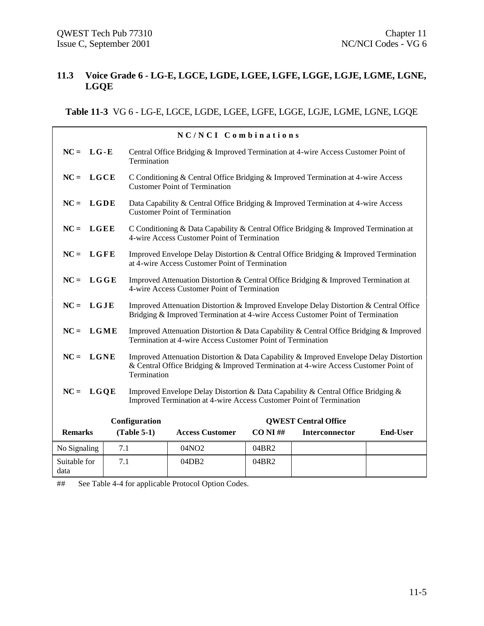#### **11.3 Voice Grade 6 - LG-E, LGCE, LGDE, LGEE, LGFE, LGGE, LGJE, LGME, LGNE, LGQE**

**Table 11-3** VG 6 - LG-E, LGCE, LGDE, LGEE, LGFE, LGGE, LGJE, LGME, LGNE, LGQE

|                      | NC/NCI Combinations |               |                                                                                                                                                                               |             |                             |                 |  |  |
|----------------------|---------------------|---------------|-------------------------------------------------------------------------------------------------------------------------------------------------------------------------------|-------------|-----------------------------|-----------------|--|--|
| $NC = LG - E$        |                     | Termination   | Central Office Bridging & Improved Termination at 4-wire Access Customer Point of                                                                                             |             |                             |                 |  |  |
| $NC = LGCE$          |                     |               | C Conditioning & Central Office Bridging & Improved Termination at 4-wire Access<br><b>Customer Point of Termination</b>                                                      |             |                             |                 |  |  |
| $NC = LGDE$          |                     |               | Data Capability & Central Office Bridging & Improved Termination at 4-wire Access<br><b>Customer Point of Termination</b>                                                     |             |                             |                 |  |  |
| $NC = LGEE$          |                     |               | C Conditioning & Data Capability & Central Office Bridging & Improved Termination at<br>4-wire Access Customer Point of Termination                                           |             |                             |                 |  |  |
| $NC = LGFE$          |                     |               | Improved Envelope Delay Distortion & Central Office Bridging & Improved Termination<br>at 4-wire Access Customer Point of Termination                                         |             |                             |                 |  |  |
| $NC = LGGE$          |                     |               | Improved Attenuation Distortion & Central Office Bridging & Improved Termination at<br>4-wire Access Customer Point of Termination                                            |             |                             |                 |  |  |
| $NC = LGJE$          |                     |               | Improved Attenuation Distortion & Improved Envelope Delay Distortion & Central Office<br>Bridging & Improved Termination at 4-wire Access Customer Point of Termination       |             |                             |                 |  |  |
| $NC = LGME$          |                     |               | Improved Attenuation Distortion & Data Capability & Central Office Bridging & Improved<br>Termination at 4-wire Access Customer Point of Termination                          |             |                             |                 |  |  |
| $NC = LGNE$          |                     | Termination   | Improved Attenuation Distortion & Data Capability & Improved Envelope Delay Distortion<br>& Central Office Bridging & Improved Termination at 4-wire Access Customer Point of |             |                             |                 |  |  |
| $NC = LGQE$          |                     |               | Improved Envelope Delay Distortion & Data Capability & Central Office Bridging &<br>Improved Termination at 4-wire Access Customer Point of Termination                       |             |                             |                 |  |  |
|                      |                     | Configuration |                                                                                                                                                                               |             | <b>QWEST Central Office</b> |                 |  |  |
| <b>Remarks</b>       |                     | $(Table 5-1)$ | <b>Access Customer</b>                                                                                                                                                        | $CO NI \#H$ | Interconnector              | <b>End-User</b> |  |  |
| No Signaling         | 7.1                 |               | 04NO2                                                                                                                                                                         | 04BR2       |                             |                 |  |  |
| Suitable for<br>data | 7.1                 |               | 04DB2                                                                                                                                                                         | 04BR2       |                             |                 |  |  |

## See Table 4-4 for applicable Protocol Option Codes.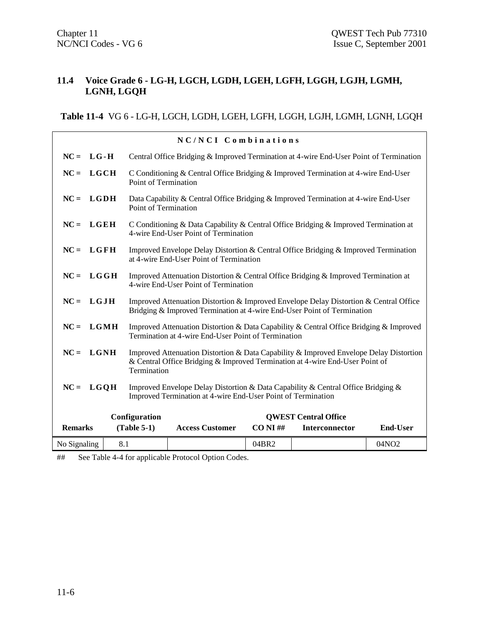#### **11.4 Voice Grade 6 - LG-H, LGCH, LGDH, LGEH, LGFH, LGGH, LGJH, LGMH, LGNH, LGQH**

# **Table 11-4** VG 6 - LG-H, LGCH, LGDH, LGEH, LGFH, LGGH, LGJH, LGMH, LGNH, LGQH

|                         |     |                                                                                                                              | NC/NCI Combinations                                                                                                                                                    |             |                             |                   |  |
|-------------------------|-----|------------------------------------------------------------------------------------------------------------------------------|------------------------------------------------------------------------------------------------------------------------------------------------------------------------|-------------|-----------------------------|-------------------|--|
| $NC = LG - H$           |     |                                                                                                                              | Central Office Bridging & Improved Termination at 4-wire End-User Point of Termination                                                                                 |             |                             |                   |  |
| $_{\rm LGCH}$<br>$NC =$ |     | C Conditioning & Central Office Bridging & Improved Termination at 4-wire End-User<br>Point of Termination                   |                                                                                                                                                                        |             |                             |                   |  |
| $NC = LGDH$             |     | Point of Termination                                                                                                         | Data Capability & Central Office Bridging & Improved Termination at 4-wire End-User                                                                                    |             |                             |                   |  |
| $NC = LGEH$             |     | C Conditioning & Data Capability & Central Office Bridging & Improved Termination at<br>4-wire End-User Point of Termination |                                                                                                                                                                        |             |                             |                   |  |
| $NC = LGFH$             |     |                                                                                                                              | Improved Envelope Delay Distortion & Central Office Bridging & Improved Termination<br>at 4-wire End-User Point of Termination                                         |             |                             |                   |  |
| $NC = LGGH$             |     |                                                                                                                              | Improved Attenuation Distortion & Central Office Bridging & Improved Termination at<br>4-wire End-User Point of Termination                                            |             |                             |                   |  |
| $NC = LGJH$             |     |                                                                                                                              | Improved Attenuation Distortion & Improved Envelope Delay Distortion & Central Office<br>Bridging & Improved Termination at 4-wire End-User Point of Termination       |             |                             |                   |  |
| $NC = LGMH$             |     |                                                                                                                              | Improved Attenuation Distortion & Data Capability & Central Office Bridging & Improved<br>Termination at 4-wire End-User Point of Termination                          |             |                             |                   |  |
| $NC = LGNH$             |     | Termination                                                                                                                  | Improved Attenuation Distortion & Data Capability & Improved Envelope Delay Distortion<br>& Central Office Bridging & Improved Termination at 4-wire End-User Point of |             |                             |                   |  |
| $NC = LGOH$             |     |                                                                                                                              | Improved Envelope Delay Distortion & Data Capability & Central Office Bridging &<br>Improved Termination at 4-wire End-User Point of Termination                       |             |                             |                   |  |
|                         |     | Configuration                                                                                                                |                                                                                                                                                                        |             | <b>QWEST Central Office</b> |                   |  |
| <b>Remarks</b>          |     | $(Table 5-1)$                                                                                                                | <b>Access Customer</b>                                                                                                                                                 | $CO NI \#H$ | Interconnector              | <b>End-User</b>   |  |
| No Signaling            | 8.1 |                                                                                                                              |                                                                                                                                                                        | 04BR2       |                             | 04NO <sub>2</sub> |  |

## See Table 4-4 for applicable Protocol Option Codes.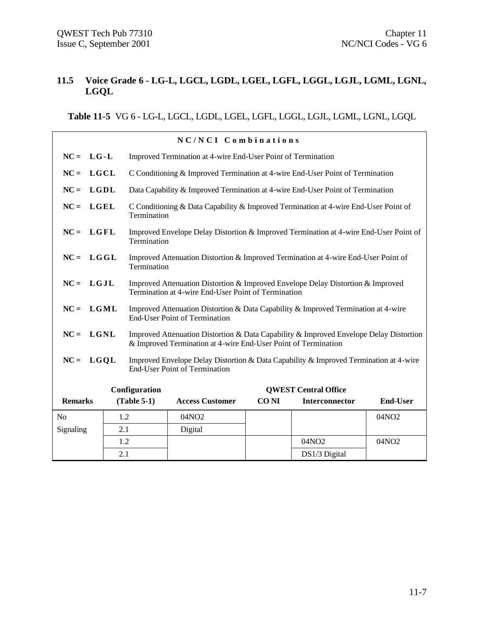#### **11.5 Voice Grade 6 - LG-L, LGCL, LGDL, LGEL, LGFL, LGGL, LGJL, LGML, LGNL, LGQL**

**Table 11-5** VG 6 - LG-L, LGCL, LGDL, LGEL, LGFL, LGGL, LGJL, LGML, LGNL, LGQL

|                |               |                                                                                                                                        | NC/NCI Combinations                                                                                                                                      |             |                             |                   |  |
|----------------|---------------|----------------------------------------------------------------------------------------------------------------------------------------|----------------------------------------------------------------------------------------------------------------------------------------------------------|-------------|-----------------------------|-------------------|--|
| $NC = LG - L$  |               |                                                                                                                                        | Improved Termination at 4-wire End-User Point of Termination                                                                                             |             |                             |                   |  |
| $NC = LGCL$    |               |                                                                                                                                        | C Conditioning & Improved Termination at 4-wire End-User Point of Termination                                                                            |             |                             |                   |  |
| $NC =$         | $_{\rm LGDL}$ |                                                                                                                                        | Data Capability & Improved Termination at 4-wire End-User Point of Termination                                                                           |             |                             |                   |  |
| $NC = LGEL$    |               | C Conditioning & Data Capability & Improved Termination at 4-wire End-User Point of<br>Termination                                     |                                                                                                                                                          |             |                             |                   |  |
| $NC = LGFL$    |               | Improved Envelope Delay Distortion & Improved Termination at 4-wire End-User Point of<br>Termination                                   |                                                                                                                                                          |             |                             |                   |  |
| $NC = LGGL$    |               | Improved Attenuation Distortion & Improved Termination at 4-wire End-User Point of<br>Termination                                      |                                                                                                                                                          |             |                             |                   |  |
| $NC = LGJL$    |               | Improved Attenuation Distortion & Improved Envelope Delay Distortion & Improved<br>Termination at 4-wire End-User Point of Termination |                                                                                                                                                          |             |                             |                   |  |
| $NC =$         | LGML          |                                                                                                                                        | Improved Attenuation Distortion & Data Capability & Improved Termination at 4-wire<br><b>End-User Point of Termination</b>                               |             |                             |                   |  |
| $NC = LGNL$    |               |                                                                                                                                        | Improved Attenuation Distortion & Data Capability & Improved Envelope Delay Distortion<br>& Improved Termination at 4-wire End-User Point of Termination |             |                             |                   |  |
| $NC = LGQL$    |               |                                                                                                                                        | Improved Envelope Delay Distortion & Data Capability & Improved Termination at 4-wire<br><b>End-User Point of Termination</b>                            |             |                             |                   |  |
|                |               | Configuration                                                                                                                          |                                                                                                                                                          |             | <b>OWEST Central Office</b> |                   |  |
| <b>Remarks</b> |               | $(Table 5-1)$                                                                                                                          | <b>Access Customer</b>                                                                                                                                   | <b>CONI</b> | <b>Interconnector</b>       | <b>End-User</b>   |  |
| N <sub>0</sub> | 1.2           |                                                                                                                                        | 04NO2                                                                                                                                                    |             |                             | 04NO <sub>2</sub> |  |
| Signaling      | 2.1           |                                                                                                                                        | Digital                                                                                                                                                  |             |                             |                   |  |
|                | 1.2           |                                                                                                                                        |                                                                                                                                                          |             | 04NO2                       | 04NO2             |  |
|                | 2.1           |                                                                                                                                        |                                                                                                                                                          |             | DS1/3 Digital               |                   |  |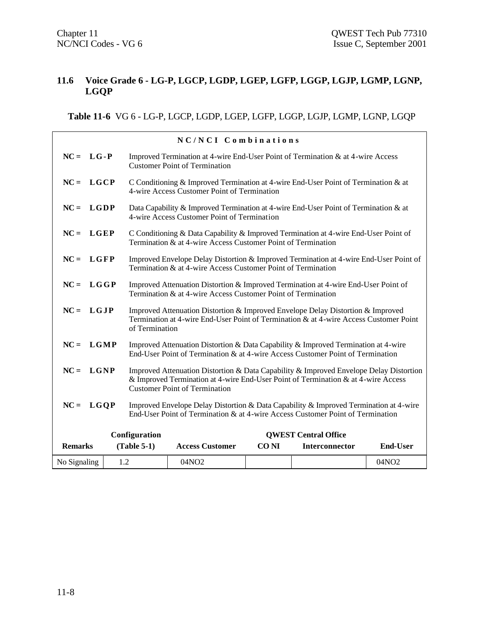#### **11.6 Voice Grade 6 - LG-P, LGCP, LGDP, LGEP, LGFP, LGGP, LGJP, LGMP, LGNP, LGQP**

**Table 11-6** VG 6 - LG-P, LGCP, LGDP, LGEP, LGFP, LGGP, LGJP, LGMP, LGNP, LGQP

|                |                                                                                                                                                                                                                                    |                                                                                                                                                       | NC/NCI Combinations                                                                                                                                                      |             |                             |                   |  |
|----------------|------------------------------------------------------------------------------------------------------------------------------------------------------------------------------------------------------------------------------------|-------------------------------------------------------------------------------------------------------------------------------------------------------|--------------------------------------------------------------------------------------------------------------------------------------------------------------------------|-------------|-----------------------------|-------------------|--|
| $NC = LG - P$  |                                                                                                                                                                                                                                    |                                                                                                                                                       | Improved Termination at 4-wire End-User Point of Termination & at 4-wire Access<br><b>Customer Point of Termination</b>                                                  |             |                             |                   |  |
| $NC = LGCP$    |                                                                                                                                                                                                                                    | C Conditioning & Improved Termination at 4-wire End-User Point of Termination & at<br>4-wire Access Customer Point of Termination                     |                                                                                                                                                                          |             |                             |                   |  |
| $NC = LGDP$    |                                                                                                                                                                                                                                    | Data Capability & Improved Termination at 4-wire End-User Point of Termination & at<br>4-wire Access Customer Point of Termination                    |                                                                                                                                                                          |             |                             |                   |  |
|                | $NC = LGEP$<br>C Conditioning & Data Capability & Improved Termination at 4-wire End-User Point of<br>Termination & at 4-wire Access Customer Point of Termination                                                                 |                                                                                                                                                       |                                                                                                                                                                          |             |                             |                   |  |
| $NC = LGFP$    |                                                                                                                                                                                                                                    | Improved Envelope Delay Distortion & Improved Termination at 4-wire End-User Point of<br>Termination & at 4-wire Access Customer Point of Termination |                                                                                                                                                                          |             |                             |                   |  |
| $NC = LGGP$    |                                                                                                                                                                                                                                    |                                                                                                                                                       | Improved Attenuation Distortion & Improved Termination at 4-wire End-User Point of<br>Termination & at 4-wire Access Customer Point of Termination                       |             |                             |                   |  |
| $NC = LGJP$    |                                                                                                                                                                                                                                    | of Termination                                                                                                                                        | Improved Attenuation Distortion & Improved Envelope Delay Distortion & Improved<br>Termination at 4-wire End-User Point of Termination & at 4-wire Access Customer Point |             |                             |                   |  |
| $NC = LGMP$    |                                                                                                                                                                                                                                    |                                                                                                                                                       | Improved Attenuation Distortion & Data Capability & Improved Termination at 4-wire<br>End-User Point of Termination & at 4-wire Access Customer Point of Termination     |             |                             |                   |  |
|                | $NC = LGNP$<br>Improved Attenuation Distortion & Data Capability & Improved Envelope Delay Distortion<br>& Improved Termination at 4-wire End-User Point of Termination & at 4-wire Access<br><b>Customer Point of Termination</b> |                                                                                                                                                       |                                                                                                                                                                          |             |                             |                   |  |
| $NC = LGOP$    |                                                                                                                                                                                                                                    |                                                                                                                                                       | Improved Envelope Delay Distortion & Data Capability & Improved Termination at 4-wire<br>End-User Point of Termination & at 4-wire Access Customer Point of Termination  |             |                             |                   |  |
|                |                                                                                                                                                                                                                                    | Configuration                                                                                                                                         |                                                                                                                                                                          |             | <b>QWEST Central Office</b> |                   |  |
| <b>Remarks</b> |                                                                                                                                                                                                                                    | $(Table 5-1)$                                                                                                                                         | <b>Access Customer</b>                                                                                                                                                   | <b>CONI</b> | Interconnector              | <b>End-User</b>   |  |
| No Signaling   | 1.2                                                                                                                                                                                                                                |                                                                                                                                                       | 04NO2                                                                                                                                                                    |             |                             | 04NO <sub>2</sub> |  |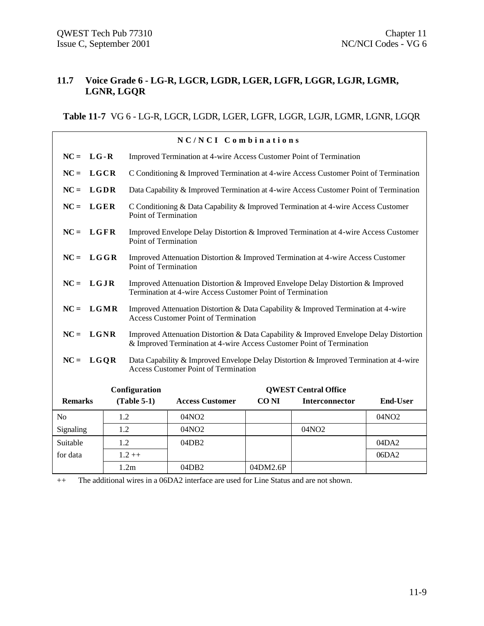#### **11.7 Voice Grade 6 - LG-R, LGCR, LGDR, LGER, LGFR, LGGR, LGJR, LGMR, LGNR, LGQR**

**Table 11-7** VG 6 - LG-R, LGCR, LGDR, LGER, LGFR, LGGR, LGJR, LGMR, LGNR, LGQR

|                | NC/NCI Combinations                                                                                                                                          |                                                                                                          |                                                                                                             |                                                                                                                                                                 |             |                             |                   |  |
|----------------|--------------------------------------------------------------------------------------------------------------------------------------------------------------|----------------------------------------------------------------------------------------------------------|-------------------------------------------------------------------------------------------------------------|-----------------------------------------------------------------------------------------------------------------------------------------------------------------|-------------|-----------------------------|-------------------|--|
| $NC = LG - R$  |                                                                                                                                                              |                                                                                                          |                                                                                                             | Improved Termination at 4-wire Access Customer Point of Termination                                                                                             |             |                             |                   |  |
| $NC =$         | LGCR                                                                                                                                                         |                                                                                                          |                                                                                                             | C Conditioning & Improved Termination at 4-wire Access Customer Point of Termination                                                                            |             |                             |                   |  |
| $NC =$         | LGDR                                                                                                                                                         |                                                                                                          |                                                                                                             | Data Capability & Improved Termination at 4-wire Access Customer Point of Termination                                                                           |             |                             |                   |  |
| $NC =$         | LGER                                                                                                                                                         |                                                                                                          |                                                                                                             | C Conditioning & Data Capability & Improved Termination at 4-wire Access Customer<br>Point of Termination                                                       |             |                             |                   |  |
| $NC = LGFR$    |                                                                                                                                                              |                                                                                                          | Improved Envelope Delay Distortion & Improved Termination at 4-wire Access Customer<br>Point of Termination |                                                                                                                                                                 |             |                             |                   |  |
| $NC = LGGR$    |                                                                                                                                                              | Improved Attenuation Distortion & Improved Termination at 4-wire Access Customer<br>Point of Termination |                                                                                                             |                                                                                                                                                                 |             |                             |                   |  |
|                | $NC = LGJR$<br>Improved Attenuation Distortion & Improved Envelope Delay Distortion & Improved<br>Termination at 4-wire Access Customer Point of Termination |                                                                                                          |                                                                                                             |                                                                                                                                                                 |             |                             |                   |  |
| $NC = LGMR$    |                                                                                                                                                              |                                                                                                          |                                                                                                             | Improved Attenuation Distortion & Data Capability & Improved Termination at 4-wire<br><b>Access Customer Point of Termination</b>                               |             |                             |                   |  |
| $NC =$         | LGNR                                                                                                                                                         |                                                                                                          |                                                                                                             | Improved Attenuation Distortion & Data Capability & Improved Envelope Delay Distortion<br>& Improved Termination at 4-wire Access Customer Point of Termination |             |                             |                   |  |
| $NC = LGQR$    |                                                                                                                                                              |                                                                                                          |                                                                                                             | Data Capability & Improved Envelope Delay Distortion & Improved Termination at 4-wire<br><b>Access Customer Point of Termination</b>                            |             |                             |                   |  |
|                |                                                                                                                                                              |                                                                                                          | Configuration                                                                                               |                                                                                                                                                                 |             | <b>OWEST Central Office</b> |                   |  |
| <b>Remarks</b> |                                                                                                                                                              |                                                                                                          | $(Table 5-1)$                                                                                               | <b>Access Customer</b>                                                                                                                                          | <b>CONI</b> | Interconnector              | <b>End-User</b>   |  |
| No             |                                                                                                                                                              | 1.2                                                                                                      |                                                                                                             | 04NO <sub>2</sub>                                                                                                                                               |             |                             | 04NO <sub>2</sub> |  |
| Signaling      |                                                                                                                                                              | 1.2                                                                                                      |                                                                                                             | 04NO <sub>2</sub>                                                                                                                                               |             | 04NO <sub>2</sub>           |                   |  |
| Suitable       |                                                                                                                                                              | 1.2                                                                                                      |                                                                                                             | 04DB2                                                                                                                                                           |             |                             | 04DA2             |  |
| for data       |                                                                                                                                                              |                                                                                                          | $1.2 ++$                                                                                                    |                                                                                                                                                                 |             |                             | 06DA2             |  |
|                |                                                                                                                                                              |                                                                                                          | 1.2m                                                                                                        | 04DB2                                                                                                                                                           | 04DM2.6P    |                             |                   |  |

++ The additional wires in a 06DA2 interface are used for Line Status and are not shown.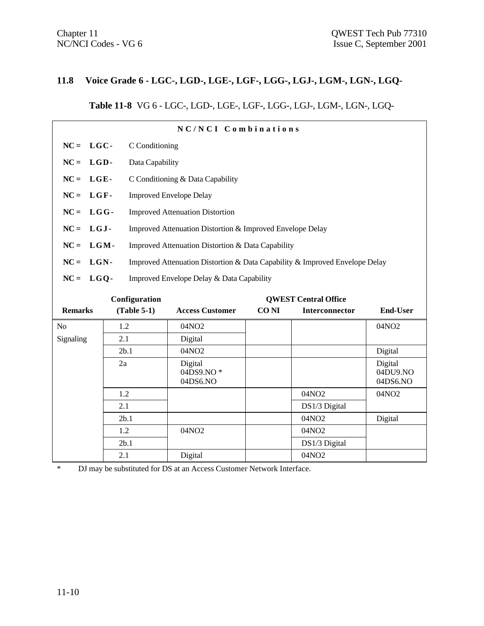#### **11.8 Voice Grade 6 - LGC-, LGD-, LGE-, LGF-, LGG-, LGJ-, LGM-, LGN-, LGQ-**

# **Table 11-8** VG 6 - LGC-, LGD-, LGE-, LGF-, LGG-, LGJ-, LGM-, LGN-, LGQ-

| NC/NCI Combinations                          |        |                |                                                                             |             |                       |                                 |  |  |  |  |  |
|----------------------------------------------|--------|----------------|-----------------------------------------------------------------------------|-------------|-----------------------|---------------------------------|--|--|--|--|--|
| $NC = LGC$ -                                 |        | C Conditioning |                                                                             |             |                       |                                 |  |  |  |  |  |
| $NC =$                                       | LGD-   |                | Data Capability                                                             |             |                       |                                 |  |  |  |  |  |
| $NC =$                                       | LGE-   |                | C Conditioning & Data Capability                                            |             |                       |                                 |  |  |  |  |  |
| $NC =$                                       | LGF-   |                | <b>Improved Envelope Delay</b>                                              |             |                       |                                 |  |  |  |  |  |
| $NC =$                                       | $LGG-$ |                | <b>Improved Attenuation Distortion</b>                                      |             |                       |                                 |  |  |  |  |  |
|                                              |        |                |                                                                             |             |                       |                                 |  |  |  |  |  |
| $NC =$                                       | $LGJ-$ |                | Improved Attenuation Distortion & Improved Envelope Delay                   |             |                       |                                 |  |  |  |  |  |
| $NC =$                                       | LGM-   |                | Improved Attenuation Distortion & Data Capability                           |             |                       |                                 |  |  |  |  |  |
| $NC =$                                       | LGN-   |                | Improved Attenuation Distortion & Data Capability & Improved Envelope Delay |             |                       |                                 |  |  |  |  |  |
| $NC = LGQ$ -                                 |        |                | Improved Envelope Delay & Data Capability                                   |             |                       |                                 |  |  |  |  |  |
|                                              |        |                |                                                                             |             |                       |                                 |  |  |  |  |  |
| Configuration<br><b>OWEST Central Office</b> |        |                |                                                                             |             |                       |                                 |  |  |  |  |  |
|                                              |        |                |                                                                             |             |                       |                                 |  |  |  |  |  |
| <b>Remarks</b>                               |        | $(Table 5-1)$  | <b>Access Customer</b>                                                      | <b>CONI</b> | <b>Interconnector</b> | <b>End-User</b>                 |  |  |  |  |  |
| No                                           | 1.2    |                | 04NO2                                                                       |             |                       | 04NO <sub>2</sub>               |  |  |  |  |  |
| Signaling                                    | 2.1    |                | Digital                                                                     |             |                       |                                 |  |  |  |  |  |
|                                              |        | 2b.1           | 04NO2                                                                       |             |                       | Digital                         |  |  |  |  |  |
|                                              | 2a     |                | Digital<br>04DS9.NO*<br>04DS6.NO                                            |             |                       | Digital<br>04DU9.NO<br>04DS6.NO |  |  |  |  |  |
|                                              | 1.2    |                |                                                                             |             | 04NO2                 | 04NO2                           |  |  |  |  |  |
|                                              | 2.1    |                |                                                                             |             | DS1/3 Digital         |                                 |  |  |  |  |  |
|                                              |        | 2b.1           |                                                                             |             | 04NO2                 | Digital                         |  |  |  |  |  |
|                                              | 1.2    |                | 04NO2                                                                       |             | 04NO2                 |                                 |  |  |  |  |  |
|                                              |        | 2b.1           |                                                                             |             | DS1/3 Digital         |                                 |  |  |  |  |  |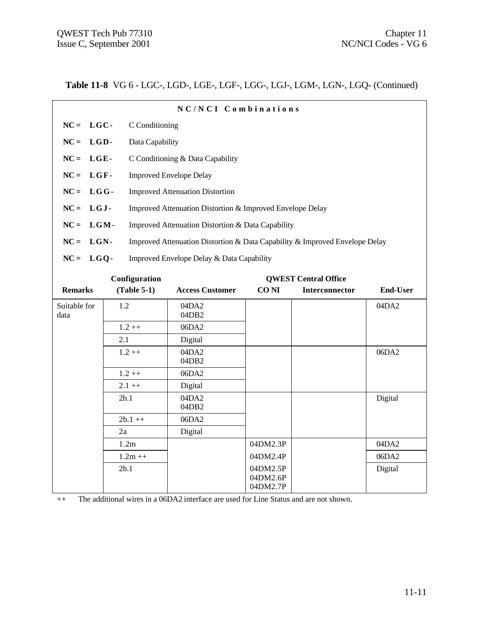**Table 11-8** VG 6 - LGC-, LGD-, LGE-, LGF-, LGG-, LGJ-, LGM-, LGN-, LGQ- (Continued)

| NC/NCI Combinations  |                 |                                                                             |             |                             |                 |  |  |
|----------------------|-----------------|-----------------------------------------------------------------------------|-------------|-----------------------------|-----------------|--|--|
| $NC = LGC$           |                 | C Conditioning                                                              |             |                             |                 |  |  |
| $NC = LGD$           | Data Capability |                                                                             |             |                             |                 |  |  |
| $NC = LGE$ -         |                 | C Conditioning & Data Capability                                            |             |                             |                 |  |  |
| $NC = LGF$ -         |                 | <b>Improved Envelope Delay</b>                                              |             |                             |                 |  |  |
| $NC = LGG$           |                 | <b>Improved Attenuation Distortion</b>                                      |             |                             |                 |  |  |
| $NC = LGJ$ -         |                 | Improved Attenuation Distortion & Improved Envelope Delay                   |             |                             |                 |  |  |
| $NC = LGM$ -         |                 | Improved Attenuation Distortion & Data Capability                           |             |                             |                 |  |  |
| $NC = LGN$ -         |                 | Improved Attenuation Distortion & Data Capability & Improved Envelope Delay |             |                             |                 |  |  |
| $NC = LGQ$           |                 | Improved Envelope Delay & Data Capability                                   |             |                             |                 |  |  |
|                      | Configuration   |                                                                             |             | <b>QWEST Central Office</b> |                 |  |  |
| <b>Remarks</b>       | $(Table 5-1)$   | <b>Access Customer</b>                                                      | <b>CONI</b> | <b>Interconnector</b>       | <b>End-User</b> |  |  |
| Suitable for<br>data | 1.2             | 04DA2<br>04DB <sub>2</sub>                                                  |             |                             | 04DA2           |  |  |
|                      | $1.2 + +$       | 06DA2                                                                       |             |                             |                 |  |  |
|                      | 2.1             | Digital                                                                     |             |                             |                 |  |  |
|                      | $1.2 ++$        | 04DA2<br>04DB2                                                              |             |                             | 06DA2           |  |  |

|           | 04DB2          |                      |         |
|-----------|----------------|----------------------|---------|
| $1.2++$   | 06DA2          |                      |         |
| $2.1 + +$ | Digital        |                      |         |
| 2b.1      | 04DA2<br>04DB2 |                      | Digital |
| $2b.1++$  | 06DA2          |                      |         |
| 2a        | Digital        |                      |         |
| 1.2m      |                | 04DM2.3P             | 04DA2   |
| $1.2m ++$ |                | 04DM2.4P             | 06DA2   |
| 2b.1      |                | 04DM2.5P             | Digital |
|           |                | 04DM2.6P<br>04DM2.7P |         |

++ The additional wires in a 06DA2 interface are used for Line Status and are not shown.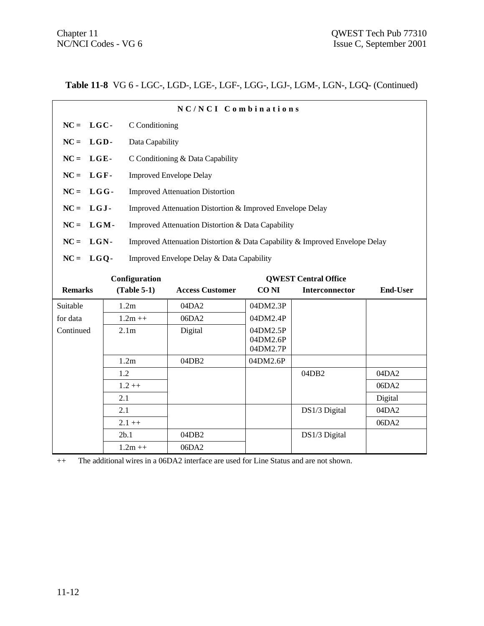**Table 11-8** VG 6 - LGC-, LGD-, LGE-, LGF-, LGG-, LGJ-, LGM-, LGN-, LGQ- (Continued)

|                | NC/NCI Combinations |                                                                             |             |                             |                 |  |  |  |  |
|----------------|---------------------|-----------------------------------------------------------------------------|-------------|-----------------------------|-----------------|--|--|--|--|
| $NC = LGC$ -   |                     | C Conditioning                                                              |             |                             |                 |  |  |  |  |
| $NC = LGD$ -   |                     | Data Capability                                                             |             |                             |                 |  |  |  |  |
| $NC = LGE$     |                     | C Conditioning & Data Capability                                            |             |                             |                 |  |  |  |  |
| $NC = LGF$ -   |                     | <b>Improved Envelope Delay</b>                                              |             |                             |                 |  |  |  |  |
| $NC = LGG$ -   |                     | <b>Improved Attenuation Distortion</b>                                      |             |                             |                 |  |  |  |  |
| $NC = LGJ$ -   |                     | Improved Attenuation Distortion & Improved Envelope Delay                   |             |                             |                 |  |  |  |  |
| $NC = LGM$ -   |                     | Improved Attenuation Distortion & Data Capability                           |             |                             |                 |  |  |  |  |
| $NC = LGN$ -   |                     | Improved Attenuation Distortion & Data Capability & Improved Envelope Delay |             |                             |                 |  |  |  |  |
| $NC = LGQ$     |                     | Improved Envelope Delay & Data Capability                                   |             |                             |                 |  |  |  |  |
|                |                     |                                                                             |             |                             |                 |  |  |  |  |
|                | Configuration       |                                                                             |             | <b>OWEST Central Office</b> |                 |  |  |  |  |
| <b>Remarks</b> | $(Table 5-1)$       | <b>Access Customer</b>                                                      | <b>CONI</b> | <b>Interconnector</b>       | <b>End-User</b> |  |  |  |  |
| Suitable       | 1.2m                | 04DA2                                                                       | 04DM2.3P    |                             |                 |  |  |  |  |
| for data       | $1.2m + +$          | 06DA2                                                                       | 04DM2.4P    |                             |                 |  |  |  |  |
| Continued      | 2.1 <sub>m</sub>    |                                                                             |             |                             |                 |  |  |  |  |
|                |                     | Digital                                                                     | 04DM2.5P    |                             |                 |  |  |  |  |
|                |                     |                                                                             | 04DM2.6P    |                             |                 |  |  |  |  |
|                |                     |                                                                             | 04DM2.7P    |                             |                 |  |  |  |  |
|                | 1.2m                | 04DB2                                                                       | 04DM2.6P    |                             |                 |  |  |  |  |
|                | 1.2                 |                                                                             |             | 04DB2                       | 04DA2           |  |  |  |  |
|                | $1.2 ++$            |                                                                             |             |                             | 06DA2           |  |  |  |  |
|                | 2.1                 |                                                                             |             |                             | Digital         |  |  |  |  |

 $2.1 + +$  06DA2

2b.1 04DB2 DS1/3 Digital

++ The additional wires in a 06DA2 interface are used for Line Status and are not shown.

 $1.2m++$  06DA2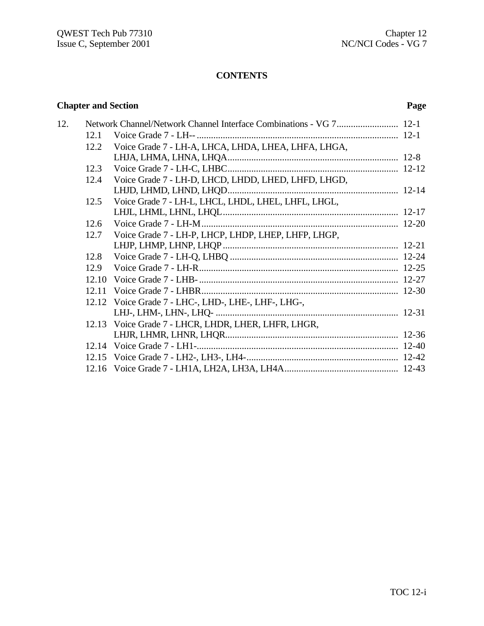# **CONTENTS**

# **Chapter and Section Page**

| 12. |       |                                                     |  |
|-----|-------|-----------------------------------------------------|--|
|     | 12.1  |                                                     |  |
|     | 12.2  | Voice Grade 7 - LH-A, LHCA, LHDA, LHEA, LHFA, LHGA, |  |
|     |       |                                                     |  |
|     | 12.3  |                                                     |  |
|     | 12.4  | Voice Grade 7 - LH-D, LHCD, LHDD, LHED, LHFD, LHGD, |  |
|     |       |                                                     |  |
|     | 12.5  | Voice Grade 7 - LH-L, LHCL, LHDL, LHEL, LHFL, LHGL, |  |
|     |       |                                                     |  |
|     | 12.6  |                                                     |  |
|     | 12.7  | Voice Grade 7 - LH-P, LHCP, LHDP, LHEP, LHFP, LHGP, |  |
|     |       |                                                     |  |
|     | 12.8  |                                                     |  |
|     | 12.9  |                                                     |  |
|     | 12.10 |                                                     |  |
|     | 12.11 |                                                     |  |
|     |       | 12.12 Voice Grade 7 - LHC-, LHD-, LHE-, LHF-, LHG-, |  |
|     |       |                                                     |  |
|     |       | 12.13 Voice Grade 7 - LHCR, LHDR, LHER, LHFR, LHGR, |  |
|     |       |                                                     |  |
|     |       |                                                     |  |
|     |       |                                                     |  |
|     |       |                                                     |  |
|     |       |                                                     |  |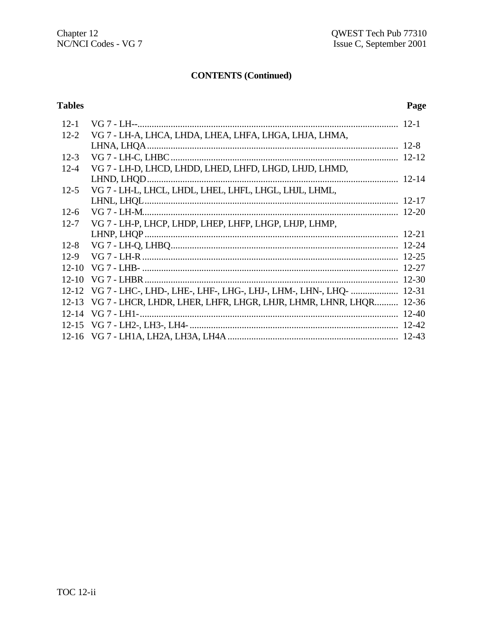# **CONTENTS (Continued)**

# **Tables**

# Page

| $12 - 1$  |                                                                         |           |
|-----------|-------------------------------------------------------------------------|-----------|
| $12 - 2$  | VG 7 - LH-A, LHCA, LHDA, LHEA, LHFA, LHGA, LHJA, LHMA,                  |           |
|           |                                                                         |           |
| $12 - 3$  |                                                                         |           |
| $12 - 4$  | VG 7 - LH-D, LHCD, LHDD, LHED, LHFD, LHGD, LHJD, LHMD,                  |           |
|           |                                                                         |           |
| $12 - 5$  | VG 7 - LH-L, LHCL, LHDL, LHEL, LHFL, LHGL, LHJL, LHML,                  |           |
|           |                                                                         |           |
| $12-6$    |                                                                         |           |
| $12 - 7$  | VG 7 - LH-P, LHCP, LHDP, LHEP, LHFP, LHGP, LHJP, LHMP,                  |           |
|           |                                                                         |           |
| $12 - 8$  |                                                                         |           |
| $12-9$    |                                                                         |           |
| $12 - 10$ |                                                                         |           |
| $12 - 10$ |                                                                         |           |
|           | 12-12 VG 7 - LHC-, LHD-, LHE-, LHF-, LHG-, LHJ-, LHM-, LHN-, LHO-       | $12 - 31$ |
|           | 12-13 VG 7 - LHCR, LHDR, LHER, LHFR, LHGR, LHJR, LHMR, LHNR, LHOR 12-36 |           |
|           |                                                                         |           |
|           |                                                                         |           |
|           |                                                                         |           |
|           |                                                                         |           |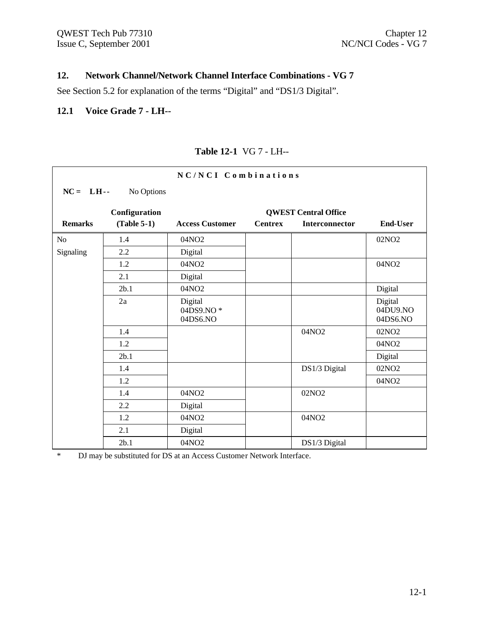┑

### **12. Network Channel/Network Channel Interface Combinations - VG 7**

See Section 5.2 for explanation of the terms "Digital" and "DS1/3 Digital".

#### **12.1 Voice Grade 7 - LH--**

 $\Gamma$ 

| NC/NCI Combinations |               |                                  |                |                             |                                 |  |  |
|---------------------|---------------|----------------------------------|----------------|-----------------------------|---------------------------------|--|--|
| $NC = LH$           | No Options    |                                  |                |                             |                                 |  |  |
|                     | Configuration |                                  |                | <b>QWEST Central Office</b> |                                 |  |  |
| <b>Remarks</b>      | $(Table 5-1)$ | <b>Access Customer</b>           | <b>Centrex</b> | <b>Interconnector</b>       | <b>End-User</b>                 |  |  |
| N <sub>o</sub>      | 1.4           | 04NO2                            |                |                             | 02NO <sub>2</sub>               |  |  |
| Signaling           | 2.2           | Digital                          |                |                             |                                 |  |  |
|                     | 1.2           | 04NO2                            |                |                             | 04NO2                           |  |  |
|                     | 2.1           | Digital                          |                |                             |                                 |  |  |
|                     | 2b.1          | 04NO2                            |                |                             | Digital                         |  |  |
|                     | 2a            | Digital<br>04DS9.NO*<br>04DS6.NO |                |                             | Digital<br>04DU9.NO<br>04DS6.NO |  |  |
|                     | 1.4           |                                  |                | 04NO2                       | 02NO <sub>2</sub>               |  |  |
|                     | 1.2           |                                  |                |                             | 04NO2                           |  |  |
|                     | 2b.1          |                                  |                |                             | Digital                         |  |  |
|                     | 1.4           |                                  |                | DS1/3 Digital               | 02NO <sub>2</sub>               |  |  |
|                     | 1.2           |                                  |                |                             | 04NO <sub>2</sub>               |  |  |
|                     | 1.4           | 04NO2                            |                | 02NO <sub>2</sub>           |                                 |  |  |
|                     | 2.2           | Digital                          |                |                             |                                 |  |  |
|                     | 1.2           | 04NO2                            |                | 04NO2                       |                                 |  |  |
|                     | 2.1           | Digital                          |                |                             |                                 |  |  |
|                     | 2b.1          | 04NO2                            |                | DS1/3 Digital               |                                 |  |  |

#### **Table 12-1** VG 7 - LH--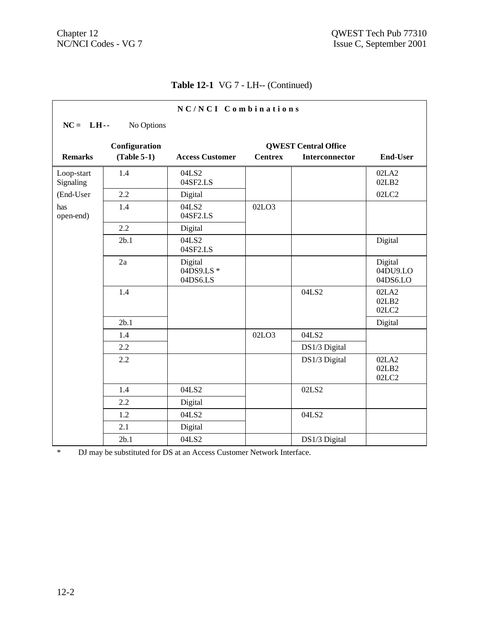| NC/NCI Combinations     |               |                                  |                |                             |                                 |  |  |
|-------------------------|---------------|----------------------------------|----------------|-----------------------------|---------------------------------|--|--|
| $NC = LH$ --            | No Options    |                                  |                |                             |                                 |  |  |
|                         | Configuration |                                  |                | <b>QWEST Central Office</b> |                                 |  |  |
| <b>Remarks</b>          | $(Table 5-1)$ | <b>Access Customer</b>           | <b>Centrex</b> | Interconnector              | <b>End-User</b>                 |  |  |
| Loop-start<br>Signaling | 1.4           | 04LS2<br>04SF2.LS                |                |                             | 02LA2<br>02LB2                  |  |  |
| (End-User               | 2.2           | Digital                          |                |                             | 02LC2                           |  |  |
| has<br>open-end)        | 1.4           | 04LS2<br>04SF2.LS                | 02LO3          |                             |                                 |  |  |
|                         | 2.2           | Digital                          |                |                             |                                 |  |  |
|                         | 2b.1          | 04LS2<br>04SF2.LS                |                |                             | Digital                         |  |  |
|                         | 2a            | Digital<br>04DS9.LS*<br>04DS6.LS |                |                             | Digital<br>04DU9.LO<br>04DS6.LO |  |  |
|                         | 1.4           |                                  |                | 04LS2                       | 02LA2<br>02LB2<br>02LC2         |  |  |
|                         | 2b.1          |                                  |                |                             | Digital                         |  |  |
|                         | 1.4           |                                  | 02LO3          | 04LS2                       |                                 |  |  |
|                         | 2.2           |                                  |                | DS1/3 Digital               |                                 |  |  |
|                         | 2.2           |                                  |                | DS1/3 Digital               | 02LA2<br>02LB2<br>02LC2         |  |  |
|                         | 1.4           | 04LS2                            |                | 02LS2                       |                                 |  |  |
|                         | 2.2           | Digital                          |                |                             |                                 |  |  |
|                         | 1.2           | 04LS2                            |                | 04LS2                       |                                 |  |  |
|                         | 2.1           | Digital                          |                |                             |                                 |  |  |
|                         | 2b.1          | 04LS2                            |                | DS1/3 Digital               |                                 |  |  |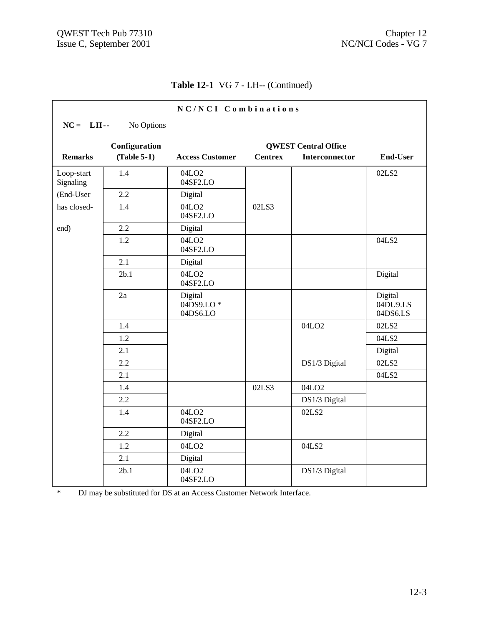| NC/NCI Combinations                          |               |                                  |                |                       |                                 |  |  |  |
|----------------------------------------------|---------------|----------------------------------|----------------|-----------------------|---------------------------------|--|--|--|
| $NC = LH$                                    | No Options    |                                  |                |                       |                                 |  |  |  |
| Configuration<br><b>QWEST Central Office</b> |               |                                  |                |                       |                                 |  |  |  |
| <b>Remarks</b>                               | $(Table 5-1)$ | <b>Access Customer</b>           | <b>Centrex</b> | <b>Interconnector</b> | <b>End-User</b>                 |  |  |  |
| Loop-start<br>Signaling                      | 1.4           | 04LO <sub>2</sub><br>04SF2.LO    |                |                       | 02LS2                           |  |  |  |
| (End-User                                    | 2.2           | Digital                          |                |                       |                                 |  |  |  |
| has closed-                                  | 1.4           | 04LO <sub>2</sub><br>04SF2.LO    | 02LS3          |                       |                                 |  |  |  |
| end)                                         | 2.2           | Digital                          |                |                       |                                 |  |  |  |
|                                              | 1.2           | 04LO <sub>2</sub><br>04SF2.LO    |                |                       | 04LS2                           |  |  |  |
|                                              | 2.1           | Digital                          |                |                       |                                 |  |  |  |
|                                              | 2b.1          | 04LO <sub>2</sub><br>04SF2.LO    |                |                       | Digital                         |  |  |  |
|                                              | 2a            | Digital<br>04DS9.LO*<br>04DS6.LO |                |                       | Digital<br>04DU9.LS<br>04DS6.LS |  |  |  |
|                                              | 1.4           |                                  |                | 04LO <sub>2</sub>     | 02LS2                           |  |  |  |
|                                              | 1.2           |                                  |                |                       | 04LS2                           |  |  |  |
|                                              | 2.1           |                                  |                |                       | Digital                         |  |  |  |
|                                              | 2.2           |                                  |                | DS1/3 Digital         | 02LS2                           |  |  |  |
|                                              | 2.1           |                                  |                |                       | 04LS2                           |  |  |  |
|                                              | 1.4           |                                  | 02LS3          | 04LO <sub>2</sub>     |                                 |  |  |  |
|                                              | 2.2           |                                  |                | DS1/3 Digital         |                                 |  |  |  |
|                                              | 1.4           | 04LO <sub>2</sub><br>04SF2.LO    |                | 02LS2                 |                                 |  |  |  |
|                                              | 2.2           | Digital                          |                |                       |                                 |  |  |  |
|                                              | 1.2           | 04LO <sub>2</sub>                |                | 04LS2                 |                                 |  |  |  |
|                                              | 2.1           | Digital                          |                |                       |                                 |  |  |  |
|                                              | 2b.1          | 04LO <sub>2</sub><br>04SF2.LO    |                | DS1/3 Digital         |                                 |  |  |  |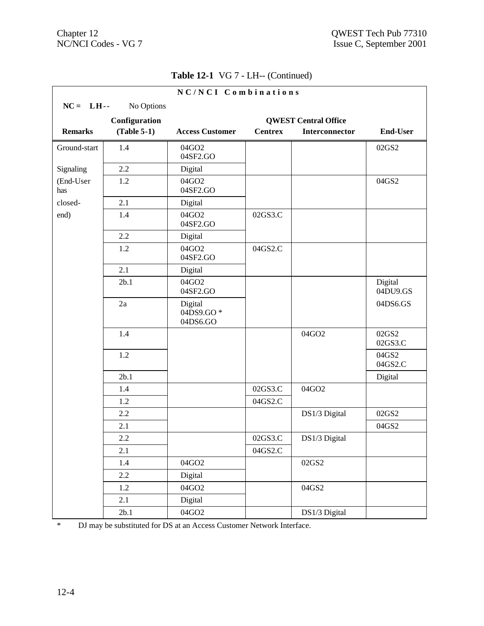|                  |               | NC/NCI Combinations                           |                |                             |                     |
|------------------|---------------|-----------------------------------------------|----------------|-----------------------------|---------------------|
| $NC = LH$        | No Options    |                                               |                |                             |                     |
|                  | Configuration |                                               |                | <b>QWEST Central Office</b> |                     |
| <b>Remarks</b>   | $(Table 5-1)$ | <b>Access Customer</b>                        | <b>Centrex</b> | Interconnector              | <b>End-User</b>     |
| Ground-start     | 1.4           | 04GO2<br>04SF2.GO                             |                |                             | 02GS2               |
| Signaling        | 2.2           | Digital                                       |                |                             |                     |
| (End-User<br>has | 1.2           | 04GO2<br>04SF2.GO                             |                |                             | 04GS2               |
| closed-          | 2.1           | Digital                                       |                |                             |                     |
| end)             | 1.4           | 04GO2<br>04SF2.GO                             | 02GS3.C        |                             |                     |
|                  | 2.2           | Digital                                       |                |                             |                     |
|                  | 1.2           | 04GO2<br>04SF2.GO                             | 04GS2.C        |                             |                     |
|                  | 2.1           | Digital                                       |                |                             |                     |
|                  | 2b.1          | 04GO2<br>04SF2.GO                             |                |                             | Digital<br>04DU9.GS |
|                  | 2a            | Digital<br>$04\overline{D}S9.GO*$<br>04DS6.GO |                |                             | 04DS6.GS            |
|                  | 1.4           |                                               |                | 04GO2                       | 02GS2<br>02GS3.C    |
|                  | 1.2           |                                               |                |                             | 04GS2<br>04GS2.C    |
|                  | 2b.1          |                                               |                |                             | Digital             |
|                  | 1.4           |                                               | 02GS3.C        | 04GO2                       |                     |
|                  | 1.2           |                                               | 04GS2.C        |                             |                     |
|                  | 2.2           |                                               |                | DS1/3 Digital               | 02GS2               |
|                  | 2.1           |                                               |                |                             | 04GS2               |
|                  | 2.2           |                                               | 02GS3.C        | DS1/3 Digital               |                     |
|                  | 2.1           |                                               | 04GS2.C        |                             |                     |
|                  | 1.4           | 04GO2                                         |                | 02GS2                       |                     |
|                  | 2.2           | Digital                                       |                |                             |                     |
|                  | $1.2\,$       | 04GO2                                         |                | 04GS2                       |                     |
|                  | 2.1           | Digital                                       |                |                             |                     |
|                  | 2b.1          | 04GO2                                         |                | DS1/3 Digital               |                     |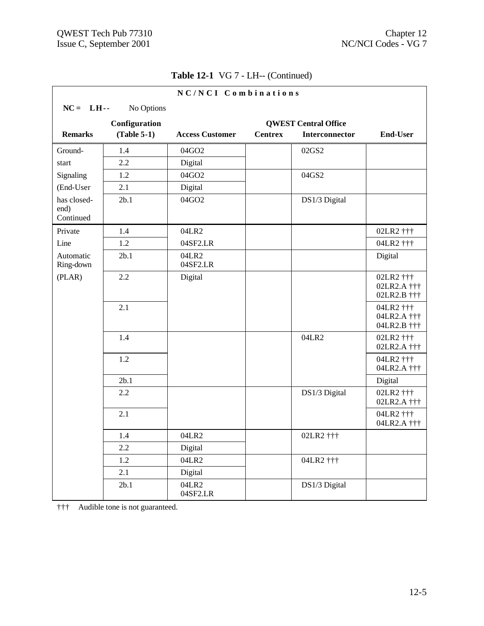|                                  |               | NC/NCI Combinations    |                |                             |                                         |
|----------------------------------|---------------|------------------------|----------------|-----------------------------|-----------------------------------------|
| $NC = LH$                        | No Options    |                        |                |                             |                                         |
|                                  | Configuration |                        |                | <b>QWEST Central Office</b> |                                         |
| <b>Remarks</b>                   | $(Table 5-1)$ | <b>Access Customer</b> | <b>Centrex</b> | <b>Interconnector</b>       | <b>End-User</b>                         |
| Ground-                          | 1.4           | 04GO2                  |                | 02GS2                       |                                         |
| start                            | 2.2           | Digital                |                |                             |                                         |
| Signaling                        | 1.2           | 04GO2                  |                | 04GS2                       |                                         |
| (End-User                        | 2.1           | Digital                |                |                             |                                         |
| has closed-<br>end)<br>Continued | 2b.1          | 04GO2                  |                | DS1/3 Digital               |                                         |
| Private                          | 1.4           | 04LR2                  |                |                             | 02LR2 †††                               |
| Line                             | 1.2           | 04SF2.LR               |                |                             | 04LR2 †††                               |
| Automatic<br>Ring-down           | 2b.1          | 04LR2<br>04SF2.LR      |                |                             | Digital                                 |
| (PLAR)                           | 2.2           | Digital                |                |                             | 02LR2 †††<br>02LR2.A †††<br>02LR2.B ††† |
|                                  | 2.1           |                        |                |                             | 04LR2 †††<br>04LR2.A †††<br>04LR2.B ††† |
|                                  | 1.4           |                        |                | 04LR2                       | 02LR2 †††<br>02LR2.A †††                |
|                                  | 1.2           |                        |                |                             | 04LR2 †††<br>04LR2.A †††                |
|                                  | 2b.1          |                        |                |                             | Digital                                 |
|                                  | 2.2           |                        |                | DS1/3 Digital               | 02LR2 †††<br>02LR2.A †††                |
|                                  | 2.1           |                        |                |                             | 04LR2 †††<br>04LR2.A †††                |
|                                  | 1.4           | 04LR2                  |                | 02LR2 †††                   |                                         |
|                                  | 2.2           | Digital                |                |                             |                                         |
|                                  | $1.2\,$       | 04LR2                  |                | 04LR2 †††                   |                                         |
|                                  | 2.1           | Digital                |                |                             |                                         |
|                                  | 2b.1          | 04LR2<br>04SF2.LR      |                | DS1/3 Digital               |                                         |

††† Audible tone is not guaranteed.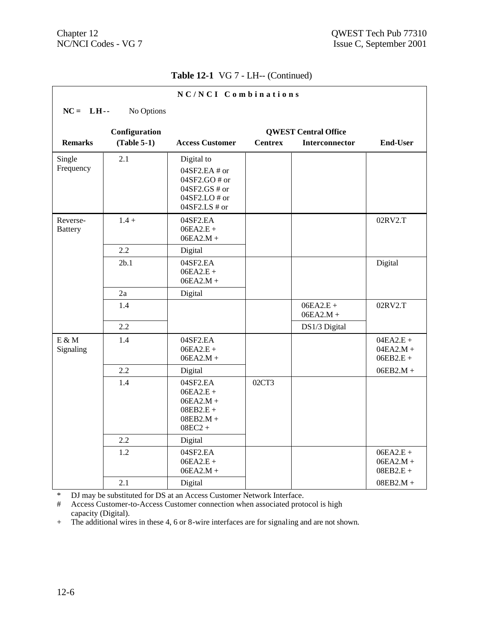|                            |               | NC/NCI Combinations                                                                               |                |                             |                                           |
|----------------------------|---------------|---------------------------------------------------------------------------------------------------|----------------|-----------------------------|-------------------------------------------|
| $NC = LH$ --               | No Options    |                                                                                                   |                |                             |                                           |
|                            | Configuration |                                                                                                   |                | <b>QWEST Central Office</b> |                                           |
| <b>Remarks</b>             | $(Table 5-1)$ | <b>Access Customer</b>                                                                            | <b>Centrex</b> | <b>Interconnector</b>       | <b>End-User</b>                           |
| Single<br>Frequency        | 2.1           | Digital to<br>04SF2.EA # or<br>04SF2.GO # or<br>$04SF2.GS \# or$<br>04SF2.LO# or<br>04SF2.LS # or |                |                             |                                           |
| Reverse-<br><b>Battery</b> | $1.4 +$       | 04SF2.EA<br>$06EA2.E +$<br>$06EA2.M +$                                                            |                |                             | 02RV2.T                                   |
|                            | 2.2           | Digital                                                                                           |                |                             |                                           |
|                            | 2b.1          | 04SF2.EA<br>$06EA2.E +$<br>$06EA2.M +$                                                            |                |                             | Digital                                   |
|                            | 2a            | Digital                                                                                           |                |                             |                                           |
|                            | 1.4           |                                                                                                   |                | $06EA2.E +$<br>$06EA2.M +$  | 02RV2.T                                   |
|                            | 2.2           |                                                                                                   |                | DS1/3 Digital               |                                           |
| $E \& M$<br>Signaling      | 1.4           | 04SF2.EA<br>$06EA2.E +$<br>$06EA2.M +$                                                            |                |                             | $04EA2.E +$<br>$04EA2.M +$<br>$06EB2.E +$ |
|                            | 2.2           | Digital                                                                                           |                |                             | $06EB2.M +$                               |
|                            | 1.4           | 04SF2.EA<br>$06EA2.E +$<br>$06EA2.M +$<br>$08EB2.E +$<br>$08EB2.M +$<br>$08EC2 +$                 | 02CT3          |                             |                                           |
|                            | 2.2           | Digital                                                                                           |                |                             |                                           |
|                            | 1.2           | 04SF2.EA<br>$06EA2.E +$<br>$06EA2.M +$                                                            |                |                             | $06EA2.E +$<br>$06EA2.M +$<br>$08EB2.E +$ |
|                            | 2.1           | Digital                                                                                           |                |                             | $08EB2.M +$                               |

\* DJ may be substituted for DS at an Access Customer Network Interface.

# Access Customer-to-Access Customer connection when associated protocol is high capacity (Digital).

+ The additional wires in these 4, 6 or 8-wire interfaces are for signaling and are not shown.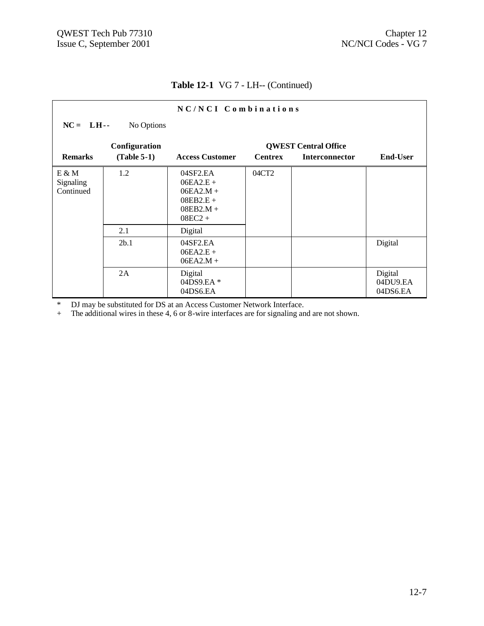|                                 |               | $NC/NCI$ Combinations                                                             |                |                             |                                 |
|---------------------------------|---------------|-----------------------------------------------------------------------------------|----------------|-----------------------------|---------------------------------|
| $NC = LH$                       | No Options    |                                                                                   |                |                             |                                 |
|                                 | Configuration |                                                                                   |                | <b>QWEST Central Office</b> |                                 |
| <b>Remarks</b>                  | $(Table 5-1)$ | <b>Access Customer</b>                                                            | <b>Centrex</b> | <b>Interconnector</b>       | <b>End-User</b>                 |
| E & M<br>Signaling<br>Continued | 1.2           | 04SF2.EA<br>$06EA2.E +$<br>$06EA2.M +$<br>$08EB2.E +$<br>$08EB2.M +$<br>$08EC2 +$ | 04CT2          |                             |                                 |
|                                 | 2.1           | Digital                                                                           |                |                             |                                 |
|                                 | 2b.1          | 04SF2.EA<br>$06EA2.E +$<br>$06EA2.M +$                                            |                |                             | Digital                         |
|                                 | 2A            | Digital<br>04DS9.EA*<br>04DS6.EA                                                  |                |                             | Digital<br>04DU9.EA<br>04DS6.EA |

\* DJ may be substituted for DS at an Access Customer Network Interface.

+ The additional wires in these 4, 6 or 8-wire interfaces are for signaling and are not shown.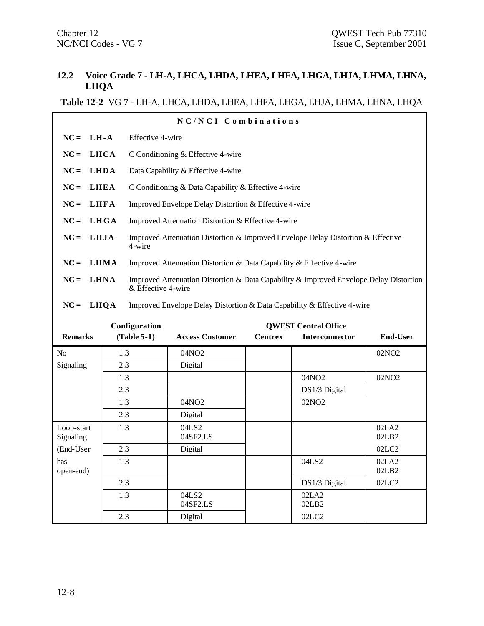#### **12.2 Voice Grade 7 - LH-A, LHCA, LHDA, LHEA, LHFA, LHGA, LHJA, LHMA, LHNA, LHQA**

#### **Table 12-2** VG 7 - LH-A, LHCA, LHDA, LHEA, LHFA, LHGA, LHJA, LHMA, LHNA, LHQA

| NC/NCI Combinations     |                                                                                                                             |                  |                                                                                  |                |                             |                   |  |
|-------------------------|-----------------------------------------------------------------------------------------------------------------------------|------------------|----------------------------------------------------------------------------------|----------------|-----------------------------|-------------------|--|
| $NC = LH - A$           |                                                                                                                             | Effective 4-wire |                                                                                  |                |                             |                   |  |
| $NC =$                  | <b>LHCA</b>                                                                                                                 |                  | C Conditioning & Effective 4-wire                                                |                |                             |                   |  |
| $NC =$                  | <b>LHDA</b>                                                                                                                 |                  | Data Capability & Effective 4-wire                                               |                |                             |                   |  |
| $NC =$                  | <b>LHEA</b>                                                                                                                 |                  | C Conditioning & Data Capability & Effective 4-wire                              |                |                             |                   |  |
|                         |                                                                                                                             |                  |                                                                                  |                |                             |                   |  |
| $NC =$                  | <b>LHFA</b>                                                                                                                 |                  | Improved Envelope Delay Distortion & Effective 4-wire                            |                |                             |                   |  |
| $NC =$                  | LHGA                                                                                                                        |                  | Improved Attenuation Distortion & Effective 4-wire                               |                |                             |                   |  |
| $NC =$                  | <b>LHJA</b>                                                                                                                 | 4-wire           | Improved Attenuation Distortion & Improved Envelope Delay Distortion & Effective |                |                             |                   |  |
| $NC = LHMA$             |                                                                                                                             |                  | Improved Attenuation Distortion & Data Capability & Effective 4-wire             |                |                             |                   |  |
| $NC =$                  | Improved Attenuation Distortion & Data Capability & Improved Envelope Delay Distortion<br><b>LHNA</b><br>& Effective 4-wire |                  |                                                                                  |                |                             |                   |  |
| $NC =$                  | LHQA                                                                                                                        |                  | Improved Envelope Delay Distortion & Data Capability & Effective 4-wire          |                |                             |                   |  |
|                         |                                                                                                                             | Configuration    |                                                                                  |                | <b>QWEST Central Office</b> |                   |  |
| <b>Remarks</b>          |                                                                                                                             | $(Table 5-1)$    | <b>Access Customer</b>                                                           | <b>Centrex</b> | Interconnector              | <b>End-User</b>   |  |
| N <sub>o</sub>          | 1.3                                                                                                                         |                  | 04NO <sub>2</sub>                                                                |                |                             | 02NO <sub>2</sub> |  |
| Signaling               | 2.3                                                                                                                         |                  | Digital                                                                          |                |                             |                   |  |
|                         | 1.3                                                                                                                         |                  |                                                                                  |                | 04NO2                       | 02NO <sub>2</sub> |  |
|                         | 2.3                                                                                                                         |                  |                                                                                  |                | DS1/3 Digital               |                   |  |
|                         | 1.3                                                                                                                         |                  | 04NO2                                                                            |                | 02NO <sub>2</sub>           |                   |  |
|                         | 2.3                                                                                                                         |                  | Digital                                                                          |                |                             |                   |  |
| Loop-start<br>Signaling | 1.3                                                                                                                         |                  | 04LS2<br>04SF2.LS                                                                |                |                             | 02LA2<br>02LB2    |  |
| (End-User               | 2.3                                                                                                                         |                  | Digital                                                                          |                |                             | 02LC2             |  |
| has<br>open-end)        | 1.3                                                                                                                         |                  |                                                                                  |                | 04LS2                       | 02LA2<br>02LB2    |  |
|                         | 2.3                                                                                                                         |                  |                                                                                  |                | DS1/3 Digital               | 02LC2             |  |

02LA2 02LB2

1.3 04LS2

04SF2.LS

2.3 Digital 02LC2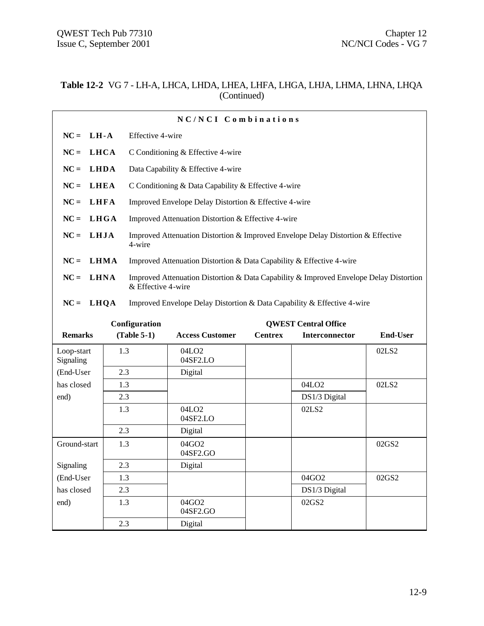#### **Table 12-2** VG 7 - LH-A, LHCA, LHDA, LHEA, LHFA, LHGA, LHJA, LHMA, LHNA, LHQA (Continued)

| NC/NCI Combinations |                                                                                                              |  |  |  |  |  |  |  |
|---------------------|--------------------------------------------------------------------------------------------------------------|--|--|--|--|--|--|--|
| $NC = LH - A$       | Effective 4-wire                                                                                             |  |  |  |  |  |  |  |
| $NC = LHCA$         | C Conditioning & Effective 4-wire                                                                            |  |  |  |  |  |  |  |
| $NC = LHDA$         | Data Capability & Effective 4-wire                                                                           |  |  |  |  |  |  |  |
| $NC = LHEA$         | C Conditioning & Data Capability & Effective 4-wire                                                          |  |  |  |  |  |  |  |
| $NC = LHFA$         | Improved Envelope Delay Distortion & Effective 4-wire                                                        |  |  |  |  |  |  |  |
| $NC = LHGA$         | Improved Attenuation Distortion & Effective 4-wire                                                           |  |  |  |  |  |  |  |
| $NC = LHJA$         | Improved Attenuation Distortion & Improved Envelope Delay Distortion & Effective<br>4-wire                   |  |  |  |  |  |  |  |
| $NC = LHMA$         | Improved Attenuation Distortion & Data Capability & Effective 4-wire                                         |  |  |  |  |  |  |  |
| $NC = LHNA$         | Improved Attenuation Distortion & Data Capability & Improved Envelope Delay Distortion<br>& Effective 4-wire |  |  |  |  |  |  |  |
| $NC = LHQA$         | Improved Envelope Delay Distortion & Data Capability & Effective 4-wire                                      |  |  |  |  |  |  |  |

|                         | Configuration | <b>QWEST Central Office</b>   |                |                       |                 |
|-------------------------|---------------|-------------------------------|----------------|-----------------------|-----------------|
| <b>Remarks</b>          | $(Table 5-1)$ | <b>Access Customer</b>        | <b>Centrex</b> | <b>Interconnector</b> | <b>End-User</b> |
| Loop-start<br>Signaling | 1.3           | 04LO <sub>2</sub><br>04SF2.LO |                |                       | 02LS2           |
| (End-User               | 2.3           | Digital                       |                |                       |                 |
| has closed              | 1.3           |                               |                | 04LO <sub>2</sub>     | 02LS2           |
| end)                    | 2.3           |                               |                | DS1/3 Digital         |                 |
|                         | 1.3           | 04LO <sub>2</sub><br>04SF2.LO |                | 02LS2                 |                 |
|                         | 2.3           | Digital                       |                |                       |                 |
| Ground-start            | 1.3           | 04GO2<br>04SF2.GO             |                |                       | 02GS2           |
| Signaling               | 2.3           | Digital                       |                |                       |                 |
| (End-User               | 1.3           |                               |                | 04GO2                 | 02GS2           |
| has closed              | 2.3           |                               |                | DS1/3 Digital         |                 |
| end)                    | 1.3           | 04GO2<br>04SF2.GO             |                | 02GS2                 |                 |
|                         | 2.3           | Digital                       |                |                       |                 |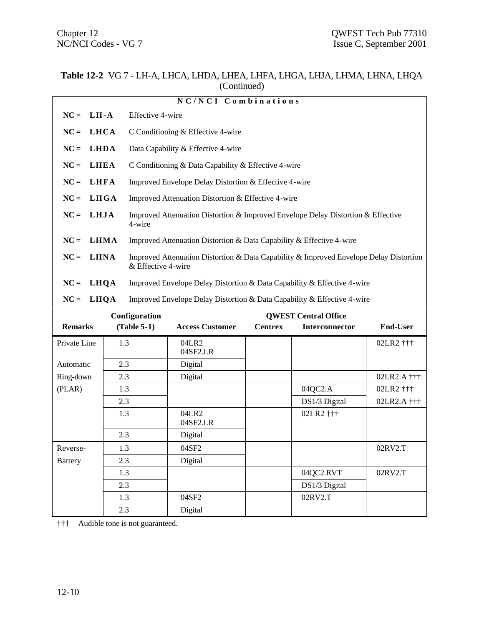#### **Table 12-2** VG 7 - LH-A, LHCA, LHDA, LHEA, LHFA, LHGA, LHJA, LHMA, LHNA, LHQA (Continued)

|                                                                                           |             |                                | NC/NCI Combinations                                                                    |                |                             |                 |  |
|-------------------------------------------------------------------------------------------|-------------|--------------------------------|----------------------------------------------------------------------------------------|----------------|-----------------------------|-----------------|--|
| $NC =$                                                                                    | $LH-A$      |                                | Effective 4-wire                                                                       |                |                             |                 |  |
| $NC =$                                                                                    | <b>LHCA</b> |                                | C Conditioning & Effective 4-wire                                                      |                |                             |                 |  |
| $NC =$                                                                                    | <b>LHDA</b> |                                | Data Capability & Effective 4-wire                                                     |                |                             |                 |  |
| $NC =$                                                                                    | <b>LHEA</b> |                                | C Conditioning & Data Capability & Effective 4-wire                                    |                |                             |                 |  |
| $NC =$                                                                                    | <b>LHFA</b> |                                | Improved Envelope Delay Distortion & Effective 4-wire                                  |                |                             |                 |  |
| $NC =$                                                                                    | <b>LHGA</b> |                                | Improved Attenuation Distortion & Effective 4-wire                                     |                |                             |                 |  |
| $NC =$                                                                                    | LHJA        | 4-wire                         | Improved Attenuation Distortion & Improved Envelope Delay Distortion & Effective       |                |                             |                 |  |
| $NC =$                                                                                    | LHMA        |                                | Improved Attenuation Distortion & Data Capability & Effective 4-wire                   |                |                             |                 |  |
| $NC =$                                                                                    | <b>LHNA</b> | & Effective 4-wire             | Improved Attenuation Distortion & Data Capability & Improved Envelope Delay Distortion |                |                             |                 |  |
| $NC =$                                                                                    | LHQA        |                                | Improved Envelope Delay Distortion & Data Capability & Effective 4-wire                |                |                             |                 |  |
| LHQA<br>Improved Envelope Delay Distortion & Data Capability & Effective 4-wire<br>$NC =$ |             |                                |                                                                                        |                |                             |                 |  |
|                                                                                           |             |                                |                                                                                        |                |                             |                 |  |
|                                                                                           |             |                                |                                                                                        |                | <b>QWEST Central Office</b> |                 |  |
| <b>Remarks</b>                                                                            |             | Configuration<br>$(Table 5-1)$ | <b>Access Customer</b>                                                                 | <b>Centrex</b> | Interconnector              | <b>End-User</b> |  |
| Private Line                                                                              | 1.3         |                                | 04LR2<br>04SF2.LR                                                                      |                |                             | 02LR2 †††       |  |
| Automatic                                                                                 | 2.3         |                                | Digital                                                                                |                |                             |                 |  |
| Ring-down                                                                                 | 2.3         |                                | Digital                                                                                |                |                             | 02LR2.A †††     |  |
| (PLAR)                                                                                    | 1.3         |                                |                                                                                        |                | 04QC2.A                     | 02LR2 †††       |  |
|                                                                                           | 2.3         |                                |                                                                                        |                | DS1/3 Digital               | 02LR2.A †††     |  |
|                                                                                           | 1.3         |                                | 04LR2<br>04SF2.LR                                                                      |                | 02LR2 †††                   |                 |  |
|                                                                                           | 2.3         |                                | Digital                                                                                |                |                             |                 |  |
| Reverse-                                                                                  | 1.3         |                                | 04SF2                                                                                  |                |                             | 02RV2.T         |  |
| <b>Battery</b>                                                                            | 2.3         |                                | Digital                                                                                |                |                             |                 |  |
|                                                                                           | 1.3         |                                |                                                                                        |                | 04QC2.RVT                   | 02RV2.T         |  |
|                                                                                           | 2.3         |                                |                                                                                        |                | DS1/3 Digital               |                 |  |
|                                                                                           |             | 1.3                            | 04SF2                                                                                  |                | 02RV2.T                     |                 |  |

††† Audible tone is not guaranteed.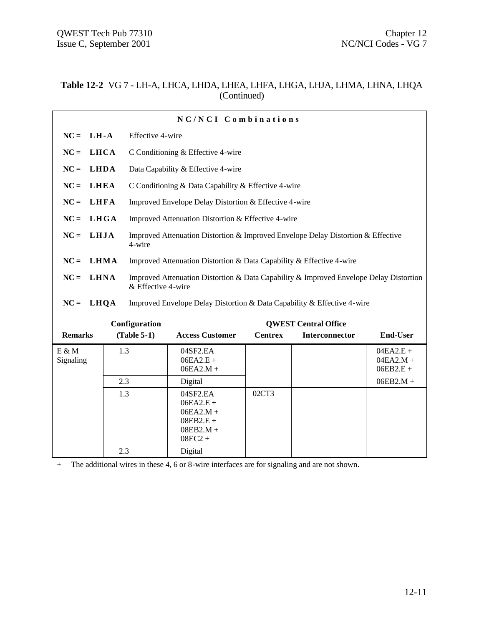#### **Table 12-2** VG 7 - LH-A, LHCA, LHDA, LHEA, LHFA, LHGA, LHJA, LHMA, LHNA, LHQA (Continued)

|                       |             |                    | NC/NCI Combinations                                                                    |                |                             |                                           |  |
|-----------------------|-------------|--------------------|----------------------------------------------------------------------------------------|----------------|-----------------------------|-------------------------------------------|--|
| $NC = LH - A$         |             |                    | Effective 4-wire                                                                       |                |                             |                                           |  |
| <b>LHCA</b><br>$NC =$ |             |                    | C Conditioning & Effective 4-wire                                                      |                |                             |                                           |  |
| <b>LHDA</b><br>$NC =$ |             |                    | Data Capability & Effective 4-wire                                                     |                |                             |                                           |  |
| $NC =$<br><b>LHEA</b> |             |                    | C Conditioning & Data Capability & Effective 4-wire                                    |                |                             |                                           |  |
| <b>LHFA</b><br>$NC =$ |             |                    | Improved Envelope Delay Distortion & Effective 4-wire                                  |                |                             |                                           |  |
| <b>LHGA</b><br>$NC =$ |             |                    | Improved Attenuation Distortion & Effective 4-wire                                     |                |                             |                                           |  |
| LHJA<br>$NC =$        |             | 4-wire             | Improved Attenuation Distortion & Improved Envelope Delay Distortion & Effective       |                |                             |                                           |  |
| $NC =$                | <b>LHMA</b> |                    | Improved Attenuation Distortion & Data Capability & Effective 4-wire                   |                |                             |                                           |  |
| $NC =$<br><b>LHNA</b> |             | & Effective 4-wire | Improved Attenuation Distortion & Data Capability & Improved Envelope Delay Distortion |                |                             |                                           |  |
| $NC =$<br>LHQA        |             |                    | Improved Envelope Delay Distortion & Data Capability & Effective 4-wire                |                |                             |                                           |  |
|                       |             | Configuration      |                                                                                        |                | <b>QWEST Central Office</b> |                                           |  |
| <b>Remarks</b>        |             | $(Table 5-1)$      | <b>Access Customer</b>                                                                 | <b>Centrex</b> | Interconnector              | <b>End-User</b>                           |  |
| E & M<br>Signaling    | 1.3         |                    | 04SF2.EA<br>$06EA2.E +$<br>$06EA2.M +$                                                 |                |                             | $04EA2.E +$<br>$04EA2.M +$<br>$06EB2.E +$ |  |
|                       | 2.3         |                    | Digital                                                                                |                |                             | $06EB2.M +$                               |  |
|                       | 1.3         |                    | 04SF2.EA<br>$06EA2.E +$<br>$06EA2.M +$<br>$08EB2.E +$<br>$08EB2.M +$<br>$08EC2 +$      | 02CT3          |                             |                                           |  |
|                       | 2.3         |                    | Digital                                                                                |                |                             |                                           |  |

+ The additional wires in these 4, 6 or 8-wire interfaces are for signaling and are not shown.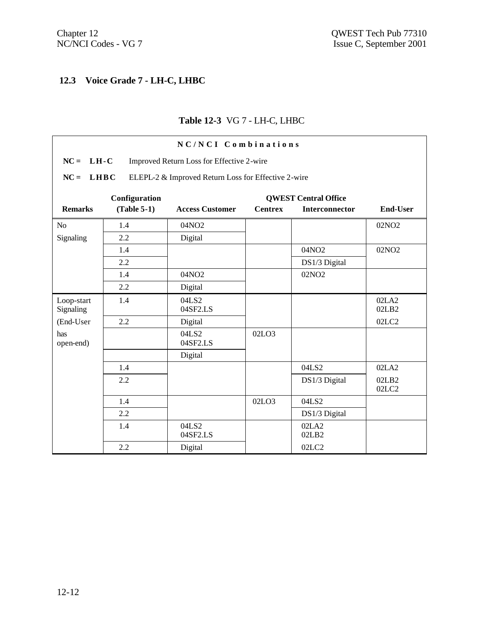# **12.3 Voice Grade 7 - LH-C, LHBC**

#### **Table 12-3** VG 7 - LH-C, LHBC

| NC/NCI Combinations                                                |               |                        |                |                       |                   |  |  |  |
|--------------------------------------------------------------------|---------------|------------------------|----------------|-----------------------|-------------------|--|--|--|
| $NC = LH-C$<br>Improved Return Loss for Effective 2-wire           |               |                        |                |                       |                   |  |  |  |
| $NC = LHBC$<br>ELEPL-2 & Improved Return Loss for Effective 2-wire |               |                        |                |                       |                   |  |  |  |
| Configuration<br><b>QWEST Central Office</b>                       |               |                        |                |                       |                   |  |  |  |
| <b>Remarks</b>                                                     | $(Table 5-1)$ | <b>Access Customer</b> | <b>Centrex</b> | <b>Interconnector</b> | <b>End-User</b>   |  |  |  |
| N <sub>o</sub>                                                     | 1.4           | 04NO2                  |                |                       | 02NO <sub>2</sub> |  |  |  |
| Signaling                                                          | 2.2           | Digital                |                |                       |                   |  |  |  |
|                                                                    | 1.4           |                        |                | 04NO2                 | 02NO <sub>2</sub> |  |  |  |
|                                                                    | 2.2           |                        |                | DS1/3 Digital         |                   |  |  |  |
|                                                                    | 1.4           | 04NO2                  |                | 02NO <sub>2</sub>     |                   |  |  |  |
|                                                                    | 2.2           | Digital                |                |                       |                   |  |  |  |
| Loop-start<br>Signaling                                            | 1.4           | 04LS2<br>04SF2.LS      |                |                       | 02LA2<br>02LB2    |  |  |  |
| (End-User                                                          | 2.2           | Digital                |                |                       | 02LC2             |  |  |  |
| has<br>open-end)                                                   |               | 04LS2<br>04SF2.LS      | 02LO3          |                       |                   |  |  |  |
|                                                                    |               | Digital                |                |                       |                   |  |  |  |
|                                                                    | 1.4           |                        |                | 04LS2                 | 02LA2             |  |  |  |
|                                                                    | 2.2           |                        |                | DS1/3 Digital         | 02LB2<br>02LC2    |  |  |  |
|                                                                    | 1.4           |                        | 02LO3          | 04LS2                 |                   |  |  |  |
|                                                                    | 2.2           |                        |                | DS1/3 Digital         |                   |  |  |  |
|                                                                    | 1.4           | 04LS2<br>04SF2.LS      |                | 02LA2<br>02LB2        |                   |  |  |  |
|                                                                    | 2.2           | Digital                |                | 02LC2                 |                   |  |  |  |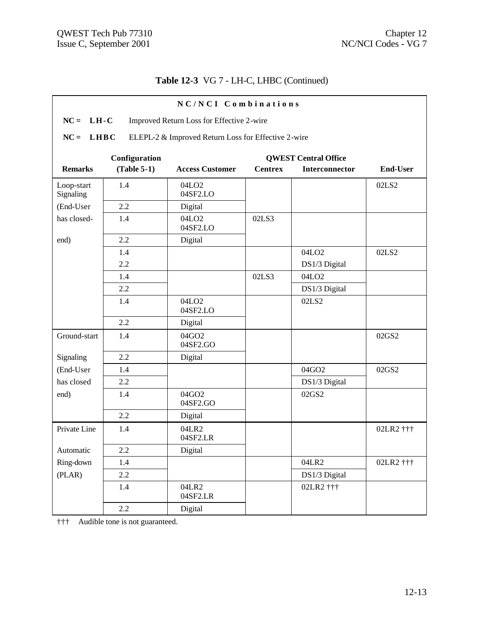# **Table 12-3** VG 7 - LH-C, LHBC (Continued)

| NC/NCI Combinations                                                          |               |                               |                |                             |                 |  |  |
|------------------------------------------------------------------------------|---------------|-------------------------------|----------------|-----------------------------|-----------------|--|--|
| $LH-C$<br>$NC =$<br>Improved Return Loss for Effective 2-wire                |               |                               |                |                             |                 |  |  |
| $NC =$<br><b>LHBC</b><br>ELEPL-2 & Improved Return Loss for Effective 2-wire |               |                               |                |                             |                 |  |  |
|                                                                              |               |                               |                |                             |                 |  |  |
|                                                                              | Configuration |                               |                | <b>QWEST Central Office</b> |                 |  |  |
| <b>Remarks</b>                                                               | $(Table 5-1)$ | <b>Access Customer</b>        | <b>Centrex</b> | Interconnector              | <b>End-User</b> |  |  |
| Loop-start<br>Signaling                                                      | 1.4           | 04LO <sub>2</sub><br>04SF2.LO |                |                             | 02LS2           |  |  |
| (End-User                                                                    | 2.2           | Digital                       |                |                             |                 |  |  |
| has closed-                                                                  | 1.4           | 04LO <sub>2</sub><br>04SF2.LO | 02LS3          |                             |                 |  |  |
| end)                                                                         | 2.2           | Digital                       |                |                             |                 |  |  |
|                                                                              | 1.4           |                               |                | 04LO <sub>2</sub>           | 02LS2           |  |  |
|                                                                              | 2.2           |                               |                | DS1/3 Digital               |                 |  |  |
|                                                                              | 1.4           |                               | 02LS3          | 04LO <sub>2</sub>           |                 |  |  |
|                                                                              | 2.2           |                               |                | DS1/3 Digital               |                 |  |  |
|                                                                              | 1.4           | 04LO <sub>2</sub><br>04SF2.LO |                | 02LS2                       |                 |  |  |
|                                                                              | 2.2           | Digital                       |                |                             |                 |  |  |
| Ground-start                                                                 | 1.4           | 04GO2<br>04SF2.GO             |                |                             | 02GS2           |  |  |
| Signaling                                                                    | 2.2           | Digital                       |                |                             |                 |  |  |
| (End-User                                                                    | 1.4           |                               |                | 04GO2                       | 02GS2           |  |  |
| has closed                                                                   | 2.2           |                               |                | DS1/3 Digital               |                 |  |  |
| end)                                                                         | 1.4           | 04GO2<br>04SF2.GO             |                | 02GS2                       |                 |  |  |
|                                                                              | 2.2           | Digital                       |                |                             |                 |  |  |
| Private Line                                                                 | 1.4           | 04LR2<br>04SF2.LR             |                |                             | 02LR2 †††       |  |  |
| Automatic                                                                    | 2.2           | Digital                       |                |                             |                 |  |  |
| Ring-down                                                                    | 1.4           |                               |                | 04LR2                       | 02LR2 †††       |  |  |
| (PLAR)                                                                       | $2.2\,$       |                               |                | DS1/3 Digital               |                 |  |  |
|                                                                              | 1.4           | 04LR2<br>04SF2.LR             |                | 02LR2 †††                   |                 |  |  |
|                                                                              | $2.2\,$       | Digital                       |                |                             |                 |  |  |

††† Audible tone is not guaranteed.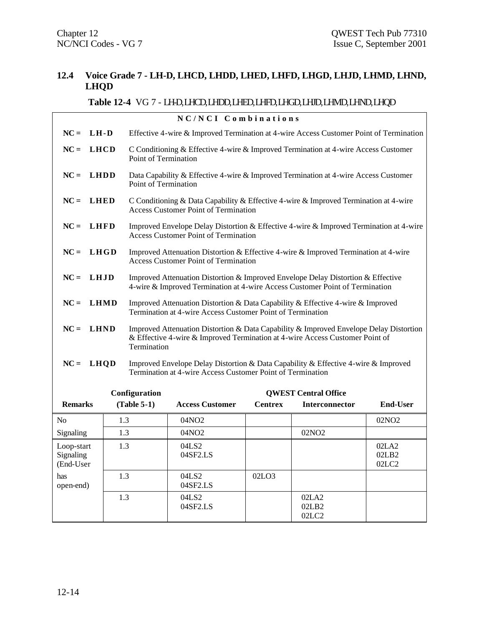#### **12.4 Voice Grade 7 - LH-D, LHCD, LHDD, LHED, LHFD, LHGD, LHJD, LHMD, LHND, LHQD**

# **Table 12-4** VG 7 - LH-D, LHCD, LHDD, LHED, LHFD, LHGD, LHJD, LHMD, LHND, LHQD

|                                      | NC/NCI Combinations |                      |                                                                                                                                                                        |                |                             |                         |  |
|--------------------------------------|---------------------|----------------------|------------------------------------------------------------------------------------------------------------------------------------------------------------------------|----------------|-----------------------------|-------------------------|--|
| $NC = LH-D$                          |                     |                      | Effective 4-wire & Improved Termination at 4-wire Access Customer Point of Termination                                                                                 |                |                             |                         |  |
| $NC =$                               | <b>LHCD</b>         |                      | C Conditioning & Effective 4-wire & Improved Termination at 4-wire Access Customer<br>Point of Termination                                                             |                |                             |                         |  |
| $NC =$                               | <b>LHDD</b>         | Point of Termination | Data Capability & Effective 4-wire & Improved Termination at 4-wire Access Customer                                                                                    |                |                             |                         |  |
| $NC =$                               | <b>LHED</b>         |                      | C Conditioning & Data Capability & Effective 4-wire & Improved Termination at 4-wire<br><b>Access Customer Point of Termination</b>                                    |                |                             |                         |  |
| $NC =$                               | LHFD                |                      | Improved Envelope Delay Distortion & Effective 4-wire & Improved Termination at 4-wire<br><b>Access Customer Point of Termination</b>                                  |                |                             |                         |  |
| $NC =$                               | LHGD                |                      | Improved Attenuation Distortion & Effective 4-wire & Improved Termination at 4-wire<br><b>Access Customer Point of Termination</b>                                     |                |                             |                         |  |
| $NC =$                               | <b>LHJD</b>         |                      | Improved Attenuation Distortion & Improved Envelope Delay Distortion & Effective<br>4-wire & Improved Termination at 4-wire Access Customer Point of Termination       |                |                             |                         |  |
| $NC =$                               | <b>LHMD</b>         |                      | Improved Attenuation Distortion & Data Capability & Effective 4-wire & Improved<br>Termination at 4-wire Access Customer Point of Termination                          |                |                             |                         |  |
| $NC = LHND$                          |                     | Termination          | Improved Attenuation Distortion & Data Capability & Improved Envelope Delay Distortion<br>& Effective 4-wire & Improved Termination at 4-wire Access Customer Point of |                |                             |                         |  |
| $NC = LHQD$                          |                     |                      | Improved Envelope Delay Distortion & Data Capability & Effective 4-wire & Improved<br>Termination at 4-wire Access Customer Point of Termination                       |                |                             |                         |  |
|                                      |                     | Configuration        |                                                                                                                                                                        |                | <b>QWEST Central Office</b> |                         |  |
| <b>Remarks</b>                       |                     | $(Table 5-1)$        | <b>Access Customer</b>                                                                                                                                                 | <b>Centrex</b> | <b>Interconnector</b>       | <b>End-User</b>         |  |
| N <sub>0</sub>                       | 1.3                 |                      | 04NO <sub>2</sub>                                                                                                                                                      |                |                             | 02NO <sub>2</sub>       |  |
| Signaling                            | 1.3                 |                      | 04NO <sub>2</sub>                                                                                                                                                      |                | 02NO <sub>2</sub>           |                         |  |
| Loop-start<br>Signaling<br>(End-User | 1.3                 |                      | 04LS2<br>04SF2.LS                                                                                                                                                      |                |                             | 02LA2<br>02LB2<br>02LC2 |  |
| has<br>open-end)                     | 1.3                 |                      | 04LS2<br>04SF2.LS                                                                                                                                                      | 02LO3          |                             |                         |  |
|                                      | 1.3                 |                      | 04LS2<br>04SF2.LS                                                                                                                                                      |                | 02LA2<br>02LB2<br>02LC2     |                         |  |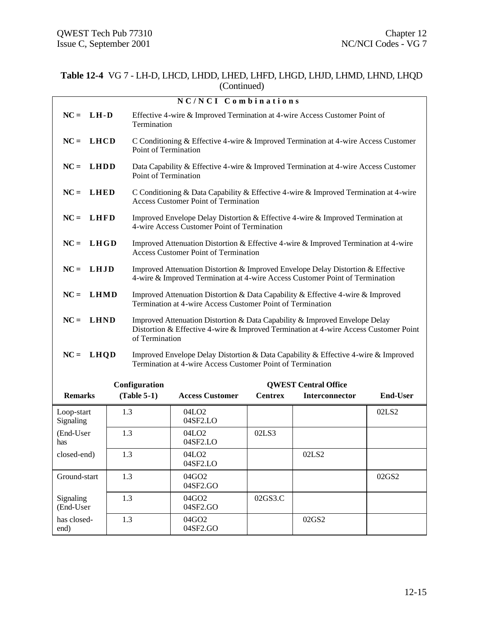#### **Table 12-4** VG 7 - LH-D, LHCD, LHDD, LHED, LHFD, LHGD, LHJD, LHMD, LHND, LHQD (Continued)

|                         |     |                                                                                                                                                                                       | NC/NCI Combinations                                                                                                                                              |                |                             |                   |  |
|-------------------------|-----|---------------------------------------------------------------------------------------------------------------------------------------------------------------------------------------|------------------------------------------------------------------------------------------------------------------------------------------------------------------|----------------|-----------------------------|-------------------|--|
| $NC =$<br>$LH-D$        |     | Termination                                                                                                                                                                           | Effective 4-wire & Improved Termination at 4-wire Access Customer Point of                                                                                       |                |                             |                   |  |
| LHCD<br>$NC =$          |     | Point of Termination                                                                                                                                                                  | C Conditioning & Effective 4-wire & Improved Termination at 4-wire Access Customer                                                                               |                |                             |                   |  |
| LHDD<br>$NC =$          |     | Point of Termination                                                                                                                                                                  | Data Capability & Effective 4-wire & Improved Termination at 4-wire Access Customer                                                                              |                |                             |                   |  |
| $NC =$<br>LHED          |     |                                                                                                                                                                                       | C Conditioning & Data Capability & Effective 4-wire & Improved Termination at 4-wire<br><b>Access Customer Point of Termination</b>                              |                |                             |                   |  |
| $NC =$<br><b>LHFD</b>   |     |                                                                                                                                                                                       | Improved Envelope Delay Distortion & Effective 4-wire & Improved Termination at<br>4-wire Access Customer Point of Termination                                   |                |                             |                   |  |
| $NC = LHGD$             |     |                                                                                                                                                                                       | Improved Attenuation Distortion & Effective 4-wire & Improved Termination at 4-wire<br><b>Access Customer Point of Termination</b>                               |                |                             |                   |  |
| $NC =$<br>LHJD          |     |                                                                                                                                                                                       | Improved Attenuation Distortion & Improved Envelope Delay Distortion & Effective<br>4-wire & Improved Termination at 4-wire Access Customer Point of Termination |                |                             |                   |  |
| $NC =$<br><b>LHMD</b>   |     | Improved Attenuation Distortion & Data Capability & Effective 4-wire & Improved<br>Termination at 4-wire Access Customer Point of Termination                                         |                                                                                                                                                                  |                |                             |                   |  |
| <b>LHND</b><br>$NC =$   |     | Improved Attenuation Distortion & Data Capability & Improved Envelope Delay<br>Distortion & Effective 4-wire & Improved Termination at 4-wire Access Customer Point<br>of Termination |                                                                                                                                                                  |                |                             |                   |  |
| $NC =$<br>LHQD          |     |                                                                                                                                                                                       | Improved Envelope Delay Distortion & Data Capability & Effective 4-wire & Improved<br>Termination at 4-wire Access Customer Point of Termination                 |                |                             |                   |  |
|                         |     | Configuration                                                                                                                                                                         |                                                                                                                                                                  |                | <b>QWEST Central Office</b> |                   |  |
| <b>Remarks</b>          |     | $(Table 5-1)$                                                                                                                                                                         | <b>Access Customer</b>                                                                                                                                           | <b>Centrex</b> | Interconnector              | <b>End-User</b>   |  |
| Loop-start<br>Signaling | 1.3 |                                                                                                                                                                                       | 04LO <sub>2</sub><br>04SF2.LO                                                                                                                                    |                |                             | 02LS <sub>2</sub> |  |
| (End-User<br>has        | 1.3 |                                                                                                                                                                                       | 04LO <sub>2</sub><br>04SF2.LO                                                                                                                                    | 02LS3          |                             |                   |  |
| closed-end)             | 1.3 |                                                                                                                                                                                       | 04LO <sub>2</sub><br>04SF2.LO                                                                                                                                    |                | 02LS2                       |                   |  |
| Ground-start            | 1.3 |                                                                                                                                                                                       | 04GO2<br>04SF2.GO                                                                                                                                                |                |                             | 02GS2             |  |
| Signaling<br>(End-User  | 1.3 |                                                                                                                                                                                       | 04GO2<br>04SF2.GO                                                                                                                                                | 02GS3.C        |                             |                   |  |
| has closed-<br>end)     | 1.3 |                                                                                                                                                                                       | 04GO2<br>04SF2.GO                                                                                                                                                |                | 02GS2                       |                   |  |
|                         |     |                                                                                                                                                                                       |                                                                                                                                                                  |                |                             |                   |  |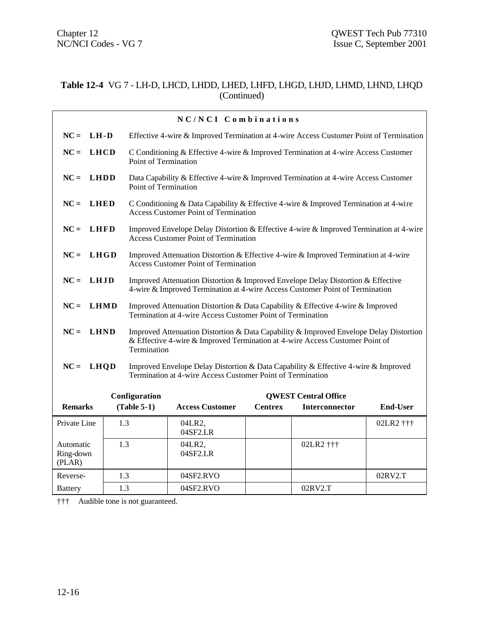#### **Table 12-4** VG 7 - LH-D, LHCD, LHDD, LHED, LHFD, LHGD, LHJD, LHMD, LHND, LHQD (Continued)

|                                  |             |                             | NC/NCI Combinations                                                                                                                                                    |                |                             |                 |
|----------------------------------|-------------|-----------------------------|------------------------------------------------------------------------------------------------------------------------------------------------------------------------|----------------|-----------------------------|-----------------|
| $NC =$                           | LH-D        |                             | Effective 4-wire & Improved Termination at 4-wire Access Customer Point of Termination                                                                                 |                |                             |                 |
| $NC =$                           | <b>LHCD</b> | Point of Termination        | C Conditioning & Effective 4-wire & Improved Termination at 4-wire Access Customer                                                                                     |                |                             |                 |
| $NC =$                           | <b>LHDD</b> | Point of Termination        | Data Capability & Effective 4-wire & Improved Termination at 4-wire Access Customer                                                                                    |                |                             |                 |
| $NC =$                           | LHED        |                             | C Conditioning & Data Capability & Effective 4-wire & Improved Termination at 4-wire<br><b>Access Customer Point of Termination</b>                                    |                |                             |                 |
| $NC = LHFD$                      |             |                             | Improved Envelope Delay Distortion & Effective 4-wire & Improved Termination at 4-wire<br><b>Access Customer Point of Termination</b>                                  |                |                             |                 |
| $NC =$                           | LHGD        |                             | Improved Attenuation Distortion & Effective 4-wire & Improved Termination at 4-wire<br><b>Access Customer Point of Termination</b>                                     |                |                             |                 |
| $NC =$                           | LHJD        |                             | Improved Attenuation Distortion & Improved Envelope Delay Distortion & Effective<br>4-wire & Improved Termination at 4-wire Access Customer Point of Termination       |                |                             |                 |
| $NC =$                           | <b>LHMD</b> |                             | Improved Attenuation Distortion & Data Capability & Effective 4-wire & Improved<br>Termination at 4-wire Access Customer Point of Termination                          |                |                             |                 |
| $NC = LHND$                      |             | Termination                 | Improved Attenuation Distortion & Data Capability & Improved Envelope Delay Distortion<br>& Effective 4-wire & Improved Termination at 4-wire Access Customer Point of |                |                             |                 |
| $NC =$                           | <b>LHOD</b> |                             | Improved Envelope Delay Distortion & Data Capability & Effective 4-wire & Improved<br>Termination at 4-wire Access Customer Point of Termination                       |                |                             |                 |
|                                  |             | Configuration               |                                                                                                                                                                        |                | <b>QWEST Central Office</b> |                 |
| <b>Remarks</b>                   |             | $(Table 5-1)$               | <b>Access Customer</b>                                                                                                                                                 | <b>Centrex</b> | Interconnector              | <b>End-User</b> |
| Private Line                     | 1.3         |                             | 04LR2,<br>04SF2.LR                                                                                                                                                     |                |                             | 02LR2 †††       |
| Automatic<br>Ring-down<br>(PLAN) | 1.3         |                             | 04LR2,<br>04SF2.LR                                                                                                                                                     |                |                             |                 |
| Reverse-                         | 1.3         |                             | 04SF2.RVO                                                                                                                                                              |                |                             | 02RV2.T         |
| <b>Battery</b>                   |             | 1.3<br>04SF2.RVO<br>02RV2.T |                                                                                                                                                                        |                |                             |                 |

††† Audible tone is not guaranteed.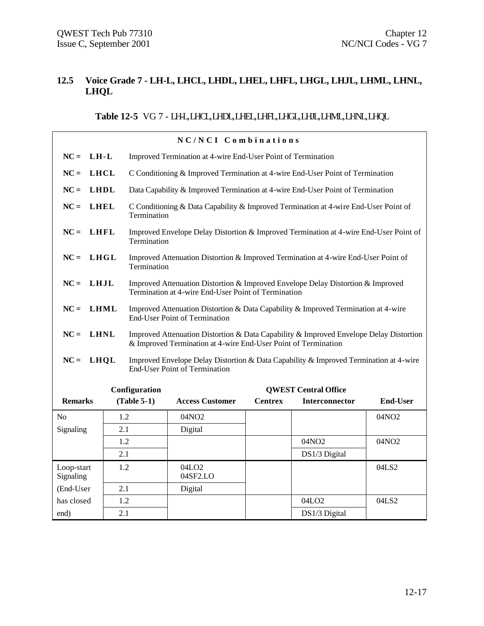#### **12.5 Voice Grade 7 - LH-L, LHCL, LHDL, LHEL, LHFL, LHGL, LHJL, LHML, LHNL, LHQL**

#### **Table 12-5** VG 7 - LH-L, LHCL, LHDL, LHEL, LHFL, LHGL, LHJL, LHML, LHNL, LHQL

|                         |     |                                                                                                                            | NC/NCI Combinations                                                                                                                                      |                |                             |                   |  |
|-------------------------|-----|----------------------------------------------------------------------------------------------------------------------------|----------------------------------------------------------------------------------------------------------------------------------------------------------|----------------|-----------------------------|-------------------|--|
| $NC = LH-L$             |     |                                                                                                                            | Improved Termination at 4-wire End-User Point of Termination                                                                                             |                |                             |                   |  |
| LHCL<br>$NC =$          |     |                                                                                                                            | C Conditioning & Improved Termination at 4-wire End-User Point of Termination                                                                            |                |                             |                   |  |
| $NC =$<br><b>LHDL</b>   |     |                                                                                                                            | Data Capability & Improved Termination at 4-wire End-User Point of Termination                                                                           |                |                             |                   |  |
| $NC =$<br><b>LHEL</b>   |     | Termination                                                                                                                | C Conditioning & Data Capability & Improved Termination at 4-wire End-User Point of                                                                      |                |                             |                   |  |
| LHFL<br>$NC =$          |     | Termination                                                                                                                | Improved Envelope Delay Distortion & Improved Termination at 4-wire End-User Point of                                                                    |                |                             |                   |  |
| $NC =$<br>L H GL        |     | Termination                                                                                                                | Improved Attenuation Distortion & Improved Termination at 4-wire End-User Point of                                                                       |                |                             |                   |  |
| $NC = LHJL$             |     |                                                                                                                            | Improved Attenuation Distortion & Improved Envelope Delay Distortion & Improved<br>Termination at 4-wire End-User Point of Termination                   |                |                             |                   |  |
| $NC =$<br><b>LHML</b>   |     | Improved Attenuation Distortion & Data Capability & Improved Termination at 4-wire<br><b>End-User Point of Termination</b> |                                                                                                                                                          |                |                             |                   |  |
| $NC =$<br><b>LHNL</b>   |     |                                                                                                                            | Improved Attenuation Distortion & Data Capability & Improved Envelope Delay Distortion<br>& Improved Termination at 4-wire End-User Point of Termination |                |                             |                   |  |
| LHQL<br>$NC =$          |     |                                                                                                                            | Improved Envelope Delay Distortion & Data Capability & Improved Termination at 4-wire<br><b>End-User Point of Termination</b>                            |                |                             |                   |  |
|                         |     | Configuration                                                                                                              |                                                                                                                                                          |                | <b>QWEST Central Office</b> |                   |  |
| <b>Remarks</b>          |     | $(Table 5-1)$                                                                                                              | <b>Access Customer</b>                                                                                                                                   | <b>Centrex</b> | Interconnector              | <b>End-User</b>   |  |
| N <sub>0</sub>          | 1.2 |                                                                                                                            | 04NO2                                                                                                                                                    |                |                             | 04NO <sub>2</sub> |  |
| Signaling               | 2.1 |                                                                                                                            | Digital                                                                                                                                                  |                |                             |                   |  |
|                         | 1.2 |                                                                                                                            |                                                                                                                                                          |                | 04NO2                       | 04NO2             |  |
|                         | 2.1 |                                                                                                                            |                                                                                                                                                          |                | DS1/3 Digital               |                   |  |
| Loop-start<br>Signaling | 1.2 |                                                                                                                            | 04LO <sub>2</sub><br>04SF2.LO                                                                                                                            |                |                             | 04LS2             |  |
| (End-User               | 2.1 |                                                                                                                            | Digital                                                                                                                                                  |                |                             |                   |  |
| has closed              | 1.2 |                                                                                                                            |                                                                                                                                                          |                | 04LO <sub>2</sub>           | 04LS2             |  |
| end)                    | 2.1 |                                                                                                                            |                                                                                                                                                          |                | DS1/3 Digital               |                   |  |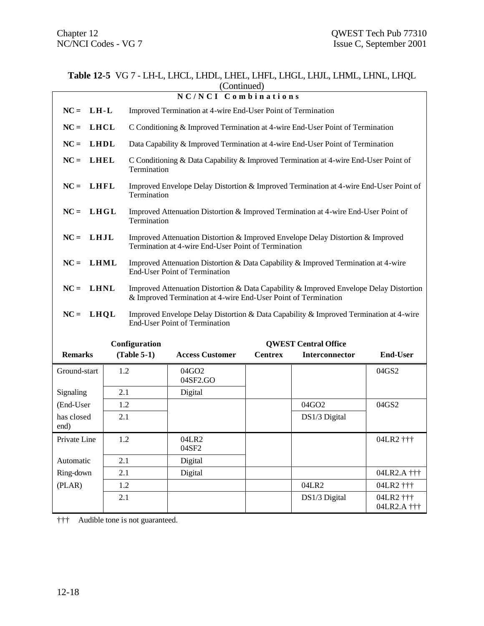04LR2 †††

04LR2.A †††

|                       |             |               | (Continued)                                                                                                                                              |                |                             |                 |  |
|-----------------------|-------------|---------------|----------------------------------------------------------------------------------------------------------------------------------------------------------|----------------|-----------------------------|-----------------|--|
|                       |             |               | NC/NCI Combinations                                                                                                                                      |                |                             |                 |  |
| $NC =$<br>$LH-L$      |             |               | Improved Termination at 4-wire End-User Point of Termination                                                                                             |                |                             |                 |  |
| $NC =$                | <b>LHCL</b> |               | C Conditioning & Improved Termination at 4-wire End-User Point of Termination                                                                            |                |                             |                 |  |
| $NC =$                | <b>LHDL</b> |               | Data Capability & Improved Termination at 4-wire End-User Point of Termination                                                                           |                |                             |                 |  |
| <b>LHEL</b><br>$NC =$ |             | Termination   | C Conditioning & Data Capability & Improved Termination at 4-wire End-User Point of                                                                      |                |                             |                 |  |
| <b>LHFL</b><br>$NC =$ |             | Termination   | Improved Envelope Delay Distortion & Improved Termination at 4-wire End-User Point of                                                                    |                |                             |                 |  |
| $NC =$                | LHGL        | Termination   | Improved Attenuation Distortion & Improved Termination at 4-wire End-User Point of                                                                       |                |                             |                 |  |
| LHJL<br>$NC =$        |             |               | Improved Attenuation Distortion & Improved Envelope Delay Distortion & Improved<br>Termination at 4-wire End-User Point of Termination                   |                |                             |                 |  |
| $NC =$                | <b>LHML</b> |               | Improved Attenuation Distortion & Data Capability & Improved Termination at 4-wire<br><b>End-User Point of Termination</b>                               |                |                             |                 |  |
| $NC =$<br><b>LHNL</b> |             |               | Improved Attenuation Distortion & Data Capability & Improved Envelope Delay Distortion<br>& Improved Termination at 4-wire End-User Point of Termination |                |                             |                 |  |
| $NC =$<br>LHQL        |             |               | Improved Envelope Delay Distortion & Data Capability & Improved Termination at 4-wire<br><b>End-User Point of Termination</b>                            |                |                             |                 |  |
|                       |             | Configuration |                                                                                                                                                          |                | <b>QWEST Central Office</b> |                 |  |
| <b>Remarks</b>        |             | $(Table 5-1)$ | <b>Access Customer</b>                                                                                                                                   | <b>Centrex</b> | <b>Interconnector</b>       | <b>End-User</b> |  |
| Ground-start          | 1.2         |               | 04GO2<br>04SF2.GO                                                                                                                                        |                |                             | 04GS2           |  |
| Signaling             | 2.1         |               | Digital                                                                                                                                                  |                |                             |                 |  |
| (End-User             | 1.2         |               |                                                                                                                                                          |                | 04GO2                       | 04GS2           |  |
| has closed            | 2.1         |               | DS1/3 Digital                                                                                                                                            |                |                             |                 |  |

Ring-down 2.1 Digital  $\left\vert$  Digital  $\left\vert$  04LR2.A ††† (PLAR) 1.2 04LR2 04LR2 †††

2.1 **DS1/3 Digital** 04LR2 †††

# **Table 12-5** VG 7 - LH-L, LHCL, LHDL, LHEL, LHFL, LHGL, LHJL, LHML, LHNL, LHQL

††† Audible tone is not guaranteed.

Private Line 1.2 04LR2

Automatic 2.1 Digital

04SF2

end)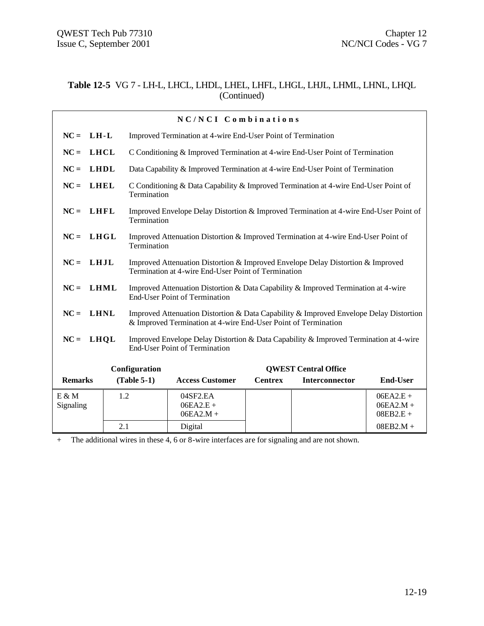#### **Table 12-5** VG 7 - LH-L, LHCL, LHDL, LHEL, LHFL, LHGL, LHJL, LHML, LHNL, LHQL (Continued)

|                       |     |               | NC/NCI Combinations                                                                                                                                      |                |                             |                                           |
|-----------------------|-----|---------------|----------------------------------------------------------------------------------------------------------------------------------------------------------|----------------|-----------------------------|-------------------------------------------|
| $LH-L$<br>$NC =$      |     |               | Improved Termination at 4-wire End-User Point of Termination                                                                                             |                |                             |                                           |
| <b>LHCL</b><br>$NC =$ |     |               | C Conditioning & Improved Termination at 4-wire End-User Point of Termination                                                                            |                |                             |                                           |
| <b>LHDL</b><br>$NC =$ |     |               | Data Capability & Improved Termination at 4-wire End-User Point of Termination                                                                           |                |                             |                                           |
| <b>LHEL</b><br>$NC =$ |     | Termination   | C Conditioning & Data Capability & Improved Termination at 4-wire End-User Point of                                                                      |                |                             |                                           |
| $NC =$<br><b>LHFL</b> |     | Termination   | Improved Envelope Delay Distortion & Improved Termination at 4-wire End-User Point of                                                                    |                |                             |                                           |
| $NC = LHGL$           |     | Termination   | Improved Attenuation Distortion & Improved Termination at 4-wire End-User Point of                                                                       |                |                             |                                           |
| $NC =$<br>LHJL        |     |               | Improved Attenuation Distortion & Improved Envelope Delay Distortion & Improved<br>Termination at 4-wire End-User Point of Termination                   |                |                             |                                           |
| LHML<br>$NC =$        |     |               | Improved Attenuation Distortion & Data Capability & Improved Termination at 4-wire<br><b>End-User Point of Termination</b>                               |                |                             |                                           |
| <b>LHNL</b><br>$NC =$ |     |               | Improved Attenuation Distortion & Data Capability & Improved Envelope Delay Distortion<br>& Improved Termination at 4-wire End-User Point of Termination |                |                             |                                           |
| $NC =$<br>LHQL        |     |               | Improved Envelope Delay Distortion & Data Capability & Improved Termination at 4-wire<br><b>End-User Point of Termination</b>                            |                |                             |                                           |
|                       |     | Configuration |                                                                                                                                                          |                | <b>OWEST Central Office</b> |                                           |
| <b>Remarks</b>        |     | $(Table 5-1)$ | <b>Access Customer</b>                                                                                                                                   | <b>Centrex</b> | <b>Interconnector</b>       | <b>End-User</b>                           |
| $E \& M$<br>Signaling | 1.2 |               | 04SF2.EA<br>$06EA2.E +$<br>$06EA2.M +$                                                                                                                   |                |                             | $06EA2.E +$<br>$06EA2.M +$<br>$08EB2.E +$ |
|                       | 2.1 |               | Digital                                                                                                                                                  |                |                             | $08EB2.M +$                               |

+ The additional wires in these 4, 6 or 8-wire interfaces are for signaling and are not shown.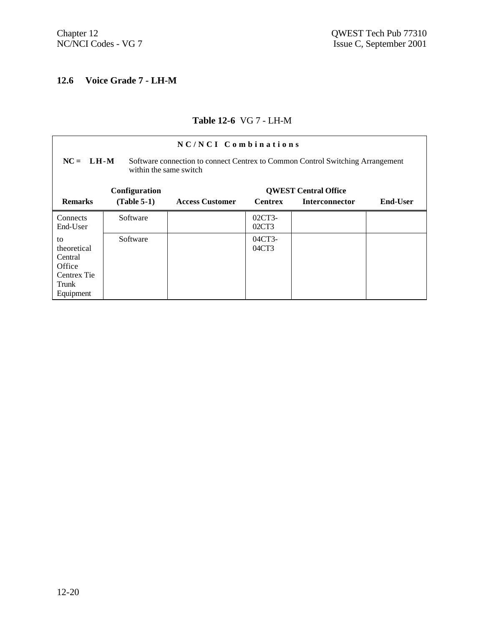# **12.6 Voice Grade 7 - LH-M**

#### **Table 12-6** VG 7 - LH-M

| NC/NCI Combinations                                                                                                     |               |                        |                   |                             |                 |
|-------------------------------------------------------------------------------------------------------------------------|---------------|------------------------|-------------------|-----------------------------|-----------------|
| $NC = LH-M$<br>Software connection to connect Centrex to Common Control Switching Arrangement<br>within the same switch |               |                        |                   |                             |                 |
|                                                                                                                         | Configuration |                        |                   | <b>QWEST Central Office</b> |                 |
| <b>Remarks</b>                                                                                                          | $(Table 5-1)$ | <b>Access Customer</b> | <b>Centrex</b>    | <b>Interconnector</b>       | <b>End-User</b> |
| Connects<br>End-User                                                                                                    | Software      |                        | $02CT3-$<br>02CT3 |                             |                 |
| to<br>theoretical<br>Central<br>Office<br>Centrex Tie<br>Trunk<br>Equipment                                             | Software      |                        | 04CT3-<br>04CT3   |                             |                 |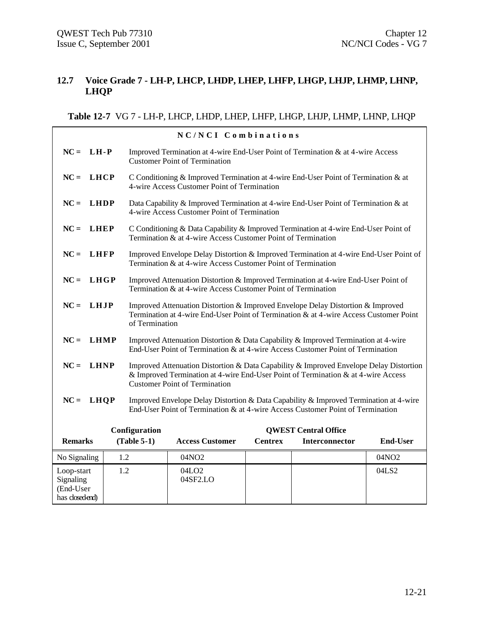#### **12.7 Voice Grade 7 - LH-P, LHCP, LHDP, LHEP, LHFP, LHGP, LHJP, LHMP, LHNP, LHQP**

#### **Table 12-7** VG 7 - LH-P, LHCP, LHDP, LHEP, LHFP, LHGP, LHJP, LHMP, LHNP, LHQP

|                                                        |             |                | NC/NCI Combinations                                                                                                                                                                                                 |                |                             |                   |  |
|--------------------------------------------------------|-------------|----------------|---------------------------------------------------------------------------------------------------------------------------------------------------------------------------------------------------------------------|----------------|-----------------------------|-------------------|--|
| $NC = LH-P$                                            |             |                | Improved Termination at 4-wire End-User Point of Termination & at 4-wire Access<br><b>Customer Point of Termination</b>                                                                                             |                |                             |                   |  |
| $NC =$                                                 | <b>LHCP</b> |                | C Conditioning & Improved Termination at 4-wire End-User Point of Termination & at<br>4-wire Access Customer Point of Termination                                                                                   |                |                             |                   |  |
| $NC =$                                                 | LHDP        |                | Data Capability & Improved Termination at 4-wire End-User Point of Termination & at<br>4-wire Access Customer Point of Termination                                                                                  |                |                             |                   |  |
| $NC =$                                                 | <b>LHEP</b> |                | C Conditioning & Data Capability & Improved Termination at 4-wire End-User Point of<br>Termination & at 4-wire Access Customer Point of Termination                                                                 |                |                             |                   |  |
| $NC =$                                                 | <b>LHFP</b> |                | Improved Envelope Delay Distortion & Improved Termination at 4-wire End-User Point of<br>Termination & at 4-wire Access Customer Point of Termination                                                               |                |                             |                   |  |
| $NC =$                                                 | LHGP        |                | Improved Attenuation Distortion & Improved Termination at 4-wire End-User Point of<br>Termination & at 4-wire Access Customer Point of Termination                                                                  |                |                             |                   |  |
| $NC =$                                                 | LHJP        | of Termination | Improved Attenuation Distortion & Improved Envelope Delay Distortion & Improved<br>Termination at 4-wire End-User Point of Termination & at 4-wire Access Customer Point                                            |                |                             |                   |  |
| $NC =$                                                 | <b>LHMP</b> |                | Improved Attenuation Distortion & Data Capability & Improved Termination at 4-wire<br>End-User Point of Termination & at 4-wire Access Customer Point of Termination                                                |                |                             |                   |  |
| $NC =$                                                 | <b>LHNP</b> |                | Improved Attenuation Distortion & Data Capability & Improved Envelope Delay Distortion<br>& Improved Termination at 4-wire End-User Point of Termination & at 4-wire Access<br><b>Customer Point of Termination</b> |                |                             |                   |  |
| $NC =$                                                 | <b>LHQP</b> |                | Improved Envelope Delay Distortion & Data Capability & Improved Termination at 4-wire<br>End-User Point of Termination & at 4-wire Access Customer Point of Termination                                             |                |                             |                   |  |
|                                                        |             | Configuration  |                                                                                                                                                                                                                     |                | <b>QWEST Central Office</b> |                   |  |
| <b>Remarks</b>                                         |             | $(Table 5-1)$  | <b>Access Customer</b>                                                                                                                                                                                              | <b>Centrex</b> | <b>Interconnector</b>       | <b>End-User</b>   |  |
| No Signaling                                           |             | 1.2            | 04NO2                                                                                                                                                                                                               |                |                             | 04NO <sub>2</sub> |  |
| Loop-start<br>Signaling<br>(End-User<br>has closedend) |             | 1.2            | 04LO <sub>2</sub><br>04SF2.LO                                                                                                                                                                                       |                |                             | 04LS2             |  |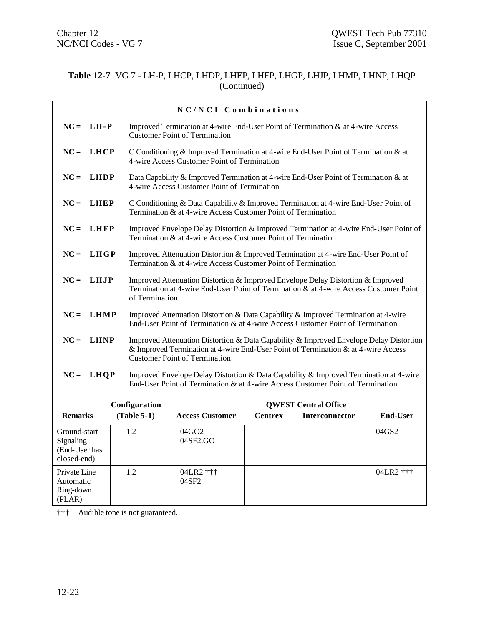#### **Table 12-7** VG 7 - LH-P, LHCP, LHDP, LHEP, LHFP, LHGP, LHJP, LHMP, LHNP, LHQP (Continued)

|                                                           |               | NC/NCI Combinations                                                                                                                                                                                                 |                |                             |                 |
|-----------------------------------------------------------|---------------|---------------------------------------------------------------------------------------------------------------------------------------------------------------------------------------------------------------------|----------------|-----------------------------|-----------------|
| $NC = LH - P$                                             |               | Improved Termination at 4-wire End-User Point of Termination & at 4-wire Access<br><b>Customer Point of Termination</b>                                                                                             |                |                             |                 |
| $NC = LHCP$                                               |               | C Conditioning & Improved Termination at 4-wire End-User Point of Termination & at<br>4-wire Access Customer Point of Termination                                                                                   |                |                             |                 |
| $NC =$<br><b>LHDP</b>                                     |               | Data Capability & Improved Termination at 4-wire End-User Point of Termination & at<br>4-wire Access Customer Point of Termination                                                                                  |                |                             |                 |
| $NC = LHEP$                                               |               | C Conditioning & Data Capability & Improved Termination at 4-wire End-User Point of<br>Termination & at 4-wire Access Customer Point of Termination                                                                 |                |                             |                 |
| $NC = LHFP$                                               |               | Improved Envelope Delay Distortion & Improved Termination at 4-wire End-User Point of<br>Termination & at 4-wire Access Customer Point of Termination                                                               |                |                             |                 |
| $NC =$<br>LHGP                                            |               | Improved Attenuation Distortion & Improved Termination at 4-wire End-User Point of<br>Termination & at 4-wire Access Customer Point of Termination                                                                  |                |                             |                 |
| $NC = LHJP$                                               |               | Improved Attenuation Distortion & Improved Envelope Delay Distortion & Improved<br>Termination at 4-wire End-User Point of Termination & at 4-wire Access Customer Point<br>of Termination                          |                |                             |                 |
| $NC = LHMP$                                               |               | Improved Attenuation Distortion & Data Capability & Improved Termination at 4-wire<br>End-User Point of Termination & at 4-wire Access Customer Point of Termination                                                |                |                             |                 |
| $NC =$<br><b>LHNP</b>                                     |               | Improved Attenuation Distortion & Data Capability & Improved Envelope Delay Distortion<br>& Improved Termination at 4-wire End-User Point of Termination & at 4-wire Access<br><b>Customer Point of Termination</b> |                |                             |                 |
| $NC = LHQP$                                               |               | Improved Envelope Delay Distortion & Data Capability & Improved Termination at 4-wire<br>End-User Point of Termination & at 4-wire Access Customer Point of Termination                                             |                |                             |                 |
|                                                           | Configuration |                                                                                                                                                                                                                     |                | <b>QWEST Central Office</b> |                 |
| <b>Remarks</b>                                            | $(Table 5-1)$ | <b>Access Customer</b>                                                                                                                                                                                              | <b>Centrex</b> | <b>Interconnector</b>       | <b>End-User</b> |
| Ground-start<br>Signaling<br>(End-User has<br>closed-end) | 1.2           | 04GO2<br>04SF2.GO                                                                                                                                                                                                   |                |                             | 04GS2           |
| Private Line<br>Automatic<br>Ring-down<br>(PLAN)          | 1.2           | 04LR2 †††<br>04SF2                                                                                                                                                                                                  |                |                             | 04LR2 †††       |

††† Audible tone is not guaranteed.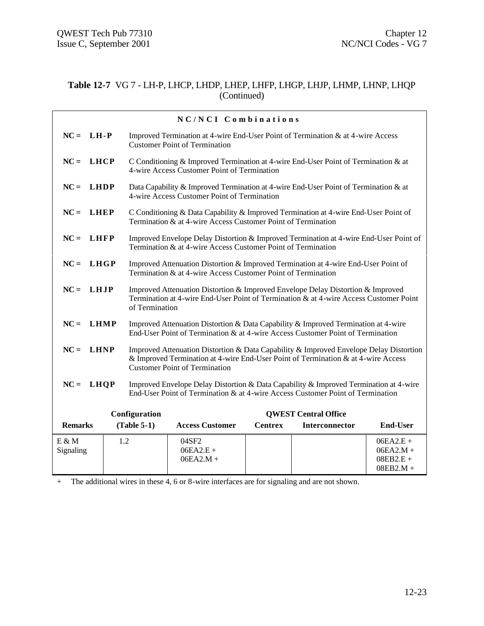#### **Table 12-7** VG 7 - LH-P, LHCP, LHDP, LHEP, LHFP, LHGP, LHJP, LHMP, LHNP, LHQP (Continued)

|                       |     |                | NC/NCI Combinations                                                                                                                                                                                                 |                |                             |                                                          |
|-----------------------|-----|----------------|---------------------------------------------------------------------------------------------------------------------------------------------------------------------------------------------------------------------|----------------|-----------------------------|----------------------------------------------------------|
| $NC = LH - P$         |     |                | Improved Termination at 4-wire End-User Point of Termination & at 4-wire Access<br><b>Customer Point of Termination</b>                                                                                             |                |                             |                                                          |
| $NC = LHCP$           |     |                | C Conditioning & Improved Termination at 4-wire End-User Point of Termination & at<br>4-wire Access Customer Point of Termination                                                                                   |                |                             |                                                          |
| $NC = LHDP$           |     |                | Data Capability & Improved Termination at 4-wire End-User Point of Termination & at<br>4-wire Access Customer Point of Termination                                                                                  |                |                             |                                                          |
| $NC = LHEP$           |     |                | C Conditioning & Data Capability & Improved Termination at 4-wire End-User Point of<br>Termination & at 4-wire Access Customer Point of Termination                                                                 |                |                             |                                                          |
| $NC = LHFP$           |     |                | Improved Envelope Delay Distortion & Improved Termination at 4-wire End-User Point of<br>Termination & at 4-wire Access Customer Point of Termination                                                               |                |                             |                                                          |
| $NC =$<br>LHGP        |     |                | Improved Attenuation Distortion & Improved Termination at 4-wire End-User Point of<br>Termination & at 4-wire Access Customer Point of Termination                                                                  |                |                             |                                                          |
| $NC = LHJP$           |     | of Termination | Improved Attenuation Distortion & Improved Envelope Delay Distortion & Improved<br>Termination at 4-wire End-User Point of Termination & at 4-wire Access Customer Point                                            |                |                             |                                                          |
| $NC =$<br><b>LHMP</b> |     |                | Improved Attenuation Distortion & Data Capability & Improved Termination at 4-wire<br>End-User Point of Termination & at 4-wire Access Customer Point of Termination                                                |                |                             |                                                          |
| $NC = LHNP$           |     |                | Improved Attenuation Distortion & Data Capability & Improved Envelope Delay Distortion<br>& Improved Termination at 4-wire End-User Point of Termination & at 4-wire Access<br><b>Customer Point of Termination</b> |                |                             |                                                          |
| $NC = LHQP$           |     |                | Improved Envelope Delay Distortion & Data Capability & Improved Termination at 4-wire<br>End-User Point of Termination & at 4-wire Access Customer Point of Termination                                             |                |                             |                                                          |
|                       |     | Configuration  |                                                                                                                                                                                                                     |                | <b>OWEST Central Office</b> |                                                          |
| <b>Remarks</b>        |     | $(Table 5-1)$  | <b>Access Customer</b>                                                                                                                                                                                              | <b>Centrex</b> | Interconnector              | <b>End-User</b>                                          |
| $E \& M$<br>Signaling | 1.2 |                | 04SF2<br>$06EA2.E +$<br>$06EA2.M +$                                                                                                                                                                                 |                |                             | $06EA2.E +$<br>$06EA2.M +$<br>$08EB2.E +$<br>$08EB2.M +$ |

+ The additional wires in these 4, 6 or 8-wire interfaces are for signaling and are not shown.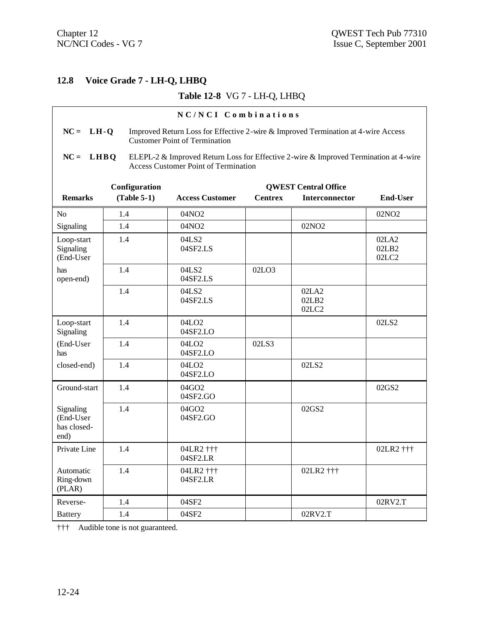# **12.8 Voice Grade 7 - LH-Q, LHBQ**

#### **Table 12-8** VG 7 - LH-Q, LHBQ

|                                               |                                                                                                                                          | NC/NCI Combinations                                                                                                                 |                |                             |                         |  |  |
|-----------------------------------------------|------------------------------------------------------------------------------------------------------------------------------------------|-------------------------------------------------------------------------------------------------------------------------------------|----------------|-----------------------------|-------------------------|--|--|
|                                               | $NC = LH-Q$<br>Improved Return Loss for Effective 2-wire & Improved Termination at 4-wire Access<br><b>Customer Point of Termination</b> |                                                                                                                                     |                |                             |                         |  |  |
| $NC = LHBQ$                                   |                                                                                                                                          | ELEPL-2 & Improved Return Loss for Effective 2-wire & Improved Termination at 4-wire<br><b>Access Customer Point of Termination</b> |                |                             |                         |  |  |
|                                               | Configuration                                                                                                                            |                                                                                                                                     |                | <b>QWEST Central Office</b> |                         |  |  |
| <b>Remarks</b>                                | $(Table 5-1)$                                                                                                                            | <b>Access Customer</b>                                                                                                              | <b>Centrex</b> | Interconnector              | <b>End-User</b>         |  |  |
| N <sub>o</sub>                                | 1.4                                                                                                                                      | 04NO <sub>2</sub>                                                                                                                   |                |                             | 02NO <sub>2</sub>       |  |  |
| Signaling                                     | 1.4                                                                                                                                      | 04NO2                                                                                                                               |                | 02NO <sub>2</sub>           |                         |  |  |
| Loop-start<br>Signaling<br>(End-User          | 1.4                                                                                                                                      | 04LS2<br>04SF2.LS                                                                                                                   |                |                             | 02LA2<br>02LB2<br>02LC2 |  |  |
| has<br>open-end)                              | 1.4                                                                                                                                      | 04LS2<br>04SF2.LS                                                                                                                   | 02LO3          |                             |                         |  |  |
|                                               | 1.4                                                                                                                                      | 04LS2<br>04SF2.LS                                                                                                                   |                | 02LA2<br>02LB2<br>02LC2     |                         |  |  |
| Loop-start<br>Signaling                       | 1.4                                                                                                                                      | 04LO <sub>2</sub><br>04SF2.LO                                                                                                       |                |                             | 02LS2                   |  |  |
| (End-User<br>has                              | 1.4                                                                                                                                      | 04LO <sub>2</sub><br>04SF2.LO                                                                                                       | 02LS3          |                             |                         |  |  |
| closed-end)                                   | 1.4                                                                                                                                      | 04LO <sub>2</sub><br>04SF2.LO                                                                                                       |                | 02LS2                       |                         |  |  |
| Ground-start                                  | 1.4                                                                                                                                      | 04GO2<br>04SF2.GO                                                                                                                   |                |                             | 02GS2                   |  |  |
| Signaling<br>(End-User<br>has closed-<br>end) | 1.4                                                                                                                                      | 04GO2<br>04SF2.GO                                                                                                                   |                | 02GS2                       |                         |  |  |
| Private Line                                  | 1.4                                                                                                                                      | 04LR2 †††<br>04SF2.LR                                                                                                               |                |                             | 02LR2 †††               |  |  |
| Automatic<br>Ring-down<br>(PLAN)              | 1.4                                                                                                                                      | 04LR2 †††<br>04SF2.LR                                                                                                               |                | 02LR2 †††                   |                         |  |  |
| Reverse-                                      | 1.4                                                                                                                                      | 04SF2                                                                                                                               |                |                             | 02RV2.T                 |  |  |
| <b>Battery</b>                                | 1.4                                                                                                                                      | 04SF2                                                                                                                               |                | 02RV2.T                     |                         |  |  |

††† Audible tone is not guaranteed.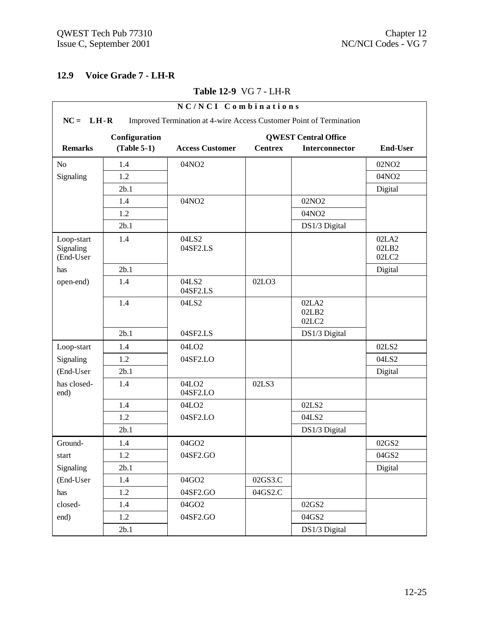#### **12.9 Voice Grade 7 - LH-R**

#### **NC/NCI Combinations NC = LH-R** Improved Termination at 4-wire Access Customer Point of Termination **Configuration QWEST Central Office Remarks (Table 5-1) Access Customer Centrex Interconnector End-User** No | 1.4 | 04NO2 | | | 02NO2 Signaling  $1.2$   $\qquad$   $\qquad$   $\qquad$   $\qquad$   $\qquad$   $\qquad$   $\qquad$   $\qquad$   $\qquad$   $\qquad$   $\qquad$   $\qquad$   $\qquad$   $\qquad$   $\qquad$   $\qquad$   $\qquad$   $\qquad$   $\qquad$   $\qquad$   $\qquad$   $\qquad$   $\qquad$   $\qquad$   $\qquad$   $\qquad$   $\qquad$   $\qquad$   $\qquad$   $\qquad$   $\qquad$   $\qquad$   $\qquad$   $\qquad$  2b.1 Digital 1.4 04NO2 02NO2 1.2 04NO2 2b.1 **DS1/3 Digital** Loop-start Signaling (End-User 1.4 04LS2 04SF2.LS 02LA2 02LB2 02LC2 has 2b.1 | 2b.1 | Digital open-end) 1.4 04LS2 04SF2.LS 02LO3 1.4 04LS2 02LA2 02LB2 02LC2 2b.1 04SF2.LS DS1/3 Digital Loop-start 1.4 04LO2 02LS2 Signaling | 1.2 | 04SF2.LO | | | | | 04LS2 (End-User 2b.1 Digital has closedend) 1.4 04LO2 04SF2.LO 02LS3 1.4 04LO2 02LS2 1.2 04SF2.LO 104LS2 2b.1 **DS1/3 Digital** Ground- | 1.4 | 04GO2 | | | | 02GS2 start | 1.2 | 04SF2.GO | | 04GS2 Signaling 2b.1 | Digital (End-User 1.4 04GO2 02GS3.C) has 1.2 04SF2.GO 04GS2.C closed- 1.4 04GO2 102GS2 end) 1.2 04SF2.GO 1 04GS2 2b.1 **DS1/3 Digital**

#### **Table 12-9** VG 7 - LH-R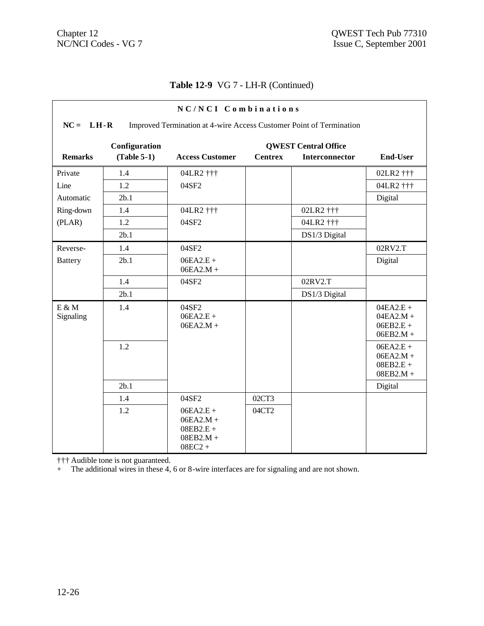# **Table 12-9** VG 7 - LH-R (Continued)

| NC/NCI Combinations                                                                |               |                                                                       |                |                             |                                                          |  |
|------------------------------------------------------------------------------------|---------------|-----------------------------------------------------------------------|----------------|-----------------------------|----------------------------------------------------------|--|
| $NC = LH-R$<br>Improved Termination at 4-wire Access Customer Point of Termination |               |                                                                       |                |                             |                                                          |  |
|                                                                                    | Configuration |                                                                       |                | <b>QWEST Central Office</b> |                                                          |  |
| <b>Remarks</b>                                                                     | $(Table 5-1)$ | <b>Access Customer</b>                                                | <b>Centrex</b> | <b>Interconnector</b>       | <b>End-User</b>                                          |  |
| Private                                                                            | 1.4           | 04LR2 †††                                                             |                |                             | 02LR2 †††                                                |  |
| Line                                                                               | 1.2           | 04SF2                                                                 |                |                             | 04LR2 †††                                                |  |
| Automatic                                                                          | 2b.1          |                                                                       |                |                             | Digital                                                  |  |
| Ring-down                                                                          | 1.4           | 04LR2 †††                                                             |                | 02LR2 †††                   |                                                          |  |
| (PLAN)                                                                             | 1.2           | 04SF2                                                                 |                | 04LR2 †††                   |                                                          |  |
|                                                                                    | 2b.1          |                                                                       |                | DS1/3 Digital               |                                                          |  |
| Reverse-                                                                           | 1.4           | 04SF2                                                                 |                |                             | 02RV2.T                                                  |  |
| <b>Battery</b>                                                                     | 2b.1          | $06EA2.E +$<br>$06EA2.M +$                                            |                |                             | Digital                                                  |  |
|                                                                                    | 1.4           | 04SF2                                                                 |                | 02RV2.T                     |                                                          |  |
|                                                                                    | 2b.1          |                                                                       |                | DS1/3 Digital               |                                                          |  |
| $E \& M$<br>Signaling                                                              | 1.4           | 04SF2<br>$06EA2.E +$<br>$06EA2.M +$                                   |                |                             | $04EA2.E +$<br>$04EA2.M +$<br>$06EB2.E +$<br>$06EB2.M +$ |  |
|                                                                                    | 1.2           |                                                                       |                |                             | $06EA2.E +$<br>$06EA2.M +$<br>$08EB2.E +$<br>$08EB2.M +$ |  |
|                                                                                    | 2b.1          |                                                                       |                |                             | Digital                                                  |  |
|                                                                                    | 1.4           | 04SF2                                                                 | 02CT3          |                             |                                                          |  |
|                                                                                    | 1.2           | $06EA2.E +$<br>$06EA2.M +$<br>$08EB2.E +$<br>$08EB2.M +$<br>$08EC2 +$ | 04CT2          |                             |                                                          |  |

††† Audible tone is not guaranteed.

+ The additional wires in these 4, 6 or 8-wire interfaces are for signaling and are not shown.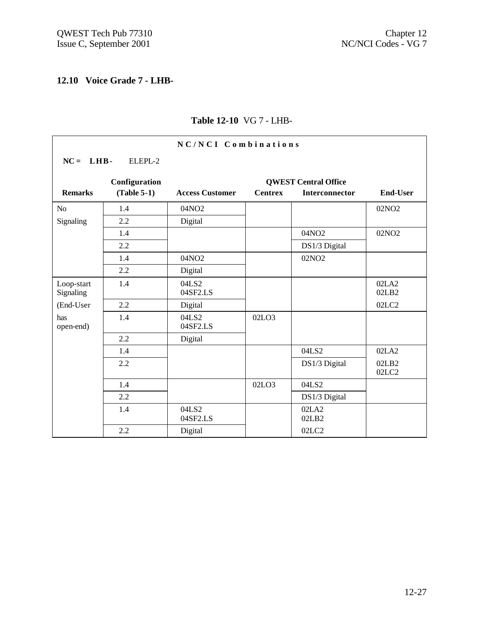$\overline{\Gamma}$ 

ヿ

# **12.10 Voice Grade 7 - LHB-**

| NC/NCI Combinations     |               |                        |                |                             |                   |  |  |
|-------------------------|---------------|------------------------|----------------|-----------------------------|-------------------|--|--|
| $NC = LHB$              | ELEPL-2       |                        |                |                             |                   |  |  |
|                         | Configuration |                        |                | <b>QWEST Central Office</b> |                   |  |  |
| <b>Remarks</b>          | $(Table 5-1)$ | <b>Access Customer</b> | <b>Centrex</b> | <b>Interconnector</b>       | <b>End-User</b>   |  |  |
| No                      | 1.4           | 04NO2                  |                |                             | 02NO <sub>2</sub> |  |  |
| Signaling               | 2.2           | Digital                |                |                             |                   |  |  |
|                         | 1.4           |                        |                | 04NO2                       | 02NO <sub>2</sub> |  |  |
|                         | 2.2           |                        |                | DS1/3 Digital               |                   |  |  |
|                         | 1.4           | 04NO2                  |                | 02NO <sub>2</sub>           |                   |  |  |
|                         | 2.2           | Digital                |                |                             |                   |  |  |
| Loop-start<br>Signaling | 1.4           | 04LS2<br>04SF2.LS      |                |                             | 02LA2<br>02LB2    |  |  |
| (End-User               | 2.2           | Digital                |                |                             | 02LC2             |  |  |
| has<br>open-end)        | 1.4           | 04LS2<br>04SF2.LS      | 02LO3          |                             |                   |  |  |
|                         | 2.2           | Digital                |                |                             |                   |  |  |
|                         | 1.4           |                        |                | 04LS2                       | 02LA2             |  |  |
|                         | 2.2           |                        |                | DS1/3 Digital               | 02LB2<br>02LC2    |  |  |
|                         | 1.4           |                        | 02LO3          | 04LS2                       |                   |  |  |
|                         | 2.2           |                        |                | DS1/3 Digital               |                   |  |  |
|                         | 1.4           | 04LS2<br>04SF2.LS      |                | 02LA2<br>02LB2              |                   |  |  |
|                         | 2.2           | Digital                |                | 02LC2                       |                   |  |  |

# **Table 12-10** VG 7 - LHB-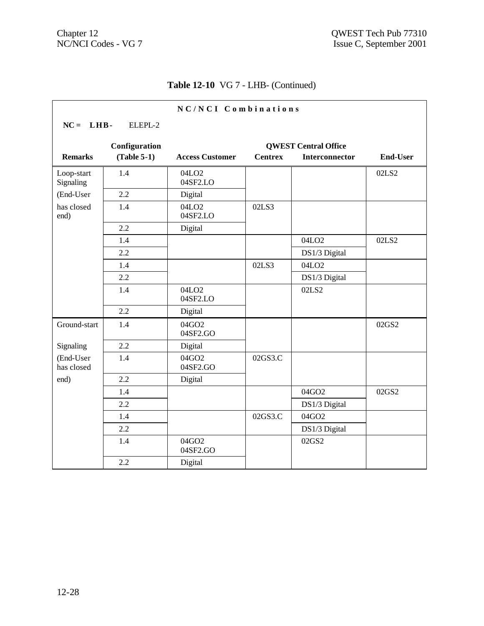# **Table 12-10** VG 7 - LHB- (Continued)

| NC/NCI Combinations     |               |                               |                             |                   |                 |  |  |
|-------------------------|---------------|-------------------------------|-----------------------------|-------------------|-----------------|--|--|
| $NC = LHB$              | ELEPL-2       |                               |                             |                   |                 |  |  |
|                         | Configuration |                               | <b>QWEST Central Office</b> |                   |                 |  |  |
| <b>Remarks</b>          | $(Table 5-1)$ | <b>Access Customer</b>        | <b>Centrex</b>              | Interconnector    | <b>End-User</b> |  |  |
| Loop-start<br>Signaling | 1.4           | 04LO <sub>2</sub><br>04SF2.LO |                             |                   | 02LS2           |  |  |
| (End-User               | 2.2           | Digital                       |                             |                   |                 |  |  |
| has closed<br>end)      | 1.4           | 04LO <sub>2</sub><br>04SF2.LO | 02LS3                       |                   |                 |  |  |
|                         | 2.2           | Digital                       |                             |                   |                 |  |  |
|                         | 1.4           |                               |                             | 04LO <sub>2</sub> | 02LS2           |  |  |
|                         | 2.2           |                               |                             | DS1/3 Digital     |                 |  |  |
|                         | 1.4           |                               | 02LS3                       | 04LO <sub>2</sub> |                 |  |  |
|                         | 2.2           |                               |                             | DS1/3 Digital     |                 |  |  |
|                         | 1.4           | 04LO <sub>2</sub><br>04SF2.LO |                             | 02LS2             |                 |  |  |
|                         | 2.2           | Digital                       |                             |                   |                 |  |  |
| Ground-start            | 1.4           | 04GO2<br>04SF2.GO             |                             |                   | 02GS2           |  |  |
| Signaling               | 2.2           | Digital                       |                             |                   |                 |  |  |
| (End-User<br>has closed | 1.4           | 04GO2<br>04SF2.GO             | 02GS3.C                     |                   |                 |  |  |
| end)                    | 2.2           | Digital                       |                             |                   |                 |  |  |
|                         | 1.4           |                               |                             | 04GO2             | 02GS2           |  |  |
|                         | 2.2           |                               |                             | DS1/3 Digital     |                 |  |  |
|                         | 1.4           |                               | 02GS3.C                     | 04GO2             |                 |  |  |
|                         | 2.2           |                               |                             | DS1/3 Digital     |                 |  |  |
|                         | 1.4           | 04GO2<br>04SF2.GO             |                             | 02GS2             |                 |  |  |
|                         | 2.2           | Digital                       |                             |                   |                 |  |  |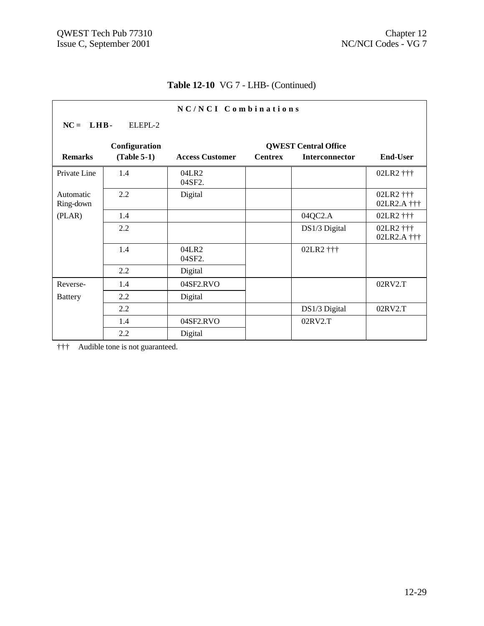# **Table 12-10** VG 7 - LHB- (Continued)

| NC/NCI Combinations    |               |                        |                |                             |                          |  |  |
|------------------------|---------------|------------------------|----------------|-----------------------------|--------------------------|--|--|
| $NC = LHB -$           | ELEPL-2       |                        |                |                             |                          |  |  |
|                        | Configuration |                        |                | <b>QWEST Central Office</b> |                          |  |  |
| <b>Remarks</b>         | $(Table 5-1)$ | <b>Access Customer</b> | <b>Centrex</b> | <b>Interconnector</b>       | <b>End-User</b>          |  |  |
| Private Line           | 1.4           | 04LR2<br>04SF2.        |                |                             | 02LR2 †††                |  |  |
| Automatic<br>Ring-down | 2.2           | Digital                |                |                             | 02LR2 †††<br>02LR2.A ††† |  |  |
| (PLAR)                 | 1.4           |                        |                | 04QC2.A                     | 02LR2 †††                |  |  |
|                        | 2.2           |                        |                | DS1/3 Digital               | 02LR2 †††<br>02LR2.A ††† |  |  |
|                        | 1.4           | 04LR2<br>04SF2.        |                | 02LR2 †††                   |                          |  |  |
|                        | 2.2           | Digital                |                |                             |                          |  |  |
| Reverse-               | 1.4           | 04SF2.RVO              |                |                             | 02RV2.T                  |  |  |
| <b>Battery</b>         | 2.2           | Digital                |                |                             |                          |  |  |
|                        | 2.2           |                        |                | DS1/3 Digital               | 02RV2.T                  |  |  |
|                        | 1.4           | 04SF2.RVO              |                | 02RV2.T                     |                          |  |  |
|                        | 2.2           | Digital                |                |                             |                          |  |  |

††† Audible tone is not guaranteed.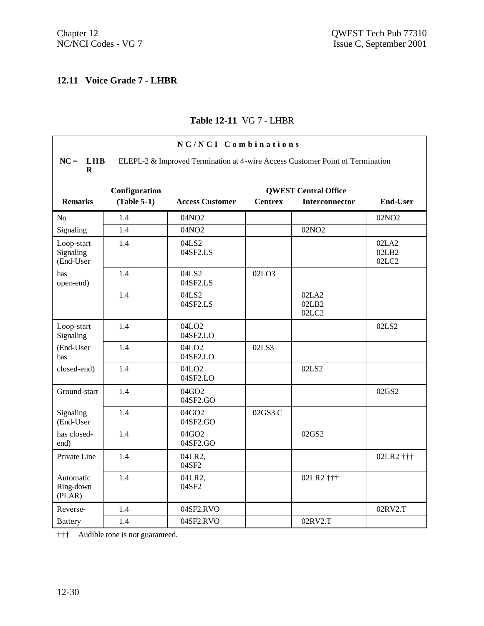# **12.11 Voice Grade 7 - LHBR**

#### **Table 12-11** VG 7 - LHBR

| NC/NCI Combinations                  |               |                                                                               |                |                             |                         |  |
|--------------------------------------|---------------|-------------------------------------------------------------------------------|----------------|-----------------------------|-------------------------|--|
| $NC = LHB$<br>$\mathbf R$            |               | ELEPL-2 & Improved Termination at 4-wire Access Customer Point of Termination |                |                             |                         |  |
|                                      | Configuration |                                                                               |                | <b>QWEST Central Office</b> |                         |  |
| <b>Remarks</b>                       | $(Table 5-1)$ | <b>Access Customer</b>                                                        | <b>Centrex</b> | <b>Interconnector</b>       | <b>End-User</b>         |  |
| N <sub>0</sub>                       | 1.4           | 04NO2                                                                         |                |                             | 02NO <sub>2</sub>       |  |
| Signaling                            | 1.4           | 04NO2                                                                         |                | 02NO <sub>2</sub>           |                         |  |
| Loop-start<br>Signaling<br>(End-User | 1.4           | 04LS2<br>04SF2.LS                                                             |                |                             | 02LA2<br>02LB2<br>02LC2 |  |
| has<br>open-end)                     | 1.4           | 04LS2<br>04SF2.LS                                                             | 02LO3          |                             |                         |  |
|                                      | 1.4           | 04LS2<br>04SF2.LS                                                             |                | 02LA2<br>02LB2<br>02LC2     |                         |  |
| Loop-start<br>Signaling              | 1.4           | 04LO <sub>2</sub><br>04SF2.LO                                                 |                |                             | 02LS2                   |  |
| (End-User<br>has                     | 1.4           | 04LO <sub>2</sub><br>04SF2.LO                                                 | 02LS3          |                             |                         |  |
| closed-end)                          | 1.4           | 04LO <sub>2</sub><br>04SF2.LO                                                 |                | 02LS2                       |                         |  |
| Ground-start                         | 1.4           | 04GO2<br>04SF2.GO                                                             |                |                             | 02GS2                   |  |
| Signaling<br>(End-User               | 1.4           | 04GO2<br>04SF2.GO                                                             | 02GS3.C        |                             |                         |  |
| has closed-<br>end)                  | 1.4           | 04GO2<br>04SF2.GO                                                             |                | 02GS2                       |                         |  |
| Private Line                         | 1.4           | 04LR2,<br>04SF2                                                               |                |                             | 02LR2 †††               |  |
| Automatic<br>Ring-down<br>(PLAN)     | 1.4           | 04LR2,<br>04SF2                                                               |                | 02LR2 †††                   |                         |  |
| Reverse-                             | 1.4           | 04SF2.RVO                                                                     |                |                             | 02RV2.T                 |  |
| <b>Battery</b>                       | 1.4           | 04SF2.RVO                                                                     |                | 02RV2.T                     |                         |  |

††† Audible tone is not guaranteed.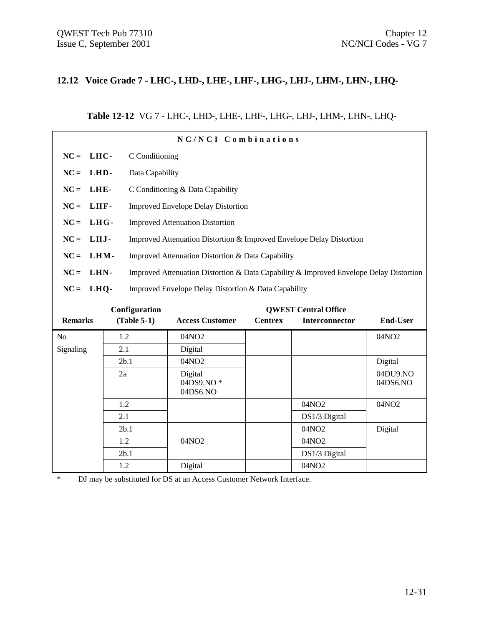#### **12.12 Voice Grade 7 - LHC-, LHD-, LHE-, LHF-, LHG-, LHJ-, LHM-, LHN-, LHQ-**

#### **Table 12-12** VG 7 - LHC-, LHD-, LHE-, LHF-, LHG-, LHJ-, LHM-, LHN-, LHQ-

|                |                 | NC/NCI Combinations                                                                    |                |                             |                   |
|----------------|-----------------|----------------------------------------------------------------------------------------|----------------|-----------------------------|-------------------|
| $NC = LHC$     | C Conditioning  |                                                                                        |                |                             |                   |
| $NC = LHD$     | Data Capability |                                                                                        |                |                             |                   |
| $NC = LHE-$    |                 | C Conditioning & Data Capability                                                       |                |                             |                   |
| $NC = LHF$     |                 | <b>Improved Envelope Delay Distortion</b>                                              |                |                             |                   |
| $NC = LHG$     |                 | <b>Improved Attenuation Distortion</b>                                                 |                |                             |                   |
| $NC = LHJ$     |                 | Improved Attenuation Distortion & Improved Envelope Delay Distortion                   |                |                             |                   |
| $NC = LHM-$    |                 | Improved Attenuation Distortion & Data Capability                                      |                |                             |                   |
| $NC = LHN$     |                 | Improved Attenuation Distortion & Data Capability & Improved Envelope Delay Distortion |                |                             |                   |
| $NC = LHQ$     |                 | Improved Envelope Delay Distortion & Data Capability                                   |                |                             |                   |
|                | Configuration   |                                                                                        |                | <b>QWEST Central Office</b> |                   |
| <b>Remarks</b> | $(Table 5-1)$   | <b>Access Customer</b>                                                                 | <b>Centrex</b> | <b>Interconnector</b>       | <b>End-User</b>   |
| N <sub>o</sub> | 1.2             | 04NO <sub>2</sub>                                                                      |                |                             | 04NO <sub>2</sub> |
| Signaling      | 2.1             | Digital                                                                                |                |                             |                   |
|                | 2b.1            | 04NO <sub>2</sub>                                                                      |                |                             | Digital           |

1.2 04NO2 04NO2 04NO2

2b.1 | 04NO2 | Digital

2.1 **DS1/3 Digital** 

1.2 04NO2 04NO2 04NO2 2b.1 **DS1/3 Digital** 1.2 Digital 04NO2

\* DJ may be substituted for DS at an Access Customer Network Interface.

04DS9.NO \* 04DS6.NO

2a Digital

04DU9.NO 04DS6.NO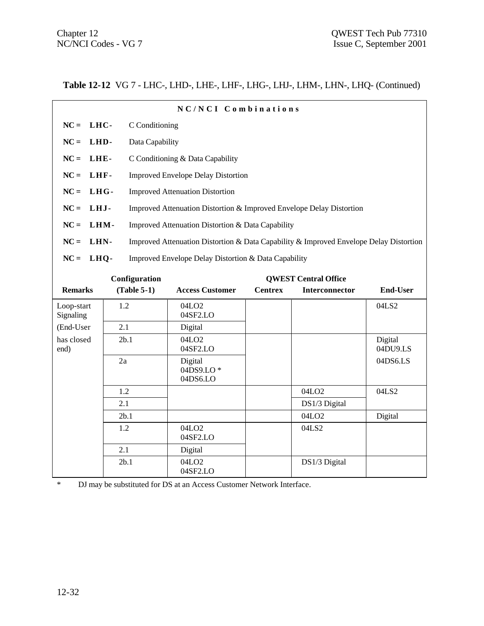| NC/NCI Combinations                     |                 |                                                                                        |                |                             |                 |  |
|-----------------------------------------|-----------------|----------------------------------------------------------------------------------------|----------------|-----------------------------|-----------------|--|
| $NC = LHC$                              | C Conditioning  |                                                                                        |                |                             |                 |  |
| $NC = LHD$                              | Data Capability |                                                                                        |                |                             |                 |  |
| $NC = LHE$                              |                 | C Conditioning & Data Capability                                                       |                |                             |                 |  |
| $NC = LHF$                              |                 | <b>Improved Envelope Delay Distortion</b>                                              |                |                             |                 |  |
| $NC = LHG$                              |                 | <b>Improved Attenuation Distortion</b>                                                 |                |                             |                 |  |
| $NC = LHJ$                              |                 | Improved Attenuation Distortion & Improved Envelope Delay Distortion                   |                |                             |                 |  |
| $NC = LHM-$                             |                 | Improved Attenuation Distortion & Data Capability                                      |                |                             |                 |  |
| $NC = LHN$                              |                 | Improved Attenuation Distortion & Data Capability & Improved Envelope Delay Distortion |                |                             |                 |  |
| $NC = LHQ$                              |                 | Improved Envelope Delay Distortion & Data Capability                                   |                |                             |                 |  |
|                                         | Configuration   |                                                                                        |                | <b>QWEST Central Office</b> |                 |  |
| <b>Remarks</b>                          | $(Table 5-1)$   | <b>Access Customer</b>                                                                 | <b>Centrex</b> | <b>Interconnector</b>       | <b>End-User</b> |  |
| Loop-start<br>$\mathbf{C}$ $\mathbf{C}$ | 1.2             | 04LO <sub>2</sub><br>0.10E2L                                                           |                |                             | 04LS2           |  |

| Loop-start<br>Signaling | 1.2  | 04LO <sub>2</sub><br>04SF2.LO    |       |                   | 04LS2               |
|-------------------------|------|----------------------------------|-------|-------------------|---------------------|
| (End-User               | 2.1  | Digital                          |       |                   |                     |
| has closed<br>end)      | 2b.1 | 04LO <sub>2</sub><br>04SF2.LO    |       |                   | Digital<br>04DU9.LS |
|                         | 2a   | Digital<br>04DS9.LO*<br>04DS6.LO |       |                   | 04DS6.LS            |
|                         | 1.2  |                                  |       | 04LO <sub>2</sub> | 04LS2               |
|                         | 2.1  |                                  |       | DS1/3 Digital     |                     |
|                         | 2b.1 |                                  |       | 04LO <sub>2</sub> | Digital             |
|                         | 1.2  | 04LO <sub>2</sub><br>04SF2.LO    | 04LS2 |                   |                     |
|                         | 2.1  | Digital                          |       |                   |                     |
|                         | 2b.1 | 04LO <sub>2</sub><br>04SF2.LO    |       | DS1/3 Digital     |                     |

\* DJ may be substituted for DS at an Access Customer Network Interface.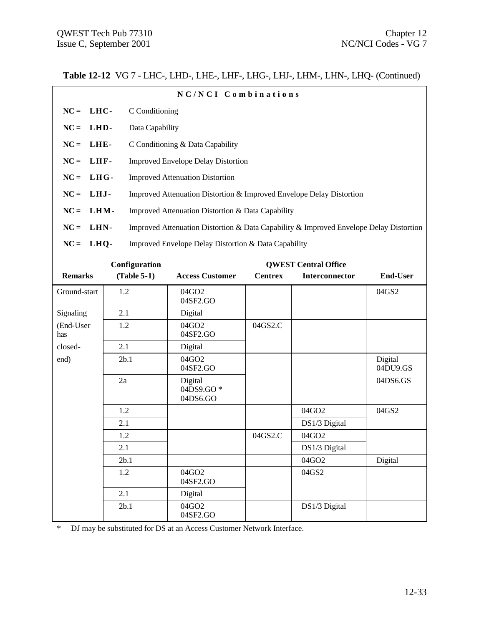|                                                                    |                 | NC/NCI Combinations                                                                    |                |                             |                     |  |  |
|--------------------------------------------------------------------|-----------------|----------------------------------------------------------------------------------------|----------------|-----------------------------|---------------------|--|--|
| $NC = LHC$                                                         | C Conditioning  |                                                                                        |                |                             |                     |  |  |
| LHD-<br>$NC =$                                                     | Data Capability |                                                                                        |                |                             |                     |  |  |
| $NC =$<br>LHE-                                                     |                 | C Conditioning & Data Capability                                                       |                |                             |                     |  |  |
| $NC =$<br>LHF-                                                     |                 | <b>Improved Envelope Delay Distortion</b>                                              |                |                             |                     |  |  |
| $NC =$<br>LHG-                                                     |                 | <b>Improved Attenuation Distortion</b>                                                 |                |                             |                     |  |  |
| $NC =$<br>LHJ-                                                     |                 | Improved Attenuation Distortion & Improved Envelope Delay Distortion                   |                |                             |                     |  |  |
|                                                                    |                 |                                                                                        |                |                             |                     |  |  |
| $NC =$<br>LHM-                                                     |                 | Improved Attenuation Distortion & Data Capability                                      |                |                             |                     |  |  |
| $NC =$<br>LHN-                                                     |                 | Improved Attenuation Distortion & Data Capability & Improved Envelope Delay Distortion |                |                             |                     |  |  |
| $NC = LHQ$<br>Improved Envelope Delay Distortion & Data Capability |                 |                                                                                        |                |                             |                     |  |  |
|                                                                    | Configuration   |                                                                                        |                | <b>QWEST Central Office</b> |                     |  |  |
| <b>Remarks</b>                                                     | $(Table 5-1)$   | <b>Access Customer</b>                                                                 | <b>Centrex</b> | Interconnector              | <b>End-User</b>     |  |  |
| Ground-start                                                       | 1.2             | 04GO2<br>04SF2.GO                                                                      |                |                             | 04GS2               |  |  |
| Signaling                                                          | 2.1             | Digital                                                                                |                |                             |                     |  |  |
| (End-User<br>has                                                   | 1.2             | 04GO2<br>04SF2.GO                                                                      | 04GS2.C        |                             |                     |  |  |
| closed-                                                            | 2.1             | Digital                                                                                |                |                             |                     |  |  |
| end)                                                               | 2b.1            | 04GO2<br>04SF2.GO                                                                      |                |                             | Digital<br>04DU9.GS |  |  |
|                                                                    | 2a              | Digital<br>04DS9.GO*<br>04DS6.GO                                                       |                |                             | 04DS6.GS            |  |  |
|                                                                    | 1.2             |                                                                                        |                | 04GO2                       | 04GS2               |  |  |
|                                                                    | 2.1             |                                                                                        |                | DS1/3 Digital               |                     |  |  |
|                                                                    | 1.2             |                                                                                        | 04GS2.C        | 04GO2                       |                     |  |  |
|                                                                    | 2.1             |                                                                                        |                | DS1/3 Digital               |                     |  |  |
|                                                                    | 2b.1            |                                                                                        |                | 04GO2                       | Digital             |  |  |
|                                                                    | 1.2             | 04GO2<br>04SF2.GO                                                                      |                | 04GS2                       |                     |  |  |
|                                                                    | 2.1             | Digital                                                                                |                |                             |                     |  |  |
|                                                                    | 2b.1            | 04GO2<br>04SF2.GO                                                                      |                | DS1/3 Digital               |                     |  |  |

\* DJ may be substituted for DS at an Access Customer Network Interface.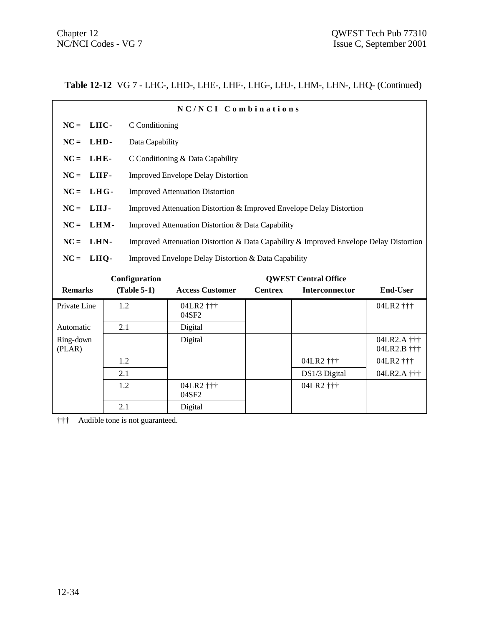|                     |                 | NC/NCI Combinations                                                                    |                |                             |                            |  |  |
|---------------------|-----------------|----------------------------------------------------------------------------------------|----------------|-----------------------------|----------------------------|--|--|
| $NC = LHC$          |                 | C Conditioning                                                                         |                |                             |                            |  |  |
| LHD-<br>$NC =$      | Data Capability |                                                                                        |                |                             |                            |  |  |
| $NC =$<br>LHE-      |                 | C Conditioning & Data Capability                                                       |                |                             |                            |  |  |
| $NC = LHF$          |                 | <b>Improved Envelope Delay Distortion</b>                                              |                |                             |                            |  |  |
| $NC = LHG$          |                 | <b>Improved Attenuation Distortion</b>                                                 |                |                             |                            |  |  |
| $NC = LHJ$          |                 | Improved Attenuation Distortion & Improved Envelope Delay Distortion                   |                |                             |                            |  |  |
| $NC =$<br>LHM-      |                 | Improved Attenuation Distortion & Data Capability                                      |                |                             |                            |  |  |
| $NC = LHN$          |                 | Improved Attenuation Distortion & Data Capability & Improved Envelope Delay Distortion |                |                             |                            |  |  |
| $NC = LHQ$          |                 | Improved Envelope Delay Distortion & Data Capability                                   |                |                             |                            |  |  |
|                     | Configuration   |                                                                                        |                | <b>OWEST Central Office</b> |                            |  |  |
| <b>Remarks</b>      | $(Table 5-1)$   | <b>Access Customer</b>                                                                 | <b>Centrex</b> | <b>Interconnector</b>       | <b>End-User</b>            |  |  |
| Private Line        | 1.2             | 04LR2 †††<br>04SF2                                                                     |                |                             | 04LR2 †††                  |  |  |
| Automatic           | 2.1             | Digital                                                                                |                |                             |                            |  |  |
| Ring-down<br>(PLAR) |                 | Digital                                                                                |                |                             | 04LR2.A †††<br>04LR2.B ††† |  |  |
|                     | 1.2             |                                                                                        |                | 04LR2 †††                   | 04LR2 †††                  |  |  |
|                     | 2.1             |                                                                                        |                | DS1/3 Digital               | 04LR2.A +++                |  |  |
|                     | 1.2             | 04LR2 †††                                                                              |                | 04LR2 †††                   |                            |  |  |

04SF2

2.1 Digital

††† Audible tone is not guaranteed.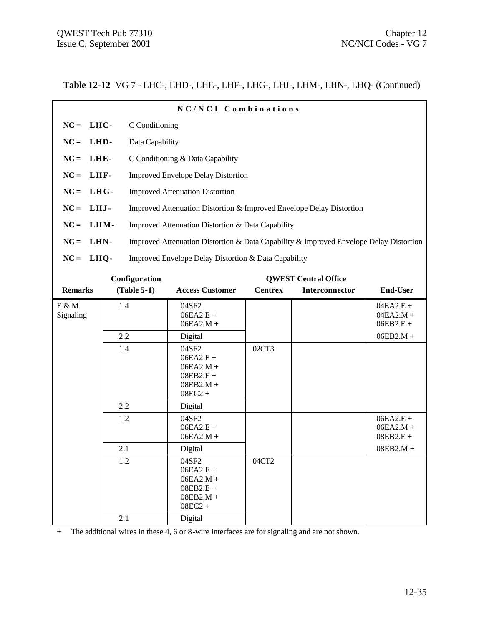| NC/NCI Combinations |                                                                                        |  |  |  |  |
|---------------------|----------------------------------------------------------------------------------------|--|--|--|--|
| $NC = LHC$          | C Conditioning                                                                         |  |  |  |  |
| $NC = LHD$          | Data Capability                                                                        |  |  |  |  |
| $NC = LHE$          | C Conditioning & Data Capability                                                       |  |  |  |  |
| $NC = LHF$          | <b>Improved Envelope Delay Distortion</b>                                              |  |  |  |  |
| $NC = LHG$          | <b>Improved Attenuation Distortion</b>                                                 |  |  |  |  |
| $NC = LHJ$          | Improved Attenuation Distortion & Improved Envelope Delay Distortion                   |  |  |  |  |
| $NC = LHM$          | Improved Attenuation Distortion & Data Capability                                      |  |  |  |  |
| $NC = LHN-$         | Improved Attenuation Distortion & Data Capability & Improved Envelope Delay Distortion |  |  |  |  |
| $NC = LHQ$          | Improved Envelope Delay Distortion & Data Capability                                   |  |  |  |  |
|                     |                                                                                        |  |  |  |  |

| Configuration      |               |                                                                                | <b>QWEST Central Office</b> |                |                                           |
|--------------------|---------------|--------------------------------------------------------------------------------|-----------------------------|----------------|-------------------------------------------|
| <b>Remarks</b>     | $(Table 5-1)$ | <b>Access Customer</b>                                                         | <b>Centrex</b>              | Interconnector | <b>End-User</b>                           |
| E & M<br>Signaling | 1.4           | 04SF2<br>$06EA2.E +$<br>$06EA2.M +$                                            |                             |                | $04EA2.E +$<br>$04EA2.M +$<br>$06EB2.E +$ |
|                    | 2.2           | Digital                                                                        |                             |                | $06EB2.M +$                               |
|                    | 1.4           | 04SF2<br>$06EA2.E +$<br>$06EA2.M +$<br>$08EB2.E +$<br>$08EB2.M +$<br>$08EC2 +$ | 02CT3                       |                |                                           |
|                    | 2.2           | Digital                                                                        |                             |                |                                           |
|                    | 1.2           | 04SF2<br>$06EA2.E +$<br>$06EA2.M +$                                            |                             |                | $06EA2.E +$<br>$06EA2.M +$<br>$08EB2.E +$ |
|                    | 2.1           | Digital                                                                        |                             |                | $08EB2.M +$                               |
|                    | 1.2           | 04SF2<br>$06EA2.E +$<br>$06EA2.M +$<br>$08EB2.E +$<br>$08EB2.M +$<br>$08EC2 +$ | 04CT2                       |                |                                           |
|                    | 2.1           | Digital                                                                        |                             |                |                                           |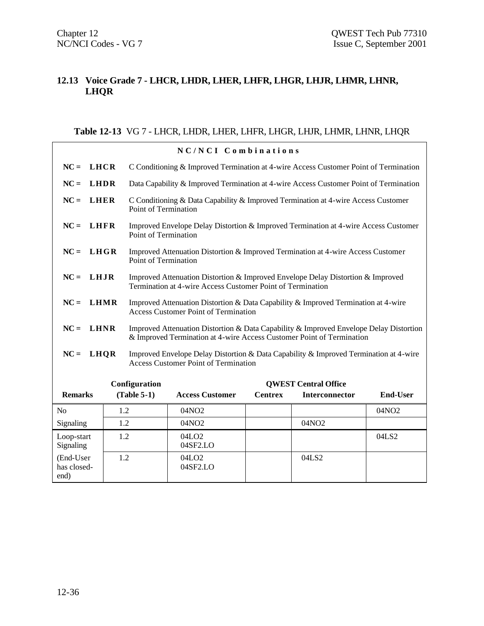## **12.13 Voice Grade 7 - LHCR, LHDR, LHER, LHFR, LHGR, LHJR, LHMR, LHNR, LHQR**

#### **Table 12-13** VG 7 - LHCR, LHDR, LHER, LHFR, LHGR, LHJR, LHMR, LHNR, LHQR

|                                  |             |                                                                                                                                   | NC/NCI Combinations                                                                                                                                             |                |                             |                 |  |  |
|----------------------------------|-------------|-----------------------------------------------------------------------------------------------------------------------------------|-----------------------------------------------------------------------------------------------------------------------------------------------------------------|----------------|-----------------------------|-----------------|--|--|
| $NC =$                           | <b>LHCR</b> |                                                                                                                                   | C Conditioning & Improved Termination at 4-wire Access Customer Point of Termination                                                                            |                |                             |                 |  |  |
| $NC =$                           | <b>LHDR</b> |                                                                                                                                   | Data Capability & Improved Termination at 4-wire Access Customer Point of Termination                                                                           |                |                             |                 |  |  |
| $NC =$                           | <b>LHER</b> | Point of Termination                                                                                                              | C Conditioning & Data Capability & Improved Termination at 4-wire Access Customer                                                                               |                |                             |                 |  |  |
| $NC =$                           | <b>LHFR</b> | Point of Termination                                                                                                              | Improved Envelope Delay Distortion & Improved Termination at 4-wire Access Customer                                                                             |                |                             |                 |  |  |
| $NC =$                           | LHGR        | Point of Termination                                                                                                              | Improved Attenuation Distortion & Improved Termination at 4-wire Access Customer                                                                                |                |                             |                 |  |  |
| $NC =$                           | LHJR        |                                                                                                                                   | Improved Attenuation Distortion & Improved Envelope Delay Distortion & Improved<br>Termination at 4-wire Access Customer Point of Termination                   |                |                             |                 |  |  |
| $NC =$                           | <b>LHMR</b> | Improved Attenuation Distortion & Data Capability & Improved Termination at 4-wire<br><b>Access Customer Point of Termination</b> |                                                                                                                                                                 |                |                             |                 |  |  |
| $NC =$                           | <b>LHNR</b> |                                                                                                                                   | Improved Attenuation Distortion & Data Capability & Improved Envelope Delay Distortion<br>& Improved Termination at 4-wire Access Customer Point of Termination |                |                             |                 |  |  |
| $NC =$                           | <b>LHQR</b> |                                                                                                                                   | Improved Envelope Delay Distortion & Data Capability & Improved Termination at 4-wire<br><b>Access Customer Point of Termination</b>                            |                |                             |                 |  |  |
|                                  |             | Configuration                                                                                                                     |                                                                                                                                                                 |                | <b>QWEST Central Office</b> |                 |  |  |
| <b>Remarks</b>                   |             | $(Table 5-1)$                                                                                                                     | <b>Access Customer</b>                                                                                                                                          | <b>Centrex</b> | Interconnector              | <b>End-User</b> |  |  |
| No                               | 1.2         |                                                                                                                                   | 04NO <sub>2</sub>                                                                                                                                               |                |                             | 04NO2           |  |  |
| Signaling                        | 1.2         |                                                                                                                                   | 04NO2                                                                                                                                                           |                | 04NO2                       |                 |  |  |
| Loop-start<br>Signaling          | 1.2         |                                                                                                                                   | 04LO <sub>2</sub><br>04SF2.LO                                                                                                                                   |                |                             | 04LS2           |  |  |
| (End-User<br>has closed-<br>end) | 1.2         |                                                                                                                                   | 04LO <sub>2</sub><br>04SF2.LO                                                                                                                                   |                | 04LS2                       |                 |  |  |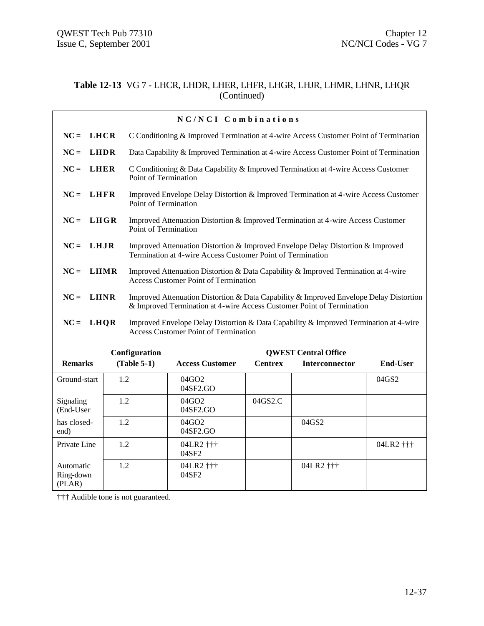#### **Table 12-13** VG 7 - LHCR, LHDR, LHER, LHFR, LHGR, LHJR, LHMR, LHNR, LHQR (Continued)

|                                  | NC/NCI Combinations |                      |                                                                                                                                                                 |                |                             |                 |  |  |
|----------------------------------|---------------------|----------------------|-----------------------------------------------------------------------------------------------------------------------------------------------------------------|----------------|-----------------------------|-----------------|--|--|
| $NC =$<br><b>LHCR</b>            |                     |                      | C Conditioning & Improved Termination at 4-wire Access Customer Point of Termination                                                                            |                |                             |                 |  |  |
| $NC =$<br><b>LHDR</b>            |                     |                      | Data Capability & Improved Termination at 4-wire Access Customer Point of Termination                                                                           |                |                             |                 |  |  |
| $NC =$<br><b>LHER</b>            |                     | Point of Termination | C Conditioning & Data Capability & Improved Termination at 4-wire Access Customer                                                                               |                |                             |                 |  |  |
| $NC =$<br><b>LHFR</b>            |                     | Point of Termination | Improved Envelope Delay Distortion & Improved Termination at 4-wire Access Customer                                                                             |                |                             |                 |  |  |
| LHGR<br>$NC =$                   |                     | Point of Termination | Improved Attenuation Distortion & Improved Termination at 4-wire Access Customer                                                                                |                |                             |                 |  |  |
| $NC =$<br>LHJR                   |                     |                      | Improved Attenuation Distortion & Improved Envelope Delay Distortion & Improved<br>Termination at 4-wire Access Customer Point of Termination                   |                |                             |                 |  |  |
| $NC =$<br><b>LHMR</b>            |                     |                      | Improved Attenuation Distortion & Data Capability & Improved Termination at 4-wire<br><b>Access Customer Point of Termination</b>                               |                |                             |                 |  |  |
| <b>LHNR</b><br>$NC =$            |                     |                      | Improved Attenuation Distortion & Data Capability & Improved Envelope Delay Distortion<br>& Improved Termination at 4-wire Access Customer Point of Termination |                |                             |                 |  |  |
| $NC = LHQR$                      |                     |                      | Improved Envelope Delay Distortion & Data Capability & Improved Termination at 4-wire<br><b>Access Customer Point of Termination</b>                            |                |                             |                 |  |  |
|                                  |                     | Configuration        |                                                                                                                                                                 |                | <b>QWEST Central Office</b> |                 |  |  |
| <b>Remarks</b>                   |                     | $(Table 5-1)$        | <b>Access Customer</b>                                                                                                                                          | <b>Centrex</b> | Interconnector              | <b>End-User</b> |  |  |
| Ground-start                     | 1.2                 |                      | 04GO2<br>04SF2.GO                                                                                                                                               |                |                             | 04GS2           |  |  |
| Signaling<br>(End-User           | 1.2                 |                      | 04GO2<br>04SF2.GO                                                                                                                                               | 04GS2.C        |                             |                 |  |  |
| has closed-<br>end)              | 1.2                 |                      | 04GO2<br>04SF2.GO                                                                                                                                               |                | 04GS2                       |                 |  |  |
| Private Line                     | 1.2                 |                      | 04LR2 †††<br>04SF2                                                                                                                                              |                |                             | 04LR2 †††       |  |  |
| Automatic<br>Ring-down<br>(PLAN) | 1.2                 |                      | 04LR2 †††<br>04SF2                                                                                                                                              |                | 04LR2 †††                   |                 |  |  |

††† Audible tone is not guaranteed.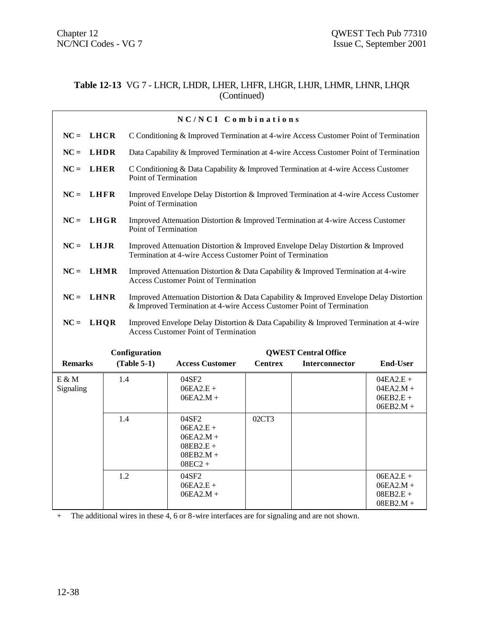#### **Table 12-13** VG 7 - LHCR, LHDR, LHER, LHFR, LHGR, LHJR, LHMR, LHNR, LHQR (Continued)

|                       |             |                      | NC/NCI Combinations                                                                                                                                             |                |                             |                                                          |
|-----------------------|-------------|----------------------|-----------------------------------------------------------------------------------------------------------------------------------------------------------------|----------------|-----------------------------|----------------------------------------------------------|
| <b>LHCR</b><br>$NC =$ |             |                      | C Conditioning & Improved Termination at 4-wire Access Customer Point of Termination                                                                            |                |                             |                                                          |
| <b>LHDR</b><br>$NC =$ |             |                      | Data Capability & Improved Termination at 4-wire Access Customer Point of Termination                                                                           |                |                             |                                                          |
| $NC =$<br><b>LHER</b> |             | Point of Termination | C Conditioning & Data Capability & Improved Termination at 4-wire Access Customer                                                                               |                |                             |                                                          |
| LHFR<br>$NC =$        |             | Point of Termination | Improved Envelope Delay Distortion & Improved Termination at 4-wire Access Customer                                                                             |                |                             |                                                          |
| $NC =$                | <b>LHGR</b> | Point of Termination | Improved Attenuation Distortion & Improved Termination at 4-wire Access Customer                                                                                |                |                             |                                                          |
| LHJR<br>$NC =$        |             |                      | Improved Attenuation Distortion & Improved Envelope Delay Distortion & Improved<br>Termination at 4-wire Access Customer Point of Termination                   |                |                             |                                                          |
| $NC =$                | <b>LHMR</b> |                      | Improved Attenuation Distortion & Data Capability & Improved Termination at 4-wire<br><b>Access Customer Point of Termination</b>                               |                |                             |                                                          |
| $NC =$<br><b>LHNR</b> |             |                      | Improved Attenuation Distortion & Data Capability & Improved Envelope Delay Distortion<br>& Improved Termination at 4-wire Access Customer Point of Termination |                |                             |                                                          |
| $NC = LHQR$           |             |                      | Improved Envelope Delay Distortion & Data Capability & Improved Termination at 4-wire<br><b>Access Customer Point of Termination</b>                            |                |                             |                                                          |
|                       |             | Configuration        |                                                                                                                                                                 |                | <b>QWEST Central Office</b> |                                                          |
| <b>Remarks</b>        |             | $(Table 5-1)$        | <b>Access Customer</b>                                                                                                                                          | <b>Centrex</b> | <b>Interconnector</b>       | <b>End-User</b>                                          |
| $E \& M$<br>Signaling | 1.4         |                      | 04SF2<br>$06EA2.E +$<br>$06EA2.M +$                                                                                                                             |                |                             | $04EA2.E +$<br>$04EA2.M +$<br>$06EB2.E +$<br>$06EB2.M +$ |
|                       | 1.4         |                      | 04SF2<br>$06EA2.E +$<br>$06EA2.M +$<br>$08EB2.E +$<br>$08EB2.M +$<br>$08EC2 +$                                                                                  | 02CT3          |                             |                                                          |
|                       | 1.2         |                      | 04SF2<br>$06EA2.E +$<br>$06EA2.M +$                                                                                                                             |                |                             | $06EA2.E +$<br>$06EA2.M +$<br>$08EB2.E +$<br>$08EB2.M +$ |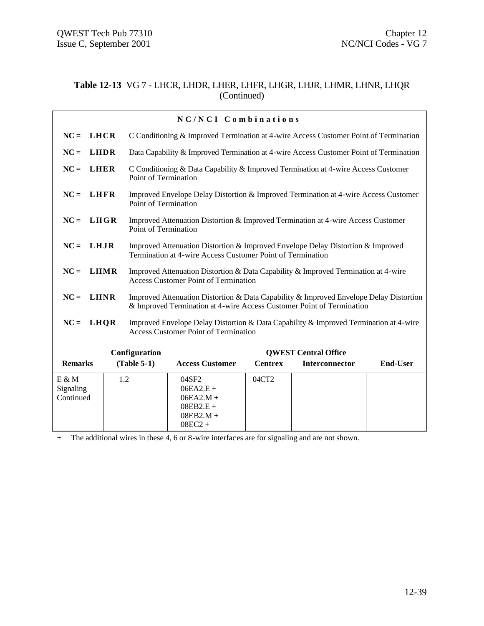#### **Table 12-13** VG 7 - LHCR, LHDR, LHER, LHFR, LHGR, LHJR, LHMR, LHNR, LHQR (Continued)

| NC/NCI Combinations                |     |                      |                                                                                                                                                                 |                |                             |                 |
|------------------------------------|-----|----------------------|-----------------------------------------------------------------------------------------------------------------------------------------------------------------|----------------|-----------------------------|-----------------|
| <b>LHCR</b><br>$NC =$              |     |                      | C Conditioning & Improved Termination at 4-wire Access Customer Point of Termination                                                                            |                |                             |                 |
| <b>LHDR</b><br>$NC =$              |     |                      | Data Capability & Improved Termination at 4-wire Access Customer Point of Termination                                                                           |                |                             |                 |
| $NC =$<br>LHER                     |     | Point of Termination | C Conditioning & Data Capability & Improved Termination at 4-wire Access Customer                                                                               |                |                             |                 |
| $NC =$<br>LHFR                     |     | Point of Termination | Improved Envelope Delay Distortion & Improved Termination at 4-wire Access Customer                                                                             |                |                             |                 |
| $NC = LHGR$                        |     | Point of Termination | Improved Attenuation Distortion & Improved Termination at 4-wire Access Customer                                                                                |                |                             |                 |
| $NC = LHJR$                        |     |                      | Improved Attenuation Distortion & Improved Envelope Delay Distortion & Improved<br>Termination at 4-wire Access Customer Point of Termination                   |                |                             |                 |
| <b>LHMR</b><br>$NC =$              |     |                      | Improved Attenuation Distortion & Data Capability & Improved Termination at 4-wire<br><b>Access Customer Point of Termination</b>                               |                |                             |                 |
| <b>LHNR</b><br>$NC =$              |     |                      | Improved Attenuation Distortion & Data Capability & Improved Envelope Delay Distortion<br>& Improved Termination at 4-wire Access Customer Point of Termination |                |                             |                 |
| $NC = LHQR$                        |     |                      | Improved Envelope Delay Distortion & Data Capability & Improved Termination at 4-wire<br><b>Access Customer Point of Termination</b>                            |                |                             |                 |
|                                    |     | Configuration        |                                                                                                                                                                 |                | <b>OWEST Central Office</b> |                 |
| <b>Remarks</b>                     |     | $(Table 5-1)$        | <b>Access Customer</b>                                                                                                                                          | <b>Centrex</b> | Interconnector              | <b>End-User</b> |
| $E \& M$<br>Signaling<br>Continued | 1.2 |                      | 04SF2<br>$06EA2.E +$<br>$06EA2.M +$<br>$08EB2.E +$<br>$08EB2.M +$<br>$08EC2 +$                                                                                  | 04CT2          |                             |                 |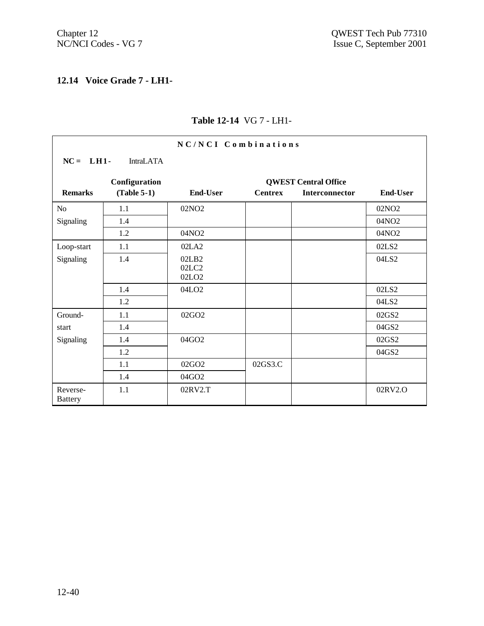$\mathsf{r}$ 

# **12.14 Voice Grade 7 - LH1-**

| NC/NCI Combinations        |                  |                                     |                |                             |                   |  |  |
|----------------------------|------------------|-------------------------------------|----------------|-----------------------------|-------------------|--|--|
| $NC = LH1$ -               | <b>IntraLATA</b> |                                     |                |                             |                   |  |  |
|                            | Configuration    |                                     |                | <b>QWEST Central Office</b> |                   |  |  |
| <b>Remarks</b>             | $(Table 5-1)$    | <b>End-User</b>                     | <b>Centrex</b> | Interconnector              | <b>End-User</b>   |  |  |
| N <sub>o</sub>             | 1.1              | 02NO <sub>2</sub>                   |                |                             | 02NO <sub>2</sub> |  |  |
| Signaling                  | 1.4              |                                     |                |                             | 04NO2             |  |  |
|                            | 1.2              | 04NO2                               |                |                             | 04NO2             |  |  |
| Loop-start                 | 1.1              | 02LA2                               |                |                             | 02LS2             |  |  |
| Signaling                  | 1.4              | 02LB2<br>02LC2<br>02LO <sub>2</sub> |                |                             | 04LS2             |  |  |
|                            | 1.4              | 04LO <sub>2</sub>                   |                |                             | 02LS2             |  |  |
|                            | 1.2              |                                     |                |                             | 04LS2             |  |  |
| Ground-                    | 1.1              | 02GO <sub>2</sub>                   |                |                             | 02GS2             |  |  |
| start                      | 1.4              |                                     |                |                             | 04GS2             |  |  |
| Signaling                  | 1.4              | 04GO2                               |                |                             | 02GS2             |  |  |
|                            | 1.2              |                                     |                |                             | 04GS2             |  |  |
|                            | 1.1              | 02GO <sub>2</sub>                   | 02GS3.C        |                             |                   |  |  |
|                            | 1.4              | 04GO2                               |                |                             |                   |  |  |
| Reverse-<br><b>Battery</b> | 1.1              | 02RV2.T                             |                |                             | 02RV2.O           |  |  |

# **Table 12-14** VG 7 - LH1-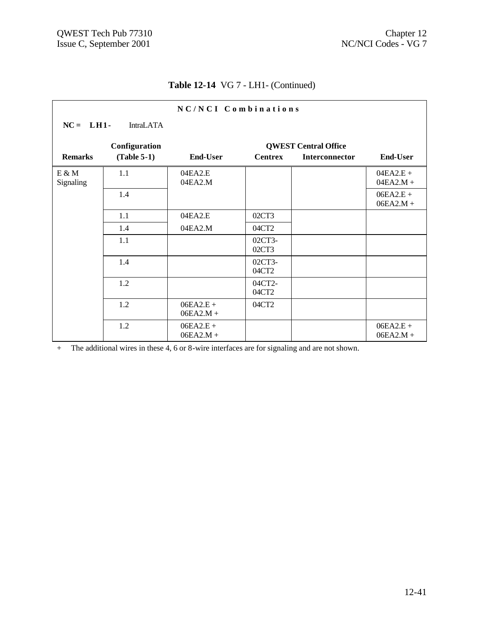# **Table 12-14** VG 7 - LH1- (Continued)

| NC/NCI Combinations |                  |                            |                 |                             |                            |  |  |
|---------------------|------------------|----------------------------|-----------------|-----------------------------|----------------------------|--|--|
| $NC = LH1$          | <b>IntraLATA</b> |                            |                 |                             |                            |  |  |
|                     | Configuration    |                            |                 | <b>QWEST Central Office</b> |                            |  |  |
| <b>Remarks</b>      | $(Table 5-1)$    | <b>End-User</b>            | <b>Centrex</b>  | Interconnector              | <b>End-User</b>            |  |  |
| E & M<br>Signaling  | 1.1              | 04EA2.E<br>04EA2.M         |                 |                             | $04EA2.E +$<br>$04EA2.M +$ |  |  |
|                     | 1.4              |                            |                 |                             | $06EA2.E +$<br>$06EA2.M +$ |  |  |
|                     | 1.1              | 04EA2.E                    | 02CT3           |                             |                            |  |  |
|                     | 1.4              | 04EA2.M                    | 04CT2           |                             |                            |  |  |
|                     | 1.1              |                            | 02CT3-<br>02CT3 |                             |                            |  |  |
|                     | 1.4              |                            | 02CT3-<br>04CT2 |                             |                            |  |  |
|                     | 1.2              |                            | 04CT2-<br>04CT2 |                             |                            |  |  |
|                     | 1.2              | $06EA2.E +$<br>$06EA2.M +$ | 04CT2           |                             |                            |  |  |
|                     | 1.2              | $06EA2.E +$<br>$06EA2.M +$ |                 |                             | $06EA2.E +$<br>$06EA2.M +$ |  |  |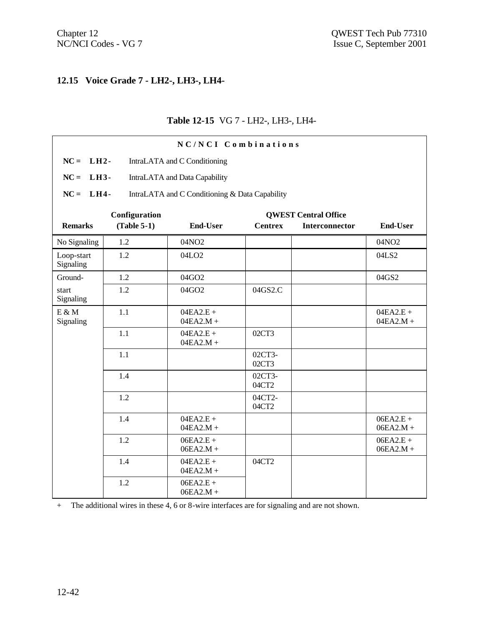# **12.15 Voice Grade 7 - LH2-, LH3-, LH4-**

#### **Table 12-15** VG 7 - LH2-, LH3-, LH4-

|                         |               | NC/NCI Combinations                            |                 |                             |                            |
|-------------------------|---------------|------------------------------------------------|-----------------|-----------------------------|----------------------------|
| $NC =$<br>$LH2-$        |               | IntraLATA and C Conditioning                   |                 |                             |                            |
| $NC = LH3$ -            |               | IntraLATA and Data Capability                  |                 |                             |                            |
| $NC = LH4$              |               | IntraLATA and C Conditioning & Data Capability |                 |                             |                            |
|                         | Configuration |                                                |                 | <b>QWEST Central Office</b> |                            |
| <b>Remarks</b>          | $(Table 5-1)$ | <b>End-User</b>                                | <b>Centrex</b>  | <b>Interconnector</b>       | <b>End-User</b>            |
| No Signaling            | 1.2           | 04NO2                                          |                 |                             | 04NO2                      |
| Loop-start<br>Signaling | 1.2           | 04LO <sub>2</sub>                              |                 |                             | 04LS2                      |
| Ground-                 | 1.2           | 04GO2                                          |                 |                             | 04GS2                      |
| start<br>Signaling      | 1.2           | 04GO2                                          | 04GS2.C         |                             |                            |
| $E \& M$<br>Signaling   | 1.1           | $04EA2.E +$<br>$04EA2.M +$                     |                 |                             | $04EA2.E +$<br>$04EA2.M +$ |
|                         | 1.1           | $04EA2.E +$<br>$04EA2.M +$                     | 02CT3           |                             |                            |
|                         | 1.1           |                                                | 02CT3-<br>02CT3 |                             |                            |
|                         | 1.4           |                                                | 02CT3-<br>04CT2 |                             |                            |
|                         | 1.2           |                                                | 04CT2-<br>04CT2 |                             |                            |
|                         | 1.4           | $04EA2.E +$<br>$04EA2.M +$                     |                 |                             | $06EA2.E +$<br>$06EA2.M +$ |
|                         | 1.2           | $06EA2.E +$<br>$06EA2.M +$                     |                 |                             | $06EA2.E +$<br>$06EA2.M +$ |
|                         | 1.4           | $04EA2.E +$<br>$04EA2.M +$                     | 04CT2           |                             |                            |
|                         | 1.2           | $06EA2.E +$<br>$06EA2.M +$                     |                 |                             |                            |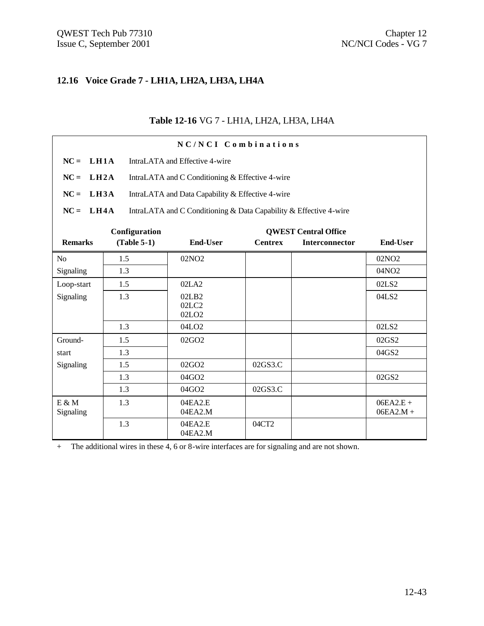# **12.16 Voice Grade 7 - LH1A, LH2A, LH3A, LH4A**

#### **Table 12-16** VG 7 - LH1A, LH2A, LH3A, LH4A

| NC/NCI Combinations        |                                                    |                                                                   |                |                             |                            |  |  |
|----------------------------|----------------------------------------------------|-------------------------------------------------------------------|----------------|-----------------------------|----------------------------|--|--|
| $NC =$                     | L <sub>H1A</sub><br>IntraLATA and Effective 4-wire |                                                                   |                |                             |                            |  |  |
| $NC =$<br>LH2A             |                                                    | IntraLATA and C Conditioning & Effective 4-wire                   |                |                             |                            |  |  |
| $NC =$<br>L <sub>H3A</sub> |                                                    | IntraLATA and Data Capability & Effective 4-wire                  |                |                             |                            |  |  |
| $NC = LH4A$                |                                                    | IntraLATA and C Conditioning & Data Capability & Effective 4-wire |                |                             |                            |  |  |
|                            | Configuration                                      |                                                                   |                | <b>QWEST Central Office</b> |                            |  |  |
| <b>Remarks</b>             | $(Table 5-1)$                                      | <b>End-User</b>                                                   | <b>Centrex</b> | <b>Interconnector</b>       | <b>End-User</b>            |  |  |
| No                         | 1.5                                                | 02NO <sub>2</sub>                                                 |                |                             | 02NO <sub>2</sub>          |  |  |
| Signaling                  | 1.3                                                |                                                                   |                |                             | 04NO <sub>2</sub>          |  |  |
| Loop-start                 | 1.5                                                | 02LA2                                                             |                |                             | 02LS2                      |  |  |
| Signaling                  | 1.3                                                | 02LB2<br>02LC2<br>02LO <sub>2</sub>                               |                |                             | 04LS2                      |  |  |
|                            | 1.3                                                | 04LO <sub>2</sub>                                                 |                |                             | 02LS2                      |  |  |
| Ground-                    | 1.5                                                | 02GO2                                                             |                |                             | 02GS2                      |  |  |
| start                      | 1.3                                                |                                                                   |                |                             | 04GS2                      |  |  |
| Signaling                  | 1.5                                                | 02GQ2                                                             | 02GS3.C        |                             |                            |  |  |
|                            | 1.3                                                | $04$ GO <sub>2</sub>                                              |                |                             | 02GS2                      |  |  |
|                            | 1.3                                                | 04GO2                                                             | 02GS3.C        |                             |                            |  |  |
| $E \& M$<br>Signaling      | 1.3                                                | 04EA2.E<br>04EA2.M                                                |                |                             | $06EA2.E +$<br>$06EA2.M +$ |  |  |
|                            | 1.3                                                | 04EA2.E<br>04EA2.M                                                | 04CT2          |                             |                            |  |  |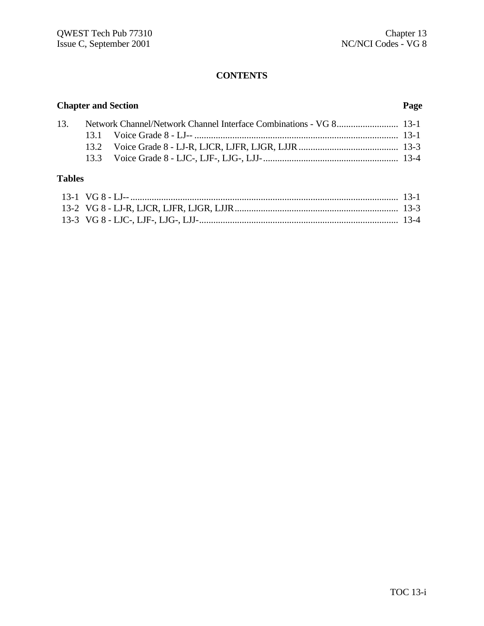#### **CONTENTS**

# **Chapter and Section Page** 13. Network Channel/Network Channel Interface Combinations - VG 8.......................... 13-1 13.1 Voice Grade 8 - LJ-- ...................................................................................... 13-1 13.2 Voice Grade 8 - LJ-R, LJCR, LJFR, LJGR, LJJR.......................................... 13-3 13.3 Voice Grade 8 - LJC-, LJF-, LJG-, LJJ-......................................................... 13-4 **Tables**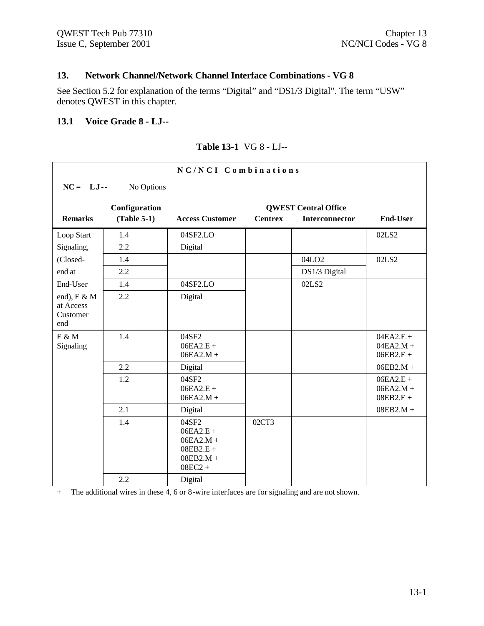# **13. Network Channel/Network Channel Interface Combinations - VG 8**

See Section 5.2 for explanation of the terms "Digital" and "DS1/3 Digital". The term "USW" denotes QWEST in this chapter.

#### **13.1 Voice Grade 8 - LJ--**

| NC/NCI Combinations                            |               |                                                                                |                             |                       |                                           |  |  |  |
|------------------------------------------------|---------------|--------------------------------------------------------------------------------|-----------------------------|-----------------------|-------------------------------------------|--|--|--|
| $NC = LJ$ --                                   | No Options    |                                                                                |                             |                       |                                           |  |  |  |
|                                                | Configuration |                                                                                | <b>QWEST Central Office</b> |                       |                                           |  |  |  |
| <b>Remarks</b>                                 | $(Table 5-1)$ | <b>Access Customer</b>                                                         | <b>Centrex</b>              | <b>Interconnector</b> | <b>End-User</b>                           |  |  |  |
| Loop Start                                     | 1.4           | 04SF2.LO                                                                       |                             |                       | 02LS2                                     |  |  |  |
| Signaling,                                     | 2.2           | Digital                                                                        |                             |                       |                                           |  |  |  |
| (Closed-                                       | 1.4           |                                                                                |                             | 04LO <sub>2</sub>     | 02LS2                                     |  |  |  |
| end at                                         | 2.2           |                                                                                |                             | DS1/3 Digital         |                                           |  |  |  |
| End-User                                       | 1.4           | 04SF2.LO                                                                       |                             | 02LS2                 |                                           |  |  |  |
| end), $E \& M$<br>at Access<br>Customer<br>end | 2.2           | Digital                                                                        |                             |                       |                                           |  |  |  |
| $E \& M$<br>Signaling                          | 1.4           | 04SF2<br>$06EA2.E +$<br>$06EA2.M +$                                            |                             |                       | $04EA2.E +$<br>$04EA2.M +$<br>$06EB2.E +$ |  |  |  |
|                                                | 2.2           | Digital                                                                        |                             |                       | $06EB2.M +$                               |  |  |  |
|                                                | 1.2           | 04SF2<br>$06EA2.E +$<br>$06EA2.M +$                                            |                             |                       | $06EA2.E +$<br>$06EA2.M +$<br>$08EB2.E +$ |  |  |  |
|                                                | 2.1           | Digital                                                                        |                             |                       | $08EB2.M +$                               |  |  |  |
|                                                | 1.4           | 04SF2<br>$06EA2.E +$<br>$06EA2.M +$<br>$08EB2.E +$<br>$08EB2.M +$<br>$08EC2 +$ | 02CT3                       |                       |                                           |  |  |  |
|                                                | 2.2           | Digital                                                                        |                             |                       |                                           |  |  |  |

#### **Table 13-1** VG 8 - LJ--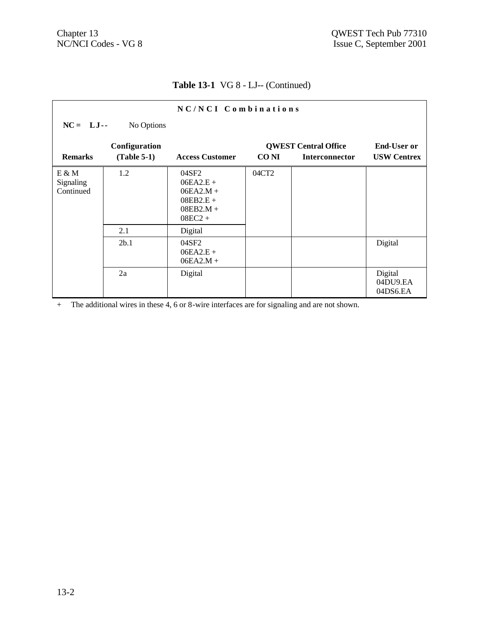# **Table 13-1** VG 8 - LJ-- (Continued)

|                                 |               | $NC/NCI$ Combinations                                                          |             |                             |                                 |
|---------------------------------|---------------|--------------------------------------------------------------------------------|-------------|-----------------------------|---------------------------------|
| $NC = LJ -$                     | No Options    |                                                                                |             |                             |                                 |
|                                 | Configuration |                                                                                |             | <b>QWEST Central Office</b> | <b>End-User or</b>              |
| <b>Remarks</b>                  | $(Table 5-1)$ | <b>Access Customer</b>                                                         | <b>CONI</b> | <b>Interconnector</b>       | <b>USW Centrex</b>              |
| E & M<br>Signaling<br>Continued | 1.2           | 04SF2<br>$06EA2.E +$<br>$06EA2.M +$<br>$08EB2.E +$<br>$08EB2.M +$<br>$08EC2 +$ | 04CT2       |                             |                                 |
|                                 | 2.1           | Digital                                                                        |             |                             |                                 |
|                                 | 2b.1          | 04SF2<br>$06EA2.E +$<br>$06EA2.M +$                                            |             |                             | Digital                         |
|                                 | 2a            | Digital                                                                        |             |                             | Digital<br>04DU9.EA<br>04DS6.EA |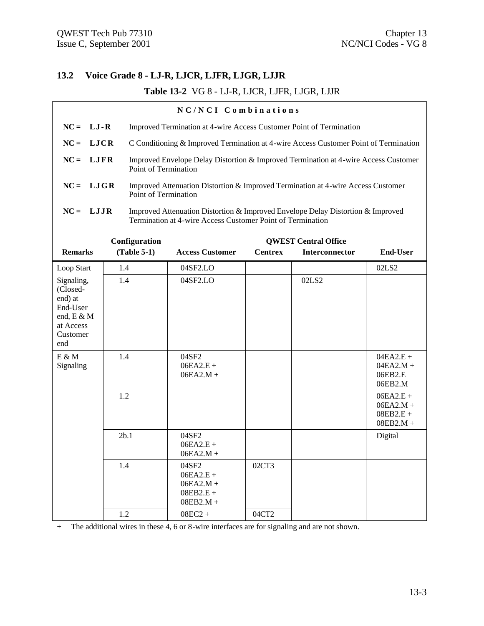# **13.2 Voice Grade 8 - LJ-R, LJCR, LJFR, LJGR, LJJR**

# **Table 13-2** VG 8 - LJ-R, LJCR, LJFR, LJGR, LJJR

| NC/NCI Combinations                                                                         |                      |                                                                                                                                               |                |                             |                                                          |  |  |
|---------------------------------------------------------------------------------------------|----------------------|-----------------------------------------------------------------------------------------------------------------------------------------------|----------------|-----------------------------|----------------------------------------------------------|--|--|
| $NC = LJ-R$                                                                                 |                      | Improved Termination at 4-wire Access Customer Point of Termination                                                                           |                |                             |                                                          |  |  |
| $NC = LJCR$                                                                                 |                      | C Conditioning & Improved Termination at 4-wire Access Customer Point of Termination                                                          |                |                             |                                                          |  |  |
| $NC = LJFR$                                                                                 | Point of Termination | Improved Envelope Delay Distortion & Improved Termination at 4-wire Access Customer                                                           |                |                             |                                                          |  |  |
| $NC = LJGR$                                                                                 | Point of Termination | Improved Attenuation Distortion & Improved Termination at 4-wire Access Customer                                                              |                |                             |                                                          |  |  |
| $NC = LJJR$                                                                                 |                      | Improved Attenuation Distortion & Improved Envelope Delay Distortion & Improved<br>Termination at 4-wire Access Customer Point of Termination |                |                             |                                                          |  |  |
|                                                                                             | Configuration        |                                                                                                                                               |                | <b>QWEST Central Office</b> |                                                          |  |  |
| <b>Remarks</b>                                                                              | $(Table 5-1)$        | <b>Access Customer</b>                                                                                                                        | <b>Centrex</b> | Interconnector              | <b>End-User</b>                                          |  |  |
| Loop Start                                                                                  | 1.4                  | 04SF2.LO                                                                                                                                      |                |                             | 02LS2                                                    |  |  |
| Signaling,<br>(Closed-<br>end) at<br>End-User<br>end, E & M<br>at Access<br>Customer<br>end | 1.4                  | 04SF2.LO                                                                                                                                      |                | 02LS2                       |                                                          |  |  |
| $E \& M$<br>Signaling                                                                       | 1.4                  | 04SF2<br>$06EA2.E +$<br>$06EA2.M +$                                                                                                           |                |                             | $04EA2.E +$<br>$04EA2.M +$<br>06EB2.E<br>06EB2.M         |  |  |
|                                                                                             | 1.2                  |                                                                                                                                               |                |                             | $06EA2.E +$<br>$06EA2.M +$<br>$08EB2.E +$<br>$08EB2.M +$ |  |  |
|                                                                                             | 2b.1                 | 04SF2<br>$06EA2.E +$<br>$06EA2.M +$                                                                                                           |                |                             | Digital                                                  |  |  |
|                                                                                             | 1.4                  | 04SF2<br>$06EA2.E +$<br>$06EA2.M +$<br>$08EB2.E +$<br>$08EB2.M +$                                                                             | 02CT3          |                             |                                                          |  |  |
|                                                                                             | $1.2\,$              | $08EC2 +$                                                                                                                                     | 04CT2          |                             |                                                          |  |  |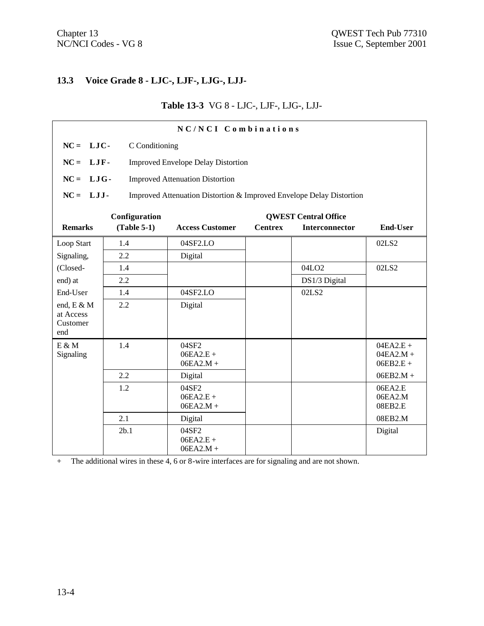# **13.3 Voice Grade 8 - LJC-, LJF-, LJG-, LJJ-**

# **Table 13-3** VG 8 - LJC-, LJF-, LJG-, LJJ-

| NC/NCI Combinations   |                |                                                                      |                |                             |                    |  |
|-----------------------|----------------|----------------------------------------------------------------------|----------------|-----------------------------|--------------------|--|
| $NC = LIC$            | C Conditioning |                                                                      |                |                             |                    |  |
| $NC = LIF$ -          |                | <b>Improved Envelope Delay Distortion</b>                            |                |                             |                    |  |
| $NC = LJG$            |                | <b>Improved Attenuation Distortion</b>                               |                |                             |                    |  |
| $NC = LJJ$ -          |                | Improved Attenuation Distortion & Improved Envelope Delay Distortion |                |                             |                    |  |
|                       | Configuration  |                                                                      |                | <b>QWEST Central Office</b> |                    |  |
| <b>Remarks</b>        | $(Table 5-1)$  | <b>Access Customer</b>                                               | <b>Centrex</b> | Interconnector              | <b>End-User</b>    |  |
| Loop Start            | 1.4            | 04SF2.LO                                                             |                |                             | 02LS2              |  |
| Signaling,            | 2.2            | Digital                                                              |                |                             |                    |  |
| (Closed-              | 1.4            |                                                                      |                | 04LO <sub>2</sub>           | 02LS2              |  |
| end) at               | 2.2            |                                                                      |                | DS1/3 Digital               |                    |  |
| End-User              | 1.4            | 04SF2.LO                                                             |                | 02LS2                       |                    |  |
| end, E & M            | 2.2            | Digital                                                              |                |                             |                    |  |
| at Access<br>Customer |                |                                                                      |                |                             |                    |  |
| end                   |                |                                                                      |                |                             |                    |  |
| $E \& M$              | 1.4            | 04SF2                                                                |                |                             | $04EA2.E +$        |  |
| Signaling             |                | $06EA2.E +$                                                          |                |                             | $04EA2.M +$        |  |
|                       |                | $06EA2.M +$                                                          |                |                             | $06EB2.E +$        |  |
|                       | 2.2            | Digital                                                              |                |                             | $06EB2.M +$        |  |
|                       | 1.2            | 04SF2                                                                |                |                             | 06EA2.E            |  |
|                       |                | $06EA2.E +$<br>$06EA2.M +$                                           |                |                             | 06EA2.M<br>08EB2.E |  |
|                       | 2.1            | Digital                                                              |                |                             | 08EB2.M            |  |
|                       | 2b.1           | 04SF2                                                                |                |                             | Digital            |  |
|                       |                | $06EA2.E +$                                                          |                |                             |                    |  |
|                       |                | $06EA2.M +$                                                          |                |                             |                    |  |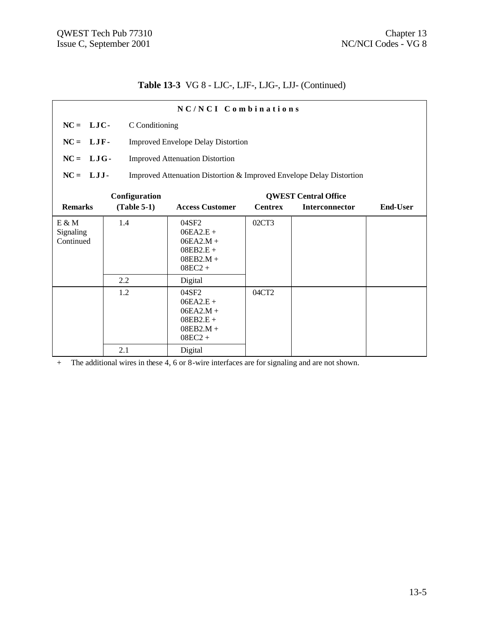# **Table 13-3** VG 8 - LJC-, LJF-, LJG-, LJJ- (Continued)

| NC/NCI Combinations                                                                |               |                                                                                |                |                             |                 |  |  |  |
|------------------------------------------------------------------------------------|---------------|--------------------------------------------------------------------------------|----------------|-----------------------------|-----------------|--|--|--|
| $NC = LJC$                                                                         |               | C Conditioning                                                                 |                |                             |                 |  |  |  |
| $NC = LJF$ -                                                                       |               | <b>Improved Envelope Delay Distortion</b>                                      |                |                             |                 |  |  |  |
| $NC = LJG$ -                                                                       |               | <b>Improved Attenuation Distortion</b>                                         |                |                             |                 |  |  |  |
| $NC = LJJ$<br>Improved Attenuation Distortion & Improved Envelope Delay Distortion |               |                                                                                |                |                             |                 |  |  |  |
|                                                                                    | Configuration |                                                                                |                | <b>QWEST Central Office</b> |                 |  |  |  |
| <b>Remarks</b>                                                                     | $(Table 5-1)$ | <b>Access Customer</b>                                                         | <b>Centrex</b> | <b>Interconnector</b>       | <b>End-User</b> |  |  |  |
| E & M<br>Signaling<br>Continued                                                    | 1.4           | 04SF2<br>$06EA2.E +$<br>$06EA2.M +$<br>$08EB2.E +$<br>$08EB2.M +$<br>$08EC2 +$ | 02CT3          |                             |                 |  |  |  |
|                                                                                    | 2.2           | Digital                                                                        |                |                             |                 |  |  |  |
|                                                                                    | 1.2           | 04SF2<br>$06EA2.E +$<br>$06EA2.M +$<br>$08EB2.E +$<br>$08EB2.M +$<br>$08EC2 +$ | 04CT2          |                             |                 |  |  |  |
|                                                                                    | 2.1           | Digital                                                                        |                |                             |                 |  |  |  |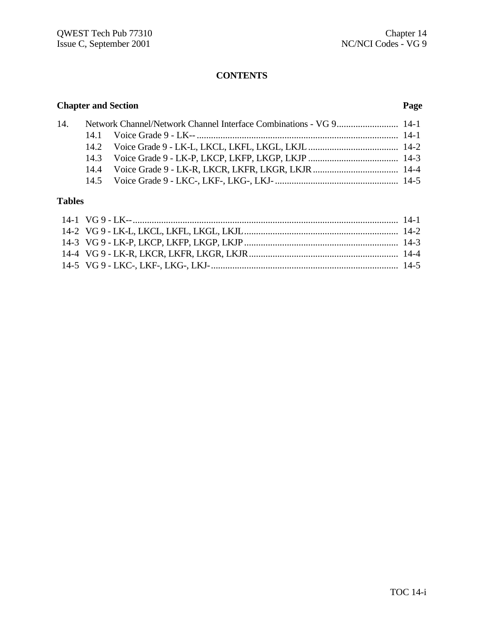# **CONTENTS**

# **Chapter and Section Page**

|  | 14. Network Channel/Network Channel Interface Combinations - VG 9 14-1 |  |
|--|------------------------------------------------------------------------|--|
|  |                                                                        |  |
|  |                                                                        |  |
|  |                                                                        |  |
|  |                                                                        |  |
|  |                                                                        |  |

# **Tables**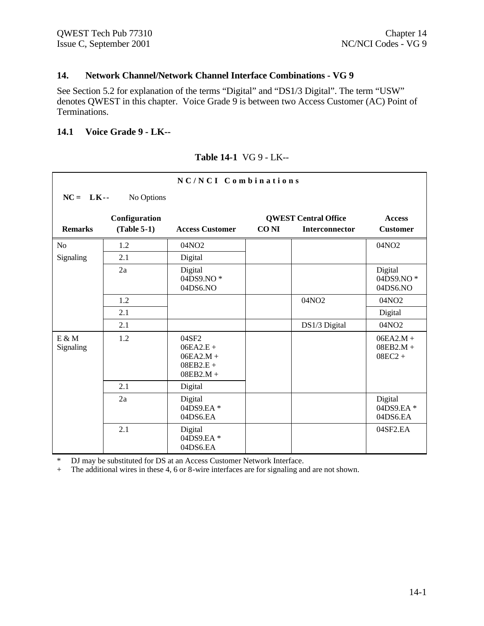#### **14. Network Channel/Network Channel Interface Combinations - VG 9**

See Section 5.2 for explanation of the terms "Digital" and "DS1/3 Digital". The term "USW" denotes QWEST in this chapter. Voice Grade 9 is between two Access Customer (AC) Point of Terminations.

#### **14.1 Voice Grade 9 - LK--**

#### **Table 14-1** VG 9 - LK--

| NC/NCI Combinations   |                                |                                                                   |             |                                                      |                                         |  |  |
|-----------------------|--------------------------------|-------------------------------------------------------------------|-------------|------------------------------------------------------|-----------------------------------------|--|--|
| $NC = LK$ --          | No Options                     |                                                                   |             |                                                      |                                         |  |  |
| <b>Remarks</b>        | Configuration<br>$(Table 5-1)$ | <b>Access Customer</b>                                            | <b>CONI</b> | <b>QWEST Central Office</b><br><b>Interconnector</b> | <b>Access</b><br><b>Customer</b>        |  |  |
|                       |                                |                                                                   |             |                                                      |                                         |  |  |
| N <sub>o</sub>        | 1.2                            | 04NO2                                                             |             |                                                      | 04NO <sub>2</sub>                       |  |  |
| Signaling             | 2.1                            | Digital                                                           |             |                                                      |                                         |  |  |
|                       | 2a                             | Digital<br>04DS9.NO*<br>04DS6.NO                                  |             |                                                      | Digital<br>04DS9.NO*<br>04DS6.NO        |  |  |
|                       | 1.2                            |                                                                   |             | 04NO2                                                | 04NO <sub>2</sub>                       |  |  |
|                       | 2.1                            |                                                                   |             |                                                      | Digital                                 |  |  |
|                       | 2.1                            |                                                                   |             | DS1/3 Digital                                        | 04NO2                                   |  |  |
| $E \& M$<br>Signaling | 1.2                            | 04SF2<br>$06EA2.E +$<br>$06EA2.M +$<br>$08EB2.E +$<br>$08EB2.M +$ |             |                                                      | $06EA2.M +$<br>$08EB2.M +$<br>$08EC2 +$ |  |  |
|                       | 2.1                            | Digital                                                           |             |                                                      |                                         |  |  |
|                       | 2a                             | Digital<br>04DS9.EA*<br>04DS6.EA                                  |             |                                                      | Digital<br>04DS9.EA*<br>04DS6.EA        |  |  |
|                       | 2.1                            | Digital<br>04DS9.EA*<br>04DS6.EA                                  |             |                                                      | 04SF2.EA                                |  |  |

\* DJ may be substituted for DS at an Access Customer Network Interface.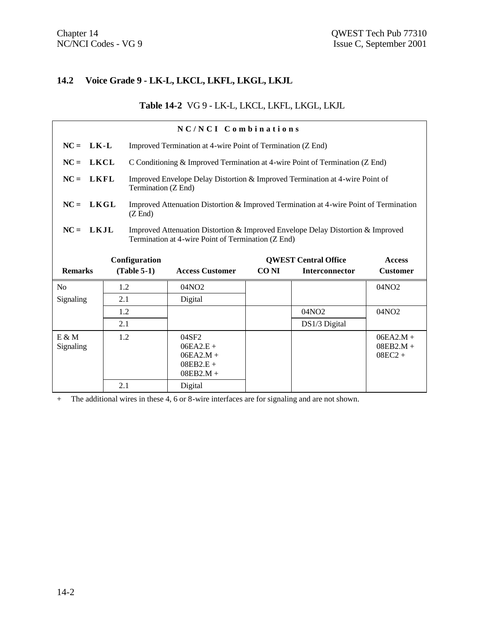# **14.2 Voice Grade 9 - LK-L, LKCL, LKFL, LKGL, LKJL**

# **Table 14-2** VG 9 - LK-L, LKCL, LKFL, LKGL, LKJL

| NC/NCI Combinations   |     |                     |                                                                                                                                       |             |                             |                                         |  |  |
|-----------------------|-----|---------------------|---------------------------------------------------------------------------------------------------------------------------------------|-------------|-----------------------------|-----------------------------------------|--|--|
| $NC = LK-L$           |     |                     | Improved Termination at 4-wire Point of Termination (Z End)                                                                           |             |                             |                                         |  |  |
| LKCL<br>$NC =$        |     |                     | C Conditioning & Improved Termination at 4-wire Point of Termination (Z End)                                                          |             |                             |                                         |  |  |
| <b>LKFL</b><br>$NC =$ |     | Termination (Z End) | Improved Envelope Delay Distortion & Improved Termination at 4-wire Point of                                                          |             |                             |                                         |  |  |
| $NC =$<br>LKGL        |     | $(Z \text{ End})$   | Improved Attenuation Distortion & Improved Termination at 4-wire Point of Termination                                                 |             |                             |                                         |  |  |
| <b>LKJL</b><br>$NC =$ |     |                     | Improved Attenuation Distortion & Improved Envelope Delay Distortion & Improved<br>Termination at 4-wire Point of Termination (Z End) |             |                             |                                         |  |  |
|                       |     | Configuration       |                                                                                                                                       |             | <b>QWEST Central Office</b> | <b>Access</b>                           |  |  |
| <b>Remarks</b>        |     | $(Table 5-1)$       | <b>Access Customer</b>                                                                                                                | <b>CONI</b> | <b>Interconnector</b>       | <b>Customer</b>                         |  |  |
| N <sub>0</sub>        | 1.2 |                     | 04NO2                                                                                                                                 |             |                             | 04NO2                                   |  |  |
| Signaling             | 2.1 |                     | Digital                                                                                                                               |             |                             |                                         |  |  |
|                       | 1.2 |                     |                                                                                                                                       |             | 04NO <sub>2</sub>           | 04NO2                                   |  |  |
|                       | 2.1 |                     |                                                                                                                                       |             | DS1/3 Digital               |                                         |  |  |
| $E \& M$<br>Signaling | 1.2 |                     | 04SF2<br>$06EA2.E +$<br>$06EA2.M +$<br>$08EB2.E +$<br>$08EB2.M +$                                                                     |             |                             | $06EA2.M +$<br>$08EB2.M +$<br>$08EC2 +$ |  |  |
|                       | 2.1 |                     | Digital                                                                                                                               |             |                             |                                         |  |  |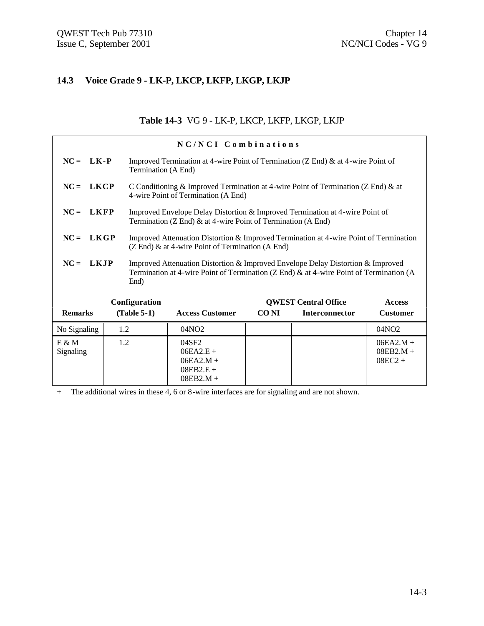# **14.3 Voice Grade 9 - LK-P, LKCP, LKFP, LKGP, LKJP**

#### **Table 14-3** VG 9 - LK-P, LKCP, LKFP, LKGP, LKJP

|                       |                                                                                                                                                                                                  |                                                                                                                                                     | NC/NCI Combinations                                                                                                      |                                              |                       |                                         |  |  |
|-----------------------|--------------------------------------------------------------------------------------------------------------------------------------------------------------------------------------------------|-----------------------------------------------------------------------------------------------------------------------------------------------------|--------------------------------------------------------------------------------------------------------------------------|----------------------------------------------|-----------------------|-----------------------------------------|--|--|
| $NC = LK - P$         |                                                                                                                                                                                                  |                                                                                                                                                     | Improved Termination at 4-wire Point of Termination ( $Z$ End) $\&$ at 4-wire Point of<br>Termination (A End)            |                                              |                       |                                         |  |  |
| $NC = LKCP$           |                                                                                                                                                                                                  |                                                                                                                                                     | C Conditioning & Improved Termination at 4-wire Point of Termination (Z End) & at<br>4-wire Point of Termination (A End) |                                              |                       |                                         |  |  |
| $NC = LKFP$           |                                                                                                                                                                                                  | Improved Envelope Delay Distortion & Improved Termination at 4-wire Point of<br>Termination (Z End) & at 4-wire Point of Termination (A End)        |                                                                                                                          |                                              |                       |                                         |  |  |
| <b>LKGP</b><br>$NC =$ |                                                                                                                                                                                                  | Improved Attenuation Distortion & Improved Termination at 4-wire Point of Termination<br>$(Z \text{ End})$ & at 4-wire Point of Termination (A End) |                                                                                                                          |                                              |                       |                                         |  |  |
|                       | $NC = LKJP$<br>Improved Attenuation Distortion & Improved Envelope Delay Distortion & Improved<br>Termination at 4-wire Point of Termination (Z End) & at 4-wire Point of Termination (A<br>End) |                                                                                                                                                     |                                                                                                                          |                                              |                       |                                         |  |  |
|                       |                                                                                                                                                                                                  | Configuration                                                                                                                                       |                                                                                                                          | <b>QWEST Central Office</b><br><b>Access</b> |                       |                                         |  |  |
| <b>Remarks</b>        |                                                                                                                                                                                                  | $(Table 5-1)$                                                                                                                                       | <b>Access Customer</b>                                                                                                   | CO NI                                        | <b>Interconnector</b> | <b>Customer</b>                         |  |  |
| No Signaling          | 1.2                                                                                                                                                                                              |                                                                                                                                                     | 04NO2                                                                                                                    |                                              |                       | 04NO2                                   |  |  |
| $E \& M$<br>Signaling | 1.2                                                                                                                                                                                              |                                                                                                                                                     | 04SF2<br>$06EA2.E +$<br>$06EA2.M +$<br>$08EB2.E +$<br>$08EB2.M +$                                                        |                                              |                       | $06EA2.M +$<br>$08EB2.M +$<br>$08EC2 +$ |  |  |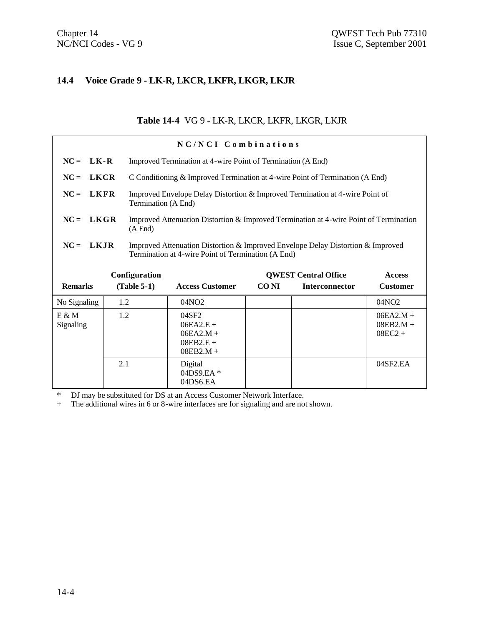## **14.4 Voice Grade 9 - LK-R, LKCR, LKFR, LKGR, LKJR**

# **Table 14-4** VG 9 - LK-R, LKCR, LKFR, LKGR, LKJR

|                       |     |                     | NC/NCI Combinations                                                                                                                   |                  |                             |                                         |  |  |
|-----------------------|-----|---------------------|---------------------------------------------------------------------------------------------------------------------------------------|------------------|-----------------------------|-----------------------------------------|--|--|
| $NC = LK-R$           |     |                     | Improved Termination at 4-wire Point of Termination (A End)                                                                           |                  |                             |                                         |  |  |
| $NC =$<br><b>LKCR</b> |     |                     | C Conditioning & Improved Termination at 4-wire Point of Termination (A End)                                                          |                  |                             |                                         |  |  |
| $NC = LKFR$           |     | Termination (A End) | Improved Envelope Delay Distortion & Improved Termination at 4-wire Point of                                                          |                  |                             |                                         |  |  |
| LKGR<br>$NC =$        |     | (A End)             | Improved Attenuation Distortion & Improved Termination at 4-wire Point of Termination                                                 |                  |                             |                                         |  |  |
| $NC = LKJR$           |     |                     | Improved Attenuation Distortion & Improved Envelope Delay Distortion & Improved<br>Termination at 4-wire Point of Termination (A End) |                  |                             |                                         |  |  |
|                       |     | Configuration       |                                                                                                                                       |                  | <b>QWEST Central Office</b> | <b>Access</b>                           |  |  |
| <b>Remarks</b>        |     | $(Table 5-1)$       | <b>Access Customer</b>                                                                                                                | CO <sub>NI</sub> | <b>Interconnector</b>       | <b>Customer</b>                         |  |  |
| No Signaling          | 1.2 |                     | 04NO <sub>2</sub>                                                                                                                     |                  |                             | 04NO2                                   |  |  |
| $E \& M$<br>Signaling | 1.2 |                     | 04SF2<br>$06EA2.E +$<br>$06EA2.M +$<br>$08EB2.E +$<br>$08EB2.M +$                                                                     |                  |                             | $06EA2.M +$<br>$08EB2.M +$<br>$08EC2 +$ |  |  |
|                       | 2.1 |                     | Digital<br>04DS9.EA*<br>04DS6.EA                                                                                                      |                  |                             | 04SF2.EA                                |  |  |

\* DJ may be substituted for DS at an Access Customer Network Interface.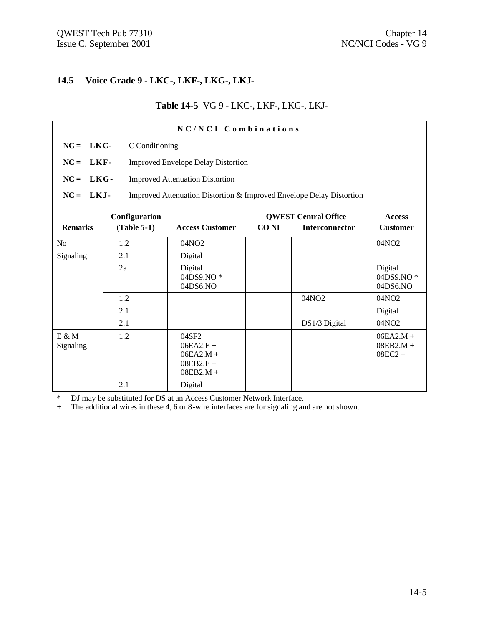# **14.5 Voice Grade 9 - LKC-, LKF-, LKG-, LKJ-**

#### **Table 14-5** VG 9 - LKC-, LKF-, LKG-, LKJ-

| NC/NCI Combinations                                           |               |                                                                      |       |                       |                                         |  |
|---------------------------------------------------------------|---------------|----------------------------------------------------------------------|-------|-----------------------|-----------------------------------------|--|
| $NC = LKC$<br>C Conditioning                                  |               |                                                                      |       |                       |                                         |  |
| $NC = LKF -$                                                  |               | <b>Improved Envelope Delay Distortion</b>                            |       |                       |                                         |  |
| $NC = LKG$                                                    |               | <b>Improved Attenuation Distortion</b>                               |       |                       |                                         |  |
| $NC = LKJ$                                                    |               | Improved Attenuation Distortion & Improved Envelope Delay Distortion |       |                       |                                         |  |
| Configuration<br><b>QWEST Central Office</b><br><b>Access</b> |               |                                                                      |       |                       |                                         |  |
| <b>Remarks</b>                                                | $(Table 5-1)$ | <b>Access Customer</b>                                               | CO NI | <b>Interconnector</b> | <b>Customer</b>                         |  |
| N <sub>0</sub>                                                | 1.2           | 04NO <sub>2</sub>                                                    |       |                       | 04NO <sub>2</sub>                       |  |
| Signaling                                                     | 2.1           | Digital                                                              |       |                       |                                         |  |
|                                                               | 2a            | Digital<br>04DS9.NO*<br>04DS6.NO                                     |       |                       | Digital<br>04DS9.NO*<br>04DS6.NO        |  |
|                                                               | 1.2           |                                                                      |       | 04NO2                 | 04NO <sub>2</sub>                       |  |
|                                                               | 2.1           |                                                                      |       |                       | Digital                                 |  |
|                                                               | 2.1           |                                                                      |       | DS1/3 Digital         | 04NO <sub>2</sub>                       |  |
| $E \& M$<br>Signaling                                         | 1.2           | 04SF2<br>$06EA2.E +$<br>$06EA2.M +$<br>$08EB2.E +$<br>$08EB2.M +$    |       |                       | $06EA2.M +$<br>$08EB2.M +$<br>$08EC2 +$ |  |
|                                                               | 2.1           | Digital                                                              |       |                       |                                         |  |

\* DJ may be substituted for DS at an Access Customer Network Interface.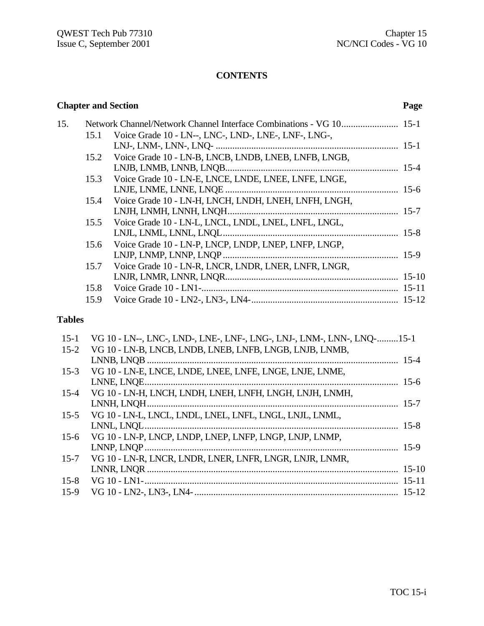#### **CONTENTS**

## **Chapter and Section Page** 15. Network Channel/Network Channel Interface Combinations - VG 10........................ 15-1 15.1 Voice Grade 10 - LN--, LNC-, LND-, LNE-, LNF-, LNG-, LNJ-, LNM-, LNN-, LNQ- ............................................................................. 15-1 15.2 Voice Grade 10 - LN-B, LNCB, LNDB, LNEB, LNFB, LNGB, LNJB, LNMB, LNNB, LNQB......................................................................... 15-4 15.3 Voice Grade 10 - LN-E, LNCE, LNDE, LNEE, LNFE, LNGE, LNJE, LNME, LNNE, LNQE ......................................................................... 15-6 15.4 Voice Grade 10 - LN-H, LNCH, LNDH, LNEH, LNFH, LNGH, LNJH, LNMH, LNNH, LNQH........................................................................ 15-7 15.5 Voice Grade 10 - LN-L, LNCL, LNDL, LNEL, LNFL, LNGL, LNJL, LNML, LNNL, LNQL.......................................................................... 15-8 15.6 Voice Grade 10 - LN-P, LNCP, LNDP, LNEP, LNFP, LNGP, LNJP, LNMP, LNNP, LNQP.......................................................................... 15-9 15.7 Voice Grade 10 - LN-R, LNCR, LNDR, LNER, LNFR, LNGR, LNJR, LNMR, LNNR, LNQR......................................................................... 15-10 15.8 Voice Grade 10 - LN1-................................................................................... 15-11 15.9 Voice Grade 10 - LN2-, LN3-, LN4-.............................................................. 15-12

#### **Tables**

| $15-1$   | VG 10 - LN--, LNC-, LND-, LNE-, LNF-, LNG-, LNJ-, LNM-, LNN-, LNO-15-1 |  |
|----------|------------------------------------------------------------------------|--|
| $15 - 2$ | VG 10 - LN-B, LNCB, LNDB, LNEB, LNFB, LNGB, LNJB, LNMB,                |  |
|          |                                                                        |  |
| $15-3$   | VG 10 - LN-E, LNCE, LNDE, LNEE, LNFE, LNGE, LNJE, LNME,                |  |
|          |                                                                        |  |
| $15 - 4$ | VG 10 - LN-H, LNCH, LNDH, LNEH, LNFH, LNGH, LNJH, LNMH,                |  |
|          |                                                                        |  |
| $15-5$   | VG 10 - LN-L, LNCL, LNDL, LNEL, LNFL, LNGL, LNJL, LNML,                |  |
|          |                                                                        |  |
| $15-6$   | VG 10 - LN-P, LNCP, LNDP, LNEP, LNFP, LNGP, LNJP, LNMP,                |  |
|          |                                                                        |  |
| $15 - 7$ | VG 10 - LN-R, LNCR, LNDR, LNER, LNFR, LNGR, LNJR, LNMR,                |  |
|          |                                                                        |  |
| $15 - 8$ |                                                                        |  |
| $15-9$   |                                                                        |  |
|          |                                                                        |  |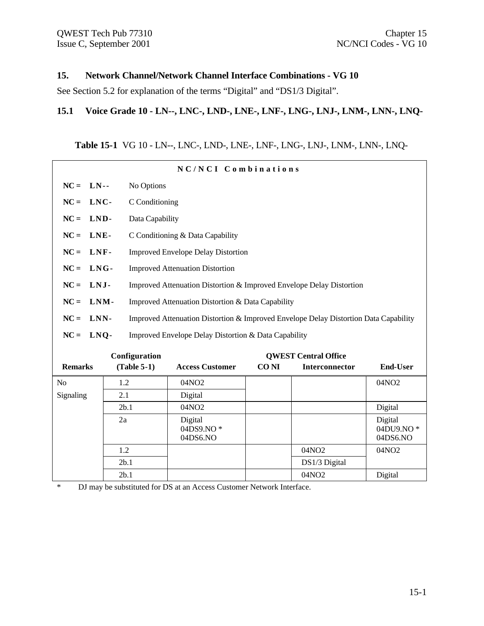#### **15. Network Channel/Network Channel Interface Combinations - VG 10**

See Section 5.2 for explanation of the terms "Digital" and "DS1/3 Digital".

#### **15.1 Voice Grade 10 - LN--, LNC-, LND-, LNE-, LNF-, LNG-, LNJ-, LNM-, LNN-, LNQ-**

# **Table 15-1** VG 10 - LN--, LNC-, LND-, LNE-, LNF-, LNG-, LNJ-, LNM-, LNN-, LNQ-

| NC/NCI Combinations |      |                 |                                                                                      |             |                             |                                  |  |  |
|---------------------|------|-----------------|--------------------------------------------------------------------------------------|-------------|-----------------------------|----------------------------------|--|--|
| $NC = LN$ --        |      | No Options      |                                                                                      |             |                             |                                  |  |  |
| $NC =$<br>LNC-      |      | C Conditioning  |                                                                                      |             |                             |                                  |  |  |
| $NC =$              | LND- | Data Capability |                                                                                      |             |                             |                                  |  |  |
| $NC =$              | LNE- |                 | C Conditioning & Data Capability                                                     |             |                             |                                  |  |  |
| $NC =$              | LNF- |                 | <b>Improved Envelope Delay Distortion</b>                                            |             |                             |                                  |  |  |
| $NC =$              | LNG- |                 | <b>Improved Attenuation Distortion</b>                                               |             |                             |                                  |  |  |
| LNJ-<br>$NC =$      |      |                 | Improved Attenuation Distortion & Improved Envelope Delay Distortion                 |             |                             |                                  |  |  |
| $NC =$              | LNM- |                 | Improved Attenuation Distortion & Data Capability                                    |             |                             |                                  |  |  |
| $NC =$              | LNN- |                 | Improved Attenuation Distortion & Improved Envelope Delay Distortion Data Capability |             |                             |                                  |  |  |
| $NC =$              | LNO- |                 | Improved Envelope Delay Distortion & Data Capability                                 |             |                             |                                  |  |  |
|                     |      | Configuration   |                                                                                      |             | <b>OWEST Central Office</b> |                                  |  |  |
| <b>Remarks</b>      |      | $(Table 5-1)$   | <b>Access Customer</b>                                                               | <b>CONI</b> | Interconnector              | <b>End-User</b>                  |  |  |
| No                  | 1.2  |                 | 04NO2                                                                                |             |                             | 04NO2                            |  |  |
| Signaling           | 2.1  |                 | Digital                                                                              |             |                             |                                  |  |  |
| 2b.1                |      | 04NO2           |                                                                                      |             | Digital                     |                                  |  |  |
|                     | 2a   |                 | Digital<br>04DS9.NO*<br>04DS6.NO                                                     |             |                             | Digital<br>04DU9.NO*<br>04DS6.NO |  |  |
|                     | 1.2  |                 |                                                                                      |             | 04NO2                       | 04NO <sub>2</sub>                |  |  |
|                     | 2b.1 |                 |                                                                                      |             | DS1/3 Digital               |                                  |  |  |
|                     | 2b.1 |                 |                                                                                      |             | 04NO2                       | Digital                          |  |  |

\* DJ may be substituted for DS at an Access Customer Network Interface.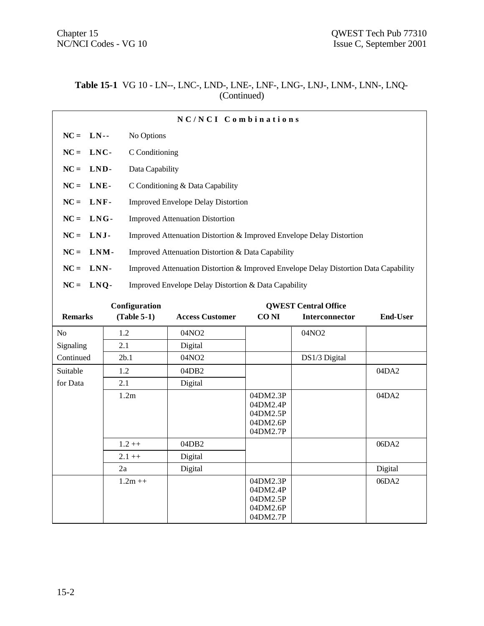NC/NCI Codes - VG 10 Issue C, September 2001

#### **Table 15-1** VG 10 - LN--, LNC-, LND-, LNE-, LNF-, LNG-, LNJ-, LNM-, LNN-, LNQ- (Continued)

| NC/NCI Combinations                          |                                                                                      |  |  |  |  |
|----------------------------------------------|--------------------------------------------------------------------------------------|--|--|--|--|
| $NC = LN$                                    | No Options                                                                           |  |  |  |  |
| $NC = LNC$                                   | C Conditioning                                                                       |  |  |  |  |
| $NC = LND$                                   | Data Capability                                                                      |  |  |  |  |
| $NC = LNE$ -                                 | C Conditioning & Data Capability                                                     |  |  |  |  |
| $NC = LNF$                                   | <b>Improved Envelope Delay Distortion</b>                                            |  |  |  |  |
| $NC = LNG$                                   | <b>Improved Attenuation Distortion</b>                                               |  |  |  |  |
| $NC = LMJ$                                   | Improved Attenuation Distortion & Improved Envelope Delay Distortion                 |  |  |  |  |
| $NC = LMM$ -                                 | Improved Attenuation Distortion & Data Capability                                    |  |  |  |  |
| $NC = LNN$ -                                 | Improved Attenuation Distortion & Improved Envelope Delay Distortion Data Capability |  |  |  |  |
| $NC = LNQ$                                   | Improved Envelope Delay Distortion & Data Capability                                 |  |  |  |  |
| Configuration<br><b>QWEST Central Office</b> |                                                                                      |  |  |  |  |

| <b>Remarks</b> | <b>Comiguration</b><br>$(Table 5-1)$ | <b>Access Customer</b> | CO <sub>NI</sub>                                         | <b>OWEDI</b> Central Office<br>Interconnector | <b>End-User</b> |
|----------------|--------------------------------------|------------------------|----------------------------------------------------------|-----------------------------------------------|-----------------|
| N <sub>0</sub> | 1.2                                  | 04NO <sub>2</sub>      |                                                          | 04NO <sub>2</sub>                             |                 |
| Signaling      | 2.1                                  | Digital                |                                                          |                                               |                 |
| Continued      | 2b.1                                 | 04NO2                  |                                                          | DS1/3 Digital                                 |                 |
| Suitable       | 1.2                                  | 04DB2                  |                                                          |                                               | 04DA2           |
| for Data       | 2.1                                  | Digital                |                                                          |                                               |                 |
|                | 1.2m                                 |                        | 04DM2.3P<br>04DM2.4P<br>04DM2.5P<br>04DM2.6P<br>04DM2.7P |                                               | 04DA2           |
|                | $1.2 ++$                             | 04DB2                  |                                                          |                                               | 06DA2           |
|                | $2.1 + +$                            | Digital                |                                                          |                                               |                 |
|                | 2a                                   | Digital                |                                                          |                                               | Digital         |
|                | $1.2m + +$                           |                        | 04DM2.3P<br>04DM2.4P<br>04DM2.5P<br>04DM2.6P<br>04DM2.7P |                                               | 06DA2           |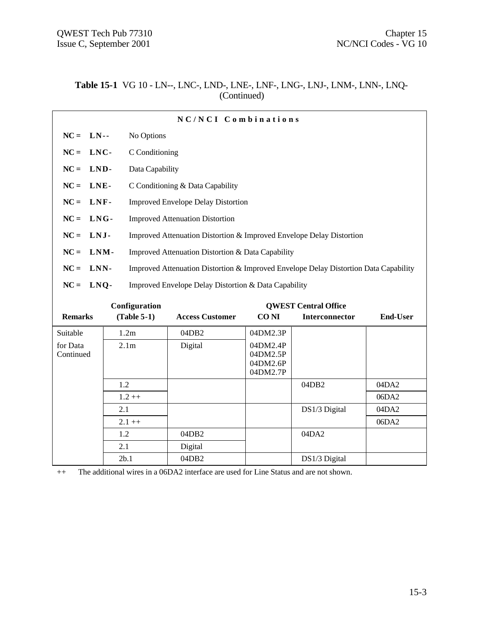#### **Table 15-1** VG 10 - LN--, LNC-, LND-, LNE-, LNF-, LNG-, LNJ-, LNM-, LNN-, LNQ- (Continued)

| NC/NCI Combinations                          |                  |                                                                      |                                                                                      |                                  |                       |                 |  |
|----------------------------------------------|------------------|----------------------------------------------------------------------|--------------------------------------------------------------------------------------|----------------------------------|-----------------------|-----------------|--|
| $NC = LN$ --                                 |                  | No Options                                                           |                                                                                      |                                  |                       |                 |  |
| $NC = LNC$                                   |                  | C Conditioning                                                       |                                                                                      |                                  |                       |                 |  |
| $NC = LND$                                   |                  | Data Capability                                                      |                                                                                      |                                  |                       |                 |  |
| LNE-<br>$NC =$                               |                  | C Conditioning & Data Capability                                     |                                                                                      |                                  |                       |                 |  |
| $NC = LNF$                                   |                  | <b>Improved Envelope Delay Distortion</b>                            |                                                                                      |                                  |                       |                 |  |
| $NC = LMG$ -                                 |                  | <b>Improved Attenuation Distortion</b>                               |                                                                                      |                                  |                       |                 |  |
| $NC = LMJ$ -                                 |                  | Improved Attenuation Distortion & Improved Envelope Delay Distortion |                                                                                      |                                  |                       |                 |  |
| $NC = LMM$ -                                 |                  | Improved Attenuation Distortion & Data Capability                    |                                                                                      |                                  |                       |                 |  |
| LNN-<br>$NC =$                               |                  |                                                                      | Improved Attenuation Distortion & Improved Envelope Delay Distortion Data Capability |                                  |                       |                 |  |
| $NC = LNQ$                                   |                  | Improved Envelope Delay Distortion & Data Capability                 |                                                                                      |                                  |                       |                 |  |
| Configuration<br><b>OWEST Central Office</b> |                  |                                                                      |                                                                                      |                                  |                       |                 |  |
| <b>Remarks</b>                               | $(Table 5-1)$    |                                                                      | <b>Access Customer</b>                                                               | CO NI                            | <b>Interconnector</b> | <b>End-User</b> |  |
| Suitable                                     | 1.2m             |                                                                      | 04DB2                                                                                | 04DM2.3P                         |                       |                 |  |
| for Data<br>Continued                        | 2.1 <sub>m</sub> |                                                                      | Digital                                                                              | 04DM2.4P<br>04DM2.5P<br>04DM2.6P |                       |                 |  |

04DM2.7P 1.2  $\vert$  04DB2  $\vert$  04DA2  $1.2++$  06DA2 2.1 **DS1/3 Digital** 04DA2  $2.1 + +$  06DA2

++ The additional wires in a 06DA2 interface are used for Line Status and are not shown.

2.1 Digital

1.2 04DB2 04DA2

2b.1 04DB2 DS1/3 Digital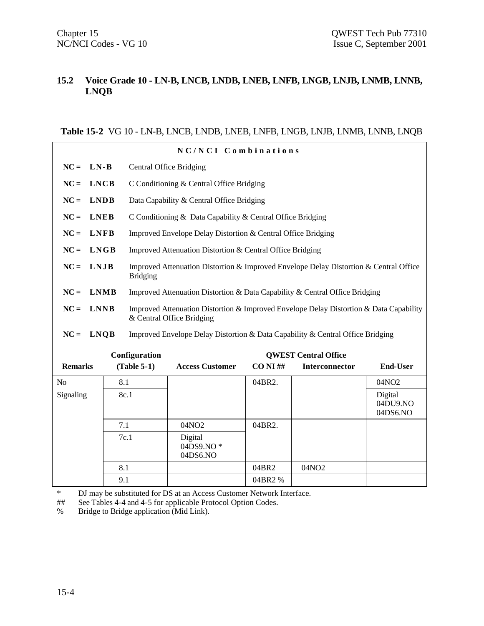#### **15.2 Voice Grade 10 - LN-B, LNCB, LNDB, LNEB, LNFB, LNGB, LNJB, LNMB, LNNB, LNQB**

#### **Table 15-2** VG 10 - LN-B, LNCB, LNDB, LNEB, LNFB, LNGB, LNJB, LNMB, LNNB, LNQB

| NC/NCI Combinations             |                                                                                               |                                                                                                          |                                                                                        |             |                |                                 |  |  |
|---------------------------------|-----------------------------------------------------------------------------------------------|----------------------------------------------------------------------------------------------------------|----------------------------------------------------------------------------------------|-------------|----------------|---------------------------------|--|--|
| $LN-B$<br>$NC =$                |                                                                                               | <b>Central Office Bridging</b>                                                                           |                                                                                        |             |                |                                 |  |  |
| $NC =$                          | <b>LNCB</b>                                                                                   | C Conditioning & Central Office Bridging                                                                 |                                                                                        |             |                |                                 |  |  |
| $NC =$                          | <b>LNDB</b>                                                                                   | Data Capability & Central Office Bridging                                                                |                                                                                        |             |                |                                 |  |  |
| $NC =$                          | <b>LNEB</b>                                                                                   | C Conditioning & Data Capability & Central Office Bridging                                               |                                                                                        |             |                |                                 |  |  |
| $NC =$<br><b>LNFB</b>           |                                                                                               | Improved Envelope Delay Distortion & Central Office Bridging                                             |                                                                                        |             |                |                                 |  |  |
| $NC =$                          | <b>LNGB</b>                                                                                   | Improved Attenuation Distortion & Central Office Bridging                                                |                                                                                        |             |                |                                 |  |  |
| LNJB<br>$NC =$                  |                                                                                               | Improved Attenuation Distortion & Improved Envelope Delay Distortion & Central Office<br><b>Bridging</b> |                                                                                        |             |                |                                 |  |  |
| $NC =$                          | <b>LNMB</b>                                                                                   | Improved Attenuation Distortion & Data Capability & Central Office Bridging                              |                                                                                        |             |                |                                 |  |  |
| $NC =$                          | <b>LNNB</b>                                                                                   | & Central Office Bridging                                                                                | Improved Attenuation Distortion & Improved Envelope Delay Distortion & Data Capability |             |                |                                 |  |  |
| $NC =$                          | <b>LNQB</b><br>Improved Envelope Delay Distortion & Data Capability & Central Office Bridging |                                                                                                          |                                                                                        |             |                |                                 |  |  |
| Configuration                   |                                                                                               |                                                                                                          | <b>QWEST Central Office</b>                                                            |             |                |                                 |  |  |
| <b>Remarks</b><br>$(Table 5-1)$ |                                                                                               |                                                                                                          | <b>Access Customer</b>                                                                 | $CO$ NI $#$ | Interconnector | <b>End-User</b>                 |  |  |
| N <sub>0</sub>                  | 8.1                                                                                           |                                                                                                          |                                                                                        | 04BR2.      |                | 04NO <sub>2</sub>               |  |  |
| Signaling<br>8c.1               |                                                                                               |                                                                                                          |                                                                                        |             |                | Digital<br>04DU9.NO<br>04DS6.NO |  |  |
|                                 | 7.1                                                                                           |                                                                                                          | 04NO2                                                                                  | 04BR2.      |                |                                 |  |  |
| 7c.1                            |                                                                                               | Digital<br>04DS9.NO*<br>04DS6.NO                                                                         |                                                                                        |             |                |                                 |  |  |
|                                 | 8.1                                                                                           |                                                                                                          |                                                                                        | 04BR2       | 04NO2          |                                 |  |  |
|                                 | 9.1                                                                                           |                                                                                                          |                                                                                        | 04BR2%      |                |                                 |  |  |

\* DJ may be substituted for DS at an Access Customer Network Interface.

## See Tables 4-4 and 4-5 for applicable Protocol Option Codes.

% Bridge to Bridge application (Mid Link).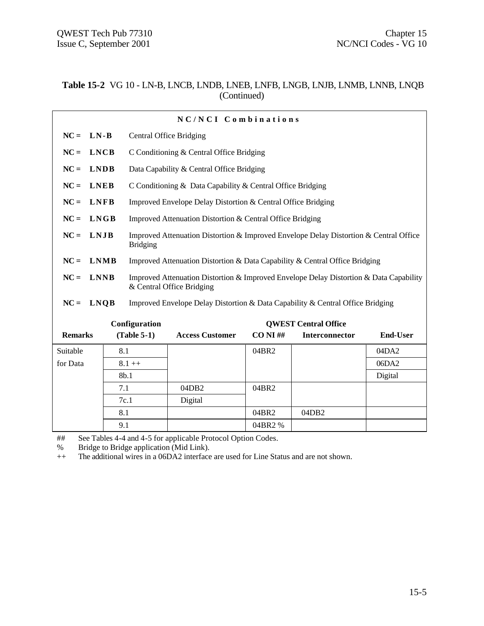#### **Table 15-2** VG 10 - LN-B, LNCB, LNDB, LNEB, LNFB, LNGB, LNJB, LNMB, LNNB, LNQB (Continued)

| NC/NCI Combinations                          |                                                                                               |                                                              |                                                                                                                     |              |                |                 |  |  |
|----------------------------------------------|-----------------------------------------------------------------------------------------------|--------------------------------------------------------------|---------------------------------------------------------------------------------------------------------------------|--------------|----------------|-----------------|--|--|
| $LN-B$<br>$NC =$                             |                                                                                               | <b>Central Office Bridging</b>                               |                                                                                                                     |              |                |                 |  |  |
| $NC =$<br><b>LNCB</b>                        |                                                                                               | C Conditioning & Central Office Bridging                     |                                                                                                                     |              |                |                 |  |  |
| <b>LNDB</b><br>$NC =$                        |                                                                                               | Data Capability & Central Office Bridging                    |                                                                                                                     |              |                |                 |  |  |
| <b>LNEB</b><br>$NC =$                        |                                                                                               | C Conditioning & Data Capability & Central Office Bridging   |                                                                                                                     |              |                |                 |  |  |
| <b>LNFB</b><br>$NC =$                        |                                                                                               | Improved Envelope Delay Distortion & Central Office Bridging |                                                                                                                     |              |                |                 |  |  |
| $NC =$<br><b>LNGB</b>                        |                                                                                               | Improved Attenuation Distortion & Central Office Bridging    |                                                                                                                     |              |                |                 |  |  |
| LNJB<br>$NC =$                               |                                                                                               | <b>Bridging</b>                                              | Improved Attenuation Distortion & Improved Envelope Delay Distortion & Central Office                               |              |                |                 |  |  |
| $NC =$                                       | <b>LNMB</b>                                                                                   |                                                              | Improved Attenuation Distortion & Data Capability & Central Office Bridging                                         |              |                |                 |  |  |
| <b>LNNB</b><br>$NC =$                        |                                                                                               |                                                              | Improved Attenuation Distortion & Improved Envelope Delay Distortion & Data Capability<br>& Central Office Bridging |              |                |                 |  |  |
| $NC =$                                       | <b>LNQB</b><br>Improved Envelope Delay Distortion & Data Capability & Central Office Bridging |                                                              |                                                                                                                     |              |                |                 |  |  |
| Configuration<br><b>OWEST Central Office</b> |                                                                                               |                                                              |                                                                                                                     |              |                |                 |  |  |
| <b>Remarks</b>                               |                                                                                               | $(Table 5-1)$                                                | <b>Access Customer</b>                                                                                              | $CO$ NI $\#$ | Interconnector | <b>End-User</b> |  |  |
| Suitable                                     | 8.1                                                                                           |                                                              |                                                                                                                     | 04BR2        |                | 04DA2           |  |  |
| for Data                                     | $8.1++$                                                                                       |                                                              |                                                                                                                     |              |                | 06DA2           |  |  |
|                                              | 8b.1                                                                                          |                                                              |                                                                                                                     |              |                | Digital         |  |  |
|                                              | 7.1                                                                                           |                                                              | 04DB2                                                                                                               | 04BR2        |                |                 |  |  |
|                                              |                                                                                               | 7c.1                                                         | Digital                                                                                                             |              |                |                 |  |  |
| 8.1                                          |                                                                                               |                                                              |                                                                                                                     | 04BR2        | 04DB2          |                 |  |  |
|                                              | 9.1                                                                                           |                                                              |                                                                                                                     | 04BR2 %      |                |                 |  |  |

## See Tables 4-4 and 4-5 for applicable Protocol Option Codes.

% Bridge to Bridge application (Mid Link).

++ The additional wires in a 06DA2 interface are used for Line Status and are not shown.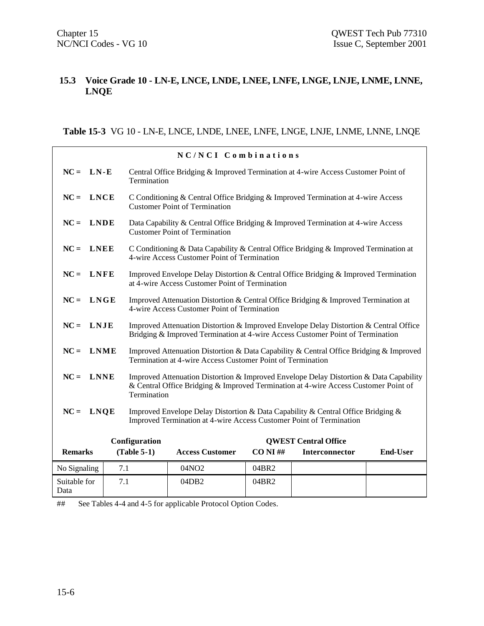#### **15.3 Voice Grade 10 - LN-E, LNCE, LNDE, LNEE, LNFE, LNGE, LNJE, LNME, LNNE, LNQE**

**Table 15-3** VG 10 - LN-E, LNCE, LNDE, LNEE, LNFE, LNGE, LNJE, LNME, LNNE, LNQE

| NC/NCI Combinations                          |                                                                                                                                                                        |                                                                                                                                                                                              |                                                                                                                          |             |                |                 |  |
|----------------------------------------------|------------------------------------------------------------------------------------------------------------------------------------------------------------------------|----------------------------------------------------------------------------------------------------------------------------------------------------------------------------------------------|--------------------------------------------------------------------------------------------------------------------------|-------------|----------------|-----------------|--|
| $NC = LN - E$                                |                                                                                                                                                                        | Central Office Bridging & Improved Termination at 4-wire Access Customer Point of<br>Termination                                                                                             |                                                                                                                          |             |                |                 |  |
| $NC = LNCE$                                  |                                                                                                                                                                        |                                                                                                                                                                                              | C Conditioning & Central Office Bridging & Improved Termination at 4-wire Access<br><b>Customer Point of Termination</b> |             |                |                 |  |
| $NC = LMDE$                                  |                                                                                                                                                                        | Data Capability & Central Office Bridging & Improved Termination at 4-wire Access<br><b>Customer Point of Termination</b>                                                                    |                                                                                                                          |             |                |                 |  |
| $NC =$<br><b>LNEE</b>                        |                                                                                                                                                                        | C Conditioning & Data Capability & Central Office Bridging & Improved Termination at<br>4-wire Access Customer Point of Termination                                                          |                                                                                                                          |             |                |                 |  |
| $NC = LNFE$                                  |                                                                                                                                                                        | Improved Envelope Delay Distortion & Central Office Bridging & Improved Termination<br>at 4-wire Access Customer Point of Termination                                                        |                                                                                                                          |             |                |                 |  |
| $NC = LNGE$                                  |                                                                                                                                                                        | Improved Attenuation Distortion & Central Office Bridging & Improved Termination at<br>4-wire Access Customer Point of Termination                                                           |                                                                                                                          |             |                |                 |  |
| $NC = LMJE$                                  |                                                                                                                                                                        | Improved Attenuation Distortion & Improved Envelope Delay Distortion & Central Office<br>Bridging & Improved Termination at 4-wire Access Customer Point of Termination                      |                                                                                                                          |             |                |                 |  |
| $NC = LMME$                                  |                                                                                                                                                                        | Improved Attenuation Distortion & Data Capability & Central Office Bridging & Improved<br>Termination at 4-wire Access Customer Point of Termination                                         |                                                                                                                          |             |                |                 |  |
| $NC =$ LNNE                                  |                                                                                                                                                                        | Improved Attenuation Distortion & Improved Envelope Delay Distortion & Data Capability<br>& Central Office Bridging & Improved Termination at 4-wire Access Customer Point of<br>Termination |                                                                                                                          |             |                |                 |  |
|                                              | $NC = LMQE$<br>Improved Envelope Delay Distortion & Data Capability & Central Office Bridging &<br>Improved Termination at 4-wire Access Customer Point of Termination |                                                                                                                                                                                              |                                                                                                                          |             |                |                 |  |
| Configuration<br><b>QWEST Central Office</b> |                                                                                                                                                                        |                                                                                                                                                                                              |                                                                                                                          |             |                |                 |  |
| <b>Remarks</b>                               |                                                                                                                                                                        | $(Table 5-1)$                                                                                                                                                                                | <b>Access Customer</b>                                                                                                   | $CO NI \#H$ | Interconnector | <b>End-User</b> |  |
| No Signaling                                 | 7.1                                                                                                                                                                    |                                                                                                                                                                                              | 04NO <sub>2</sub>                                                                                                        | 04BR2       |                |                 |  |
| Suitable for<br>Data                         | 7.1                                                                                                                                                                    |                                                                                                                                                                                              | 04DB2                                                                                                                    | 04BR2       |                |                 |  |

## See Tables 4-4 and 4-5 for applicable Protocol Option Codes.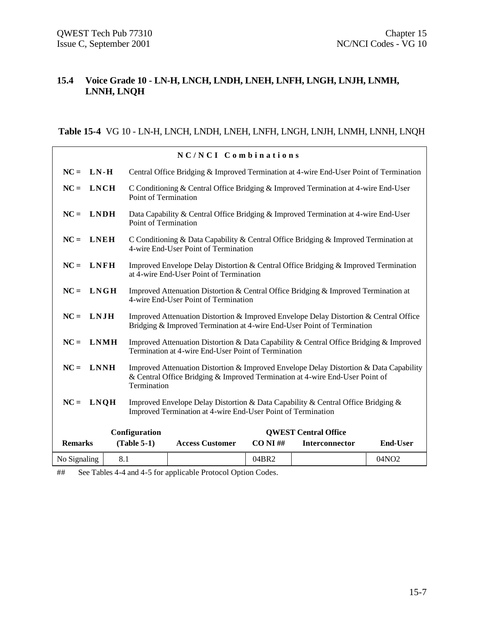## **15.4 Voice Grade 10 - LN-H, LNCH, LNDH, LNEH, LNFH, LNGH, LNJH, LNMH, LNNH, LNQH**

## **Table 15-4** VG 10 - LN-H, LNCH, LNDH, LNEH, LNFH, LNGH, LNJH, LNMH, LNNH, LNQH

|                                                                                                                                                                 | NC/NCI Combinations |                      |                                                                                                                                                                        |             |                             |                   |  |  |
|-----------------------------------------------------------------------------------------------------------------------------------------------------------------|---------------------|----------------------|------------------------------------------------------------------------------------------------------------------------------------------------------------------------|-------------|-----------------------------|-------------------|--|--|
| $NC = LN - H$                                                                                                                                                   |                     |                      | Central Office Bridging & Improved Termination at 4-wire End-User Point of Termination                                                                                 |             |                             |                   |  |  |
| $NC = LNCH$                                                                                                                                                     |                     | Point of Termination | C Conditioning & Central Office Bridging & Improved Termination at 4-wire End-User                                                                                     |             |                             |                   |  |  |
| $NC = LNDH$                                                                                                                                                     |                     | Point of Termination | Data Capability & Central Office Bridging & Improved Termination at 4-wire End-User                                                                                    |             |                             |                   |  |  |
| $NC = LNEH$                                                                                                                                                     |                     |                      | C Conditioning & Data Capability & Central Office Bridging & Improved Termination at<br>4-wire End-User Point of Termination                                           |             |                             |                   |  |  |
| $NC = LNFH$                                                                                                                                                     |                     |                      | Improved Envelope Delay Distortion & Central Office Bridging & Improved Termination<br>at 4-wire End-User Point of Termination                                         |             |                             |                   |  |  |
| $NC = LNGH$                                                                                                                                                     |                     |                      | Improved Attenuation Distortion & Central Office Bridging & Improved Termination at<br>4-wire End-User Point of Termination                                            |             |                             |                   |  |  |
| $NC = LMJH$                                                                                                                                                     |                     |                      | Improved Attenuation Distortion & Improved Envelope Delay Distortion & Central Office<br>Bridging & Improved Termination at 4-wire End-User Point of Termination       |             |                             |                   |  |  |
| $NC = LMMH$                                                                                                                                                     |                     |                      | Improved Attenuation Distortion & Data Capability & Central Office Bridging & Improved<br>Termination at 4-wire End-User Point of Termination                          |             |                             |                   |  |  |
| $NC = LNNH$                                                                                                                                                     |                     | Termination          | Improved Attenuation Distortion & Improved Envelope Delay Distortion & Data Capability<br>& Central Office Bridging & Improved Termination at 4-wire End-User Point of |             |                             |                   |  |  |
| $NC = LMQH$<br>Improved Envelope Delay Distortion & Data Capability & Central Office Bridging &<br>Improved Termination at 4-wire End-User Point of Termination |                     |                      |                                                                                                                                                                        |             |                             |                   |  |  |
|                                                                                                                                                                 |                     | Configuration        |                                                                                                                                                                        |             | <b>QWEST Central Office</b> |                   |  |  |
| <b>Remarks</b>                                                                                                                                                  |                     | $(Table 5-1)$        | <b>Access Customer</b>                                                                                                                                                 | $CO NI \#H$ | Interconnector              | <b>End-User</b>   |  |  |
| No Signaling                                                                                                                                                    | 8.1                 |                      |                                                                                                                                                                        | 04BR2       |                             | 04NO <sub>2</sub> |  |  |

## See Tables 4-4 and 4-5 for applicable Protocol Option Codes.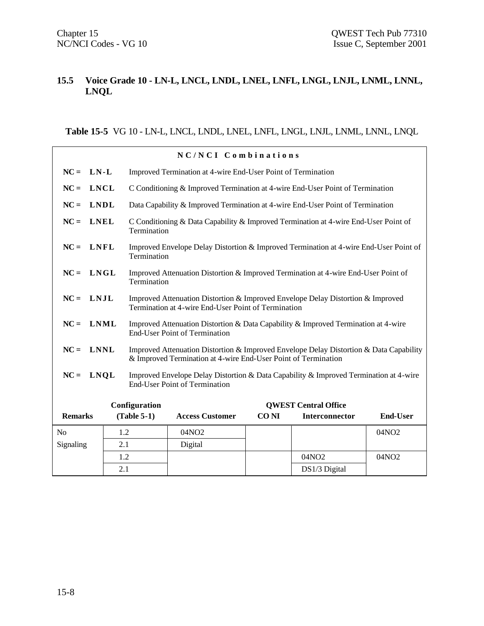## **15.5 Voice Grade 10 - LN-L, LNCL, LNDL, LNEL, LNFL, LNGL, LNJL, LNML, LNNL, LNQL**

**Table 15-5** VG 10 - LN-L, LNCL, LNDL, LNEL, LNFL, LNGL, LNJL, LNML, LNNL, LNQL

|                | NC/NCI Combinations |     |               |                                                                                                                                                          |             |                             |                   |  |
|----------------|---------------------|-----|---------------|----------------------------------------------------------------------------------------------------------------------------------------------------------|-------------|-----------------------------|-------------------|--|
| $NC =$         | $LN-L$              |     |               | Improved Termination at 4-wire End-User Point of Termination                                                                                             |             |                             |                   |  |
| $NC =$         | <b>LNCL</b>         |     |               | C Conditioning & Improved Termination at 4-wire End-User Point of Termination                                                                            |             |                             |                   |  |
| $NC =$         | <b>LNDL</b>         |     |               | Data Capability & Improved Termination at 4-wire End-User Point of Termination                                                                           |             |                             |                   |  |
| $NC =$         | <b>LNEL</b>         |     | Termination   | C Conditioning & Data Capability & Improved Termination at 4-wire End-User Point of                                                                      |             |                             |                   |  |
| $NC =$         | <b>LNFL</b>         |     | Termination   | Improved Envelope Delay Distortion & Improved Termination at 4-wire End-User Point of                                                                    |             |                             |                   |  |
| $NC = LNGL$    |                     |     | Termination   | Improved Attenuation Distortion & Improved Termination at 4-wire End-User Point of                                                                       |             |                             |                   |  |
| $NC =$         | LNJL                |     |               | Improved Attenuation Distortion & Improved Envelope Delay Distortion & Improved<br>Termination at 4-wire End-User Point of Termination                   |             |                             |                   |  |
| $NC =$         | <b>LNML</b>         |     |               | Improved Attenuation Distortion & Data Capability & Improved Termination at 4-wire<br><b>End-User Point of Termination</b>                               |             |                             |                   |  |
| $NC =$         | <b>LNNL</b>         |     |               | Improved Attenuation Distortion & Improved Envelope Delay Distortion & Data Capability<br>& Improved Termination at 4-wire End-User Point of Termination |             |                             |                   |  |
| $NC =$         | <b>LNQL</b>         |     |               | Improved Envelope Delay Distortion & Data Capability & Improved Termination at 4-wire<br><b>End-User Point of Termination</b>                            |             |                             |                   |  |
|                |                     |     | Configuration |                                                                                                                                                          |             | <b>OWEST Central Office</b> |                   |  |
| <b>Remarks</b> |                     |     | $(Table 5-1)$ | <b>Access Customer</b>                                                                                                                                   | <b>CONI</b> | Interconnector              | <b>End-User</b>   |  |
| No             |                     | 1.2 |               | 04NO <sub>2</sub>                                                                                                                                        |             |                             | 04NO <sub>2</sub> |  |
| Signaling      |                     | 2.1 |               | Digital                                                                                                                                                  |             |                             |                   |  |
|                |                     | 1.2 |               |                                                                                                                                                          |             | 04NO2                       | 04NO <sub>2</sub> |  |
|                |                     | 2.1 |               |                                                                                                                                                          |             | DS1/3 Digital               |                   |  |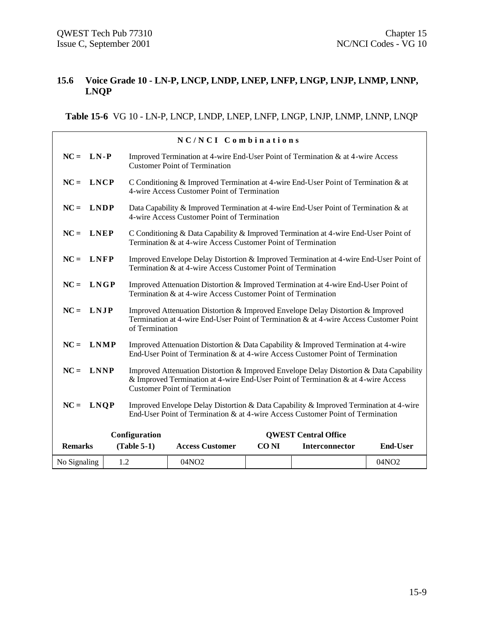## **15.6 Voice Grade 10 - LN-P, LNCP, LNDP, LNEP, LNFP, LNGP, LNJP, LNMP, LNNP, LNQP**

**Table 15-6** VG 10 - LN-P, LNCP, LNDP, LNEP, LNFP, LNGP, LNJP, LNMP, LNNP, LNQP

| NC/NCI Combinations |  |  |                |                                                                                                                                                                                                                     |             |                             |                   |  |
|---------------------|--|--|----------------|---------------------------------------------------------------------------------------------------------------------------------------------------------------------------------------------------------------------|-------------|-----------------------------|-------------------|--|
| $NC = LN - P$       |  |  |                | Improved Termination at 4-wire End-User Point of Termination & at 4-wire Access<br><b>Customer Point of Termination</b>                                                                                             |             |                             |                   |  |
| $NC = LNCP$         |  |  |                | C Conditioning & Improved Termination at 4-wire End-User Point of Termination & at<br>4-wire Access Customer Point of Termination                                                                                   |             |                             |                   |  |
| $NC = LNDP$         |  |  |                | Data Capability & Improved Termination at 4-wire End-User Point of Termination & at<br>4-wire Access Customer Point of Termination                                                                                  |             |                             |                   |  |
| $NC = LNEP$         |  |  |                | C Conditioning & Data Capability & Improved Termination at 4-wire End-User Point of<br>Termination & at 4-wire Access Customer Point of Termination                                                                 |             |                             |                   |  |
| $NC = LNFP$         |  |  |                | Improved Envelope Delay Distortion & Improved Termination at 4-wire End-User Point of<br>Termination & at 4-wire Access Customer Point of Termination                                                               |             |                             |                   |  |
| $NC = LNGP$         |  |  |                | Improved Attenuation Distortion & Improved Termination at 4-wire End-User Point of<br>Termination & at 4-wire Access Customer Point of Termination                                                                  |             |                             |                   |  |
| $NC = LMJP$         |  |  | of Termination | Improved Attenuation Distortion & Improved Envelope Delay Distortion & Improved<br>Termination at 4-wire End-User Point of Termination & at 4-wire Access Customer Point                                            |             |                             |                   |  |
| $NC = LMMP$         |  |  |                | Improved Attenuation Distortion & Data Capability & Improved Termination at 4-wire<br>End-User Point of Termination & at 4-wire Access Customer Point of Termination                                                |             |                             |                   |  |
| $NC = LNNP$         |  |  |                | Improved Attenuation Distortion & Improved Envelope Delay Distortion & Data Capability<br>& Improved Termination at 4-wire End-User Point of Termination & at 4-wire Access<br><b>Customer Point of Termination</b> |             |                             |                   |  |
| $NC = LNQP$         |  |  |                | Improved Envelope Delay Distortion & Data Capability & Improved Termination at 4-wire<br>End-User Point of Termination & at 4-wire Access Customer Point of Termination                                             |             |                             |                   |  |
|                     |  |  | Configuration  |                                                                                                                                                                                                                     |             | <b>OWEST Central Office</b> |                   |  |
| <b>Remarks</b>      |  |  | $(Table 5-1)$  | <b>Access Customer</b>                                                                                                                                                                                              | <b>CONI</b> | Interconnector              | <b>End-User</b>   |  |
| No Signaling        |  |  | 1.2            | 04NO2                                                                                                                                                                                                               |             |                             | 04NO <sub>2</sub> |  |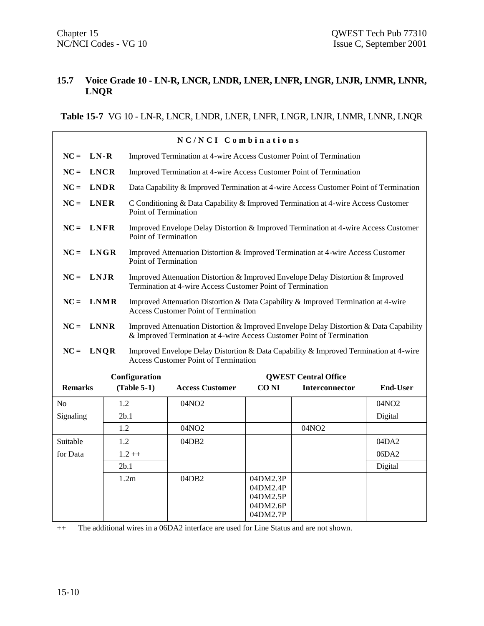## **15.7 Voice Grade 10 - LN-R, LNCR, LNDR, LNER, LNFR, LNGR, LNJR, LNMR, LNNR, LNQR**

**Table 15-7** VG 10 - LN-R, LNCR, LNDR, LNER, LNFR, LNGR, LNJR, LNMR, LNNR, LNQR

| NC/NCI Combinations |             |      |                      |                                                                                                                                                                 |                                                          |                             |                 |
|---------------------|-------------|------|----------------------|-----------------------------------------------------------------------------------------------------------------------------------------------------------------|----------------------------------------------------------|-----------------------------|-----------------|
| $NC =$              | LN-R        |      |                      | Improved Termination at 4-wire Access Customer Point of Termination                                                                                             |                                                          |                             |                 |
| $NC =$              | <b>LNCR</b> |      |                      | Improved Termination at 4-wire Access Customer Point of Termination                                                                                             |                                                          |                             |                 |
| $NC =$              | <b>LNDR</b> |      |                      | Data Capability & Improved Termination at 4-wire Access Customer Point of Termination                                                                           |                                                          |                             |                 |
| $NC =$              | <b>LNER</b> |      | Point of Termination | C Conditioning & Data Capability & Improved Termination at 4-wire Access Customer                                                                               |                                                          |                             |                 |
| $NC =$              | <b>LNFR</b> |      | Point of Termination | Improved Envelope Delay Distortion & Improved Termination at 4-wire Access Customer                                                                             |                                                          |                             |                 |
| $NC =$              | <b>LNGR</b> |      | Point of Termination | Improved Attenuation Distortion & Improved Termination at 4-wire Access Customer                                                                                |                                                          |                             |                 |
| $NC = LNJR$         |             |      |                      | Improved Attenuation Distortion & Improved Envelope Delay Distortion & Improved<br>Termination at 4-wire Access Customer Point of Termination                   |                                                          |                             |                 |
| $NC =$              | <b>LNMR</b> |      |                      | Improved Attenuation Distortion & Data Capability & Improved Termination at 4-wire<br><b>Access Customer Point of Termination</b>                               |                                                          |                             |                 |
| $NC = LNNR$         |             |      |                      | Improved Attenuation Distortion & Improved Envelope Delay Distortion & Data Capability<br>& Improved Termination at 4-wire Access Customer Point of Termination |                                                          |                             |                 |
| $NC =$              | <b>LNQR</b> |      |                      | Improved Envelope Delay Distortion & Data Capability & Improved Termination at 4-wire<br><b>Access Customer Point of Termination</b>                            |                                                          |                             |                 |
|                     |             |      | Configuration        |                                                                                                                                                                 |                                                          | <b>OWEST Central Office</b> |                 |
| <b>Remarks</b>      |             |      | $(Table 5-1)$        | <b>Access Customer</b>                                                                                                                                          | <b>CONI</b>                                              | Interconnector              | <b>End-User</b> |
| N <sub>0</sub>      |             | 1.2  |                      | 04NO2                                                                                                                                                           |                                                          |                             | 04NO2           |
| Signaling           |             | 2b.1 |                      |                                                                                                                                                                 |                                                          |                             | Digital         |
|                     |             | 1.2  |                      | 04NO2                                                                                                                                                           |                                                          | 04NO2                       |                 |
| Suitable            |             | 1.2  |                      | 04DB2                                                                                                                                                           |                                                          |                             | 04DA2           |
| for Data            | $1.2 + +$   |      |                      |                                                                                                                                                                 |                                                          |                             | 06DA2           |
|                     |             | 2b.1 |                      |                                                                                                                                                                 |                                                          |                             | Digital         |
|                     |             |      | 1.2m                 | 04DB2                                                                                                                                                           | 04DM2.3P<br>04DM2.4P<br>04DM2.5P<br>04DM2.6P<br>04DM2.7P |                             |                 |

++ The additional wires in a 06DA2 interface are used for Line Status and are not shown.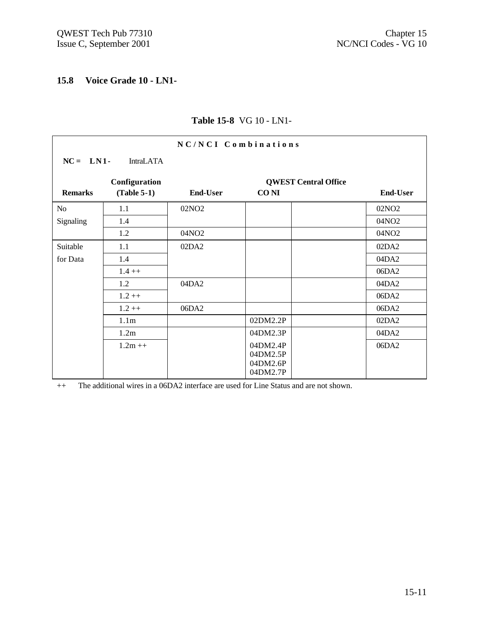## **15.8 Voice Grade 10 - LN1-**

| NC/NCI Combinations |                  |                   |                             |                   |  |  |  |
|---------------------|------------------|-------------------|-----------------------------|-------------------|--|--|--|
| $NC = LM1$          | <b>IntraLATA</b> |                   |                             |                   |  |  |  |
|                     | Configuration    |                   | <b>QWEST Central Office</b> |                   |  |  |  |
| <b>Remarks</b>      | $(Table 5-1)$    | <b>End-User</b>   | <b>CONI</b>                 | <b>End-User</b>   |  |  |  |
| N <sub>o</sub>      | 1.1              | 02NO <sub>2</sub> |                             | 02NO <sub>2</sub> |  |  |  |
| Signaling           | 1.4              |                   |                             | 04NO2             |  |  |  |
|                     | 1.2              | 04NO2             |                             | 04NO2             |  |  |  |
| Suitable            | 1.1              | 02DA2             |                             | 02DA2             |  |  |  |
| for Data            | 1.4              |                   |                             | 04DA2             |  |  |  |
|                     | $1.4++$          |                   |                             | 06DA2             |  |  |  |
|                     | 1.2              | 04DA2             |                             | 04DA2             |  |  |  |
|                     | $1.2 + +$        |                   |                             | 06DA2             |  |  |  |
|                     | $1.2 + +$        | 06DA2             |                             | 06DA2             |  |  |  |
|                     | 1.1 <sub>m</sub> |                   | 02DM2.2P                    | 02DA2             |  |  |  |
|                     | 1.2m             |                   | 04DM2.3P                    | 04DA2             |  |  |  |
|                     | $1.2m ++$        |                   | 04DM2.4P                    | 06DA2             |  |  |  |
|                     |                  |                   | 04DM2.5P<br>04DM2.6P        |                   |  |  |  |
|                     |                  |                   | 04DM2.7P                    |                   |  |  |  |

# **Table 15-8** VG 10 - LN1-

++ The additional wires in a 06DA2 interface are used for Line Status and are not shown.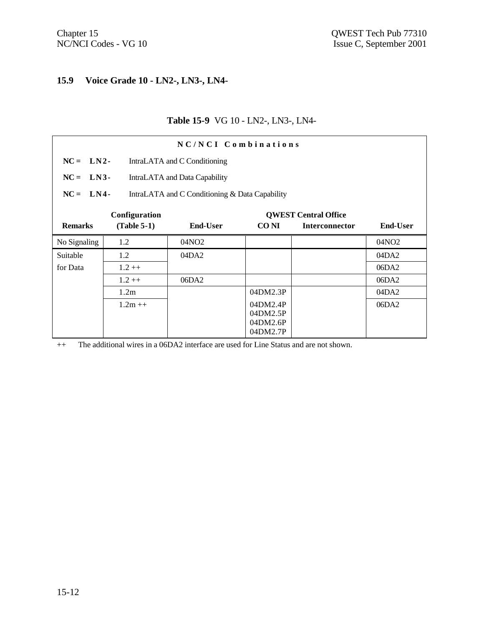# **15.9 Voice Grade 10 - LN2-, LN3-, LN4-**

## **Table 15-9** VG 10 - LN2-, LN3-, LN4-

| NC/NCI Combinations |                                            |                                                |                                              |                             |                   |  |  |  |
|---------------------|--------------------------------------------|------------------------------------------------|----------------------------------------------|-----------------------------|-------------------|--|--|--|
|                     | $NC = LN2$<br>IntraLATA and C Conditioning |                                                |                                              |                             |                   |  |  |  |
| $NC = LN3$          |                                            | IntraLATA and Data Capability                  |                                              |                             |                   |  |  |  |
| $NC = LN4$          |                                            | IntraLATA and C Conditioning & Data Capability |                                              |                             |                   |  |  |  |
|                     | Configuration                              |                                                |                                              | <b>QWEST Central Office</b> |                   |  |  |  |
| <b>Remarks</b>      | $(Table 5-1)$                              | <b>End-User</b>                                | <b>CONI</b>                                  | <b>Interconnector</b>       | <b>End-User</b>   |  |  |  |
| No Signaling        | 1.2                                        | 04NO <sub>2</sub>                              |                                              |                             | 04NO <sub>2</sub> |  |  |  |
| Suitable            | 1.2                                        | 04DA2                                          |                                              |                             | 04DA2             |  |  |  |
| for Data            | $1.2 ++$                                   |                                                |                                              |                             | 06DA2             |  |  |  |
|                     | $1.2 ++$                                   | 06DA2                                          |                                              |                             | 06DA2             |  |  |  |
|                     | 1.2m                                       |                                                | 04DM2.3P                                     |                             | 04DA2             |  |  |  |
|                     | $1.2m++$                                   |                                                | 04DM2.4P<br>04DM2.5P<br>04DM2.6P<br>04DM2.7P |                             | 06DA2             |  |  |  |

++ The additional wires in a 06DA2 interface are used for Line Status and are not shown.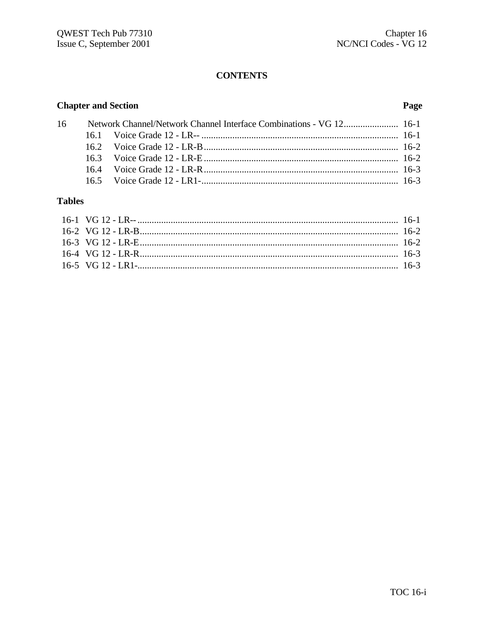# **CONTENTS**

# **Chapter and Section**

## Page

|  | 16 Network Channel/Network Channel Interface Combinations - VG 12 16-1 |
|--|------------------------------------------------------------------------|

# **Tables**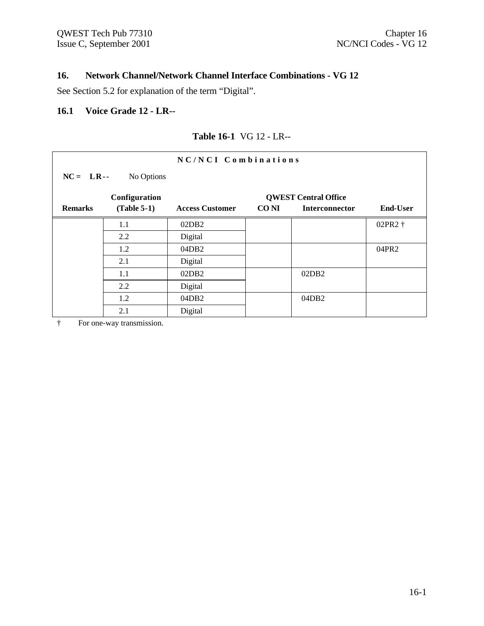# **16. Network Channel/Network Channel Interface Combinations - VG 12**

See Section 5.2 for explanation of the term "Digital".

## **16.1 Voice Grade 12 - LR--**

|                | NC/NCI Combinations       |                        |       |                             |                 |  |  |  |
|----------------|---------------------------|------------------------|-------|-----------------------------|-----------------|--|--|--|
|                | $NC = LR -$<br>No Options |                        |       |                             |                 |  |  |  |
|                | Configuration             |                        |       | <b>QWEST Central Office</b> |                 |  |  |  |
| <b>Remarks</b> | $(Table 5-1)$             | <b>Access Customer</b> | CO NI | <b>Interconnector</b>       | <b>End-User</b> |  |  |  |
|                | 1.1                       | 02DB2                  |       |                             | 02PR2 †         |  |  |  |
|                | 2.2                       | Digital                |       |                             |                 |  |  |  |
|                | 1.2                       | 04DB2                  |       |                             | 04PR2           |  |  |  |
|                | 2.1                       | Digital                |       |                             |                 |  |  |  |
|                | 1.1                       | 02DB2                  |       | 02DB2                       |                 |  |  |  |
|                | 2.2                       | Digital                |       |                             |                 |  |  |  |
|                | 1.2                       | 04DB2                  |       | 04DB2                       |                 |  |  |  |
|                | 2.1                       | Digital                |       |                             |                 |  |  |  |

## **Table 16-1** VG 12 - LR--

† For one-way transmission.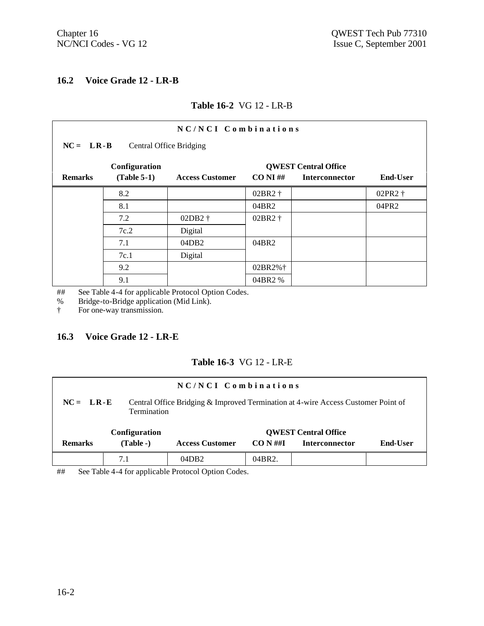## **16.2 Voice Grade 12 - LR-B**

#### **Table 16-2** VG 12 - LR-B

| NC/NCI Combinations                      |                                                                                                                                                    |                   |         |  |         |  |  |  |  |
|------------------------------------------|----------------------------------------------------------------------------------------------------------------------------------------------------|-------------------|---------|--|---------|--|--|--|--|
| $NC = LR - B$<br>Central Office Bridging |                                                                                                                                                    |                   |         |  |         |  |  |  |  |
| <b>Remarks</b>                           | Configuration<br><b>QWEST Central Office</b><br>$(Table 5-1)$<br><b>End-User</b><br><b>Access Customer</b><br>$CO NI \#H$<br><b>Interconnector</b> |                   |         |  |         |  |  |  |  |
|                                          | 8.2                                                                                                                                                |                   | 02BR2 † |  | 02PR2 † |  |  |  |  |
|                                          | 8.1                                                                                                                                                |                   | 04BR2   |  | 04PR2   |  |  |  |  |
|                                          | 7.2                                                                                                                                                | 02DB2 †           | 02BR2 † |  |         |  |  |  |  |
|                                          | 7c.2                                                                                                                                               | Digital           |         |  |         |  |  |  |  |
|                                          | 7.1                                                                                                                                                | 04DB <sub>2</sub> | 04BR2   |  |         |  |  |  |  |
|                                          | 7c.1                                                                                                                                               | Digital           |         |  |         |  |  |  |  |
|                                          | 9.2                                                                                                                                                |                   | 02BR2%† |  |         |  |  |  |  |
|                                          | 9.1                                                                                                                                                |                   | 04BR2 % |  |         |  |  |  |  |

## See Table 4-4 for applicable Protocol Option Codes.

% Bridge-to-Bridge application (Mid Link).<br>
For one-way transmission.

For one-way transmission.

#### **16.3 Voice Grade 12 - LR-E**

## **Table 16-3** VG 12 - LR-E

| NC/NCI Combinations |                                                                                                                        |                        |            |                             |                 |  |  |  |
|---------------------|------------------------------------------------------------------------------------------------------------------------|------------------------|------------|-----------------------------|-----------------|--|--|--|
|                     | Central Office Bridging & Improved Termination at 4-wire Access Customer Point of<br>$NC = LR-E$<br><b>Termination</b> |                        |            |                             |                 |  |  |  |
|                     | Configuration                                                                                                          |                        |            | <b>QWEST Central Office</b> |                 |  |  |  |
| <b>Remarks</b>      | $(Table - )$                                                                                                           | <b>Access Customer</b> | $CO N \#H$ | <b>Interconnector</b>       | <b>End-User</b> |  |  |  |
|                     | 7.1                                                                                                                    | 04DB2                  | 04BR2.     |                             |                 |  |  |  |

## See Table 4-4 for applicable Protocol Option Codes.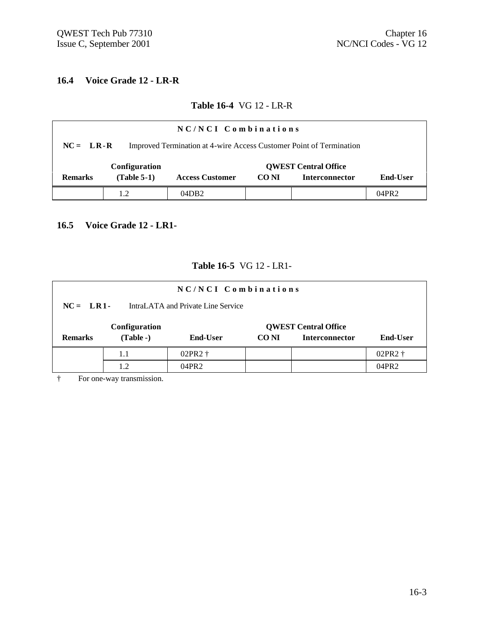## **16.4 Voice Grade 12 - LR-R**

#### **Table 16-4** VG 12 - LR-R

| NC/NCI Combinations                                                                |               |                        |             |                             |          |  |  |  |
|------------------------------------------------------------------------------------|---------------|------------------------|-------------|-----------------------------|----------|--|--|--|
| Improved Termination at 4-wire Access Customer Point of Termination<br>$NC = LR-R$ |               |                        |             |                             |          |  |  |  |
|                                                                                    | Configuration |                        |             | <b>QWEST Central Office</b> |          |  |  |  |
| <b>Remarks</b>                                                                     | $(Table 5-1)$ | <b>Access Customer</b> | <b>CONI</b> | <b>Interconnector</b>       | End-User |  |  |  |
|                                                                                    | 1.2           | 04DB2                  |             |                             | 04PR2    |  |  |  |

# **16.5 Voice Grade 12 - LR1-**

#### **Table 16-5** VG 12 - LR1-

|                                                  | NC/NCI Combinations |                 |       |                             |                    |
|--------------------------------------------------|---------------------|-----------------|-------|-----------------------------|--------------------|
| IntraLATA and Private Line Service<br>$NC = LR1$ |                     |                 |       |                             |                    |
|                                                  | Configuration       |                 |       | <b>QWEST Central Office</b> |                    |
| <b>Remarks</b>                                   | $(Table - )$        | <b>End-User</b> | CO NI | <b>Interconnector</b>       | <b>End-User</b>    |
|                                                  | 1.1                 | 02PR2 +         |       |                             | 02PR2 <sup>+</sup> |
|                                                  | 1.2                 | 04PR2           |       |                             | 04PR2              |

† For one-way transmission.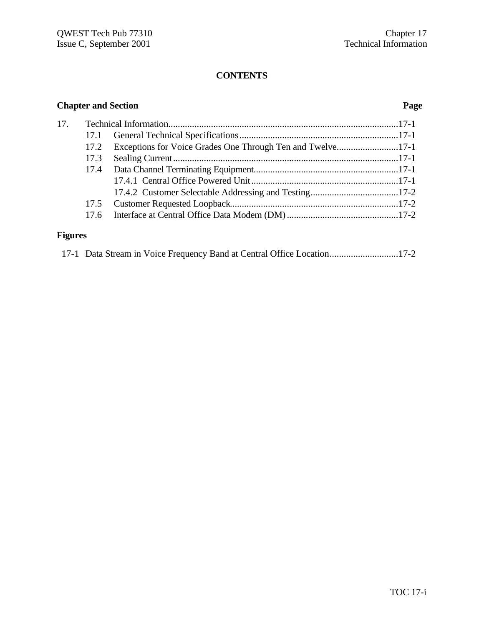# **CONTENTS**

# **Chapter and Section Page**

| 17. |  |  |
|-----|--|--|
|     |  |  |
|     |  |  |
|     |  |  |
|     |  |  |
|     |  |  |
|     |  |  |
|     |  |  |
|     |  |  |
|     |  |  |

# **Figures**

| 17-1 Data Stream in Voice Frequency Band at Central Office Location17-2 |  |  |  |  |  |  |  |  |  |
|-------------------------------------------------------------------------|--|--|--|--|--|--|--|--|--|
|-------------------------------------------------------------------------|--|--|--|--|--|--|--|--|--|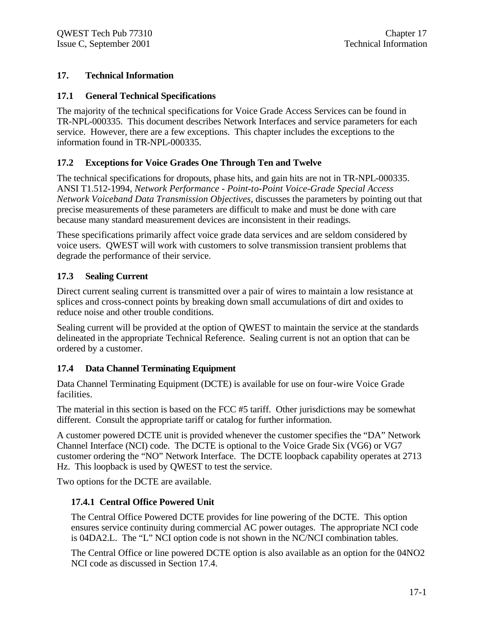## **17. Technical Information**

## **17.1 General Technical Specifications**

The majority of the technical specifications for Voice Grade Access Services can be found in TR-NPL-000335. This document describes Network Interfaces and service parameters for each service. However, there are a few exceptions. This chapter includes the exceptions to the information found in TR-NPL-000335.

# **17.2 Exceptions for Voice Grades One Through Ten and Twelve**

The technical specifications for dropouts, phase hits, and gain hits are not in TR-NPL-000335. ANSI T1.512-1994, *Network Performance - Point-to-Point Voice-Grade Special Access Network Voiceband Data Transmission Objectives,* discusses the parameters by pointing out that precise measurements of these parameters are difficult to make and must be done with care because many standard measurement devices are inconsistent in their readings.

These specifications primarily affect voice grade data services and are seldom considered by voice users. QWEST will work with customers to solve transmission transient problems that degrade the performance of their service.

# **17.3 Sealing Current**

Direct current sealing current is transmitted over a pair of wires to maintain a low resistance at splices and cross-connect points by breaking down small accumulations of dirt and oxides to reduce noise and other trouble conditions.

Sealing current will be provided at the option of QWEST to maintain the service at the standards delineated in the appropriate Technical Reference. Sealing current is not an option that can be ordered by a customer.

# **17.4 Data Channel Terminating Equipment**

Data Channel Terminating Equipment (DCTE) is available for use on four-wire Voice Grade facilities.

The material in this section is based on the FCC #5 tariff. Other jurisdictions may be somewhat different. Consult the appropriate tariff or catalog for further information.

A customer powered DCTE unit is provided whenever the customer specifies the "DA" Network Channel Interface (NCI) code. The DCTE is optional to the Voice Grade Six (VG6) or VG7 customer ordering the "NO" Network Interface. The DCTE loopback capability operates at 2713 Hz. This loopback is used by QWEST to test the service.

Two options for the DCTE are available.

# **17.4.1 Central Office Powered Unit**

The Central Office Powered DCTE provides for line powering of the DCTE. This option ensures service continuity during commercial AC power outages. The appropriate NCI code is 04DA2.L. The "L" NCI option code is not shown in the NC/NCI combination tables.

The Central Office or line powered DCTE option is also available as an option for the 04NO2 NCI code as discussed in Section 17.4.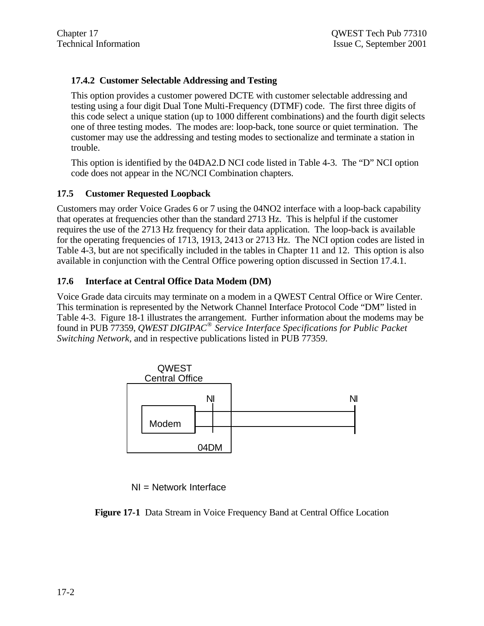## **17.4.2 Customer Selectable Addressing and Testing**

This option provides a customer powered DCTE with customer selectable addressing and testing using a four digit Dual Tone Multi-Frequency (DTMF) code. The first three digits of this code select a unique station (up to 1000 different combinations) and the fourth digit selects one of three testing modes. The modes are: loop-back, tone source or quiet termination. The customer may use the addressing and testing modes to sectionalize and terminate a station in trouble.

This option is identified by the 04DA2.D NCI code listed in Table 4-3. The "D" NCI option code does not appear in the NC/NCI Combination chapters.

## **17.5 Customer Requested Loopback**

Customers may order Voice Grades 6 or 7 using the 04NO2 interface with a loop-back capability that operates at frequencies other than the standard 2713 Hz. This is helpful if the customer requires the use of the 2713 Hz frequency for their data application. The loop-back is available for the operating frequencies of 1713, 1913, 2413 or 2713 Hz. The NCI option codes are listed in Table 4-3, but are not specifically included in the tables in Chapter 11 and 12. This option is also available in conjunction with the Central Office powering option discussed in Section 17.4.1.

#### **17.6 Interface at Central Office Data Modem (DM)**

Voice Grade data circuits may terminate on a modem in a QWEST Central Office or Wire Center. This termination is represented by the Network Channel Interface Protocol Code "DM" listed in Table 4-3. Figure 18-1 illustrates the arrangement. Further information about the modems may be found in PUB 77359, *QWEST DIGIPAC® Service Interface Specifications for Public Packet Switching Network,* and in respective publications listed in PUB 77359.



NI = Network Interface

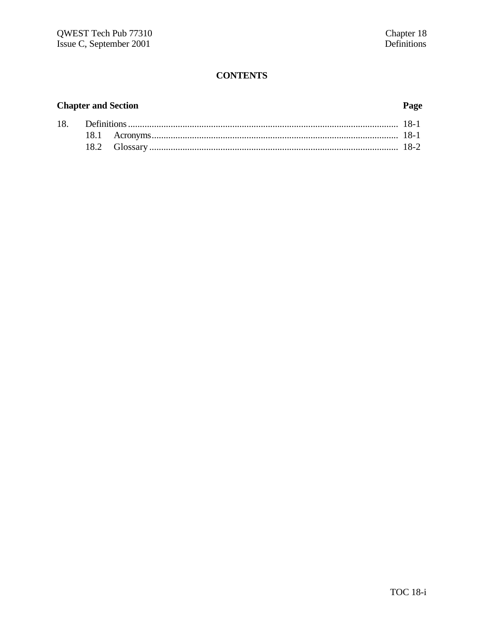# **CONTENTS**

# **Chapter and Section**

# Page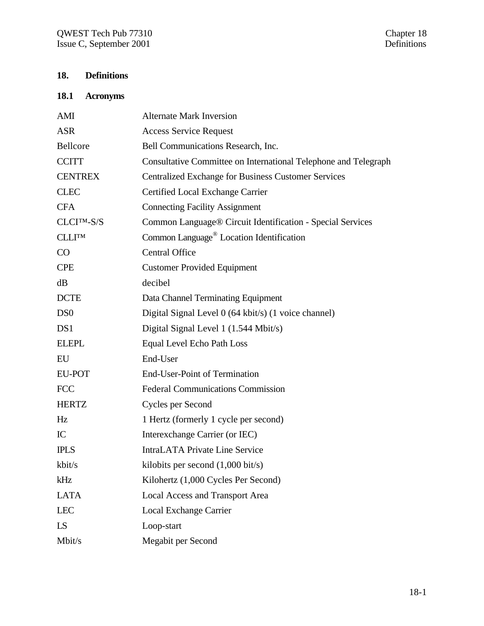# **18. Definitions**

## **18.1 Acronyms**

| AMI                     | <b>Alternate Mark Inversion</b>                                 |
|-------------------------|-----------------------------------------------------------------|
| <b>ASR</b>              | <b>Access Service Request</b>                                   |
| Bellcore                | Bell Communications Research, Inc.                              |
| <b>CCITT</b>            | Consultative Committee on International Telephone and Telegraph |
| <b>CENTREX</b>          | <b>Centralized Exchange for Business Customer Services</b>      |
| <b>CLEC</b>             | Certified Local Exchange Carrier                                |
| <b>CFA</b>              | <b>Connecting Facility Assignment</b>                           |
| CLCI <sup>TM</sup> -S/S | Common Language® Circuit Identification - Special Services      |
| <b>CLLITM</b>           | Common Language <sup>®</sup> Location Identification            |
| CO                      | <b>Central Office</b>                                           |
| <b>CPE</b>              | <b>Customer Provided Equipment</b>                              |
| dB                      | decibel                                                         |
| <b>DCTE</b>             | Data Channel Terminating Equipment                              |
| D <sub>S</sub> O        | Digital Signal Level 0 (64 kbit/s) (1 voice channel)            |
| DS <sub>1</sub>         | Digital Signal Level 1 (1.544 Mbit/s)                           |
| <b>ELEPL</b>            | Equal Level Echo Path Loss                                      |
| EU                      | End-User                                                        |
| <b>EU-POT</b>           | <b>End-User-Point of Termination</b>                            |
| <b>FCC</b>              | <b>Federal Communications Commission</b>                        |
| <b>HERTZ</b>            | Cycles per Second                                               |
| Hz                      | 1 Hertz (formerly 1 cycle per second)                           |
| IC                      | Interexchange Carrier (or IEC)                                  |
| <b>IPLS</b>             | <b>IntraLATA Private Line Service</b>                           |
| kbit/s                  | kilobits per second $(1,000 \text{ bit/s})$                     |
| kHz                     | Kilohertz (1,000 Cycles Per Second)                             |
| <b>LATA</b>             | <b>Local Access and Transport Area</b>                          |
| <b>LEC</b>              | <b>Local Exchange Carrier</b>                                   |
| LS                      | Loop-start                                                      |
| Mbit/s                  | Megabit per Second                                              |
|                         |                                                                 |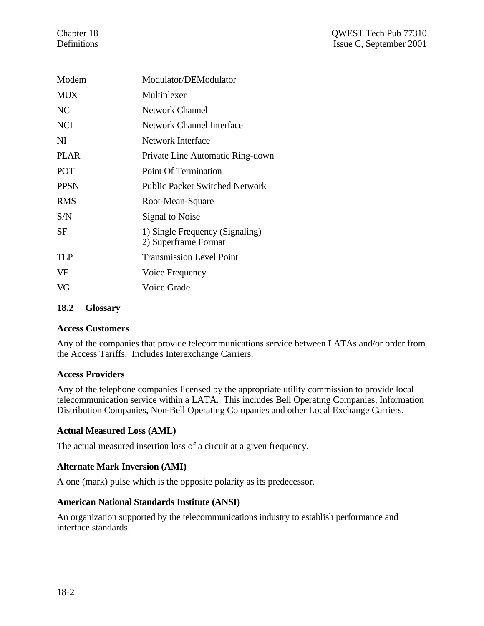| Modem       | Modulator/DEModulator                                   |
|-------------|---------------------------------------------------------|
| MUX         | Multiplexer                                             |
| NC          | <b>Network Channel</b>                                  |
| NCI         | Network Channel Interface                               |
| NI          | Network Interface                                       |
| PLAR        | Private Line Automatic Ring-down                        |
| <b>POT</b>  | Point Of Termination                                    |
| <b>PPSN</b> | <b>Public Packet Switched Network</b>                   |
| <b>RMS</b>  | Root-Mean-Square                                        |
| S/N         | Signal to Noise                                         |
| SF          | 1) Single Frequency (Signaling)<br>2) Superframe Format |
| TI P        | <b>Transmission Level Point</b>                         |
| VF          | Voice Frequency                                         |
| VG          | Voice Grade                                             |
|             |                                                         |

#### **18.2 Glossary**

#### **Access Customers**

Any of the companies that provide telecommunications service between LATAs and/or order from the Access Tariffs. Includes Interexchange Carriers.

#### **Access Providers**

Any of the telephone companies licensed by the appropriate utility commission to provide local telecommunication service within a LATA. This includes Bell Operating Companies, Information Distribution Companies, Non-Bell Operating Companies and other Local Exchange Carriers.

## **Actual Measured Loss (AML)**

The actual measured insertion loss of a circuit at a given frequency.

## **Alternate Mark Inversion (AMI)**

A one (mark) pulse which is the opposite polarity as its predecessor.

## **American National Standards Institute (ANSI)**

An organization supported by the telecommunications industry to establish performance and interface standards.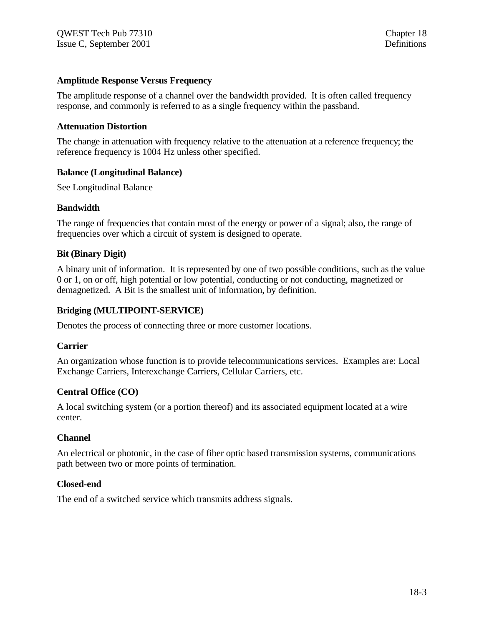#### **Amplitude Response Versus Frequency**

The amplitude response of a channel over the bandwidth provided. It is often called frequency response, and commonly is referred to as a single frequency within the passband.

#### **Attenuation Distortion**

The change in attenuation with frequency relative to the attenuation at a reference frequency; the reference frequency is 1004 Hz unless other specified.

#### **Balance (Longitudinal Balance)**

See Longitudinal Balance

#### **Bandwidth**

The range of frequencies that contain most of the energy or power of a signal; also, the range of frequencies over which a circuit of system is designed to operate.

#### **Bit (Binary Digit)**

A binary unit of information. It is represented by one of two possible conditions, such as the value 0 or 1, on or off, high potential or low potential, conducting or not conducting, magnetized or demagnetized. A Bit is the smallest unit of information, by definition.

#### **Bridging (MULTIPOINT-SERVICE)**

Denotes the process of connecting three or more customer locations.

#### **Carrier**

An organization whose function is to provide telecommunications services. Examples are: Local Exchange Carriers, Interexchange Carriers, Cellular Carriers, etc.

## **Central Office (CO)**

A local switching system (or a portion thereof) and its associated equipment located at a wire center.

#### **Channel**

An electrical or photonic, in the case of fiber optic based transmission systems, communications path between two or more points of termination.

#### **Closed-end**

The end of a switched service which transmits address signals.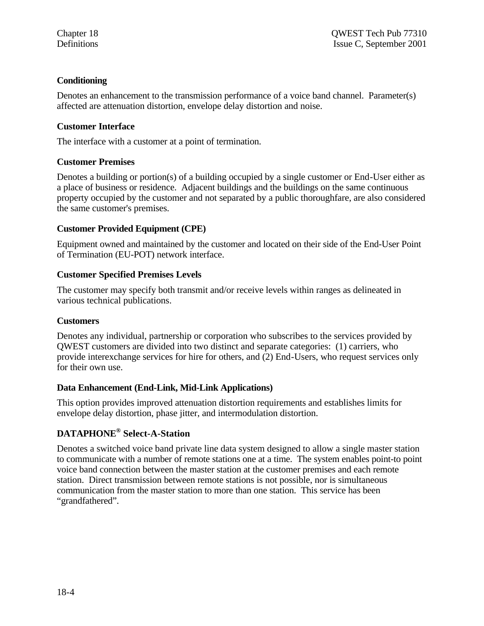## **Conditioning**

Denotes an enhancement to the transmission performance of a voice band channel. Parameter(s) affected are attenuation distortion, envelope delay distortion and noise.

## **Customer Interface**

The interface with a customer at a point of termination.

## **Customer Premises**

Denotes a building or portion(s) of a building occupied by a single customer or End-User either as a place of business or residence. Adjacent buildings and the buildings on the same continuous property occupied by the customer and not separated by a public thoroughfare, are also considered the same customer's premises.

## **Customer Provided Equipment (CPE)**

Equipment owned and maintained by the customer and located on their side of the End-User Point of Termination (EU-POT) network interface.

## **Customer Specified Premises Levels**

The customer may specify both transmit and/or receive levels within ranges as delineated in various technical publications.

## **Customers**

Denotes any individual, partnership or corporation who subscribes to the services provided by QWEST customers are divided into two distinct and separate categories: (1) carriers, who provide interexchange services for hire for others, and (2) End-Users, who request services only for their own use.

# **Data Enhancement (End-Link, Mid-Link Applications)**

This option provides improved attenuation distortion requirements and establishes limits for envelope delay distortion, phase jitter, and intermodulation distortion.

# **DATAPHONE® Select-A-Station**

Denotes a switched voice band private line data system designed to allow a single master station to communicate with a number of remote stations one at a time. The system enables point-to point voice band connection between the master station at the customer premises and each remote station. Direct transmission between remote stations is not possible, nor is simultaneous communication from the master station to more than one station. This service has been "grandfathered".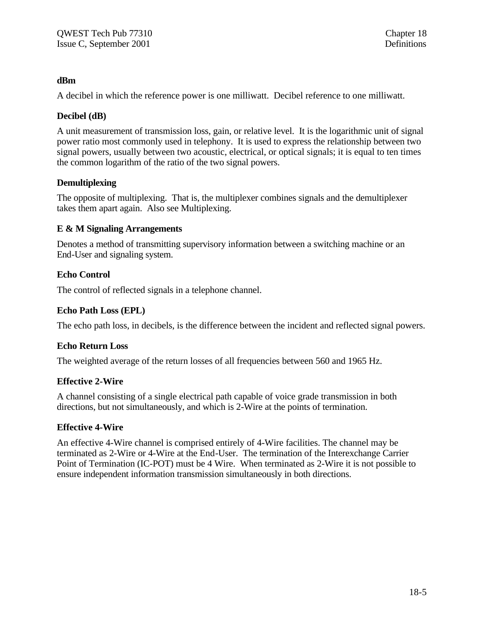#### **dBm**

A decibel in which the reference power is one milliwatt. Decibel reference to one milliwatt.

#### **Decibel (dB)**

A unit measurement of transmission loss, gain, or relative level. It is the logarithmic unit of signal power ratio most commonly used in telephony. It is used to express the relationship between two signal powers, usually between two acoustic, electrical, or optical signals; it is equal to ten times the common logarithm of the ratio of the two signal powers.

#### **Demultiplexing**

The opposite of multiplexing. That is, the multiplexer combines signals and the demultiplexer takes them apart again. Also see Multiplexing.

#### **E & M Signaling Arrangements**

Denotes a method of transmitting supervisory information between a switching machine or an End-User and signaling system.

#### **Echo Control**

The control of reflected signals in a telephone channel.

#### **Echo Path Loss (EPL)**

The echo path loss, in decibels, is the difference between the incident and reflected signal powers.

#### **Echo Return Loss**

The weighted average of the return losses of all frequencies between 560 and 1965 Hz.

#### **Effective 2-Wire**

A channel consisting of a single electrical path capable of voice grade transmission in both directions, but not simultaneously, and which is 2-Wire at the points of termination.

#### **Effective 4-Wire**

An effective 4-Wire channel is comprised entirely of 4-Wire facilities. The channel may be terminated as 2-Wire or 4-Wire at the End-User. The termination of the Interexchange Carrier Point of Termination (IC-POT) must be 4 Wire. When terminated as 2-Wire it is not possible to ensure independent information transmission simultaneously in both directions.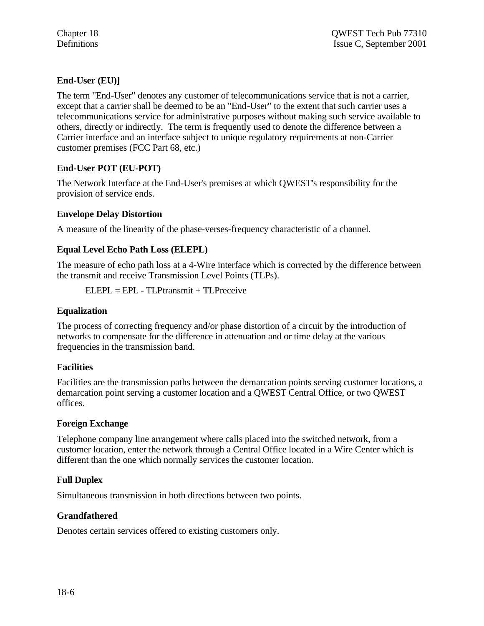# **End-User (EU)]**

The term "End-User" denotes any customer of telecommunications service that is not a carrier, except that a carrier shall be deemed to be an "End-User" to the extent that such carrier uses a telecommunications service for administrative purposes without making such service available to others, directly or indirectly. The term is frequently used to denote the difference between a Carrier interface and an interface subject to unique regulatory requirements at non-Carrier customer premises (FCC Part 68, etc.)

# **End-User POT (EU-POT)**

The Network Interface at the End-User's premises at which QWEST's responsibility for the provision of service ends.

# **Envelope Delay Distortion**

A measure of the linearity of the phase-verses-frequency characteristic of a channel.

# **Equal Level Echo Path Loss (ELEPL)**

The measure of echo path loss at a 4-Wire interface which is corrected by the difference between the transmit and receive Transmission Level Points (TLPs).

 $ELEPI = EPI - TI$  Ptransmit + TL Preceive

## **Equalization**

The process of correcting frequency and/or phase distortion of a circuit by the introduction of networks to compensate for the difference in attenuation and or time delay at the various frequencies in the transmission band.

## **Facilities**

Facilities are the transmission paths between the demarcation points serving customer locations, a demarcation point serving a customer location and a QWEST Central Office, or two QWEST offices.

## **Foreign Exchange**

Telephone company line arrangement where calls placed into the switched network, from a customer location, enter the network through a Central Office located in a Wire Center which is different than the one which normally services the customer location.

# **Full Duplex**

Simultaneous transmission in both directions between two points.

# **Grandfathered**

Denotes certain services offered to existing customers only.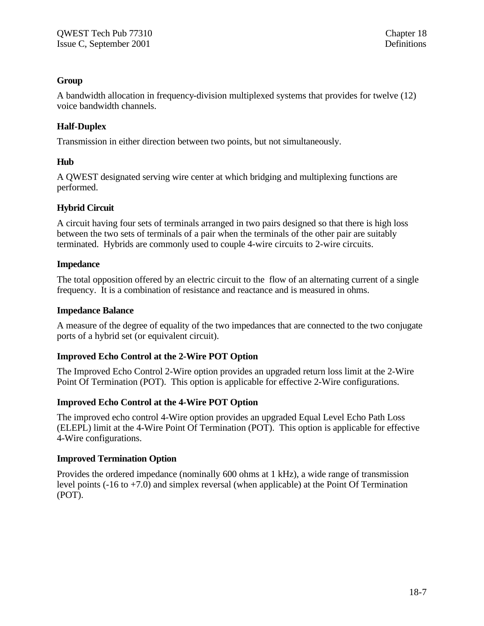## **Group**

A bandwidth allocation in frequency-division multiplexed systems that provides for twelve (12) voice bandwidth channels.

# **Half-Duplex**

Transmission in either direction between two points, but not simultaneously.

## **Hub**

A QWEST designated serving wire center at which bridging and multiplexing functions are performed.

## **Hybrid Circuit**

A circuit having four sets of terminals arranged in two pairs designed so that there is high loss between the two sets of terminals of a pair when the terminals of the other pair are suitably terminated. Hybrids are commonly used to couple 4-wire circuits to 2-wire circuits.

## **Impedance**

The total opposition offered by an electric circuit to the flow of an alternating current of a single frequency. It is a combination of resistance and reactance and is measured in ohms.

## **Impedance Balance**

A measure of the degree of equality of the two impedances that are connected to the two conjugate ports of a hybrid set (or equivalent circuit).

# **Improved Echo Control at the 2-Wire POT Option**

The Improved Echo Control 2-Wire option provides an upgraded return loss limit at the 2-Wire Point Of Termination (POT). This option is applicable for effective 2-Wire configurations.

## **Improved Echo Control at the 4-Wire POT Option**

The improved echo control 4-Wire option provides an upgraded Equal Level Echo Path Loss (ELEPL) limit at the 4-Wire Point Of Termination (POT). This option is applicable for effective 4-Wire configurations.

# **Improved Termination Option**

Provides the ordered impedance (nominally 600 ohms at 1 kHz), a wide range of transmission level points  $(-16 \text{ to } +7.0)$  and simplex reversal (when applicable) at the Point Of Termination (POT).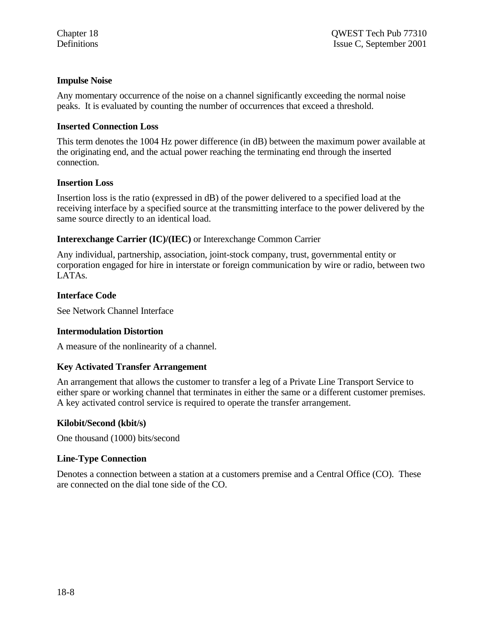### **Impulse Noise**

Any momentary occurrence of the noise on a channel significantly exceeding the normal noise peaks. It is evaluated by counting the number of occurrences that exceed a threshold.

#### **Inserted Connection Loss**

This term denotes the 1004 Hz power difference (in dB) between the maximum power available at the originating end, and the actual power reaching the terminating end through the inserted connection.

#### **Insertion Loss**

Insertion loss is the ratio (expressed in dB) of the power delivered to a specified load at the receiving interface by a specified source at the transmitting interface to the power delivered by the same source directly to an identical load.

#### **Interexchange Carrier (IC)/(IEC)** or Interexchange Common Carrier

Any individual, partnership, association, joint-stock company, trust, governmental entity or corporation engaged for hire in interstate or foreign communication by wire or radio, between two LATAs.

#### **Interface Code**

See Network Channel Interface

#### **Intermodulation Distortion**

A measure of the nonlinearity of a channel.

#### **Key Activated Transfer Arrangement**

An arrangement that allows the customer to transfer a leg of a Private Line Transport Service to either spare or working channel that terminates in either the same or a different customer premises. A key activated control service is required to operate the transfer arrangement.

#### **Kilobit/Second (kbit/s)**

One thousand (1000) bits/second

#### **Line-Type Connection**

Denotes a connection between a station at a customers premise and a Central Office (CO). These are connected on the dial tone side of the CO.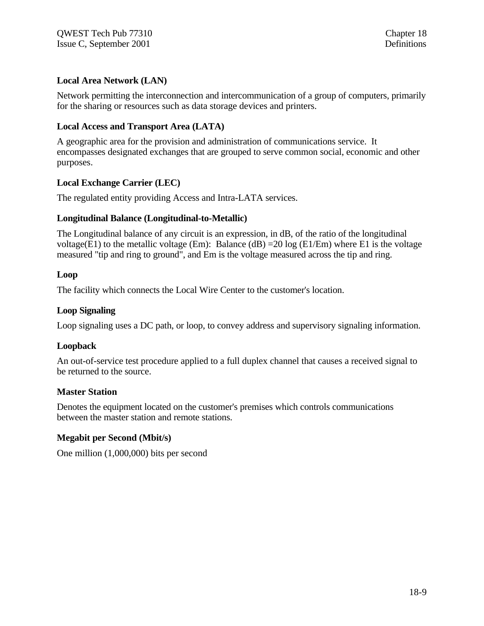## **Local Area Network (LAN)**

Network permitting the interconnection and intercommunication of a group of computers, primarily for the sharing or resources such as data storage devices and printers.

## **Local Access and Transport Area (LATA)**

A geographic area for the provision and administration of communications service. It encompasses designated exchanges that are grouped to serve common social, economic and other purposes.

## **Local Exchange Carrier (LEC)**

The regulated entity providing Access and Intra-LATA services.

## **Longitudinal Balance (Longitudinal-to-Metallic)**

The Longitudinal balance of any circuit is an expression, in dB, of the ratio of the longitudinal voltage(E1) to the metallic voltage (Em): Balance (dB) = 20 log (E1/Em) where E1 is the voltage measured "tip and ring to ground", and Em is the voltage measured across the tip and ring.

#### **Loop**

The facility which connects the Local Wire Center to the customer's location.

#### **Loop Signaling**

Loop signaling uses a DC path, or loop, to convey address and supervisory signaling information.

## **Loopback**

An out-of-service test procedure applied to a full duplex channel that causes a received signal to be returned to the source.

## **Master Station**

Denotes the equipment located on the customer's premises which controls communications between the master station and remote stations.

## **Megabit per Second (Mbit/s)**

One million (1,000,000) bits per second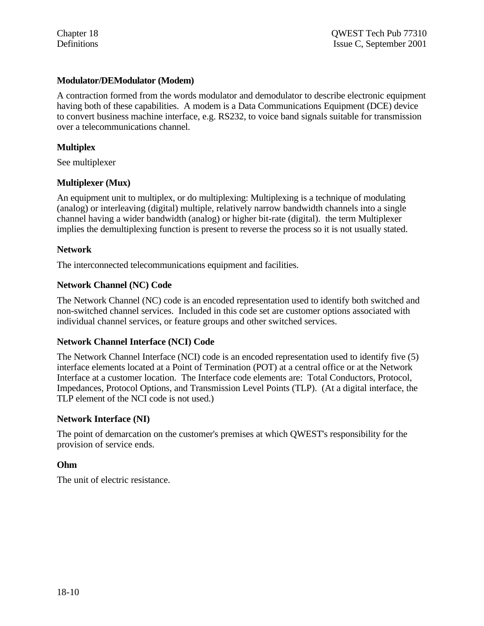#### **Modulator/DEModulator (Modem)**

A contraction formed from the words modulator and demodulator to describe electronic equipment having both of these capabilities. A modem is a Data Communications Equipment (DCE) device to convert business machine interface, e.g. RS232, to voice band signals suitable for transmission over a telecommunications channel.

#### **Multiplex**

See multiplexer

#### **Multiplexer (Mux)**

An equipment unit to multiplex, or do multiplexing: Multiplexing is a technique of modulating (analog) or interleaving (digital) multiple, relatively narrow bandwidth channels into a single channel having a wider bandwidth (analog) or higher bit-rate (digital). the term Multiplexer implies the demultiplexing function is present to reverse the process so it is not usually stated.

#### **Network**

The interconnected telecommunications equipment and facilities.

#### **Network Channel (NC) Code**

The Network Channel (NC) code is an encoded representation used to identify both switched and non-switched channel services. Included in this code set are customer options associated with individual channel services, or feature groups and other switched services.

#### **Network Channel Interface (NCI) Code**

The Network Channel Interface (NCI) code is an encoded representation used to identify five (5) interface elements located at a Point of Termination (POT) at a central office or at the Network Interface at a customer location. The Interface code elements are: Total Conductors, Protocol, Impedances, Protocol Options, and Transmission Level Points (TLP). (At a digital interface, the TLP element of the NCI code is not used.)

#### **Network Interface (NI)**

The point of demarcation on the customer's premises at which QWEST's responsibility for the provision of service ends.

#### **Ohm**

The unit of electric resistance.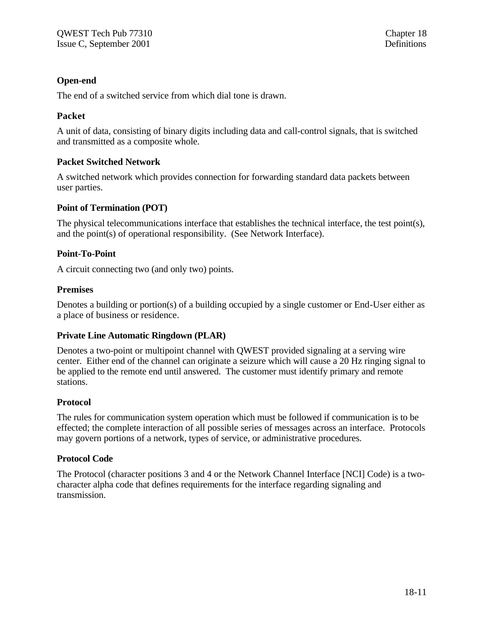## **Open-end**

The end of a switched service from which dial tone is drawn.

## **Packet**

A unit of data, consisting of binary digits including data and call-control signals, that is switched and transmitted as a composite whole.

## **Packet Switched Network**

A switched network which provides connection for forwarding standard data packets between user parties.

## **Point of Termination (POT)**

The physical telecommunications interface that establishes the technical interface, the test point(s), and the point(s) of operational responsibility. (See Network Interface).

## **Point-To-Point**

A circuit connecting two (and only two) points.

## **Premises**

Denotes a building or portion(s) of a building occupied by a single customer or End-User either as a place of business or residence.

## **Private Line Automatic Ringdown (PLAR)**

Denotes a two-point or multipoint channel with QWEST provided signaling at a serving wire center. Either end of the channel can originate a seizure which will cause a 20 Hz ringing signal to be applied to the remote end until answered. The customer must identify primary and remote stations.

## **Protocol**

The rules for communication system operation which must be followed if communication is to be effected; the complete interaction of all possible series of messages across an interface. Protocols may govern portions of a network, types of service, or administrative procedures.

## **Protocol Code**

The Protocol (character positions 3 and 4 or the Network Channel Interface [NCI] Code) is a twocharacter alpha code that defines requirements for the interface regarding signaling and transmission.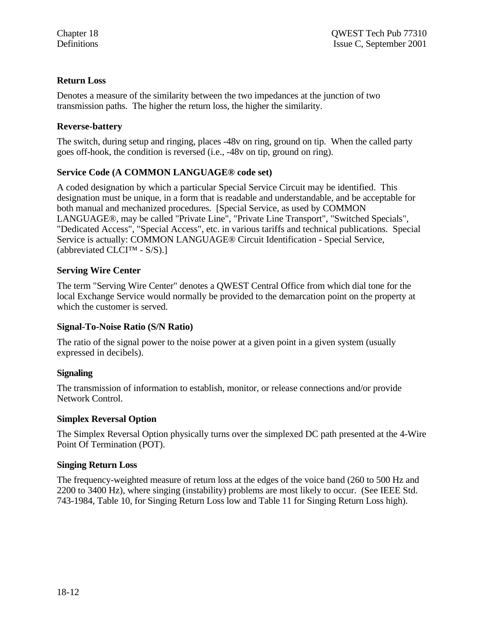## **Return Loss**

Denotes a measure of the similarity between the two impedances at the junction of two transmission paths. The higher the return loss, the higher the similarity.

## **Reverse-battery**

The switch, during setup and ringing, places -48v on ring, ground on tip. When the called party goes off-hook, the condition is reversed (i.e., -48v on tip, ground on ring).

## **Service Code (A COMMON LANGUAGE® code set)**

A coded designation by which a particular Special Service Circuit may be identified. This designation must be unique, in a form that is readable and understandable, and be acceptable for both manual and mechanized procedures. [Special Service, as used by COMMON LANGUAGE®, may be called "Private Line", "Private Line Transport", "Switched Specials", "Dedicated Access", "Special Access", etc. in various tariffs and technical publications. Special Service is actually: COMMON LANGUAGE® Circuit Identification - Special Service, (abbreviated CLCI<sup>™</sup> - S/S).]

## **Serving Wire Center**

The term "Serving Wire Center" denotes a QWEST Central Office from which dial tone for the local Exchange Service would normally be provided to the demarcation point on the property at which the customer is served.

## **Signal-To-Noise Ratio (S/N Ratio)**

The ratio of the signal power to the noise power at a given point in a given system (usually expressed in decibels).

## **Signaling**

The transmission of information to establish, monitor, or release connections and/or provide Network Control.

## **Simplex Reversal Option**

The Simplex Reversal Option physically turns over the simplexed DC path presented at the 4-Wire Point Of Termination (POT).

## **Singing Return Loss**

The frequency-weighted measure of return loss at the edges of the voice band (260 to 500 Hz and 2200 to 3400 Hz), where singing (instability) problems are most likely to occur. (See IEEE Std. 743-1984, Table 10, for Singing Return Loss low and Table 11 for Singing Return Loss high).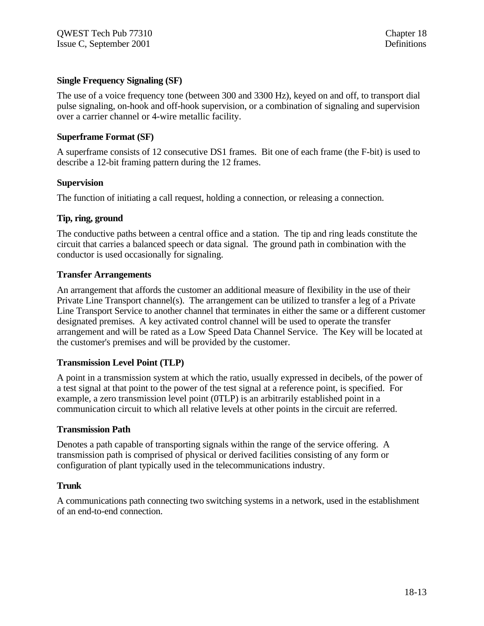#### **Single Frequency Signaling (SF)**

The use of a voice frequency tone (between 300 and 3300 Hz), keyed on and off, to transport dial pulse signaling, on-hook and off-hook supervision, or a combination of signaling and supervision over a carrier channel or 4-wire metallic facility.

#### **Superframe Format (SF)**

A superframe consists of 12 consecutive DS1 frames. Bit one of each frame (the F-bit) is used to describe a 12-bit framing pattern during the 12 frames.

#### **Supervision**

The function of initiating a call request, holding a connection, or releasing a connection.

#### **Tip, ring, ground**

The conductive paths between a central office and a station. The tip and ring leads constitute the circuit that carries a balanced speech or data signal. The ground path in combination with the conductor is used occasionally for signaling.

#### **Transfer Arrangements**

An arrangement that affords the customer an additional measure of flexibility in the use of their Private Line Transport channel(s). The arrangement can be utilized to transfer a leg of a Private Line Transport Service to another channel that terminates in either the same or a different customer designated premises. A key activated control channel will be used to operate the transfer arrangement and will be rated as a Low Speed Data Channel Service. The Key will be located at the customer's premises and will be provided by the customer.

## **Transmission Level Point (TLP)**

A point in a transmission system at which the ratio, usually expressed in decibels, of the power of a test signal at that point to the power of the test signal at a reference point, is specified. For example, a zero transmission level point (0TLP) is an arbitrarily established point in a communication circuit to which all relative levels at other points in the circuit are referred.

#### **Transmission Path**

Denotes a path capable of transporting signals within the range of the service offering. A transmission path is comprised of physical or derived facilities consisting of any form or configuration of plant typically used in the telecommunications industry.

#### **Trunk**

A communications path connecting two switching systems in a network, used in the establishment of an end-to-end connection.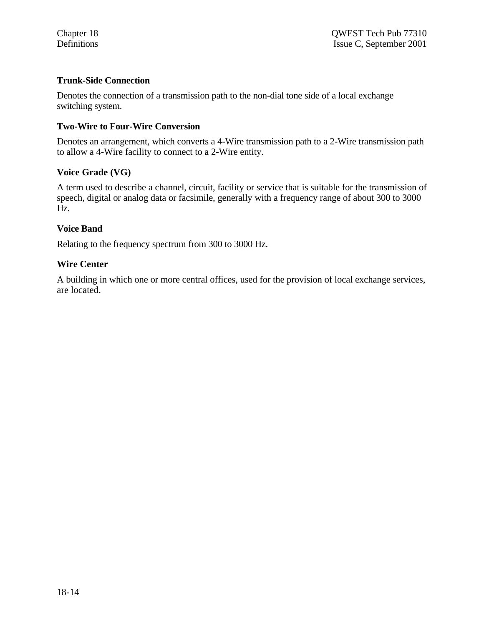#### **Trunk-Side Connection**

Denotes the connection of a transmission path to the non-dial tone side of a local exchange switching system.

#### **Two-Wire to Four-Wire Conversion**

Denotes an arrangement, which converts a 4-Wire transmission path to a 2-Wire transmission path to allow a 4-Wire facility to connect to a 2-Wire entity.

#### **Voice Grade (VG)**

A term used to describe a channel, circuit, facility or service that is suitable for the transmission of speech, digital or analog data or facsimile, generally with a frequency range of about 300 to 3000 Hz.

#### **Voice Band**

Relating to the frequency spectrum from 300 to 3000 Hz.

#### **Wire Center**

A building in which one or more central offices, used for the provision of local exchange services, are located.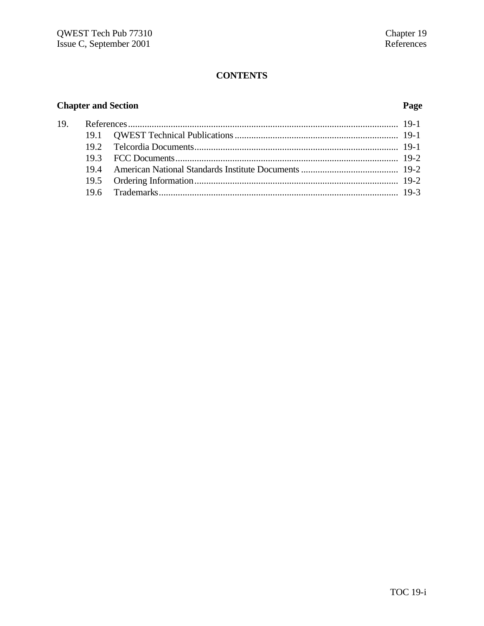# **CONTENTS**

# **Chapter and Section Page**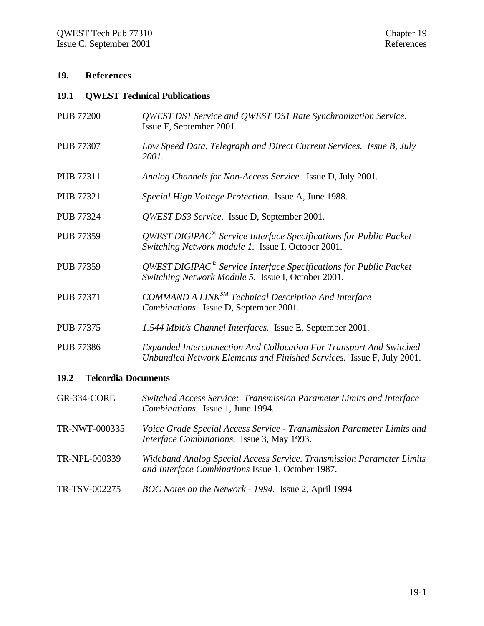#### **19. References**

#### **19.1 QWEST Technical Publications**

- PUB 77200 *QWEST DS1 Service and QWEST DS1 Rate Synchronization Service.* Issue F, September 2001. PUB 77307 *Low Speed Data, Telegraph and Direct Current Services. Issue B, July 2001.*
- PUB 77311 *Analog Channels for Non-Access Service.* Issue D, July 2001.
- PUB 77321 *Special High Voltage Protection.* Issue A, June 1988.
- PUB 77324 *QWEST DS3 Service.* Issue D, September 2001.
- PUB 77359 *QWEST DIGIPAC® Service Interface Specifications for Public Packet Switching Network module 1.* Issue I, October 2001.
- PUB 77359 *QWEST DIGIPAC® Service Interface Specifications for Public Packet Switching Network Module 5.* Issue I, October 2001.
- PUB 77371 *COMMAND A LINKSM Technical Description And Interface Combinations.* Issue D, September 2001.
- PUB 77375 *1.544 Mbit/s Channel Interfaces.* Issue E, September 2001.
- PUB 77386 *Expanded Interconnection And Collocation For Transport And Switched Unbundled Network Elements and Finished Services.* Issue F, July 2001.

#### **19.2 Telcordia Documents**

- GR-334-CORE *Switched Access Service: Transmission Parameter Limits and Interface Combinations.* Issue 1, June 1994.
- TR-NWT-000335 *Voice Grade Special Access Service Transmission Parameter Limits and Interface Combinations.* Issue 3, May 1993.
- TR-NPL-000339 *Wideband Analog Special Access Service. Transmission Parameter Limits and Interface Combinations* Issue 1, October 1987.
- TR-TSV-002275 *BOC Notes on the Network 1994.* Issue 2, April 1994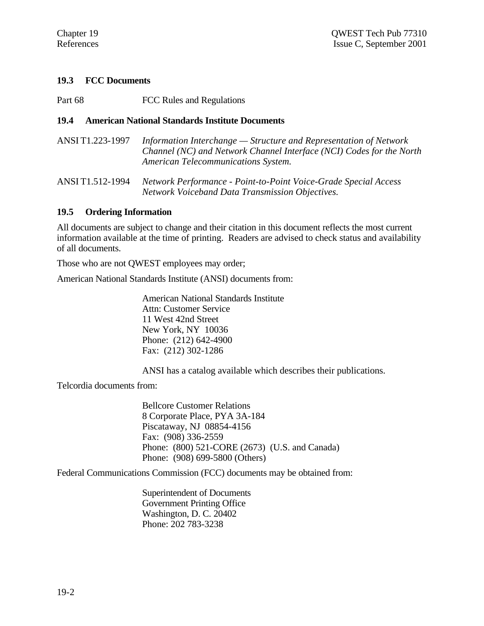#### **19.3 FCC Documents**

Part 68 FCC Rules and Regulations

#### **19.4 American National Standards Institute Documents**

| ANSI T1.223-1997 | Information Interchange — Structure and Representation of Network    |
|------------------|----------------------------------------------------------------------|
|                  | Channel (NC) and Network Channel Interface (NCI) Codes for the North |
|                  | American Telecommunications System.                                  |

ANSI T1.512-1994 *Network Performance - Point-to-Point Voice-Grade Special Access Network Voiceband Data Transmission Objectives.*

#### **19.5 Ordering Information**

All documents are subject to change and their citation in this document reflects the most current information available at the time of printing. Readers are advised to check status and availability of all documents.

Those who are not QWEST employees may order;

American National Standards Institute (ANSI) documents from:

American National Standards Institute Attn: Customer Service 11 West 42nd Street New York, NY 10036 Phone: (212) 642-4900 Fax: (212) 302-1286

ANSI has a catalog available which describes their publications.

Telcordia documents from:

Bellcore Customer Relations 8 Corporate Place, PYA 3A-184 Piscataway, NJ 08854-4156 Fax: (908) 336-2559 Phone: (800) 521-CORE (2673) (U.S. and Canada) Phone: (908) 699-5800 (Others)

Federal Communications Commission (FCC) documents may be obtained from:

Superintendent of Documents Government Printing Office Washington, D. C. 20402 Phone: 202 783-3238